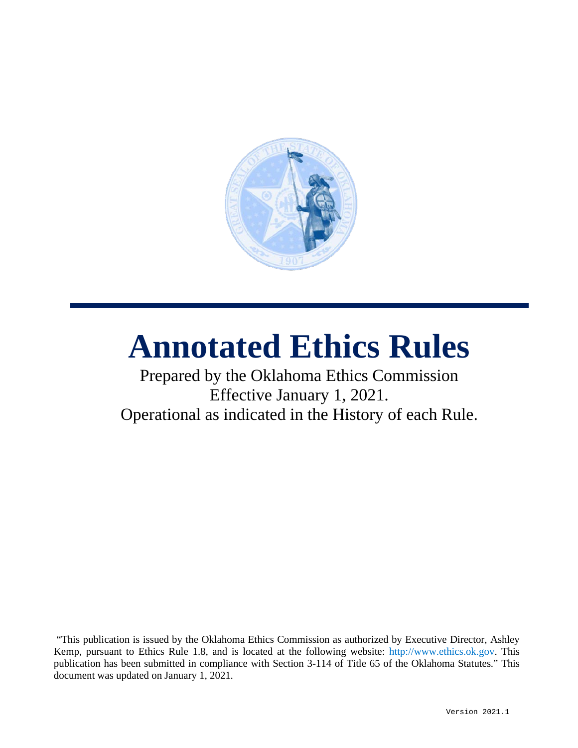

# **Annotated Ethics Rules**

## Prepared by the Oklahoma Ethics Commission Effective January 1, 2021. Operational as indicated in the History of each Rule.

"This publication is issued by the Oklahoma Ethics Commission as authorized by Executive Director, Ashley Kemp, pursuant to Ethics Rule 1.8, and is located at the following website: [http://www.ethics.ok.gov.](http://www.ethics.ok.gov/) This publication has been submitted in compliance with Section 3-114 of Title 65 of the Oklahoma Statutes." This document was updated on January 1, 2021.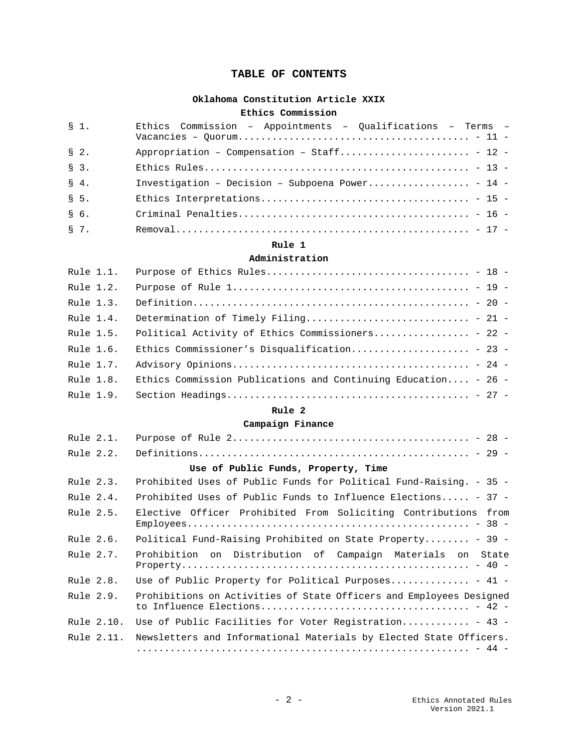## **TABLE OF CONTENTS**

## **[Oklahoma Constitution Article XXIX](#page-10-0)**

#### **[Ethics Commission](#page-10-1)**

| \$1.    | Ethics Commission - Appointments - Qualifications - Terms - |
|---------|-------------------------------------------------------------|
| $S2$ .  | Appropriation - Compensation - Staff - 12 -                 |
| $S3$ .  |                                                             |
| $S$ 4.  | Investigation - Decision - Subpoena Power - 14 -            |
| $S5$ .  |                                                             |
| $\S$ 6. |                                                             |
| $S7$ .  |                                                             |

#### **[Rule 1](#page-17-0)**

#### **[Administration](#page-17-1)**

| Rule 1.1. |                                                                |  |  |
|-----------|----------------------------------------------------------------|--|--|
| Rule 1.2. |                                                                |  |  |
| Rule 1.3. |                                                                |  |  |
| Rule 1.4. | Determination of Timely Filing - 21 -                          |  |  |
| Rule 1.5. | Political Activity of Ethics Commissioners - 22 -              |  |  |
| Rule 1.6. | Ethics Commissioner's Disqualification - 23 -                  |  |  |
| Rule 1.7. |                                                                |  |  |
| Rule 1.8. | Ethics Commission Publications and Continuing Education - 26 - |  |  |
| Rule 1.9. |                                                                |  |  |

## **[Rule 2](#page-27-0)**

#### **[Campaign Finance](#page-27-1)**

| Rule 2.1.   |            |                                                                     |
|-------------|------------|---------------------------------------------------------------------|
| Rule 2.2.   |            |                                                                     |
|             |            | Use of Public Funds, Property, Time                                 |
| Rule 2.3.   |            | Prohibited Uses of Public Funds for Political Fund-Raising. - 35 -  |
| Rule $2.4.$ |            | Prohibited Uses of Public Funds to Influence Elections - 37 -       |
| Rule 2.5.   |            | Elective Officer Prohibited From Soliciting Contributions<br>from   |
| Rule 2.6.   |            | Political Fund-Raising Prohibited on State Property - 39 -          |
| Rule 2.7.   |            | Prohibition on Distribution of Campaign Materials on<br>State       |
| Rule 2.8.   |            | Use of Public Property for Political Purposes - 41 -                |
| Rule 2.9.   |            | Prohibitions on Activities of State Officers and Employees Designed |
|             | Rule 2.10. | Use of Public Facilities for Voter Registration - 43 -              |
|             | Rule 2.11. | Newsletters and Informational Materials by Elected State Officers.  |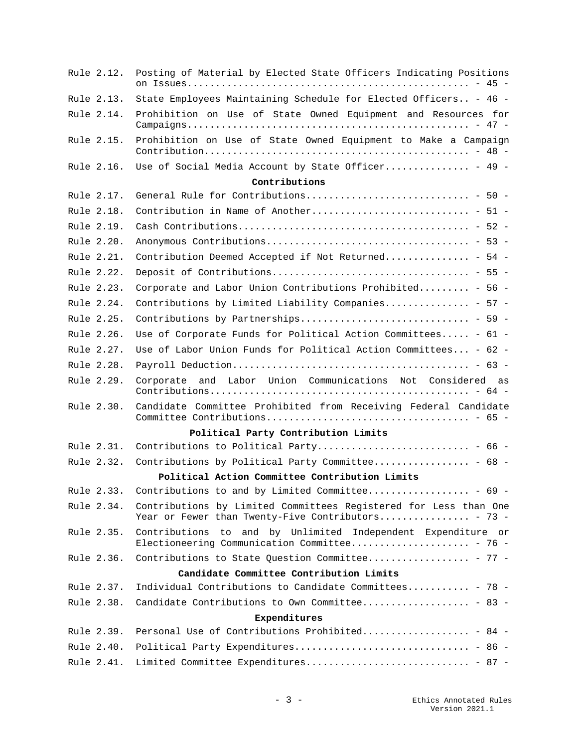| Rule 2.12. | Posting of Material by Elected State Officers Indicating Positions                                                     |
|------------|------------------------------------------------------------------------------------------------------------------------|
| Rule 2.13. | State Employees Maintaining Schedule for Elected Officers - 46 -                                                       |
| Rule 2.14. | Prohibition on Use of State Owned Equipment and Resources for                                                          |
| Rule 2.15. | Prohibition on Use of State Owned Equipment to Make a Campaign                                                         |
| Rule 2.16. | Use of Social Media Account by State Officer - 49 -                                                                    |
|            | Contributions                                                                                                          |
| Rule 2.17. |                                                                                                                        |
| Rule 2.18. |                                                                                                                        |
| Rule 2.19. |                                                                                                                        |
| Rule 2.20. |                                                                                                                        |
| Rule 2.21. | Contribution Deemed Accepted if Not Returned - 54 -                                                                    |
| Rule 2.22. |                                                                                                                        |
| Rule 2.23. | Corporate and Labor Union Contributions Prohibited - 56 -                                                              |
| Rule 2.24. | Contributions by Limited Liability Companies - 57 -                                                                    |
| Rule 2.25. |                                                                                                                        |
| Rule 2.26. | Use of Corporate Funds for Political Action Committees - 61 -                                                          |
| Rule 2.27. | Use of Labor Union Funds for Political Action Committees - 62 -                                                        |
| Rule 2.28. |                                                                                                                        |
| Rule 2.29. | Corporate and Labor Union Communications Not Considered as                                                             |
| Rule 2.30. | Candidate Committee Prohibited from Receiving Federal Candidate                                                        |
|            | Political Party Contribution Limits                                                                                    |
| Rule 2.31. |                                                                                                                        |
| Rule 2.32. | Contributions by Political Party Committee - 68 -                                                                      |
|            | Political Action Committee Contribution Limits                                                                         |
|            | Rule 2.33. Contributions to and by Limited Committee - 69 -                                                            |
| Rule 2.34. | Contributions by Limited Committees Registered for Less than One<br>Year or Fewer than Twenty-Five Contributors - 73 - |
| Rule 2.35. | Contributions to and by Unlimited Independent Expenditure or<br>Electioneering Communication Committee - 76 -          |
| Rule 2.36. | Contributions to State Question Committee - 77 -                                                                       |
|            | Candidate Committee Contribution Limits                                                                                |
| Rule 2.37. | Individual Contributions to Candidate Committees - 78 -                                                                |
| Rule 2.38. | Candidate Contributions to Own Committee - 83 -                                                                        |
|            | Expenditures                                                                                                           |
| Rule 2.39. | Personal Use of Contributions Prohibited - 84 -                                                                        |
| Rule 2.40. | Political Party Expenditures - 86 -                                                                                    |
| Rule 2.41. | Limited Committee Expenditures - 87 -                                                                                  |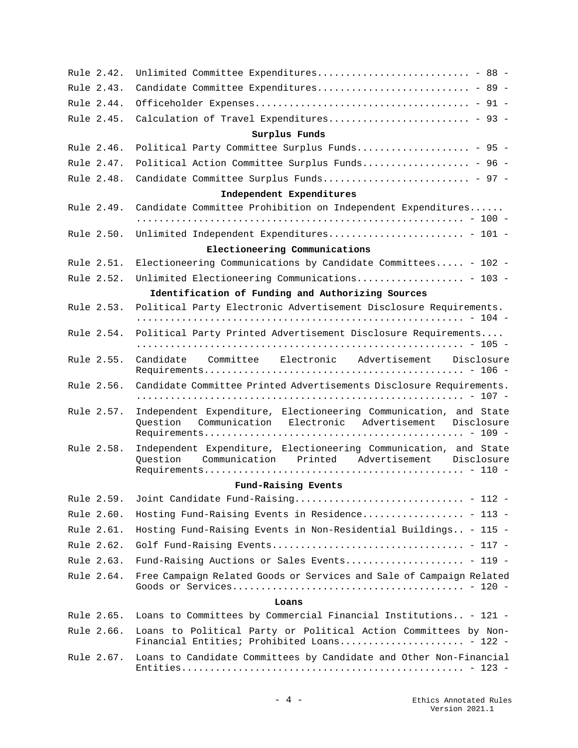| Rule 2.42. | Unlimited Committee Expenditures - 88 -                                                                                        |
|------------|--------------------------------------------------------------------------------------------------------------------------------|
| Rule 2.43. | Candidate Committee Expenditures - 89 -                                                                                        |
| Rule 2.44. |                                                                                                                                |
| Rule 2.45. | Calculation of Travel Expenditures - 93 -                                                                                      |
|            | Surplus Funds                                                                                                                  |
| Rule 2.46. | Political Party Committee Surplus Funds - 95 -                                                                                 |
| Rule 2.47. | Political Action Committee Surplus Funds - 96 -                                                                                |
| Rule 2.48. | Candidate Committee Surplus Funds - 97 -                                                                                       |
|            | Independent Expenditures                                                                                                       |
| Rule 2.49. | Candidate Committee Prohibition on Independent Expenditures                                                                    |
|            |                                                                                                                                |
| Rule 2.50. | Unlimited Independent Expenditures - 101 -                                                                                     |
|            | Electioneering Communications                                                                                                  |
| Rule 2.51. | Electioneering Communications by Candidate Committees - 102 -                                                                  |
| Rule 2.52. | Unlimited Electioneering Communications - 103 -                                                                                |
|            | Identification of Funding and Authorizing Sources                                                                              |
| Rule 2.53. | Political Party Electronic Advertisement Disclosure Requirements.                                                              |
| Rule 2.54. | Political Party Printed Advertisement Disclosure Requirements                                                                  |
| Rule 2.55. | Candidate Committee Electronic Advertisement Disclosure                                                                        |
| Rule 2.56. | Candidate Committee Printed Advertisements Disclosure Requirements.                                                            |
| Rule 2.57. | Independent Expenditure, Electioneering Communication, and State                                                               |
|            | Question Communication Electronic Advertisement Disclosure                                                                     |
| Rule 2.58. | Independent Expenditure, Electioneering Communication, and State<br>Communication Printed Advertisement Disclosure<br>Ouestion |
|            | Fund-Raising Events                                                                                                            |
| Rule 2.59. | Joint Candidate Fund-Raising - 112 -                                                                                           |
| Rule 2.60. | Hosting Fund-Raising Events in Residence - 113 -                                                                               |
| Rule 2.61. | Hosting Fund-Raising Events in Non-Residential Buildings - 115 -                                                               |
| Rule 2.62. |                                                                                                                                |
| Rule 2.63. | Fund-Raising Auctions or Sales Events - 119 -                                                                                  |
| Rule 2.64. | Free Campaign Related Goods or Services and Sale of Campaign Related                                                           |
|            | Loans                                                                                                                          |
| Rule 2.65. | Loans to Committees by Commercial Financial Institutions - 121 -                                                               |
| Rule 2.66. | Loans to Political Party or Political Action Committees by Non-<br>Financial Entities; Prohibited Loans - 122 -                |
| Rule 2.67. | Loans to Candidate Committees by Candidate and Other Non-Financial                                                             |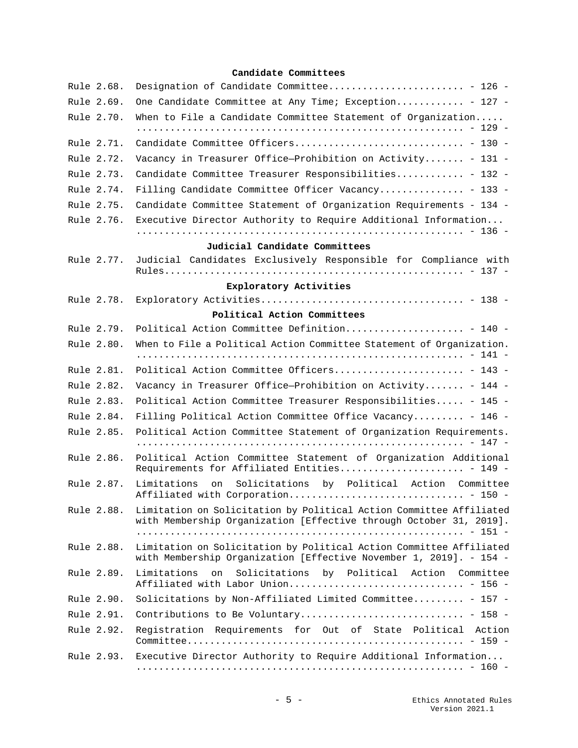## **[Candidate Committees](#page-125-0)**

| Rule 2.68. | Designation of Candidate Committee - 126 -                                                                                                |
|------------|-------------------------------------------------------------------------------------------------------------------------------------------|
| Rule 2.69. | One Candidate Committee at Any Time; Exception - 127 -                                                                                    |
| Rule 2.70. | When to File a Candidate Committee Statement of Organization                                                                              |
| Rule 2.71. |                                                                                                                                           |
| Rule 2.72. | Vacancy in Treasurer Office-Prohibition on Activity - 131 -                                                                               |
| Rule 2.73. | Candidate Committee Treasurer Responsibilities - 132 -                                                                                    |
| Rule 2.74. | Filling Candidate Committee Officer Vacancy - 133 -                                                                                       |
| Rule 2.75. | Candidate Committee Statement of Organization Requirements - 134 -                                                                        |
| Rule 2.76. | Executive Director Authority to Require Additional Information                                                                            |
|            |                                                                                                                                           |
|            | Judicial Candidate Committees                                                                                                             |
| Rule 2.77. | Judicial Candidates Exclusively Responsible for Compliance with                                                                           |
|            | Exploratory Activities                                                                                                                    |
| Rule 2.78. |                                                                                                                                           |
|            | Political Action Committees                                                                                                               |
| Rule 2.79. | Political Action Committee Definition - 140 -                                                                                             |
| Rule 2.80. | When to File a Political Action Committee Statement of Organization.                                                                      |
| Rule 2.81. | Political Action Committee Officers - 143 -                                                                                               |
| Rule 2.82. | Vacancy in Treasurer Office-Prohibition on Activity - 144 -                                                                               |
| Rule 2.83. | Political Action Committee Treasurer Responsibilities - 145 -                                                                             |
| Rule 2.84. | Filling Political Action Committee Office Vacancy - 146 -                                                                                 |
| Rule 2.85. | Political Action Committee Statement of Organization Requirements.                                                                        |
| Rule 2.86. | Political Action Committee Statement of Organization Additional<br>Requirements for Affiliated Entities - 149 -                           |
| Rule 2.87. | Solicitations by Political Action Committee<br>Limitations<br>on                                                                          |
| Rule 2.88. | Limitation on Solicitation by Political Action Committee Affiliated<br>with Membership Organization [Effective through October 31, 2019]. |
| Rule 2.88. | Limitation on Solicitation by Political Action Committee Affiliated<br>with Membership Organization [Effective November 1, 2019]. - 154 - |
| Rule 2.89. | Limitations<br>Solicitations<br>by Political Action Committee<br>on                                                                       |
| Rule 2.90. | Solicitations by Non-Affiliated Limited Committee - 157 -                                                                                 |
| Rule 2.91. |                                                                                                                                           |
| Rule 2.92. | Registration Requirements for Out of State Political Action                                                                               |
| Rule 2.93. | Executive Director Authority to Require Additional Information                                                                            |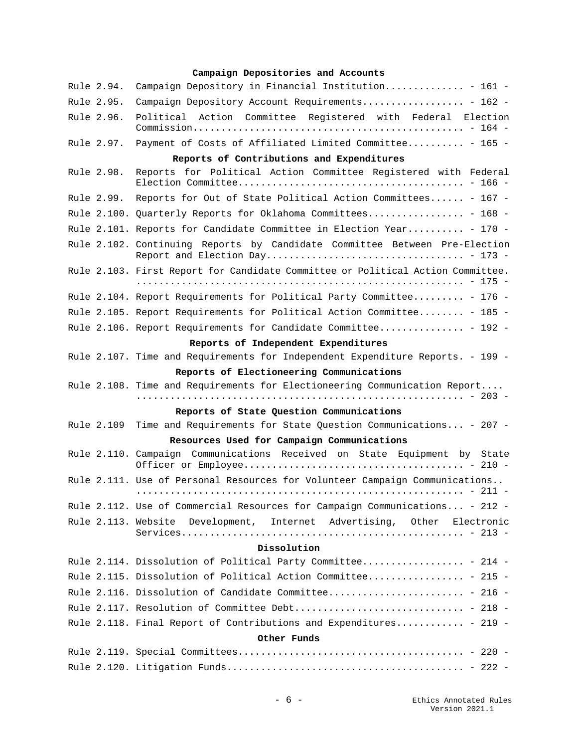## **[Campaign Depositories and Accounts](#page-160-0)**

|             | Rule 2.94. | Campaign Depository in Financial Institution - 161 -                            |
|-------------|------------|---------------------------------------------------------------------------------|
|             | Rule 2.95. | Campaign Depository Account Requirements - 162 -                                |
|             | Rule 2.96. | Political Action Committee Registered with Federal Election                     |
|             | Rule 2.97. | Payment of Costs of Affiliated Limited Committee - 165 -                        |
|             |            | Reports of Contributions and Expenditures                                       |
|             | Rule 2.98. | Reports for Political Action Committee Registered with Federal                  |
|             |            | Rule 2.99. Reports for Out of State Political Action Committees - 167 -         |
|             |            | Rule 2.100. Quarterly Reports for Oklahoma Committees - 168 -                   |
|             |            | Rule 2.101. Reports for Candidate Committee in Election Year - 170 -            |
|             |            | Rule 2.102. Continuing Reports by Candidate Committee Between Pre-Election      |
|             |            | Rule 2.103. First Report for Candidate Committee or Political Action Committee. |
|             |            | Rule 2.104. Report Requirements for Political Party Committee - 176 -           |
|             |            | Rule 2.105. Report Requirements for Political Action Committee - 185 -          |
|             |            | Rule 2.106. Report Requirements for Candidate Committee - 192 -                 |
|             |            | Reports of Independent Expenditures                                             |
|             |            | Rule 2.107. Time and Requirements for Independent Expenditure Reports. - 199 -  |
|             |            | Reports of Electioneering Communications                                        |
|             |            | Rule 2.108. Time and Requirements for Electioneering Communication Report       |
|             |            |                                                                                 |
|             |            | Reports of State Question Communications                                        |
|             | Rule 2.109 | Time and Requirements for State Question Communications - 207 -                 |
|             |            | Resources Used for Campaign Communications                                      |
|             |            | Rule 2.110. Campaign Communications Received on State Equipment by State        |
|             |            | Rule 2.111. Use of Personal Resources for Volunteer Campaign Communications     |
|             |            | Rule 2.112. Use of Commercial Resources for Campaign Communications - 212 -     |
|             |            | Rule 2.113. Website Development, Internet Advertising, Other Electronic         |
|             |            |                                                                                 |
|             |            | Dissolution                                                                     |
|             |            | Rule 2.114. Dissolution of Political Party Committee - 214 -                    |
|             |            | Rule 2.115. Dissolution of Political Action Committee - 215 -                   |
|             |            | Rule 2.116. Dissolution of Candidate Committee - 216 -                          |
|             |            | Rule 2.117. Resolution of Committee Debt - 218 -                                |
|             |            | Rule 2.118. Final Report of Contributions and Expenditures - 219 -              |
| Other Funds |            |                                                                                 |
|             |            |                                                                                 |
|             |            |                                                                                 |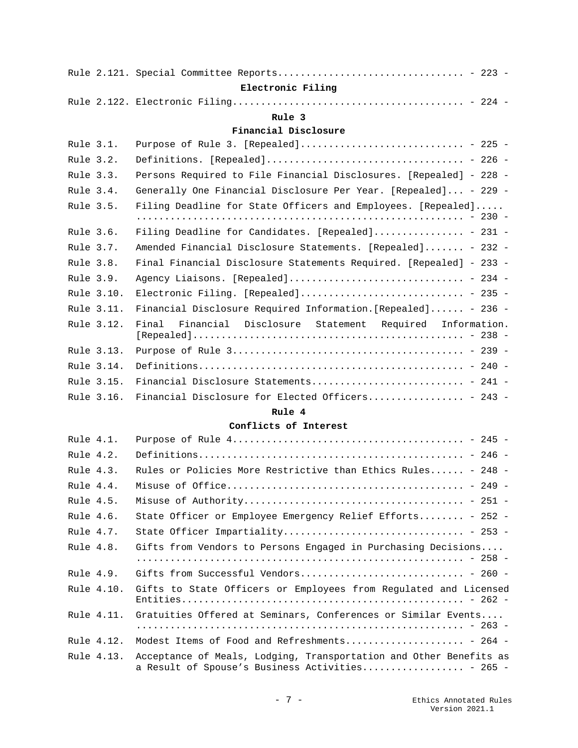|           |            | Electronic Filing                                                  |
|-----------|------------|--------------------------------------------------------------------|
|           |            |                                                                    |
|           |            | Rule 3                                                             |
|           |            | Financial Disclosure                                               |
| Rule 3.1. |            | Purpose of Rule 3. [Repealed] - 225 -                              |
| Rule 3.2. |            |                                                                    |
| Rule 3.3. |            | Persons Required to File Financial Disclosures. [Repealed] - 228 - |
| Rule 3.4. |            | Generally One Financial Disclosure Per Year. [Repealed] - 229 -    |
| Rule 3.5. |            | Filing Deadline for State Officers and Employees. [Repealed]       |
|           |            |                                                                    |
| Rule 3.6. |            | Filing Deadline for Candidates. [Repealed] - 231 -                 |
| Rule 3.7. |            | Amended Financial Disclosure Statements. [Repealed] - 232 -        |
| Rule 3.8. |            | Final Financial Disclosure Statements Required. [Repealed] - 233 - |
| Rule 3.9. |            | Agency Liaisons. [Repealed] - 234 -                                |
|           | Rule 3.10. | Electronic Filing. [Repealed] - 235 -                              |
|           | Rule 3.11. | Financial Disclosure Required Information. [Repealed] - 236 -      |
|           | Rule 3.12. | Financial Disclosure Statement Required Information.<br>Final      |
|           | Rule 3.13. |                                                                    |
|           | Rule 3.14. |                                                                    |
|           | Rule 3.15. |                                                                    |
|           | Rule 3.16. | Financial Disclosure for Elected Officers - 243 -                  |

## **[Conflicts of Interest](#page-244-1)**

| Rule 4.1. |            |                                                                                                                        |
|-----------|------------|------------------------------------------------------------------------------------------------------------------------|
| Rule 4.2. |            |                                                                                                                        |
| Rule 4.3. |            | Rules or Policies More Restrictive than Ethics Rules - 248 -                                                           |
| Rule 4.4. |            |                                                                                                                        |
| Rule 4.5. |            |                                                                                                                        |
| Rule 4.6. |            | State Officer or Employee Emergency Relief Efforts - 252 -                                                             |
| Rule 4.7. |            |                                                                                                                        |
| Rule 4.8. |            | Gifts from Vendors to Persons Engaged in Purchasing Decisions                                                          |
|           |            |                                                                                                                        |
| Rule 4.9. |            | Gifts from Successful Vendors - 260 -                                                                                  |
|           | Rule 4.10. | Gifts to State Officers or Employees from Requlated and Licensed                                                       |
|           | Rule 4.11. | Gratuities Offered at Seminars, Conferences or Similar Events                                                          |
|           | Rule 4.12. | Modest Items of Food and Refreshments - 264 -                                                                          |
|           | Rule 4.13. | Acceptance of Meals, Lodging, Transportation and Other Benefits as<br>a Result of Spouse's Business Activities - 265 - |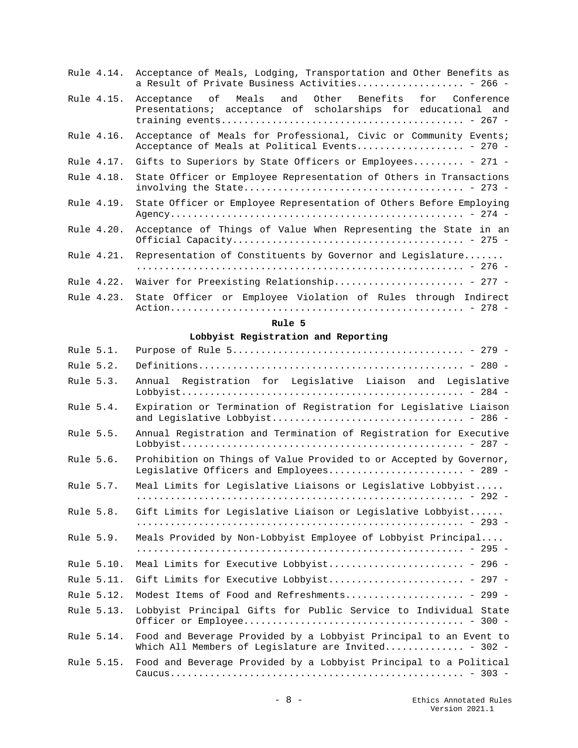|            | Rule 4.14. Acceptance of Meals, Lodging, Transportation and Other Benefits as<br>a Result of Private Business Activities - 266 - |
|------------|----------------------------------------------------------------------------------------------------------------------------------|
| Rule 4.15. | Acceptance of Meals and Other Benefits for Conference<br>Presentations; acceptance of scholarships for educational and           |
| Rule 4.16. | Acceptance of Meals for Professional, Civic or Community Events;<br>Acceptance of Meals at Political Events - 270 -              |
| Rule 4.17. | Gifts to Superiors by State Officers or Employees - 271 -                                                                        |
| Rule 4.18. | State Officer or Employee Representation of Others in Transactions                                                               |
| Rule 4.19. | State Officer or Employee Representation of Others Before Employing                                                              |
| Rule 4.20. | Acceptance of Things of Value When Representing the State in an                                                                  |
| Rule 4.21. | Representation of Constituents by Governor and Legislature                                                                       |
|            |                                                                                                                                  |
| Rule 4.22. | Waiver for Preexisting Relationship - 277 -                                                                                      |
| Rule 4.23. | State Officer or Employee Violation of Rules through Indirect                                                                    |

## **[Lobbyist Registration and Reporting](#page-278-1)**

| Rule 5.1. |            |                                                                                                                           |
|-----------|------------|---------------------------------------------------------------------------------------------------------------------------|
| Rule 5.2. |            |                                                                                                                           |
| Rule 5.3. |            | Annual Registration for Legislative Liaison and Legislative                                                               |
| Rule 5.4. |            | Expiration or Termination of Registration for Legislative Liaison                                                         |
| Rule 5.5. |            | Annual Registration and Termination of Registration for Executive                                                         |
| Rule 5.6. |            | Prohibition on Things of Value Provided to or Accepted by Governor,<br>Legislative Officers and Employees - 289 -         |
| Rule 5.7. |            | Meal Limits for Legislative Liaisons or Legislative Lobbyist                                                              |
| Rule 5.8. |            | Gift Limits for Legislative Liaison or Legislative Lobbyist                                                               |
| Rule 5.9. |            | Meals Provided by Non-Lobbyist Employee of Lobbyist Principal                                                             |
|           | Rule 5.10. | Meal Limits for Executive Lobbyist - 296 -                                                                                |
|           | Rule 5.11. | Gift Limits for Executive Lobbyist - 297 -                                                                                |
|           | Rule 5.12. | Modest Items of Food and Refreshments - 299 -                                                                             |
|           | Rule 5.13. | Lobbyist Principal Gifts for Public Service to Individual State                                                           |
|           | Rule 5.14. | Food and Beverage Provided by a Lobbyist Principal to an Event to<br>Which All Members of Legislature are Invited - 302 - |
|           | Rule 5.15. | Food and Beverage Provided by a Lobbyist Principal to a Political                                                         |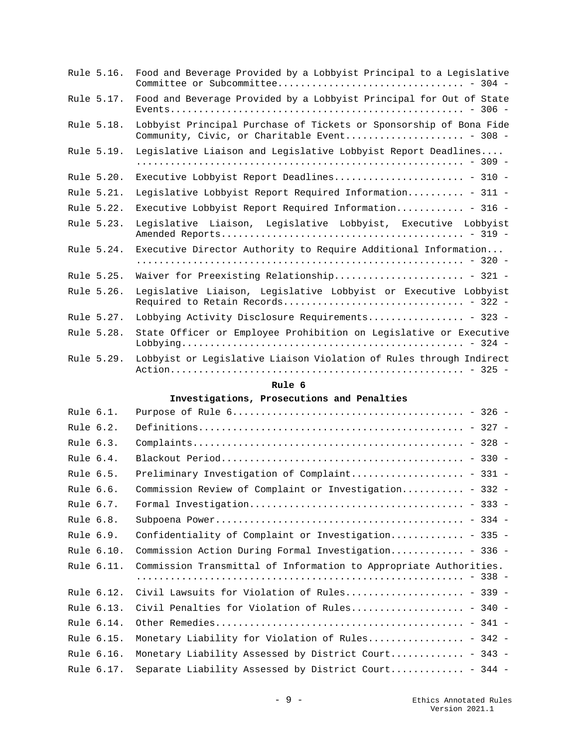| Rule 5.16. | Food and Beverage Provided by a Lobbyist Principal to a Legislative                                                 |
|------------|---------------------------------------------------------------------------------------------------------------------|
| Rule 5.17. | Food and Beverage Provided by a Lobbyist Principal for Out of State                                                 |
| Rule 5.18. | Lobbyist Principal Purchase of Tickets or Sponsorship of Bona Fide<br>Community, Civic, or Charitable Event - 308 - |
| Rule 5.19. | Legislative Liaison and Legislative Lobbyist Report Deadlines                                                       |
| Rule 5.20. | Executive Lobbyist Report Deadlines - 310 -                                                                         |
| Rule 5.21. | Legislative Lobbyist Report Required Information - 311 -                                                            |
| Rule 5.22. | Executive Lobbyist Report Required Information - 316 -                                                              |
| Rule 5.23. | Legislative Liaison, Legislative Lobbyist, Executive Lobbyist                                                       |
| Rule 5.24. | Executive Director Authority to Require Additional Information                                                      |
| Rule 5.25. | Waiver for Preexisting Relationship - 321 -                                                                         |
| Rule 5.26. | Legislative Liaison, Legislative Lobbyist or Executive Lobbyist                                                     |
| Rule 5.27. | Lobbying Activity Disclosure Requirements - 323 -                                                                   |
| Rule 5.28. | State Officer or Employee Prohibition on Legislative or Executive                                                   |
| Rule 5.29. | Lobbyist or Legislative Liaison Violation of Rules through Indirect                                                 |

## **[Investigations, Prosecutions and Penalties](#page-325-1)**

| Rule 6.1. |            |                                                                   |
|-----------|------------|-------------------------------------------------------------------|
| Rule 6.2. |            |                                                                   |
| Rule 6.3. |            |                                                                   |
| Rule 6.4. |            |                                                                   |
| Rule 6.5. |            | Preliminary Investigation of Complaint - 331 -                    |
| Rule 6.6. |            | Commission Review of Complaint or Investigation - 332 -           |
| Rule 6.7. |            |                                                                   |
| Rule 6.8. |            |                                                                   |
| Rule 6.9. |            | Confidentiality of Complaint or Investigation - 335 -             |
|           | Rule 6.10. | Commission Action During Formal Investigation - 336 -             |
|           | Rule 6.11. | Commission Transmittal of Information to Appropriate Authorities. |
|           |            |                                                                   |
|           | Rule 6.12. | Civil Lawsuits for Violation of Rules - 339 -                     |
|           | Rule 6.13. | Civil Penalties for Violation of Rules - 340 -                    |
|           | Rule 6.14. |                                                                   |
|           | Rule 6.15. | Monetary Liability for Violation of Rules - 342 -                 |
|           | Rule 6.16. | Monetary Liability Assessed by District Court - 343 -             |
|           | Rule 6.17. | Separate Liability Assessed by District Court - 344 -             |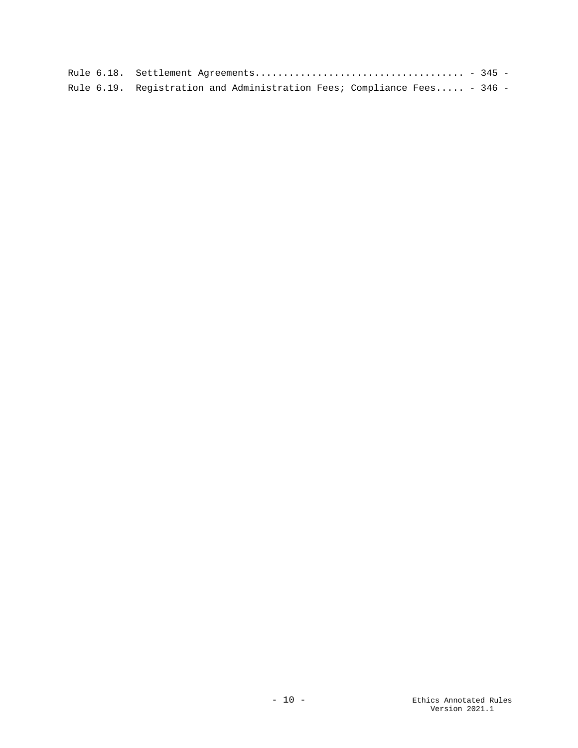| Rule 6.19. Registration and Administration Fees; Compliance Fees - 346 - |  |
|--------------------------------------------------------------------------|--|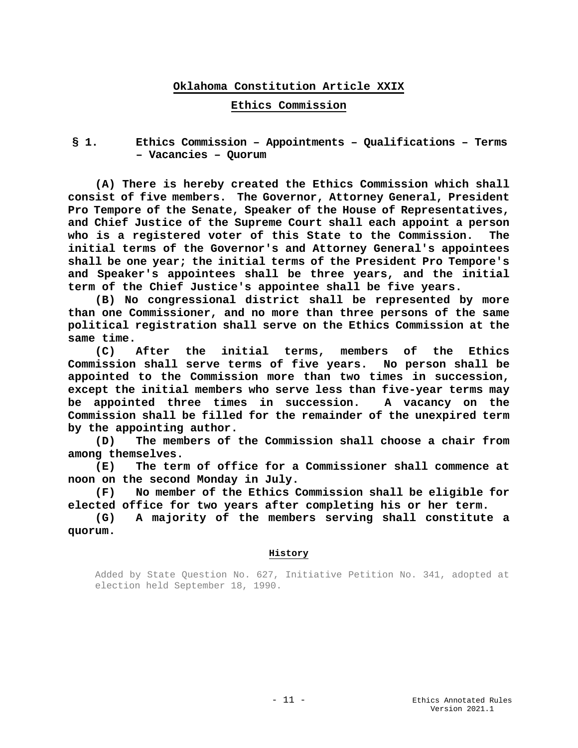## **Oklahoma Constitution Article XXIX**

#### **Ethics Commission**

<span id="page-10-2"></span><span id="page-10-1"></span><span id="page-10-0"></span>**§ 1. Ethics Commission – Appointments – Qualifications – Terms – Vacancies – Quorum**

**(A) There is hereby created the Ethics Commission which shall consist of five members. The Governor, Attorney General, President Pro Tempore of the Senate, Speaker of the House of Representatives, and Chief Justice of the Supreme Court shall each appoint a person who is a registered voter of this State to the Commission. The initial terms of the Governor's and Attorney General's appointees shall be one year; the initial terms of the President Pro Tempore's and Speaker's appointees shall be three years, and the initial term of the Chief Justice's appointee shall be five years.**

**(B) No congressional district shall be represented by more than one Commissioner, and no more than three persons of the same political registration shall serve on the Ethics Commission at the same time.**

**(C) After the initial terms, members of the Ethics Commission shall serve terms of five years. No person shall be appointed to the Commission more than two times in succession, except the initial members who serve less than five-year terms may be appointed three times in succession. A vacancy on the Commission shall be filled for the remainder of the unexpired term by the appointing author.**

**(D) The members of the Commission shall choose a chair from among themselves.**

**(E) The term of office for a Commissioner shall commence at noon on the second Monday in July.**

**(F) No member of the Ethics Commission shall be eligible for elected office for two years after completing his or her term.**

**(G) A majority of the members serving shall constitute a quorum.**

#### **History**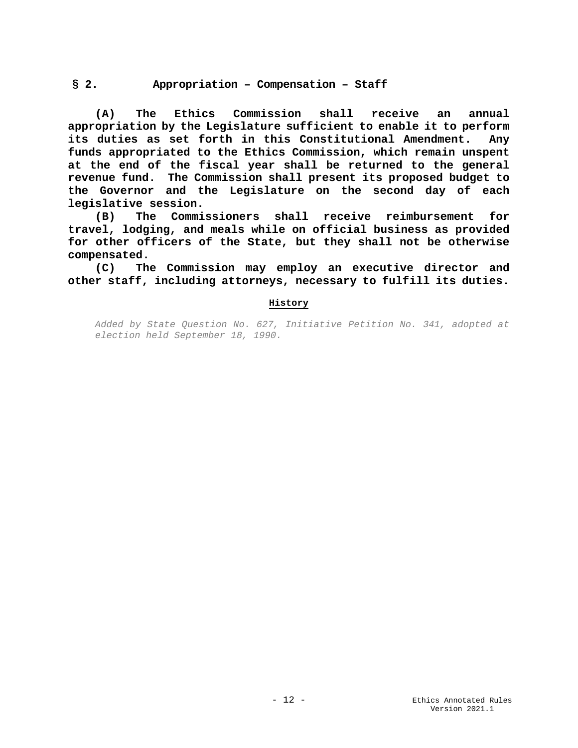## <span id="page-11-0"></span>**§ 2. Appropriation – Compensation – Staff**

**(A) The Ethics Commission shall receive an annual appropriation by the Legislature sufficient to enable it to perform its duties as set forth in this Constitutional Amendment. Any funds appropriated to the Ethics Commission, which remain unspent at the end of the fiscal year shall be returned to the general revenue fund. The Commission shall present its proposed budget to the Governor and the Legislature on the second day of each legislative session.**

**(B) The Commissioners shall receive reimbursement for travel, lodging, and meals while on official business as provided for other officers of the State, but they shall not be otherwise compensated.**

**(C) The Commission may employ an executive director and other staff, including attorneys, necessary to fulfill its duties.**

#### **History**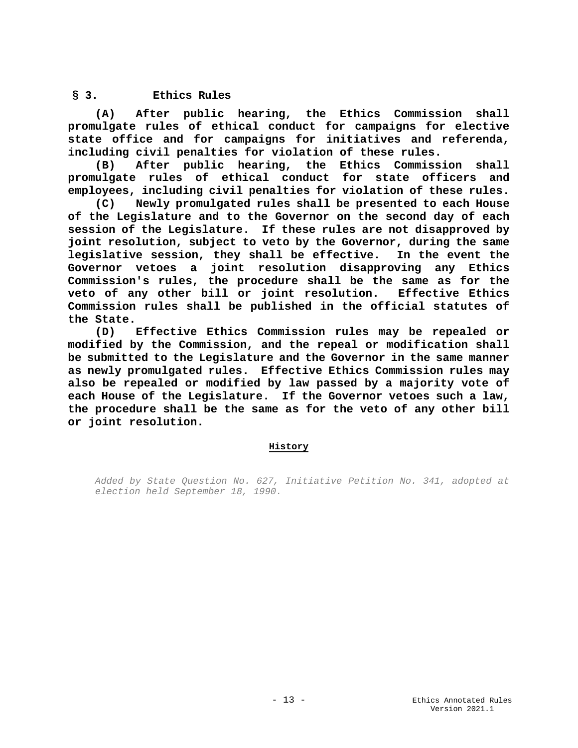## <span id="page-12-0"></span>**§ 3. Ethics Rules**

**(A) After public hearing, the Ethics Commission shall promulgate rules of ethical conduct for campaigns for elective state office and for campaigns for initiatives and referenda, including civil penalties for violation of these rules.**

**(B) After public hearing, the Ethics Commission shall promulgate rules of ethical conduct for state officers and employees, including civil penalties for violation of these rules.**

**(C) Newly promulgated rules shall be presented to each House of the Legislature and to the Governor on the second day of each session of the Legislature. If these rules are not disapproved by joint resolution, subject to veto by the Governor, during the same legislative session, they shall be effective. In the event the Governor vetoes a joint resolution disapproving any Ethics Commission's rules, the procedure shall be the same as for the**  veto of any other bill or joint resolution. **Commission rules shall be published in the official statutes of the State.**

**(D) Effective Ethics Commission rules may be repealed or modified by the Commission, and the repeal or modification shall be submitted to the Legislature and the Governor in the same manner as newly promulgated rules. Effective Ethics Commission rules may also be repealed or modified by law passed by a majority vote of each House of the Legislature. If the Governor vetoes such a law, the procedure shall be the same as for the veto of any other bill or joint resolution.**

## **History**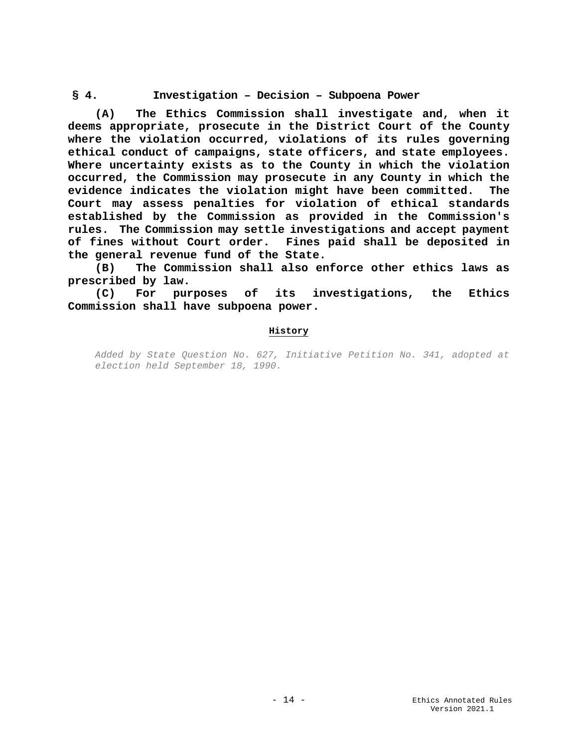## <span id="page-13-0"></span>**§ 4. Investigation – Decision – Subpoena Power**

**(A) The Ethics Commission shall investigate and, when it deems appropriate, prosecute in the District Court of the County where the violation occurred, violations of its rules governing ethical conduct of campaigns, state officers, and state employees. Where uncertainty exists as to the County in which the violation occurred, the Commission may prosecute in any County in which the evidence indicates the violation might have been committed. The Court may assess penalties for violation of ethical standards established by the Commission as provided in the Commission's rules. The Commission may settle investigations and accept payment of fines without Court order. Fines paid shall be deposited in the general revenue fund of the State.**

**(B) The Commission shall also enforce other ethics laws as prescribed by law.**

**(C) For purposes of its investigations, the Ethics Commission shall have subpoena power.**

#### **History**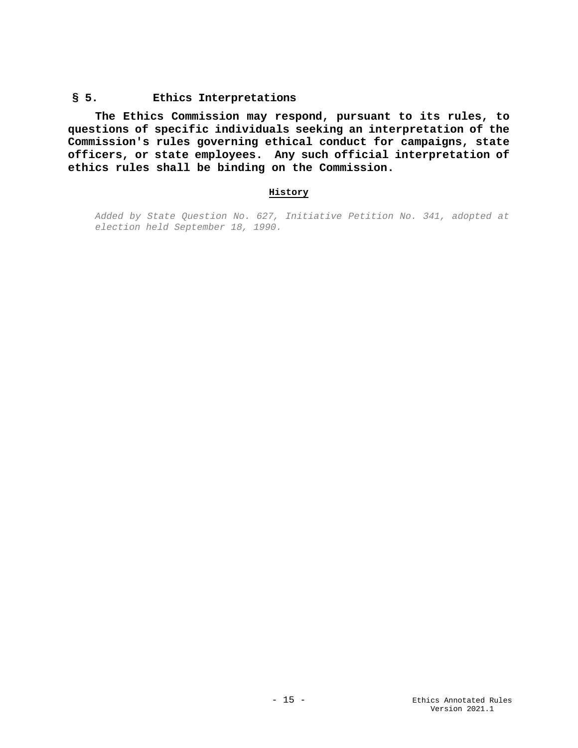### <span id="page-14-0"></span>**§ 5. Ethics Interpretations**

**The Ethics Commission may respond, pursuant to its rules, to questions of specific individuals seeking an interpretation of the Commission's rules governing ethical conduct for campaigns, state officers, or state employees. Any such official interpretation of ethics rules shall be binding on the Commission.**

## **History**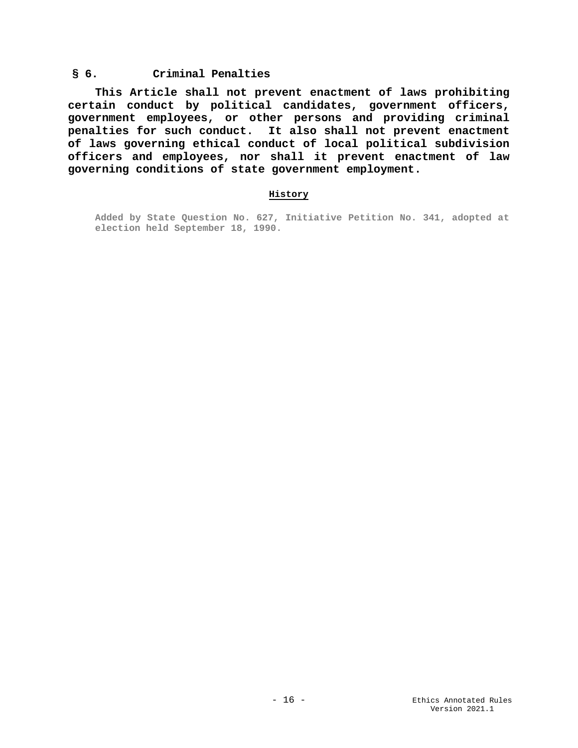## <span id="page-15-0"></span>**§ 6. Criminal Penalties**

**This Article shall not prevent enactment of laws prohibiting certain conduct by political candidates, government officers, government employees, or other persons and providing criminal penalties for such conduct. It also shall not prevent enactment of laws governing ethical conduct of local political subdivision officers and employees, nor shall it prevent enactment of law governing conditions of state government employment.**

#### **History**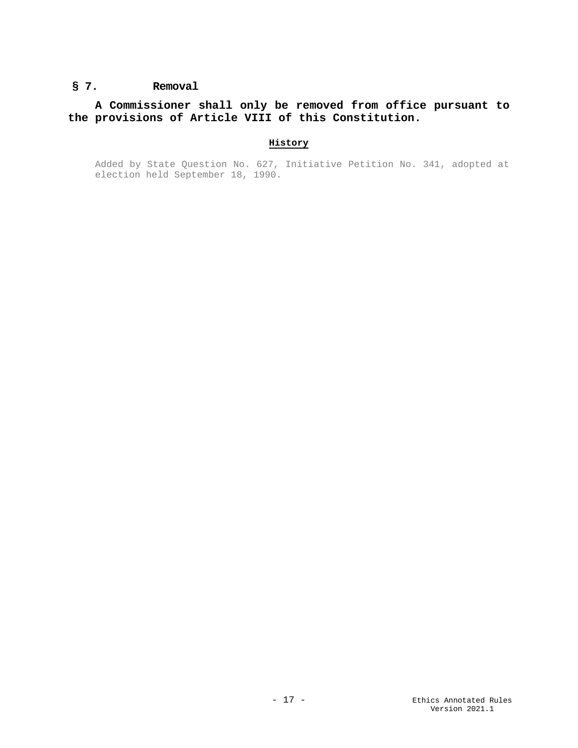## <span id="page-16-0"></span>**§ 7. Removal**

## **A Commissioner shall only be removed from office pursuant to the provisions of Article VIII of this Constitution.**

## **History**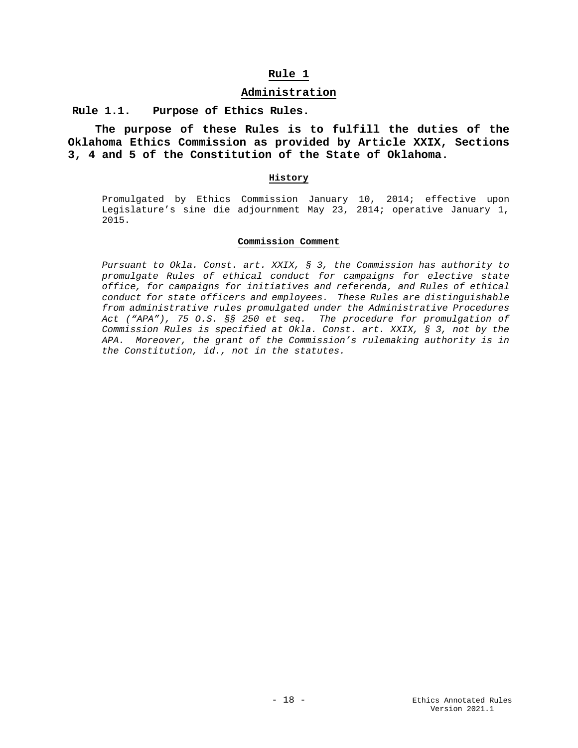#### **Administration**

<span id="page-17-2"></span><span id="page-17-1"></span><span id="page-17-0"></span>**Rule 1.1. Purpose of Ethics Rules.** 

**The purpose of these Rules is to fulfill the duties of the Oklahoma Ethics Commission as provided by Article XXIX, Sections 3, 4 and 5 of the Constitution of the State of Oklahoma.** 

#### **History**

Promulgated by Ethics Commission January 10, 2014; effective upon Legislature's sine die adjournment May 23, 2014; operative January 1, 2015.

#### **Commission Comment**

*Pursuant to Okla. Const. art. XXIX, § 3, the Commission has authority to promulgate Rules of ethical conduct for campaigns for elective state office, for campaigns for initiatives and referenda, and Rules of ethical conduct for state officers and employees. These Rules are distinguishable from administrative rules promulgated under the Administrative Procedures Act ("APA"), 75 O.S. §§ 250 et seq. The procedure for promulgation of Commission Rules is specified at Okla. Const. art. XXIX, § 3, not by the APA. Moreover, the grant of the Commission's rulemaking authority is in the Constitution, id., not in the statutes.*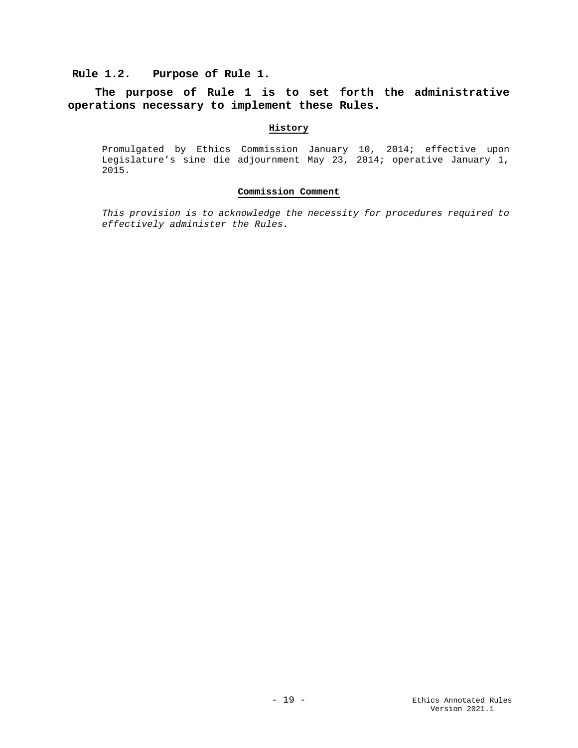## <span id="page-18-0"></span>**Rule 1.2. Purpose of Rule 1.**

## **The purpose of Rule 1 is to set forth the administrative operations necessary to implement these Rules.**

#### **History**

Promulgated by Ethics Commission January 10, 2014; effective upon Legislature's sine die adjournment May 23, 2014; operative January 1, 2015.

#### **Commission Comment**

*This provision is to acknowledge the necessity for procedures required to effectively administer the Rules.*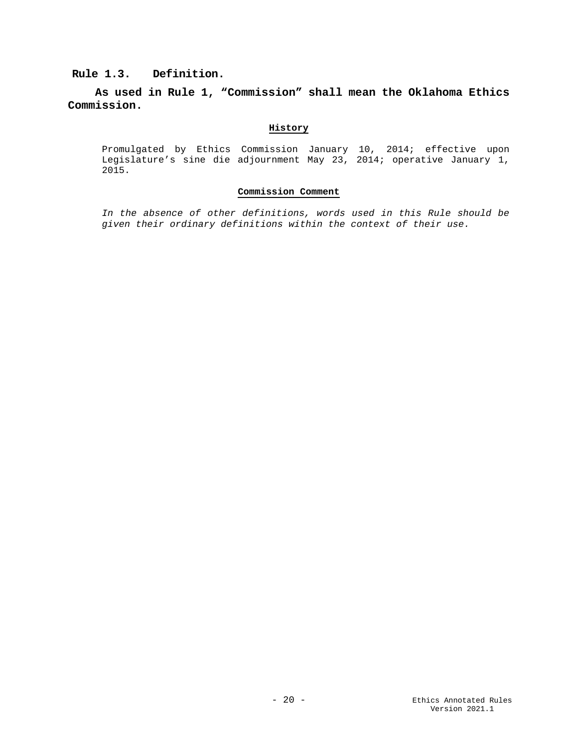## <span id="page-19-0"></span>**Rule 1.3. Definition.**

**As used in Rule 1, "Commission" shall mean the Oklahoma Ethics Commission.**

## **History**

Promulgated by Ethics Commission January 10, 2014; effective upon Legislature's sine die adjournment May 23, 2014; operative January 1, 2015.

#### **Commission Comment**

*In the absence of other definitions, words used in this Rule should be given their ordinary definitions within the context of their use.*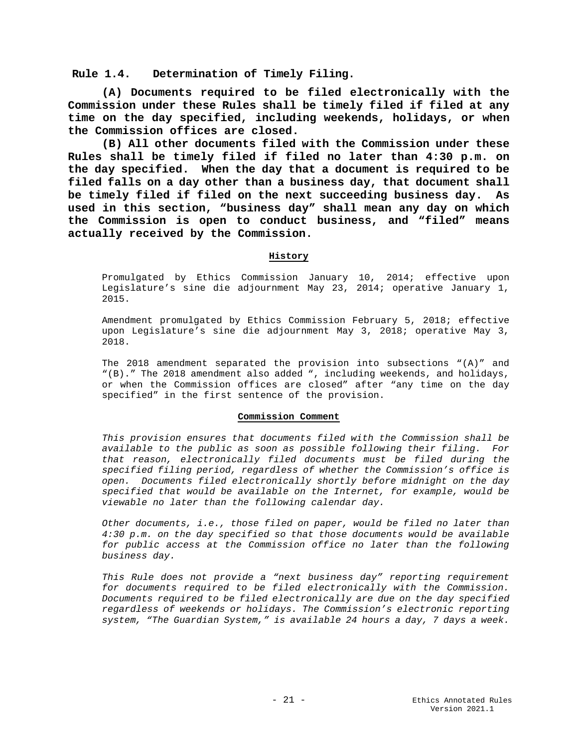<span id="page-20-0"></span>**Rule 1.4. Determination of Timely Filing.**

**(A) Documents required to be filed electronically with the Commission under these Rules shall be timely filed if filed at any time on the day specified, including weekends, holidays, or when the Commission offices are closed.** 

**(B) All other documents filed with the Commission under these Rules shall be timely filed if filed no later than 4:30 p.m. on the day specified. When the day that a document is required to be filed falls on a day other than a business day, that document shall be timely filed if filed on the next succeeding business day. As used in this section, "business day" shall mean any day on which the Commission is open to conduct business, and "filed" means actually received by the Commission.** 

#### **History**

Promulgated by Ethics Commission January 10, 2014; effective upon Legislature's sine die adjournment May 23, 2014; operative January 1, 2015.

Amendment promulgated by Ethics Commission February 5, 2018; effective upon Legislature's sine die adjournment May 3, 2018; operative May 3, 2018.

The 2018 amendment separated the provision into subsections "(A)" and "(B)." The 2018 amendment also added ", including weekends, and holidays, or when the Commission offices are closed" after "any time on the day specified" in the first sentence of the provision.

#### **Commission Comment**

*This provision ensures that documents filed with the Commission shall be available to the public as soon as possible following their filing. For that reason, electronically filed documents must be filed during the specified filing period, regardless of whether the Commission's office is open. Documents filed electronically shortly before midnight on the day specified that would be available on the Internet, for example, would be viewable no later than the following calendar day.* 

*Other documents, i.e., those filed on paper, would be filed no later than 4:30 p.m. on the day specified so that those documents would be available for public access at the Commission office no later than the following business day.* 

*This Rule does not provide a "next business day" reporting requirement for documents required to be filed electronically with the Commission. Documents required to be filed electronically are due on the day specified regardless of weekends or holidays. The Commission's electronic reporting system, "The Guardian System," is available 24 hours a day, 7 days a week.*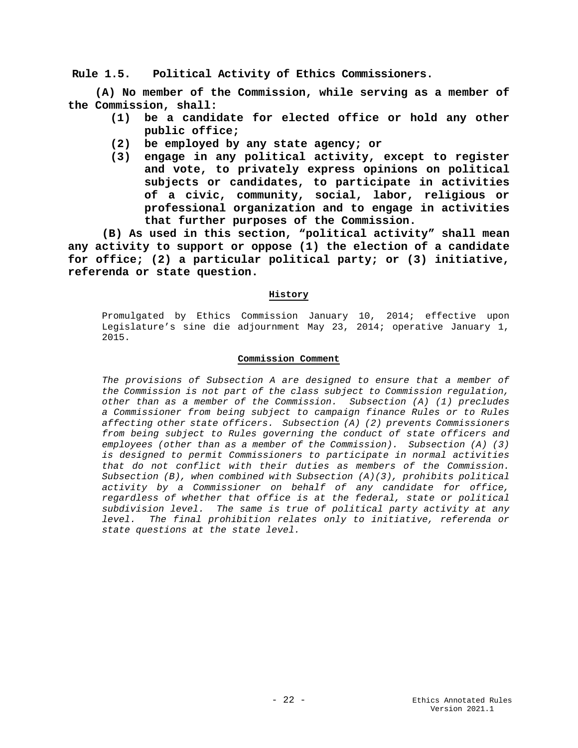<span id="page-21-0"></span>**Rule 1.5. Political Activity of Ethics Commissioners.**

**(A) No member of the Commission, while serving as a member of the Commission, shall:**

- **(1) be a candidate for elected office or hold any other public office;**
- **(2) be employed by any state agency; or**
- **(3) engage in any political activity, except to register and vote, to privately express opinions on political subjects or candidates, to participate in activities of a civic, community, social, labor, religious or professional organization and to engage in activities that further purposes of the Commission.**

**(B) As used in this section, "political activity" shall mean any activity to support or oppose (1) the election of a candidate for office; (2) a particular political party; or (3) initiative, referenda or state question.**

#### **History**

Promulgated by Ethics Commission January 10, 2014; effective upon Legislature's sine die adjournment May 23, 2014; operative January 1, 2015.

#### **Commission Comment**

*The provisions of Subsection A are designed to ensure that a member of the Commission is not part of the class subject to Commission regulation, other than as a member of the Commission. Subsection (A) (1) precludes a Commissioner from being subject to campaign finance Rules or to Rules affecting other state officers. Subsection (A) (2) prevents Commissioners from being subject to Rules governing the conduct of state officers and employees (other than as a member of the Commission). Subsection (A) (3) is designed to permit Commissioners to participate in normal activities that do not conflict with their duties as members of the Commission. Subsection (B), when combined with Subsection (A)(3), prohibits political activity by a Commissioner on behalf of any candidate for office, regardless of whether that office is at the federal, state or political subdivision level. The same is true of political party activity at any level. The final prohibition relates only to initiative, referenda or state questions at the state level.*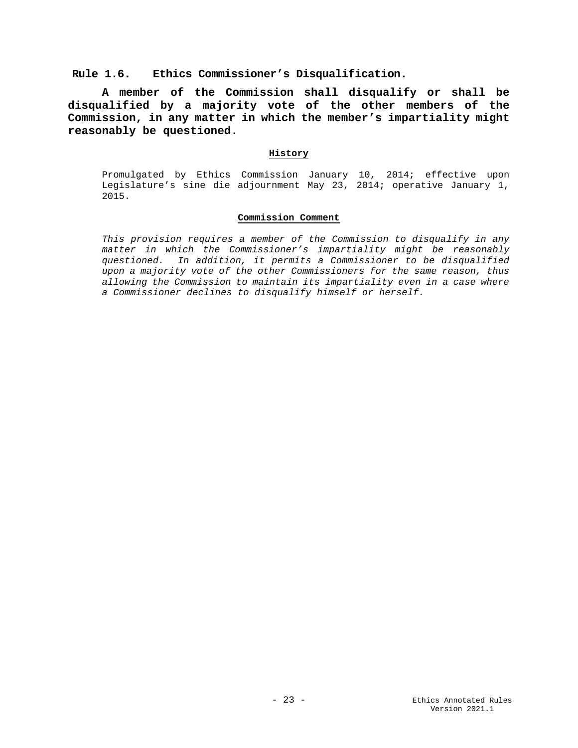#### <span id="page-22-0"></span>**Rule 1.6. Ethics Commissioner's Disqualification.**

**A member of the Commission shall disqualify or shall be disqualified by a majority vote of the other members of the Commission, in any matter in which the member's impartiality might reasonably be questioned.**

#### **History**

Promulgated by Ethics Commission January 10, 2014; effective upon Legislature's sine die adjournment May 23, 2014; operative January 1, 2015.

#### **Commission Comment**

*This provision requires a member of the Commission to disqualify in any matter in which the Commissioner's impartiality might be reasonably questioned. In addition, it permits a Commissioner to be disqualified upon a majority vote of the other Commissioners for the same reason, thus allowing the Commission to maintain its impartiality even in a case where a Commissioner declines to disqualify himself or herself.*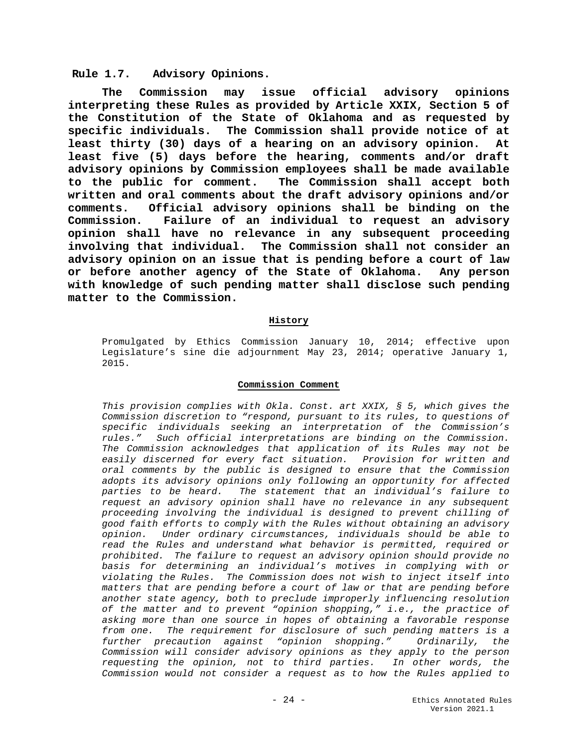#### <span id="page-23-0"></span>**Rule 1.7. Advisory Opinions.**

**The Commission may issue official advisory opinions interpreting these Rules as provided by Article XXIX, Section 5 of the Constitution of the State of Oklahoma and as requested by specific individuals. The Commission shall provide notice of at least thirty (30) days of a hearing on an advisory opinion. At least five (5) days before the hearing, comments and/or draft advisory opinions by Commission employees shall be made available**  The Commission shall accept both **written and oral comments about the draft advisory opinions and/or comments. Official advisory opinions shall be binding on the Commission. Failure of an individual to request an advisory opinion shall have no relevance in any subsequent proceeding involving that individual. The Commission shall not consider an advisory opinion on an issue that is pending before a court of law or before another agency of the State of Oklahoma. Any person with knowledge of such pending matter shall disclose such pending matter to the Commission.**

#### **History**

Promulgated by Ethics Commission January 10, 2014; effective upon Legislature's sine die adjournment May 23, 2014; operative January 1, 2015.

#### **Commission Comment**

*This provision complies with Okla. Const. art XXIX, § 5, which gives the Commission discretion to "respond, pursuant to its rules, to questions of specific individuals seeking an interpretation of the Commission's rules." Such official interpretations are binding on the Commission. The Commission acknowledges that application of its Rules may not be easily discerned for every fact situation. Provision for written and oral comments by the public is designed to ensure that the Commission adopts its advisory opinions only following an opportunity for affected parties to be heard. The statement that an individual's failure to request an advisory opinion shall have no relevance in any subsequent proceeding involving the individual is designed to prevent chilling of good faith efforts to comply with the Rules without obtaining an advisory opinion. Under ordinary circumstances, individuals should be able to read the Rules and understand what behavior is permitted, required or prohibited. The failure to request an advisory opinion should provide no basis for determining an individual's motives in complying with or violating the Rules. The Commission does not wish to inject itself into matters that are pending before a court of law or that are pending before another state agency, both to preclude improperly influencing resolution of the matter and to prevent "opinion shopping," i.e., the practice of asking more than one source in hopes of obtaining a favorable response from one. The requirement for disclosure of such pending matters is a further precaution against "opinion shopping." Ordinarily, the Commission will consider advisory opinions as they apply to the person requesting the opinion, not to third parties. In other words, the Commission would not consider a request as to how the Rules applied to*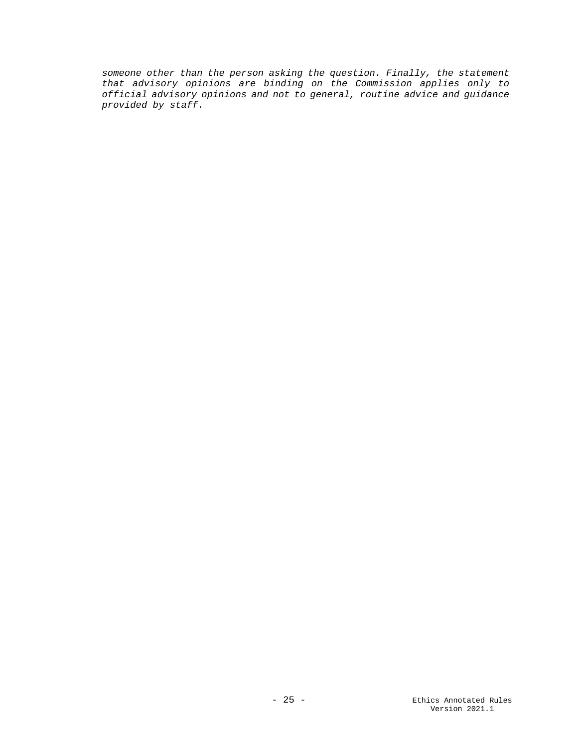*someone other than the person asking the question. Finally, the statement that advisory opinions are binding on the Commission applies only to official advisory opinions and not to general, routine advice and guidance provided by staff.*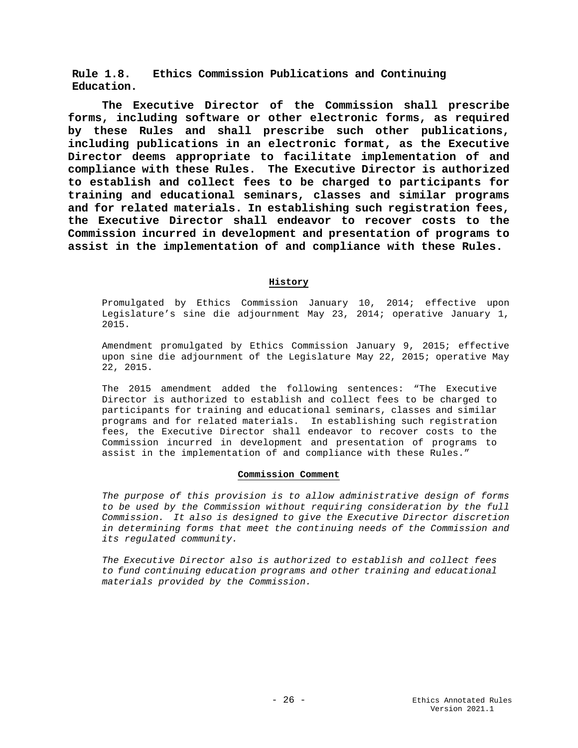<span id="page-25-0"></span>**Rule 1.8. Ethics Commission Publications and Continuing Education.**

**The Executive Director of the Commission shall prescribe forms, including software or other electronic forms, as required by these Rules and shall prescribe such other publications, including publications in an electronic format, as the Executive Director deems appropriate to facilitate implementation of and compliance with these Rules. The Executive Director is authorized to establish and collect fees to be charged to participants for training and educational seminars, classes and similar programs and for related materials. In establishing such registration fees, the Executive Director shall endeavor to recover costs to the Commission incurred in development and presentation of programs to assist in the implementation of and compliance with these Rules.**

#### **History**

Promulgated by Ethics Commission January 10, 2014; effective upon Legislature's sine die adjournment May 23, 2014; operative January 1, 2015.

Amendment promulgated by Ethics Commission January 9, 2015; effective upon sine die adjournment of the Legislature May 22, 2015; operative May 22, 2015.

The 2015 amendment added the following sentences: "The Executive Director is authorized to establish and collect fees to be charged to participants for training and educational seminars, classes and similar programs and for related materials. In establishing such registration fees, the Executive Director shall endeavor to recover costs to the Commission incurred in development and presentation of programs to assist in the implementation of and compliance with these Rules."

#### **Commission Comment**

*The purpose of this provision is to allow administrative design of forms to be used by the Commission without requiring consideration by the full Commission. It also is designed to give the Executive Director discretion in determining forms that meet the continuing needs of the Commission and its regulated community.*

*The Executive Director also is authorized to establish and collect fees to fund continuing education programs and other training and educational materials provided by the Commission.*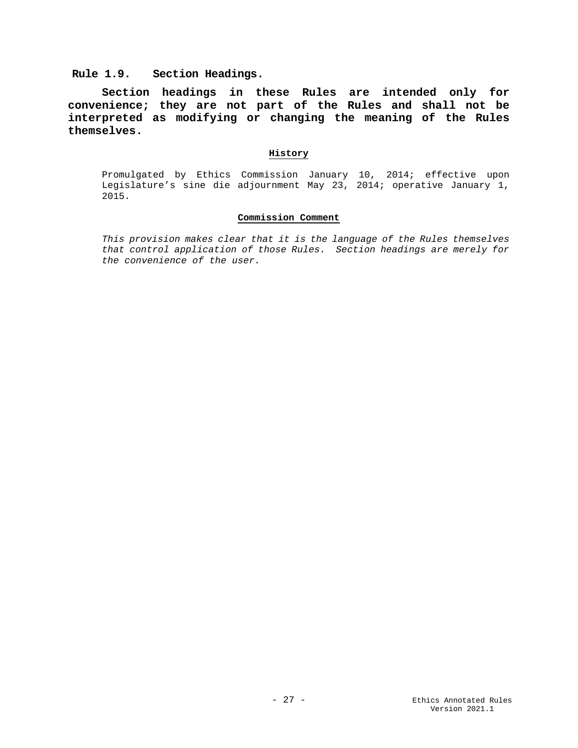<span id="page-26-0"></span>**Rule 1.9. Section Headings.**

**Section headings in these Rules are intended only for convenience; they are not part of the Rules and shall not be interpreted as modifying or changing the meaning of the Rules themselves.** 

#### **History**

Promulgated by Ethics Commission January 10, 2014; effective upon Legislature's sine die adjournment May 23, 2014; operative January 1, 2015.

#### **Commission Comment**

*This provision makes clear that it is the language of the Rules themselves that control application of those Rules. Section headings are merely for the convenience of the user.*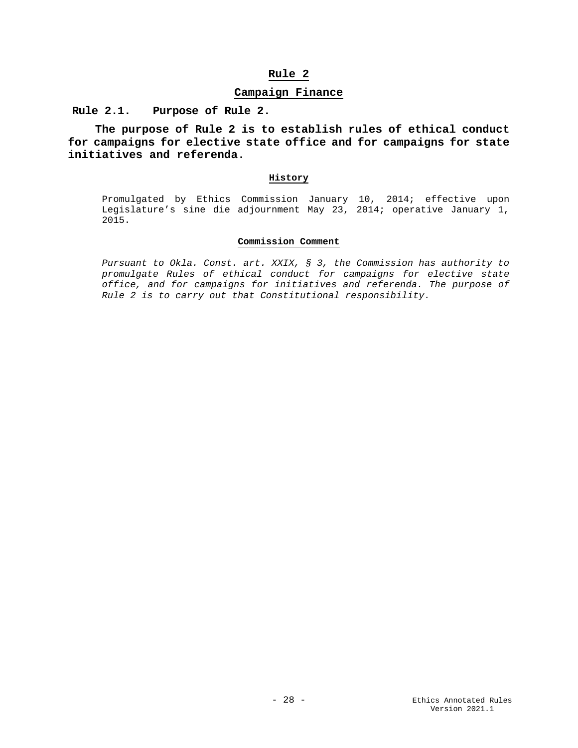#### **Campaign Finance**

<span id="page-27-2"></span><span id="page-27-1"></span><span id="page-27-0"></span>**Rule 2.1. Purpose of Rule 2.**

**The purpose of Rule 2 is to establish rules of ethical conduct for campaigns for elective state office and for campaigns for state initiatives and referenda.**

#### **History**

Promulgated by Ethics Commission January 10, 2014; effective upon Legislature's sine die adjournment May 23, 2014; operative January 1, 2015.

#### **Commission Comment**

*Pursuant to Okla. Const. art. XXIX, § 3, the Commission has authority to promulgate Rules of ethical conduct for campaigns for elective state office, and for campaigns for initiatives and referenda. The purpose of Rule 2 is to carry out that Constitutional responsibility.*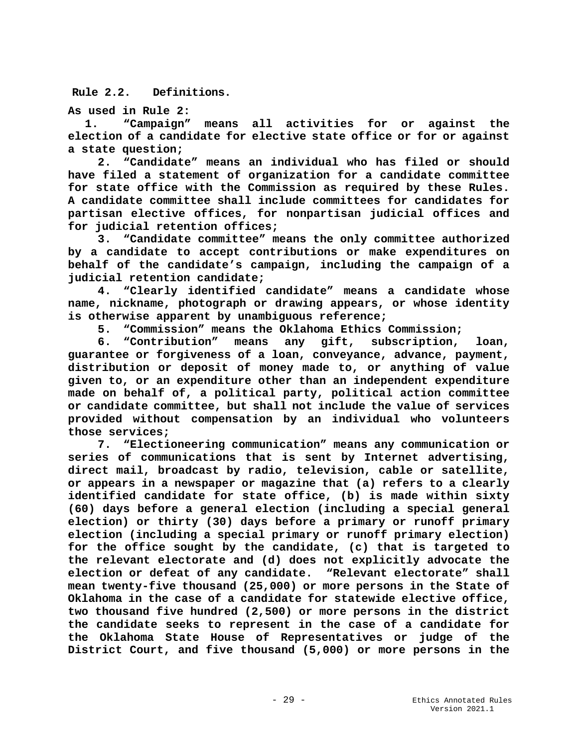<span id="page-28-0"></span>**Rule 2.2. Definitions.**

**As used in Rule 2:**

**1. "Campaign" means all activities for or against the election of a candidate for elective state office or for or against a state question;**

**2. "Candidate" means an individual who has filed or should have filed a statement of organization for a candidate committee for state office with the Commission as required by these Rules. A candidate committee shall include committees for candidates for partisan elective offices, for nonpartisan judicial offices and for judicial retention offices;**

**3. "Candidate committee" means the only committee authorized by a candidate to accept contributions or make expenditures on behalf of the candidate's campaign, including the campaign of a judicial retention candidate;**

**4. "Clearly identified candidate" means a candidate whose name, nickname, photograph or drawing appears, or whose identity is otherwise apparent by unambiguous reference;**

**5. "Commission" means the Oklahoma Ethics Commission;** 

**6. "Contribution" means any gift, subscription, loan, guarantee or forgiveness of a loan, conveyance, advance, payment, distribution or deposit of money made to, or anything of value given to, or an expenditure other than an independent expenditure made on behalf of, a political party, political action committee or candidate committee, but shall not include the value of services provided without compensation by an individual who volunteers those services;**

**7. "Electioneering communication" means any communication or series of communications that is sent by Internet advertising, direct mail, broadcast by radio, television, cable or satellite, or appears in a newspaper or magazine that (a) refers to a clearly identified candidate for state office, (b) is made within sixty (60) days before a general election (including a special general election) or thirty (30) days before a primary or runoff primary election (including a special primary or runoff primary election) for the office sought by the candidate, (c) that is targeted to the relevant electorate and (d) does not explicitly advocate the election or defeat of any candidate. "Relevant electorate" shall mean twenty-five thousand (25,000) or more persons in the State of Oklahoma in the case of a candidate for statewide elective office, two thousand five hundred (2,500) or more persons in the district the candidate seeks to represent in the case of a candidate for the Oklahoma State House of Representatives or judge of the District Court, and five thousand (5,000) or more persons in the**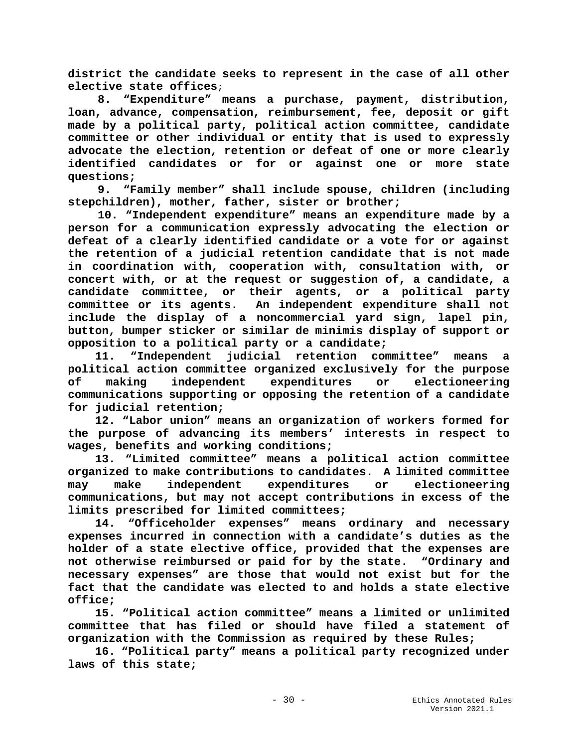**district the candidate seeks to represent in the case of all other elective state offices**;

**8. "Expenditure" means a purchase, payment, distribution, loan, advance, compensation, reimbursement, fee, deposit or gift made by a political party, political action committee, candidate committee or other individual or entity that is used to expressly advocate the election, retention or defeat of one or more clearly identified candidates or for or against one or more state questions;** 

**9. "Family member" shall include spouse, children (including stepchildren), mother, father, sister or brother;**

**10. "Independent expenditure" means an expenditure made by a person for a communication expressly advocating the election or defeat of a clearly identified candidate or a vote for or against the retention of a judicial retention candidate that is not made in coordination with, cooperation with, consultation with, or concert with, or at the request or suggestion of, a candidate, a candidate committee, or their agents, or a political party committee or its agents. An independent expenditure shall not include the display of a noncommercial yard sign, lapel pin, button, bumper sticker or similar de minimis display of support or opposition to a political party or a candidate;** 

 **11. "Independent judicial retention committee" means a political action committee organized exclusively for the purpose of making independent expenditures or electioneering communications supporting or opposing the retention of a candidate for judicial retention;**

 **12. "Labor union" means an organization of workers formed for the purpose of advancing its members' interests in respect to wages, benefits and working conditions;** 

 **13. "Limited committee" means a political action committee organized to make contributions to candidates. A limited committee may make independent expenditures or electioneering communications, but may not accept contributions in excess of the limits prescribed for limited committees;** 

 **14. "Officeholder expenses" means ordinary and necessary expenses incurred in connection with a candidate's duties as the holder of a state elective office, provided that the expenses are not otherwise reimbursed or paid for by the state. "Ordinary and necessary expenses" are those that would not exist but for the fact that the candidate was elected to and holds a state elective office;**

 **15. "Political action committee" means a limited or unlimited committee that has filed or should have filed a statement of organization with the Commission as required by these Rules;** 

 **16. "Political party" means a political party recognized under laws of this state;**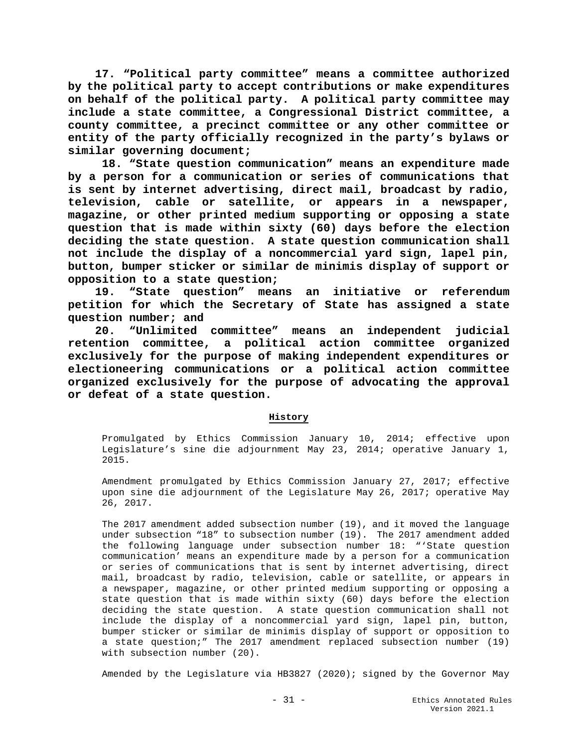**17. "Political party committee" means a committee authorized by the political party to accept contributions or make expenditures on behalf of the political party. A political party committee may include a state committee, a Congressional District committee, a county committee, a precinct committee or any other committee or entity of the party officially recognized in the party's bylaws or similar governing document;** 

**18. "State question communication" means an expenditure made by a person for a communication or series of communications that is sent by internet advertising, direct mail, broadcast by radio, television, cable or satellite, or appears in a newspaper, magazine, or other printed medium supporting or opposing a state question that is made within sixty (60) days before the election deciding the state question. A state question communication shall not include the display of a noncommercial yard sign, lapel pin, button, bumper sticker or similar de minimis display of support or opposition to a state question;**

 **19. "State question" means an initiative or referendum petition for which the Secretary of State has assigned a state question number; and**

 **20. "Unlimited committee" means an independent judicial retention committee, a political action committee organized exclusively for the purpose of making independent expenditures or electioneering communications or a political action committee organized exclusively for the purpose of advocating the approval or defeat of a state question.** 

### **History**

Promulgated by Ethics Commission January 10, 2014; effective upon Legislature's sine die adjournment May 23, 2014; operative January 1, 2015.

Amendment promulgated by Ethics Commission January 27, 2017; effective upon sine die adjournment of the Legislature May 26, 2017; operative May 26, 2017.

The 2017 amendment added subsection number (19), and it moved the language under subsection "18" to subsection number (19). The 2017 amendment added the following language under subsection number 18: "'State question communication' means an expenditure made by a person for a communication or series of communications that is sent by internet advertising, direct mail, broadcast by radio, television, cable or satellite, or appears in a newspaper, magazine, or other printed medium supporting or opposing a state question that is made within sixty (60) days before the election deciding the state question. A state question communication shall not include the display of a noncommercial yard sign, lapel pin, button, bumper sticker or similar de minimis display of support or opposition to a state question;" The 2017 amendment replaced subsection number (19) with subsection number (20).

Amended by the Legislature via HB3827 (2020); signed by the Governor May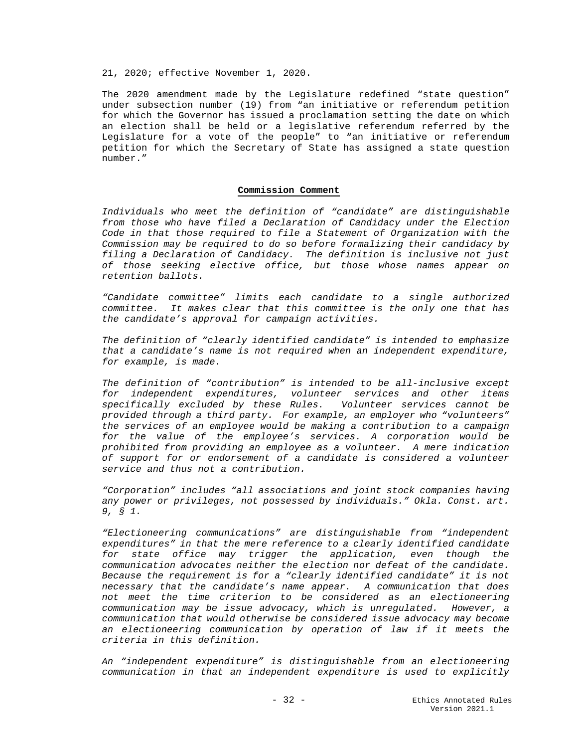21, 2020; effective November 1, 2020.

The 2020 amendment made by the Legislature redefined "state question" under subsection number (19) from "an initiative or referendum petition for which the Governor has issued a proclamation setting the date on which an election shall be held or a legislative referendum referred by the Legislature for a vote of the people" to "an initiative or referendum petition for which the Secretary of State has assigned a state question number."

#### **Commission Comment**

*Individuals who meet the definition of "candidate" are distinguishable from those who have filed a Declaration of Candidacy under the Election Code in that those required to file a Statement of Organization with the Commission may be required to do so before formalizing their candidacy by filing a Declaration of Candidacy. The definition is inclusive not just of those seeking elective office, but those whose names appear on retention ballots.*

*"Candidate committee" limits each candidate to a single authorized committee. It makes clear that this committee is the only one that has the candidate's approval for campaign activities.*

*The definition of "clearly identified candidate" is intended to emphasize that a candidate's name is not required when an independent expenditure, for example, is made.*

*The definition of "contribution" is intended to be all-inclusive except for independent expenditures, volunteer services and other items specifically excluded by these Rules. Volunteer services cannot be provided through a third party. For example, an employer who "volunteers" the services of an employee would be making a contribution to a campaign for the value of the employee's services. A corporation would be prohibited from providing an employee as a volunteer. A mere indication of support for or endorsement of a candidate is considered a volunteer service and thus not a contribution.* 

*"Corporation" includes "all associations and joint stock companies having any power or privileges, not possessed by individuals." Okla. Const. art. 9, § 1.*

*"Electioneering communications" are distinguishable from "independent expenditures" in that the mere reference to a clearly identified candidate for state office may trigger the application, even though the communication advocates neither the election nor defeat of the candidate. Because the requirement is for a "clearly identified candidate" it is not necessary that the candidate's name appear. A communication that does not meet the time criterion to be considered as an electioneering communication may be issue advocacy, which is unregulated. However, a communication that would otherwise be considered issue advocacy may become an electioneering communication by operation of law if it meets the criteria in this definition.*

*An "independent expenditure" is distinguishable from an electioneering communication in that an independent expenditure is used to explicitly*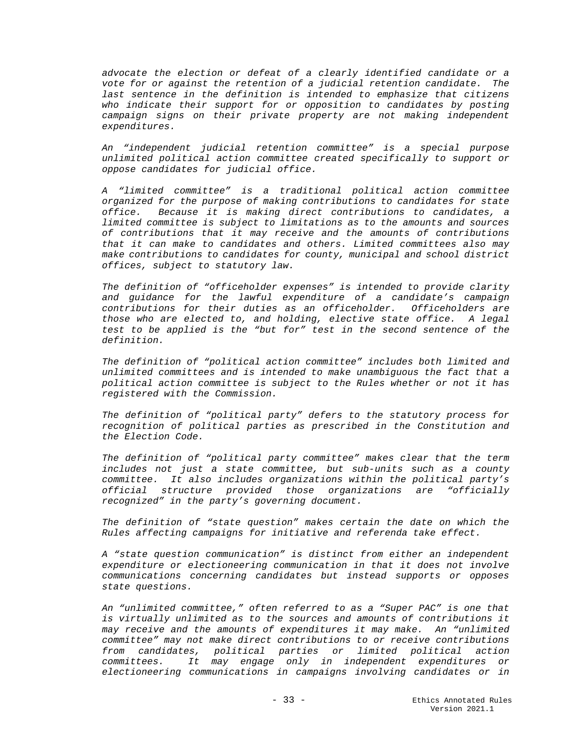*advocate the election or defeat of a clearly identified candidate or a vote for or against the retention of a judicial retention candidate. The last sentence in the definition is intended to emphasize that citizens*  who indicate their support for or opposition to candidates by posting *campaign signs on their private property are not making independent expenditures.*

*An "independent judicial retention committee" is a special purpose unlimited political action committee created specifically to support or oppose candidates for judicial office.*

*A "limited committee" is a traditional political action committee organized for the purpose of making contributions to candidates for state office. Because it is making direct contributions to candidates, a limited committee is subject to limitations as to the amounts and sources of contributions that it may receive and the amounts of contributions that it can make to candidates and others. Limited committees also may make contributions to candidates for county, municipal and school district offices, subject to statutory law.* 

*The definition of "officeholder expenses" is intended to provide clarity and guidance for the lawful expenditure of a candidate's campaign contributions for their duties as an officeholder. Officeholders are those who are elected to, and holding, elective state office. A legal test to be applied is the "but for" test in the second sentence of the definition.*

*The definition of "political action committee" includes both limited and unlimited committees and is intended to make unambiguous the fact that a political action committee is subject to the Rules whether or not it has registered with the Commission.*

*The definition of "political party" defers to the statutory process for recognition of political parties as prescribed in the Constitution and the Election Code.* 

*The definition of "political party committee" makes clear that the term includes not just a state committee, but sub-units such as a county committee. It also includes organizations within the political party's official structure provided those organizations are "officially recognized" in the party's governing document.*

*The definition of "state question" makes certain the date on which the Rules affecting campaigns for initiative and referenda take effect.*

*A "state question communication" is distinct from either an independent expenditure or electioneering communication in that it does not involve communications concerning candidates but instead supports or opposes state questions.*

*An "unlimited committee," often referred to as a "Super PAC" is one that is virtually unlimited as to the sources and amounts of contributions it may receive and the amounts of expenditures it may make. An "unlimited committee" may not make direct contributions to or receive contributions from candidates, political parties or limited political action committees. It may engage only in independent expenditures or electioneering communications in campaigns involving candidates or in*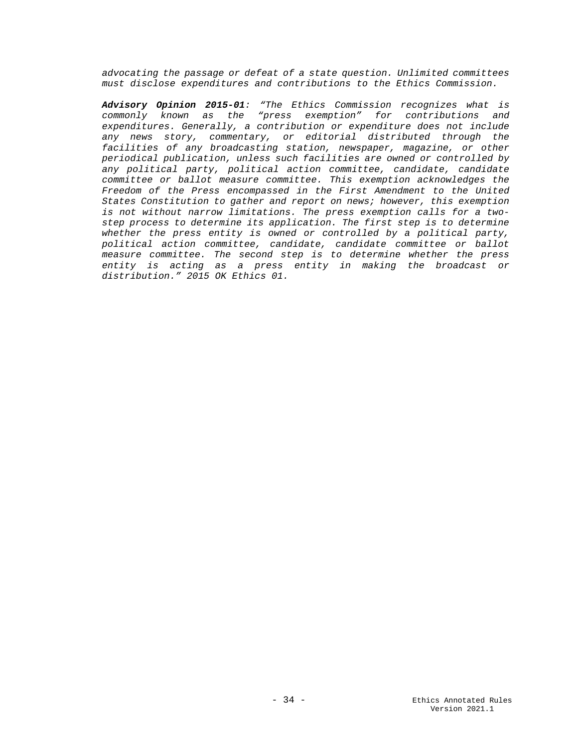*advocating the passage or defeat of a state question. Unlimited committees must disclose expenditures and contributions to the Ethics Commission.*

*Advisory Opinion 2015-01: "The Ethics Commission recognizes what is commonly known as the "press exemption" for contributions and expenditures. Generally, a contribution or expenditure does not include any news story, commentary, or editorial distributed through the facilities of any broadcasting station, newspaper, magazine, or other periodical publication, unless such facilities are owned or controlled by any political party, political action committee, candidate, candidate committee or ballot measure committee. This exemption acknowledges the Freedom of the Press encompassed in the First Amendment to the United States Constitution to gather and report on news; however, this exemption is not without narrow limitations. The press exemption calls for a twostep process to determine its application. The first step is to determine whether the press entity is owned or controlled by a political party, political action committee, candidate, candidate committee or ballot measure committee. The second step is to determine whether the press entity is acting as a press entity in making the broadcast or distribution." 2015 OK Ethics 01.*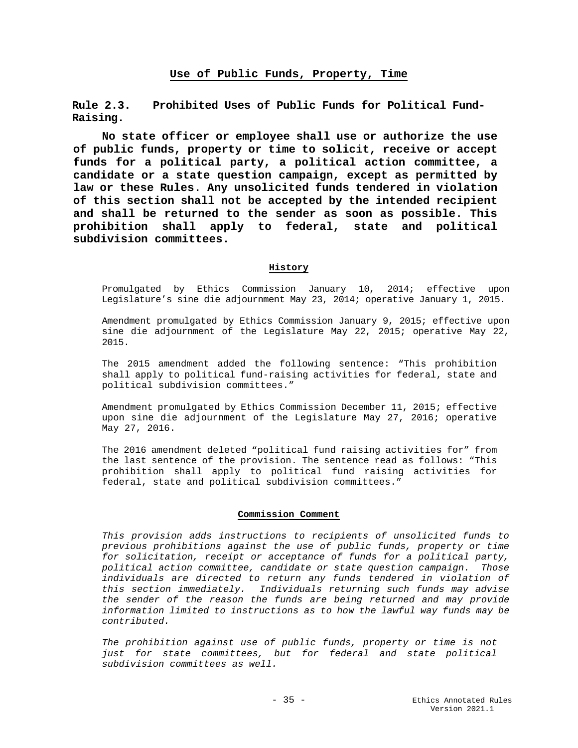<span id="page-34-1"></span><span id="page-34-0"></span>**Rule 2.3. Prohibited Uses of Public Funds for Political Fund-Raising.**

**No state officer or employee shall use or authorize the use of public funds, property or time to solicit, receive or accept funds for a political party, a political action committee, a candidate or a state question campaign, except as permitted by law or these Rules. Any unsolicited funds tendered in violation of this section shall not be accepted by the intended recipient and shall be returned to the sender as soon as possible. This prohibition shall apply to federal, state and political subdivision committees.**

#### **History**

Promulgated by Ethics Commission January 10, 2014; effective upon Legislature's sine die adjournment May 23, 2014; operative January 1, 2015.

Amendment promulgated by Ethics Commission January 9, 2015; effective upon sine die adjournment of the Legislature May 22, 2015; operative May 22, 2015.

The 2015 amendment added the following sentence: "This prohibition shall apply to political fund-raising activities for federal, state and political subdivision committees."

Amendment promulgated by Ethics Commission December 11, 2015; effective upon sine die adjournment of the Legislature May 27, 2016; operative May 27, 2016.

The 2016 amendment deleted "political fund raising activities for" from the last sentence of the provision. The sentence read as follows: "This prohibition shall apply to political fund raising activities for federal, state and political subdivision committees."

#### **Commission Comment**

*This provision adds instructions to recipients of unsolicited funds to previous prohibitions against the use of public funds, property or time for solicitation, receipt or acceptance of funds for a political party, political action committee, candidate or state question campaign. Those individuals are directed to return any funds tendered in violation of this section immediately. Individuals returning such funds may advise the sender of the reason the funds are being returned and may provide information limited to instructions as to how the lawful way funds may be contributed.* 

*The prohibition against use of public funds, property or time is not just for state committees, but for federal and state political subdivision committees as well.*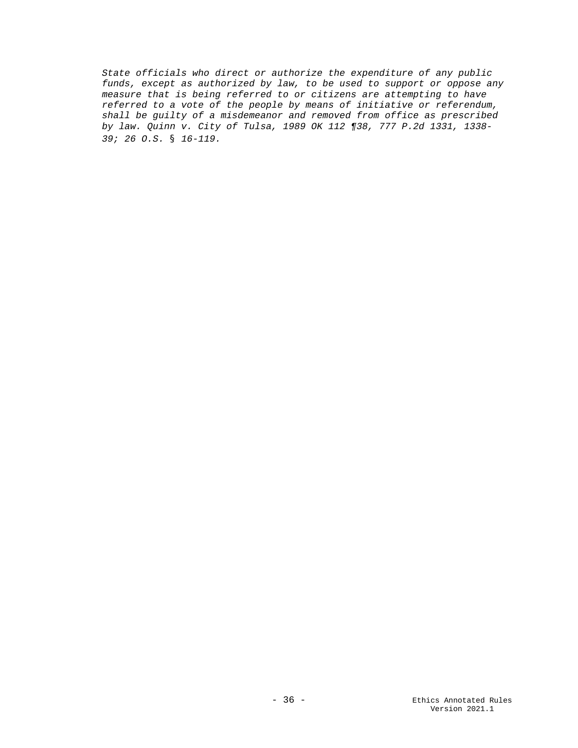*State officials who direct or authorize the expenditure of any public funds, except as authorized by law, to be used to support or oppose any measure that is being referred to or citizens are attempting to have referred to a vote of the people by means of initiative or referendum, shall be guilty of a misdemeanor and removed from office as prescribed by law. Quinn v. City of Tulsa, 1989 OK 112 ¶38, 777 P.2d 1331, 1338- 39; 26 O.S. § 16-119.*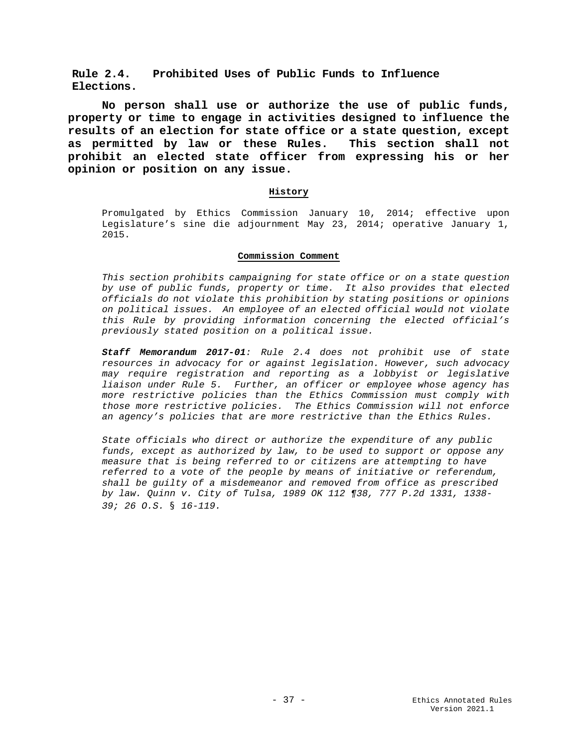**Rule 2.4. Prohibited Uses of Public Funds to Influence Elections.**

**No person shall use or authorize the use of public funds, property or time to engage in activities designed to influence the results of an election for state office or a state question, except as permitted by law or these Rules. This section shall not prohibit an elected state officer from expressing his or her opinion or position on any issue.**

### **History**

Promulgated by Ethics Commission January 10, 2014; effective upon Legislature's sine die adjournment May 23, 2014; operative January 1, 2015.

#### **Commission Comment**

*This section prohibits campaigning for state office or on a state question by use of public funds, property or time. It also provides that elected officials do not violate this prohibition by stating positions or opinions on political issues. An employee of an elected official would not violate this Rule by providing information concerning the elected official's previously stated position on a political issue.*

*Staff Memorandum 2017-01: Rule 2.4 does not prohibit use of state resources in advocacy for or against legislation. However, such advocacy may require registration and reporting as a lobbyist or legislative liaison under Rule 5. Further, an officer or employee whose agency has more restrictive policies than the Ethics Commission must comply with those more restrictive policies. The Ethics Commission will not enforce an agency's policies that are more restrictive than the Ethics Rules.*

*State officials who direct or authorize the expenditure of any public funds, except as authorized by law, to be used to support or oppose any measure that is being referred to or citizens are attempting to have referred to a vote of the people by means of initiative or referendum, shall be guilty of a misdemeanor and removed from office as prescribed by law. Quinn v. City of Tulsa, 1989 OK 112 ¶38, 777 P.2d 1331, 1338- 39; 26 O.S. § 16-119.*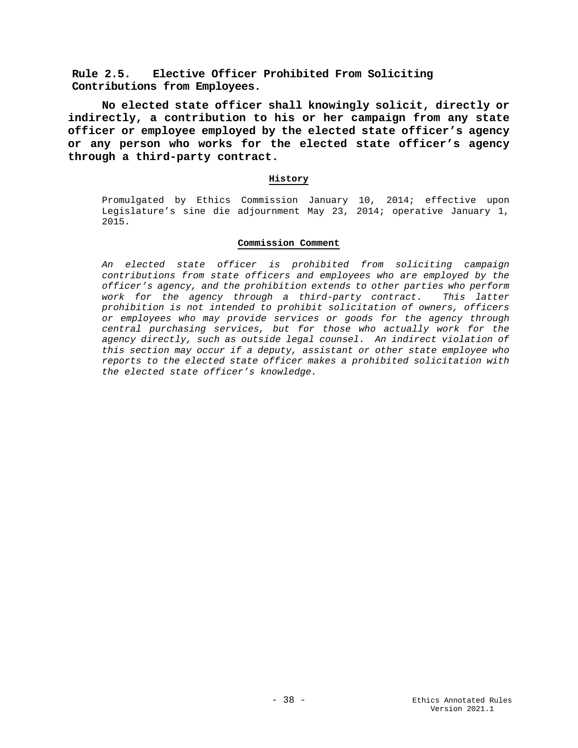**Rule 2.5. Elective Officer Prohibited From Soliciting Contributions from Employees.** 

**No elected state officer shall knowingly solicit, directly or indirectly, a contribution to his or her campaign from any state officer or employee employed by the elected state officer's agency or any person who works for the elected state officer's agency through a third-party contract.** 

## **History**

Promulgated by Ethics Commission January 10, 2014; effective upon Legislature's sine die adjournment May 23, 2014; operative January 1, 2015.

## **Commission Comment**

*An elected state officer is prohibited from soliciting campaign contributions from state officers and employees who are employed by the officer's agency, and the prohibition extends to other parties who perform work for the agency through a third-party contract. This latter prohibition is not intended to prohibit solicitation of owners, officers or employees who may provide services or goods for the agency through central purchasing services, but for those who actually work for the agency directly, such as outside legal counsel. An indirect violation of this section may occur if a deputy, assistant or other state employee who reports to the elected state officer makes a prohibited solicitation with the elected state officer's knowledge.*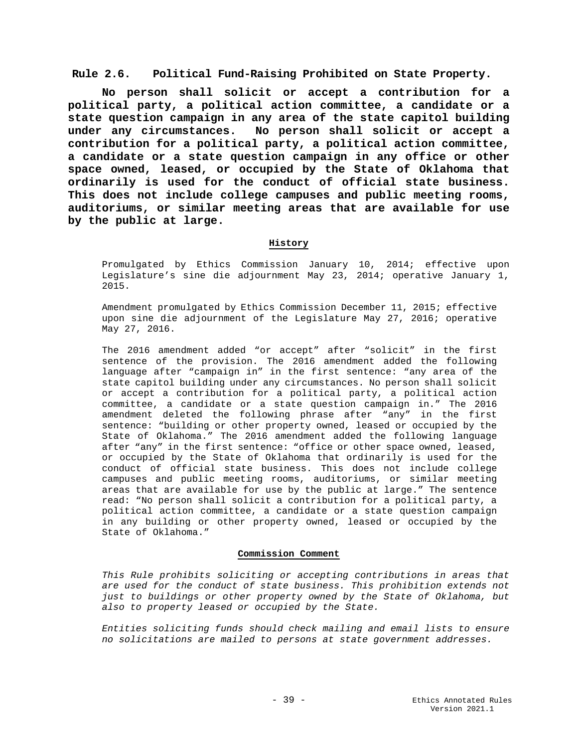**Rule 2.6. Political Fund-Raising Prohibited on State Property.**

**No person shall solicit or accept a contribution for a political party, a political action committee, a candidate or a state question campaign in any area of the state capitol building under any circumstances. No person shall solicit or accept a contribution for a political party, a political action committee, a candidate or a state question campaign in any office or other space owned, leased, or occupied by the State of Oklahoma that ordinarily is used for the conduct of official state business. This does not include college campuses and public meeting rooms, auditoriums, or similar meeting areas that are available for use by the public at large.**

## **History**

Promulgated by Ethics Commission January 10, 2014; effective upon Legislature's sine die adjournment May 23, 2014; operative January 1, 2015.

Amendment promulgated by Ethics Commission December 11, 2015; effective upon sine die adjournment of the Legislature May 27, 2016; operative May 27, 2016.

The 2016 amendment added "or accept" after "solicit" in the first sentence of the provision. The 2016 amendment added the following language after "campaign in" in the first sentence: "any area of the state capitol building under any circumstances. No person shall solicit or accept a contribution for a political party, a political action committee, a candidate or a state question campaign in." The 2016 amendment deleted the following phrase after "any" in the first sentence: "building or other property owned, leased or occupied by the State of Oklahoma." The 2016 amendment added the following language after "any" in the first sentence: "office or other space owned, leased, or occupied by the State of Oklahoma that ordinarily is used for the conduct of official state business. This does not include college campuses and public meeting rooms, auditoriums, or similar meeting areas that are available for use by the public at large." The sentence read: "No person shall solicit a contribution for a political party, a political action committee, a candidate or a state question campaign in any building or other property owned, leased or occupied by the State of Oklahoma."

#### **Commission Comment**

*This Rule prohibits soliciting or accepting contributions in areas that are used for the conduct of state business. This prohibition extends not just to buildings or other property owned by the State of Oklahoma, but also to property leased or occupied by the State.* 

*Entities soliciting funds should check mailing and email lists to ensure no solicitations are mailed to persons at state government addresses.*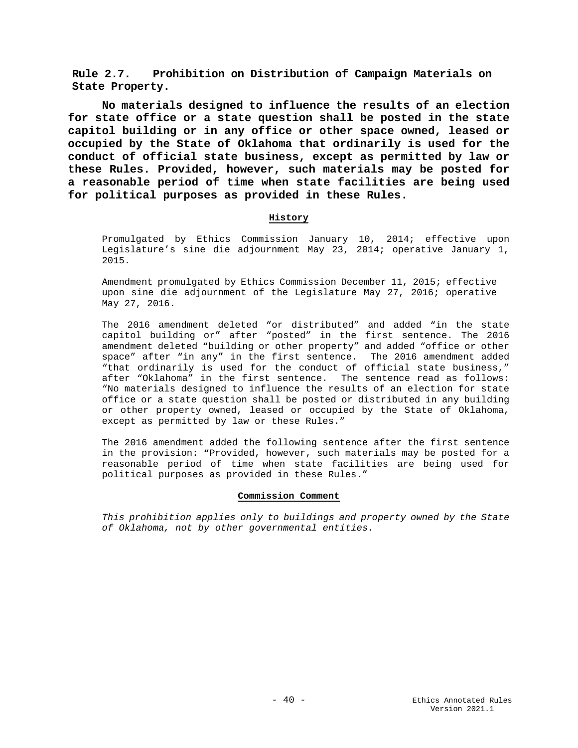**Rule 2.7. Prohibition on Distribution of Campaign Materials on State Property.**

**No materials designed to influence the results of an election for state office or a state question shall be posted in the state capitol building or in any office or other space owned, leased or occupied by the State of Oklahoma that ordinarily is used for the conduct of official state business, except as permitted by law or these Rules. Provided, however, such materials may be posted for a reasonable period of time when state facilities are being used for political purposes as provided in these Rules.**

## **History**

Promulgated by Ethics Commission January 10, 2014; effective upon Legislature's sine die adjournment May 23, 2014; operative January 1, 2015.

Amendment promulgated by Ethics Commission December 11, 2015; effective upon sine die adjournment of the Legislature May 27, 2016; operative May 27, 2016.

The 2016 amendment deleted "or distributed" and added "in the state capitol building or" after "posted" in the first sentence. The 2016 amendment deleted "building or other property" and added "office or other space" after "in any" in the first sentence. The 2016 amendment added "that ordinarily is used for the conduct of official state business," after "Oklahoma" in the first sentence. The sentence read as follows: "No materials designed to influence the results of an election for state office or a state question shall be posted or distributed in any building or other property owned, leased or occupied by the State of Oklahoma, except as permitted by law or these Rules."

The 2016 amendment added the following sentence after the first sentence in the provision: "Provided, however, such materials may be posted for a reasonable period of time when state facilities are being used for political purposes as provided in these Rules."

#### **Commission Comment**

*This prohibition applies only to buildings and property owned by the State of Oklahoma, not by other governmental entities.*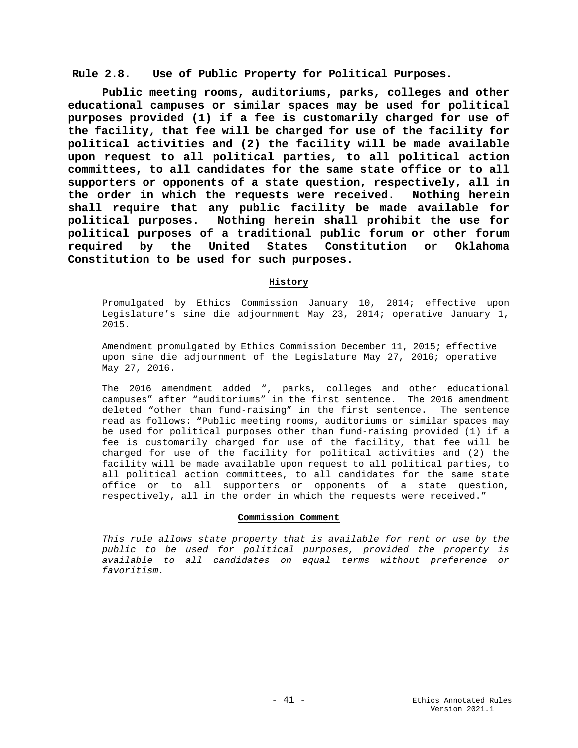**Rule 2.8. Use of Public Property for Political Purposes.**

**Public meeting rooms, auditoriums, parks, colleges and other educational campuses or similar spaces may be used for political purposes provided (1) if a fee is customarily charged for use of the facility, that fee will be charged for use of the facility for political activities and (2) the facility will be made available upon request to all political parties, to all political action committees, to all candidates for the same state office or to all supporters or opponents of a state question, respectively, all in the order in which the requests were received. Nothing herein shall require that any public facility be made available for political purposes. Nothing herein shall prohibit the use for political purposes of a traditional public forum or other forum required by the United States Constitution or Oklahoma Constitution to be used for such purposes.** 

# **History**

Promulgated by Ethics Commission January 10, 2014; effective upon Legislature's sine die adjournment May 23, 2014; operative January 1, 2015.

Amendment promulgated by Ethics Commission December 11, 2015; effective upon sine die adjournment of the Legislature May 27, 2016; operative May 27, 2016.

The 2016 amendment added ", parks, colleges and other educational campuses" after "auditoriums" in the first sentence. The 2016 amendment deleted "other than fund-raising" in the first sentence. The sentence read as follows: "Public meeting rooms, auditoriums or similar spaces may be used for political purposes other than fund-raising provided (1) if a fee is customarily charged for use of the facility, that fee will be charged for use of the facility for political activities and (2) the facility will be made available upon request to all political parties, to all political action committees, to all candidates for the same state office or to all supporters or opponents of a state question, respectively, all in the order in which the requests were received."

## **Commission Comment**

*This rule allows state property that is available for rent or use by the public to be used for political purposes, provided the property is available to all candidates on equal terms without preference or favoritism.*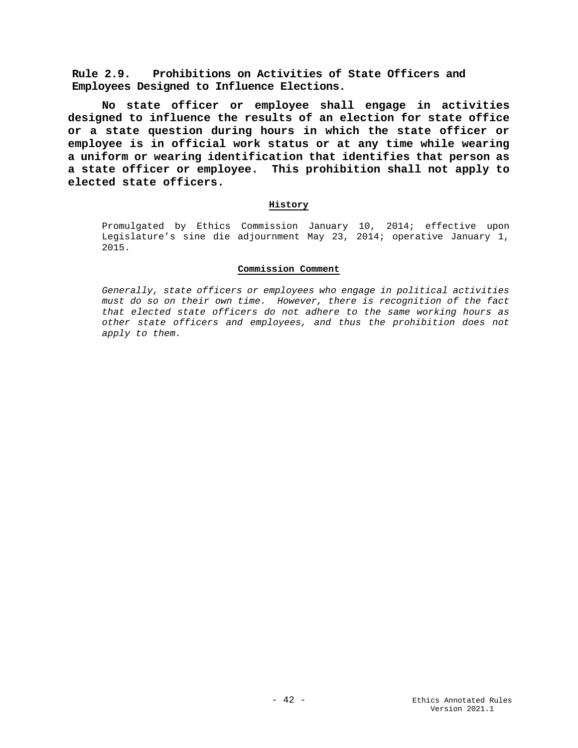**Rule 2.9. Prohibitions on Activities of State Officers and Employees Designed to Influence Elections.**

**No state officer or employee shall engage in activities designed to influence the results of an election for state office or a state question during hours in which the state officer or employee is in official work status or at any time while wearing a uniform or wearing identification that identifies that person as a state officer or employee. This prohibition shall not apply to elected state officers.**

## **History**

Promulgated by Ethics Commission January 10, 2014; effective upon Legislature's sine die adjournment May 23, 2014; operative January 1, 2015.

## **Commission Comment**

*Generally, state officers or employees who engage in political activities must do so on their own time. However, there is recognition of the fact that elected state officers do not adhere to the same working hours as other state officers and employees, and thus the prohibition does not apply to them.*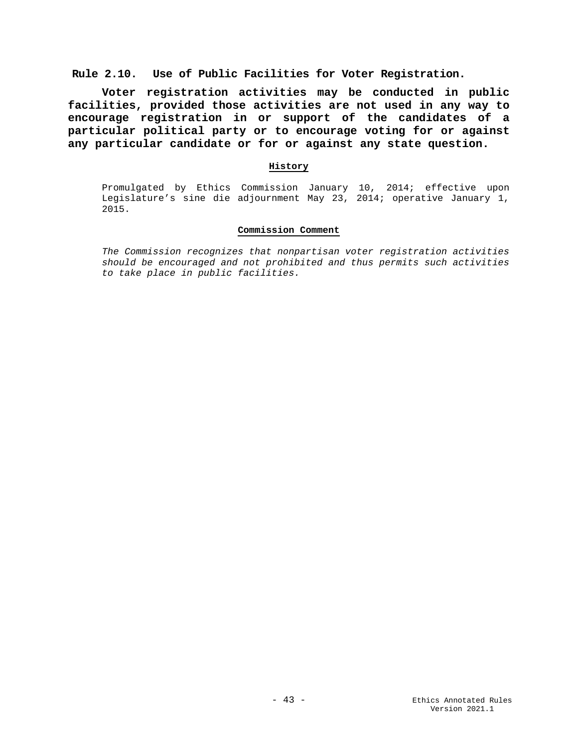**Rule 2.10. Use of Public Facilities for Voter Registration.**

**Voter registration activities may be conducted in public facilities, provided those activities are not used in any way to encourage registration in or support of the candidates of a particular political party or to encourage voting for or against any particular candidate or for or against any state question.**

# **History**

Promulgated by Ethics Commission January 10, 2014; effective upon Legislature's sine die adjournment May 23, 2014; operative January 1, 2015.

## **Commission Comment**

*The Commission recognizes that nonpartisan voter registration activities should be encouraged and not prohibited and thus permits such activities to take place in public facilities.*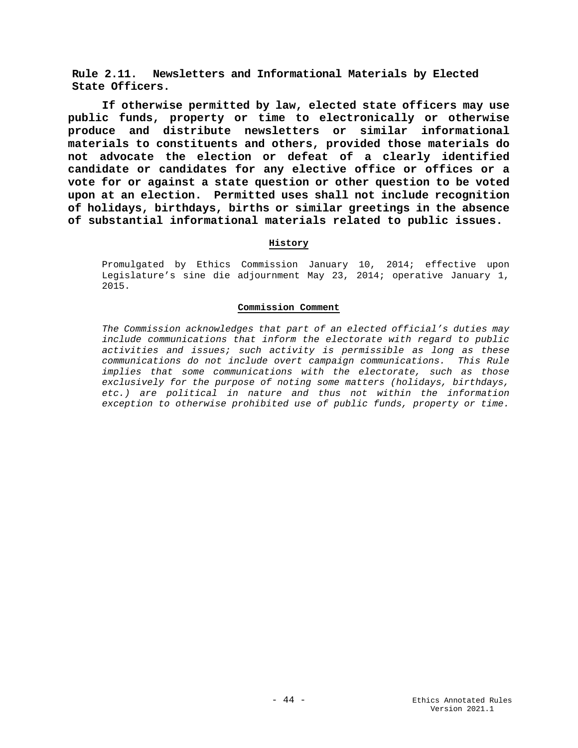**Rule 2.11. Newsletters and Informational Materials by Elected State Officers.**

**If otherwise permitted by law, elected state officers may use public funds, property or time to electronically or otherwise produce and distribute newsletters or similar informational materials to constituents and others, provided those materials do not advocate the election or defeat of a clearly identified candidate or candidates for any elective office or offices or a vote for or against a state question or other question to be voted upon at an election. Permitted uses shall not include recognition of holidays, birthdays, births or similar greetings in the absence of substantial informational materials related to public issues.**

## **History**

Promulgated by Ethics Commission January 10, 2014; effective upon Legislature's sine die adjournment May 23, 2014; operative January 1, 2015.

## **Commission Comment**

*The Commission acknowledges that part of an elected official's duties may include communications that inform the electorate with regard to public activities and issues; such activity is permissible as long as these communications do not include overt campaign communications. This Rule implies that some communications with the electorate, such as those exclusively for the purpose of noting some matters (holidays, birthdays, etc.) are political in nature and thus not within the information exception to otherwise prohibited use of public funds, property or time.*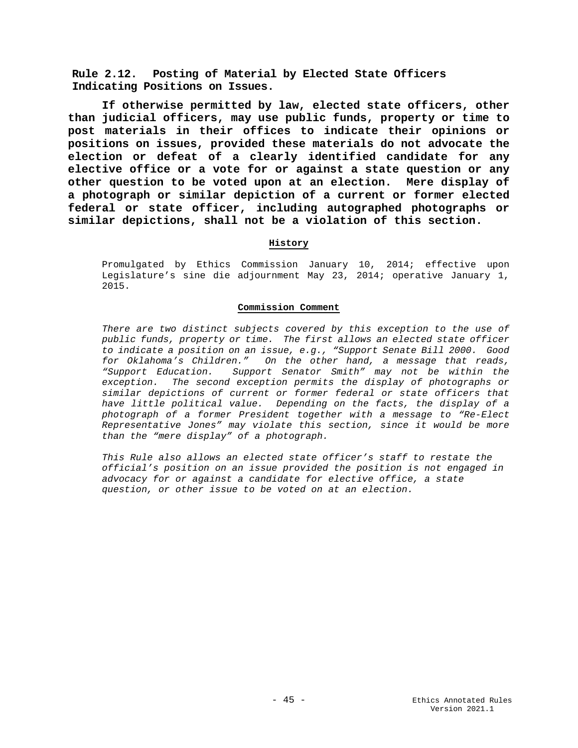**Rule 2.12. Posting of Material by Elected State Officers Indicating Positions on Issues.**

**If otherwise permitted by law, elected state officers, other than judicial officers, may use public funds, property or time to post materials in their offices to indicate their opinions or positions on issues, provided these materials do not advocate the election or defeat of a clearly identified candidate for any elective office or a vote for or against a state question or any other question to be voted upon at an election. Mere display of a photograph or similar depiction of a current or former elected federal or state officer, including autographed photographs or similar depictions, shall not be a violation of this section.**

## **History**

Promulgated by Ethics Commission January 10, 2014; effective upon Legislature's sine die adjournment May 23, 2014; operative January 1, 2015.

### **Commission Comment**

*There are two distinct subjects covered by this exception to the use of public funds, property or time. The first allows an elected state officer to indicate a position on an issue, e.g., "Support Senate Bill 2000. Good for Oklahoma's Children." On the other hand, a message that reads, "Support Education. Support Senator Smith" may not be within the exception. The second exception permits the display of photographs or similar depictions of current or former federal or state officers that have little political value. Depending on the facts, the display of a photograph of a former President together with a message to "Re-Elect Representative Jones" may violate this section, since it would be more than the "mere display" of a photograph.*

*This Rule also allows an elected state officer's staff to restate the official's position on an issue provided the position is not engaged in advocacy for or against a candidate for elective office, a state question, or other issue to be voted on at an election.*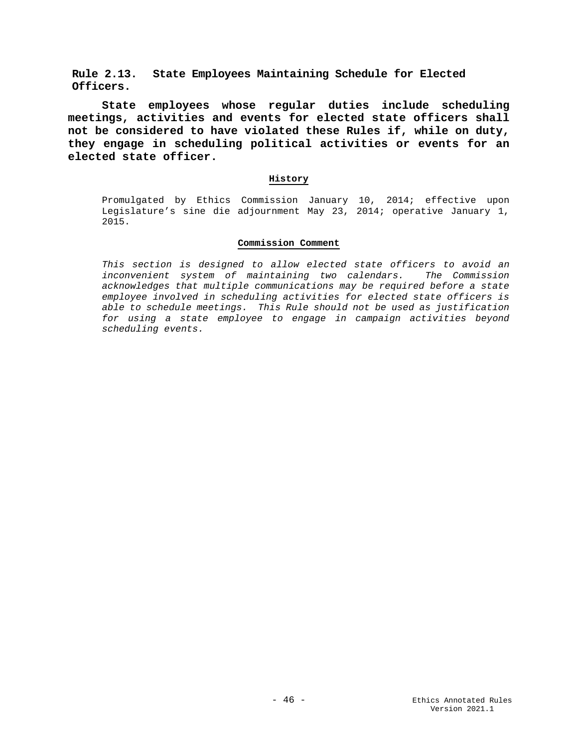**Rule 2.13. State Employees Maintaining Schedule for Elected Officers.**

**State employees whose regular duties include scheduling meetings, activities and events for elected state officers shall not be considered to have violated these Rules if, while on duty, they engage in scheduling political activities or events for an elected state officer.**

### **History**

Promulgated by Ethics Commission January 10, 2014; effective upon Legislature's sine die adjournment May 23, 2014; operative January 1, 2015.

### **Commission Comment**

*This section is designed to allow elected state officers to avoid an inconvenient system of maintaining two calendars. The Commission acknowledges that multiple communications may be required before a state employee involved in scheduling activities for elected state officers is able to schedule meetings. This Rule should not be used as justification for using a state employee to engage in campaign activities beyond scheduling events.*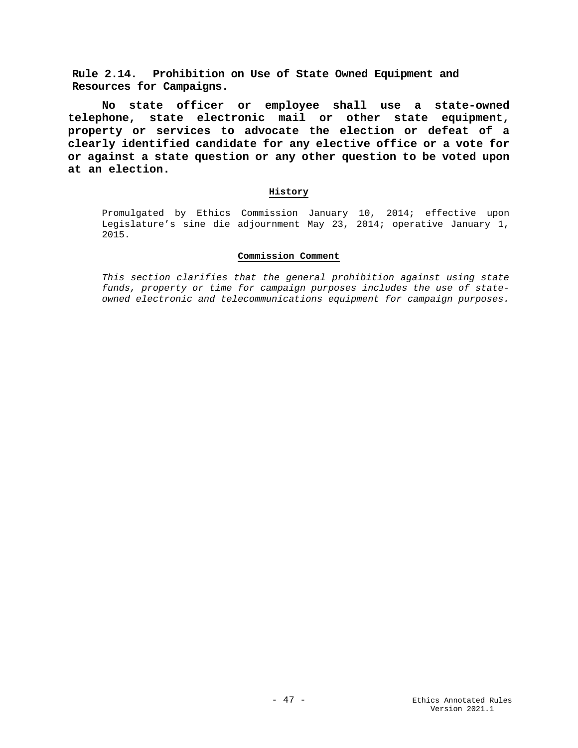**Rule 2.14. Prohibition on Use of State Owned Equipment and Resources for Campaigns.**

**No state officer or employee shall use a state-owned telephone, state electronic mail or other state equipment, property or services to advocate the election or defeat of a clearly identified candidate for any elective office or a vote for or against a state question or any other question to be voted upon at an election.**

## **History**

Promulgated by Ethics Commission January 10, 2014; effective upon Legislature's sine die adjournment May 23, 2014; operative January 1, 2015.

#### **Commission Comment**

*This section clarifies that the general prohibition against using state funds, property or time for campaign purposes includes the use of stateowned electronic and telecommunications equipment for campaign purposes.*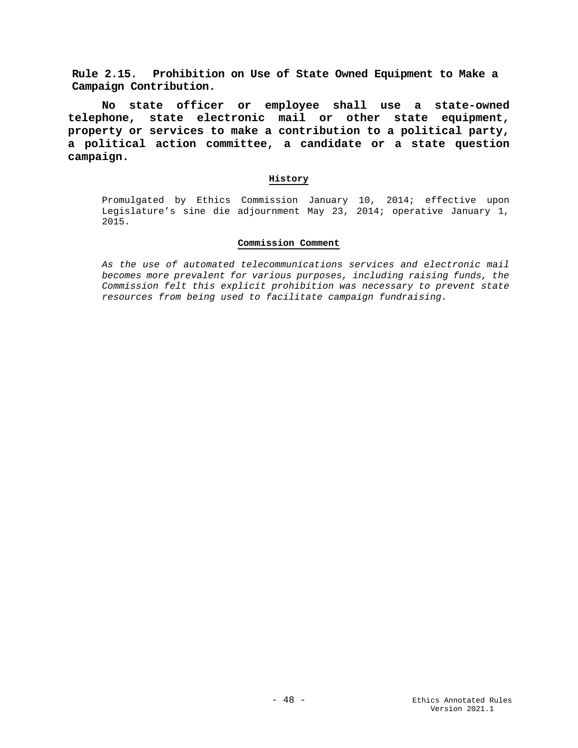**Rule 2.15. Prohibition on Use of State Owned Equipment to Make a Campaign Contribution.**

**No state officer or employee shall use a state-owned telephone, state electronic mail or other state equipment, property or services to make a contribution to a political party, a political action committee, a candidate or a state question campaign.**

### **History**

Promulgated by Ethics Commission January 10, 2014; effective upon Legislature's sine die adjournment May 23, 2014; operative January 1, 2015.

### **Commission Comment**

*As the use of automated telecommunications services and electronic mail becomes more prevalent for various purposes, including raising funds, the Commission felt this explicit prohibition was necessary to prevent state resources from being used to facilitate campaign fundraising.*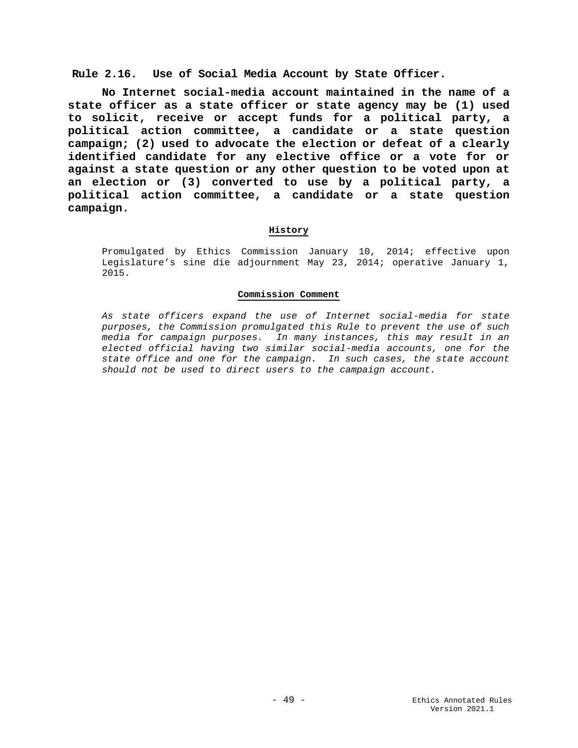**Rule 2.16. Use of Social Media Account by State Officer.**

**No Internet social-media account maintained in the name of a state officer as a state officer or state agency may be (1) used to solicit, receive or accept funds for a political party, a political action committee, a candidate or a state question campaign; (2) used to advocate the election or defeat of a clearly identified candidate for any elective office or a vote for or against a state question or any other question to be voted upon at an election or (3) converted to use by a political party, a political action committee, a candidate or a state question campaign.**

## **History**

Promulgated by Ethics Commission January 10, 2014; effective upon Legislature's sine die adjournment May 23, 2014; operative January 1, 2015.

### **Commission Comment**

*As state officers expand the use of Internet social-media for state purposes, the Commission promulgated this Rule to prevent the use of such media for campaign purposes. In many instances, this may result in an elected official having two similar social-media accounts, one for the state office and one for the campaign. In such cases, the state account should not be used to direct users to the campaign account.*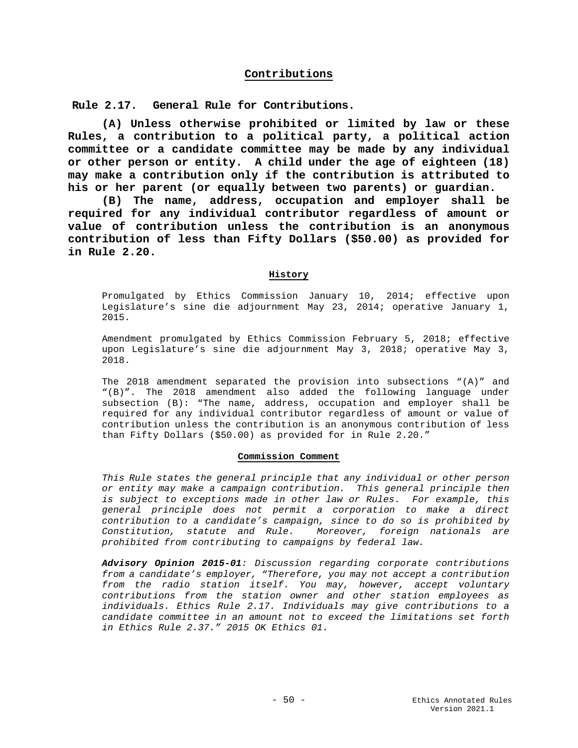# **Contributions**

**Rule 2.17. General Rule for Contributions.**

**(A) Unless otherwise prohibited or limited by law or these Rules, a contribution to a political party, a political action committee or a candidate committee may be made by any individual or other person or entity. A child under the age of eighteen (18) may make a contribution only if the contribution is attributed to his or her parent (or equally between two parents) or guardian.** 

**(B) The name, address, occupation and employer shall be required for any individual contributor regardless of amount or value of contribution unless the contribution is an anonymous contribution of less than Fifty Dollars (\$50.00) as provided for in Rule 2.20.**

### **History**

Promulgated by Ethics Commission January 10, 2014; effective upon Legislature's sine die adjournment May 23, 2014; operative January 1, 2015.

Amendment promulgated by Ethics Commission February 5, 2018; effective upon Legislature's sine die adjournment May 3, 2018; operative May 3, 2018.

The 2018 amendment separated the provision into subsections  $"(A)"$  and "(B)". The 2018 amendment also added the following language under subsection (B): "The name, address, occupation and employer shall be required for any individual contributor regardless of amount or value of contribution unless the contribution is an anonymous contribution of less than Fifty Dollars (\$50.00) as provided for in Rule 2.20."

### **Commission Comment**

*This Rule states the general principle that any individual or other person or entity may make a campaign contribution. This general principle then is subject to exceptions made in other law or Rules. For example, this general principle does not permit a corporation to make a direct contribution to a candidate's campaign, since to do so is prohibited by Constitution, statute and Rule. Moreover, foreign nationals are prohibited from contributing to campaigns by federal law.*

*Advisory Opinion 2015-01: Discussion regarding corporate contributions from a candidate's employer, "Therefore, you may not accept a contribution from the radio station itself. You may, however, accept voluntary contributions from the station owner and other station employees as individuals. Ethics Rule 2.17. Individuals may give contributions to a candidate committee in an amount not to exceed the limitations set forth in Ethics Rule 2.37." 2015 OK Ethics 01.*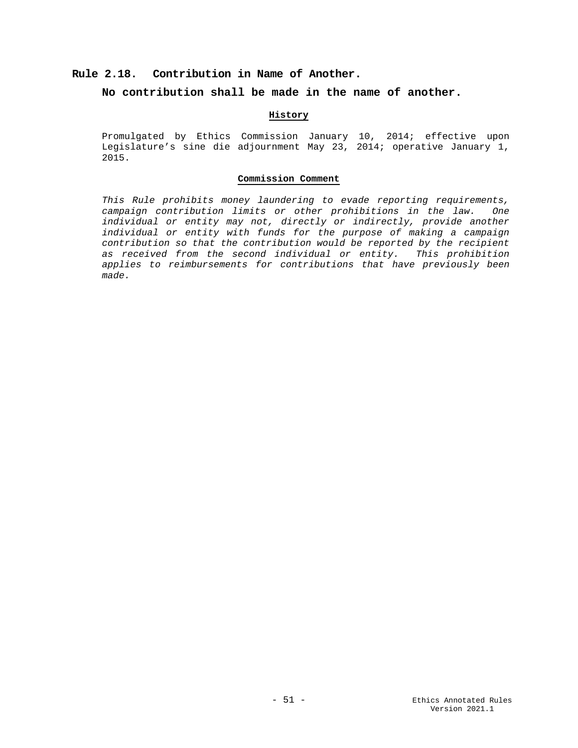# **Rule 2.18. Contribution in Name of Another.**

## **No contribution shall be made in the name of another.**

# **History**

Promulgated by Ethics Commission January 10, 2014; effective upon Legislature's sine die adjournment May 23, 2014; operative January 1, 2015.

#### **Commission Comment**

*This Rule prohibits money laundering to evade reporting requirements, campaign contribution limits or other prohibitions in the law. One individual or entity may not, directly or indirectly, provide another individual or entity with funds for the purpose of making a campaign contribution so that the contribution would be reported by the recipient as received from the second individual or entity. This prohibition applies to reimbursements for contributions that have previously been made.*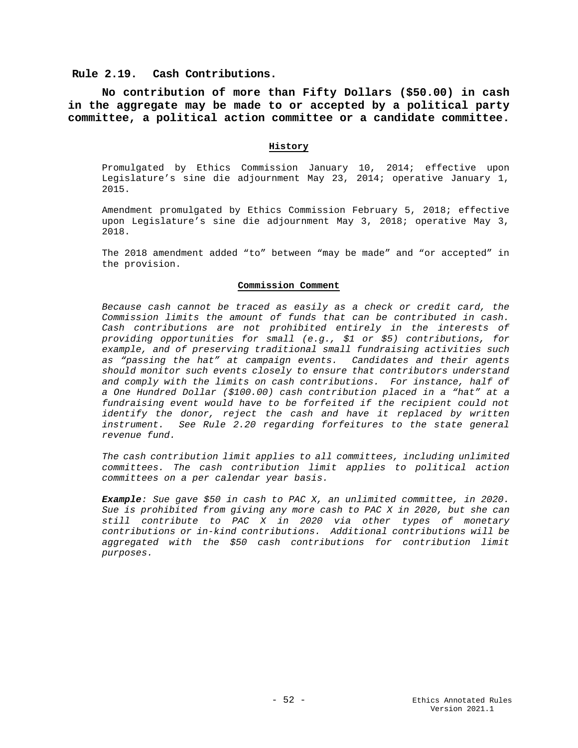**Rule 2.19. Cash Contributions.**

**No contribution of more than Fifty Dollars (\$50.00) in cash in the aggregate may be made to or accepted by a political party committee, a political action committee or a candidate committee.** 

#### **History**

Promulgated by Ethics Commission January 10, 2014; effective upon Legislature's sine die adjournment May 23, 2014; operative January 1, 2015.

Amendment promulgated by Ethics Commission February 5, 2018; effective upon Legislature's sine die adjournment May 3, 2018; operative May 3, 2018.

The 2018 amendment added "to" between "may be made" and "or accepted" in the provision.

#### **Commission Comment**

*Because cash cannot be traced as easily as a check or credit card, the Commission limits the amount of funds that can be contributed in cash. Cash contributions are not prohibited entirely in the interests of providing opportunities for small (e.g., \$1 or \$5) contributions, for example, and of preserving traditional small fundraising activities such as "passing the hat" at campaign events. Candidates and their agents should monitor such events closely to ensure that contributors understand and comply with the limits on cash contributions. For instance, half of a One Hundred Dollar (\$100.00) cash contribution placed in a "hat" at a fundraising event would have to be forfeited if the recipient could not identify the donor, reject the cash and have it replaced by written instrument. See Rule 2.20 regarding forfeitures to the state general revenue fund.*

*The cash contribution limit applies to all committees, including unlimited committees. The cash contribution limit applies to political action committees on a per calendar year basis.* 

*Example: Sue gave \$50 in cash to PAC X, an unlimited committee, in 2020. Sue is prohibited from giving any more cash to PAC X in 2020, but she can still contribute to PAC X in 2020 via other types of monetary contributions or in-kind contributions. Additional contributions will be aggregated with the \$50 cash contributions for contribution limit purposes.*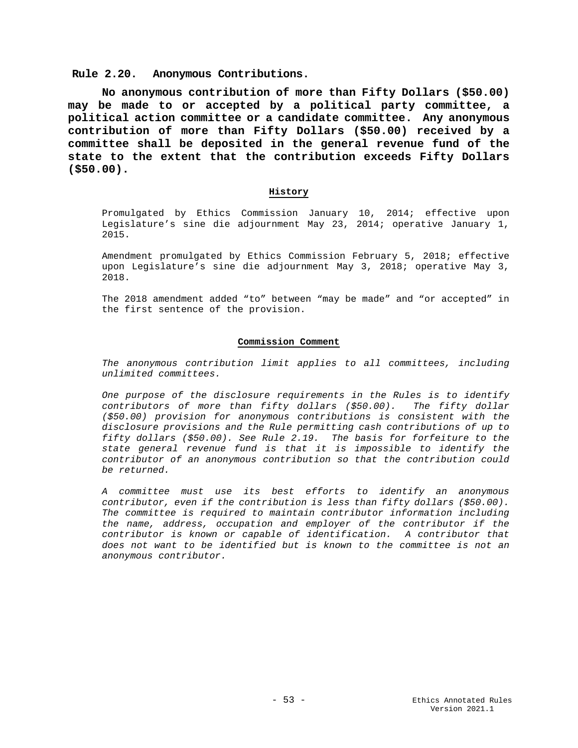**Rule 2.20. Anonymous Contributions.**

**No anonymous contribution of more than Fifty Dollars (\$50.00) may be made to or accepted by a political party committee, a political action committee or a candidate committee. Any anonymous contribution of more than Fifty Dollars (\$50.00) received by a committee shall be deposited in the general revenue fund of the state to the extent that the contribution exceeds Fifty Dollars (\$50.00).**

## **History**

Promulgated by Ethics Commission January 10, 2014; effective upon Legislature's sine die adjournment May 23, 2014; operative January 1, 2015.

Amendment promulgated by Ethics Commission February 5, 2018; effective upon Legislature's sine die adjournment May 3, 2018; operative May 3, 2018.

The 2018 amendment added "to" between "may be made" and "or accepted" in the first sentence of the provision.

## **Commission Comment**

*The anonymous contribution limit applies to all committees, including unlimited committees.*

*One purpose of the disclosure requirements in the Rules is to identify contributors of more than fifty dollars (\$50.00). The fifty dollar (\$50.00) provision for anonymous contributions is consistent with the disclosure provisions and the Rule permitting cash contributions of up to fifty dollars (\$50.00). See Rule 2.19. The basis for forfeiture to the state general revenue fund is that it is impossible to identify the contributor of an anonymous contribution so that the contribution could be returned.*

*A committee must use its best efforts to identify an anonymous contributor, even if the contribution is less than fifty dollars (\$50.00). The committee is required to maintain contributor information including the name, address, occupation and employer of the contributor if the contributor is known or capable of identification. A contributor that does not want to be identified but is known to the committee is not an anonymous contributor.*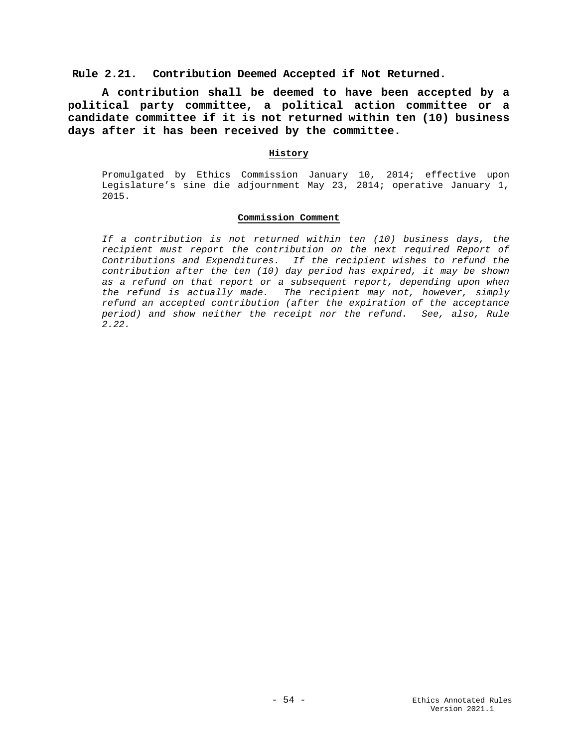## **Rule 2.21. Contribution Deemed Accepted if Not Returned.**

**A contribution shall be deemed to have been accepted by a political party committee, a political action committee or a candidate committee if it is not returned within ten (10) business days after it has been received by the committee.**

### **History**

Promulgated by Ethics Commission January 10, 2014; effective upon Legislature's sine die adjournment May 23, 2014; operative January 1, 2015.

## **Commission Comment**

*If a contribution is not returned within ten (10) business days, the recipient must report the contribution on the next required Report of Contributions and Expenditures. If the recipient wishes to refund the contribution after the ten (10) day period has expired, it may be shown as a refund on that report or a subsequent report, depending upon when the refund is actually made. The recipient may not, however, simply refund an accepted contribution (after the expiration of the acceptance period) and show neither the receipt nor the refund. See, also, Rule 2.22.*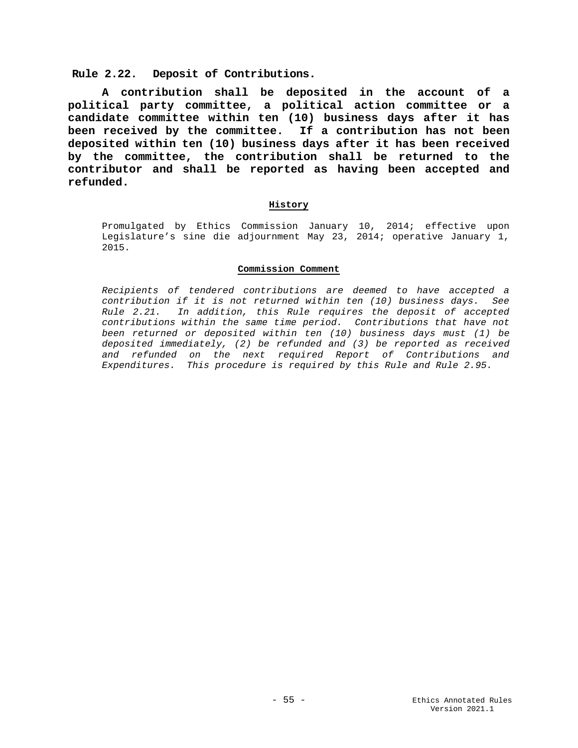**Rule 2.22. Deposit of Contributions.**

**A contribution shall be deposited in the account of a political party committee, a political action committee or a candidate committee within ten (10) business days after it has been received by the committee. If a contribution has not been deposited within ten (10) business days after it has been received by the committee, the contribution shall be returned to the contributor and shall be reported as having been accepted and refunded.** 

## **History**

Promulgated by Ethics Commission January 10, 2014; effective upon Legislature's sine die adjournment May 23, 2014; operative January 1, 2015.

### **Commission Comment**

*Recipients of tendered contributions are deemed to have accepted a contribution if it is not returned within ten (10) business days. See Rule 2.21. In addition, this Rule requires the deposit of accepted contributions within the same time period. Contributions that have not been returned or deposited within ten (10) business days must (1) be deposited immediately, (2) be refunded and (3) be reported as received and refunded on the next required Report of Contributions and Expenditures. This procedure is required by this Rule and Rule 2.95.*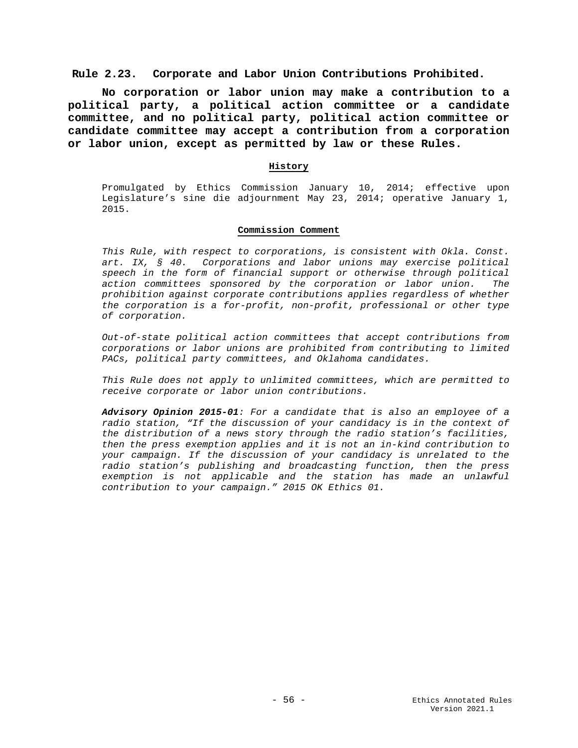## **Rule 2.23. Corporate and Labor Union Contributions Prohibited.**

**No corporation or labor union may make a contribution to a political party, a political action committee or a candidate committee, and no political party, political action committee or candidate committee may accept a contribution from a corporation or labor union, except as permitted by law or these Rules.** 

### **History**

Promulgated by Ethics Commission January 10, 2014; effective upon Legislature's sine die adjournment May 23, 2014; operative January 1, 2015.

### **Commission Comment**

*This Rule, with respect to corporations, is consistent with Okla. Const. art. IX, § 40. Corporations and labor unions may exercise political speech in the form of financial support or otherwise through political action committees sponsored by the corporation or labor union. The prohibition against corporate contributions applies regardless of whether the corporation is a for-profit, non-profit, professional or other type of corporation.*

*Out-of-state political action committees that accept contributions from corporations or labor unions are prohibited from contributing to limited PACs, political party committees, and Oklahoma candidates.*

*This Rule does not apply to unlimited committees, which are permitted to receive corporate or labor union contributions.* 

*Advisory Opinion 2015-01: For a candidate that is also an employee of a radio station, "If the discussion of your candidacy is in the context of the distribution of a news story through the radio station's facilities, then the press exemption applies and it is not an in-kind contribution to your campaign. If the discussion of your candidacy is unrelated to the radio station's publishing and broadcasting function, then the press exemption is not applicable and the station has made an unlawful contribution to your campaign." 2015 OK Ethics 01.*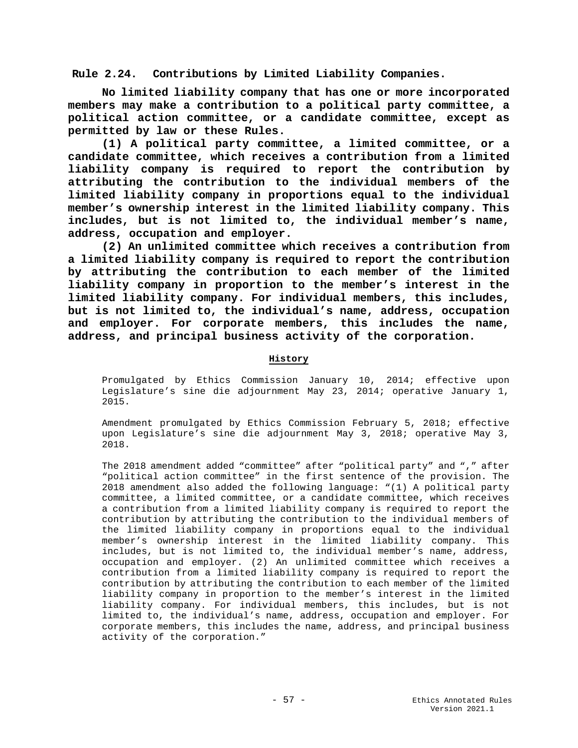**Rule 2.24. Contributions by Limited Liability Companies.**

**No limited liability company that has one or more incorporated members may make a contribution to a political party committee, a political action committee, or a candidate committee, except as permitted by law or these Rules.**

**(1) A political party committee, a limited committee, or a candidate committee, which receives a contribution from a limited liability company is required to report the contribution by attributing the contribution to the individual members of the limited liability company in proportions equal to the individual member's ownership interest in the limited liability company. This includes, but is not limited to, the individual member's name, address, occupation and employer.** 

**(2) An unlimited committee which receives a contribution from a limited liability company is required to report the contribution by attributing the contribution to each member of the limited liability company in proportion to the member's interest in the limited liability company. For individual members, this includes, but is not limited to, the individual's name, address, occupation and employer. For corporate members, this includes the name, address, and principal business activity of the corporation.** 

# **History**

Promulgated by Ethics Commission January 10, 2014; effective upon Legislature's sine die adjournment May 23, 2014; operative January 1, 2015.

Amendment promulgated by Ethics Commission February 5, 2018; effective upon Legislature's sine die adjournment May 3, 2018; operative May 3, 2018.

The 2018 amendment added "committee" after "political party" and "," after "political action committee" in the first sentence of the provision. The 2018 amendment also added the following language: "(1) A political party committee, a limited committee, or a candidate committee, which receives a contribution from a limited liability company is required to report the contribution by attributing the contribution to the individual members of the limited liability company in proportions equal to the individual member's ownership interest in the limited liability company. This includes, but is not limited to, the individual member's name, address, occupation and employer. (2) An unlimited committee which receives a contribution from a limited liability company is required to report the contribution by attributing the contribution to each member of the limited liability company in proportion to the member's interest in the limited liability company. For individual members, this includes, but is not limited to, the individual's name, address, occupation and employer. For corporate members, this includes the name, address, and principal business activity of the corporation."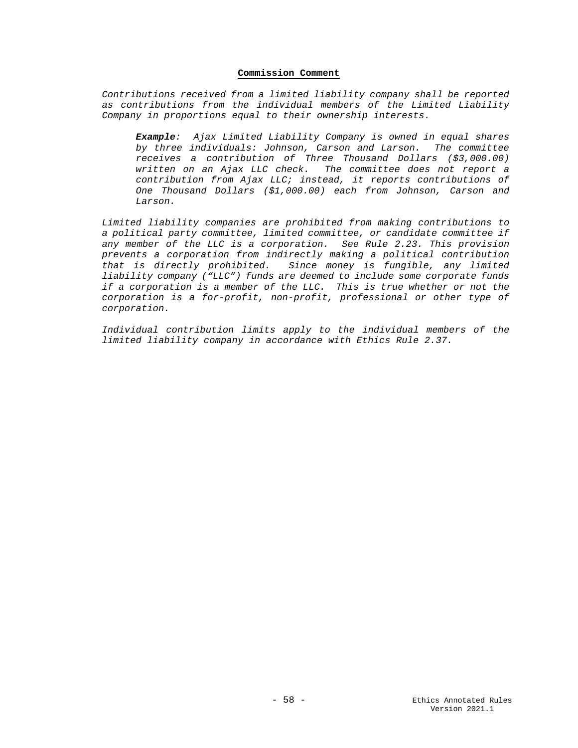### **Commission Comment**

*Contributions received from a limited liability company shall be reported as contributions from the individual members of the Limited Liability Company in proportions equal to their ownership interests.* 

*Example: Ajax Limited Liability Company is owned in equal shares by three individuals: Johnson, Carson and Larson. The committee receives a contribution of Three Thousand Dollars (\$3,000.00) written on an Ajax LLC check. The committee does not report a contribution from Ajax LLC; instead, it reports contributions of One Thousand Dollars (\$1,000.00) each from Johnson, Carson and Larson.* 

*Limited liability companies are prohibited from making contributions to a political party committee, limited committee, or candidate committee if any member of the LLC is a corporation. See Rule 2.23. This provision prevents a corporation from indirectly making a political contribution that is directly prohibited. Since money is fungible, any limited liability company ("LLC") funds are deemed to include some corporate funds if a corporation is a member of the LLC. This is true whether or not the corporation is a for-profit, non-profit, professional or other type of corporation.* 

*Individual contribution limits apply to the individual members of the limited liability company in accordance with Ethics Rule 2.37.*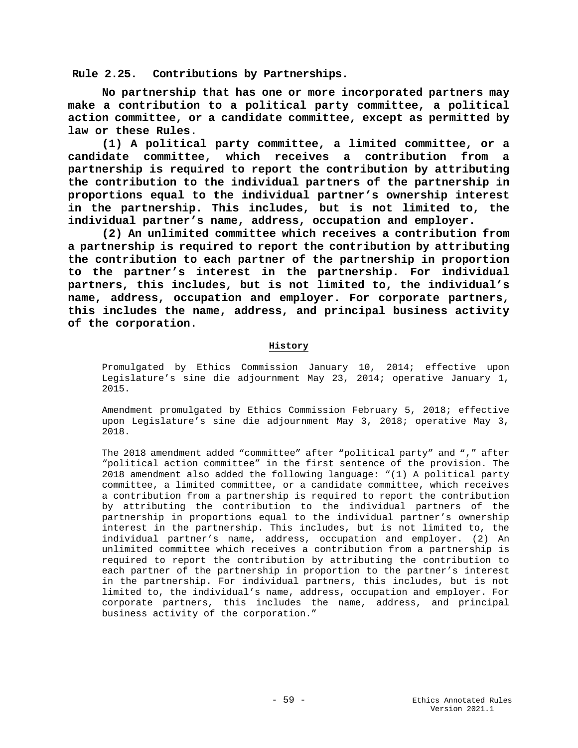**Rule 2.25. Contributions by Partnerships.**

**No partnership that has one or more incorporated partners may make a contribution to a political party committee, a political action committee, or a candidate committee, except as permitted by law or these Rules.**

**(1) A political party committee, a limited committee, or a candidate committee, which receives a contribution from a partnership is required to report the contribution by attributing the contribution to the individual partners of the partnership in proportions equal to the individual partner's ownership interest in the partnership. This includes, but is not limited to, the individual partner's name, address, occupation and employer.** 

**(2) An unlimited committee which receives a contribution from a partnership is required to report the contribution by attributing the contribution to each partner of the partnership in proportion to the partner's interest in the partnership. For individual partners, this includes, but is not limited to, the individual's name, address, occupation and employer. For corporate partners, this includes the name, address, and principal business activity of the corporation.**

## **History**

Promulgated by Ethics Commission January 10, 2014; effective upon Legislature's sine die adjournment May 23, 2014; operative January 1, 2015.

Amendment promulgated by Ethics Commission February 5, 2018; effective upon Legislature's sine die adjournment May 3, 2018; operative May 3, 2018.

The 2018 amendment added "committee" after "political party" and "," after "political action committee" in the first sentence of the provision. The 2018 amendment also added the following language: "(1) A political party committee, a limited committee, or a candidate committee, which receives a contribution from a partnership is required to report the contribution by attributing the contribution to the individual partners of the partnership in proportions equal to the individual partner's ownership interest in the partnership. This includes, but is not limited to, the individual partner's name, address, occupation and employer. (2) An unlimited committee which receives a contribution from a partnership is required to report the contribution by attributing the contribution to each partner of the partnership in proportion to the partner's interest in the partnership. For individual partners, this includes, but is not limited to, the individual's name, address, occupation and employer. For corporate partners, this includes the name, address, and principal business activity of the corporation."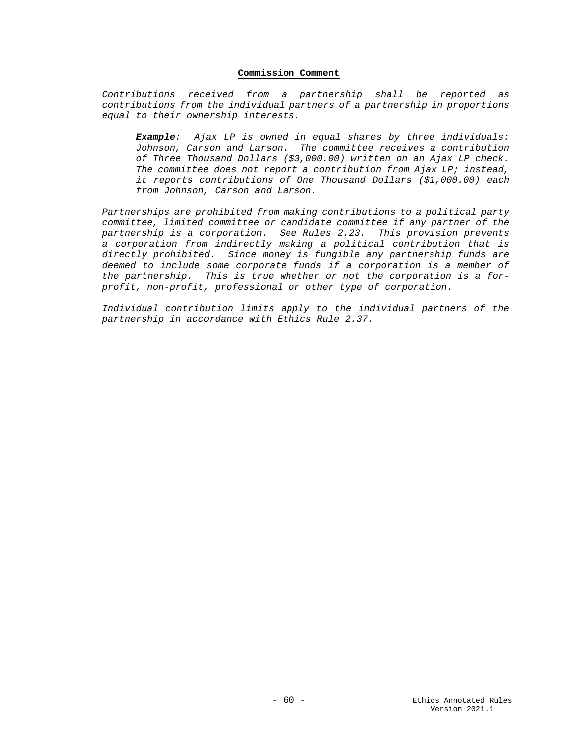## **Commission Comment**

*Contributions received from a partnership shall be reported as contributions from the individual partners of a partnership in proportions equal to their ownership interests.* 

*Example: Ajax LP is owned in equal shares by three individuals: Johnson, Carson and Larson. The committee receives a contribution of Three Thousand Dollars (\$3,000.00) written on an Ajax LP check. The committee does not report a contribution from Ajax LP; instead, it reports contributions of One Thousand Dollars (\$1,000.00) each from Johnson, Carson and Larson.* 

*Partnerships are prohibited from making contributions to a political party committee, limited committee or candidate committee if any partner of the partnership is a corporation. See Rules 2.23. This provision prevents a corporation from indirectly making a political contribution that is directly prohibited. Since money is fungible any partnership funds are deemed to include some corporate funds if a corporation is a member of the partnership. This is true whether or not the corporation is a forprofit, non-profit, professional or other type of corporation.* 

*Individual contribution limits apply to the individual partners of the partnership in accordance with Ethics Rule 2.37.*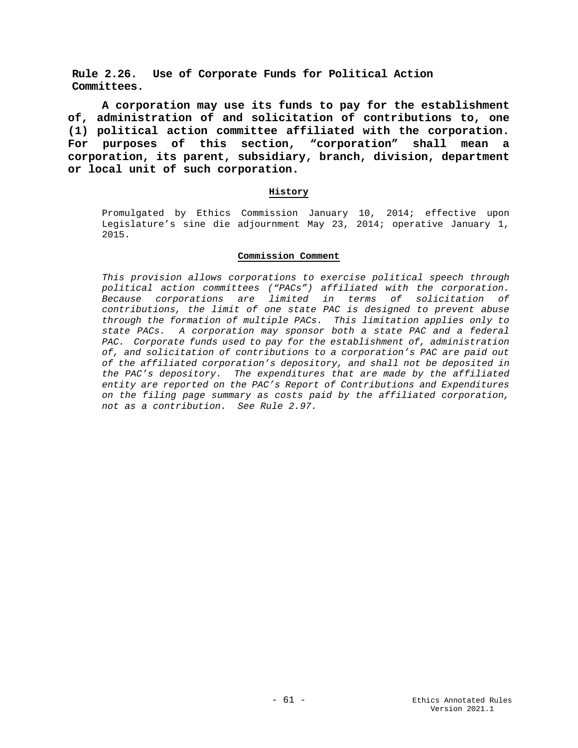**Rule 2.26. Use of Corporate Funds for Political Action Committees.**

**A corporation may use its funds to pay for the establishment of, administration of and solicitation of contributions to, one (1) political action committee affiliated with the corporation. For purposes of this section, "corporation" shall mean a corporation, its parent, subsidiary, branch, division, department or local unit of such corporation.**

# **History**

Promulgated by Ethics Commission January 10, 2014; effective upon Legislature's sine die adjournment May 23, 2014; operative January 1, 2015.

## **Commission Comment**

*This provision allows corporations to exercise political speech through political action committees ("PACs") affiliated with the corporation. Because corporations are limited in terms of solicitation of contributions, the limit of one state PAC is designed to prevent abuse through the formation of multiple PACs. This limitation applies only to state PACs. A corporation may sponsor both a state PAC and a federal PAC. Corporate funds used to pay for the establishment of, administration of, and solicitation of contributions to a corporation's PAC are paid out of the affiliated corporation's depository, and shall not be deposited in the PAC's depository. The expenditures that are made by the affiliated entity are reported on the PAC's Report of Contributions and Expenditures on the filing page summary as costs paid by the affiliated corporation, not as a contribution. See Rule 2.97.*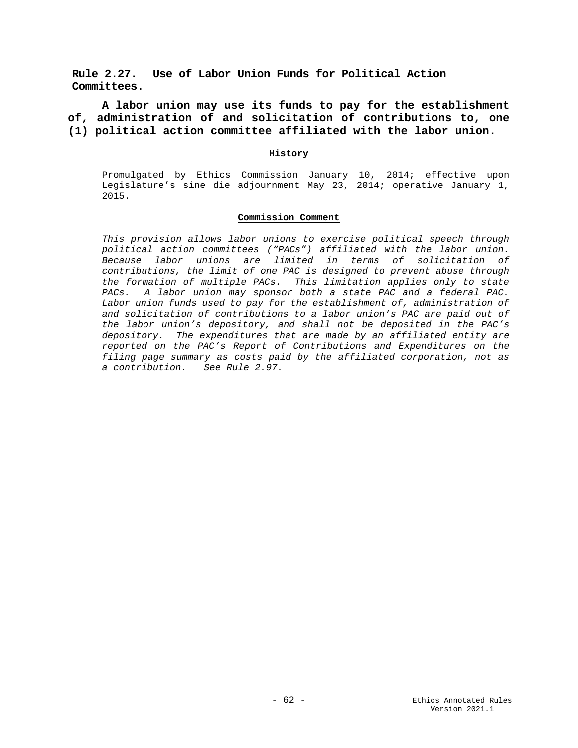**Rule 2.27. Use of Labor Union Funds for Political Action Committees.**

**A labor union may use its funds to pay for the establishment of, administration of and solicitation of contributions to, one (1) political action committee affiliated with the labor union.**

## **History**

Promulgated by Ethics Commission January 10, 2014; effective upon Legislature's sine die adjournment May 23, 2014; operative January 1, 2015.

### **Commission Comment**

*This provision allows labor unions to exercise political speech through political action committees ("PACs") affiliated with the labor union. Because labor unions are limited in terms of solicitation of contributions, the limit of one PAC is designed to prevent abuse through the formation of multiple PACs. This limitation applies only to state PACs. A labor union may sponsor both a state PAC and a federal PAC.*  Labor union funds used to pay for the establishment of, administration of *and solicitation of contributions to a labor union's PAC are paid out of the labor union's depository, and shall not be deposited in the PAC's depository. The expenditures that are made by an affiliated entity are reported on the PAC's Report of Contributions and Expenditures on the filing page summary as costs paid by the affiliated corporation, not as a contribution. See Rule 2.97.*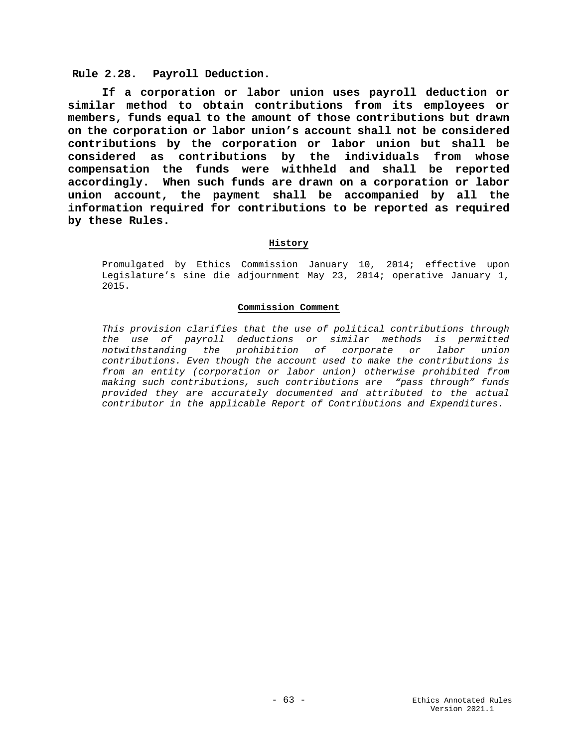## **Rule 2.28. Payroll Deduction.**

**If a corporation or labor union uses payroll deduction or similar method to obtain contributions from its employees or members, funds equal to the amount of those contributions but drawn on the corporation or labor union's account shall not be considered contributions by the corporation or labor union but shall be considered as contributions by the individuals from whose compensation the funds were withheld and shall be reported accordingly. When such funds are drawn on a corporation or labor union account, the payment shall be accompanied by all the information required for contributions to be reported as required by these Rules.**

## **History**

Promulgated by Ethics Commission January 10, 2014; effective upon Legislature's sine die adjournment May 23, 2014; operative January 1, 2015.

## **Commission Comment**

*This provision clarifies that the use of political contributions through the use of payroll deductions or similar methods is permitted notwithstanding the prohibition of corporate or labor union contributions. Even though the account used to make the contributions is from an entity (corporation or labor union) otherwise prohibited from making such contributions, such contributions are "pass through" funds provided they are accurately documented and attributed to the actual contributor in the applicable Report of Contributions and Expenditures.*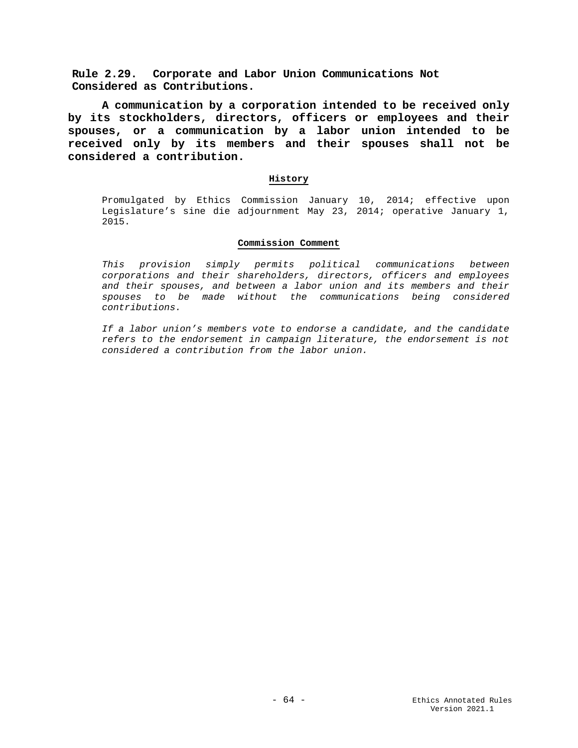**Rule 2.29. Corporate and Labor Union Communications Not Considered as Contributions.**

**A communication by a corporation intended to be received only by its stockholders, directors, officers or employees and their spouses, or a communication by a labor union intended to be received only by its members and their spouses shall not be considered a contribution.**

## **History**

Promulgated by Ethics Commission January 10, 2014; effective upon Legislature's sine die adjournment May 23, 2014; operative January 1, 2015.

## **Commission Comment**

*This provision simply permits political communications between corporations and their shareholders, directors, officers and employees and their spouses, and between a labor union and its members and their spouses to be made without the communications being considered contributions.*

*If a labor union's members vote to endorse a candidate, and the candidate refers to the endorsement in campaign literature, the endorsement is not considered a contribution from the labor union.*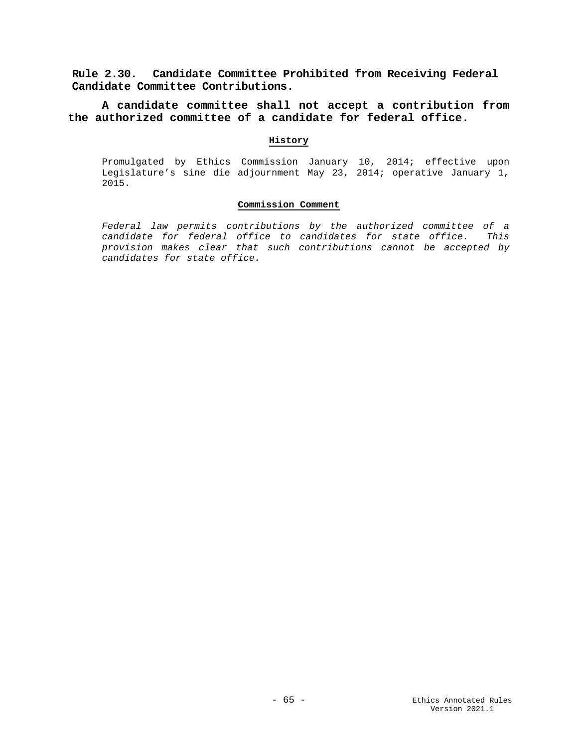**Rule 2.30. Candidate Committee Prohibited from Receiving Federal Candidate Committee Contributions.**

**A candidate committee shall not accept a contribution from the authorized committee of a candidate for federal office.**

# **History**

Promulgated by Ethics Commission January 10, 2014; effective upon Legislature's sine die adjournment May 23, 2014; operative January 1, 2015.

### **Commission Comment**

*Federal law permits contributions by the authorized committee of a candidate for federal office to candidates for state office. This provision makes clear that such contributions cannot be accepted by candidates for state office.*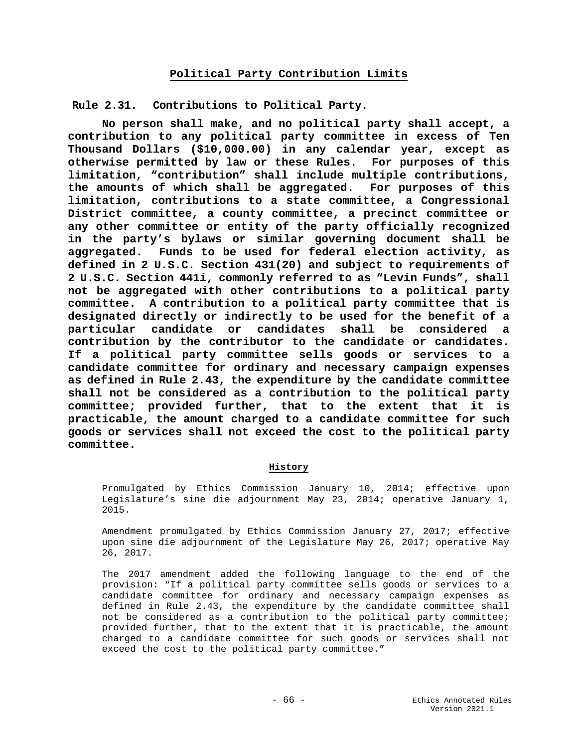## **Political Party Contribution Limits**

**Rule 2.31. Contributions to Political Party.**

**No person shall make, and no political party shall accept, a contribution to any political party committee in excess of Ten Thousand Dollars (\$10,000.00) in any calendar year, except as otherwise permitted by law or these Rules. For purposes of this limitation, "contribution" shall include multiple contributions,**  the amounts of which shall be aggregated. **limitation, contributions to a state committee, a Congressional District committee, a county committee, a precinct committee or any other committee or entity of the party officially recognized in the party's bylaws or similar governing document shall be aggregated. Funds to be used for federal election activity, as defined in 2 U.S.C. Section 431(20) and subject to requirements of 2 U.S.C. Section 441i, commonly referred to as "Levin Funds", shall not be aggregated with other contributions to a political party committee. A contribution to a political party committee that is designated directly or indirectly to be used for the benefit of a particular candidate or candidates shall be considered a contribution by the contributor to the candidate or candidates. If a political party committee sells goods or services to a candidate committee for ordinary and necessary campaign expenses as defined in Rule 2.43, the expenditure by the candidate committee shall not be considered as a contribution to the political party committee; provided further, that to the extent that it is practicable, the amount charged to a candidate committee for such goods or services shall not exceed the cost to the political party committee.** 

## **History**

Promulgated by Ethics Commission January 10, 2014; effective upon Legislature's sine die adjournment May 23, 2014; operative January 1, 2015.

Amendment promulgated by Ethics Commission January 27, 2017; effective upon sine die adjournment of the Legislature May 26, 2017; operative May 26, 2017.

The 2017 amendment added the following language to the end of the provision: "If a political party committee sells goods or services to a candidate committee for ordinary and necessary campaign expenses as defined in Rule 2.43, the expenditure by the candidate committee shall not be considered as a contribution to the political party committee; provided further, that to the extent that it is practicable, the amount charged to a candidate committee for such goods or services shall not exceed the cost to the political party committee."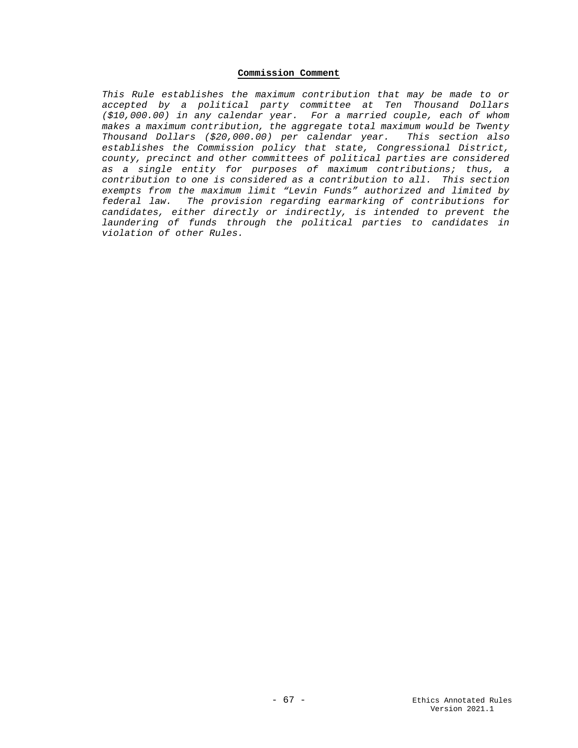# **Commission Comment**

*This Rule establishes the maximum contribution that may be made to or accepted by a political party committee at Ten Thousand Dollars (\$10,000.00) in any calendar year. For a married couple, each of whom makes a maximum contribution, the aggregate total maximum would be Twenty Thousand Dollars (\$20,000.00) per calendar year. This section also establishes the Commission policy that state, Congressional District, county, precinct and other committees of political parties are considered as a single entity for purposes of maximum contributions; thus, a contribution to one is considered as a contribution to all. This section exempts from the maximum limit "Levin Funds" authorized and limited by federal law. The provision regarding earmarking of contributions for candidates, either directly or indirectly, is intended to prevent the laundering of funds through the political parties to candidates in violation of other Rules.*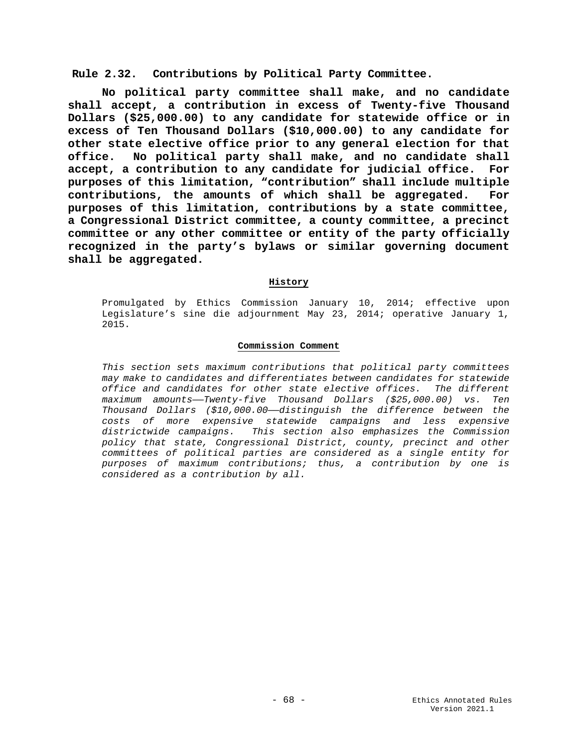**Rule 2.32. Contributions by Political Party Committee.**

**No political party committee shall make, and no candidate shall accept, a contribution in excess of Twenty-five Thousand Dollars (\$25,000.00) to any candidate for statewide office or in excess of Ten Thousand Dollars (\$10,000.00) to any candidate for other state elective office prior to any general election for that office. No political party shall make, and no candidate shall accept, a contribution to any candidate for judicial office. For purposes of this limitation, "contribution" shall include multiple**  contributions, the amounts of which shall be aggregated. **purposes of this limitation, contributions by a state committee, a Congressional District committee, a county committee, a precinct committee or any other committee or entity of the party officially recognized in the party's bylaws or similar governing document shall be aggregated.** 

# **History**

Promulgated by Ethics Commission January 10, 2014; effective upon Legislature's sine die adjournment May 23, 2014; operative January 1, 2015.

## **Commission Comment**

*This section sets maximum contributions that political party committees may make to candidates and differentiates between candidates for statewide office and candidates for other state elective offices. The different maximum amounts——Twenty-five Thousand Dollars (\$25,000.00) vs. Ten Thousand Dollars (\$10,000.00——distinguish the difference between the costs of more expensive statewide campaigns and less expensive districtwide campaigns. This section also emphasizes the Commission policy that state, Congressional District, county, precinct and other committees of political parties are considered as a single entity for purposes of maximum contributions; thus, a contribution by one is considered as a contribution by all.*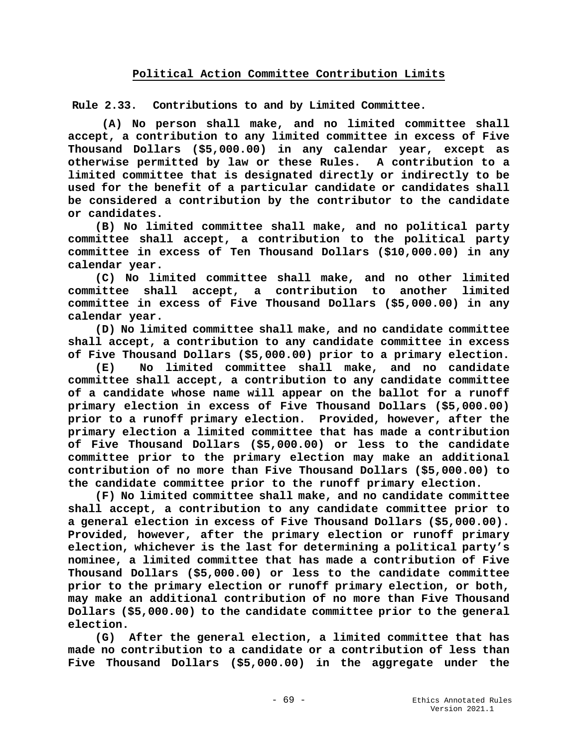**Rule 2.33. Contributions to and by Limited Committee.**

**(A) No person shall make, and no limited committee shall accept, a contribution to any limited committee in excess of Five Thousand Dollars (\$5,000.00) in any calendar year, except as otherwise permitted by law or these Rules. A contribution to a limited committee that is designated directly or indirectly to be used for the benefit of a particular candidate or candidates shall be considered a contribution by the contributor to the candidate or candidates.**

 **(B) No limited committee shall make, and no political party committee shall accept, a contribution to the political party committee in excess of Ten Thousand Dollars (\$10,000.00) in any calendar year.**

 **(C) No limited committee shall make, and no other limited**  committee shall accept, **committee in excess of Five Thousand Dollars (\$5,000.00) in any calendar year.**

 **(D) No limited committee shall make, and no candidate committee shall accept, a contribution to any candidate committee in excess of Five Thousand Dollars (\$5,000.00) prior to a primary election.**

 **(E) No limited committee shall make, and no candidate committee shall accept, a contribution to any candidate committee of a candidate whose name will appear on the ballot for a runoff primary election in excess of Five Thousand Dollars (\$5,000.00) prior to a runoff primary election. Provided, however, after the primary election a limited committee that has made a contribution of Five Thousand Dollars (\$5,000.00) or less to the candidate committee prior to the primary election may make an additional contribution of no more than Five Thousand Dollars (\$5,000.00) to the candidate committee prior to the runoff primary election.**

 **(F) No limited committee shall make, and no candidate committee shall accept, a contribution to any candidate committee prior to a general election in excess of Five Thousand Dollars (\$5,000.00). Provided, however, after the primary election or runoff primary election, whichever is the last for determining a political party's nominee, a limited committee that has made a contribution of Five Thousand Dollars (\$5,000.00) or less to the candidate committee prior to the primary election or runoff primary election, or both, may make an additional contribution of no more than Five Thousand Dollars (\$5,000.00) to the candidate committee prior to the general election.**

 **(G) After the general election, a limited committee that has made no contribution to a candidate or a contribution of less than Five Thousand Dollars (\$5,000.00) in the aggregate under the**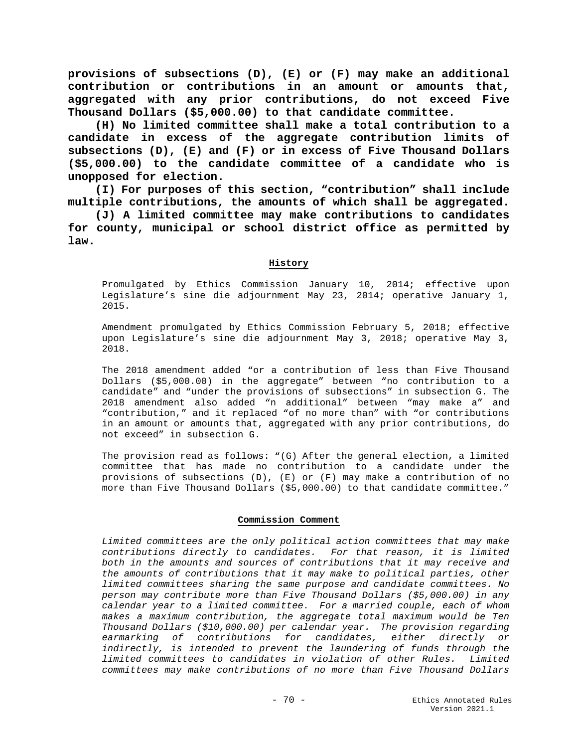**provisions of subsections (D), (E) or (F) may make an additional contribution or contributions in an amount or amounts that, aggregated with any prior contributions, do not exceed Five Thousand Dollars (\$5,000.00) to that candidate committee.**

 **(H) No limited committee shall make a total contribution to a candidate in excess of the aggregate contribution limits of subsections (D), (E) and (F) or in excess of Five Thousand Dollars (\$5,000.00) to the candidate committee of a candidate who is unopposed for election.**

 **(I) For purposes of this section, "contribution" shall include multiple contributions, the amounts of which shall be aggregated.** 

 **(J) A limited committee may make contributions to candidates for county, municipal or school district office as permitted by law.**

## **History**

Promulgated by Ethics Commission January 10, 2014; effective upon Legislature's sine die adjournment May 23, 2014; operative January 1, 2015.

Amendment promulgated by Ethics Commission February 5, 2018; effective upon Legislature's sine die adjournment May 3, 2018; operative May 3, 2018.

The 2018 amendment added "or a contribution of less than Five Thousand Dollars (\$5,000.00) in the aggregate" between "no contribution to a candidate" and "under the provisions of subsections" in subsection G. The 2018 amendment also added "n additional" between "may make a" and "contribution," and it replaced "of no more than" with "or contributions in an amount or amounts that, aggregated with any prior contributions, do not exceed" in subsection G.

The provision read as follows: "(G) After the general election, a limited committee that has made no contribution to a candidate under the provisions of subsections (D), (E) or (F) may make a contribution of no more than Five Thousand Dollars (\$5,000.00) to that candidate committee."

## **Commission Comment**

*Limited committees are the only political action committees that may make contributions directly to candidates. For that reason, it is limited both in the amounts and sources of contributions that it may receive and the amounts of contributions that it may make to political parties, other limited committees sharing the same purpose and candidate committees. No person may contribute more than Five Thousand Dollars (\$5,000.00) in any calendar year to a limited committee. For a married couple, each of whom makes a maximum contribution, the aggregate total maximum would be Ten Thousand Dollars (\$10,000.00) per calendar year. The provision regarding earmarking of contributions for candidates, either directly or indirectly, is intended to prevent the laundering of funds through the limited committees to candidates in violation of other Rules. Limited committees may make contributions of no more than Five Thousand Dollars*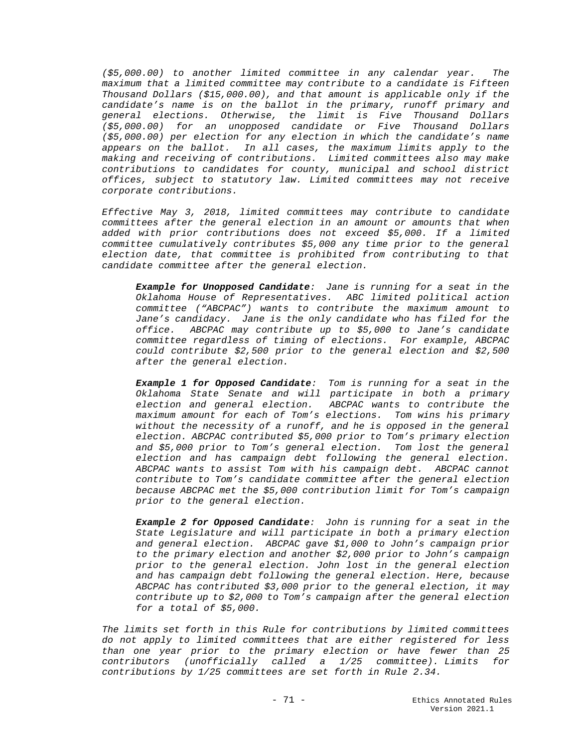*(\$5,000.00) to another limited committee in any calendar year. The maximum that a limited committee may contribute to a candidate is Fifteen Thousand Dollars (\$15,000.00), and that amount is applicable only if the candidate's name is on the ballot in the primary, runoff primary and general elections. Otherwise, the limit is Five Thousand Dollars (\$5,000.00) for an unopposed candidate or Five Thousand Dollars (\$5,000.00) per election for any election in which the candidate's name appears on the ballot. In all cases, the maximum limits apply to the making and receiving of contributions. Limited committees also may make contributions to candidates for county, municipal and school district offices, subject to statutory law. Limited committees may not receive corporate contributions.*

*Effective May 3, 2018, limited committees may contribute to candidate committees after the general election in an amount or amounts that when added with prior contributions does not exceed \$5,000. If a limited committee cumulatively contributes \$5,000 any time prior to the general election date, that committee is prohibited from contributing to that candidate committee after the general election.* 

*Example for Unopposed Candidate: Jane is running for a seat in the Oklahoma House of Representatives. ABC limited political action committee ("ABCPAC") wants to contribute the maximum amount to Jane's candidacy. Jane is the only candidate who has filed for the office. ABCPAC may contribute up to \$5,000 to Jane's candidate committee regardless of timing of elections. For example, ABCPAC could contribute \$2,500 prior to the general election and \$2,500 after the general election.* 

*Example 1 for Opposed Candidate: Tom is running for a seat in the Oklahoma State Senate and will participate in both a primary election and general election. ABCPAC wants to contribute the maximum amount for each of Tom's elections. Tom wins his primary without the necessity of a runoff, and he is opposed in the general election. ABCPAC contributed \$5,000 prior to Tom's primary election and \$5,000 prior to Tom's general election. Tom lost the general election and has campaign debt following the general election. ABCPAC wants to assist Tom with his campaign debt. ABCPAC cannot contribute to Tom's candidate committee after the general election because ABCPAC met the \$5,000 contribution limit for Tom's campaign prior to the general election.*

*Example 2 for Opposed Candidate: John is running for a seat in the State Legislature and will participate in both a primary election and general election. ABCPAC gave \$1,000 to John's campaign prior to the primary election and another \$2,000 prior to John's campaign prior to the general election. John lost in the general election and has campaign debt following the general election. Here, because ABCPAC has contributed \$3,000 prior to the general election, it may contribute up to \$2,000 to Tom's campaign after the general election for a total of \$5,000.*

*The limits set forth in this Rule for contributions by limited committees do not apply to limited committees that are either registered for less than one year prior to the primary election or have fewer than 25 contributors (unofficially called a 1/25 committee). Limits for contributions by 1/25 committees are set forth in Rule 2.34.*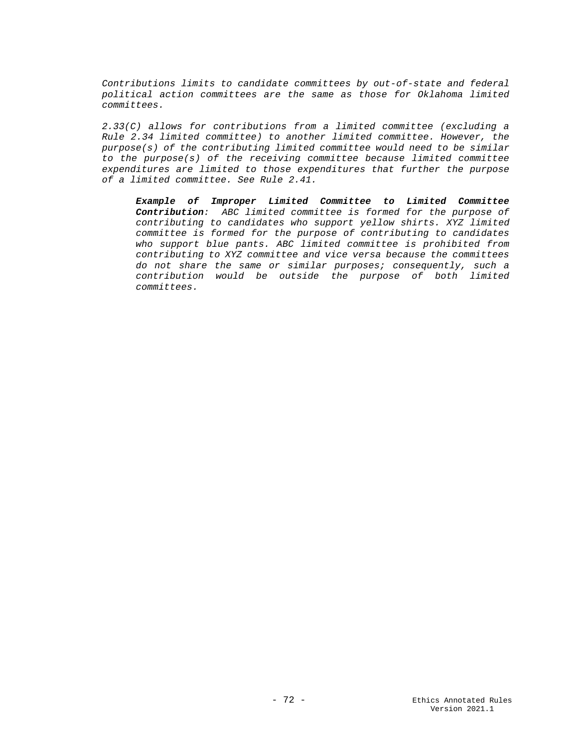*Contributions limits to candidate committees by out-of-state and federal political action committees are the same as those for Oklahoma limited committees.*

*2.33(C) allows for contributions from a limited committee (excluding a Rule 2.34 limited committee) to another limited committee. However, the purpose(s) of the contributing limited committee would need to be similar to the purpose(s) of the receiving committee because limited committee expenditures are limited to those expenditures that further the purpose of a limited committee. See Rule 2.41.*

*Example of Improper Limited Committee to Limited Committee Contribution: ABC limited committee is formed for the purpose of contributing to candidates who support yellow shirts. XYZ limited committee is formed for the purpose of contributing to candidates who support blue pants. ABC limited committee is prohibited from contributing to XYZ committee and vice versa because the committees do not share the same or similar purposes; consequently, such a contribution would be outside the purpose of both limited committees.*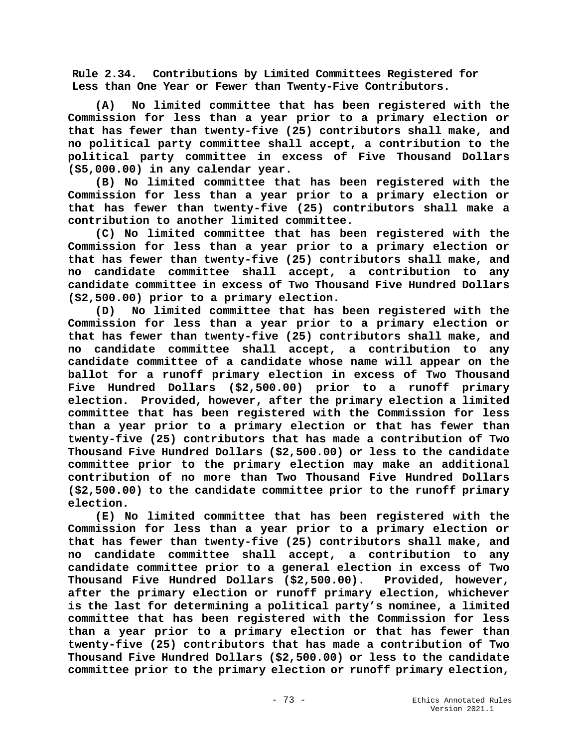**Rule 2.34. Contributions by Limited Committees Registered for Less than One Year or Fewer than Twenty-Five Contributors.**

 **(A) No limited committee that has been registered with the Commission for less than a year prior to a primary election or that has fewer than twenty-five (25) contributors shall make, and no political party committee shall accept, a contribution to the political party committee in excess of Five Thousand Dollars (\$5,000.00) in any calendar year.**

 **(B) No limited committee that has been registered with the Commission for less than a year prior to a primary election or that has fewer than twenty-five (25) contributors shall make a contribution to another limited committee.**

 **(C) No limited committee that has been registered with the Commission for less than a year prior to a primary election or that has fewer than twenty-five (25) contributors shall make, and no candidate committee shall accept, a contribution to any candidate committee in excess of Two Thousand Five Hundred Dollars (\$2,500.00) prior to a primary election.**

 **(D) No limited committee that has been registered with the Commission for less than a year prior to a primary election or that has fewer than twenty-five (25) contributors shall make, and no candidate committee shall accept, a contribution to any candidate committee of a candidate whose name will appear on the ballot for a runoff primary election in excess of Two Thousand Five Hundred Dollars (\$2,500.00) prior to a runoff primary election. Provided, however, after the primary election a limited committee that has been registered with the Commission for less than a year prior to a primary election or that has fewer than twenty-five (25) contributors that has made a contribution of Two Thousand Five Hundred Dollars (\$2,500.00) or less to the candidate committee prior to the primary election may make an additional contribution of no more than Two Thousand Five Hundred Dollars (\$2,500.00) to the candidate committee prior to the runoff primary election.**

 **(E) No limited committee that has been registered with the Commission for less than a year prior to a primary election or that has fewer than twenty-five (25) contributors shall make, and no candidate committee shall accept, a contribution to any candidate committee prior to a general election in excess of Two Thousand Five Hundred Dollars (\$2,500.00). Provided, however, after the primary election or runoff primary election, whichever is the last for determining a political party's nominee, a limited committee that has been registered with the Commission for less than a year prior to a primary election or that has fewer than twenty-five (25) contributors that has made a contribution of Two Thousand Five Hundred Dollars (\$2,500.00) or less to the candidate committee prior to the primary election or runoff primary election,**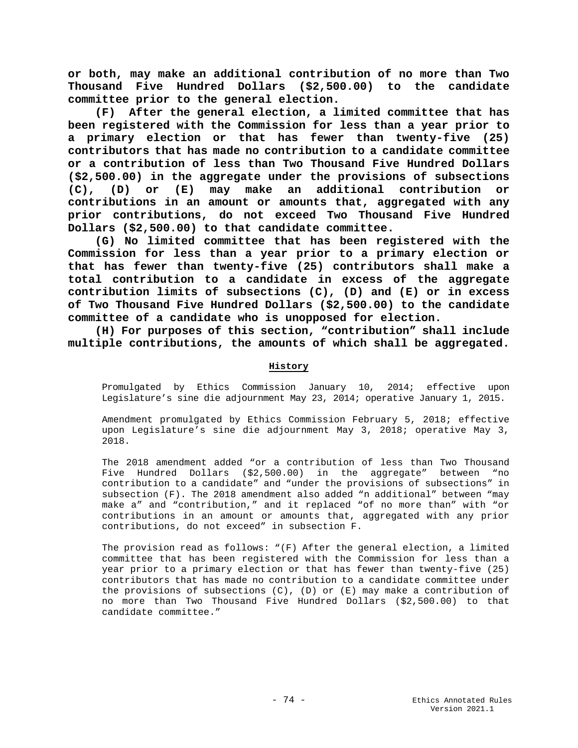**or both, may make an additional contribution of no more than Two Thousand Five Hundred Dollars (\$2,500.00) to the candidate committee prior to the general election.**

 **(F) After the general election, a limited committee that has been registered with the Commission for less than a year prior to a primary election or that has fewer than twenty-five (25) contributors that has made no contribution to a candidate committee or a contribution of less than Two Thousand Five Hundred Dollars (\$2,500.00) in the aggregate under the provisions of subsections (C), (D) or (E) may make an additional contribution or contributions in an amount or amounts that, aggregated with any prior contributions, do not exceed Two Thousand Five Hundred Dollars (\$2,500.00) to that candidate committee.**

 **(G) No limited committee that has been registered with the Commission for less than a year prior to a primary election or that has fewer than twenty-five (25) contributors shall make a total contribution to a candidate in excess of the aggregate contribution limits of subsections (C), (D) and (E) or in excess of Two Thousand Five Hundred Dollars (\$2,500.00) to the candidate committee of a candidate who is unopposed for election.**

 **(H) For purposes of this section, "contribution" shall include multiple contributions, the amounts of which shall be aggregated.** 

# **History**

Promulgated by Ethics Commission January 10, 2014; effective upon Legislature's sine die adjournment May 23, 2014; operative January 1, 2015.

Amendment promulgated by Ethics Commission February 5, 2018; effective upon Legislature's sine die adjournment May 3, 2018; operative May 3, 2018.

The 2018 amendment added "or a contribution of less than Two Thousand Five Hundred Dollars (\$2,500.00) in the aggregate" between "no contribution to a candidate" and "under the provisions of subsections" in subsection (F). The 2018 amendment also added "n additional" between "may make a" and "contribution," and it replaced "of no more than" with "or contributions in an amount or amounts that, aggregated with any prior contributions, do not exceed" in subsection F.

The provision read as follows: "(F) After the general election, a limited committee that has been registered with the Commission for less than a year prior to a primary election or that has fewer than twenty-five (25) contributors that has made no contribution to a candidate committee under the provisions of subsections  $(C)$ ,  $(D)$  or  $(E)$  may make a contribution of no more than Two Thousand Five Hundred Dollars (\$2,500.00) to that candidate committee."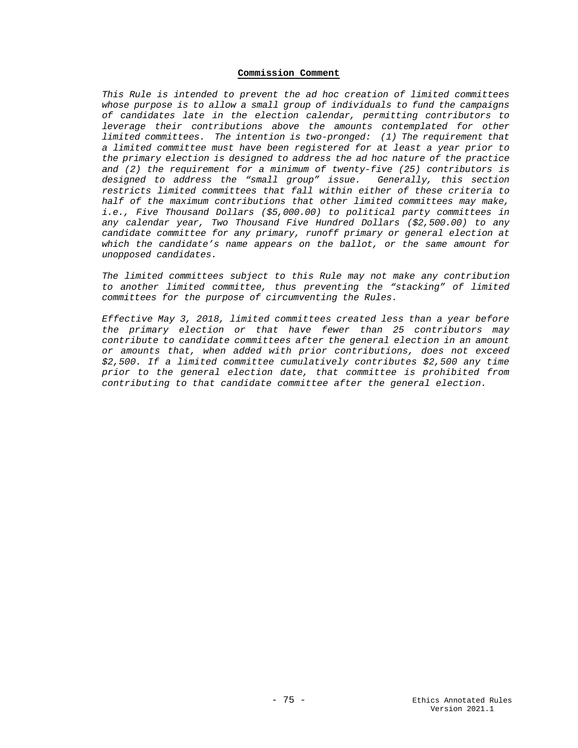### **Commission Comment**

*This Rule is intended to prevent the ad hoc creation of limited committees whose purpose is to allow a small group of individuals to fund the campaigns of candidates late in the election calendar, permitting contributors to leverage their contributions above the amounts contemplated for other limited committees. The intention is two-pronged: (1) The requirement that a limited committee must have been registered for at least a year prior to the primary election is designed to address the ad hoc nature of the practice and (2) the requirement for a minimum of twenty-five (25) contributors is designed to address the "small group" issue. Generally, this section restricts limited committees that fall within either of these criteria to half of the maximum contributions that other limited committees may make, i.e., Five Thousand Dollars (\$5,000.00) to political party committees in any calendar year, Two Thousand Five Hundred Dollars (\$2,500.00) to any candidate committee for any primary, runoff primary or general election at which the candidate's name appears on the ballot, or the same amount for unopposed candidates.* 

*The limited committees subject to this Rule may not make any contribution to another limited committee, thus preventing the "stacking" of limited committees for the purpose of circumventing the Rules.*

*Effective May 3, 2018, limited committees created less than a year before the primary election or that have fewer than 25 contributors may contribute to candidate committees after the general election in an amount or amounts that, when added with prior contributions, does not exceed \$2,500. If a limited committee cumulatively contributes \$2,500 any time prior to the general election date, that committee is prohibited from contributing to that candidate committee after the general election.*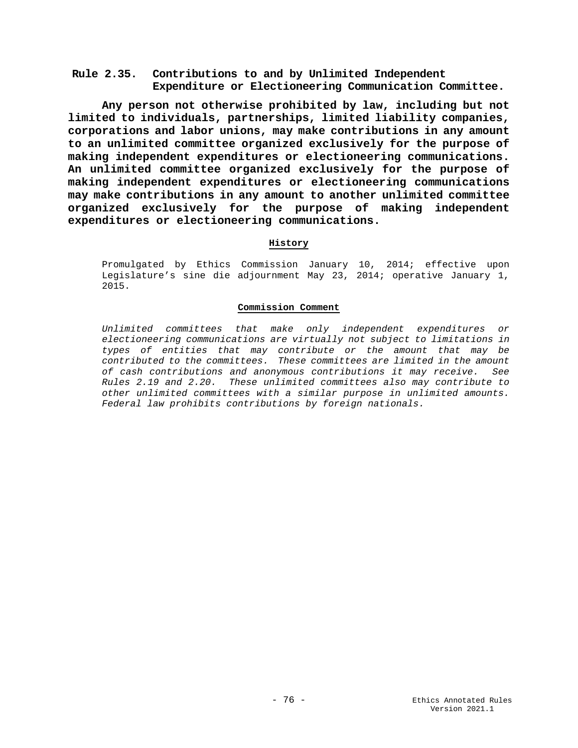# **Rule 2.35. Contributions to and by Unlimited Independent Expenditure or Electioneering Communication Committee.**

**Any person not otherwise prohibited by law, including but not limited to individuals, partnerships, limited liability companies, corporations and labor unions, may make contributions in any amount to an unlimited committee organized exclusively for the purpose of making independent expenditures or electioneering communications. An unlimited committee organized exclusively for the purpose of making independent expenditures or electioneering communications may make contributions in any amount to another unlimited committee organized exclusively for the purpose of making independent expenditures or electioneering communications.**

# **History**

Promulgated by Ethics Commission January 10, 2014; effective upon Legislature's sine die adjournment May 23, 2014; operative January 1, 2015.

## **Commission Comment**

*Unlimited committees that make only independent expenditures or electioneering communications are virtually not subject to limitations in types of entities that may contribute or the amount that may be contributed to the committees. These committees are limited in the amount of cash contributions and anonymous contributions it may receive. See Rules 2.19 and 2.20. These unlimited committees also may contribute to other unlimited committees with a similar purpose in unlimited amounts. Federal law prohibits contributions by foreign nationals.*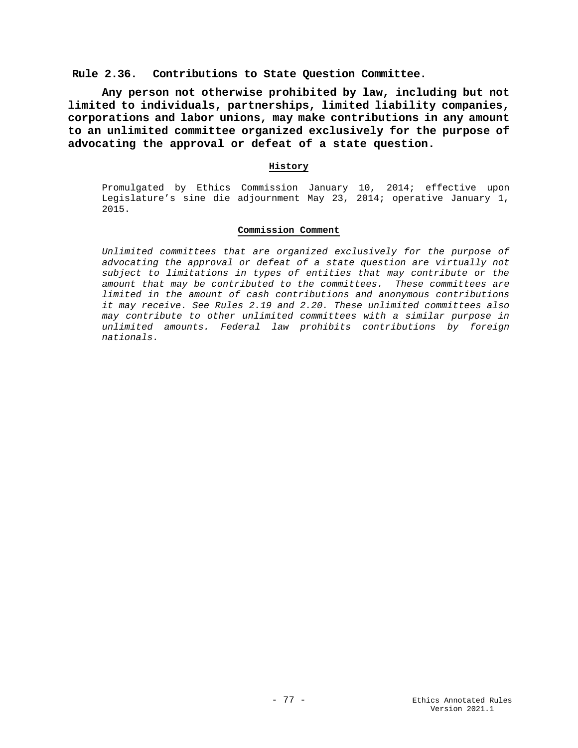**Rule 2.36. Contributions to State Question Committee.**

**Any person not otherwise prohibited by law, including but not limited to individuals, partnerships, limited liability companies, corporations and labor unions, may make contributions in any amount to an unlimited committee organized exclusively for the purpose of advocating the approval or defeat of a state question.**

# **History**

Promulgated by Ethics Commission January 10, 2014; effective upon Legislature's sine die adjournment May 23, 2014; operative January 1, 2015.

### **Commission Comment**

*Unlimited committees that are organized exclusively for the purpose of advocating the approval or defeat of a state question are virtually not subject to limitations in types of entities that may contribute or the amount that may be contributed to the committees. These committees are limited in the amount of cash contributions and anonymous contributions it may receive. See Rules 2.19 and 2.20. These unlimited committees also may contribute to other unlimited committees with a similar purpose in unlimited amounts. Federal law prohibits contributions by foreign nationals.*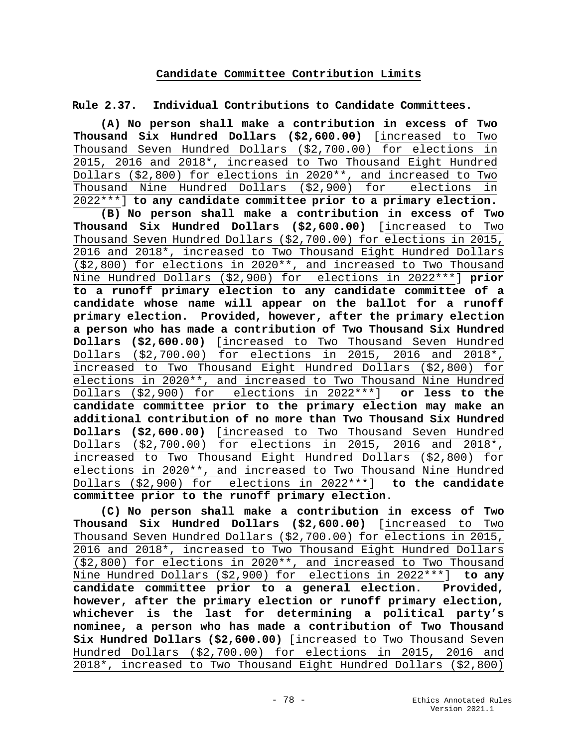# **Candidate Committee Contribution Limits**

**Rule 2.37. Individual Contributions to Candidate Committees.** 

**(A) No person shall make a contribution in excess of Two Thousand Six Hundred Dollars (\$2,600.00)** [increased to Two Thousand Seven Hundred Dollars (\$2,700.00) for elections in 2015, 2016 and 2018\*, increased to Two Thousand Eight Hundred Dollars (\$2,800) for elections in 2020\*\*, and increased to Two Thousand Nine Hundred Dollars (\$2,900) for elections in 2022\*\*\*] **to any candidate committee prior to a primary election.**

**(B) No person shall make a contribution in excess of Two Thousand Six Hundred Dollars (\$2,600.00)** [increased to Two Thousand Seven Hundred Dollars (\$2,700.00) for elections in 2015, 2016 and 2018\*, increased to Two Thousand Eight Hundred Dollars (\$2,800) for elections in 2020\*\*, and increased to Two Thousand Nine Hundred Dollars (\$2,900) for elections in 2022\*\*\*] **prior to a runoff primary election to any candidate committee of a candidate whose name will appear on the ballot for a runoff primary election. Provided, however, after the primary election a person who has made a contribution of Two Thousand Six Hundred Dollars (\$2,600.00)** [increased to Two Thousand Seven Hundred Dollars (\$2,700.00) for elections in 2015, 2016 and 2018\*, increased to Two Thousand Eight Hundred Dollars (\$2,800) for elections in 2020\*\*, and increased to Two Thousand Nine Hundred Dollars (\$2,900) for elections in 2022\*\*\*] **or less to the candidate committee prior to the primary election may make an additional contribution of no more than Two Thousand Six Hundred Dollars (\$2,600.00)** [increased to Two Thousand Seven Hundred Dollars (\$2,700.00) for elections in 2015, 2016 and 2018\*, increased to Two Thousand Eight Hundred Dollars (\$2,800) for elections in 2020\*\*, and increased to Two Thousand Nine Hundred Dollars (\$2,900) for elections in 2022\*\*\*] **to the candidate committee prior to the runoff primary election.**

**(C) No person shall make a contribution in excess of Two Thousand Six Hundred Dollars (\$2,600.00)** [increased to Two Thousand Seven Hundred Dollars (\$2,700.00) for elections in 2015, 2016 and 2018\*, increased to Two Thousand Eight Hundred Dollars (\$2,800) for elections in 2020\*\*, and increased to Two Thousand Nine Hundred Dollars (\$2,900) for elections in 2022\*\*\*] **to any candidate committee prior to a general election. Provided, however, after the primary election or runoff primary election, whichever is the last for determining a political party's nominee, a person who has made a contribution of Two Thousand Six Hundred Dollars (\$2,600.00)** [increased to Two Thousand Seven Hundred Dollars (\$2,700.00) for elections in 2015, 2016 and 2018\*, increased to Two Thousand Eight Hundred Dollars (\$2,800)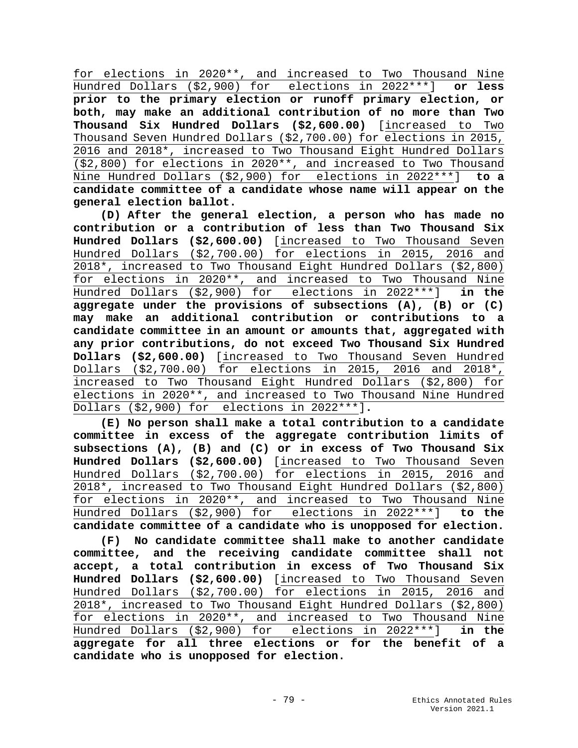for elections in 2020\*\*, and increased to Two Thousand Nine Hundred Dollars (\$2,900) for elections in 2022\*\*\*] **or less prior to the primary election or runoff primary election, or both, may make an additional contribution of no more than Two Thousand Six Hundred Dollars (\$2,600.00)** [increased to Two Thousand Seven Hundred Dollars (\$2,700.00) for elections in 2015, 2016 and 2018\*, increased to Two Thousand Eight Hundred Dollars (\$2,800) for elections in 2020\*\*, and increased to Two Thousand Nine Hundred Dollars (\$2,900) for elections in 2022\*\*\*] **to a candidate committee of a candidate whose name will appear on the general election ballot.**

**(D) After the general election, a person who has made no contribution or a contribution of less than Two Thousand Six Hundred Dollars (\$2,600.00)** [increased to Two Thousand Seven Hundred Dollars (\$2,700.00) for elections in 2015, 2016 and 2018\*, increased to Two Thousand Eight Hundred Dollars (\$2,800) for elections in 2020\*\*, and increased to Two Thousand Nine Hundred Dollars (\$2,900) for elections in 2022\*\*\*] **in the aggregate under the provisions of subsections (A), (B) or (C) may make an additional contribution or contributions to a candidate committee in an amount or amounts that, aggregated with any prior contributions, do not exceed Two Thousand Six Hundred Dollars (\$2,600.00)** [increased to Two Thousand Seven Hundred Dollars (\$2,700.00) for elections in 2015, 2016 and 2018\*, increased to Two Thousand Eight Hundred Dollars (\$2,800) for elections in 2020\*\*, and increased to Two Thousand Nine Hundred Dollars (\$2,900) for elections in 2022\*\*\*]**.**

**(E) No person shall make a total contribution to a candidate committee in excess of the aggregate contribution limits of subsections (A), (B) and (C) or in excess of Two Thousand Six Hundred Dollars (\$2,600.00)** [increased to Two Thousand Seven Hundred Dollars (\$2,700.00) for elections in 2015, 2016 and 2018\*, increased to Two Thousand Eight Hundred Dollars (\$2,800) for elections in 2020\*\*, and increased to Two Thousand Nine Hundred Dollars (\$2,900) for elections in 2022\*\*\*] **to the candidate committee of a candidate who is unopposed for election.** 

**(F) No candidate committee shall make to another candidate committee, and the receiving candidate committee shall not accept, a total contribution in excess of Two Thousand Six Hundred Dollars (\$2,600.00)** [increased to Two Thousand Seven Hundred Dollars (\$2,700.00) for elections in 2015, 2016 and 2018\*, increased to Two Thousand Eight Hundred Dollars (\$2,800) for elections in 2020\*\*, and increased to Two Thousand Nine Hundred Dollars (\$2,900) for elections in 2022\*\*\*] **in the aggregate for all three elections or for the benefit of a candidate who is unopposed for election.**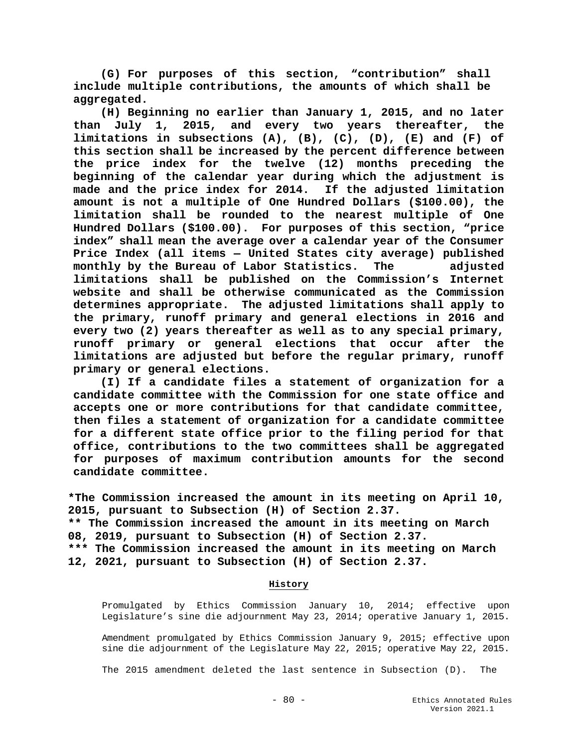**(G) For purposes of this section, "contribution" shall include multiple contributions, the amounts of which shall be aggregated.**

**(H) Beginning no earlier than January 1, 2015, and no later than July 1, 2015, and every two years thereafter, the limitations in subsections (A), (B), (C), (D), (E) and (F) of this section shall be increased by the percent difference between the price index for the twelve (12) months preceding the beginning of the calendar year during which the adjustment is made and the price index for 2014. If the adjusted limitation amount is not a multiple of One Hundred Dollars (\$100.00), the limitation shall be rounded to the nearest multiple of One Hundred Dollars (\$100.00). For purposes of this section, "price index" shall mean the average over a calendar year of the Consumer Price Index (all items — United States city average) published monthly by the Bureau of Labor Statistics. The adjusted limitations shall be published on the Commission's Internet website and shall be otherwise communicated as the Commission determines appropriate. The adjusted limitations shall apply to the primary, runoff primary and general elections in 2016 and every two (2) years thereafter as well as to any special primary, runoff primary or general elections that occur after the limitations are adjusted but before the regular primary, runoff primary or general elections.**

**(I) If a candidate files a statement of organization for a candidate committee with the Commission for one state office and accepts one or more contributions for that candidate committee, then files a statement of organization for a candidate committee for a different state office prior to the filing period for that office, contributions to the two committees shall be aggregated for purposes of maximum contribution amounts for the second candidate committee.**

**\*The Commission increased the amount in its meeting on April 10, 2015, pursuant to Subsection (H) of Section 2.37. \*\* The Commission increased the amount in its meeting on March**

**08, 2019, pursuant to Subsection (H) of Section 2.37.**

**\*\*\* The Commission increased the amount in its meeting on March 12, 2021, pursuant to Subsection (H) of Section 2.37.**

## **History**

Promulgated by Ethics Commission January 10, 2014; effective upon Legislature's sine die adjournment May 23, 2014; operative January 1, 2015.

Amendment promulgated by Ethics Commission January 9, 2015; effective upon sine die adjournment of the Legislature May 22, 2015; operative May 22, 2015.

The 2015 amendment deleted the last sentence in Subsection (D). The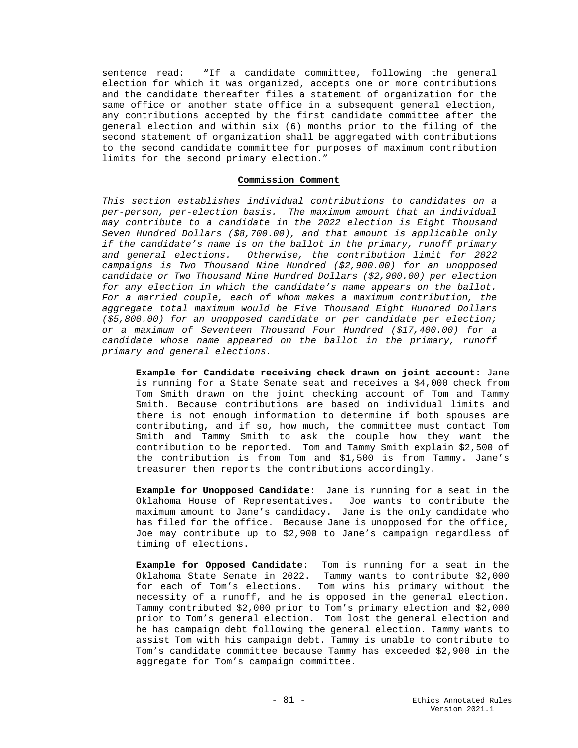sentence read: "If a candidate committee, following the general election for which it was organized, accepts one or more contributions and the candidate thereafter files a statement of organization for the same office or another state office in a subsequent general election, any contributions accepted by the first candidate committee after the general election and within six (6) months prior to the filing of the second statement of organization shall be aggregated with contributions to the second candidate committee for purposes of maximum contribution limits for the second primary election."

# **Commission Comment**

*This section establishes individual contributions to candidates on a per-person, per-election basis. The maximum amount that an individual may contribute to a candidate in the 2022 election is Eight Thousand Seven Hundred Dollars (\$8,700.00), and that amount is applicable only if the candidate's name is on the ballot in the primary, runoff primary and general elections. Otherwise, the contribution limit for 2022 campaigns is Two Thousand Nine Hundred (\$2,900.00) for an unopposed candidate or Two Thousand Nine Hundred Dollars (\$2,900.00) per election for any election in which the candidate's name appears on the ballot. For a married couple, each of whom makes a maximum contribution, the aggregate total maximum would be Five Thousand Eight Hundred Dollars (\$5,800.00) for an unopposed candidate or per candidate per election; or a maximum of Seventeen Thousand Four Hundred (\$17,400.00) for a candidate whose name appeared on the ballot in the primary, runoff primary and general elections.* 

**Example for Candidate receiving check drawn on joint account:** Jane is running for a State Senate seat and receives a \$4,000 check from Tom Smith drawn on the joint checking account of Tom and Tammy Smith. Because contributions are based on individual limits and there is not enough information to determine if both spouses are contributing, and if so, how much, the committee must contact Tom Smith and Tammy Smith to ask the couple how they want the contribution to be reported. Tom and Tammy Smith explain \$2,500 of the contribution is from Tom and \$1,500 is from Tammy. Jane's treasurer then reports the contributions accordingly.

**Example for Unopposed Candidate:** Jane is running for a seat in the Oklahoma House of Representatives. Joe wants to contribute the maximum amount to Jane's candidacy. Jane is the only candidate who has filed for the office. Because Jane is unopposed for the office, Joe may contribute up to \$2,900 to Jane's campaign regardless of timing of elections.

**Example for Opposed Candidate:** Tom is running for a seat in the Oklahoma State Senate in 2022. Tammy wants to contribute \$2,000 for each of Tom's elections. Tom wins his primary without the necessity of a runoff, and he is opposed in the general election. Tammy contributed \$2,000 prior to Tom's primary election and \$2,000 prior to Tom's general election. Tom lost the general election and he has campaign debt following the general election. Tammy wants to assist Tom with his campaign debt. Tammy is unable to contribute to Tom's candidate committee because Tammy has exceeded \$2,900 in the aggregate for Tom's campaign committee.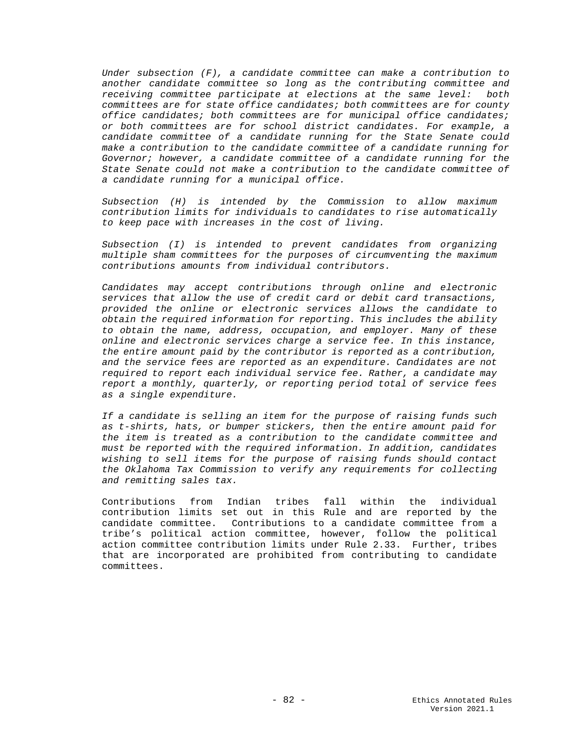*Under subsection (F), a candidate committee can make a contribution to another candidate committee so long as the contributing committee and receiving committee participate at elections at the same level: both committees are for state office candidates; both committees are for county office candidates; both committees are for municipal office candidates; or both committees are for school district candidates. For example, a candidate committee of a candidate running for the State Senate could make a contribution to the candidate committee of a candidate running for Governor; however, a candidate committee of a candidate running for the State Senate could not make a contribution to the candidate committee of a candidate running for a municipal office.*

*Subsection (H) is intended by the Commission to allow maximum contribution limits for individuals to candidates to rise automatically to keep pace with increases in the cost of living.* 

*Subsection (I) is intended to prevent candidates from organizing multiple sham committees for the purposes of circumventing the maximum contributions amounts from individual contributors.* 

*Candidates may accept contributions through online and electronic services that allow the use of credit card or debit card transactions, provided the online or electronic services allows the candidate to obtain the required information for reporting. This includes the ability to obtain the name, address, occupation, and employer. Many of these online and electronic services charge a service fee. In this instance, the entire amount paid by the contributor is reported as a contribution, and the service fees are reported as an expenditure. Candidates are not required to report each individual service fee. Rather, a candidate may report a monthly, quarterly, or reporting period total of service fees as a single expenditure.* 

*If a candidate is selling an item for the purpose of raising funds such as t-shirts, hats, or bumper stickers, then the entire amount paid for the item is treated as a contribution to the candidate committee and must be reported with the required information. In addition, candidates wishing to sell items for the purpose of raising funds should contact the Oklahoma Tax Commission to verify any requirements for collecting and remitting sales tax.*

Contributions from Indian tribes fall within the individual contribution limits set out in this Rule and are reported by the candidate committee. Contributions to a candidate committee from a tribe's political action committee, however, follow the political action committee contribution limits under Rule 2.33. Further, tribes that are incorporated are prohibited from contributing to candidate committees.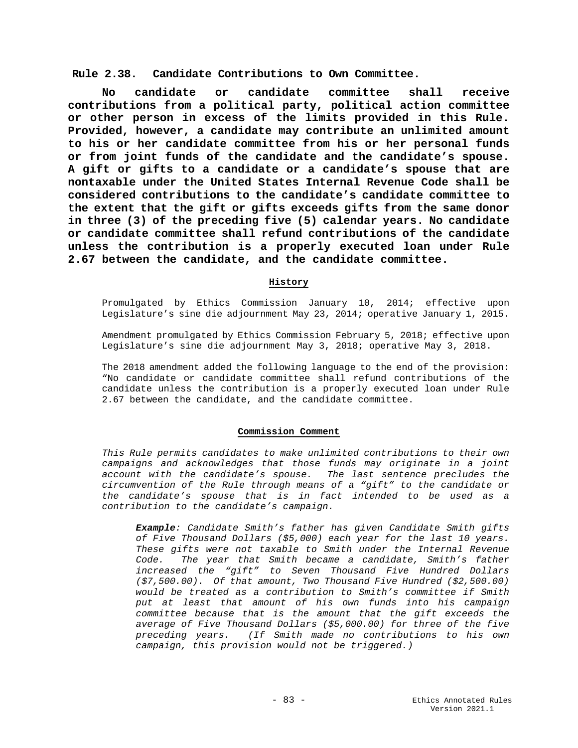**Rule 2.38. Candidate Contributions to Own Committee.**

**No candidate or candidate committee shall receive contributions from a political party, political action committee or other person in excess of the limits provided in this Rule. Provided, however, a candidate may contribute an unlimited amount to his or her candidate committee from his or her personal funds or from joint funds of the candidate and the candidate's spouse. A gift or gifts to a candidate or a candidate's spouse that are nontaxable under the United States Internal Revenue Code shall be considered contributions to the candidate's candidate committee to the extent that the gift or gifts exceeds gifts from the same donor in three (3) of the preceding five (5) calendar years. No candidate or candidate committee shall refund contributions of the candidate unless the contribution is a properly executed loan under Rule 2.67 between the candidate, and the candidate committee.** 

## **History**

Promulgated by Ethics Commission January 10, 2014; effective upon Legislature's sine die adjournment May 23, 2014; operative January 1, 2015.

Amendment promulgated by Ethics Commission February 5, 2018; effective upon Legislature's sine die adjournment May 3, 2018; operative May 3, 2018.

The 2018 amendment added the following language to the end of the provision: "No candidate or candidate committee shall refund contributions of the candidate unless the contribution is a properly executed loan under Rule 2.67 between the candidate, and the candidate committee.

#### **Commission Comment**

*This Rule permits candidates to make unlimited contributions to their own campaigns and acknowledges that those funds may originate in a joint account with the candidate's spouse. The last sentence precludes the circumvention of the Rule through means of a "gift" to the candidate or the candidate's spouse that is in fact intended to be used as a contribution to the candidate's campaign.* 

*Example: Candidate Smith's father has given Candidate Smith gifts of Five Thousand Dollars (\$5,000) each year for the last 10 years. These gifts were not taxable to Smith under the Internal Revenue Code. The year that Smith became a candidate, Smith's father increased the "gift" to Seven Thousand Five Hundred Dollars (\$7,500.00). Of that amount, Two Thousand Five Hundred (\$2,500.00) would be treated as a contribution to Smith's committee if Smith put at least that amount of his own funds into his campaign committee because that is the amount that the gift exceeds the average of Five Thousand Dollars (\$5,000.00) for three of the five preceding years. (If Smith made no contributions to his own campaign, this provision would not be triggered.)*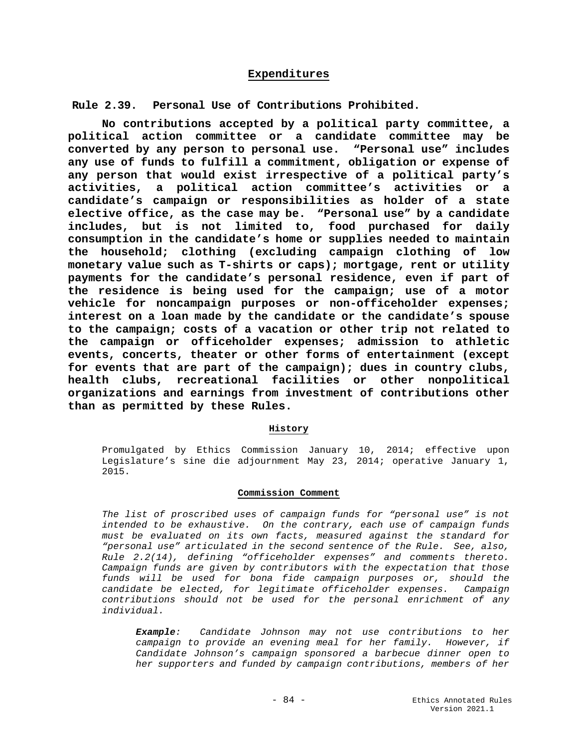# **Expenditures**

**Rule 2.39. Personal Use of Contributions Prohibited.** 

**No contributions accepted by a political party committee, a political action committee or a candidate committee may be converted by any person to personal use. "Personal use" includes any use of funds to fulfill a commitment, obligation or expense of any person that would exist irrespective of a political party's activities, a political action committee's activities or a candidate's campaign or responsibilities as holder of a state elective office, as the case may be. "Personal use" by a candidate includes, but is not limited to, food purchased for daily consumption in the candidate's home or supplies needed to maintain the household; clothing (excluding campaign clothing of low monetary value such as T-shirts or caps); mortgage, rent or utility payments for the candidate's personal residence, even if part of the residence is being used for the campaign; use of a motor vehicle for noncampaign purposes or non-officeholder expenses; interest on a loan made by the candidate or the candidate's spouse to the campaign; costs of a vacation or other trip not related to the campaign or officeholder expenses; admission to athletic events, concerts, theater or other forms of entertainment (except for events that are part of the campaign); dues in country clubs, health clubs, recreational facilities or other nonpolitical organizations and earnings from investment of contributions other than as permitted by these Rules.**

## **History**

Promulgated by Ethics Commission January 10, 2014; effective upon Legislature's sine die adjournment May 23, 2014; operative January 1, 2015.

#### **Commission Comment**

*The list of proscribed uses of campaign funds for "personal use" is not intended to be exhaustive. On the contrary, each use of campaign funds must be evaluated on its own facts, measured against the standard for "personal use" articulated in the second sentence of the Rule. See, also, Rule 2.2(14), defining "officeholder expenses" and comments thereto. Campaign funds are given by contributors with the expectation that those funds will be used for bona fide campaign purposes or, should the candidate be elected, for legitimate officeholder expenses. Campaign contributions should not be used for the personal enrichment of any individual.*

*Example: Candidate Johnson may not use contributions to her campaign to provide an evening meal for her family. However, if Candidate Johnson's campaign sponsored a barbecue dinner open to her supporters and funded by campaign contributions, members of her*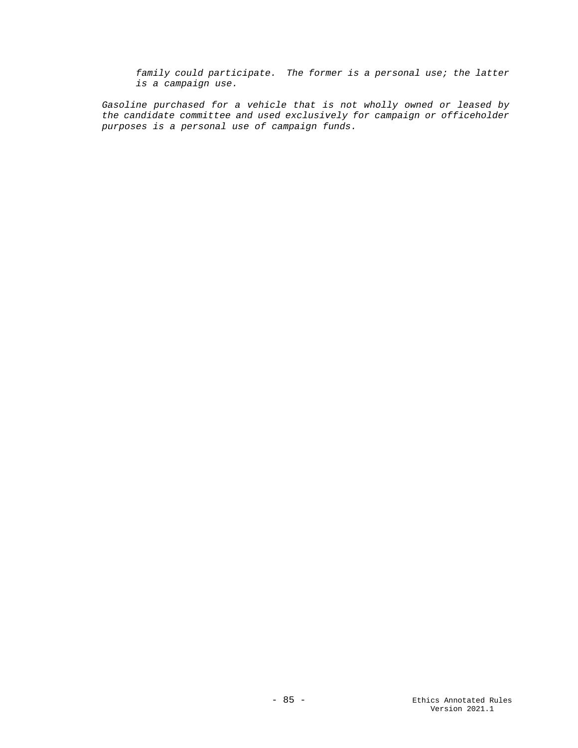*family could participate. The former is a personal use; the latter is a campaign use.*

*Gasoline purchased for a vehicle that is not wholly owned or leased by the candidate committee and used exclusively for campaign or officeholder purposes is a personal use of campaign funds.*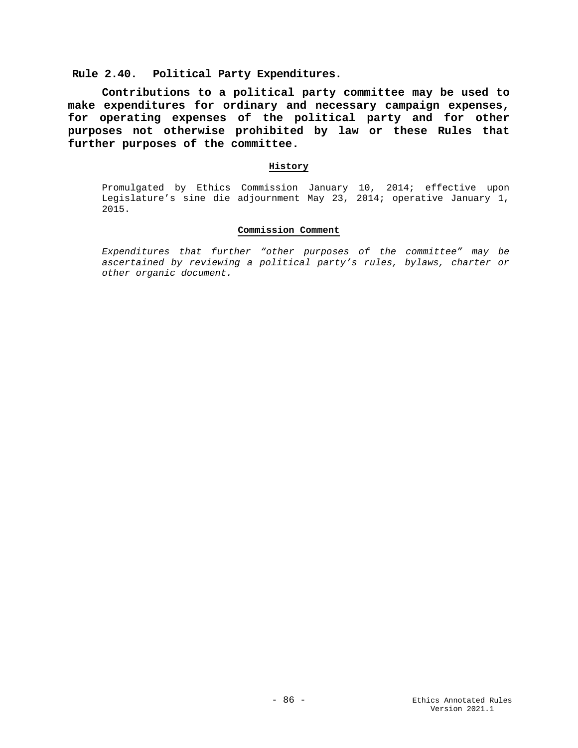**Rule 2.40. Political Party Expenditures.**

**Contributions to a political party committee may be used to make expenditures for ordinary and necessary campaign expenses, for operating expenses of the political party and for other purposes not otherwise prohibited by law or these Rules that further purposes of the committee.**

# **History**

Promulgated by Ethics Commission January 10, 2014; effective upon Legislature's sine die adjournment May 23, 2014; operative January 1, 2015.

## **Commission Comment**

*Expenditures that further "other purposes of the committee" may be ascertained by reviewing a political party's rules, bylaws, charter or other organic document.*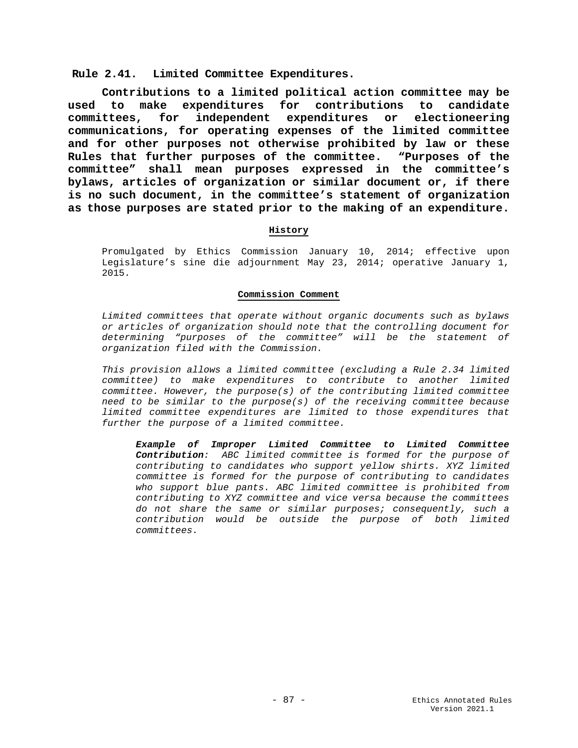**Rule 2.41. Limited Committee Expenditures.**

**Contributions to a limited political action committee may be used to make expenditures for contributions to candidate committees, for independent expenditures or electioneering communications, for operating expenses of the limited committee and for other purposes not otherwise prohibited by law or these Rules that further purposes of the committee. "Purposes of the committee" shall mean purposes expressed in the committee's bylaws, articles of organization or similar document or, if there is no such document, in the committee's statement of organization as those purposes are stated prior to the making of an expenditure.**

## **History**

Promulgated by Ethics Commission January 10, 2014; effective upon Legislature's sine die adjournment May 23, 2014; operative January 1, 2015.

## **Commission Comment**

*Limited committees that operate without organic documents such as bylaws or articles of organization should note that the controlling document for determining "purposes of the committee" will be the statement of organization filed with the Commission.*

*This provision allows a limited committee (excluding a Rule 2.34 limited committee) to make expenditures to contribute to another limited committee. However, the purpose(s) of the contributing limited committee need to be similar to the purpose(s) of the receiving committee because limited committee expenditures are limited to those expenditures that further the purpose of a limited committee.* 

*Example of Improper Limited Committee to Limited Committee Contribution: ABC limited committee is formed for the purpose of contributing to candidates who support yellow shirts. XYZ limited committee is formed for the purpose of contributing to candidates who support blue pants. ABC limited committee is prohibited from contributing to XYZ committee and vice versa because the committees do not share the same or similar purposes; consequently, such a contribution would be outside the purpose of both limited committees.*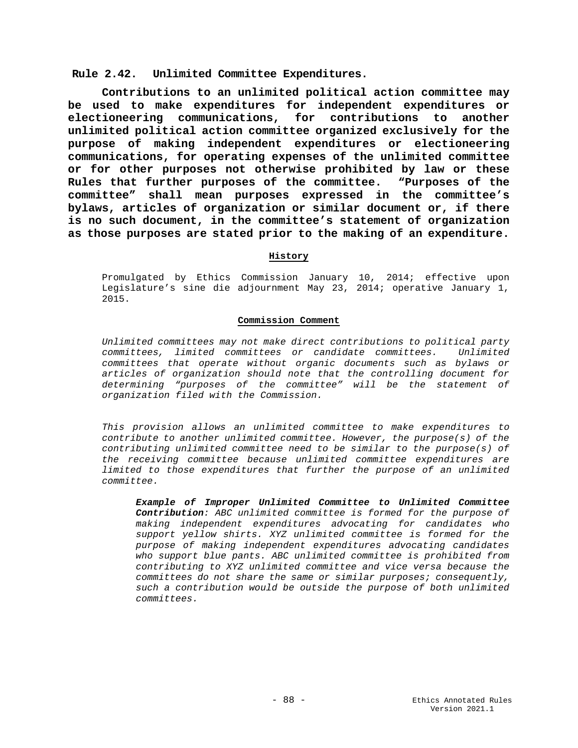**Rule 2.42. Unlimited Committee Expenditures.**

**Contributions to an unlimited political action committee may be used to make expenditures for independent expenditures or electioneering communications, for contributions to another unlimited political action committee organized exclusively for the purpose of making independent expenditures or electioneering communications, for operating expenses of the unlimited committee or for other purposes not otherwise prohibited by law or these Rules that further purposes of the committee. "Purposes of the committee" shall mean purposes expressed in the committee's bylaws, articles of organization or similar document or, if there is no such document, in the committee's statement of organization as those purposes are stated prior to the making of an expenditure.**

## **History**

Promulgated by Ethics Commission January 10, 2014; effective upon Legislature's sine die adjournment May 23, 2014; operative January 1, 2015.

## **Commission Comment**

*Unlimited committees may not make direct contributions to political party committees, limited committees or candidate committees. Unlimited committees that operate without organic documents such as bylaws or articles of organization should note that the controlling document for determining "purposes of the committee" will be the statement of organization filed with the Commission.*

*This provision allows an unlimited committee to make expenditures to contribute to another unlimited committee. However, the purpose(s) of the contributing unlimited committee need to be similar to the purpose(s) of the receiving committee because unlimited committee expenditures are limited to those expenditures that further the purpose of an unlimited committee.* 

*Example of Improper Unlimited Committee to Unlimited Committee Contribution: ABC unlimited committee is formed for the purpose of making independent expenditures advocating for candidates who support yellow shirts. XYZ unlimited committee is formed for the purpose of making independent expenditures advocating candidates who support blue pants. ABC unlimited committee is prohibited from contributing to XYZ unlimited committee and vice versa because the committees do not share the same or similar purposes; consequently, such a contribution would be outside the purpose of both unlimited committees.*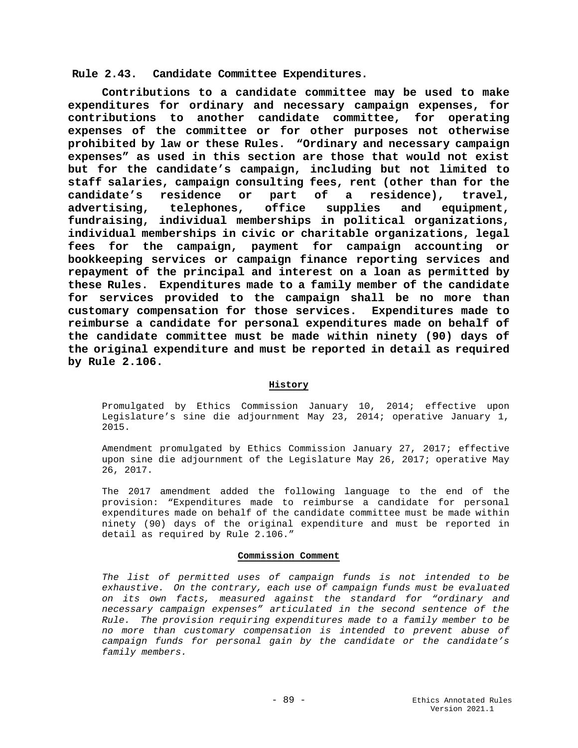**Rule 2.43. Candidate Committee Expenditures.**

**Contributions to a candidate committee may be used to make expenditures for ordinary and necessary campaign expenses, for contributions to another candidate committee, for operating expenses of the committee or for other purposes not otherwise prohibited by law or these Rules. "Ordinary and necessary campaign expenses" as used in this section are those that would not exist but for the candidate's campaign, including but not limited to staff salaries, campaign consulting fees, rent (other than for the candidate's residence or part of a residence), travel, advertising, telephones, office supplies and equipment, fundraising, individual memberships in political organizations, individual memberships in civic or charitable organizations, legal fees for the campaign, payment for campaign accounting or bookkeeping services or campaign finance reporting services and repayment of the principal and interest on a loan as permitted by these Rules. Expenditures made to a family member of the candidate for services provided to the campaign shall be no more than customary compensation for those services. Expenditures made to reimburse a candidate for personal expenditures made on behalf of the candidate committee must be made within ninety (90) days of the original expenditure and must be reported in detail as required by Rule 2.106.** 

## **History**

Promulgated by Ethics Commission January 10, 2014; effective upon Legislature's sine die adjournment May 23, 2014; operative January 1, 2015.

Amendment promulgated by Ethics Commission January 27, 2017; effective upon sine die adjournment of the Legislature May 26, 2017; operative May 26, 2017.

The 2017 amendment added the following language to the end of the provision: "Expenditures made to reimburse a candidate for personal expenditures made on behalf of the candidate committee must be made within ninety (90) days of the original expenditure and must be reported in detail as required by Rule 2.106."

## **Commission Comment**

*The list of permitted uses of campaign funds is not intended to be exhaustive. On the contrary, each use of campaign funds must be evaluated on its own facts, measured against the standard for "ordinary and necessary campaign expenses" articulated in the second sentence of the Rule. The provision requiring expenditures made to a family member to be no more than customary compensation is intended to prevent abuse of campaign funds for personal gain by the candidate or the candidate's family members.*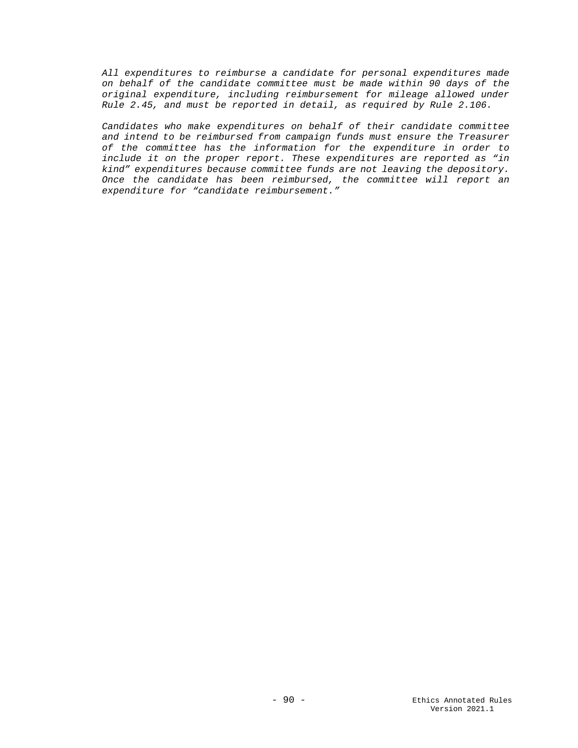*All expenditures to reimburse a candidate for personal expenditures made on behalf of the candidate committee must be made within 90 days of the original expenditure, including reimbursement for mileage allowed under Rule 2.45, and must be reported in detail, as required by Rule 2.106.*

*Candidates who make expenditures on behalf of their candidate committee and intend to be reimbursed from campaign funds must ensure the Treasurer of the committee has the information for the expenditure in order to include it on the proper report. These expenditures are reported as "in kind" expenditures because committee funds are not leaving the depository. Once the candidate has been reimbursed, the committee will report an expenditure for "candidate reimbursement."*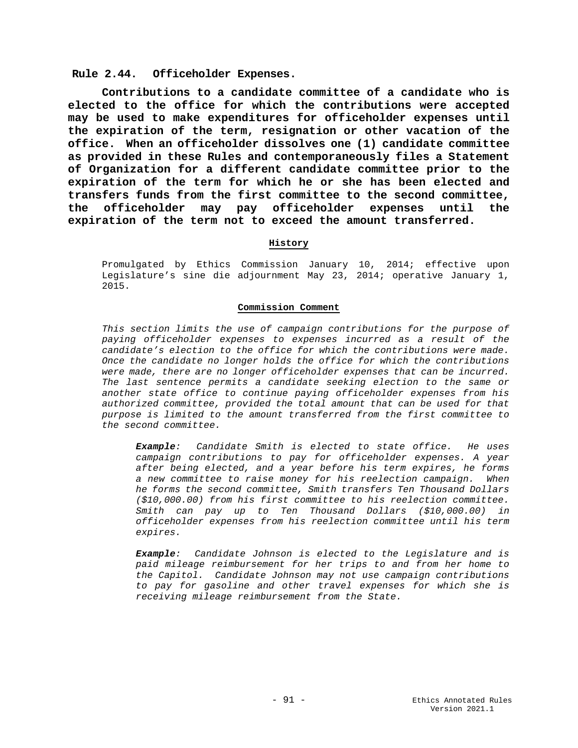### **Rule 2.44. Officeholder Expenses.**

**Contributions to a candidate committee of a candidate who is elected to the office for which the contributions were accepted may be used to make expenditures for officeholder expenses until the expiration of the term, resignation or other vacation of the office. When an officeholder dissolves one (1) candidate committee as provided in these Rules and contemporaneously files a Statement of Organization for a different candidate committee prior to the expiration of the term for which he or she has been elected and transfers funds from the first committee to the second committee, the officeholder may pay officeholder expenses until the expiration of the term not to exceed the amount transferred.** 

#### **History**

Promulgated by Ethics Commission January 10, 2014; effective upon Legislature's sine die adjournment May 23, 2014; operative January 1, 2015.

#### **Commission Comment**

*This section limits the use of campaign contributions for the purpose of paying officeholder expenses to expenses incurred as a result of the candidate's election to the office for which the contributions were made. Once the candidate no longer holds the office for which the contributions were made, there are no longer officeholder expenses that can be incurred. The last sentence permits a candidate seeking election to the same or another state office to continue paying officeholder expenses from his authorized committee, provided the total amount that can be used for that purpose is limited to the amount transferred from the first committee to the second committee.*

*Example: Candidate Smith is elected to state office. He uses campaign contributions to pay for officeholder expenses. A year after being elected, and a year before his term expires, he forms a new committee to raise money for his reelection campaign. When he forms the second committee, Smith transfers Ten Thousand Dollars (\$10,000.00) from his first committee to his reelection committee. Smith can pay up to Ten Thousand Dollars (\$10,000.00) in officeholder expenses from his reelection committee until his term expires.*

*Example: Candidate Johnson is elected to the Legislature and is paid mileage reimbursement for her trips to and from her home to the Capitol. Candidate Johnson may not use campaign contributions to pay for gasoline and other travel expenses for which she is receiving mileage reimbursement from the State.*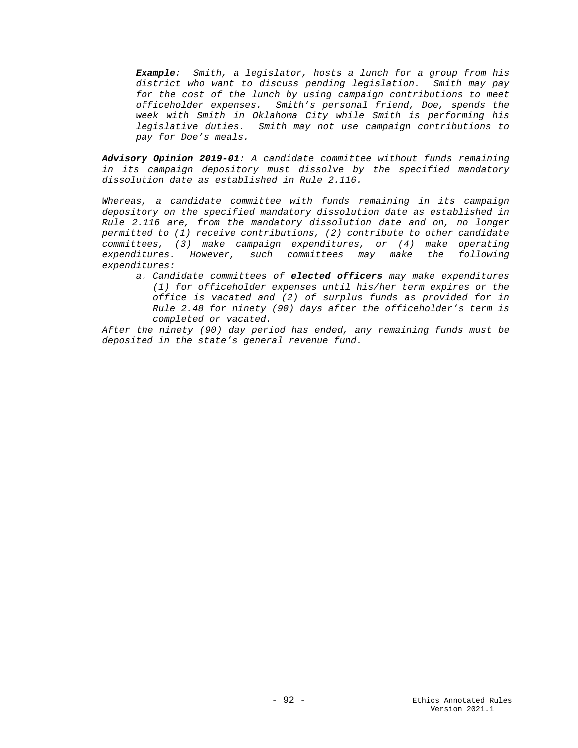*Example: Smith, a legislator, hosts a lunch for a group from his district who want to discuss pending legislation. Smith may pay for the cost of the lunch by using campaign contributions to meet officeholder expenses. Smith's personal friend, Doe, spends the week with Smith in Oklahoma City while Smith is performing his legislative duties. Smith may not use campaign contributions to pay for Doe's meals.* 

*Advisory Opinion 2019-01: A candidate committee without funds remaining in its campaign depository must dissolve by the specified mandatory dissolution date as established in Rule 2.116.* 

*Whereas, a candidate committee with funds remaining in its campaign depository on the specified mandatory dissolution date as established in Rule 2.116 are, from the mandatory dissolution date and on, no longer permitted to (1) receive contributions, (2) contribute to other candidate committees, (3) make campaign expenditures, or (4) make operating expenditures. However, such committees may make the following expenditures:* 

*a. Candidate committees of elected officers may make expenditures (1) for officeholder expenses until his/her term expires or the office is vacated and (2) of surplus funds as provided for in Rule 2.48 for ninety (90) days after the officeholder's term is completed or vacated.*

*After the ninety (90) day period has ended, any remaining funds must be deposited in the state's general revenue fund.*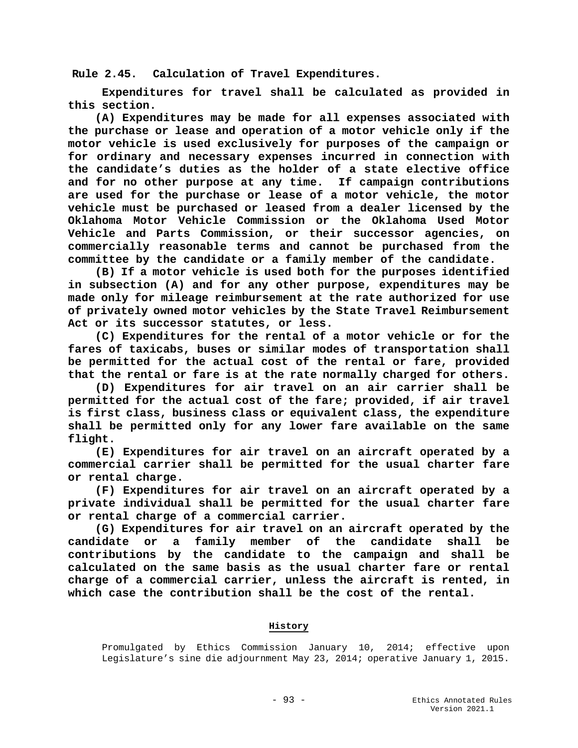**Rule 2.45. Calculation of Travel Expenditures.**

**Expenditures for travel shall be calculated as provided in this section.**

 **(A) Expenditures may be made for all expenses associated with the purchase or lease and operation of a motor vehicle only if the motor vehicle is used exclusively for purposes of the campaign or for ordinary and necessary expenses incurred in connection with the candidate's duties as the holder of a state elective office and for no other purpose at any time. If campaign contributions are used for the purchase or lease of a motor vehicle, the motor vehicle must be purchased or leased from a dealer licensed by the Oklahoma Motor Vehicle Commission or the Oklahoma Used Motor Vehicle and Parts Commission, or their successor agencies, on commercially reasonable terms and cannot be purchased from the committee by the candidate or a family member of the candidate.**

 **(B) If a motor vehicle is used both for the purposes identified in subsection (A) and for any other purpose, expenditures may be made only for mileage reimbursement at the rate authorized for use of privately owned motor vehicles by the State Travel Reimbursement Act or its successor statutes, or less.** 

 **(C) Expenditures for the rental of a motor vehicle or for the fares of taxicabs, buses or similar modes of transportation shall be permitted for the actual cost of the rental or fare, provided that the rental or fare is at the rate normally charged for others.**

 **(D) Expenditures for air travel on an air carrier shall be permitted for the actual cost of the fare; provided, if air travel is first class, business class or equivalent class, the expenditure shall be permitted only for any lower fare available on the same flight.**

 **(E) Expenditures for air travel on an aircraft operated by a commercial carrier shall be permitted for the usual charter fare or rental charge.**

 **(F) Expenditures for air travel on an aircraft operated by a private individual shall be permitted for the usual charter fare or rental charge of a commercial carrier.** 

 **(G) Expenditures for air travel on an aircraft operated by the candidate or a family member of the candidate shall be contributions by the candidate to the campaign and shall be calculated on the same basis as the usual charter fare or rental charge of a commercial carrier, unless the aircraft is rented, in which case the contribution shall be the cost of the rental.** 

# **History**

Promulgated by Ethics Commission January 10, 2014; effective upon Legislature's sine die adjournment May 23, 2014; operative January 1, 2015.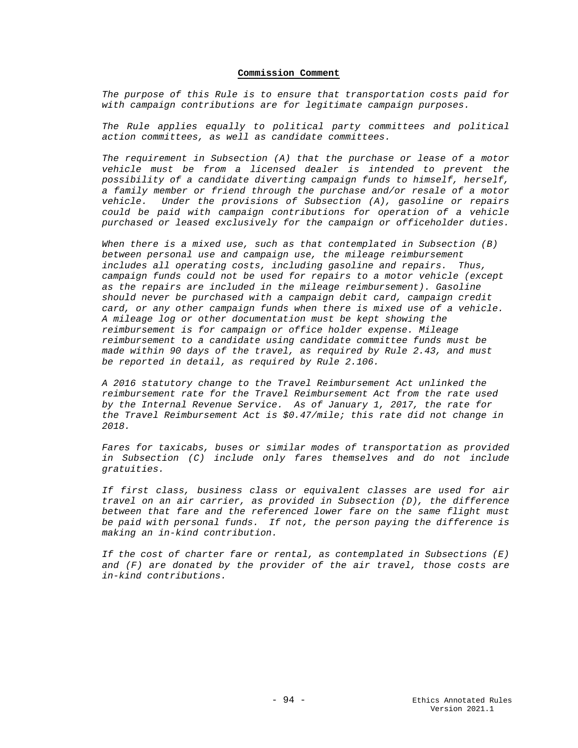#### **Commission Comment**

*The purpose of this Rule is to ensure that transportation costs paid for with campaign contributions are for legitimate campaign purposes.* 

*The Rule applies equally to political party committees and political action committees, as well as candidate committees.* 

*The requirement in Subsection (A) that the purchase or lease of a motor vehicle must be from a licensed dealer is intended to prevent the possibility of a candidate diverting campaign funds to himself, herself, a family member or friend through the purchase and/or resale of a motor vehicle. Under the provisions of Subsection (A), gasoline or repairs could be paid with campaign contributions for operation of a vehicle purchased or leased exclusively for the campaign or officeholder duties.* 

*When there is a mixed use, such as that contemplated in Subsection (B) between personal use and campaign use, the mileage reimbursement includes all operating costs, including gasoline and repairs. Thus, campaign funds could not be used for repairs to a motor vehicle (except as the repairs are included in the mileage reimbursement). Gasoline should never be purchased with a campaign debit card, campaign credit card, or any other campaign funds when there is mixed use of a vehicle. A mileage log or other documentation must be kept showing the reimbursement is for campaign or office holder expense. Mileage reimbursement to a candidate using candidate committee funds must be made within 90 days of the travel, as required by Rule 2.43, and must be reported in detail, as required by Rule 2.106.*

*A 2016 statutory change to the Travel Reimbursement Act unlinked the reimbursement rate for the Travel Reimbursement Act from the rate used by the Internal Revenue Service. As of January 1, 2017, the rate for the Travel Reimbursement Act is \$0.47/mile; this rate did not change in 2018.*

*Fares for taxicabs, buses or similar modes of transportation as provided in Subsection (C) include only fares themselves and do not include gratuities.* 

*If first class, business class or equivalent classes are used for air travel on an air carrier, as provided in Subsection (D), the difference between that fare and the referenced lower fare on the same flight must be paid with personal funds. If not, the person paying the difference is making an in-kind contribution.*

*If the cost of charter fare or rental, as contemplated in Subsections (E) and (F) are donated by the provider of the air travel, those costs are in-kind contributions.*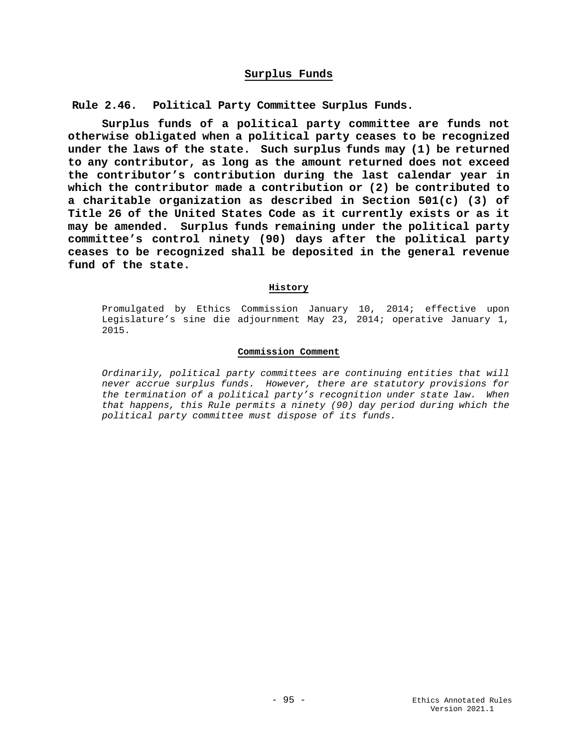# **Surplus Funds**

**Rule 2.46. Political Party Committee Surplus Funds.**

**Surplus funds of a political party committee are funds not otherwise obligated when a political party ceases to be recognized under the laws of the state. Such surplus funds may (1) be returned to any contributor, as long as the amount returned does not exceed the contributor's contribution during the last calendar year in which the contributor made a contribution or (2) be contributed to a charitable organization as described in Section 501(c) (3) of Title 26 of the United States Code as it currently exists or as it may be amended. Surplus funds remaining under the political party committee's control ninety (90) days after the political party ceases to be recognized shall be deposited in the general revenue fund of the state.**

#### **History**

Promulgated by Ethics Commission January 10, 2014; effective upon Legislature's sine die adjournment May 23, 2014; operative January 1, 2015.

#### **Commission Comment**

*Ordinarily, political party committees are continuing entities that will never accrue surplus funds. However, there are statutory provisions for the termination of a political party's recognition under state law. When that happens, this Rule permits a ninety (90) day period during which the political party committee must dispose of its funds.*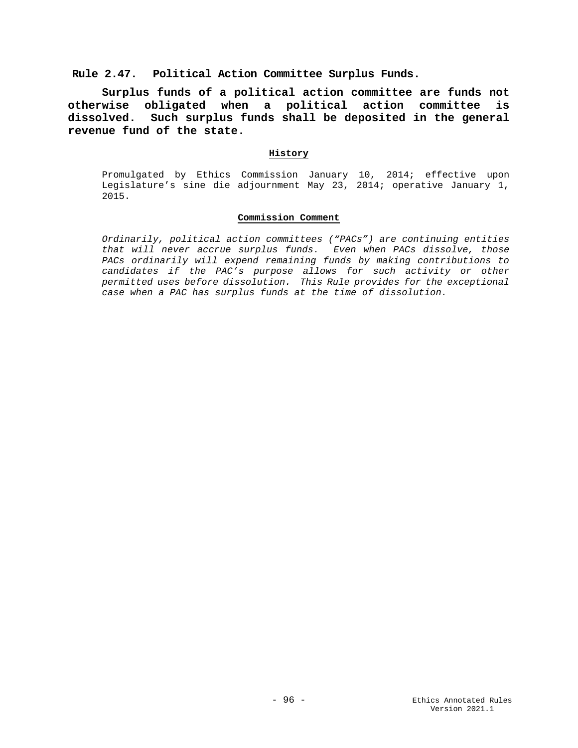**Rule 2.47. Political Action Committee Surplus Funds.**

**Surplus funds of a political action committee are funds not otherwise obligated when a political action committee is dissolved. Such surplus funds shall be deposited in the general revenue fund of the state.**

#### **History**

Promulgated by Ethics Commission January 10, 2014; effective upon Legislature's sine die adjournment May 23, 2014; operative January 1, 2015.

# **Commission Comment**

*Ordinarily, political action committees ("PACs") are continuing entities that will never accrue surplus funds. Even when PACs dissolve, those PACs ordinarily will expend remaining funds by making contributions to candidates if the PAC's purpose allows for such activity or other permitted uses before dissolution. This Rule provides for the exceptional case when a PAC has surplus funds at the time of dissolution.*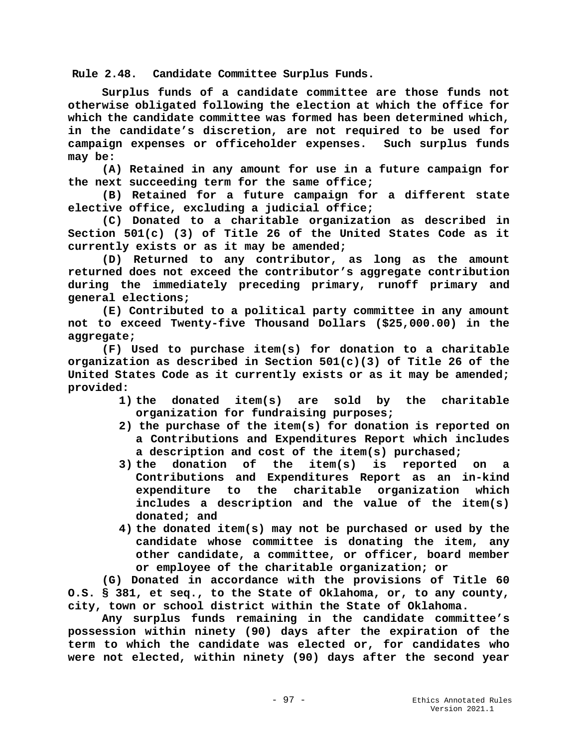**Rule 2.48. Candidate Committee Surplus Funds.**

**Surplus funds of a candidate committee are those funds not otherwise obligated following the election at which the office for which the candidate committee was formed has been determined which, in the candidate's discretion, are not required to be used for campaign expenses or officeholder expenses. Such surplus funds may be:**

**(A) Retained in any amount for use in a future campaign for the next succeeding term for the same office;**

 **(B) Retained for a future campaign for a different state elective office, excluding a judicial office;**

 **(C) Donated to a charitable organization as described in Section 501(c) (3) of Title 26 of the United States Code as it currently exists or as it may be amended;**

 **(D) Returned to any contributor, as long as the amount returned does not exceed the contributor's aggregate contribution during the immediately preceding primary, runoff primary and general elections;**

 **(E) Contributed to a political party committee in any amount not to exceed Twenty-five Thousand Dollars (\$25,000.00) in the aggregate;**

**(F) Used to purchase item(s) for donation to a charitable organization as described in Section 501(c)(3) of Title 26 of the United States Code as it currently exists or as it may be amended; provided:**

- **1) the donated item(s) are sold by the charitable organization for fundraising purposes;**
- **2) the purchase of the item(s) for donation is reported on a Contributions and Expenditures Report which includes a description and cost of the item(s) purchased;**
- **3) the donation of the item(s) is reported on a Contributions and Expenditures Report as an in-kind expenditure to the charitable organization which includes a description and the value of the item(s) donated; and**
- **4) the donated item(s) may not be purchased or used by the candidate whose committee is donating the item, any other candidate, a committee, or officer, board member or employee of the charitable organization; or**

**(G) Donated in accordance with the provisions of Title 60 O.S. § 381, et seq., to the State of Oklahoma, or, to any county, city, town or school district within the State of Oklahoma.**

**Any surplus funds remaining in the candidate committee's possession within ninety (90) days after the expiration of the term to which the candidate was elected or, for candidates who were not elected, within ninety (90) days after the second year**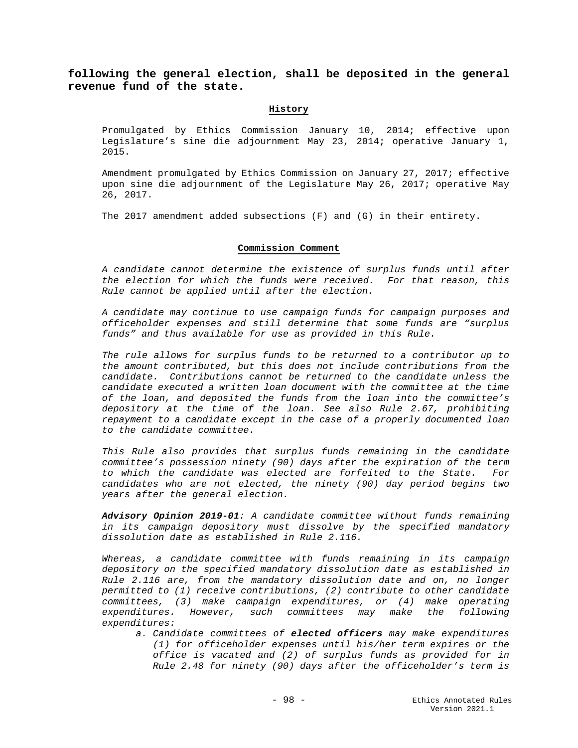**following the general election, shall be deposited in the general revenue fund of the state.**

#### **History**

Promulgated by Ethics Commission January 10, 2014; effective upon Legislature's sine die adjournment May 23, 2014; operative January 1, 2015.

Amendment promulgated by Ethics Commission on January 27, 2017; effective upon sine die adjournment of the Legislature May 26, 2017; operative May 26, 2017.

The 2017 amendment added subsections (F) and (G) in their entirety.

#### **Commission Comment**

*A candidate cannot determine the existence of surplus funds until after the election for which the funds were received. For that reason, this Rule cannot be applied until after the election.* 

*A candidate may continue to use campaign funds for campaign purposes and officeholder expenses and still determine that some funds are "surplus funds" and thus available for use as provided in this Rule.*

*The rule allows for surplus funds to be returned to a contributor up to the amount contributed, but this does not include contributions from the candidate. Contributions cannot be returned to the candidate unless the candidate executed a written loan document with the committee at the time of the loan, and deposited the funds from the loan into the committee's depository at the time of the loan. See also Rule 2.67, prohibiting repayment to a candidate except in the case of a properly documented loan to the candidate committee.*

*This Rule also provides that surplus funds remaining in the candidate committee's possession ninety (90) days after the expiration of the term to which the candidate was elected are forfeited to the State. For candidates who are not elected, the ninety (90) day period begins two years after the general election.*

*Advisory Opinion 2019-01: A candidate committee without funds remaining in its campaign depository must dissolve by the specified mandatory dissolution date as established in Rule 2.116.* 

*Whereas, a candidate committee with funds remaining in its campaign depository on the specified mandatory dissolution date as established in Rule 2.116 are, from the mandatory dissolution date and on, no longer permitted to (1) receive contributions, (2) contribute to other candidate committees, (3) make campaign expenditures, or (4) make operating expenditures. However, such committees may make the following expenditures:* 

*a. Candidate committees of elected officers may make expenditures (1) for officeholder expenses until his/her term expires or the office is vacated and (2) of surplus funds as provided for in Rule 2.48 for ninety (90) days after the officeholder's term is*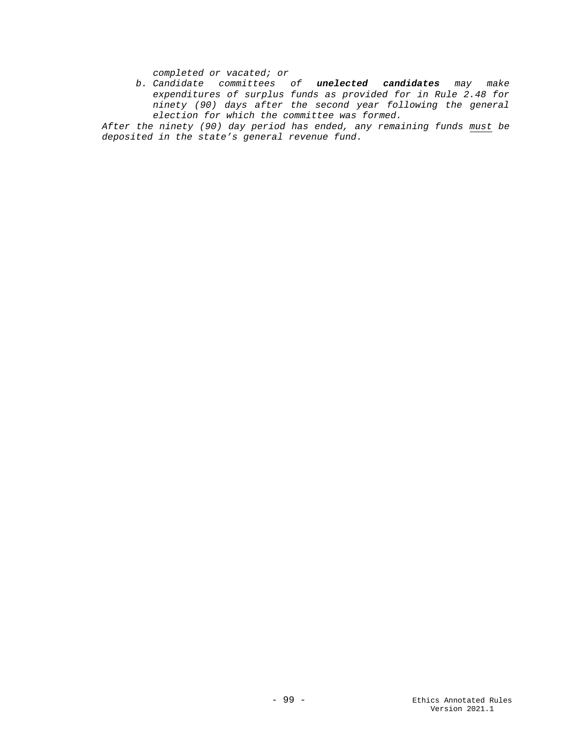*completed or vacated; or*

*b. Candidate committees of unelected candidates may make expenditures of surplus funds as provided for in Rule 2.48 for ninety (90) days after the second year following the general election for which the committee was formed.*

*After the ninety (90) day period has ended, any remaining funds must be deposited in the state's general revenue fund.*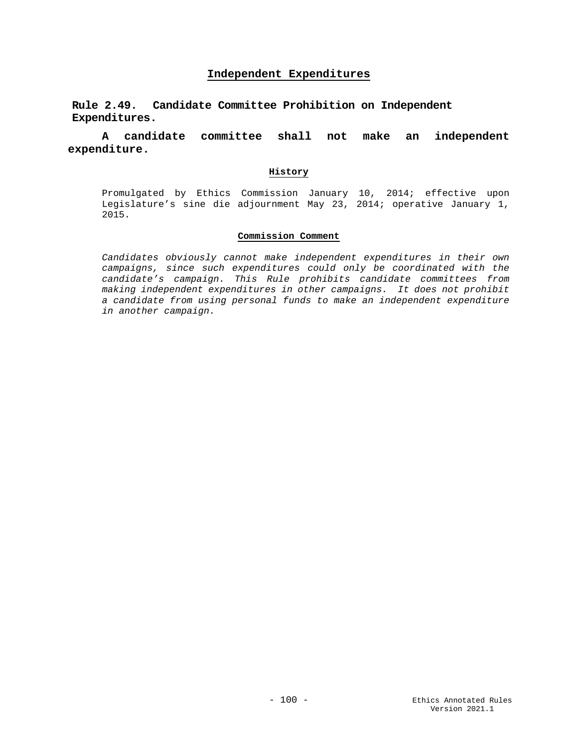# **Independent Expenditures**

**Rule 2.49. Candidate Committee Prohibition on Independent Expenditures.**

# **A candidate committee shall not make an independent expenditure.**

# **History**

Promulgated by Ethics Commission January 10, 2014; effective upon Legislature's sine die adjournment May 23, 2014; operative January 1, 2015.

### **Commission Comment**

*Candidates obviously cannot make independent expenditures in their own campaigns, since such expenditures could only be coordinated with the candidate's campaign. This Rule prohibits candidate committees from making independent expenditures in other campaigns. It does not prohibit a candidate from using personal funds to make an independent expenditure in another campaign.*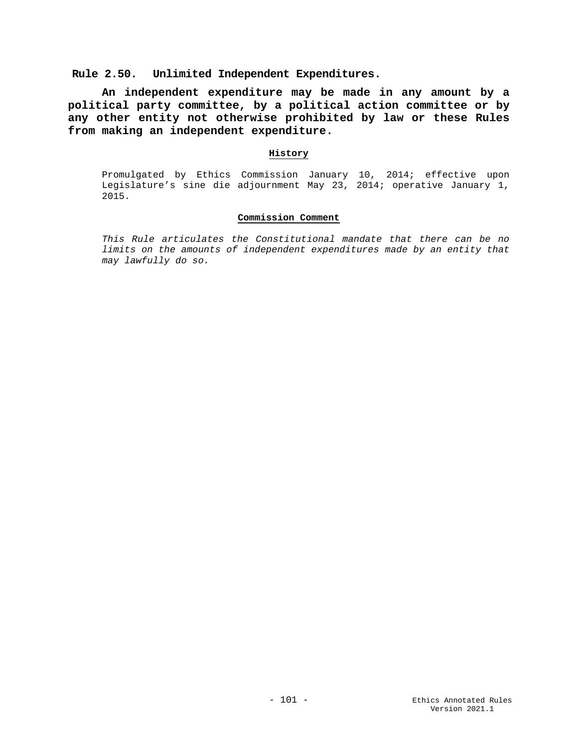**Rule 2.50. Unlimited Independent Expenditures.**

**An independent expenditure may be made in any amount by a political party committee, by a political action committee or by any other entity not otherwise prohibited by law or these Rules from making an independent expenditure.**

## **History**

Promulgated by Ethics Commission January 10, 2014; effective upon Legislature's sine die adjournment May 23, 2014; operative January 1, 2015.

# **Commission Comment**

*This Rule articulates the Constitutional mandate that there can be no limits on the amounts of independent expenditures made by an entity that may lawfully do so.*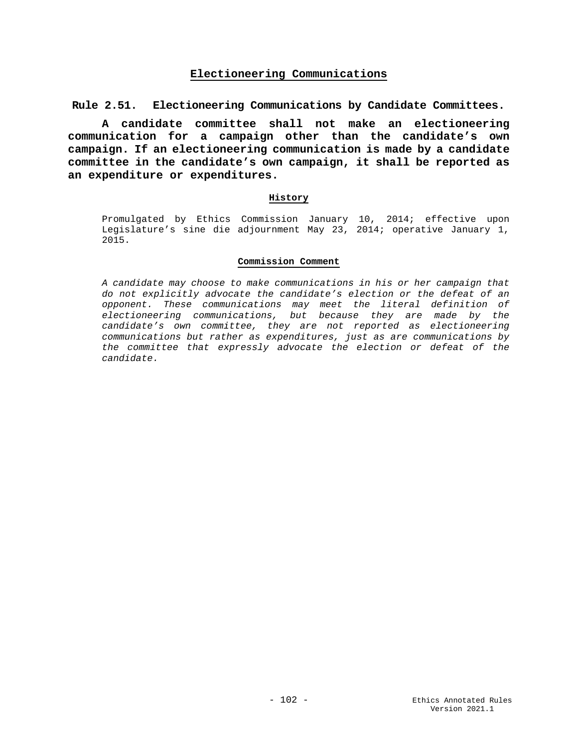# **Electioneering Communications**

**Rule 2.51. Electioneering Communications by Candidate Committees.**

**A candidate committee shall not make an electioneering communication for a campaign other than the candidate's own campaign. If an electioneering communication is made by a candidate committee in the candidate's own campaign, it shall be reported as an expenditure or expenditures.**

## **History**

Promulgated by Ethics Commission January 10, 2014; effective upon Legislature's sine die adjournment May 23, 2014; operative January 1, 2015.

#### **Commission Comment**

*A candidate may choose to make communications in his or her campaign that do not explicitly advocate the candidate's election or the defeat of an opponent. These communications may meet the literal definition of electioneering communications, but because they are made by the candidate's own committee, they are not reported as electioneering communications but rather as expenditures, just as are communications by the committee that expressly advocate the election or defeat of the candidate.*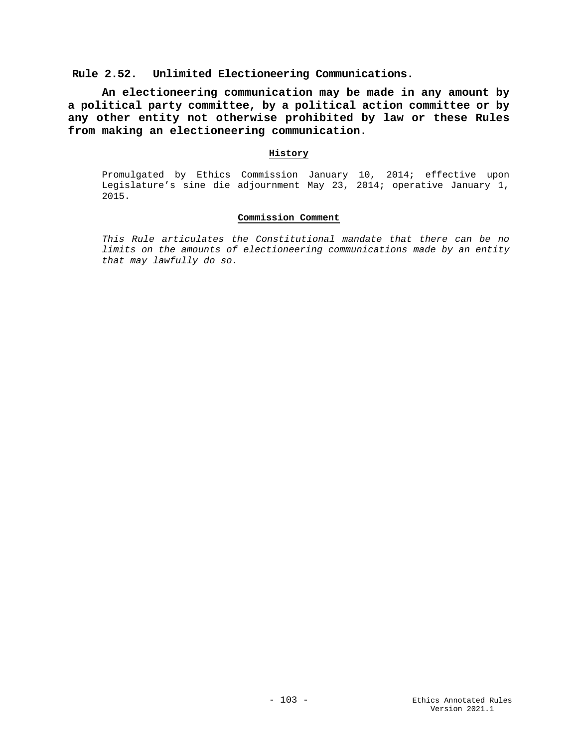# **Rule 2.52. Unlimited Electioneering Communications.**

**An electioneering communication may be made in any amount by a political party committee, by a political action committee or by any other entity not otherwise prohibited by law or these Rules from making an electioneering communication.**

## **History**

Promulgated by Ethics Commission January 10, 2014; effective upon Legislature's sine die adjournment May 23, 2014; operative January 1, 2015.

# **Commission Comment**

*This Rule articulates the Constitutional mandate that there can be no limits on the amounts of electioneering communications made by an entity that may lawfully do so.*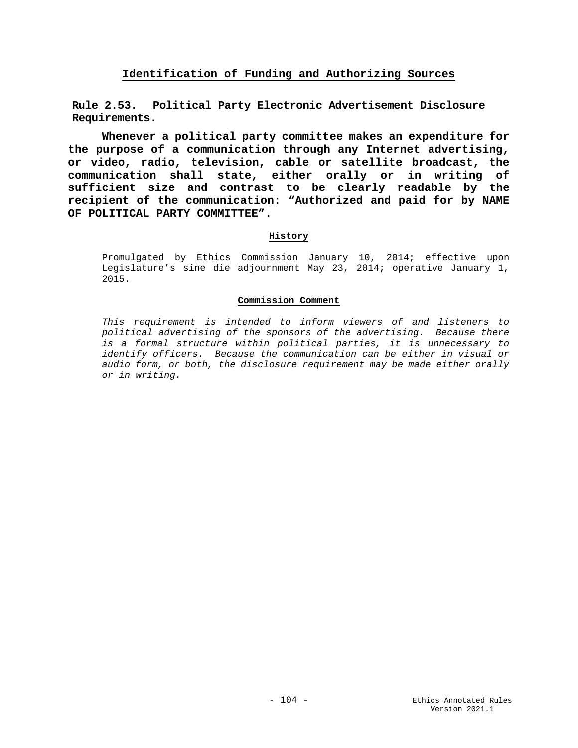# **Identification of Funding and Authorizing Sources**

**Rule 2.53. Political Party Electronic Advertisement Disclosure Requirements.**

**Whenever a political party committee makes an expenditure for the purpose of a communication through any Internet advertising, or video, radio, television, cable or satellite broadcast, the communication shall state, either orally or in writing of sufficient size and contrast to be clearly readable by the recipient of the communication: "Authorized and paid for by NAME OF POLITICAL PARTY COMMITTEE".**

# **History**

Promulgated by Ethics Commission January 10, 2014; effective upon Legislature's sine die adjournment May 23, 2014; operative January 1, 2015.

## **Commission Comment**

*This requirement is intended to inform viewers of and listeners to political advertising of the sponsors of the advertising. Because there is a formal structure within political parties, it is unnecessary to identify officers. Because the communication can be either in visual or audio form, or both, the disclosure requirement may be made either orally or in writing.*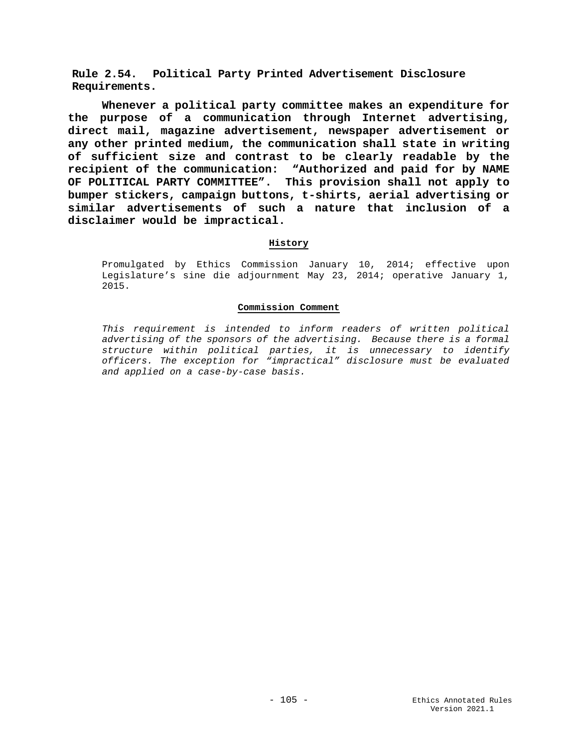**Rule 2.54. Political Party Printed Advertisement Disclosure Requirements.**

**Whenever a political party committee makes an expenditure for the purpose of a communication through Internet advertising, direct mail, magazine advertisement, newspaper advertisement or any other printed medium, the communication shall state in writing of sufficient size and contrast to be clearly readable by the recipient of the communication: "Authorized and paid for by NAME OF POLITICAL PARTY COMMITTEE". This provision shall not apply to bumper stickers, campaign buttons, t-shirts, aerial advertising or similar advertisements of such a nature that inclusion of a disclaimer would be impractical.** 

## **History**

Promulgated by Ethics Commission January 10, 2014; effective upon Legislature's sine die adjournment May 23, 2014; operative January 1, 2015.

#### **Commission Comment**

*This requirement is intended to inform readers of written political advertising of the sponsors of the advertising. Because there is a formal structure within political parties, it is unnecessary to identify officers. The exception for "impractical" disclosure must be evaluated and applied on a case-by-case basis.*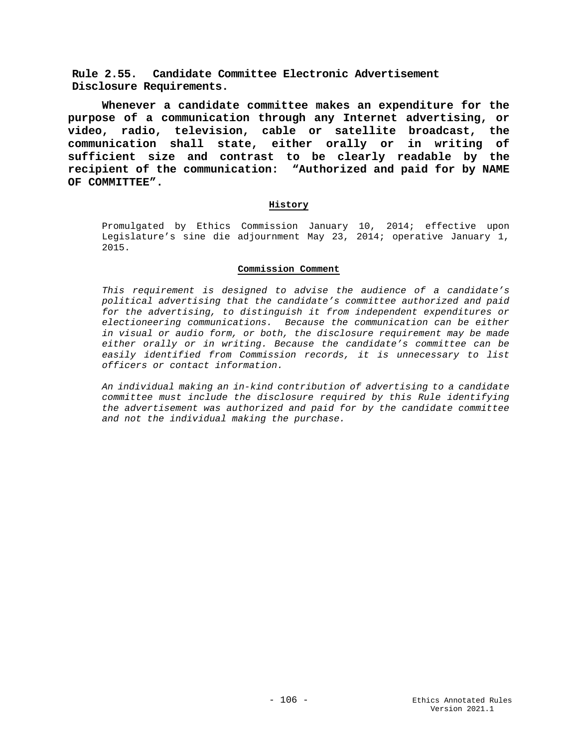**Rule 2.55. Candidate Committee Electronic Advertisement Disclosure Requirements.**

**Whenever a candidate committee makes an expenditure for the purpose of a communication through any Internet advertising, or video, radio, television, cable or satellite broadcast, the communication shall state, either orally or in writing of sufficient size and contrast to be clearly readable by the recipient of the communication: "Authorized and paid for by NAME OF COMMITTEE".**

# **History**

Promulgated by Ethics Commission January 10, 2014; effective upon Legislature's sine die adjournment May 23, 2014; operative January 1, 2015.

## **Commission Comment**

*This requirement is designed to advise the audience of a candidate's political advertising that the candidate's committee authorized and paid for the advertising, to distinguish it from independent expenditures or electioneering communications. Because the communication can be either in visual or audio form, or both, the disclosure requirement may be made either orally or in writing. Because the candidate's committee can be easily identified from Commission records, it is unnecessary to list officers or contact information.*

*An individual making an in-kind contribution of advertising to a candidate committee must include the disclosure required by this Rule identifying the advertisement was authorized and paid for by the candidate committee and not the individual making the purchase.*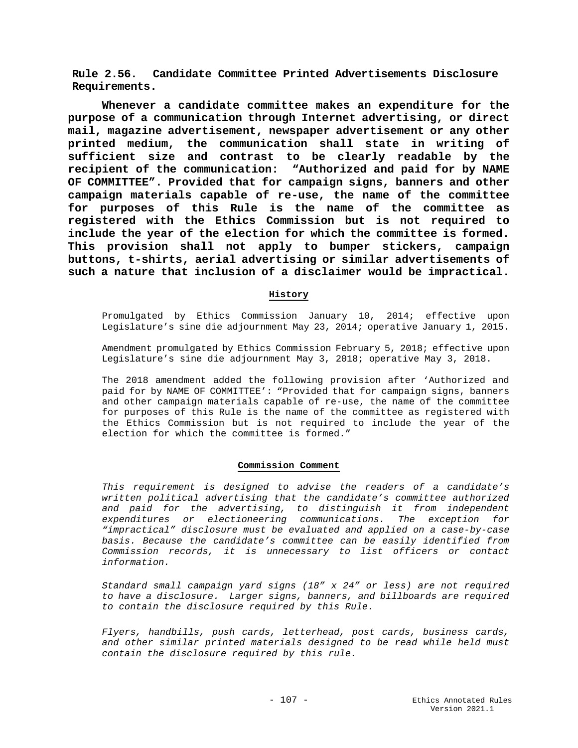**Rule 2.56. Candidate Committee Printed Advertisements Disclosure Requirements.**

**Whenever a candidate committee makes an expenditure for the purpose of a communication through Internet advertising, or direct mail, magazine advertisement, newspaper advertisement or any other printed medium, the communication shall state in writing of sufficient size and contrast to be clearly readable by the recipient of the communication: "Authorized and paid for by NAME OF COMMITTEE". Provided that for campaign signs, banners and other campaign materials capable of re-use, the name of the committee for purposes of this Rule is the name of the committee as registered with the Ethics Commission but is not required to include the year of the election for which the committee is formed. This provision shall not apply to bumper stickers, campaign buttons, t-shirts, aerial advertising or similar advertisements of such a nature that inclusion of a disclaimer would be impractical.** 

# **History**

Promulgated by Ethics Commission January 10, 2014; effective upon Legislature's sine die adjournment May 23, 2014; operative January 1, 2015.

Amendment promulgated by Ethics Commission February 5, 2018; effective upon Legislature's sine die adjournment May 3, 2018; operative May 3, 2018.

The 2018 amendment added the following provision after 'Authorized and paid for by NAME OF COMMITTEE': "Provided that for campaign signs, banners and other campaign materials capable of re-use, the name of the committee for purposes of this Rule is the name of the committee as registered with the Ethics Commission but is not required to include the year of the election for which the committee is formed."

#### **Commission Comment**

*This requirement is designed to advise the readers of a candidate's written political advertising that the candidate's committee authorized and paid for the advertising, to distinguish it from independent expenditures or electioneering communications. The exception for "impractical" disclosure must be evaluated and applied on a case-by-case basis. Because the candidate's committee can be easily identified from Commission records, it is unnecessary to list officers or contact information.*

*Standard small campaign yard signs (18" x 24" or less) are not required to have a disclosure. Larger signs, banners, and billboards are required to contain the disclosure required by this Rule.*

*Flyers, handbills, push cards, letterhead, post cards, business cards, and other similar printed materials designed to be read while held must contain the disclosure required by this rule.*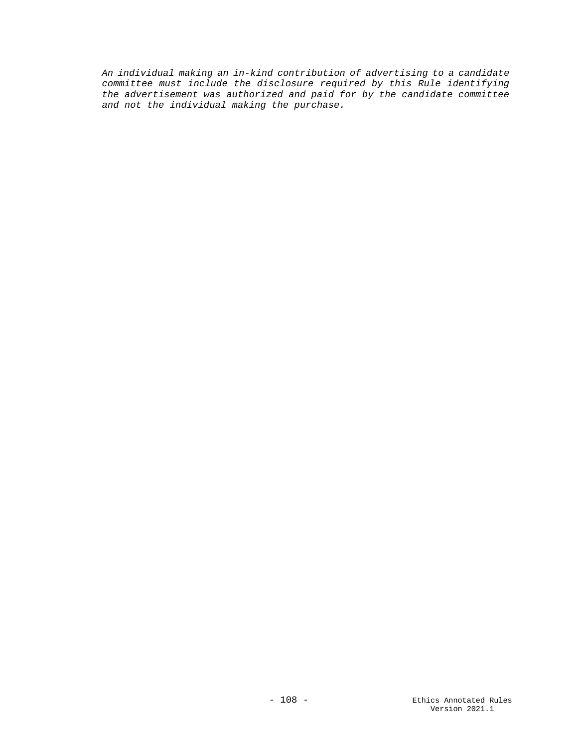*An individual making an in-kind contribution of advertising to a candidate committee must include the disclosure required by this Rule identifying the advertisement was authorized and paid for by the candidate committee and not the individual making the purchase.*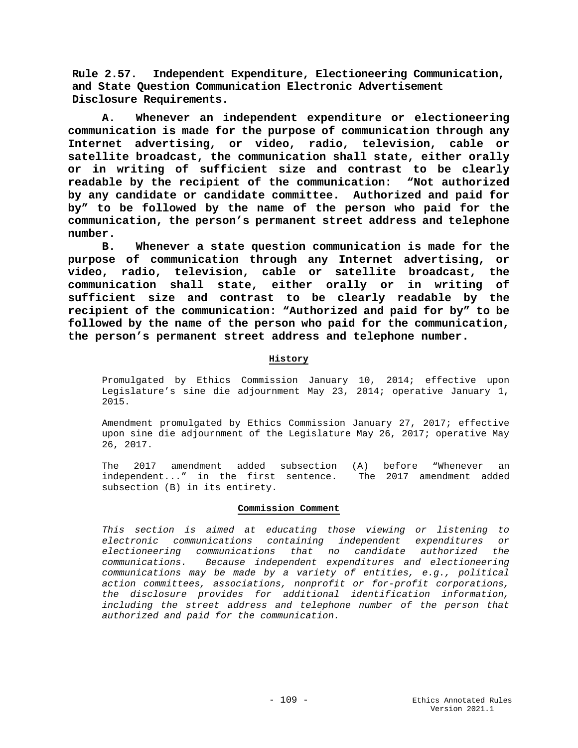**Rule 2.57. Independent Expenditure, Electioneering Communication, and State Question Communication Electronic Advertisement Disclosure Requirements.**

**A. Whenever an independent expenditure or electioneering communication is made for the purpose of communication through any Internet advertising, or video, radio, television, cable or satellite broadcast, the communication shall state, either orally or in writing of sufficient size and contrast to be clearly readable by the recipient of the communication: "Not authorized by any candidate or candidate committee. Authorized and paid for by" to be followed by the name of the person who paid for the communication, the person's permanent street address and telephone number.**

**B. Whenever a state question communication is made for the purpose of communication through any Internet advertising, or video, radio, television, cable or satellite broadcast, the communication shall state, either orally or in writing of sufficient size and contrast to be clearly readable by the recipient of the communication: "Authorized and paid for by" to be followed by the name of the person who paid for the communication, the person's permanent street address and telephone number.** 

# **History**

Promulgated by Ethics Commission January 10, 2014; effective upon Legislature's sine die adjournment May 23, 2014; operative January 1, 2015.

Amendment promulgated by Ethics Commission January 27, 2017; effective upon sine die adjournment of the Legislature May 26, 2017; operative May 26, 2017.

The 2017 amendment added subsection (A) before "Whenever an independent..." in the first sentence. The 2017 amendment added independent..." in the first sentence. subsection (B) in its entirety.

### **Commission Comment**

*This section is aimed at educating those viewing or listening to electronic communications containing independent expenditures or electioneering communications that no candidate authorized the communications. Because independent expenditures and electioneering communications may be made by a variety of entities, e.g., political action committees, associations, nonprofit or for-profit corporations, the disclosure provides for additional identification information, including the street address and telephone number of the person that authorized and paid for the communication.*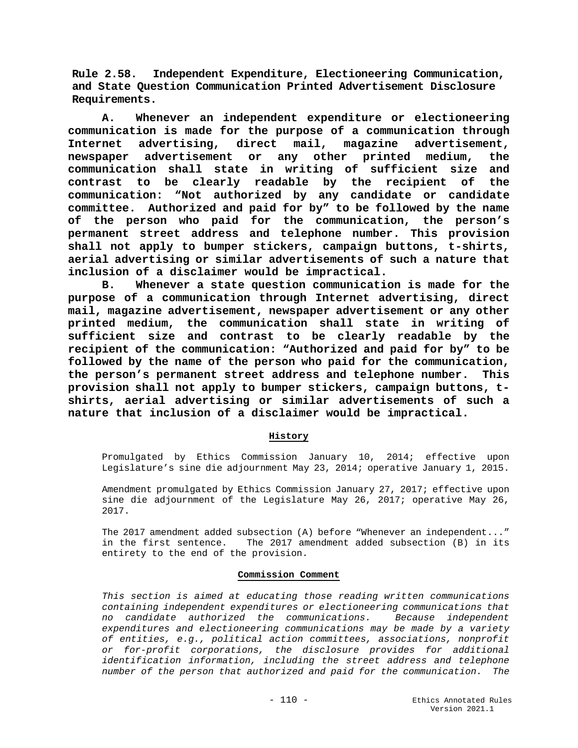**Rule 2.58. Independent Expenditure, Electioneering Communication, and State Question Communication Printed Advertisement Disclosure Requirements.**

**A. Whenever an independent expenditure or electioneering communication is made for the purpose of a communication through Internet advertising, direct mail, magazine advertisement, newspaper advertisement or any other printed medium, the communication shall state in writing of sufficient size and contrast to be clearly readable by the recipient of the communication: "Not authorized by any candidate or candidate committee. Authorized and paid for by" to be followed by the name of the person who paid for the communication, the person's permanent street address and telephone number. This provision shall not apply to bumper stickers, campaign buttons, t-shirts, aerial advertising or similar advertisements of such a nature that inclusion of a disclaimer would be impractical.**

**B. Whenever a state question communication is made for the purpose of a communication through Internet advertising, direct mail, magazine advertisement, newspaper advertisement or any other printed medium, the communication shall state in writing of sufficient size and contrast to be clearly readable by the recipient of the communication: "Authorized and paid for by" to be followed by the name of the person who paid for the communication, the person's permanent street address and telephone number. This provision shall not apply to bumper stickers, campaign buttons, tshirts, aerial advertising or similar advertisements of such a nature that inclusion of a disclaimer would be impractical.**

# **History**

Promulgated by Ethics Commission January 10, 2014; effective upon Legislature's sine die adjournment May 23, 2014; operative January 1, 2015.

Amendment promulgated by Ethics Commission January 27, 2017; effective upon sine die adjournment of the Legislature May 26, 2017; operative May 26, 2017.

The 2017 amendment added subsection (A) before "Whenever an independent..." in the first sentence. The 2017 amendment added subsection (B) in its entirety to the end of the provision.

### **Commission Comment**

*This section is aimed at educating those reading written communications containing independent expenditures or electioneering communications that no candidate authorized the communications. Because independent expenditures and electioneering communications may be made by a variety of entities, e.g., political action committees, associations, nonprofit or for-profit corporations, the disclosure provides for additional identification information, including the street address and telephone number of the person that authorized and paid for the communication. The*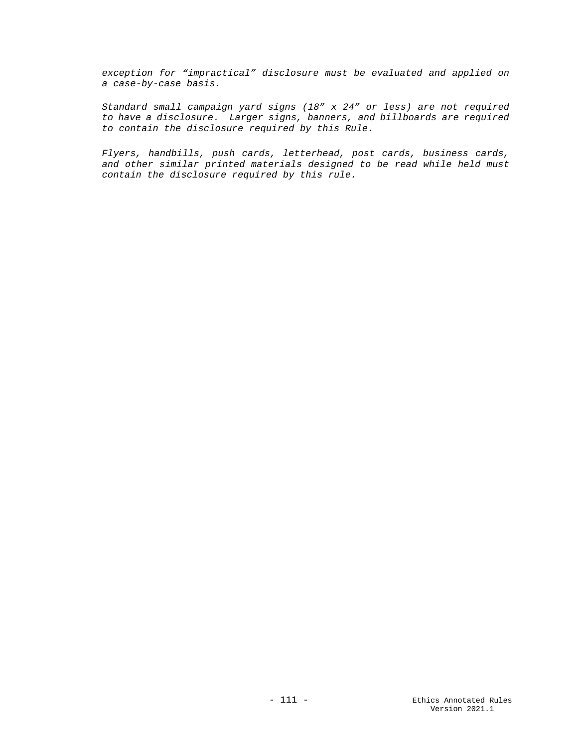*exception for "impractical" disclosure must be evaluated and applied on a case-by-case basis.*

*Standard small campaign yard signs (18" x 24" or less) are not required to have a disclosure. Larger signs, banners, and billboards are required to contain the disclosure required by this Rule.*

*Flyers, handbills, push cards, letterhead, post cards, business cards, and other similar printed materials designed to be read while held must contain the disclosure required by this rule.*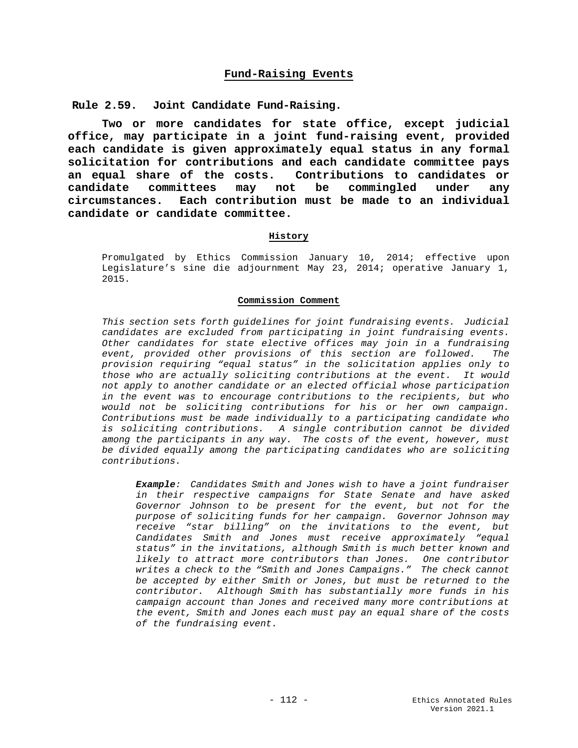# **Fund-Raising Events**

**Rule 2.59. Joint Candidate Fund-Raising.**

**Two or more candidates for state office, except judicial office, may participate in a joint fund-raising event, provided each candidate is given approximately equal status in any formal solicitation for contributions and each candidate committee pays an equal share of the costs. Contributions to candidates or**  committees may not **circumstances. Each contribution must be made to an individual candidate or candidate committee.** 

### **History**

Promulgated by Ethics Commission January 10, 2014; effective upon Legislature's sine die adjournment May 23, 2014; operative January 1, 2015.

#### **Commission Comment**

*This section sets forth guidelines for joint fundraising events. Judicial candidates are excluded from participating in joint fundraising events. Other candidates for state elective offices may join in a fundraising event, provided other provisions of this section are followed. The provision requiring "equal status" in the solicitation applies only to those who are actually soliciting contributions at the event. It would not apply to another candidate or an elected official whose participation in the event was to encourage contributions to the recipients, but who would not be soliciting contributions for his or her own campaign. Contributions must be made individually to a participating candidate who is soliciting contributions. A single contribution cannot be divided among the participants in any way. The costs of the event, however, must be divided equally among the participating candidates who are soliciting contributions.*

*Example: Candidates Smith and Jones wish to have a joint fundraiser in their respective campaigns for State Senate and have asked Governor Johnson to be present for the event, but not for the purpose of soliciting funds for her campaign. Governor Johnson may receive "star billing" on the invitations to the event, but Candidates Smith and Jones must receive approximately "equal status" in the invitations, although Smith is much better known and likely to attract more contributors than Jones. One contributor writes a check to the "Smith and Jones Campaigns." The check cannot be accepted by either Smith or Jones, but must be returned to the contributor. Although Smith has substantially more funds in his campaign account than Jones and received many more contributions at the event, Smith and Jones each must pay an equal share of the costs of the fundraising event.*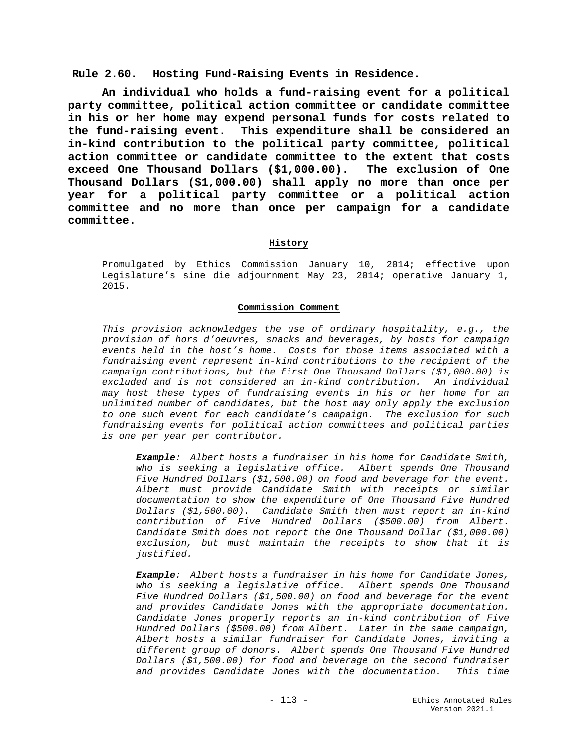**Rule 2.60. Hosting Fund-Raising Events in Residence.**

**An individual who holds a fund-raising event for a political party committee, political action committee or candidate committee in his or her home may expend personal funds for costs related to the fund-raising event. This expenditure shall be considered an in-kind contribution to the political party committee, political action committee or candidate committee to the extent that costs exceed One Thousand Dollars (\$1,000.00). The exclusion of One Thousand Dollars (\$1,000.00) shall apply no more than once per year for a political party committee or a political action committee and no more than once per campaign for a candidate committee.** 

### **History**

Promulgated by Ethics Commission January 10, 2014; effective upon Legislature's sine die adjournment May 23, 2014; operative January 1, 2015.

### **Commission Comment**

*This provision acknowledges the use of ordinary hospitality, e.g., the provision of hors d'oeuvres, snacks and beverages, by hosts for campaign events held in the host's home. Costs for those items associated with a fundraising event represent in-kind contributions to the recipient of the campaign contributions, but the first One Thousand Dollars (\$1,000.00) is excluded and is not considered an in-kind contribution. An individual may host these types of fundraising events in his or her home for an unlimited number of candidates, but the host may only apply the exclusion to one such event for each candidate's campaign. The exclusion for such fundraising events for political action committees and political parties is one per year per contributor.*

*Example: Albert hosts a fundraiser in his home for Candidate Smith, who is seeking a legislative office. Albert spends One Thousand Five Hundred Dollars (\$1,500.00) on food and beverage for the event. Albert must provide Candidate Smith with receipts or similar documentation to show the expenditure of One Thousand Five Hundred Dollars (\$1,500.00). Candidate Smith then must report an in-kind contribution of Five Hundred Dollars (\$500.00) from Albert. Candidate Smith does not report the One Thousand Dollar (\$1,000.00) exclusion, but must maintain the receipts to show that it is justified.* 

*Example: Albert hosts a fundraiser in his home for Candidate Jones, who is seeking a legislative office. Albert spends One Thousand Five Hundred Dollars (\$1,500.00) on food and beverage for the event and provides Candidate Jones with the appropriate documentation. Candidate Jones properly reports an in-kind contribution of Five Hundred Dollars (\$500.00) from Albert. Later in the same campaign, Albert hosts a similar fundraiser for Candidate Jones, inviting a different group of donors. Albert spends One Thousand Five Hundred Dollars (\$1,500.00) for food and beverage on the second fundraiser and provides Candidate Jones with the documentation. This time*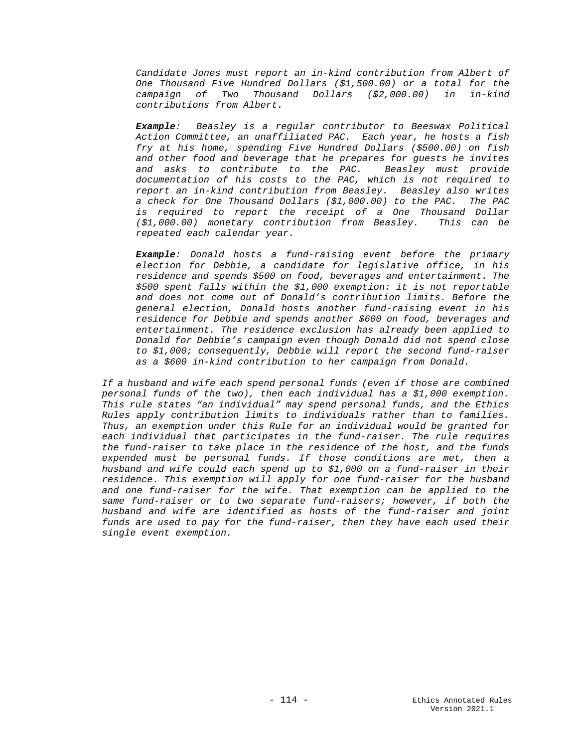*Candidate Jones must report an in-kind contribution from Albert of One Thousand Five Hundred Dollars (\$1,500.00) or a total for the campaign of Two Thousand Dollars (\$2,000.00) in in-kind contributions from Albert.*

*Example: Beasley is a regular contributor to Beeswax Political Action Committee, an unaffiliated PAC. Each year, he hosts a fish fry at his home, spending Five Hundred Dollars (\$500.00) on fish and other food and beverage that he prepares for guests he invites and asks to contribute to the PAC. Beasley must provide documentation of his costs to the PAC, which is not required to report an in-kind contribution from Beasley. Beasley also writes a check for One Thousand Dollars (\$1,000.00) to the PAC. The PAC is required to report the receipt of a One Thousand Dollar (\$1,000.00) monetary contribution from Beasley. This can be repeated each calendar year.*

*Example: Donald hosts a fund-raising event before the primary election for Debbie, a candidate for legislative office, in his residence and spends \$500 on food, beverages and entertainment. The \$500 spent falls within the \$1,000 exemption: it is not reportable and does not come out of Donald's contribution limits. Before the general election, Donald hosts another fund-raising event in his residence for Debbie and spends another \$600 on food, beverages and entertainment. The residence exclusion has already been applied to Donald for Debbie's campaign even though Donald did not spend close to \$1,000; consequently, Debbie will report the second fund-raiser as a \$600 in-kind contribution to her campaign from Donald.* 

*If a husband and wife each spend personal funds (even if those are combined personal funds of the two), then each individual has a \$1,000 exemption. This rule states "an individual" may spend personal funds, and the Ethics Rules apply contribution limits to individuals rather than to families. Thus, an exemption under this Rule for an individual would be granted for each individual that participates in the fund-raiser. The rule requires the fund-raiser to take place in the residence of the host, and the funds expended must be personal funds. If those conditions are met, then a husband and wife could each spend up to \$1,000 on a fund-raiser in their residence. This exemption will apply for one fund-raiser for the husband and one fund-raiser for the wife. That exemption can be applied to the same fund-raiser or to two separate fund-raisers; however, if both the husband and wife are identified as hosts of the fund-raiser and joint funds are used to pay for the fund-raiser, then they have each used their single event exemption.*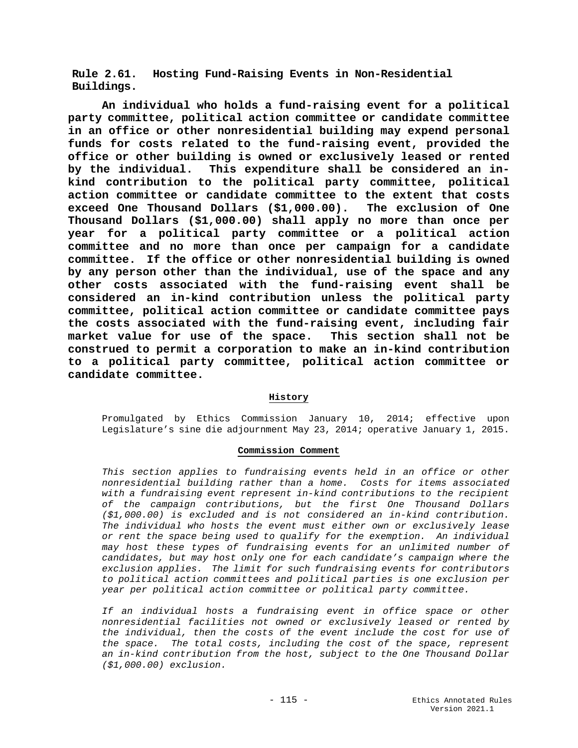**Rule 2.61. Hosting Fund-Raising Events in Non-Residential Buildings.**

**An individual who holds a fund-raising event for a political party committee, political action committee or candidate committee in an office or other nonresidential building may expend personal funds for costs related to the fund-raising event, provided the office or other building is owned or exclusively leased or rented by the individual. This expenditure shall be considered an inkind contribution to the political party committee, political action committee or candidate committee to the extent that costs exceed One Thousand Dollars (\$1,000.00). The exclusion of One Thousand Dollars (\$1,000.00) shall apply no more than once per year for a political party committee or a political action committee and no more than once per campaign for a candidate committee. If the office or other nonresidential building is owned by any person other than the individual, use of the space and any other costs associated with the fund-raising event shall be considered an in-kind contribution unless the political party committee, political action committee or candidate committee pays the costs associated with the fund-raising event, including fair market value for use of the space. This section shall not be construed to permit a corporation to make an in-kind contribution to a political party committee, political action committee or candidate committee.**

### **History**

Promulgated by Ethics Commission January 10, 2014; effective upon Legislature's sine die adjournment May 23, 2014; operative January 1, 2015.

### **Commission Comment**

*This section applies to fundraising events held in an office or other nonresidential building rather than a home. Costs for items associated*  with a fundraising event represent in-kind contributions to the recipient *of the campaign contributions, but the first One Thousand Dollars (\$1,000.00) is excluded and is not considered an in-kind contribution. The individual who hosts the event must either own or exclusively lease or rent the space being used to qualify for the exemption. An individual may host these types of fundraising events for an unlimited number of candidates, but may host only one for each candidate's campaign where the exclusion applies. The limit for such fundraising events for contributors to political action committees and political parties is one exclusion per year per political action committee or political party committee.*

*If an individual hosts a fundraising event in office space or other nonresidential facilities not owned or exclusively leased or rented by the individual, then the costs of the event include the cost for use of the space. The total costs, including the cost of the space, represent an in-kind contribution from the host, subject to the One Thousand Dollar (\$1,000.00) exclusion.*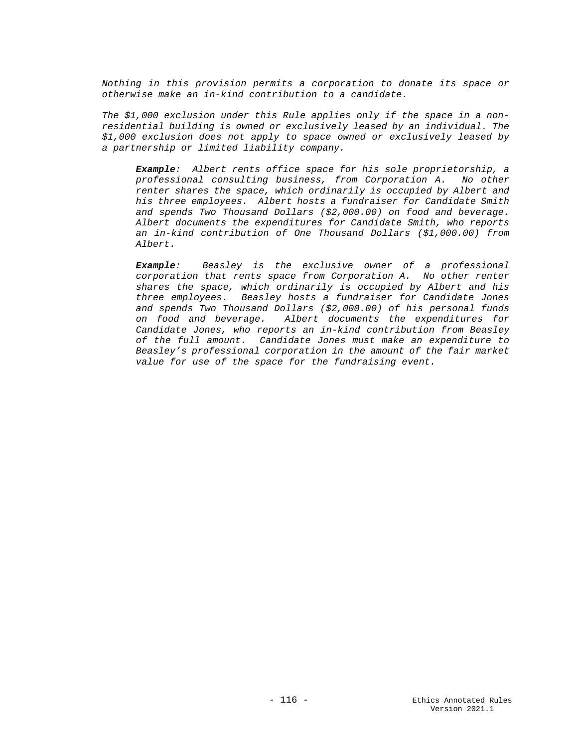*Nothing in this provision permits a corporation to donate its space or otherwise make an in-kind contribution to a candidate.*

*The \$1,000 exclusion under this Rule applies only if the space in a nonresidential building is owned or exclusively leased by an individual. The \$1,000 exclusion does not apply to space owned or exclusively leased by a partnership or limited liability company.*

*Example: Albert rents office space for his sole proprietorship, a professional consulting business, from Corporation A. No other renter shares the space, which ordinarily is occupied by Albert and his three employees. Albert hosts a fundraiser for Candidate Smith and spends Two Thousand Dollars (\$2,000.00) on food and beverage. Albert documents the expenditures for Candidate Smith, who reports an in-kind contribution of One Thousand Dollars (\$1,000.00) from Albert.*

*Example: Beasley is the exclusive owner of a professional corporation that rents space from Corporation A. No other renter shares the space, which ordinarily is occupied by Albert and his three employees. Beasley hosts a fundraiser for Candidate Jones and spends Two Thousand Dollars (\$2,000.00) of his personal funds on food and beverage. Albert documents the expenditures for Candidate Jones, who reports an in-kind contribution from Beasley of the full amount. Candidate Jones must make an expenditure to Beasley's professional corporation in the amount of the fair market value for use of the space for the fundraising event.*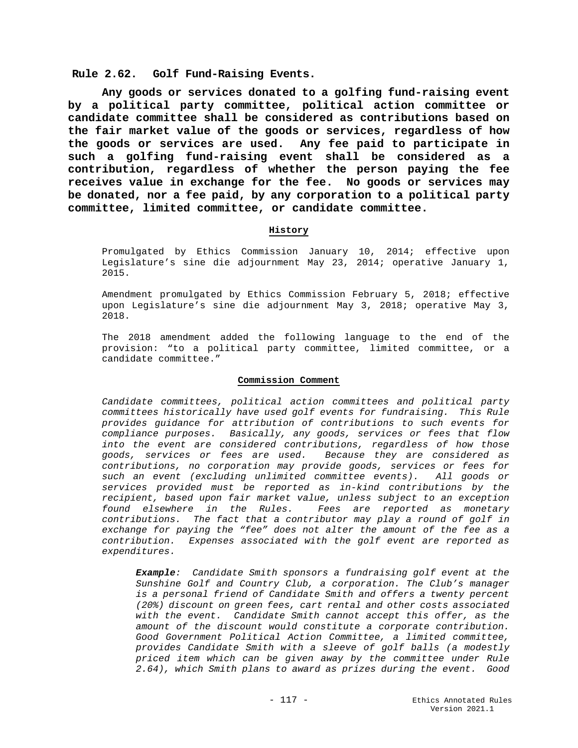**Rule 2.62. Golf Fund-Raising Events.**

**Any goods or services donated to a golfing fund-raising event by a political party committee, political action committee or candidate committee shall be considered as contributions based on the fair market value of the goods or services, regardless of how the goods or services are used. Any fee paid to participate in such a golfing fund-raising event shall be considered as a contribution, regardless of whether the person paying the fee receives value in exchange for the fee. No goods or services may be donated, nor a fee paid, by any corporation to a political party committee, limited committee, or candidate committee.**

### **History**

Promulgated by Ethics Commission January 10, 2014; effective upon Legislature's sine die adjournment May 23, 2014; operative January 1, 2015.

Amendment promulgated by Ethics Commission February 5, 2018; effective upon Legislature's sine die adjournment May 3, 2018; operative May 3, 2018.

The 2018 amendment added the following language to the end of the provision: "to a political party committee, limited committee, or a candidate committee."

#### **Commission Comment**

*Candidate committees, political action committees and political party committees historically have used golf events for fundraising. This Rule provides guidance for attribution of contributions to such events for compliance purposes. Basically, any goods, services or fees that flow into the event are considered contributions, regardless of how those goods, services or fees are used. Because they are considered as contributions, no corporation may provide goods, services or fees for such an event (excluding unlimited committee events). All goods or services provided must be reported as in-kind contributions by the recipient, based upon fair market value, unless subject to an exception found elsewhere in the Rules. Fees are reported as monetary contributions. The fact that a contributor may play a round of golf in exchange for paying the "fee" does not alter the amount of the fee as a contribution. Expenses associated with the golf event are reported as expenditures.*

*Example: Candidate Smith sponsors a fundraising golf event at the Sunshine Golf and Country Club, a corporation. The Club's manager is a personal friend of Candidate Smith and offers a twenty percent (20%) discount on green fees, cart rental and other costs associated with the event. Candidate Smith cannot accept this offer, as the amount of the discount would constitute a corporate contribution. Good Government Political Action Committee, a limited committee, provides Candidate Smith with a sleeve of golf balls (a modestly priced item which can be given away by the committee under Rule 2.64), which Smith plans to award as prizes during the event. Good*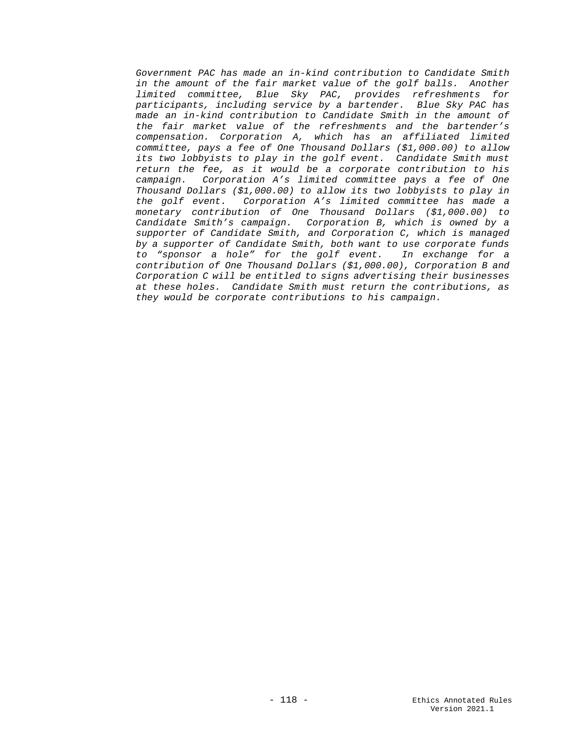*Government PAC has made an in-kind contribution to Candidate Smith in the amount of the fair market value of the golf balls. Another limited committee, Blue Sky PAC, provides refreshments for participants, including service by a bartender. Blue Sky PAC has made an in-kind contribution to Candidate Smith in the amount of the fair market value of the refreshments and the bartender's compensation. Corporation A, which has an affiliated limited committee, pays a fee of One Thousand Dollars (\$1,000.00) to allow its two lobbyists to play in the golf event. Candidate Smith must return the fee, as it would be a corporate contribution to his campaign. Corporation A's limited committee pays a fee of One Thousand Dollars (\$1,000.00) to allow its two lobbyists to play in the golf event. Corporation A's limited committee has made a monetary contribution of One Thousand Dollars (\$1,000.00) to Candidate Smith's campaign. Corporation B, which is owned by a supporter of Candidate Smith, and Corporation C, which is managed by a supporter of Candidate Smith, both want to use corporate funds to "sponsor a hole" for the golf event. In exchange for a contribution of One Thousand Dollars (\$1,000.00), Corporation B and Corporation C will be entitled to signs advertising their businesses at these holes. Candidate Smith must return the contributions, as they would be corporate contributions to his campaign.*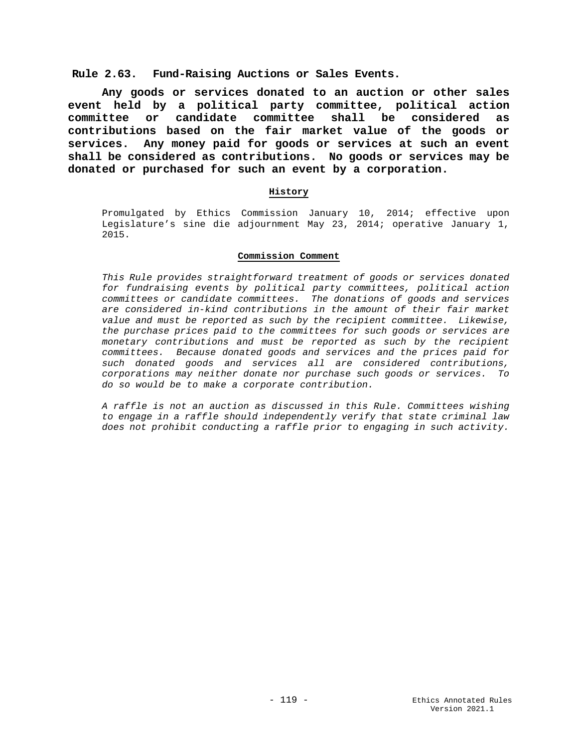# **Rule 2.63. Fund-Raising Auctions or Sales Events.**

**Any goods or services donated to an auction or other sales event held by a political party committee, political action committee or candidate committee shall be considered as contributions based on the fair market value of the goods or services. Any money paid for goods or services at such an event shall be considered as contributions. No goods or services may be donated or purchased for such an event by a corporation.**

## **History**

Promulgated by Ethics Commission January 10, 2014; effective upon Legislature's sine die adjournment May 23, 2014; operative January 1, 2015.

#### **Commission Comment**

*This Rule provides straightforward treatment of goods or services donated for fundraising events by political party committees, political action committees or candidate committees. The donations of goods and services are considered in-kind contributions in the amount of their fair market value and must be reported as such by the recipient committee. Likewise, the purchase prices paid to the committees for such goods or services are monetary contributions and must be reported as such by the recipient committees. Because donated goods and services and the prices paid for such donated goods and services all are considered contributions, corporations may neither donate nor purchase such goods or services. To do so would be to make a corporate contribution.*

*A raffle is not an auction as discussed in this Rule. Committees wishing to engage in a raffle should independently verify that state criminal law does not prohibit conducting a raffle prior to engaging in such activity.*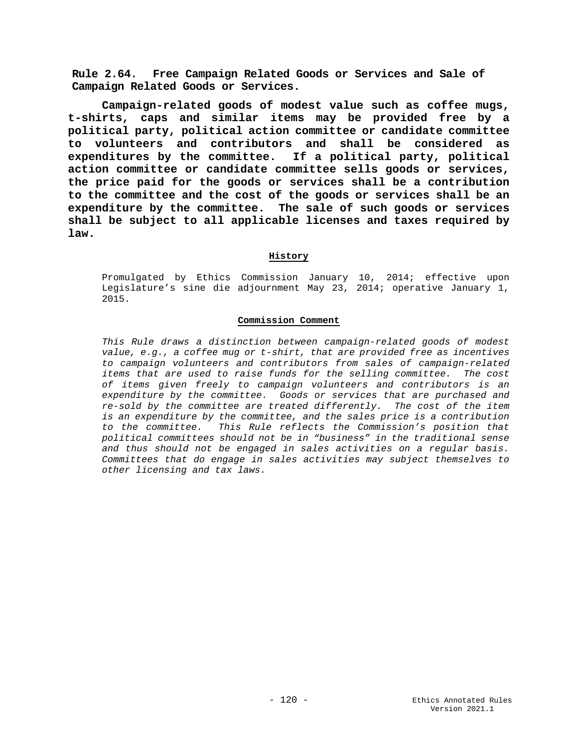**Rule 2.64. Free Campaign Related Goods or Services and Sale of Campaign Related Goods or Services.**

**Campaign-related goods of modest value such as coffee mugs, t-shirts, caps and similar items may be provided free by a political party, political action committee or candidate committee to volunteers and contributors and shall be considered as expenditures by the committee. If a political party, political action committee or candidate committee sells goods or services, the price paid for the goods or services shall be a contribution to the committee and the cost of the goods or services shall be an expenditure by the committee. The sale of such goods or services shall be subject to all applicable licenses and taxes required by law.**

#### **History**

Promulgated by Ethics Commission January 10, 2014; effective upon Legislature's sine die adjournment May 23, 2014; operative January 1, 2015.

#### **Commission Comment**

*This Rule draws a distinction between campaign-related goods of modest value, e.g., a coffee mug or t-shirt, that are provided free as incentives to campaign volunteers and contributors from sales of campaign-related items that are used to raise funds for the selling committee. The cost of items given freely to campaign volunteers and contributors is an expenditure by the committee. Goods or services that are purchased and re-sold by the committee are treated differently. The cost of the item is an expenditure by the committee, and the sales price is a contribution to the committee. This Rule reflects the Commission's position that political committees should not be in "business" in the traditional sense and thus should not be engaged in sales activities on a regular basis. Committees that do engage in sales activities may subject themselves to other licensing and tax laws.*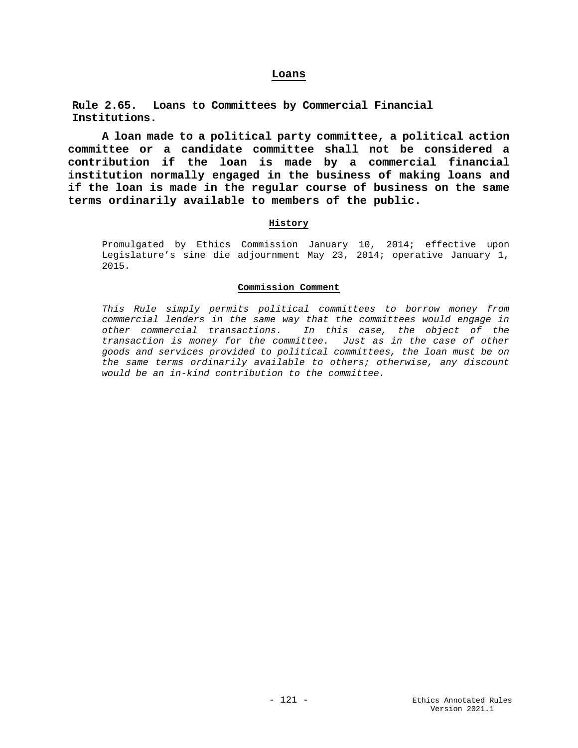#### **Loans**

**Rule 2.65. Loans to Committees by Commercial Financial Institutions.**

**A loan made to a political party committee, a political action committee or a candidate committee shall not be considered a contribution if the loan is made by a commercial financial institution normally engaged in the business of making loans and if the loan is made in the regular course of business on the same terms ordinarily available to members of the public.** 

### **History**

Promulgated by Ethics Commission January 10, 2014; effective upon Legislature's sine die adjournment May 23, 2014; operative January 1, 2015.

#### **Commission Comment**

*This Rule simply permits political committees to borrow money from commercial lenders in the same way that the committees would engage in other commercial transactions. In this case, the object of the transaction is money for the committee. Just as in the case of other goods and services provided to political committees, the loan must be on the same terms ordinarily available to others; otherwise, any discount would be an in-kind contribution to the committee.*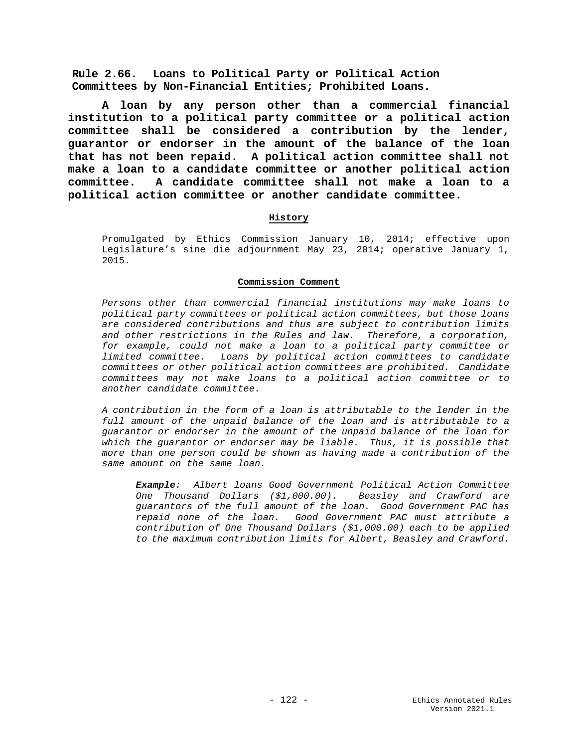**Rule 2.66. Loans to Political Party or Political Action Committees by Non-Financial Entities; Prohibited Loans.**

**A loan by any person other than a commercial financial institution to a political party committee or a political action committee shall be considered a contribution by the lender, guarantor or endorser in the amount of the balance of the loan that has not been repaid. A political action committee shall not make a loan to a candidate committee or another political action committee. A candidate committee shall not make a loan to a political action committee or another candidate committee.**

### **History**

Promulgated by Ethics Commission January 10, 2014; effective upon Legislature's sine die adjournment May 23, 2014; operative January 1, 2015.

### **Commission Comment**

*Persons other than commercial financial institutions may make loans to political party committees or political action committees, but those loans are considered contributions and thus are subject to contribution limits and other restrictions in the Rules and law. Therefore, a corporation, for example, could not make a loan to a political party committee or limited committee. Loans by political action committees to candidate committees or other political action committees are prohibited. Candidate committees may not make loans to a political action committee or to another candidate committee.* 

*A contribution in the form of a loan is attributable to the lender in the full amount of the unpaid balance of the loan and is attributable to a guarantor or endorser in the amount of the unpaid balance of the loan for which the guarantor or endorser may be liable. Thus, it is possible that more than one person could be shown as having made a contribution of the same amount on the same loan.*

*Example: Albert loans Good Government Political Action Committee One Thousand Dollars (\$1,000.00). Beasley and Crawford are guarantors of the full amount of the loan. Good Government PAC has repaid none of the loan. Good Government PAC must attribute a contribution of One Thousand Dollars (\$1,000.00) each to be applied to the maximum contribution limits for Albert, Beasley and Crawford.*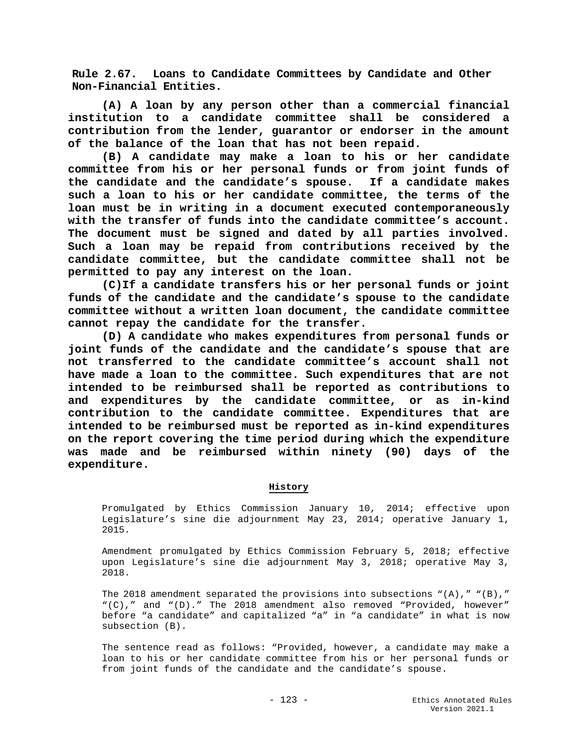**Rule 2.67. Loans to Candidate Committees by Candidate and Other Non-Financial Entities.**

**(A) A loan by any person other than a commercial financial institution to a candidate committee shall be considered a contribution from the lender, guarantor or endorser in the amount of the balance of the loan that has not been repaid.**

**(B) A candidate may make a loan to his or her candidate committee from his or her personal funds or from joint funds of the candidate and the candidate's spouse. If a candidate makes such a loan to his or her candidate committee, the terms of the loan must be in writing in a document executed contemporaneously with the transfer of funds into the candidate committee's account. The document must be signed and dated by all parties involved. Such a loan may be repaid from contributions received by the candidate committee, but the candidate committee shall not be permitted to pay any interest on the loan.** 

**(C)If a candidate transfers his or her personal funds or joint funds of the candidate and the candidate's spouse to the candidate committee without a written loan document, the candidate committee cannot repay the candidate for the transfer.** 

**(D) A candidate who makes expenditures from personal funds or joint funds of the candidate and the candidate's spouse that are not transferred to the candidate committee's account shall not have made a loan to the committee. Such expenditures that are not intended to be reimbursed shall be reported as contributions to and expenditures by the candidate committee, or as in-kind contribution to the candidate committee. Expenditures that are intended to be reimbursed must be reported as in-kind expenditures on the report covering the time period during which the expenditure was made and be reimbursed within ninety (90) days of the expenditure.** 

# **History**

Promulgated by Ethics Commission January 10, 2014; effective upon Legislature's sine die adjournment May 23, 2014; operative January 1, 2015.

Amendment promulgated by Ethics Commission February 5, 2018; effective upon Legislature's sine die adjournment May 3, 2018; operative May 3, 2018.

The 2018 amendment separated the provisions into subsections  $"(A)$ , " $"(B)$ , " "(C)," and "(D)." The 2018 amendment also removed "Provided, however" before "a candidate" and capitalized "a" in "a candidate" in what is now subsection (B).

The sentence read as follows: "Provided, however, a candidate may make a loan to his or her candidate committee from his or her personal funds or from joint funds of the candidate and the candidate's spouse.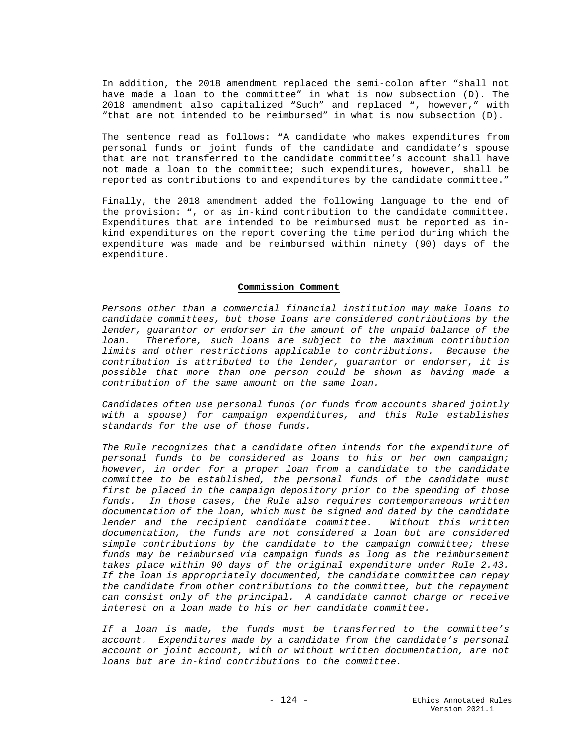In addition, the 2018 amendment replaced the semi-colon after "shall not have made a loan to the committee" in what is now subsection (D). The 2018 amendment also capitalized "Such" and replaced ", however," with "that are not intended to be reimbursed" in what is now subsection (D).

The sentence read as follows: "A candidate who makes expenditures from personal funds or joint funds of the candidate and candidate's spouse that are not transferred to the candidate committee's account shall have not made a loan to the committee; such expenditures, however, shall be reported as contributions to and expenditures by the candidate committee."

Finally, the 2018 amendment added the following language to the end of the provision: ", or as in-kind contribution to the candidate committee. Expenditures that are intended to be reimbursed must be reported as inkind expenditures on the report covering the time period during which the expenditure was made and be reimbursed within ninety (90) days of the expenditure.

#### **Commission Comment**

*Persons other than a commercial financial institution may make loans to candidate committees, but those loans are considered contributions by the lender, guarantor or endorser in the amount of the unpaid balance of the loan. Therefore, such loans are subject to the maximum contribution limits and other restrictions applicable to contributions. Because the contribution is attributed to the lender, guarantor or endorser*, *it is possible that more than one person could be shown as having made a contribution of the same amount on the same loan.*

*Candidates often use personal funds (or funds from accounts shared jointly with a spouse) for campaign expenditures, and this Rule establishes standards for the use of those funds.*

*The Rule recognizes that a candidate often intends for the expenditure of personal funds to be considered as loans to his or her own campaign; however, in order for a proper loan from a candidate to the candidate committee to be established, the personal funds of the candidate must first be placed in the campaign depository prior to the spending of those funds. In those cases, the Rule also requires contemporaneous written documentation of the loan, which must be signed and dated by the candidate lender and the recipient candidate committee. Without this written documentation, the funds are not considered a loan but are considered simple contributions by the candidate to the campaign committee; these funds may be reimbursed via campaign funds as long as the reimbursement takes place within 90 days of the original expenditure under Rule 2.43. If the loan is appropriately documented, the candidate committee can repay the candidate from other contributions to the committee, but the repayment can consist only of the principal. A candidate cannot charge or receive interest on a loan made to his or her candidate committee.* 

*If a loan is made, the funds must be transferred to the committee's account. Expenditures made by a candidate from the candidate's personal account or joint account, with or without written documentation, are not loans but are in-kind contributions to the committee.*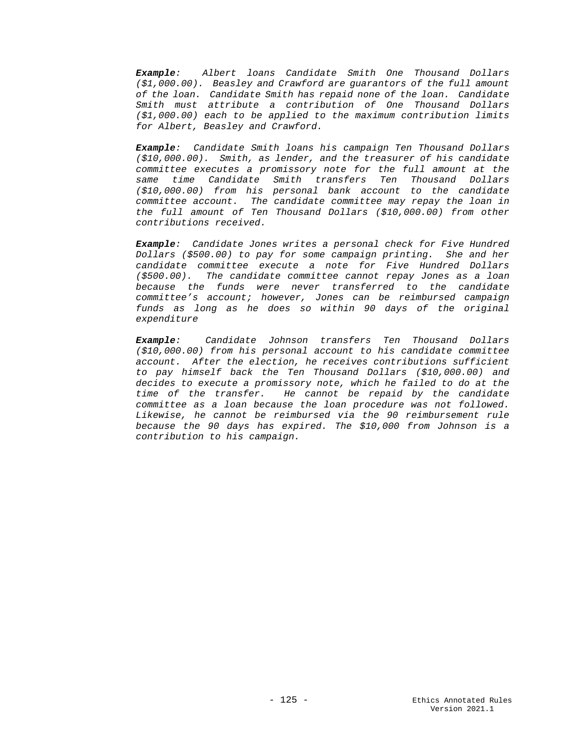*Example: Albert loans Candidate Smith One Thousand Dollars (\$1,000.00). Beasley and Crawford are guarantors of the full amount of the loan. Candidate Smith has repaid none of the loan. Candidate Smith must attribute a contribution of One Thousand Dollars (\$1,000.00) each to be applied to the maximum contribution limits for Albert, Beasley and Crawford.*

*Example: Candidate Smith loans his campaign Ten Thousand Dollars (\$10,000.00). Smith, as lender, and the treasurer of his candidate committee executes a promissory note for the full amount at the same time Candidate Smith transfers Ten Thousand Dollars (\$10,000.00) from his personal bank account to the candidate committee account. The candidate committee may repay the loan in the full amount of Ten Thousand Dollars (\$10,000.00) from other contributions received.*

*Example: Candidate Jones writes a personal check for Five Hundred Dollars (\$500.00) to pay for some campaign printing. She and her candidate committee execute a note for Five Hundred Dollars (\$500.00). The candidate committee cannot repay Jones as a loan because the funds were never transferred to the candidate committee's account; however, Jones can be reimbursed campaign funds as long as he does so within 90 days of the original expenditure*

*Example: Candidate Johnson transfers Ten Thousand Dollars (\$10,000.00) from his personal account to his candidate committee account. After the election, he receives contributions sufficient to pay himself back the Ten Thousand Dollars (\$10,000.00) and decides to execute a promissory note, which he failed to do at the time of the transfer. He cannot be repaid by the candidate committee as a loan because the loan procedure was not followed. Likewise, he cannot be reimbursed via the 90 reimbursement rule because the 90 days has expired. The \$10,000 from Johnson is a contribution to his campaign.*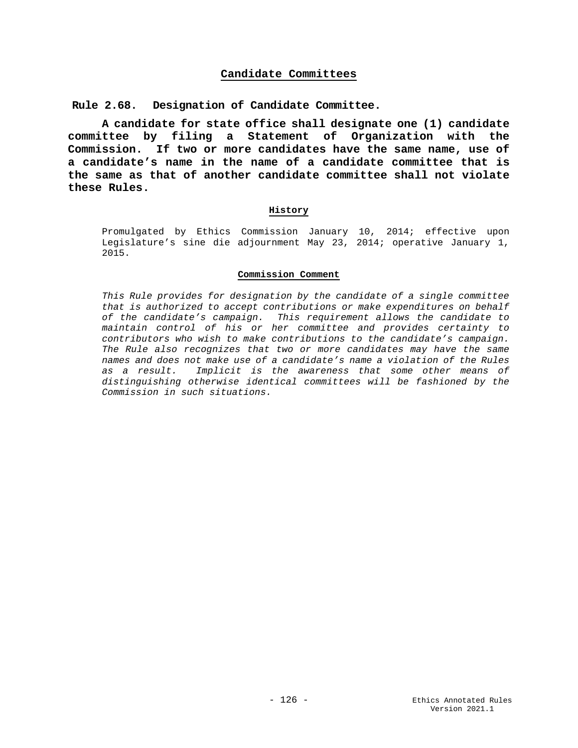## **Candidate Committees**

**Rule 2.68. Designation of Candidate Committee.**

**A candidate for state office shall designate one (1) candidate committee by filing a Statement of Organization with the Commission. If two or more candidates have the same name, use of a candidate's name in the name of a candidate committee that is the same as that of another candidate committee shall not violate these Rules.**

#### **History**

Promulgated by Ethics Commission January 10, 2014; effective upon Legislature's sine die adjournment May 23, 2014; operative January 1, 2015.

#### **Commission Comment**

*This Rule provides for designation by the candidate of a single committee that is authorized to accept contributions or make expenditures on behalf of the candidate's campaign. This requirement allows the candidate to maintain control of his or her committee and provides certainty to contributors who wish to make contributions to the candidate's campaign. The Rule also recognizes that two or more candidates may have the same names and does not make use of a candidate's name a violation of the Rules as a result. Implicit is the awareness that some other means of distinguishing otherwise identical committees will be fashioned by the Commission in such situations.*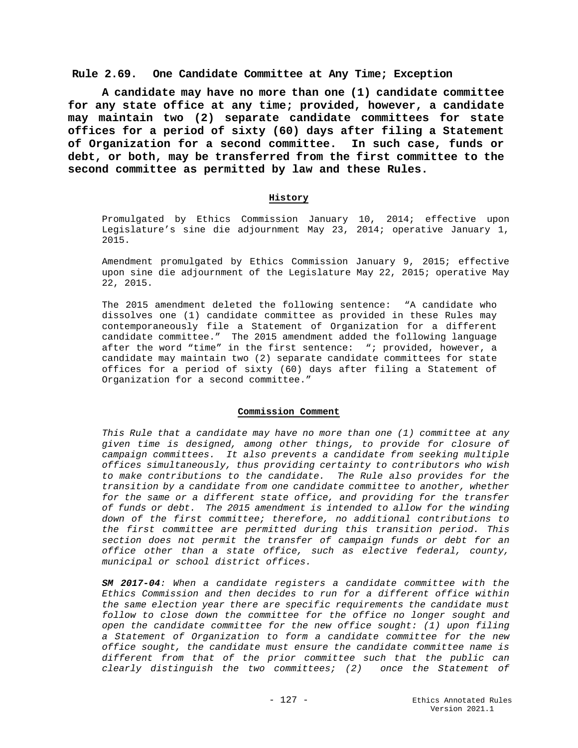### **Rule 2.69. One Candidate Committee at Any Time; Exception**

**A candidate may have no more than one (1) candidate committee for any state office at any time; provided, however, a candidate may maintain two (2) separate candidate committees for state offices for a period of sixty (60) days after filing a Statement of Organization for a second committee. In such case, funds or debt, or both, may be transferred from the first committee to the second committee as permitted by law and these Rules.**

#### **History**

Promulgated by Ethics Commission January 10, 2014; effective upon Legislature's sine die adjournment May 23, 2014; operative January 1, 2015.

Amendment promulgated by Ethics Commission January 9, 2015; effective upon sine die adjournment of the Legislature May 22, 2015; operative May 22, 2015.

The 2015 amendment deleted the following sentence: "A candidate who dissolves one (1) candidate committee as provided in these Rules may contemporaneously file a Statement of Organization for a different candidate committee." The 2015 amendment added the following language after the word "time" in the first sentence: "; provided, however, a candidate may maintain two (2) separate candidate committees for state offices for a period of sixty (60) days after filing a Statement of Organization for a second committee."

#### **Commission Comment**

*This Rule that a candidate may have no more than one (1) committee at any given time is designed, among other things, to provide for closure of campaign committees. It also prevents a candidate from seeking multiple offices simultaneously, thus providing certainty to contributors who wish to make contributions to the candidate. The Rule also provides for the transition by a candidate from one candidate committee to another, whether for the same or a different state office, and providing for the transfer of funds or debt. The 2015 amendment is intended to allow for the winding down of the first committee; therefore, no additional contributions to the first committee are permitted during this transition period. This section does not permit the transfer of campaign funds or debt for an office other than a state office, such as elective federal, county, municipal or school district offices.*

*SM 2017-04: When a candidate registers a candidate committee with the Ethics Commission and then decides to run for a different office within the same election year there are specific requirements the candidate must follow to close down the committee for the office no longer sought and open the candidate committee for the new office sought: (1) upon filing a Statement of Organization to form a candidate committee for the new office sought, the candidate must ensure the candidate committee name is different from that of the prior committee such that the public can clearly distinguish the two committees; (2) once the Statement of*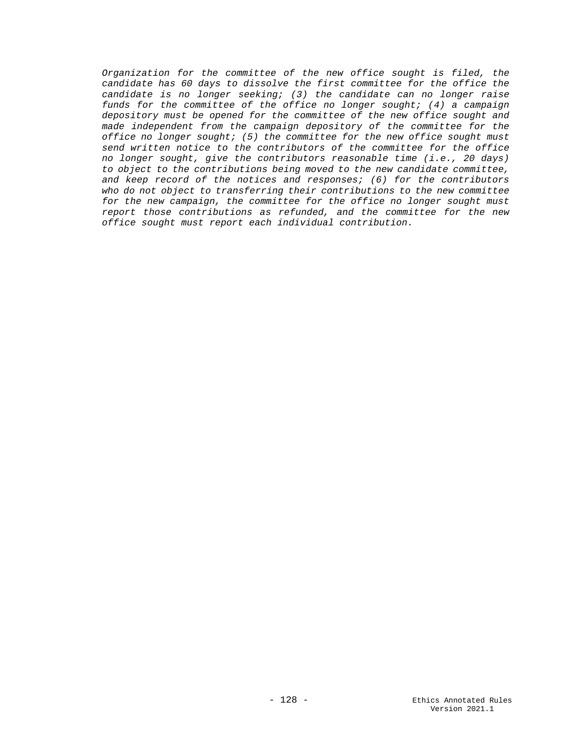*Organization for the committee of the new office sought is filed, the candidate has 60 days to dissolve the first committee for the office the candidate is no longer seeking; (3) the candidate can no longer raise funds for the committee of the office no longer sought; (4) a campaign depository must be opened for the committee of the new office sought and made independent from the campaign depository of the committee for the office no longer sought; (5) the committee for the new office sought must send written notice to the contributors of the committee for the office no longer sought, give the contributors reasonable time (i.e., 20 days) to object to the contributions being moved to the new candidate committee, and keep record of the notices and responses; (6) for the contributors who do not object to transferring their contributions to the new committee for the new campaign, the committee for the office no longer sought must report those contributions as refunded, and the committee for the new office sought must report each individual contribution.*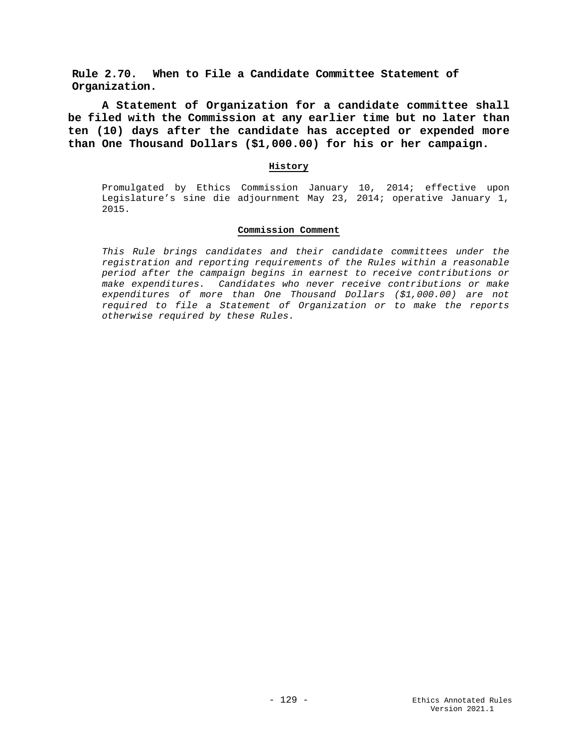**Rule 2.70. When to File a Candidate Committee Statement of Organization.**

**A Statement of Organization for a candidate committee shall be filed with the Commission at any earlier time but no later than ten (10) days after the candidate has accepted or expended more than One Thousand Dollars (\$1,000.00) for his or her campaign.**

## **History**

Promulgated by Ethics Commission January 10, 2014; effective upon Legislature's sine die adjournment May 23, 2014; operative January 1, 2015.

### **Commission Comment**

*This Rule brings candidates and their candidate committees under the registration and reporting requirements of the Rules within a reasonable period after the campaign begins in earnest to receive contributions or make expenditures. Candidates who never receive contributions or make expenditures of more than One Thousand Dollars (\$1,000.00) are not required to file a Statement of Organization or to make the reports otherwise required by these Rules.*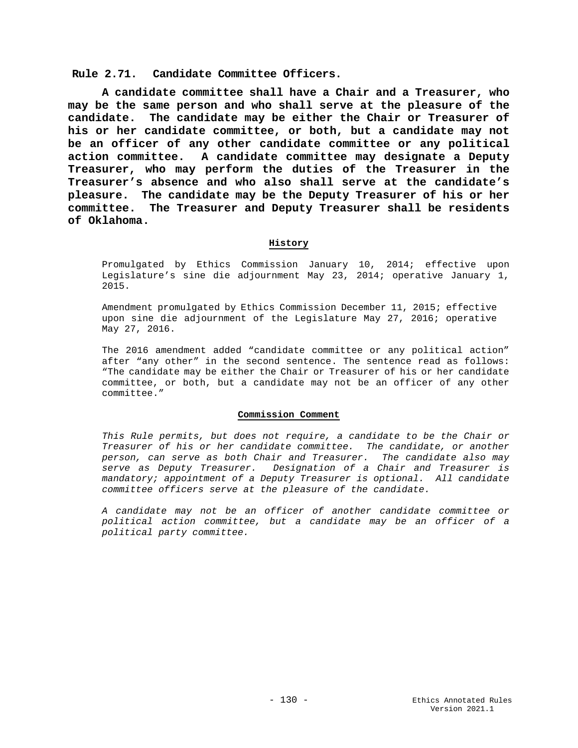# **Rule 2.71. Candidate Committee Officers.**

**A candidate committee shall have a Chair and a Treasurer, who may be the same person and who shall serve at the pleasure of the candidate. The candidate may be either the Chair or Treasurer of his or her candidate committee, or both, but a candidate may not be an officer of any other candidate committee or any political action committee. A candidate committee may designate a Deputy Treasurer, who may perform the duties of the Treasurer in the Treasurer's absence and who also shall serve at the candidate's pleasure. The candidate may be the Deputy Treasurer of his or her committee. The Treasurer and Deputy Treasurer shall be residents of Oklahoma.**

#### **History**

Promulgated by Ethics Commission January 10, 2014; effective upon Legislature's sine die adjournment May 23, 2014; operative January 1, 2015.

Amendment promulgated by Ethics Commission December 11, 2015; effective upon sine die adjournment of the Legislature May 27, 2016; operative May 27, 2016.

The 2016 amendment added "candidate committee or any political action" after "any other" in the second sentence. The sentence read as follows: "The candidate may be either the Chair or Treasurer of his or her candidate committee, or both, but a candidate may not be an officer of any other committee."

#### **Commission Comment**

*This Rule permits, but does not require, a candidate to be the Chair or Treasurer of his or her candidate committee. The candidate, or another person, can serve as both Chair and Treasurer. The candidate also may serve as Deputy Treasurer. Designation of a Chair and Treasurer is mandatory; appointment of a Deputy Treasurer is optional. All candidate committee officers serve at the pleasure of the candidate.*

*A candidate may not be an officer of another candidate committee or political action committee, but a candidate may be an officer of a political party committee.*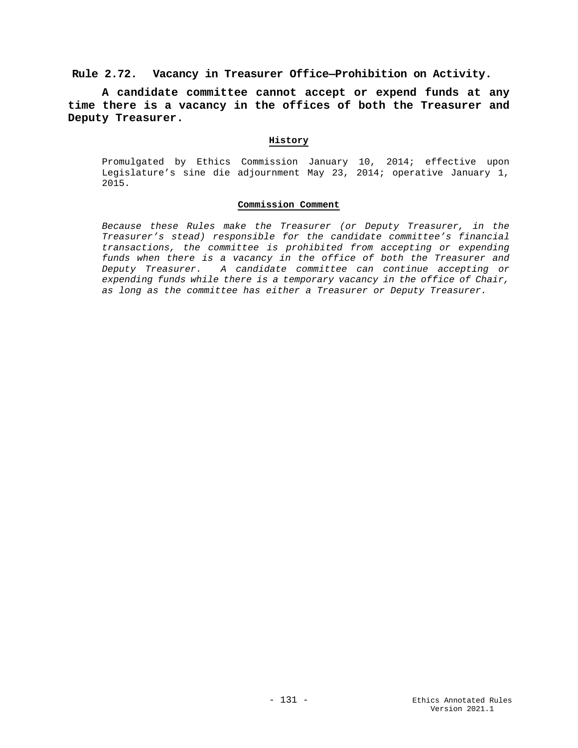# **Rule 2.72. Vacancy in Treasurer Office—Prohibition on Activity.**

**A candidate committee cannot accept or expend funds at any time there is a vacancy in the offices of both the Treasurer and Deputy Treasurer.**

### **History**

Promulgated by Ethics Commission January 10, 2014; effective upon Legislature's sine die adjournment May 23, 2014; operative January 1, 2015.

#### **Commission Comment**

*Because these Rules make the Treasurer (or Deputy Treasurer, in the Treasurer's stead) responsible for the candidate committee's financial transactions, the committee is prohibited from accepting or expending funds when there is a vacancy in the office of both the Treasurer and Deputy Treasurer. A candidate committee can continue accepting or expending funds while there is a temporary vacancy in the office of Chair, as long as the committee has either a Treasurer or Deputy Treasurer.*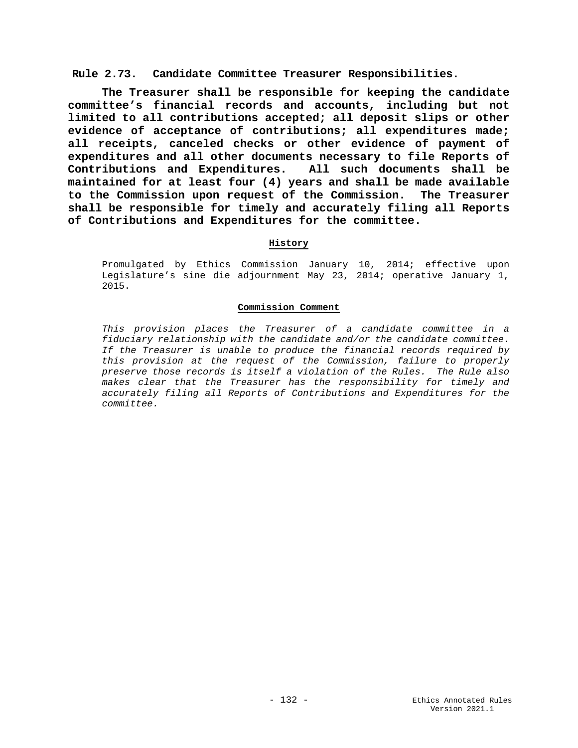# **Rule 2.73. Candidate Committee Treasurer Responsibilities.**

**The Treasurer shall be responsible for keeping the candidate committee's financial records and accounts, including but not limited to all contributions accepted; all deposit slips or other evidence of acceptance of contributions; all expenditures made; all receipts, canceled checks or other evidence of payment of expenditures and all other documents necessary to file Reports of Contributions and Expenditures. All such documents shall be maintained for at least four (4) years and shall be made available to the Commission upon request of the Commission. The Treasurer shall be responsible for timely and accurately filing all Reports of Contributions and Expenditures for the committee.**

### **History**

Promulgated by Ethics Commission January 10, 2014; effective upon Legislature's sine die adjournment May 23, 2014; operative January 1, 2015.

### **Commission Comment**

*This provision places the Treasurer of a candidate committee in a fiduciary relationship with the candidate and/or the candidate committee. If the Treasurer is unable to produce the financial records required by this provision at the request of the Commission, failure to properly preserve those records is itself a violation of the Rules. The Rule also makes clear that the Treasurer has the responsibility for timely and accurately filing all Reports of Contributions and Expenditures for the committee.*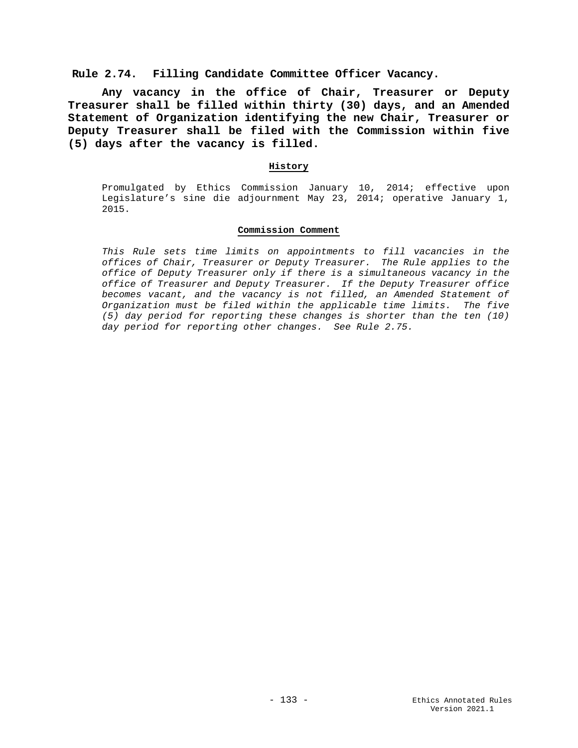# **Rule 2.74. Filling Candidate Committee Officer Vacancy.**

**Any vacancy in the office of Chair, Treasurer or Deputy Treasurer shall be filled within thirty (30) days, and an Amended Statement of Organization identifying the new Chair, Treasurer or Deputy Treasurer shall be filed with the Commission within five (5) days after the vacancy is filled.**

### **History**

Promulgated by Ethics Commission January 10, 2014; effective upon Legislature's sine die adjournment May 23, 2014; operative January 1, 2015.

#### **Commission Comment**

*This Rule sets time limits on appointments to fill vacancies in the offices of Chair, Treasurer or Deputy Treasurer. The Rule applies to the office of Deputy Treasurer only if there is a simultaneous vacancy in the office of Treasurer and Deputy Treasurer. If the Deputy Treasurer office becomes vacant, and the vacancy is not filled, an Amended Statement of Organization must be filed within the applicable time limits. The five (5) day period for reporting these changes is shorter than the ten (10) day period for reporting other changes. See Rule 2.75.*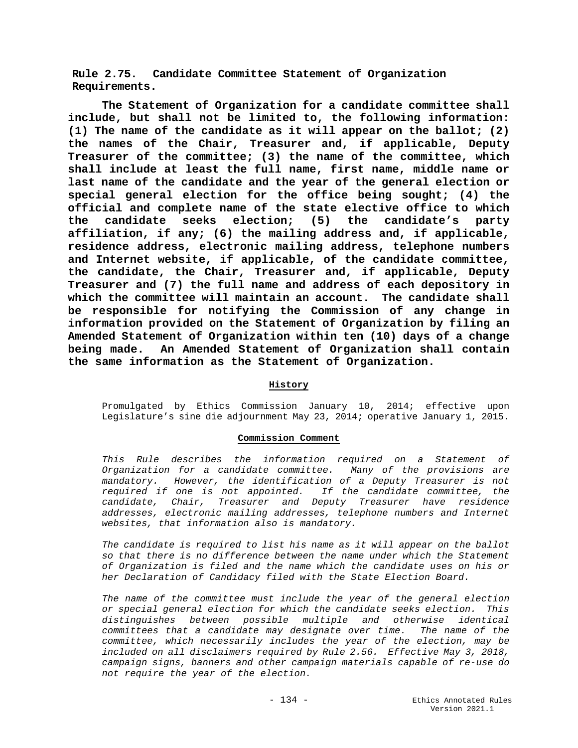**Rule 2.75. Candidate Committee Statement of Organization Requirements.**

**The Statement of Organization for a candidate committee shall include, but shall not be limited to, the following information: (1) The name of the candidate as it will appear on the ballot; (2) the names of the Chair, Treasurer and, if applicable, Deputy Treasurer of the committee; (3) the name of the committee, which shall include at least the full name, first name, middle name or last name of the candidate and the year of the general election or special general election for the office being sought; (4) the official and complete name of the state elective office to which the candidate seeks election; (5) the candidate's party affiliation, if any; (6) the mailing address and, if applicable, residence address, electronic mailing address, telephone numbers and Internet website, if applicable, of the candidate committee, the candidate, the Chair, Treasurer and, if applicable, Deputy Treasurer and (7) the full name and address of each depository in which the committee will maintain an account. The candidate shall be responsible for notifying the Commission of any change in information provided on the Statement of Organization by filing an Amended Statement of Organization within ten (10) days of a change being made. An Amended Statement of Organization shall contain the same information as the Statement of Organization.**

# **History**

Promulgated by Ethics Commission January 10, 2014; effective upon Legislature's sine die adjournment May 23, 2014; operative January 1, 2015.

## **Commission Comment**

*This Rule describes the information required on a Statement of Organization for a candidate committee. Many of the provisions are mandatory. However, the identification of a Deputy Treasurer is not required if one is not appointed. If the candidate committee, the candidate, Chair, Treasurer and Deputy Treasurer have residence addresses, electronic mailing addresses, telephone numbers and Internet websites, that information also is mandatory.* 

*The candidate is required to list his name as it will appear on the ballot so that there is no difference between the name under which the Statement of Organization is filed and the name which the candidate uses on his or her Declaration of Candidacy filed with the State Election Board.*

*The name of the committee must include the year of the general election or special general election for which the candidate seeks election. This distinguishes between possible multiple and otherwise identical committees that a candidate may designate over time. The name of the committee, which necessarily includes the year of the election, may be included on all disclaimers required by Rule 2.56. Effective May 3, 2018, campaign signs, banners and other campaign materials capable of re-use do not require the year of the election.*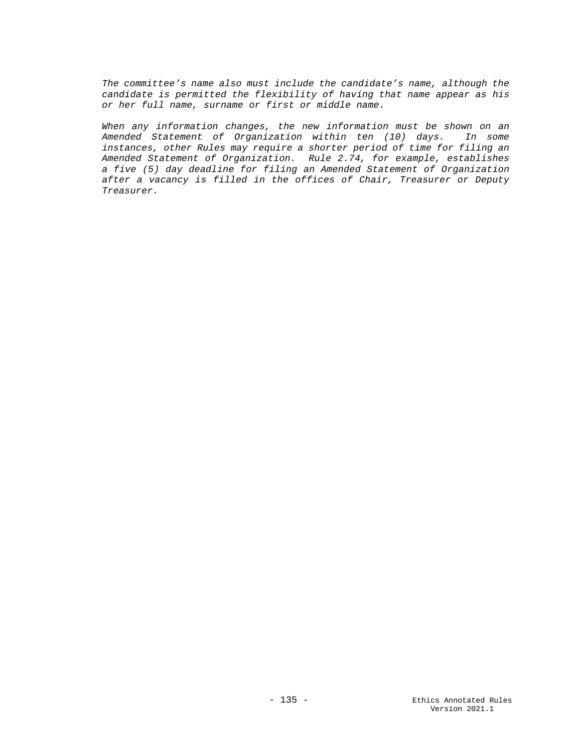*The committee's name also must include the candidate's name, although the candidate is permitted the flexibility of having that name appear as his or her full name, surname or first or middle name.* 

*When any information changes, the new information must be shown on an Amended Statement of Organization within ten (10) days. In some instances, other Rules may require a shorter period of time for filing an Amended Statement of Organization. Rule 2.74, for example, establishes a five (5) day deadline for filing an Amended Statement of Organization after a vacancy is filled in the offices of Chair, Treasurer or Deputy Treasurer.*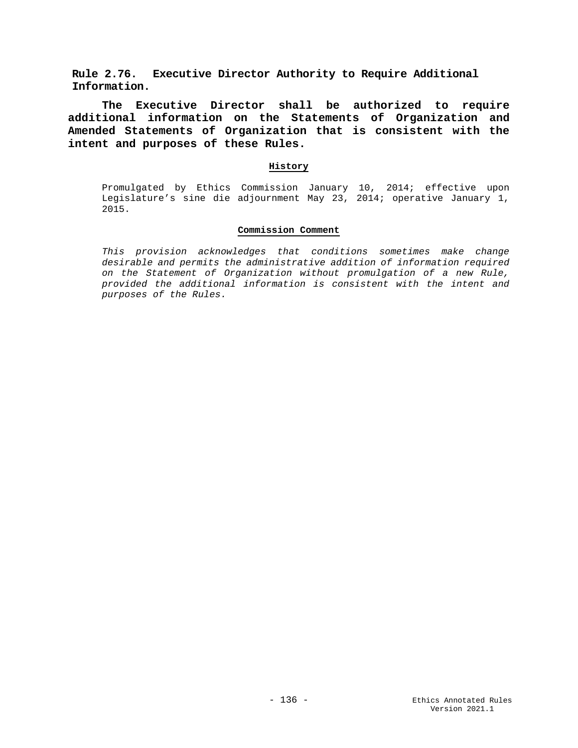**Rule 2.76. Executive Director Authority to Require Additional Information.**

**The Executive Director shall be authorized to require additional information on the Statements of Organization and Amended Statements of Organization that is consistent with the intent and purposes of these Rules.**

## **History**

Promulgated by Ethics Commission January 10, 2014; effective upon Legislature's sine die adjournment May 23, 2014; operative January 1, 2015.

# **Commission Comment**

*This provision acknowledges that conditions sometimes make change desirable and permits the administrative addition of information required on the Statement of Organization without promulgation of a new Rule, provided the additional information is consistent with the intent and purposes of the Rules.*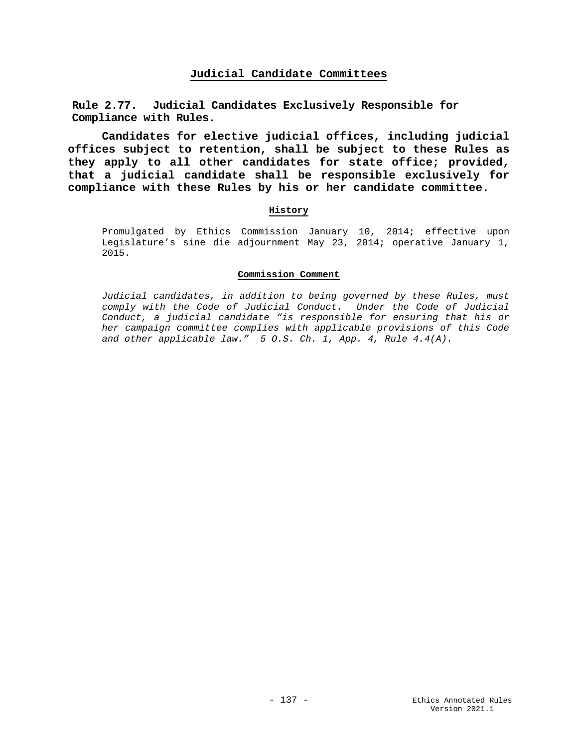# **Judicial Candidate Committees**

**Rule 2.77. Judicial Candidates Exclusively Responsible for Compliance with Rules.**

**Candidates for elective judicial offices, including judicial offices subject to retention, shall be subject to these Rules as they apply to all other candidates for state office; provided, that a judicial candidate shall be responsible exclusively for compliance with these Rules by his or her candidate committee.**

### **History**

Promulgated by Ethics Commission January 10, 2014; effective upon Legislature's sine die adjournment May 23, 2014; operative January 1, 2015.

### **Commission Comment**

*Judicial candidates, in addition to being governed by these Rules, must comply with the Code of Judicial Conduct. Under the Code of Judicial Conduct, a judicial candidate "is responsible for ensuring that his or her campaign committee complies with applicable provisions of this Code and other applicable law." 5 O.S. Ch. 1, App. 4, Rule 4.4(A).*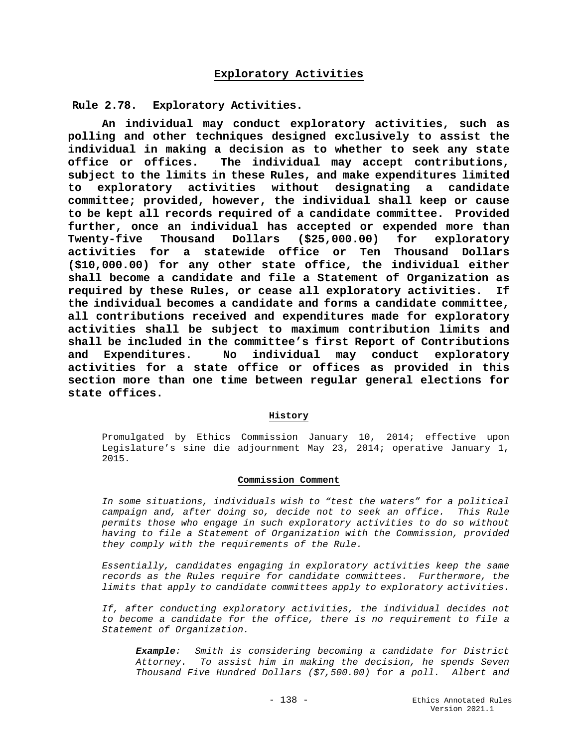**Rule 2.78. Exploratory Activities.**

**An individual may conduct exploratory activities, such as polling and other techniques designed exclusively to assist the individual in making a decision as to whether to seek any state office or offices. The individual may accept contributions, subject to the limits in these Rules, and make expenditures limited to exploratory activities without designating a candidate committee; provided, however, the individual shall keep or cause to be kept all records required of a candidate committee. Provided further, once an individual has accepted or expended more than Twenty-five Thousand Dollars (\$25,000.00) for exploratory activities for a statewide office or Ten Thousand Dollars (\$10,000.00) for any other state office, the individual either shall become a candidate and file a Statement of Organization as**  required by these Rules, or cease all exploratory activities. **the individual becomes a candidate and forms a candidate committee, all contributions received and expenditures made for exploratory activities shall be subject to maximum contribution limits and shall be included in the committee's first Report of Contributions**  No individual may conduct exploratory **activities for a state office or offices as provided in this section more than one time between regular general elections for state offices.** 

### **History**

Promulgated by Ethics Commission January 10, 2014; effective upon Legislature's sine die adjournment May 23, 2014; operative January 1, 2015.

### **Commission Comment**

*In some situations, individuals wish to "test the waters" for a political campaign and, after doing so, decide not to seek an office. This Rule permits those who engage in such exploratory activities to do so without having to file a Statement of Organization with the Commission, provided they comply with the requirements of the Rule.*

*Essentially, candidates engaging in exploratory activities keep the same records as the Rules require for candidate committees. Furthermore, the limits that apply to candidate committees apply to exploratory activities.*

*If, after conducting exploratory activities, the individual decides not to become a candidate for the office, there is no requirement to file a Statement of Organization.*

*Example: Smith is considering becoming a candidate for District Attorney. To assist him in making the decision, he spends Seven Thousand Five Hundred Dollars (\$7,500.00) for a poll. Albert and*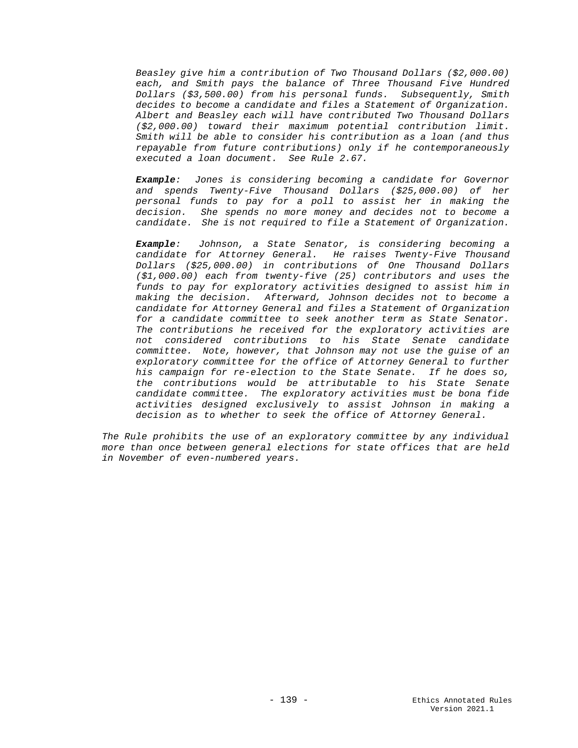*Beasley give him a contribution of Two Thousand Dollars (\$2,000.00) each, and Smith pays the balance of Three Thousand Five Hundred Dollars (\$3,500.00) from his personal funds. Subsequently, Smith decides to become a candidate and files a Statement of Organization. Albert and Beasley each will have contributed Two Thousand Dollars (\$2,000.00) toward their maximum potential contribution limit. Smith will be able to consider his contribution as a loan (and thus repayable from future contributions) only if he contemporaneously executed a loan document. See Rule 2.67.* 

*Example: Jones is considering becoming a candidate for Governor and spends Twenty-Five Thousand Dollars (\$25,000.00) of her personal funds to pay for a poll to assist her in making the decision. She spends no more money and decides not to become a candidate. She is not required to file a Statement of Organization.*

*Example: Johnson, a State Senator, is considering becoming a candidate for Attorney General. He raises Twenty-Five Thousand Dollars (\$25,000.00) in contributions of One Thousand Dollars (\$1,000.00) each from twenty-five (25) contributors and uses the funds to pay for exploratory activities designed to assist him in making the decision. Afterward, Johnson decides not to become a candidate for Attorney General and files a Statement of Organization for a candidate committee to seek another term as State Senator. The contributions he received for the exploratory activities are not considered contributions to his State Senate candidate committee. Note, however, that Johnson may not use the guise of an exploratory committee for the office of Attorney General to further his campaign for re-election to the State Senate. If he does so, the contributions would be attributable to his State Senate candidate committee. The exploratory activities must be bona fide activities designed exclusively to assist Johnson in making a decision as to whether to seek the office of Attorney General.*

*The Rule prohibits the use of an exploratory committee by any individual more than once between general elections for state offices that are held in November of even-numbered years.*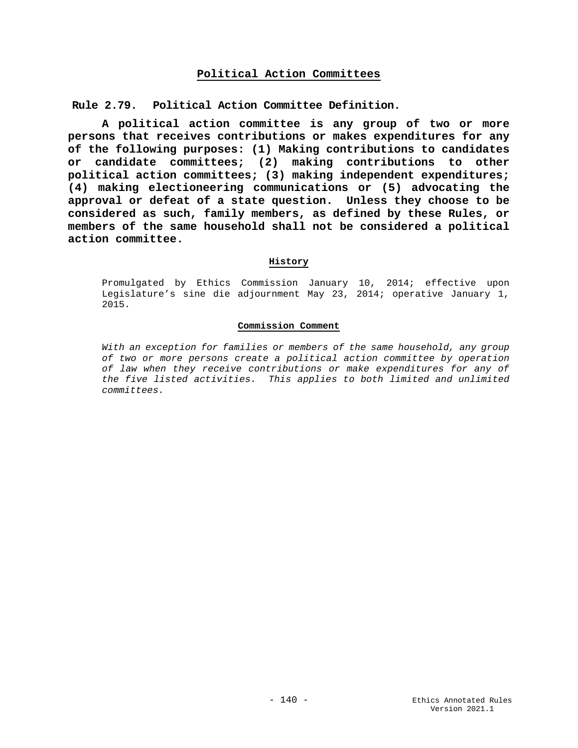# **Political Action Committees**

**Rule 2.79. Political Action Committee Definition.**

**A political action committee is any group of two or more persons that receives contributions or makes expenditures for any of the following purposes: (1) Making contributions to candidates or candidate committees; (2) making contributions to other political action committees; (3) making independent expenditures; (4) making electioneering communications or (5) advocating the approval or defeat of a state question. Unless they choose to be considered as such, family members, as defined by these Rules, or members of the same household shall not be considered a political action committee.**

### **History**

Promulgated by Ethics Commission January 10, 2014; effective upon Legislature's sine die adjournment May 23, 2014; operative January 1, 2015.

### **Commission Comment**

*With an exception for families or members of the same household, any group of two or more persons create a political action committee by operation of law when they receive contributions or make expenditures for any of the five listed activities. This applies to both limited and unlimited committees.*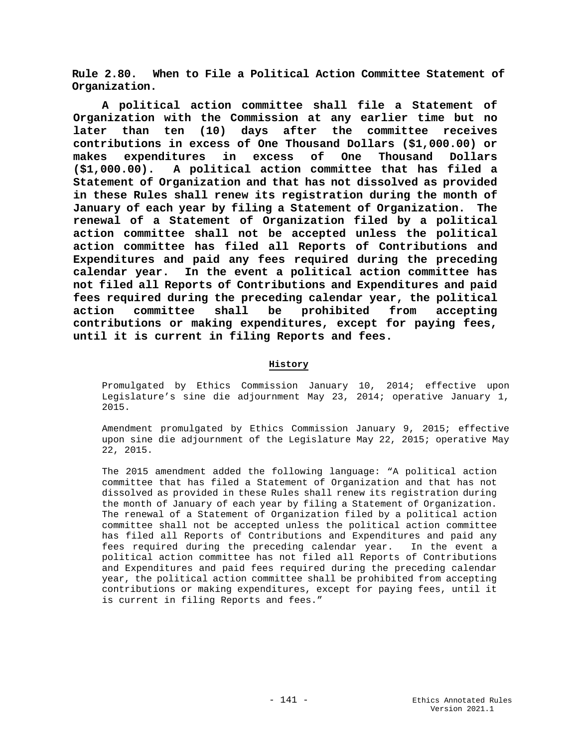**Rule 2.80. When to File a Political Action Committee Statement of Organization.**

**A political action committee shall file a Statement of Organization with the Commission at any earlier time but no later than ten (10) days after the committee receives contributions in excess of One Thousand Dollars (\$1,000.00) or makes expenditures in excess of One Thousand Dollars (\$1,000.00). A political action committee that has filed a Statement of Organization and that has not dissolved as provided in these Rules shall renew its registration during the month of January of each year by filing a Statement of Organization. The renewal of a Statement of Organization filed by a political action committee shall not be accepted unless the political action committee has filed all Reports of Contributions and Expenditures and paid any fees required during the preceding calendar year. In the event a political action committee has not filed all Reports of Contributions and Expenditures and paid fees required during the preceding calendar year, the political action committee shall be prohibited from accepting contributions or making expenditures, except for paying fees, until it is current in filing Reports and fees.**

### **History**

Promulgated by Ethics Commission January 10, 2014; effective upon Legislature's sine die adjournment May 23, 2014; operative January 1, 2015.

Amendment promulgated by Ethics Commission January 9, 2015; effective upon sine die adjournment of the Legislature May 22, 2015; operative May 22, 2015.

The 2015 amendment added the following language: "A political action committee that has filed a Statement of Organization and that has not dissolved as provided in these Rules shall renew its registration during the month of January of each year by filing a Statement of Organization. The renewal of a Statement of Organization filed by a political action committee shall not be accepted unless the political action committee has filed all Reports of Contributions and Expenditures and paid any fees required during the preceding calendar year. In the event a political action committee has not filed all Reports of Contributions and Expenditures and paid fees required during the preceding calendar year, the political action committee shall be prohibited from accepting contributions or making expenditures, except for paying fees, until it is current in filing Reports and fees."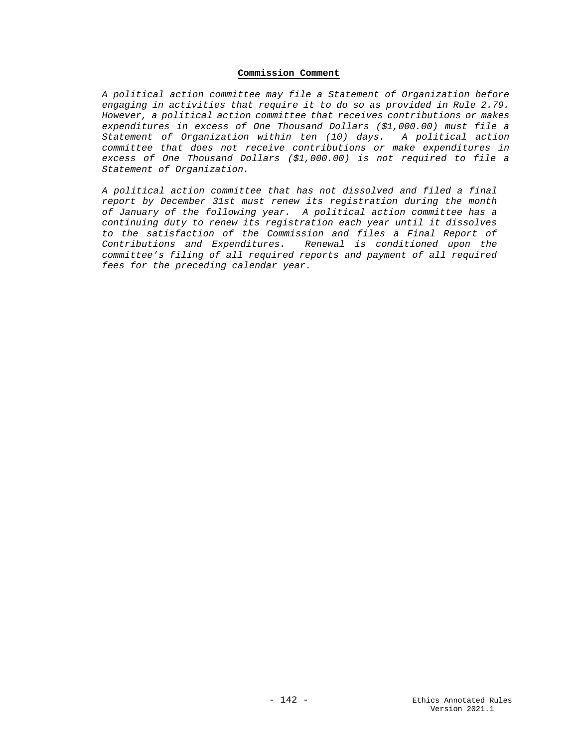## **Commission Comment**

*A political action committee may file a Statement of Organization before engaging in activities that require it to do so as provided in Rule 2.79. However, a political action committee that receives contributions or makes expenditures in excess of One Thousand Dollars (\$1,000.00) must file a Statement of Organization within ten (10) days. A political action committee that does not receive contributions or make expenditures in excess of One Thousand Dollars (\$1,000.00) is not required to file a Statement of Organization.*

*A political action committee that has not dissolved and filed a final report by December 31st must renew its registration during the month of January of the following year. A political action committee has a continuing duty to renew its registration each year until it dissolves to the satisfaction of the Commission and files a Final Report of Contributions and Expenditures. Renewal is conditioned upon the committee's filing of all required reports and payment of all required fees for the preceding calendar year.*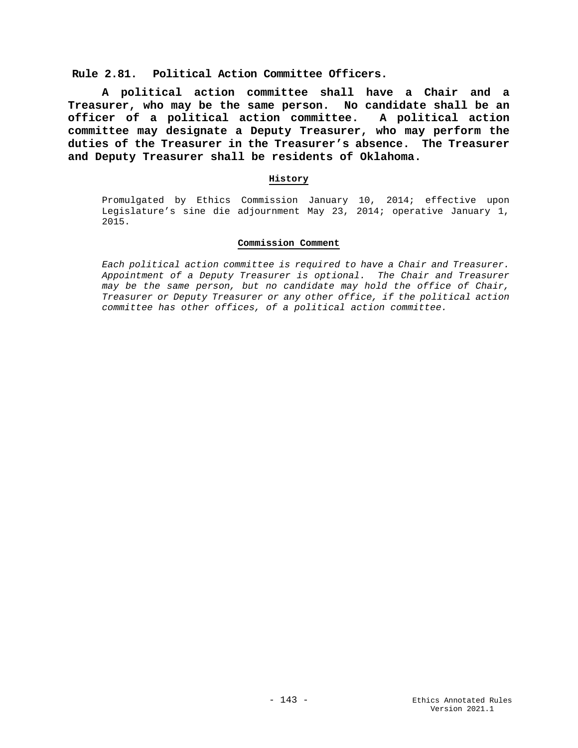**Rule 2.81. Political Action Committee Officers.**

**A political action committee shall have a Chair and a Treasurer, who may be the same person. No candidate shall be an officer of a political action committee. A political action committee may designate a Deputy Treasurer, who may perform the duties of the Treasurer in the Treasurer's absence. The Treasurer and Deputy Treasurer shall be residents of Oklahoma.**

### **History**

Promulgated by Ethics Commission January 10, 2014; effective upon Legislature's sine die adjournment May 23, 2014; operative January 1, 2015.

#### **Commission Comment**

*Each political action committee is required to have a Chair and Treasurer. Appointment of a Deputy Treasurer is optional. The Chair and Treasurer may be the same person, but no candidate may hold the office of Chair, Treasurer or Deputy Treasurer or any other office, if the political action committee has other offices, of a political action committee.*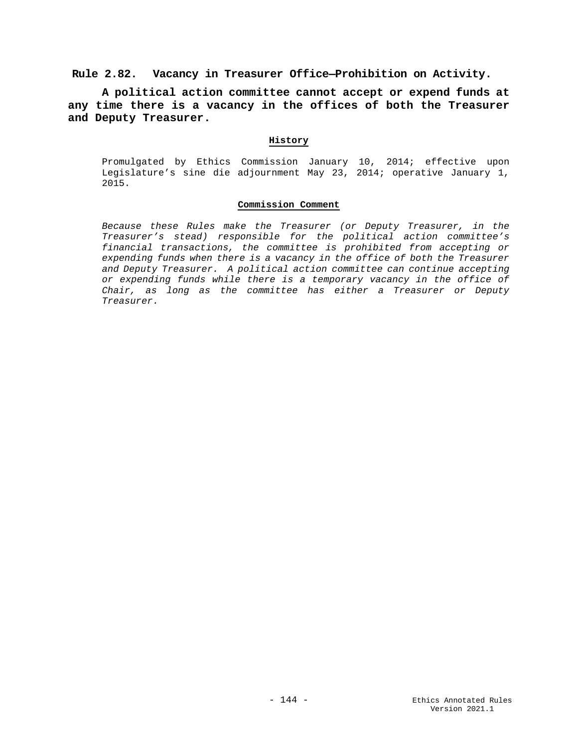**Rule 2.82. Vacancy in Treasurer Office—Prohibition on Activity.**

**A political action committee cannot accept or expend funds at any time there is a vacancy in the offices of both the Treasurer and Deputy Treasurer.**

## **History**

Promulgated by Ethics Commission January 10, 2014; effective upon Legislature's sine die adjournment May 23, 2014; operative January 1, 2015.

#### **Commission Comment**

*Because these Rules make the Treasurer (or Deputy Treasurer, in the Treasurer's stead) responsible for the political action committee's financial transactions, the committee is prohibited from accepting or expending funds when there is a vacancy in the office of both the Treasurer and Deputy Treasurer. A political action committee can continue accepting or expending funds while there is a temporary vacancy in the office of Chair, as long as the committee has either a Treasurer or Deputy Treasurer.*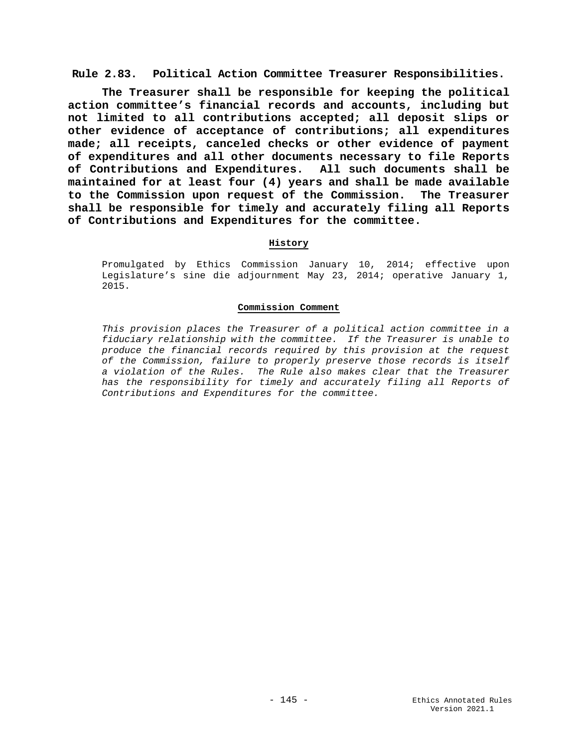**Rule 2.83. Political Action Committee Treasurer Responsibilities.**

**The Treasurer shall be responsible for keeping the political action committee's financial records and accounts, including but not limited to all contributions accepted; all deposit slips or other evidence of acceptance of contributions; all expenditures made; all receipts, canceled checks or other evidence of payment of expenditures and all other documents necessary to file Reports of Contributions and Expenditures. All such documents shall be maintained for at least four (4) years and shall be made available to the Commission upon request of the Commission. The Treasurer shall be responsible for timely and accurately filing all Reports of Contributions and Expenditures for the committee.**

## **History**

Promulgated by Ethics Commission January 10, 2014; effective upon Legislature's sine die adjournment May 23, 2014; operative January 1, 2015.

### **Commission Comment**

*This provision places the Treasurer of a political action committee in a fiduciary relationship with the committee. If the Treasurer is unable to produce the financial records required by this provision at the request of the Commission, failure to properly preserve those records is itself a violation of the Rules. The Rule also makes clear that the Treasurer has the responsibility for timely and accurately filing all Reports of Contributions and Expenditures for the committee.*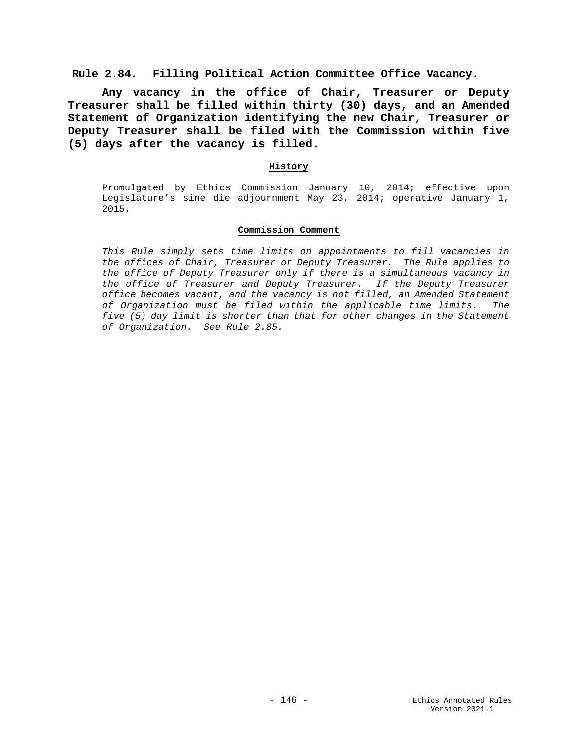**Rule 2.84. Filling Political Action Committee Office Vacancy.**

**Any vacancy in the office of Chair, Treasurer or Deputy Treasurer shall be filled within thirty (30) days, and an Amended Statement of Organization identifying the new Chair, Treasurer or Deputy Treasurer shall be filed with the Commission within five (5) days after the vacancy is filled.**

## **History**

Promulgated by Ethics Commission January 10, 2014; effective upon Legislature's sine die adjournment May 23, 2014; operative January 1, 2015.

### **Commission Comment**

*This Rule simply sets time limits on appointments to fill vacancies in the offices of Chair, Treasurer or Deputy Treasurer. The Rule applies to the office of Deputy Treasurer only if there is a simultaneous vacancy in the office of Treasurer and Deputy Treasurer. If the Deputy Treasurer office becomes vacant, and the vacancy is not filled, an Amended Statement of Organization must be filed within the applicable time limits. The five (5) day limit is shorter than that for other changes in the Statement of Organization. See Rule 2.85.*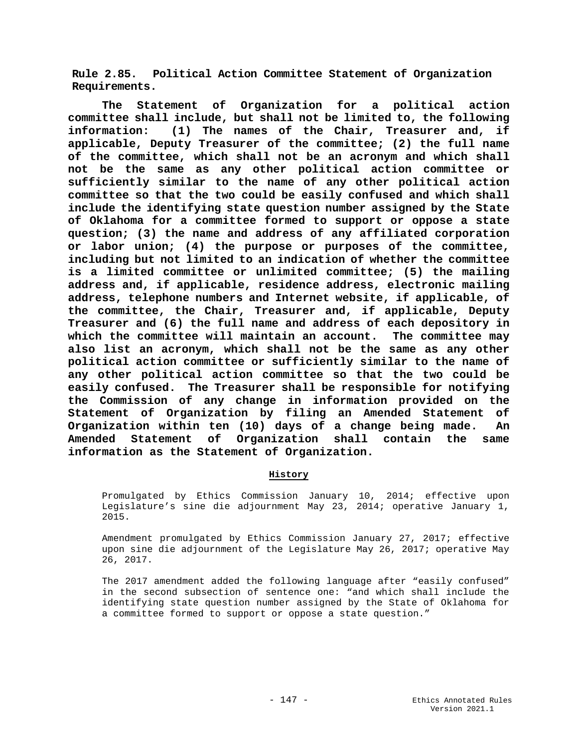**Rule 2.85. Political Action Committee Statement of Organization Requirements.**

**The Statement of Organization for a political action committee shall include, but shall not be limited to, the following information: (1) The names of the Chair, Treasurer and, if applicable, Deputy Treasurer of the committee; (2) the full name of the committee, which shall not be an acronym and which shall not be the same as any other political action committee or sufficiently similar to the name of any other political action committee so that the two could be easily confused and which shall include the identifying state question number assigned by the State of Oklahoma for a committee formed to support or oppose a state question; (3) the name and address of any affiliated corporation or labor union; (4) the purpose or purposes of the committee, including but not limited to an indication of whether the committee is a limited committee or unlimited committee; (5) the mailing address and, if applicable, residence address, electronic mailing address, telephone numbers and Internet website, if applicable, of the committee, the Chair, Treasurer and, if applicable, Deputy Treasurer and (6) the full name and address of each depository in which the committee will maintain an account. The committee may also list an acronym, which shall not be the same as any other political action committee or sufficiently similar to the name of any other political action committee so that the two could be easily confused. The Treasurer shall be responsible for notifying the Commission of any change in information provided on the Statement of Organization by filing an Amended Statement of Organization within ten (10) days of a change being made. An Amended Statement of Organization shall contain the same information as the Statement of Organization.**

# **History**

Promulgated by Ethics Commission January 10, 2014; effective upon Legislature's sine die adjournment May 23, 2014; operative January 1, 2015.

Amendment promulgated by Ethics Commission January 27, 2017; effective upon sine die adjournment of the Legislature May 26, 2017; operative May 26, 2017.

The 2017 amendment added the following language after "easily confused" in the second subsection of sentence one: "and which shall include the identifying state question number assigned by the State of Oklahoma for a committee formed to support or oppose a state question."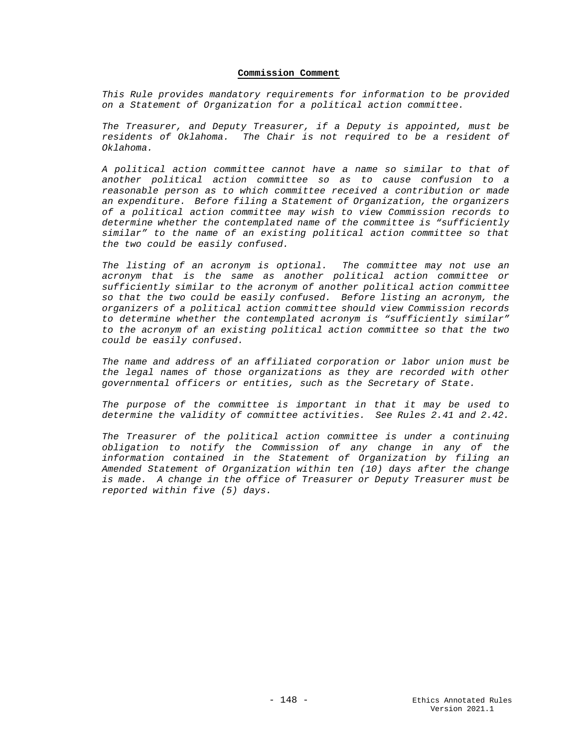#### **Commission Comment**

*This Rule provides mandatory requirements for information to be provided on a Statement of Organization for a political action committee.* 

*The Treasurer, and Deputy Treasurer, if a Deputy is appointed, must be residents of Oklahoma. The Chair is not required to be a resident of Oklahoma.*

*A political action committee cannot have a name so similar to that of another political action committee so as to cause confusion to a reasonable person as to which committee received a contribution or made an expenditure. Before filing a Statement of Organization, the organizers of a political action committee may wish to view Commission records to determine whether the contemplated name of the committee is "sufficiently similar" to the name of an existing political action committee so that the two could be easily confused.* 

*The listing of an acronym is optional. The committee may not use an acronym that is the same as another political action committee or sufficiently similar to the acronym of another political action committee so that the two could be easily confused. Before listing an acronym, the organizers of a political action committee should view Commission records to determine whether the contemplated acronym is "sufficiently similar" to the acronym of an existing political action committee so that the two could be easily confused.*

*The name and address of an affiliated corporation or labor union must be the legal names of those organizations as they are recorded with other governmental officers or entities, such as the Secretary of State.*

*The purpose of the committee is important in that it may be used to determine the validity of committee activities. See Rules 2.41 and 2.42.*

*The Treasurer of the political action committee is under a continuing obligation to notify the Commission of any change in any of the information contained in the Statement of Organization by filing an Amended Statement of Organization within ten (10) days after the change is made. A change in the office of Treasurer or Deputy Treasurer must be reported within five (5) days.*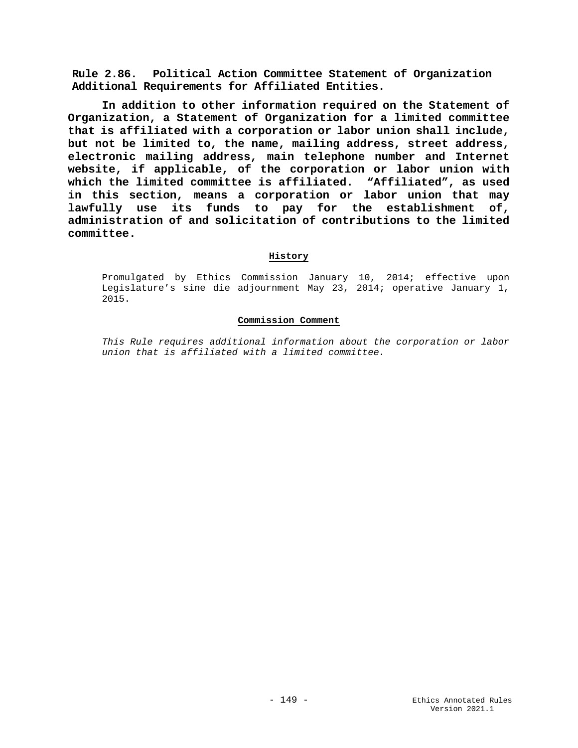**Rule 2.86. Political Action Committee Statement of Organization Additional Requirements for Affiliated Entities.**

**In addition to other information required on the Statement of Organization, a Statement of Organization for a limited committee that is affiliated with a corporation or labor union shall include, but not be limited to, the name, mailing address, street address, electronic mailing address, main telephone number and Internet website, if applicable, of the corporation or labor union with which the limited committee is affiliated. "Affiliated", as used in this section, means a corporation or labor union that may lawfully use its funds to pay for the establishment of, administration of and solicitation of contributions to the limited committee.** 

### **History**

Promulgated by Ethics Commission January 10, 2014; effective upon Legislature's sine die adjournment May 23, 2014; operative January 1, 2015.

### **Commission Comment**

*This Rule requires additional information about the corporation or labor union that is affiliated with a limited committee.*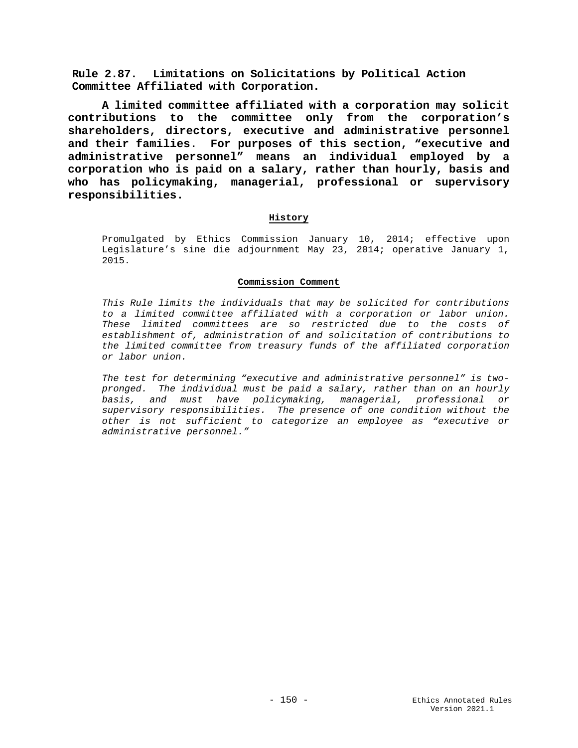**Rule 2.87. Limitations on Solicitations by Political Action Committee Affiliated with Corporation.**

**A limited committee affiliated with a corporation may solicit contributions to the committee only from the corporation's shareholders, directors, executive and administrative personnel and their families. For purposes of this section, "executive and administrative personnel" means an individual employed by a corporation who is paid on a salary, rather than hourly, basis and who has policymaking, managerial, professional or supervisory responsibilities.**

## **History**

Promulgated by Ethics Commission January 10, 2014; effective upon Legislature's sine die adjournment May 23, 2014; operative January 1, 2015.

### **Commission Comment**

*This Rule limits the individuals that may be solicited for contributions to a limited committee affiliated with a corporation or labor union. These limited committees are so restricted due to the costs of establishment of, administration of and solicitation of contributions to the limited committee from treasury funds of the affiliated corporation or labor union.* 

*The test for determining "executive and administrative personnel" is twopronged. The individual must be paid a salary, rather than on an hourly basis, and must have policymaking, managerial, professional or supervisory responsibilities. The presence of one condition without the other is not sufficient to categorize an employee as "executive or administrative personnel."*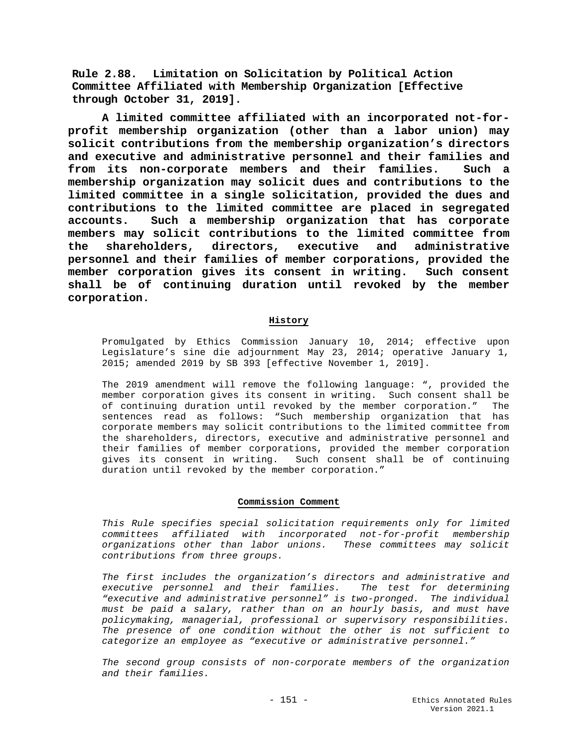**Rule 2.88. Limitation on Solicitation by Political Action Committee Affiliated with Membership Organization [Effective through October 31, 2019].**

**A limited committee affiliated with an incorporated not-forprofit membership organization (other than a labor union) may solicit contributions from the membership organization's directors and executive and administrative personnel and their families and from its non-corporate members and their families. Such a membership organization may solicit dues and contributions to the limited committee in a single solicitation, provided the dues and contributions to the limited committee are placed in segregated accounts. Such a membership organization that has corporate members may solicit contributions to the limited committee from the shareholders, directors, executive and administrative personnel and their families of member corporations, provided the member corporation gives its consent in writing. Such consent shall be of continuing duration until revoked by the member corporation.**

### **History**

Promulgated by Ethics Commission January 10, 2014; effective upon Legislature's sine die adjournment May 23, 2014; operative January 1, 2015; amended 2019 by SB 393 [effective November 1, 2019].

The 2019 amendment will remove the following language: ", provided the member corporation gives its consent in writing. Such consent shall be<br>of continuing duration until revoked by the member corporation "The of continuing duration until revoked by the member corporation." sentences read as follows: "Such membership organization that has corporate members may solicit contributions to the limited committee from the shareholders, directors, executive and administrative personnel and their families of member corporations, provided the member corporation gives its consent in writing. Such consent shall be of continuing duration until revoked by the member corporation."

#### **Commission Comment**

*This Rule specifies special solicitation requirements only for limited committees affiliated with incorporated not-for-profit membership organizations other than labor unions. These committees may solicit contributions from three groups.* 

*The first includes the organization's directors and administrative and executive personnel and their families. The test for determining "executive and administrative personnel" is two-pronged. The individual must be paid a salary, rather than on an hourly basis, and must have policymaking, managerial, professional or supervisory responsibilities. The presence of one condition without the other is not sufficient to categorize an employee as "executive or administrative personnel."* 

*The second group consists of non-corporate members of the organization and their families.*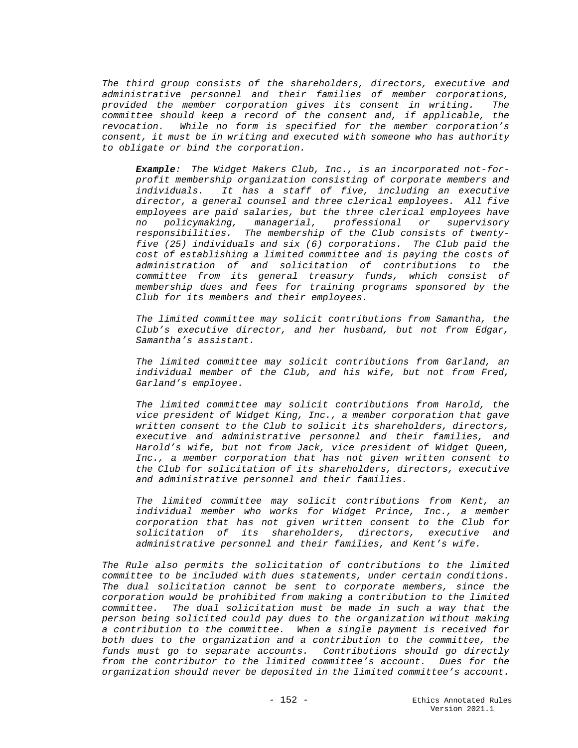*The third group consists of the shareholders, directors, executive and administrative personnel and their families of member corporations, provided the member corporation gives its consent in writing. The committee should keep a record of the consent and, if applicable, the revocation. While no form is specified for the member corporation's consent, it must be in writing and executed with someone who has authority to obligate or bind the corporation.*

*Example: The Widget Makers Club, Inc., is an incorporated not-forprofit membership organization consisting of corporate members and individuals. It has a staff of five, including an executive director, a general counsel and three clerical employees. All five employees are paid salaries, but the three clerical employees have no policymaking, managerial, professional or supervisory responsibilities. The membership of the Club consists of twentyfive (25) individuals and six (6) corporations. The Club paid the cost of establishing a limited committee and is paying the costs of administration of and solicitation of contributions to the committee from its general treasury funds, which consist of membership dues and fees for training programs sponsored by the Club for its members and their employees.* 

*The limited committee may solicit contributions from Samantha, the Club's executive director, and her husband, but not from Edgar, Samantha's assistant.*

*The limited committee may solicit contributions from Garland, an individual member of the Club, and his wife, but not from Fred, Garland's employee.*

*The limited committee may solicit contributions from Harold, the vice president of Widget King, Inc., a member corporation that gave written consent to the Club to solicit its shareholders, directors, executive and administrative personnel and their families, and Harold's wife, but not from Jack, vice president of Widget Queen, Inc., a member corporation that has not given written consent to the Club for solicitation of its shareholders, directors, executive and administrative personnel and their families.* 

*The limited committee may solicit contributions from Kent, an individual member who works for Widget Prince, Inc., a member corporation that has not given written consent to the Club for solicitation of its shareholders, directors, executive and administrative personnel and their families, and Kent's wife.*

*The Rule also permits the solicitation of contributions to the limited committee to be included with dues statements, under certain conditions. The dual solicitation cannot be sent to corporate members, since the corporation would be prohibited from making a contribution to the limited committee. The dual solicitation must be made in such a way that the person being solicited could pay dues to the organization without making a contribution to the committee. When a single payment is received for both dues to the organization and a contribution to the committee, the funds must go to separate accounts. Contributions should go directly from the contributor to the limited committee's account. Dues for the organization should never be deposited in the limited committee's account.*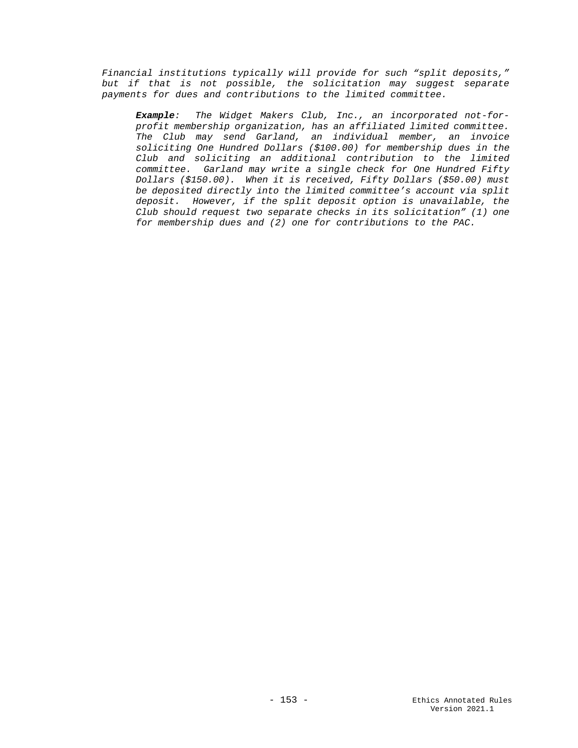*Financial institutions typically will provide for such "split deposits,"*  but if that is not possible, the solicitation may suggest separate *payments for dues and contributions to the limited committee.*

*Example: The Widget Makers Club, Inc., an incorporated not-forprofit membership organization, has an affiliated limited committee. The Club may send Garland, an individual member, an invoice soliciting One Hundred Dollars (\$100.00) for membership dues in the Club and soliciting an additional contribution to the limited committee. Garland may write a single check for One Hundred Fifty Dollars (\$150.00). When it is received, Fifty Dollars (\$50.00) must be deposited directly into the limited committee's account via split deposit. However, if the split deposit option is unavailable, the Club should request two separate checks in its solicitation" (1) one for membership dues and (2) one for contributions to the PAC.*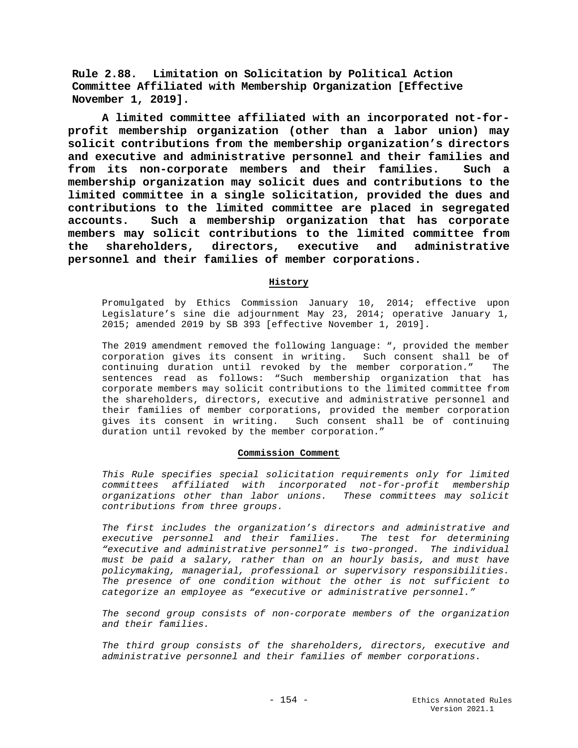**Rule 2.88. Limitation on Solicitation by Political Action Committee Affiliated with Membership Organization [Effective November 1, 2019].**

**A limited committee affiliated with an incorporated not-forprofit membership organization (other than a labor union) may solicit contributions from the membership organization's directors and executive and administrative personnel and their families and from its non-corporate members and their families. Such a membership organization may solicit dues and contributions to the limited committee in a single solicitation, provided the dues and contributions to the limited committee are placed in segregated accounts. Such a membership organization that has corporate members may solicit contributions to the limited committee from the shareholders, directors, executive and administrative personnel and their families of member corporations.**

## **History**

Promulgated by Ethics Commission January 10, 2014; effective upon Legislature's sine die adjournment May 23, 2014; operative January 1, 2015; amended 2019 by SB 393 [effective November 1, 2019].

The 2019 amendment removed the following language: ", provided the member corporation gives its consent in writing. Such consent shall be of<br>continuing duration until revoked by the member corporation "The continuing duration until revoked by the member corporation." sentences read as follows: "Such membership organization that has corporate members may solicit contributions to the limited committee from the shareholders, directors, executive and administrative personnel and their families of member corporations, provided the member corporation gives its consent in writing. Such consent shall be of continuing duration until revoked by the member corporation."

### **Commission Comment**

*This Rule specifies special solicitation requirements only for limited committees affiliated with incorporated not-for-profit membership organizations other than labor unions. These committees may solicit contributions from three groups.* 

*The first includes the organization's directors and administrative and executive personnel and their families. The test for determining "executive and administrative personnel" is two-pronged. The individual must be paid a salary, rather than on an hourly basis, and must have policymaking, managerial, professional or supervisory responsibilities. The presence of one condition without the other is not sufficient to categorize an employee as "executive or administrative personnel."* 

*The second group consists of non-corporate members of the organization and their families.* 

*The third group consists of the shareholders, directors, executive and administrative personnel and their families of member corporations.*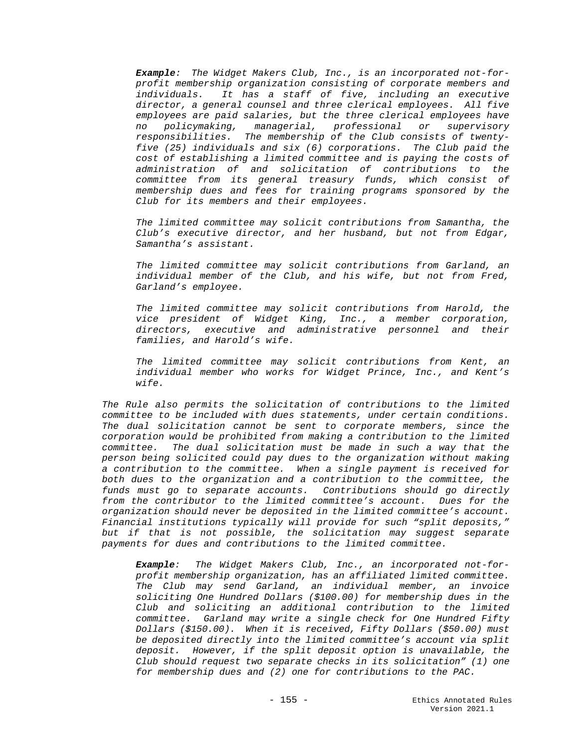*Example: The Widget Makers Club, Inc., is an incorporated not-forprofit membership organization consisting of corporate members and individuals. It has a staff of five, including an executive director, a general counsel and three clerical employees. All five employees are paid salaries, but the three clerical employees have no policymaking, managerial, professional or supervisory responsibilities. The membership of the Club consists of twentyfive (25) individuals and six (6) corporations. The Club paid the cost of establishing a limited committee and is paying the costs of administration of and solicitation of contributions to the committee from its general treasury funds, which consist of membership dues and fees for training programs sponsored by the Club for its members and their employees.* 

*The limited committee may solicit contributions from Samantha, the Club's executive director, and her husband, but not from Edgar, Samantha's assistant.*

*The limited committee may solicit contributions from Garland, an individual member of the Club, and his wife, but not from Fred, Garland's employee.*

*The limited committee may solicit contributions from Harold, the vice president of Widget King, Inc., a member corporation, directors, executive and administrative personnel and their families, and Harold's wife.* 

*The limited committee may solicit contributions from Kent, an individual member who works for Widget Prince, Inc., and Kent's wife.*

*The Rule also permits the solicitation of contributions to the limited committee to be included with dues statements, under certain conditions. The dual solicitation cannot be sent to corporate members, since the corporation would be prohibited from making a contribution to the limited committee. The dual solicitation must be made in such a way that the person being solicited could pay dues to the organization without making a contribution to the committee. When a single payment is received for both dues to the organization and a contribution to the committee, the funds must go to separate accounts. Contributions should go directly from the contributor to the limited committee's account. Dues for the organization should never be deposited in the limited committee's account. Financial institutions typically will provide for such "split deposits," but if that is not possible, the solicitation may suggest separate payments for dues and contributions to the limited committee.*

*Example: The Widget Makers Club, Inc., an incorporated not-forprofit membership organization, has an affiliated limited committee. The Club may send Garland, an individual member, an invoice soliciting One Hundred Dollars (\$100.00) for membership dues in the Club and soliciting an additional contribution to the limited committee. Garland may write a single check for One Hundred Fifty Dollars (\$150.00). When it is received, Fifty Dollars (\$50.00) must be deposited directly into the limited committee's account via split deposit. However, if the split deposit option is unavailable, the Club should request two separate checks in its solicitation" (1) one for membership dues and (2) one for contributions to the PAC.*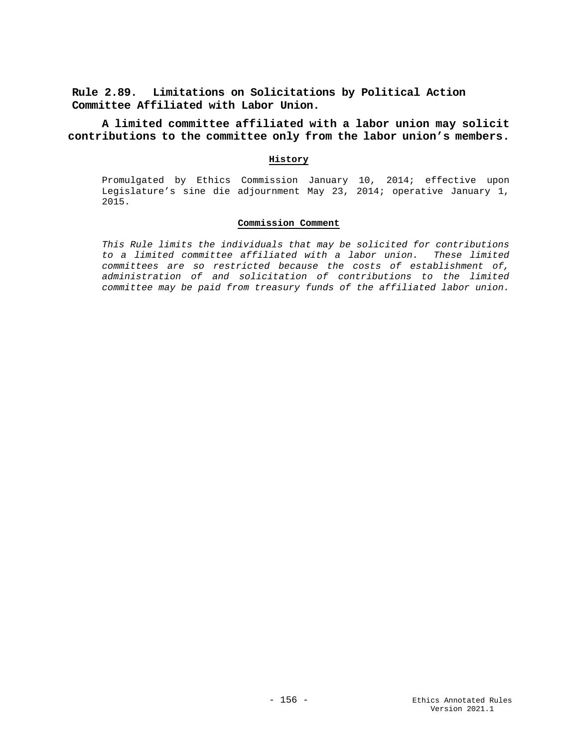**Rule 2.89. Limitations on Solicitations by Political Action Committee Affiliated with Labor Union.**

**A limited committee affiliated with a labor union may solicit contributions to the committee only from the labor union's members.**

### **History**

Promulgated by Ethics Commission January 10, 2014; effective upon Legislature's sine die adjournment May 23, 2014; operative January 1, 2015.

## **Commission Comment**

*This Rule limits the individuals that may be solicited for contributions to a limited committee affiliated with a labor union. These limited committees are so restricted because the costs of establishment of, administration of and solicitation of contributions to the limited committee may be paid from treasury funds of the affiliated labor union.*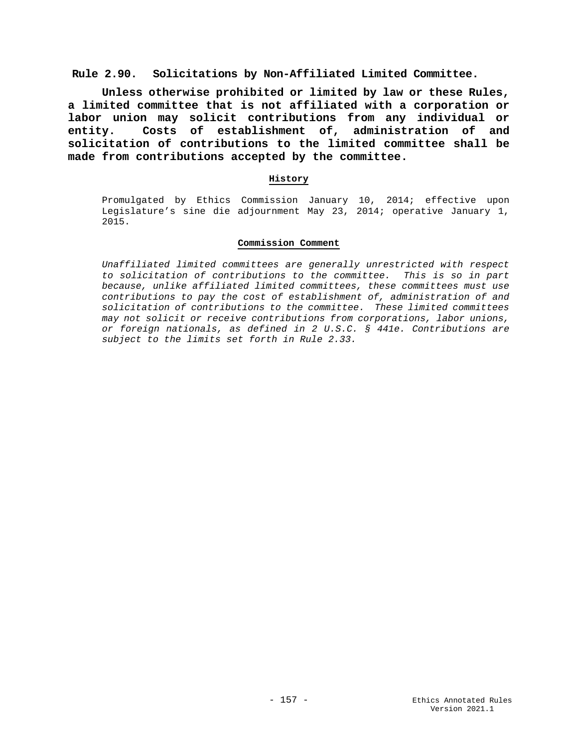**Rule 2.90. Solicitations by Non-Affiliated Limited Committee.**

**Unless otherwise prohibited or limited by law or these Rules, a limited committee that is not affiliated with a corporation or labor union may solicit contributions from any individual or entity. Costs of establishment of, administration of and solicitation of contributions to the limited committee shall be made from contributions accepted by the committee.**

## **History**

Promulgated by Ethics Commission January 10, 2014; effective upon Legislature's sine die adjournment May 23, 2014; operative January 1, 2015.

### **Commission Comment**

*Unaffiliated limited committees are generally unrestricted with respect to solicitation of contributions to the committee. This is so in part because, unlike affiliated limited committees, these committees must use contributions to pay the cost of establishment of, administration of and solicitation of contributions to the committee. These limited committees may not solicit or receive contributions from corporations, labor unions, or foreign nationals, as defined in 2 U.S.C. § 441e. Contributions are subject to the limits set forth in Rule 2.33.*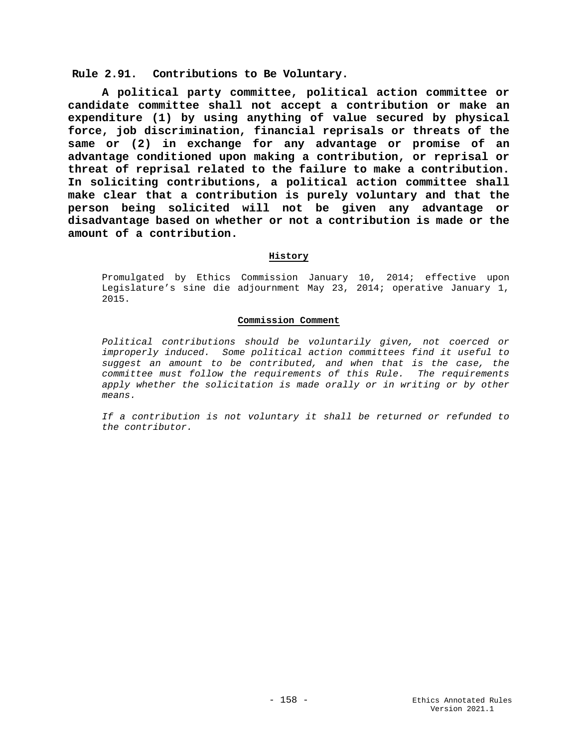**Rule 2.91. Contributions to Be Voluntary.**

**A political party committee, political action committee or candidate committee shall not accept a contribution or make an expenditure (1) by using anything of value secured by physical force, job discrimination, financial reprisals or threats of the same or (2) in exchange for any advantage or promise of an advantage conditioned upon making a contribution, or reprisal or threat of reprisal related to the failure to make a contribution. In soliciting contributions, a political action committee shall make clear that a contribution is purely voluntary and that the person being solicited will not be given any advantage or disadvantage based on whether or not a contribution is made or the amount of a contribution.**

## **History**

Promulgated by Ethics Commission January 10, 2014; effective upon Legislature's sine die adjournment May 23, 2014; operative January 1, 2015.

### **Commission Comment**

*Political contributions should be voluntarily given, not coerced or improperly induced. Some political action committees find it useful to suggest an amount to be contributed, and when that is the case, the committee must follow the requirements of this Rule. The requirements apply whether the solicitation is made orally or in writing or by other means.* 

*If a contribution is not voluntary it shall be returned or refunded to the contributor.*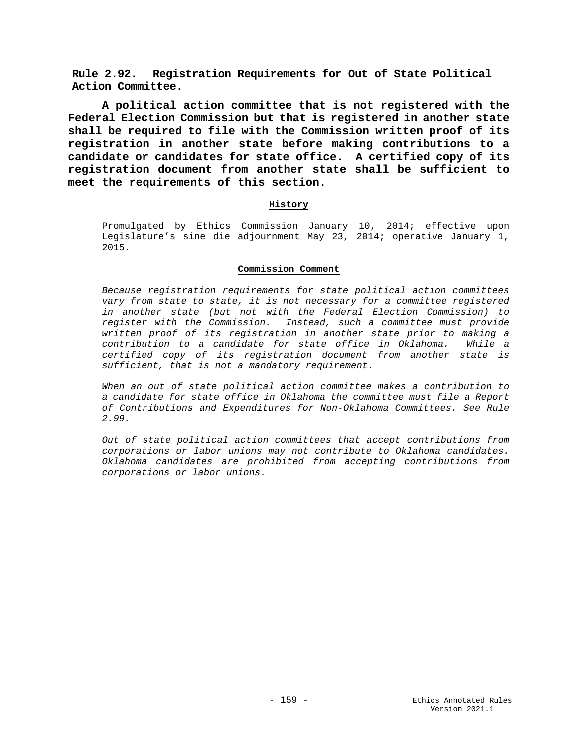**Rule 2.92. Registration Requirements for Out of State Political Action Committee.**

**A political action committee that is not registered with the Federal Election Commission but that is registered in another state shall be required to file with the Commission written proof of its registration in another state before making contributions to a candidate or candidates for state office. A certified copy of its registration document from another state shall be sufficient to meet the requirements of this section.**

### **History**

Promulgated by Ethics Commission January 10, 2014; effective upon Legislature's sine die adjournment May 23, 2014; operative January 1, 2015.

### **Commission Comment**

*Because registration requirements for state political action committees vary from state to state, it is not necessary for a committee registered in another state (but not with the Federal Election Commission) to register with the Commission. Instead, such a committee must provide written proof of its registration in another state prior to making a contribution to a candidate for state office in Oklahoma. While a certified copy of its registration document from another state is sufficient, that is not a mandatory requirement.* 

*When an out of state political action committee makes a contribution to a candidate for state office in Oklahoma the committee must file a Report of Contributions and Expenditures for Non-Oklahoma Committees. See Rule 2.99.*

*Out of state political action committees that accept contributions from corporations or labor unions may not contribute to Oklahoma candidates. Oklahoma candidates are prohibited from accepting contributions from corporations or labor unions.*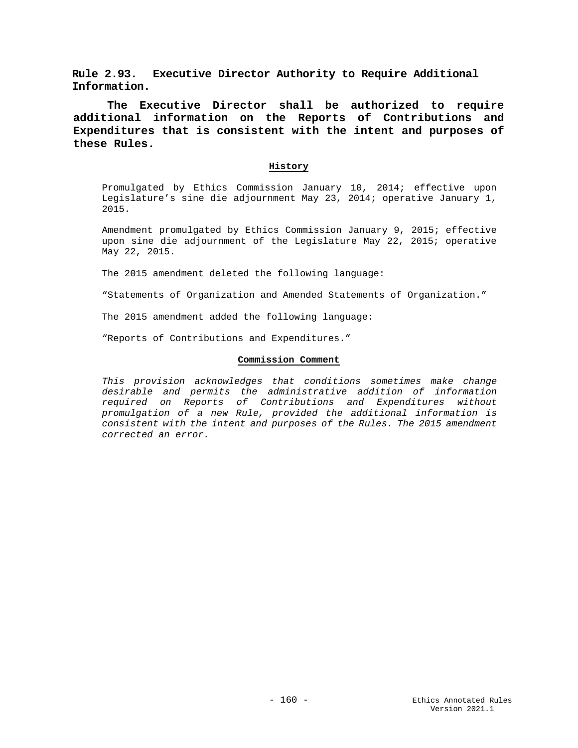**Rule 2.93. Executive Director Authority to Require Additional Information.**

**The Executive Director shall be authorized to require additional information on the Reports of Contributions and Expenditures that is consistent with the intent and purposes of these Rules.**

### **History**

Promulgated by Ethics Commission January 10, 2014; effective upon Legislature's sine die adjournment May 23, 2014; operative January 1, 2015.

Amendment promulgated by Ethics Commission January 9, 2015; effective upon sine die adjournment of the Legislature May 22, 2015; operative May 22, 2015.

The 2015 amendment deleted the following language:

"Statements of Organization and Amended Statements of Organization."

The 2015 amendment added the following language:

"Reports of Contributions and Expenditures."

### **Commission Comment**

*This provision acknowledges that conditions sometimes make change desirable and permits the administrative addition of information required on Reports of Contributions and Expenditures without promulgation of a new Rule, provided the additional information is consistent with the intent and purposes of the Rules. The 2015 amendment corrected an error.*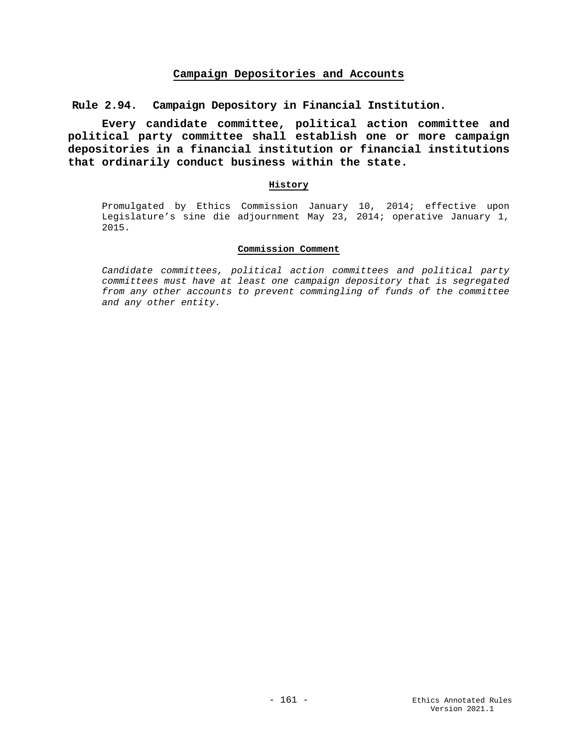# **Campaign Depositories and Accounts**

**Rule 2.94. Campaign Depository in Financial Institution.**

**Every candidate committee, political action committee and political party committee shall establish one or more campaign depositories in a financial institution or financial institutions that ordinarily conduct business within the state.**

### **History**

Promulgated by Ethics Commission January 10, 2014; effective upon Legislature's sine die adjournment May 23, 2014; operative January 1, 2015.

## **Commission Comment**

*Candidate committees, political action committees and political party committees must have at least one campaign depository that is segregated from any other accounts to prevent commingling of funds of the committee and any other entity.*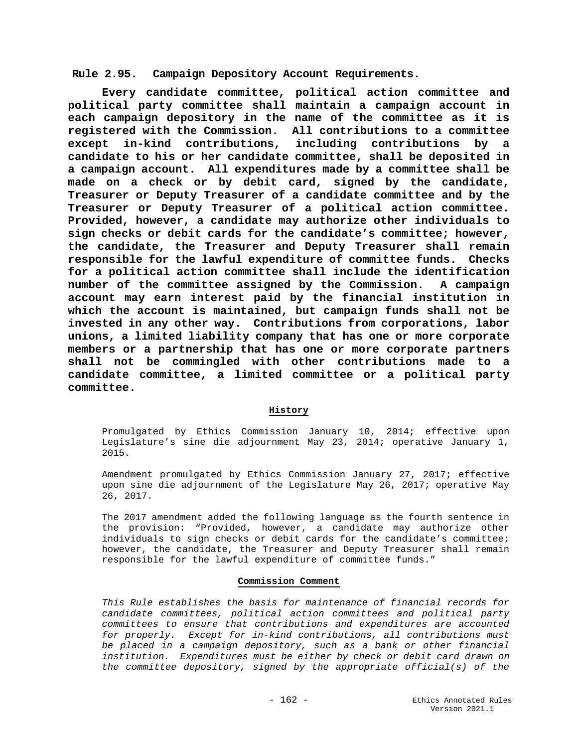**Rule 2.95. Campaign Depository Account Requirements.**

**Every candidate committee, political action committee and political party committee shall maintain a campaign account in each campaign depository in the name of the committee as it is registered with the Commission. All contributions to a committee except in-kind contributions, including contributions by a candidate to his or her candidate committee, shall be deposited in a campaign account. All expenditures made by a committee shall be made on a check or by debit card, signed by the candidate, Treasurer or Deputy Treasurer of a candidate committee and by the Treasurer or Deputy Treasurer of a political action committee. Provided, however, a candidate may authorize other individuals to sign checks or debit cards for the candidate's committee; however, the candidate, the Treasurer and Deputy Treasurer shall remain responsible for the lawful expenditure of committee funds. Checks for a political action committee shall include the identification**  number of the committee assigned by the Commission. **account may earn interest paid by the financial institution in which the account is maintained, but campaign funds shall not be invested in any other way. Contributions from corporations, labor unions, a limited liability company that has one or more corporate members or a partnership that has one or more corporate partners shall not be commingled with other contributions made to a candidate committee, a limited committee or a political party committee.**

# **History**

Promulgated by Ethics Commission January 10, 2014; effective upon Legislature's sine die adjournment May 23, 2014; operative January 1, 2015.

Amendment promulgated by Ethics Commission January 27, 2017; effective upon sine die adjournment of the Legislature May 26, 2017; operative May 26, 2017.

The 2017 amendment added the following language as the fourth sentence in the provision: "Provided, however, a candidate may authorize other individuals to sign checks or debit cards for the candidate's committee; however, the candidate, the Treasurer and Deputy Treasurer shall remain responsible for the lawful expenditure of committee funds."

## **Commission Comment**

*This Rule establishes the basis for maintenance of financial records for candidate committees, political action committees and political party committees to ensure that contributions and expenditures are accounted for properly. Except for in-kind contributions, all contributions must be placed in a campaign depository, such as a bank or other financial institution. Expenditures must be either by check or debit card drawn on the committee depository, signed by the appropriate official(s) of the*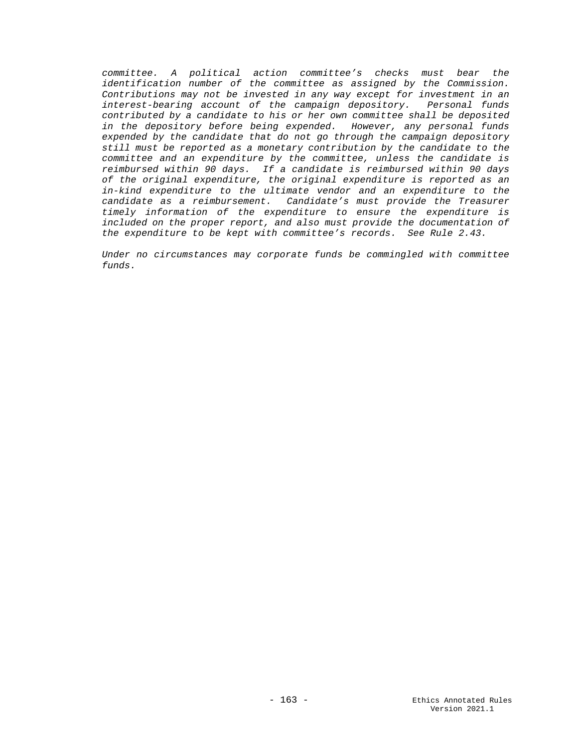*committee. A political action committee's checks must bear the identification number of the committee as assigned by the Commission. Contributions may not be invested in any way except for investment in an interest-bearing account of the campaign depository. Personal funds contributed by a candidate to his or her own committee shall be deposited in the depository before being expended. However, any personal funds expended by the candidate that do not go through the campaign depository still must be reported as a monetary contribution by the candidate to the committee and an expenditure by the committee, unless the candidate is reimbursed within 90 days. If a candidate is reimbursed within 90 days of the original expenditure, the original expenditure is reported as an in-kind expenditure to the ultimate vendor and an expenditure to the candidate as a reimbursement. Candidate's must provide the Treasurer timely information of the expenditure to ensure the expenditure is included on the proper report, and also must provide the documentation of the expenditure to be kept with committee's records. See Rule 2.43.*

*Under no circumstances may corporate funds be commingled with committee funds.*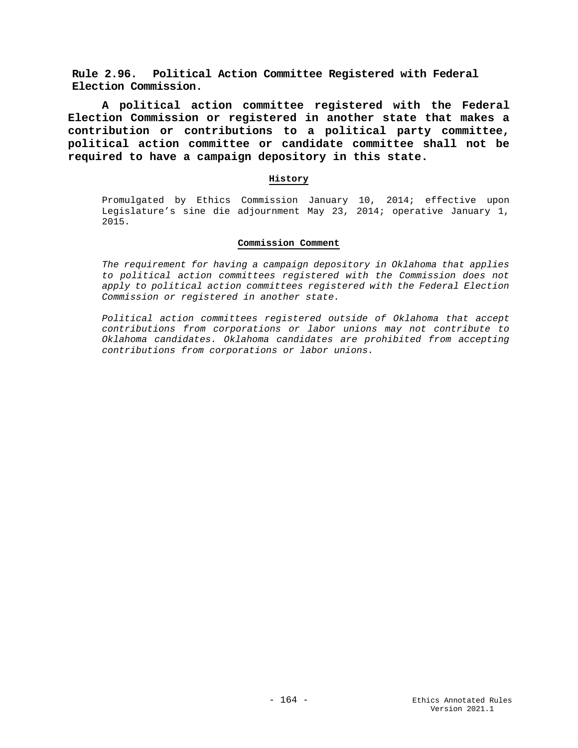**Rule 2.96. Political Action Committee Registered with Federal Election Commission.**

**A political action committee registered with the Federal Election Commission or registered in another state that makes a contribution or contributions to a political party committee, political action committee or candidate committee shall not be required to have a campaign depository in this state.**

## **History**

Promulgated by Ethics Commission January 10, 2014; effective upon Legislature's sine die adjournment May 23, 2014; operative January 1, 2015.

### **Commission Comment**

*The requirement for having a campaign depository in Oklahoma that applies to political action committees registered with the Commission does not apply to political action committees registered with the Federal Election Commission or registered in another state.*

*Political action committees registered outside of Oklahoma that accept contributions from corporations or labor unions may not contribute to Oklahoma candidates. Oklahoma candidates are prohibited from accepting contributions from corporations or labor unions.*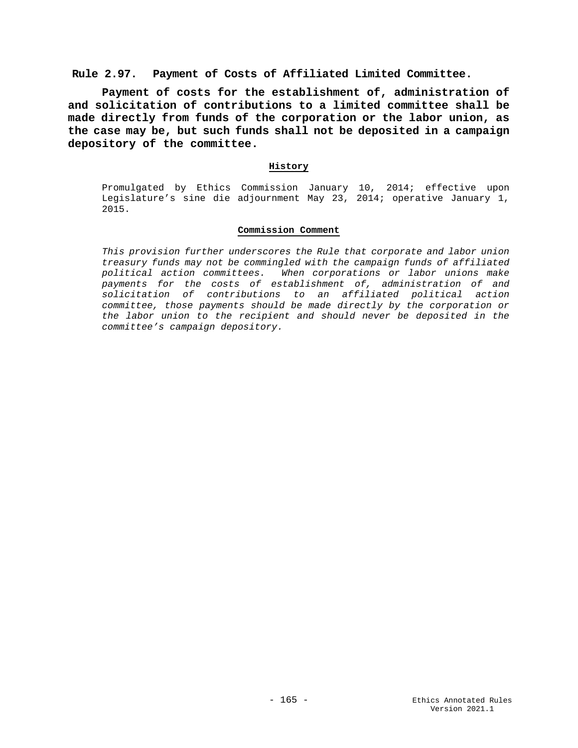# **Rule 2.97. Payment of Costs of Affiliated Limited Committee.**

**Payment of costs for the establishment of, administration of and solicitation of contributions to a limited committee shall be made directly from funds of the corporation or the labor union, as the case may be, but such funds shall not be deposited in a campaign depository of the committee.** 

## **History**

Promulgated by Ethics Commission January 10, 2014; effective upon Legislature's sine die adjournment May 23, 2014; operative January 1, 2015.

#### **Commission Comment**

*This provision further underscores the Rule that corporate and labor union treasury funds may not be commingled with the campaign funds of affiliated political action committees. When corporations or labor unions make payments for the costs of establishment of, administration of and solicitation of contributions to an affiliated political action committee, those payments should be made directly by the corporation or the labor union to the recipient and should never be deposited in the committee's campaign depository.*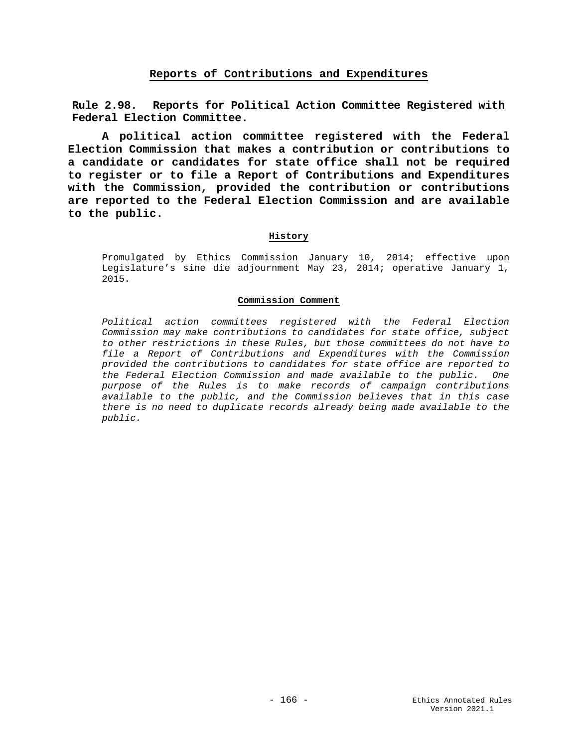# **Reports of Contributions and Expenditures**

**Rule 2.98. Reports for Political Action Committee Registered with Federal Election Committee.**

**A political action committee registered with the Federal Election Commission that makes a contribution or contributions to a candidate or candidates for state office shall not be required to register or to file a Report of Contributions and Expenditures with the Commission, provided the contribution or contributions are reported to the Federal Election Commission and are available to the public.**

## **History**

Promulgated by Ethics Commission January 10, 2014; effective upon Legislature's sine die adjournment May 23, 2014; operative January 1, 2015.

### **Commission Comment**

*Political action committees registered with the Federal Election Commission may make contributions to candidates for state office, subject to other restrictions in these Rules, but those committees do not have to file a Report of Contributions and Expenditures with the Commission provided the contributions to candidates for state office are reported to the Federal Election Commission and made available to the public. One purpose of the Rules is to make records of campaign contributions available to the public, and the Commission believes that in this case there is no need to duplicate records already being made available to the public.*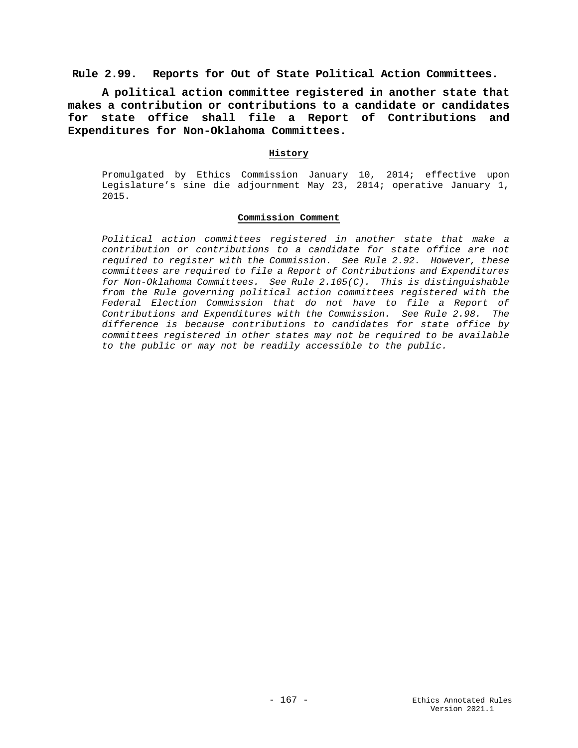**Rule 2.99. Reports for Out of State Political Action Committees.**

**A political action committee registered in another state that makes a contribution or contributions to a candidate or candidates for state office shall file a Report of Contributions and Expenditures for Non-Oklahoma Committees.**

## **History**

Promulgated by Ethics Commission January 10, 2014; effective upon Legislature's sine die adjournment May 23, 2014; operative January 1, 2015.

## **Commission Comment**

*Political action committees registered in another state that make a contribution or contributions to a candidate for state office are not required to register with the Commission. See Rule 2.92. However, these committees are required to file a Report of Contributions and Expenditures for Non-Oklahoma Committees. See Rule 2.105(C). This is distinguishable from the Rule governing political action committees registered with the Federal Election Commission that do not have to file a Report of Contributions and Expenditures with the Commission. See Rule 2.98. The difference is because contributions to candidates for state office by committees registered in other states may not be required to be available to the public or may not be readily accessible to the public.*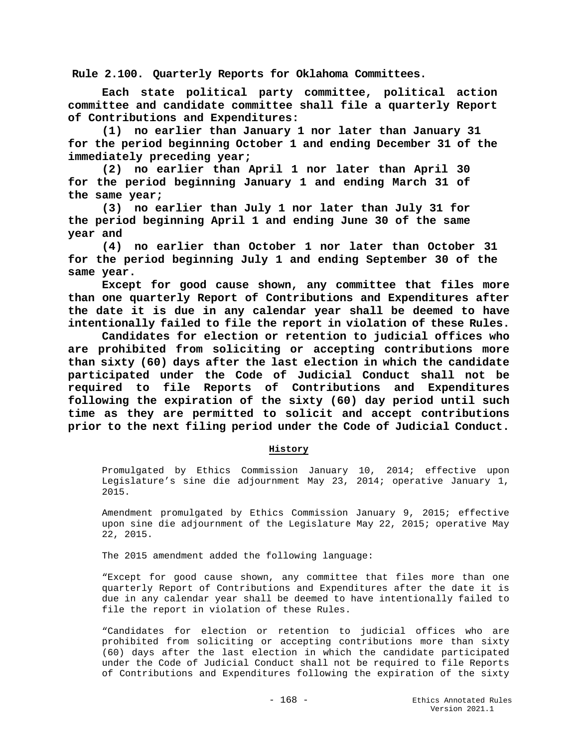**Rule 2.100. Quarterly Reports for Oklahoma Committees.**

**Each state political party committee, political action committee and candidate committee shall file a quarterly Report of Contributions and Expenditures:**

**(1) no earlier than January 1 nor later than January 31 for the period beginning October 1 and ending December 31 of the immediately preceding year;**

**(2) no earlier than April 1 nor later than April 30 for the period beginning January 1 and ending March 31 of the same year;**

**(3) no earlier than July 1 nor later than July 31 for the period beginning April 1 and ending June 30 of the same year and**

**(4) no earlier than October 1 nor later than October 31 for the period beginning July 1 and ending September 30 of the same year.**

**Except for good cause shown, any committee that files more than one quarterly Report of Contributions and Expenditures after the date it is due in any calendar year shall be deemed to have intentionally failed to file the report in violation of these Rules.**

**Candidates for election or retention to judicial offices who are prohibited from soliciting or accepting contributions more than sixty (60) days after the last election in which the candidate participated under the Code of Judicial Conduct shall not be required to file Reports of Contributions and Expenditures following the expiration of the sixty (60) day period until such time as they are permitted to solicit and accept contributions prior to the next filing period under the Code of Judicial Conduct.**

### **History**

Promulgated by Ethics Commission January 10, 2014; effective upon Legislature's sine die adjournment May 23, 2014; operative January 1, 2015.

Amendment promulgated by Ethics Commission January 9, 2015; effective upon sine die adjournment of the Legislature May 22, 2015; operative May 22, 2015.

The 2015 amendment added the following language:

"Except for good cause shown, any committee that files more than one quarterly Report of Contributions and Expenditures after the date it is due in any calendar year shall be deemed to have intentionally failed to file the report in violation of these Rules.

"Candidates for election or retention to judicial offices who are prohibited from soliciting or accepting contributions more than sixty (60) days after the last election in which the candidate participated under the Code of Judicial Conduct shall not be required to file Reports of Contributions and Expenditures following the expiration of the sixty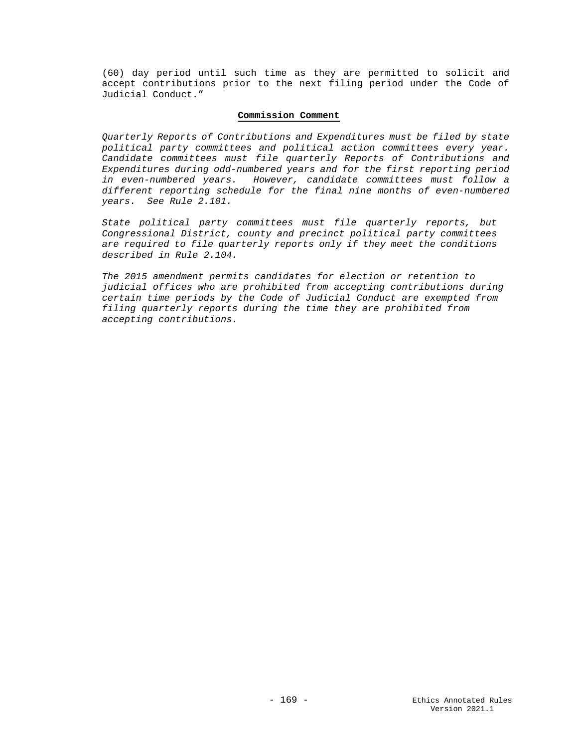(60) day period until such time as they are permitted to solicit and accept contributions prior to the next filing period under the Code of Judicial Conduct."

### **Commission Comment**

*Quarterly Reports of Contributions and Expenditures must be filed by state political party committees and political action committees every year. Candidate committees must file quarterly Reports of Contributions and Expenditures during odd-numbered years and for the first reporting period in even-numbered years. However, candidate committees must follow a different reporting schedule for the final nine months of even-numbered years. See Rule 2.101.*

*State political party committees must file quarterly reports, but Congressional District, county and precinct political party committees are required to file quarterly reports only if they meet the conditions described in Rule 2.104.*

*The 2015 amendment permits candidates for election or retention to judicial offices who are prohibited from accepting contributions during certain time periods by the Code of Judicial Conduct are exempted from filing quarterly reports during the time they are prohibited from accepting contributions.*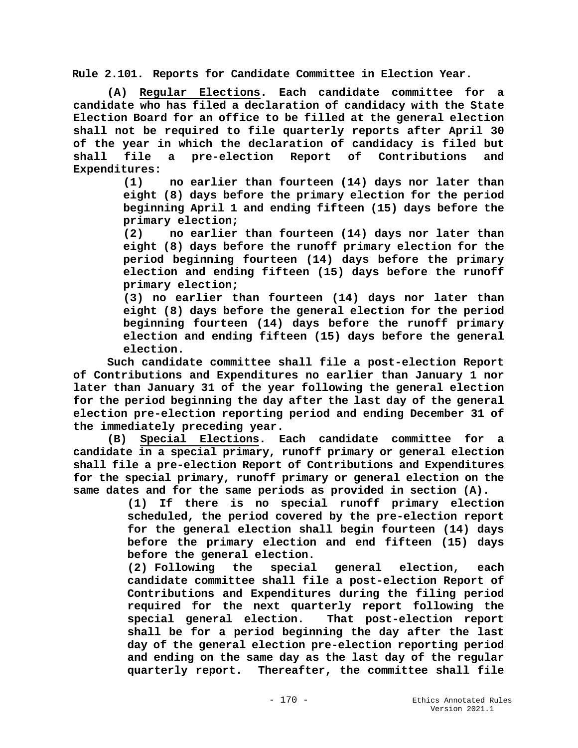**Rule 2.101. Reports for Candidate Committee in Election Year.**

**(A) Regular Elections. Each candidate committee for a candidate who has filed a declaration of candidacy with the State Election Board for an office to be filled at the general election shall not be required to file quarterly reports after April 30 of the year in which the declaration of candidacy is filed but shall file a pre-election Report of Contributions and Expenditures:**

**(1) no earlier than fourteen (14) days nor later than eight (8) days before the primary election for the period beginning April 1 and ending fifteen (15) days before the primary election;**

**(2) no earlier than fourteen (14) days nor later than eight (8) days before the runoff primary election for the period beginning fourteen (14) days before the primary election and ending fifteen (15) days before the runoff primary election;**

**(3) no earlier than fourteen (14) days nor later than eight (8) days before the general election for the period beginning fourteen (14) days before the runoff primary election and ending fifteen (15) days before the general election.**

**Such candidate committee shall file a post-election Report of Contributions and Expenditures no earlier than January 1 nor later than January 31 of the year following the general election for the period beginning the day after the last day of the general election pre-election reporting period and ending December 31 of the immediately preceding year.**

**(B) Special Elections. Each candidate committee for a candidate in a special primary, runoff primary or general election shall file a pre-election Report of Contributions and Expenditures for the special primary, runoff primary or general election on the same dates and for the same periods as provided in section (A).**

> **(1) If there is no special runoff primary election scheduled, the period covered by the pre-election report for the general election shall begin fourteen (14) days before the primary election and end fifteen (15) days before the general election.**

> **(2) Following the special general election, each candidate committee shall file a post-election Report of Contributions and Expenditures during the filing period required for the next quarterly report following the special general election. That post-election report shall be for a period beginning the day after the last day of the general election pre-election reporting period and ending on the same day as the last day of the regular quarterly report. Thereafter, the committee shall file**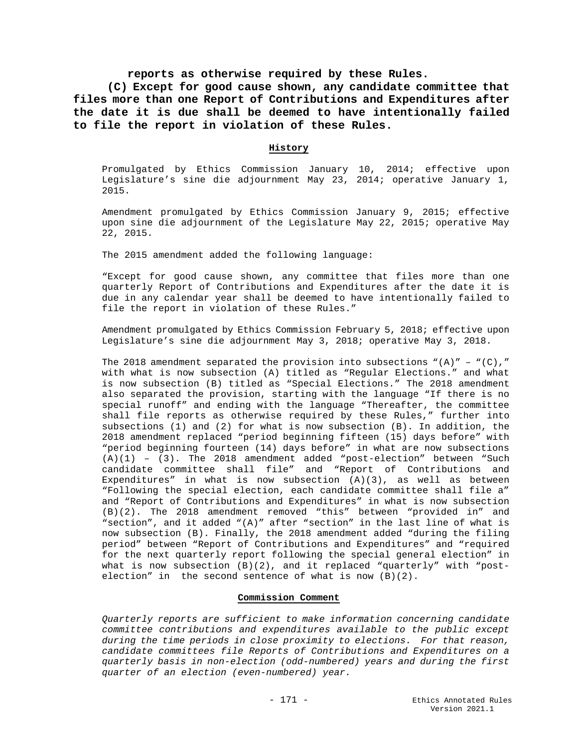## **reports as otherwise required by these Rules.**

**(C) Except for good cause shown, any candidate committee that files more than one Report of Contributions and Expenditures after the date it is due shall be deemed to have intentionally failed to file the report in violation of these Rules.**

### **History**

Promulgated by Ethics Commission January 10, 2014; effective upon Legislature's sine die adjournment May 23, 2014; operative January 1, 2015.

Amendment promulgated by Ethics Commission January 9, 2015; effective upon sine die adjournment of the Legislature May 22, 2015; operative May 22, 2015.

The 2015 amendment added the following language:

"Except for good cause shown, any committee that files more than one quarterly Report of Contributions and Expenditures after the date it is due in any calendar year shall be deemed to have intentionally failed to file the report in violation of these Rules."

Amendment promulgated by Ethics Commission February 5, 2018; effective upon Legislature's sine die adjournment May 3, 2018; operative May 3, 2018.

The 2018 amendment separated the provision into subsections  $"(A)" - "(C),"$ with what is now subsection (A) titled as "Regular Elections." and what is now subsection (B) titled as "Special Elections." The 2018 amendment also separated the provision, starting with the language "If there is no special runoff" and ending with the language "Thereafter, the committee shall file reports as otherwise required by these Rules," further into subsections (1) and (2) for what is now subsection (B). In addition, the 2018 amendment replaced "period beginning fifteen (15) days before" with "period beginning fourteen (14) days before" in what are now subsections  $(A)(1) - (3)$ . The 2018 amendment added "post-election" between "Such candidate committee shall file" and "Report of Contributions and Expenditures" in what is now subsection  $(A)(3)$ , as well as between "Following the special election, each candidate committee shall file a" and "Report of Contributions and Expenditures" in what is now subsection (B)(2). The 2018 amendment removed "this" between "provided in" and "section", and it added "(A)" after "section" in the last line of what is now subsection (B). Finally, the 2018 amendment added "during the filing period" between "Report of Contributions and Expenditures" and "required for the next quarterly report following the special general election" in what is now subsection  $(B)(2)$ , and it replaced "quarterly" with "postelection" in the second sentence of what is now (B)(2).

#### **Commission Comment**

*Quarterly reports are sufficient to make information concerning candidate committee contributions and expenditures available to the public except during the time periods in close proximity to elections. For that reason, candidate committees file Reports of Contributions and Expenditures on a quarterly basis in non-election (odd-numbered) years and during the first quarter of an election (even-numbered) year.*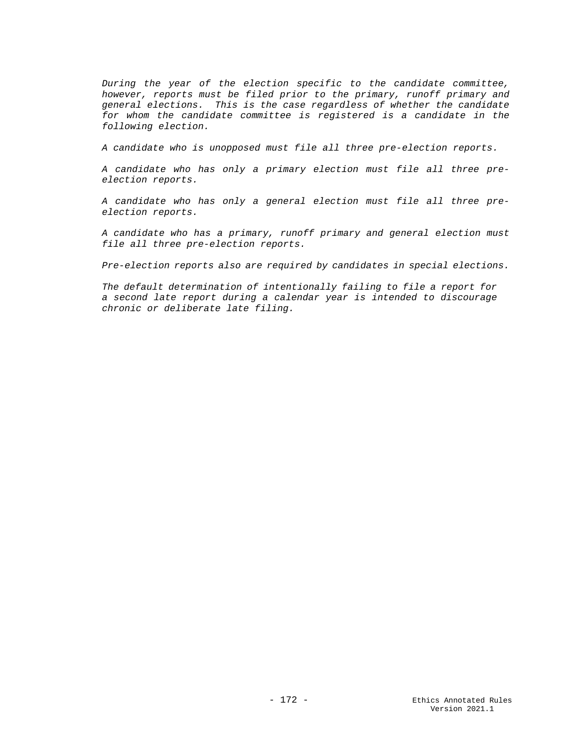*During the year of the election specific to the candidate committee, however, reports must be filed prior to the primary, runoff primary and general elections. This is the case regardless of whether the candidate for whom the candidate committee is registered is a candidate in the following election.*

*A candidate who is unopposed must file all three pre-election reports.*

*A candidate who has only a primary election must file all three preelection reports.*

*A candidate who has only a general election must file all three preelection reports.*

*A candidate who has a primary, runoff primary and general election must file all three pre-election reports.*

*Pre-election reports also are required by candidates in special elections.*

*The default determination of intentionally failing to file a report for a second late report during a calendar year is intended to discourage chronic or deliberate late filing.*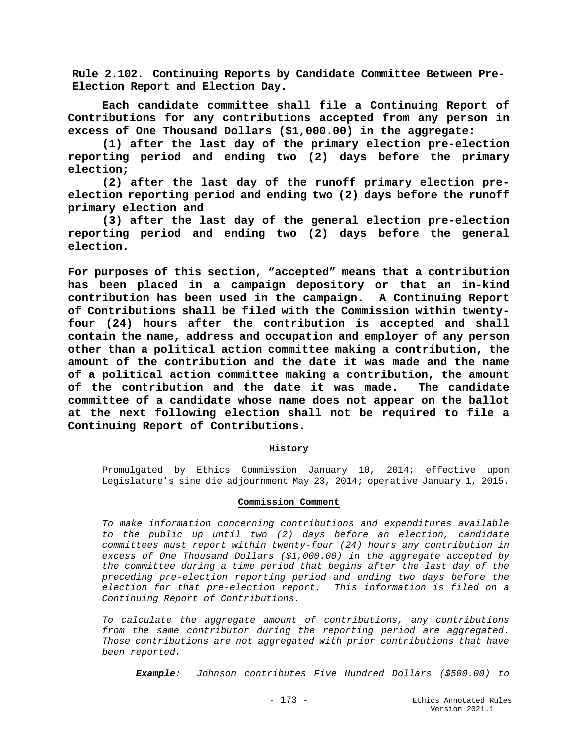**Rule 2.102. Continuing Reports by Candidate Committee Between Pre-Election Report and Election Day.**

**Each candidate committee shall file a Continuing Report of Contributions for any contributions accepted from any person in excess of One Thousand Dollars (\$1,000.00) in the aggregate:**

**(1) after the last day of the primary election pre-election reporting period and ending two (2) days before the primary election;** 

**(2) after the last day of the runoff primary election preelection reporting period and ending two (2) days before the runoff primary election and** 

**(3) after the last day of the general election pre-election reporting period and ending two (2) days before the general election.**

**For purposes of this section, "accepted" means that a contribution has been placed in a campaign depository or that an in-kind**  contribution has been used in the campaign. **of Contributions shall be filed with the Commission within twentyfour (24) hours after the contribution is accepted and shall contain the name, address and occupation and employer of any person other than a political action committee making a contribution, the amount of the contribution and the date it was made and the name of a political action committee making a contribution, the amount of the contribution and the date it was made. The candidate committee of a candidate whose name does not appear on the ballot at the next following election shall not be required to file a Continuing Report of Contributions.**

### **History**

Promulgated by Ethics Commission January 10, 2014; effective upon Legislature's sine die adjournment May 23, 2014; operative January 1, 2015.

### **Commission Comment**

*To make information concerning contributions and expenditures available to the public up until two (2) days before an election, candidate committees must report within twenty-four (24) hours any contribution in excess of One Thousand Dollars (\$1,000.00) in the aggregate accepted by the committee during a time period that begins after the last day of the preceding pre-election reporting period and ending two days before the election for that pre-election report. This information is filed on a Continuing Report of Contributions.* 

*To calculate the aggregate amount of contributions, any contributions from the same contributor during the reporting period are aggregated. Those contributions are not aggregated with prior contributions that have been reported.*

*Example: Johnson contributes Five Hundred Dollars (\$500.00) to*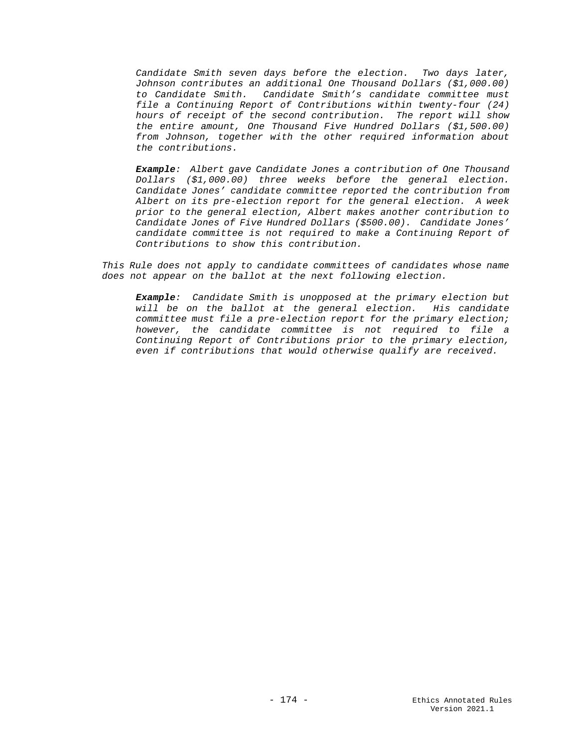*Candidate Smith seven days before the election. Two days later, Johnson contributes an additional One Thousand Dollars (\$1,000.00) to Candidate Smith. Candidate Smith's candidate committee must file a Continuing Report of Contributions within twenty-four (24) hours of receipt of the second contribution. The report will show the entire amount, One Thousand Five Hundred Dollars (\$1,500.00) from Johnson, together with the other required information about the contributions.*

*Example: Albert gave Candidate Jones a contribution of One Thousand Dollars (\$1,000.00) three weeks before the general election. Candidate Jones' candidate committee reported the contribution from Albert on its pre-election report for the general election. A week prior to the general election, Albert makes another contribution to Candidate Jones of Five Hundred Dollars (\$500.00). Candidate Jones' candidate committee is not required to make a Continuing Report of Contributions to show this contribution.*

*This Rule does not apply to candidate committees of candidates whose name does not appear on the ballot at the next following election.*

*Example: Candidate Smith is unopposed at the primary election but will be on the ballot at the general election. His candidate committee must file a pre-election report for the primary election; however, the candidate committee is not required to file a Continuing Report of Contributions prior to the primary election, even if contributions that would otherwise qualify are received.*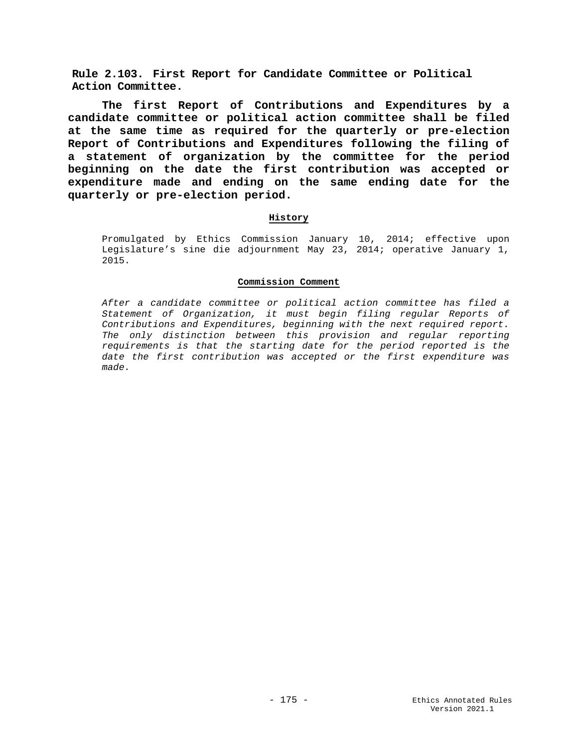**Rule 2.103. First Report for Candidate Committee or Political Action Committee.**

**The first Report of Contributions and Expenditures by a candidate committee or political action committee shall be filed at the same time as required for the quarterly or pre-election Report of Contributions and Expenditures following the filing of a statement of organization by the committee for the period beginning on the date the first contribution was accepted or expenditure made and ending on the same ending date for the quarterly or pre-election period.**

## **History**

Promulgated by Ethics Commission January 10, 2014; effective upon Legislature's sine die adjournment May 23, 2014; operative January 1, 2015.

### **Commission Comment**

*After a candidate committee or political action committee has filed a Statement of Organization, it must begin filing regular Reports of Contributions and Expenditures, beginning with the next required report. The only distinction between this provision and regular reporting requirements is that the starting date for the period reported is the date the first contribution was accepted or the first expenditure was made.*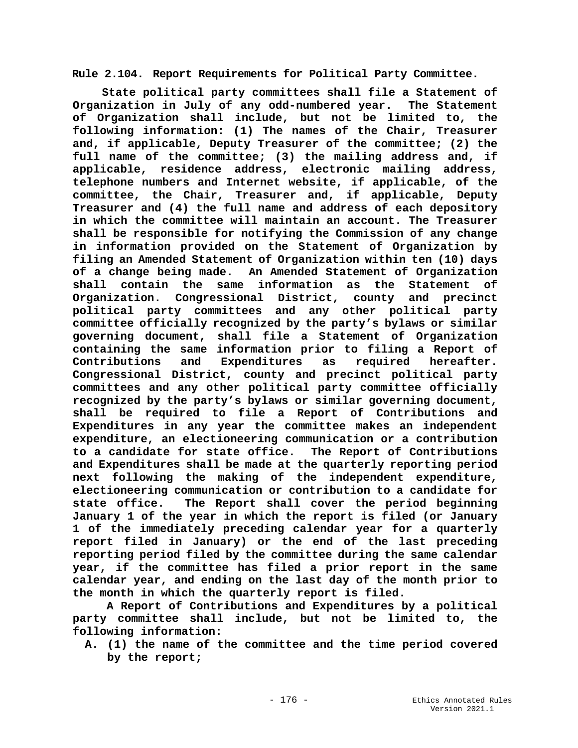**Rule 2.104. Report Requirements for Political Party Committee.**

**State political party committees shall file a Statement of Organization in July of any odd-numbered year. The Statement of Organization shall include, but not be limited to, the following information: (1) The names of the Chair, Treasurer and, if applicable, Deputy Treasurer of the committee; (2) the full name of the committee; (3) the mailing address and, if applicable, residence address, electronic mailing address, telephone numbers and Internet website, if applicable, of the committee, the Chair, Treasurer and, if applicable, Deputy Treasurer and (4) the full name and address of each depository in which the committee will maintain an account. The Treasurer shall be responsible for notifying the Commission of any change in information provided on the Statement of Organization by filing an Amended Statement of Organization within ten (10) days of a change being made. An Amended Statement of Organization shall contain the same information as the Statement of Organization. Congressional District, county and precinct political party committees and any other political party committee officially recognized by the party's bylaws or similar governing document, shall file a Statement of Organization containing the same information prior to filing a Report of Contributions and Expenditures as required hereafter. Congressional District, county and precinct political party committees and any other political party committee officially recognized by the party's bylaws or similar governing document, shall be required to file a Report of Contributions and Expenditures in any year the committee makes an independent expenditure, an electioneering communication or a contribution to a candidate for state office. The Report of Contributions and Expenditures shall be made at the quarterly reporting period next following the making of the independent expenditure, electioneering communication or contribution to a candidate for**  The Report shall cover the period beginning **January 1 of the year in which the report is filed (or January 1 of the immediately preceding calendar year for a quarterly report filed in January) or the end of the last preceding reporting period filed by the committee during the same calendar year, if the committee has filed a prior report in the same calendar year, and ending on the last day of the month prior to the month in which the quarterly report is filed.**

**A Report of Contributions and Expenditures by a political party committee shall include, but not be limited to, the following information:**

**A. (1) the name of the committee and the time period covered by the report;**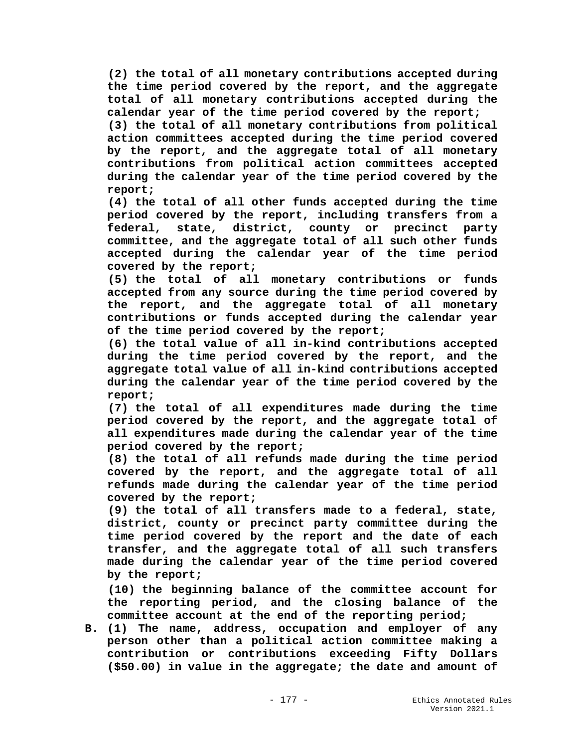**(2) the total of all monetary contributions accepted during the time period covered by the report, and the aggregate total of all monetary contributions accepted during the calendar year of the time period covered by the report; (3) the total of all monetary contributions from political action committees accepted during the time period covered by the report, and the aggregate total of all monetary contributions from political action committees accepted during the calendar year of the time period covered by the report;**

**(4) the total of all other funds accepted during the time period covered by the report, including transfers from a federal, state, district, county or precinct party committee, and the aggregate total of all such other funds accepted during the calendar year of the time period covered by the report;**

**(5) the total of all monetary contributions or funds accepted from any source during the time period covered by the report, and the aggregate total of all monetary contributions or funds accepted during the calendar year of the time period covered by the report;**

**(6) the total value of all in-kind contributions accepted during the time period covered by the report, and the aggregate total value of all in-kind contributions accepted during the calendar year of the time period covered by the report;**

**(7) the total of all expenditures made during the time period covered by the report, and the aggregate total of all expenditures made during the calendar year of the time period covered by the report;**

**(8) the total of all refunds made during the time period covered by the report, and the aggregate total of all refunds made during the calendar year of the time period covered by the report;**

**(9) the total of all transfers made to a federal, state, district, county or precinct party committee during the time period covered by the report and the date of each transfer, and the aggregate total of all such transfers made during the calendar year of the time period covered by the report;**

**(10) the beginning balance of the committee account for the reporting period, and the closing balance of the committee account at the end of the reporting period;**

**B. (1) The name, address, occupation and employer of any person other than a political action committee making a contribution or contributions exceeding Fifty Dollars (\$50.00) in value in the aggregate; the date and amount of**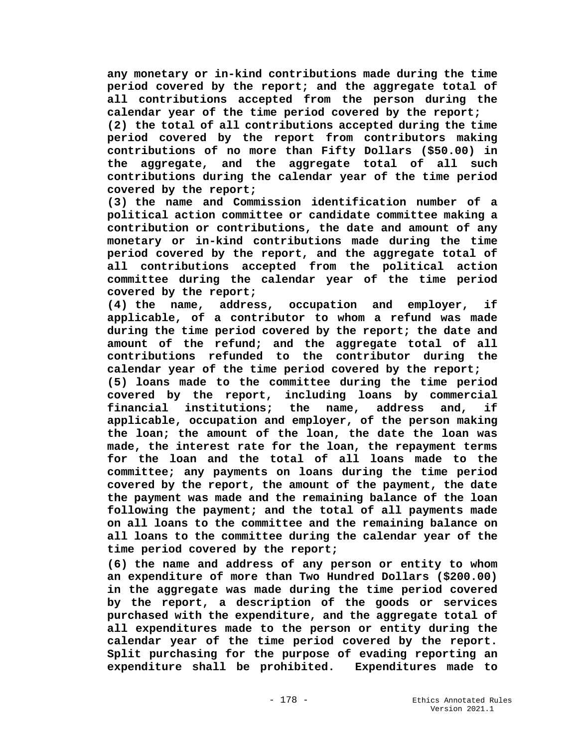**any monetary or in-kind contributions made during the time period covered by the report; and the aggregate total of all contributions accepted from the person during the calendar year of the time period covered by the report;**

**(2) the total of all contributions accepted during the time period covered by the report from contributors making contributions of no more than Fifty Dollars (\$50.00) in the aggregate, and the aggregate total of all such contributions during the calendar year of the time period covered by the report;**

**(3) the name and Commission identification number of a political action committee or candidate committee making a contribution or contributions, the date and amount of any monetary or in-kind contributions made during the time period covered by the report, and the aggregate total of all contributions accepted from the political action committee during the calendar year of the time period covered by the report;**

**(4) the name, address, occupation and employer, if applicable, of a contributor to whom a refund was made during the time period covered by the report; the date and amount of the refund; and the aggregate total of all contributions refunded to the contributor during the calendar year of the time period covered by the report;** 

**(5) loans made to the committee during the time period covered by the report, including loans by commercial financial institutions; the name, address and, if applicable, occupation and employer, of the person making the loan; the amount of the loan, the date the loan was made, the interest rate for the loan, the repayment terms for the loan and the total of all loans made to the committee; any payments on loans during the time period covered by the report, the amount of the payment, the date the payment was made and the remaining balance of the loan following the payment; and the total of all payments made on all loans to the committee and the remaining balance on all loans to the committee during the calendar year of the time period covered by the report;**

**(6) the name and address of any person or entity to whom an expenditure of more than Two Hundred Dollars (\$200.00) in the aggregate was made during the time period covered by the report, a description of the goods or services purchased with the expenditure, and the aggregate total of all expenditures made to the person or entity during the calendar year of the time period covered by the report. Split purchasing for the purpose of evading reporting an expenditure shall be prohibited. Expenditures made to**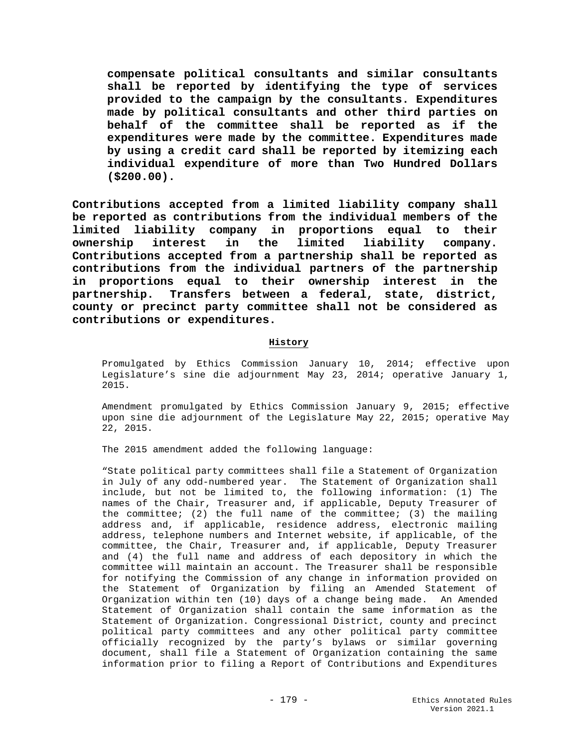**compensate political consultants and similar consultants shall be reported by identifying the type of services provided to the campaign by the consultants. Expenditures made by political consultants and other third parties on behalf of the committee shall be reported as if the expenditures were made by the committee. Expenditures made by using a credit card shall be reported by itemizing each individual expenditure of more than Two Hundred Dollars (\$200.00).** 

**Contributions accepted from a limited liability company shall be reported as contributions from the individual members of the limited liability company in proportions equal to their ownership interest in the limited liability company. Contributions accepted from a partnership shall be reported as contributions from the individual partners of the partnership in proportions equal to their ownership interest in the partnership. Transfers between a federal, state, district, county or precinct party committee shall not be considered as contributions or expenditures.**

## **History**

Promulgated by Ethics Commission January 10, 2014; effective upon Legislature's sine die adjournment May 23, 2014; operative January 1, 2015.

Amendment promulgated by Ethics Commission January 9, 2015; effective upon sine die adjournment of the Legislature May 22, 2015; operative May 22, 2015.

The 2015 amendment added the following language:

"State political party committees shall file a Statement of Organization in July of any odd-numbered year. The Statement of Organization shall include, but not be limited to, the following information: (1) The names of the Chair, Treasurer and, if applicable, Deputy Treasurer of the committee; (2) the full name of the committee; (3) the mailing address and, if applicable, residence address, electronic mailing address, telephone numbers and Internet website, if applicable, of the committee, the Chair, Treasurer and, if applicable, Deputy Treasurer and (4) the full name and address of each depository in which the committee will maintain an account. The Treasurer shall be responsible for notifying the Commission of any change in information provided on the Statement of Organization by filing an Amended Statement of Organization within ten (10) days of a change being made. An Amended Statement of Organization shall contain the same information as the Statement of Organization. Congressional District, county and precinct political party committees and any other political party committee officially recognized by the party's bylaws or similar governing document, shall file a Statement of Organization containing the same information prior to filing a Report of Contributions and Expenditures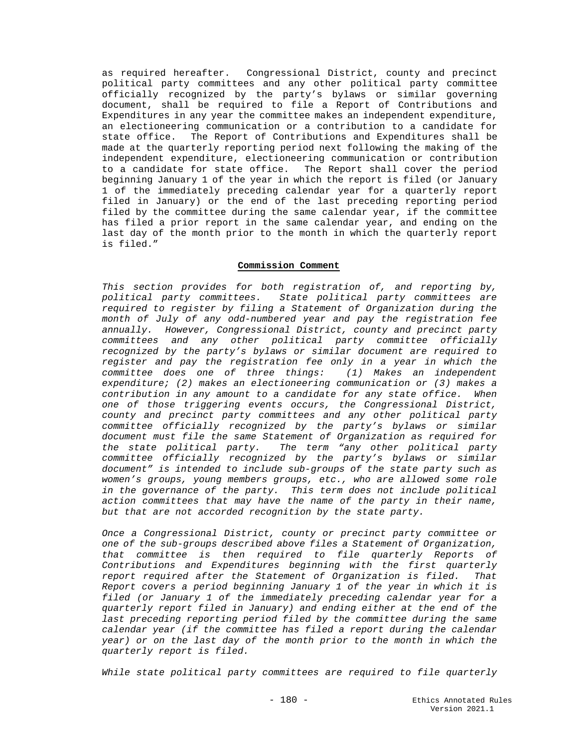as required hereafter. Congressional District, county and precinct political party committees and any other political party committee officially recognized by the party's bylaws or similar governing document, shall be required to file a Report of Contributions and Expenditures in any year the committee makes an independent expenditure, an electioneering communication or a contribution to a candidate for state office. The Report of Contributions and Expenditures shall be made at the quarterly reporting period next following the making of the independent expenditure, electioneering communication or contribution to a candidate for state office. The Report shall cover the period beginning January 1 of the year in which the report is filed (or January 1 of the immediately preceding calendar year for a quarterly report filed in January) or the end of the last preceding reporting period filed by the committee during the same calendar year, if the committee has filed a prior report in the same calendar year, and ending on the last day of the month prior to the month in which the quarterly report is filed."

#### **Commission Comment**

*This section provides for both registration of, and reporting by, political party committees. State political party committees are required to register by filing a Statement of Organization during the month of July of any odd-numbered year and pay the registration fee annually. However, Congressional District, county and precinct party committees and any other political party committee officially recognized by the party's bylaws or similar document are required to register and pay the registration fee only in a year in which the committee does one of three things: (1) Makes an independent expenditure; (2) makes an electioneering communication or (3) makes a contribution in any amount to a candidate for any state office. When one of those triggering events occurs, the Congressional District, county and precinct party committees and any other political party committee officially recognized by the party's bylaws or similar document must file the same Statement of Organization as required for the state political party. The term "any other political party committee officially recognized by the party's bylaws or similar document" is intended to include sub-groups of the state party such as women's groups, young members groups, etc., who are allowed some role in the governance of the party. This term does not include political action committees that may have the name of the party in their name, but that are not accorded recognition by the state party.*

*Once a Congressional District, county or precinct party committee or one of the sub-groups described above files a Statement of Organization, that committee is then required to file quarterly Reports of Contributions and Expenditures beginning with the first quarterly report required after the Statement of Organization is filed. That Report covers a period beginning January 1 of the year in which it is filed (or January 1 of the immediately preceding calendar year for a quarterly report filed in January) and ending either at the end of the*  last preceding reporting period filed by the committee during the same *calendar year (if the committee has filed a report during the calendar year) or on the last day of the month prior to the month in which the quarterly report is filed.*

*While state political party committees are required to file quarterly*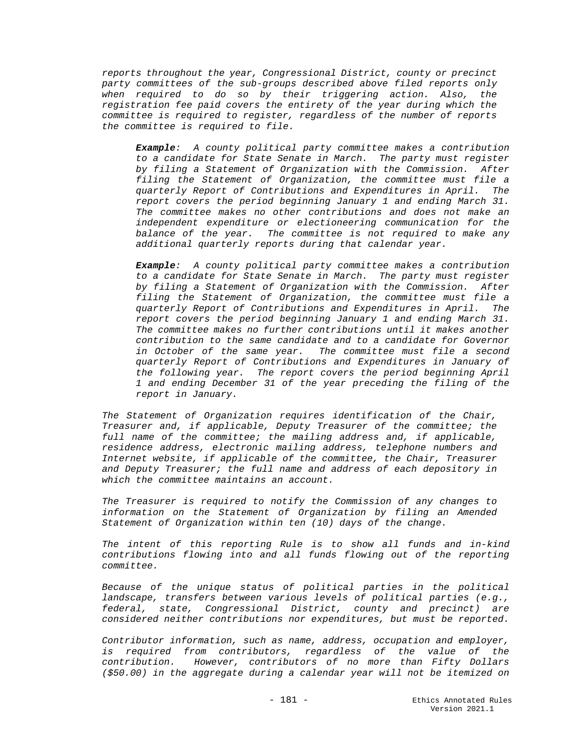*reports throughout the year, Congressional District, county or precinct party committees of the sub-groups described above filed reports only when required to do so by their triggering action. Also, the registration fee paid covers the entirety of the year during which the committee is required to register, regardless of the number of reports the committee is required to file.* 

*Example: A county political party committee makes a contribution to a candidate for State Senate in March. The party must register by filing a Statement of Organization with the Commission. After filing the Statement of Organization, the committee must file a quarterly Report of Contributions and Expenditures in April. The report covers the period beginning January 1 and ending March 31. The committee makes no other contributions and does not make an independent expenditure or electioneering communication for the balance of the year. The committee is not required to make any additional quarterly reports during that calendar year.*

*Example: A county political party committee makes a contribution to a candidate for State Senate in March. The party must register by filing a Statement of Organization with the Commission. After filing the Statement of Organization, the committee must file a quarterly Report of Contributions and Expenditures in April. The report covers the period beginning January 1 and ending March 31. The committee makes no further contributions until it makes another contribution to the same candidate and to a candidate for Governor in October of the same year. The committee must file a second quarterly Report of Contributions and Expenditures in January of the following year. The report covers the period beginning April 1 and ending December 31 of the year preceding the filing of the report in January.*

*The Statement of Organization requires identification of the Chair, Treasurer and, if applicable, Deputy Treasurer of the committee; the full name of the committee; the mailing address and, if applicable, residence address, electronic mailing address, telephone numbers and Internet website, if applicable of the committee, the Chair, Treasurer and Deputy Treasurer; the full name and address of each depository in which the committee maintains an account.*

*The Treasurer is required to notify the Commission of any changes to information on the Statement of Organization by filing an Amended Statement of Organization within ten (10) days of the change.*

*The intent of this reporting Rule is to show all funds and in-kind contributions flowing into and all funds flowing out of the reporting committee.* 

*Because of the unique status of political parties in the political landscape, transfers between various levels of political parties (e.g., federal, state, Congressional District, county and precinct) are considered neither contributions nor expenditures, but must be reported.*

*Contributor information, such as name, address, occupation and employer, is required from contributors, regardless of the value of the contribution. However, contributors of no more than Fifty Dollars (\$50.00) in the aggregate during a calendar year will not be itemized on*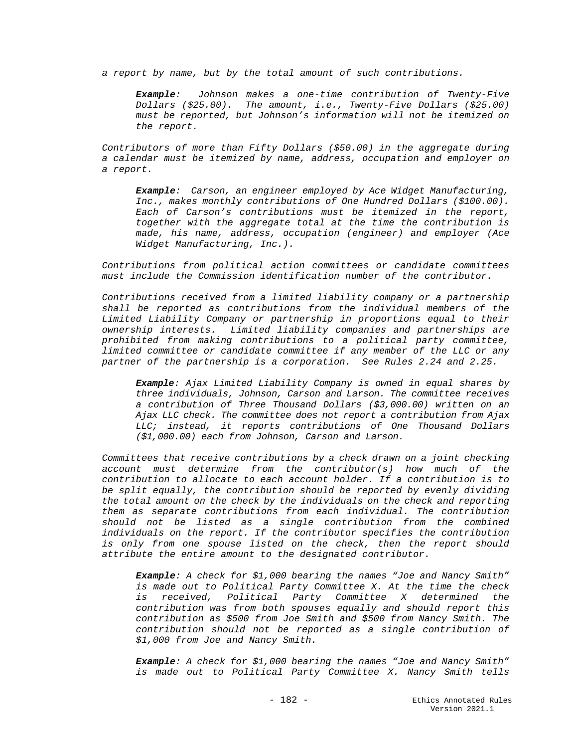*a report by name, but by the total amount of such contributions.* 

*Example: Johnson makes a one-time contribution of Twenty-Five Dollars (\$25.00). The amount, i.e., Twenty-Five Dollars (\$25.00) must be reported, but Johnson's information will not be itemized on the report.*

*Contributors of more than Fifty Dollars (\$50.00) in the aggregate during a calendar must be itemized by name, address, occupation and employer on a report.*

*Example: Carson, an engineer employed by Ace Widget Manufacturing, Inc., makes monthly contributions of One Hundred Dollars (\$100.00). Each of Carson's contributions must be itemized in the report, together with the aggregate total at the time the contribution is made, his name, address, occupation (engineer) and employer (Ace Widget Manufacturing, Inc.).*

*Contributions from political action committees or candidate committees must include the Commission identification number of the contributor.*

*Contributions received from a limited liability company or a partnership shall be reported as contributions from the individual members of the Limited Liability Company or partnership in proportions equal to their ownership interests. Limited liability companies and partnerships are prohibited from making contributions to a political party committee, limited committee or candidate committee if any member of the LLC or any partner of the partnership is a corporation. See Rules 2.24 and 2.25.*

*Example: Ajax Limited Liability Company is owned in equal shares by three individuals, Johnson, Carson and Larson. The committee receives a contribution of Three Thousand Dollars (\$3,000.00) written on an Ajax LLC check. The committee does not report a contribution from Ajax LLC; instead, it reports contributions of One Thousand Dollars (\$1,000.00) each from Johnson, Carson and Larson.* 

*Committees that receive contributions by a check drawn on a joint checking account must determine from the contributor(s) how much of the contribution to allocate to each account holder. If a contribution is to be split equally, the contribution should be reported by evenly dividing the total amount on the check by the individuals on the check and reporting them as separate contributions from each individual. The contribution should not be listed as a single contribution from the combined individuals on the report. If the contributor specifies the contribution is only from one spouse listed on the check, then the report should attribute the entire amount to the designated contributor.*

*Example: A check for \$1,000 bearing the names "Joe and Nancy Smith" is made out to Political Party Committee X. At the time the check is received, Political Party Committee X determined the contribution was from both spouses equally and should report this contribution as \$500 from Joe Smith and \$500 from Nancy Smith. The contribution should not be reported as a single contribution of \$1,000 from Joe and Nancy Smith.*

*Example: A check for \$1,000 bearing the names "Joe and Nancy Smith" is made out to Political Party Committee X. Nancy Smith tells*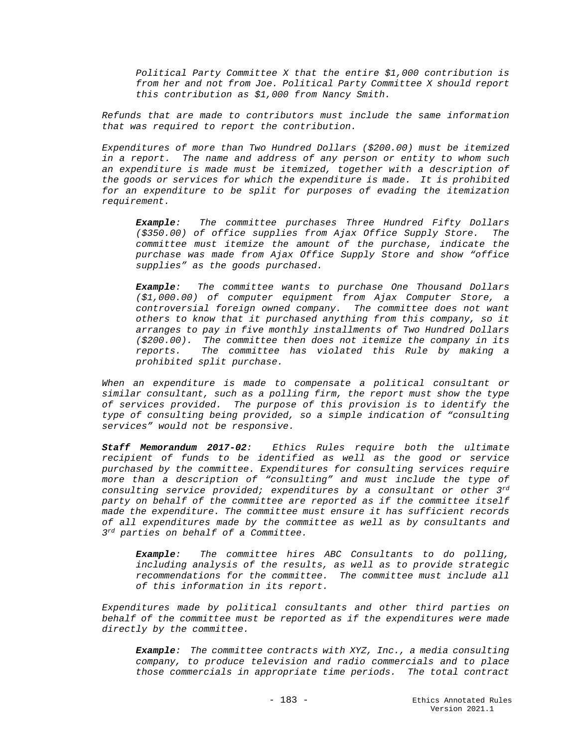*Political Party Committee X that the entire \$1,000 contribution is from her and not from Joe. Political Party Committee X should report this contribution as \$1,000 from Nancy Smith.* 

*Refunds that are made to contributors must include the same information that was required to report the contribution.*

*Expenditures of more than Two Hundred Dollars (\$200.00) must be itemized in a report. The name and address of any person or entity to whom such an expenditure is made must be itemized, together with a description of the goods or services for which the expenditure is made. It is prohibited for an expenditure to be split for purposes of evading the itemization requirement.* 

*Example: The committee purchases Three Hundred Fifty Dollars (\$350.00) of office supplies from Ajax Office Supply Store. The committee must itemize the amount of the purchase, indicate the purchase was made from Ajax Office Supply Store and show "office supplies" as the goods purchased.*

*Example: The committee wants to purchase One Thousand Dollars (\$1,000.00) of computer equipment from Ajax Computer Store, a controversial foreign owned company. The committee does not want others to know that it purchased anything from this company, so it arranges to pay in five monthly installments of Two Hundred Dollars (\$200.00). The committee then does not itemize the company in its reports. The committee has violated this Rule by making a prohibited split purchase.*

*When an expenditure is made to compensate a political consultant or similar consultant, such as a polling firm, the report must show the type of services provided. The purpose of this provision is to identify the type of consulting being provided, so a simple indication of "consulting services" would not be responsive.* 

*Staff Memorandum 2017-02: Ethics Rules require both the ultimate recipient of funds to be identified as well as the good or service purchased by the committee. Expenditures for consulting services require more than a description of "consulting" and must include the type of consulting service provided; expenditures by a consultant or other 3rd party on behalf of the committee are reported as if the committee itself made the expenditure. The committee must ensure it has sufficient records of all expenditures made by the committee as well as by consultants and 3rd parties on behalf of a Committee.*

*Example: The committee hires ABC Consultants to do polling, including analysis of the results, as well as to provide strategic recommendations for the committee. The committee must include all of this information in its report.*

*Expenditures made by political consultants and other third parties on behalf of the committee must be reported as if the expenditures were made directly by the committee.*

*Example: The committee contracts with XYZ, Inc., a media consulting company, to produce television and radio commercials and to place those commercials in appropriate time periods. The total contract*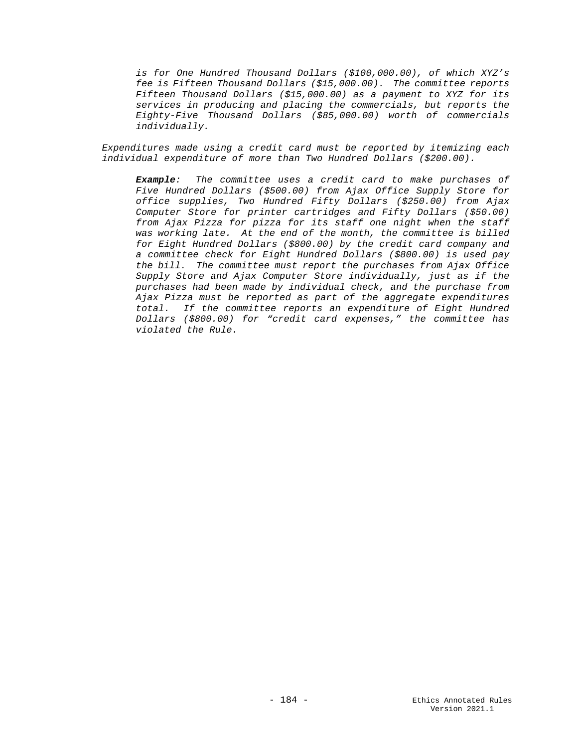*is for One Hundred Thousand Dollars (\$100,000.00), of which XYZ's fee is Fifteen Thousand Dollars (\$15,000.00). The committee reports Fifteen Thousand Dollars (\$15,000.00) as a payment to XYZ for its services in producing and placing the commercials, but reports the Eighty-Five Thousand Dollars (\$85,000.00) worth of commercials individually.*

*Expenditures made using a credit card must be reported by itemizing each individual expenditure of more than Two Hundred Dollars (\$200.00).*

*Example: The committee uses a credit card to make purchases of Five Hundred Dollars (\$500.00) from Ajax Office Supply Store for office supplies, Two Hundred Fifty Dollars (\$250.00) from Ajax Computer Store for printer cartridges and Fifty Dollars (\$50.00) from Ajax Pizza for pizza for its staff one night when the staff was working late. At the end of the month, the committee is billed for Eight Hundred Dollars (\$800.00) by the credit card company and a committee check for Eight Hundred Dollars (\$800.00) is used pay the bill. The committee must report the purchases from Ajax Office Supply Store and Ajax Computer Store individually, just as if the purchases had been made by individual check, and the purchase from Ajax Pizza must be reported as part of the aggregate expenditures total. If the committee reports an expenditure of Eight Hundred Dollars (\$800.00) for "credit card expenses," the committee has violated the Rule.*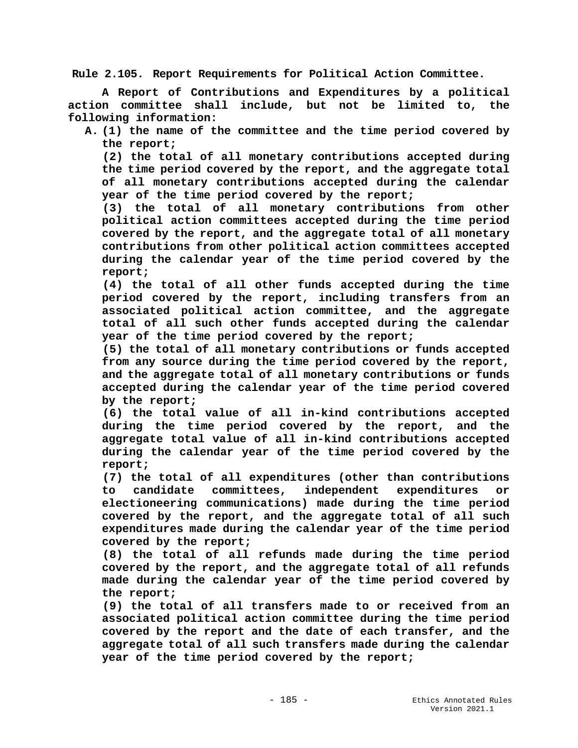**Rule 2.105. Report Requirements for Political Action Committee.**

**A Report of Contributions and Expenditures by a political action committee shall include, but not be limited to, the following information:**

**A. (1) the name of the committee and the time period covered by the report;**

**(2) the total of all monetary contributions accepted during the time period covered by the report, and the aggregate total of all monetary contributions accepted during the calendar year of the time period covered by the report;**

**(3) the total of all monetary contributions from other political action committees accepted during the time period covered by the report, and the aggregate total of all monetary contributions from other political action committees accepted during the calendar year of the time period covered by the report;**

**(4) the total of all other funds accepted during the time period covered by the report, including transfers from an associated political action committee, and the aggregate total of all such other funds accepted during the calendar year of the time period covered by the report;**

**(5) the total of all monetary contributions or funds accepted from any source during the time period covered by the report, and the aggregate total of all monetary contributions or funds accepted during the calendar year of the time period covered by the report;**

**(6) the total value of all in-kind contributions accepted during the time period covered by the report, and the aggregate total value of all in-kind contributions accepted during the calendar year of the time period covered by the report;**

**(7) the total of all expenditures (other than contributions to candidate committees, independent expenditures or electioneering communications) made during the time period covered by the report, and the aggregate total of all such expenditures made during the calendar year of the time period covered by the report;**

**(8) the total of all refunds made during the time period covered by the report, and the aggregate total of all refunds made during the calendar year of the time period covered by the report;** 

**(9) the total of all transfers made to or received from an associated political action committee during the time period covered by the report and the date of each transfer, and the aggregate total of all such transfers made during the calendar year of the time period covered by the report;**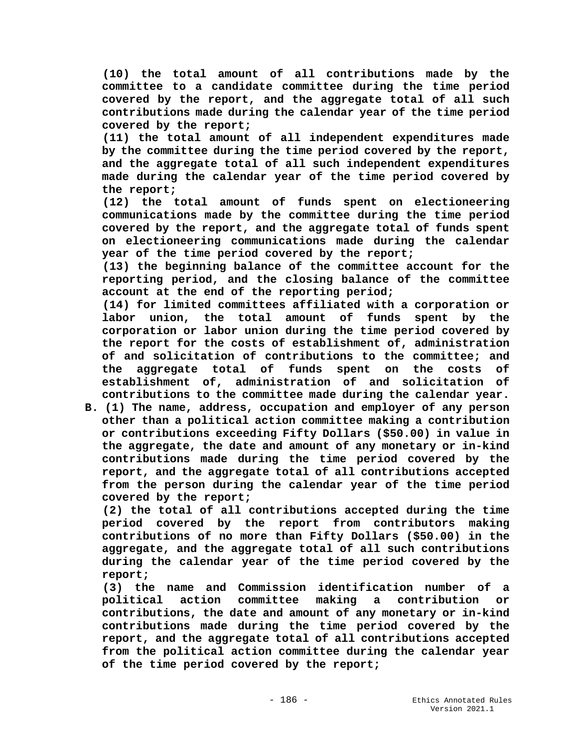**(10) the total amount of all contributions made by the committee to a candidate committee during the time period covered by the report, and the aggregate total of all such contributions made during the calendar year of the time period covered by the report;**

**(11) the total amount of all independent expenditures made by the committee during the time period covered by the report, and the aggregate total of all such independent expenditures made during the calendar year of the time period covered by the report;**

**(12) the total amount of funds spent on electioneering communications made by the committee during the time period covered by the report, and the aggregate total of funds spent on electioneering communications made during the calendar year of the time period covered by the report;**

**(13) the beginning balance of the committee account for the reporting period, and the closing balance of the committee account at the end of the reporting period;**

**(14) for limited committees affiliated with a corporation or labor union, the total amount of funds spent by the corporation or labor union during the time period covered by the report for the costs of establishment of, administration of and solicitation of contributions to the committee; and the aggregate total of funds spent on the costs of establishment of, administration of and solicitation of contributions to the committee made during the calendar year.**

**B. (1) The name, address, occupation and employer of any person other than a political action committee making a contribution or contributions exceeding Fifty Dollars (\$50.00) in value in the aggregate, the date and amount of any monetary or in-kind contributions made during the time period covered by the report, and the aggregate total of all contributions accepted from the person during the calendar year of the time period covered by the report;**

**(2) the total of all contributions accepted during the time period covered by the report from contributors making contributions of no more than Fifty Dollars (\$50.00) in the aggregate, and the aggregate total of all such contributions during the calendar year of the time period covered by the report;**

**(3) the name and Commission identification number of a political action committee making a contribution or contributions, the date and amount of any monetary or in-kind contributions made during the time period covered by the report, and the aggregate total of all contributions accepted from the political action committee during the calendar year of the time period covered by the report;**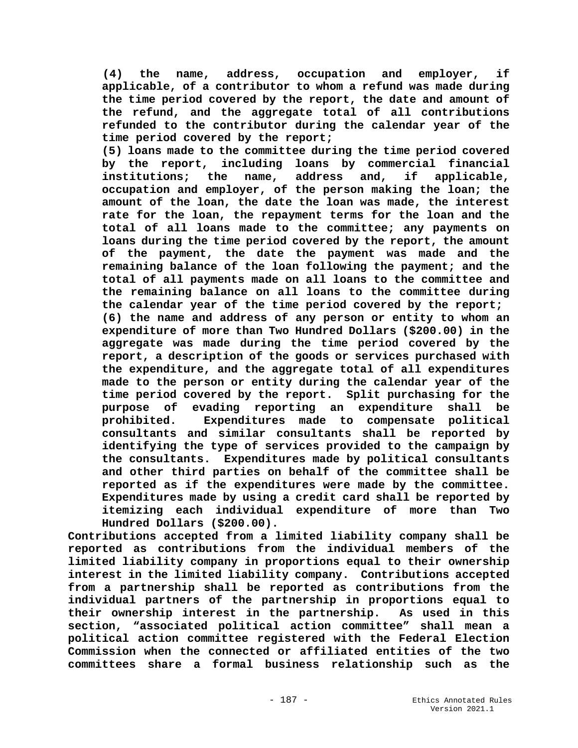**(4) the name, address, occupation and employer, if applicable, of a contributor to whom a refund was made during the time period covered by the report, the date and amount of the refund, and the aggregate total of all contributions refunded to the contributor during the calendar year of the time period covered by the report;**

**(5) loans made to the committee during the time period covered by the report, including loans by commercial financial name, address and, occupation and employer, of the person making the loan; the amount of the loan, the date the loan was made, the interest rate for the loan, the repayment terms for the loan and the total of all loans made to the committee; any payments on loans during the time period covered by the report, the amount of the payment, the date the payment was made and the remaining balance of the loan following the payment; and the total of all payments made on all loans to the committee and the remaining balance on all loans to the committee during the calendar year of the time period covered by the report; (6) the name and address of any person or entity to whom an expenditure of more than Two Hundred Dollars (\$200.00) in the aggregate was made during the time period covered by the report, a description of the goods or services purchased with the expenditure, and the aggregate total of all expenditures made to the person or entity during the calendar year of the time period covered by the report. Split purchasing for the purpose of evading reporting an expenditure shall be prohibited. Expenditures made to compensate political consultants and similar consultants shall be reported by identifying the type of services provided to the campaign by the consultants. Expenditures made by political consultants and other third parties on behalf of the committee shall be reported as if the expenditures were made by the committee. Expenditures made by using a credit card shall be reported by itemizing each individual expenditure of more than Two Hundred Dollars (\$200.00).**

**Contributions accepted from a limited liability company shall be reported as contributions from the individual members of the limited liability company in proportions equal to their ownership interest in the limited liability company. Contributions accepted from a partnership shall be reported as contributions from the individual partners of the partnership in proportions equal to their ownership interest in the partnership. As used in this section, "associated political action committee" shall mean a political action committee registered with the Federal Election Commission when the connected or affiliated entities of the two committees share a formal business relationship such as the**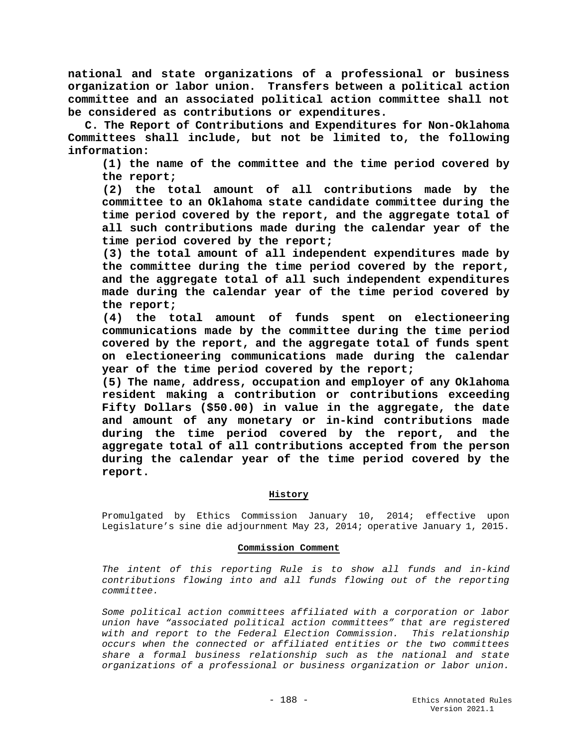**national and state organizations of a professional or business organization or labor union. Transfers between a political action committee and an associated political action committee shall not be considered as contributions or expenditures.**

**C. The Report of Contributions and Expenditures for Non-Oklahoma Committees shall include, but not be limited to, the following information:**

**(1) the name of the committee and the time period covered by the report;**

**(2) the total amount of all contributions made by the committee to an Oklahoma state candidate committee during the time period covered by the report, and the aggregate total of all such contributions made during the calendar year of the time period covered by the report;**

**(3) the total amount of all independent expenditures made by the committee during the time period covered by the report, and the aggregate total of all such independent expenditures made during the calendar year of the time period covered by the report;**

**(4) the total amount of funds spent on electioneering communications made by the committee during the time period covered by the report, and the aggregate total of funds spent on electioneering communications made during the calendar year of the time period covered by the report;**

**(5) The name, address, occupation and employer of any Oklahoma resident making a contribution or contributions exceeding Fifty Dollars (\$50.00) in value in the aggregate, the date and amount of any monetary or in-kind contributions made during the time period covered by the report, and the aggregate total of all contributions accepted from the person during the calendar year of the time period covered by the report.**

# **History**

Promulgated by Ethics Commission January 10, 2014; effective upon Legislature's sine die adjournment May 23, 2014; operative January 1, 2015.

## **Commission Comment**

*The intent of this reporting Rule is to show all funds and in-kind contributions flowing into and all funds flowing out of the reporting committee.* 

*Some political action committees affiliated with a corporation or labor union have "associated political action committees" that are registered with and report to the Federal Election Commission. This relationship occurs when the connected or affiliated entities or the two committees share a formal business relationship such as the national and state organizations of a professional or business organization or labor union.*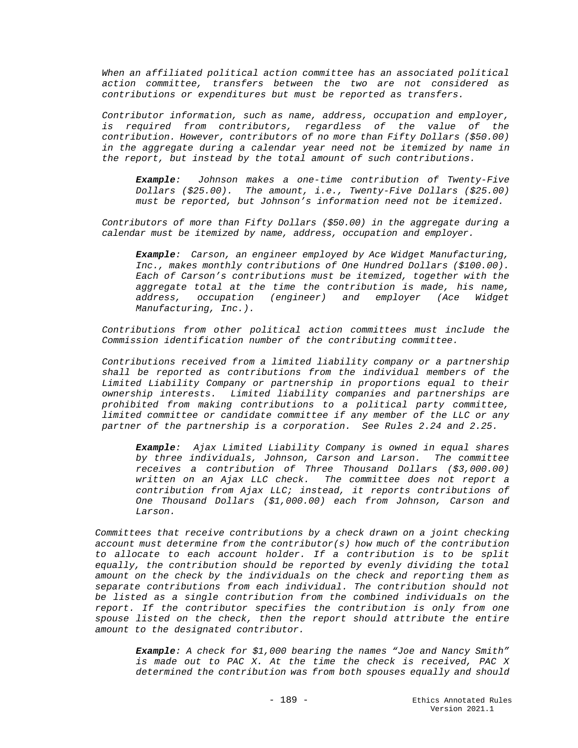*When an affiliated political action committee has an associated political action committee, transfers between the two are not considered as contributions or expenditures but must be reported as transfers.*

*Contributor information, such as name, address, occupation and employer, is required from contributors, regardless of the value of the contribution. However, contributors of no more than Fifty Dollars (\$50.00) in the aggregate during a calendar year need not be itemized by name in the report, but instead by the total amount of such contributions.* 

*Example: Johnson makes a one-time contribution of Twenty-Five Dollars (\$25.00). The amount, i.e., Twenty-Five Dollars (\$25.00) must be reported, but Johnson's information need not be itemized.*

*Contributors of more than Fifty Dollars (\$50.00) in the aggregate during a calendar must be itemized by name, address, occupation and employer.*

*Example: Carson, an engineer employed by Ace Widget Manufacturing, Inc., makes monthly contributions of One Hundred Dollars (\$100.00). Each of Carson's contributions must be itemized, together with the aggregate total at the time the contribution is made, his name, address, occupation (engineer) and employer (Ace Widget Manufacturing, Inc.).*

*Contributions from other political action committees must include the Commission identification number of the contributing committee.*

*Contributions received from a limited liability company or a partnership shall be reported as contributions from the individual members of the Limited Liability Company or partnership in proportions equal to their ownership interests. Limited liability companies and partnerships are prohibited from making contributions to a political party committee, limited committee or candidate committee if any member of the LLC or any partner of the partnership is a corporation. See Rules 2.24 and 2.25.*

*Example: Ajax Limited Liability Company is owned in equal shares by three individuals, Johnson, Carson and Larson. The committee receives a contribution of Three Thousand Dollars (\$3,000.00) written on an Ajax LLC check. The committee does not report a contribution from Ajax LLC; instead, it reports contributions of One Thousand Dollars (\$1,000.00) each from Johnson, Carson and Larson.* 

*Committees that receive contributions by a check drawn on a joint checking account must determine from the contributor(s) how much of the contribution to allocate to each account holder. If a contribution is to be split equally, the contribution should be reported by evenly dividing the total amount on the check by the individuals on the check and reporting them as separate contributions from each individual. The contribution should not be listed as a single contribution from the combined individuals on the report. If the contributor specifies the contribution is only from one spouse listed on the check, then the report should attribute the entire amount to the designated contributor.*

*Example: A check for \$1,000 bearing the names "Joe and Nancy Smith" is made out to PAC X. At the time the check is received, PAC X determined the contribution was from both spouses equally and should*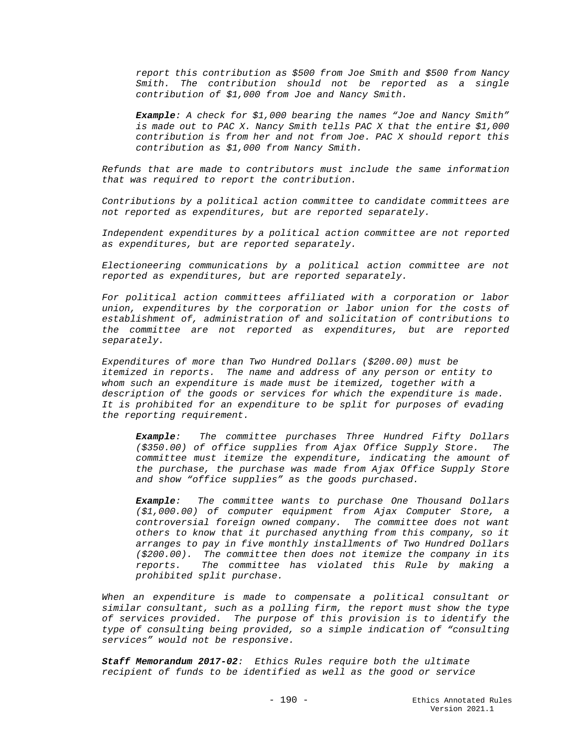*report this contribution as \$500 from Joe Smith and \$500 from Nancy Smith. The contribution should not be reported as a single contribution of \$1,000 from Joe and Nancy Smith.*

*Example: A check for \$1,000 bearing the names "Joe and Nancy Smith" is made out to PAC X. Nancy Smith tells PAC X that the entire \$1,000 contribution is from her and not from Joe. PAC X should report this contribution as \$1,000 from Nancy Smith.* 

*Refunds that are made to contributors must include the same information that was required to report the contribution.*

*Contributions by a political action committee to candidate committees are not reported as expenditures, but are reported separately.*

*Independent expenditures by a political action committee are not reported as expenditures, but are reported separately.*

*Electioneering communications by a political action committee are not reported as expenditures, but are reported separately.* 

*For political action committees affiliated with a corporation or labor union, expenditures by the corporation or labor union for the costs of establishment of, administration of and solicitation of contributions to the committee are not reported as expenditures, but are reported separately.* 

*Expenditures of more than Two Hundred Dollars (\$200.00) must be itemized in reports. The name and address of any person or entity to whom such an expenditure is made must be itemized, together with a description of the goods or services for which the expenditure is made. It is prohibited for an expenditure to be split for purposes of evading the reporting requirement.* 

*Example: The committee purchases Three Hundred Fifty Dollars (\$350.00) of office supplies from Ajax Office Supply Store. The committee must itemize the expenditure, indicating the amount of the purchase, the purchase was made from Ajax Office Supply Store and show "office supplies" as the goods purchased.*

*Example: The committee wants to purchase One Thousand Dollars (\$1,000.00) of computer equipment from Ajax Computer Store, a controversial foreign owned company. The committee does not want others to know that it purchased anything from this company, so it arranges to pay in five monthly installments of Two Hundred Dollars (\$200.00). The committee then does not itemize the company in its reports. The committee has violated this Rule by making a prohibited split purchase.*

*When an expenditure is made to compensate a political consultant or similar consultant, such as a polling firm, the report must show the type of services provided. The purpose of this provision is to identify the type of consulting being provided, so a simple indication of "consulting services" would not be responsive.* 

*Staff Memorandum 2017-02: Ethics Rules require both the ultimate recipient of funds to be identified as well as the good or service*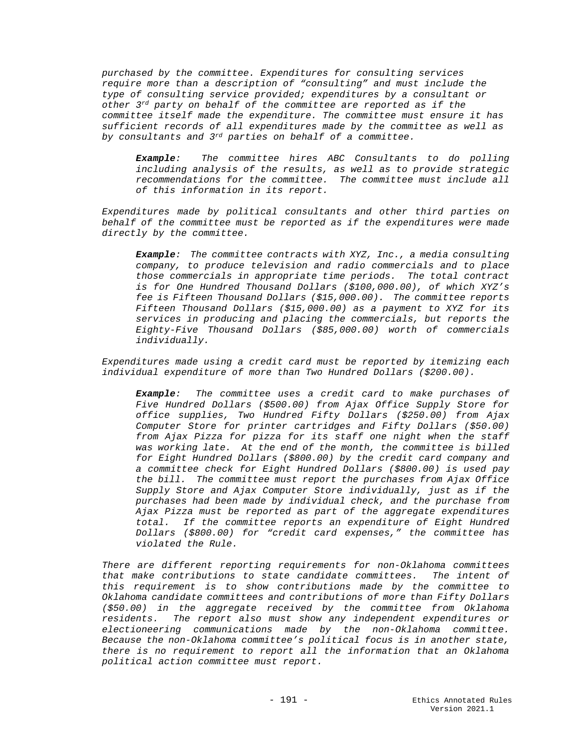*purchased by the committee. Expenditures for consulting services require more than a description of "consulting" and must include the type of consulting service provided; expenditures by a consultant or other 3rd party on behalf of the committee are reported as if the committee itself made the expenditure. The committee must ensure it has sufficient records of all expenditures made by the committee as well as by consultants and 3rd parties on behalf of a committee.*

*Example: The committee hires ABC Consultants to do polling including analysis of the results, as well as to provide strategic recommendations for the committee. The committee must include all of this information in its report.*

*Expenditures made by political consultants and other third parties on behalf of the committee must be reported as if the expenditures were made directly by the committee.*

*Example: The committee contracts with XYZ, Inc., a media consulting company, to produce television and radio commercials and to place those commercials in appropriate time periods. The total contract is for One Hundred Thousand Dollars (\$100,000.00), of which XYZ's fee is Fifteen Thousand Dollars (\$15,000.00). The committee reports Fifteen Thousand Dollars (\$15,000.00) as a payment to XYZ for its services in producing and placing the commercials, but reports the Eighty-Five Thousand Dollars (\$85,000.00) worth of commercials individually.*

*Expenditures made using a credit card must be reported by itemizing each individual expenditure of more than Two Hundred Dollars (\$200.00).*

*Example: The committee uses a credit card to make purchases of Five Hundred Dollars (\$500.00) from Ajax Office Supply Store for office supplies, Two Hundred Fifty Dollars (\$250.00) from Ajax Computer Store for printer cartridges and Fifty Dollars (\$50.00) from Ajax Pizza for pizza for its staff one night when the staff was working late. At the end of the month, the committee is billed for Eight Hundred Dollars (\$800.00) by the credit card company and a committee check for Eight Hundred Dollars (\$800.00) is used pay the bill. The committee must report the purchases from Ajax Office Supply Store and Ajax Computer Store individually, just as if the purchases had been made by individual check, and the purchase from Ajax Pizza must be reported as part of the aggregate expenditures total. If the committee reports an expenditure of Eight Hundred Dollars (\$800.00) for "credit card expenses," the committee has violated the Rule.*

*There are different reporting requirements for non-Oklahoma committees that make contributions to state candidate committees. The intent of this requirement is to show contributions made by the committee to Oklahoma candidate committees and contributions of more than Fifty Dollars (\$50.00) in the aggregate received by the committee from Oklahoma residents. The report also must show any independent expenditures or electioneering communications made by the non-Oklahoma committee. Because the non-Oklahoma committee's political focus is in another state, there is no requirement to report all the information that an Oklahoma political action committee must report.*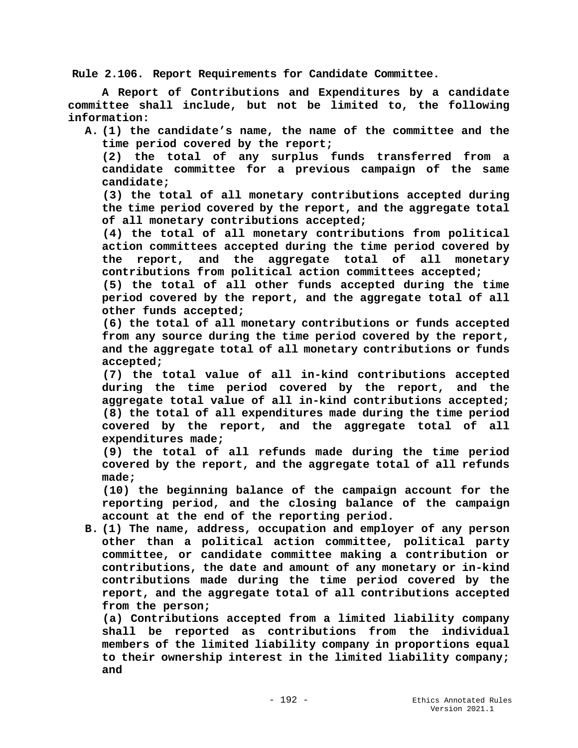**Rule 2.106. Report Requirements for Candidate Committee.**

**A Report of Contributions and Expenditures by a candidate committee shall include, but not be limited to, the following information:**

**A. (1) the candidate's name, the name of the committee and the time period covered by the report;**

**(2) the total of any surplus funds transferred from a candidate committee for a previous campaign of the same candidate;**

**(3) the total of all monetary contributions accepted during the time period covered by the report, and the aggregate total of all monetary contributions accepted;**

**(4) the total of all monetary contributions from political action committees accepted during the time period covered by the report, and the aggregate total of all monetary contributions from political action committees accepted;**

**(5) the total of all other funds accepted during the time period covered by the report, and the aggregate total of all other funds accepted;**

**(6) the total of all monetary contributions or funds accepted from any source during the time period covered by the report, and the aggregate total of all monetary contributions or funds accepted;**

**(7) the total value of all in-kind contributions accepted during the time period covered by the report, and the aggregate total value of all in-kind contributions accepted; (8) the total of all expenditures made during the time period covered by the report, and the aggregate total of all expenditures made;**

**(9) the total of all refunds made during the time period covered by the report, and the aggregate total of all refunds made;** 

**(10) the beginning balance of the campaign account for the reporting period, and the closing balance of the campaign account at the end of the reporting period.**

**B. (1) The name, address, occupation and employer of any person other than a political action committee, political party committee, or candidate committee making a contribution or contributions, the date and amount of any monetary or in-kind contributions made during the time period covered by the report, and the aggregate total of all contributions accepted from the person;**

**(a) Contributions accepted from a limited liability company shall be reported as contributions from the individual members of the limited liability company in proportions equal to their ownership interest in the limited liability company; and**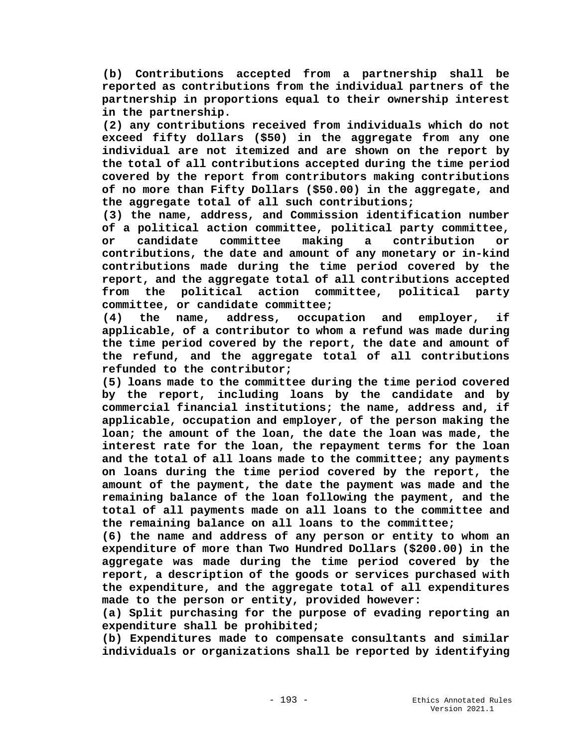**(b) Contributions accepted from a partnership shall be reported as contributions from the individual partners of the partnership in proportions equal to their ownership interest in the partnership.**

**(2) any contributions received from individuals which do not exceed fifty dollars (\$50) in the aggregate from any one individual are not itemized and are shown on the report by the total of all contributions accepted during the time period covered by the report from contributors making contributions of no more than Fifty Dollars (\$50.00) in the aggregate, and the aggregate total of all such contributions;**

**(3) the name, address, and Commission identification number of a political action committee, political party committee, or candidate committee making a contribution or contributions, the date and amount of any monetary or in-kind contributions made during the time period covered by the report, and the aggregate total of all contributions accepted from the political action committee, political party committee, or candidate committee;**

**(4) the name, address, occupation and employer, if applicable, of a contributor to whom a refund was made during the time period covered by the report, the date and amount of the refund, and the aggregate total of all contributions refunded to the contributor;**

**(5) loans made to the committee during the time period covered by the report, including loans by the candidate and by commercial financial institutions; the name, address and, if applicable, occupation and employer, of the person making the loan; the amount of the loan, the date the loan was made, the interest rate for the loan, the repayment terms for the loan and the total of all loans made to the committee; any payments on loans during the time period covered by the report, the amount of the payment, the date the payment was made and the remaining balance of the loan following the payment, and the total of all payments made on all loans to the committee and the remaining balance on all loans to the committee;**

**(6) the name and address of any person or entity to whom an expenditure of more than Two Hundred Dollars (\$200.00) in the aggregate was made during the time period covered by the report, a description of the goods or services purchased with the expenditure, and the aggregate total of all expenditures made to the person or entity, provided however:**

**(a) Split purchasing for the purpose of evading reporting an expenditure shall be prohibited;** 

**(b) Expenditures made to compensate consultants and similar individuals or organizations shall be reported by identifying**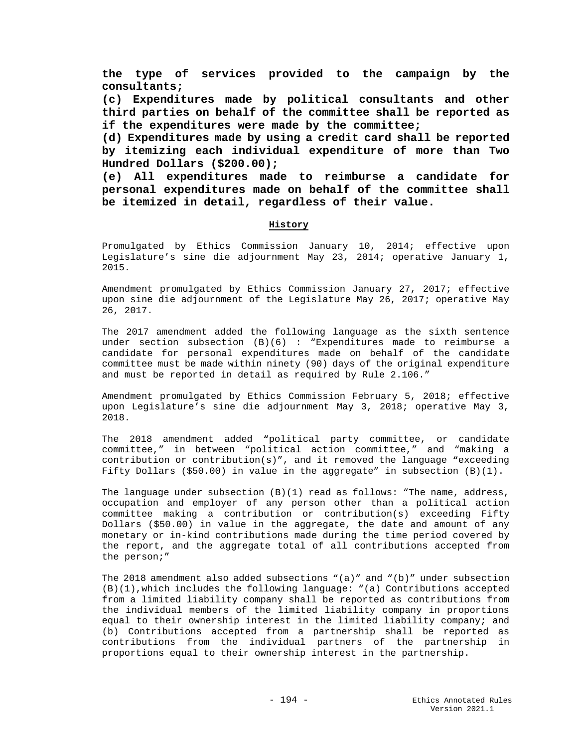**the type of services provided to the campaign by the consultants;** 

**(c) Expenditures made by political consultants and other third parties on behalf of the committee shall be reported as if the expenditures were made by the committee;** 

**(d) Expenditures made by using a credit card shall be reported by itemizing each individual expenditure of more than Two Hundred Dollars (\$200.00);**

**(e) All expenditures made to reimburse a candidate for personal expenditures made on behalf of the committee shall be itemized in detail, regardless of their value.** 

## **History**

Promulgated by Ethics Commission January 10, 2014; effective upon Legislature's sine die adjournment May 23, 2014; operative January 1, 2015.

Amendment promulgated by Ethics Commission January 27, 2017; effective upon sine die adjournment of the Legislature May 26, 2017; operative May 26, 2017.

The 2017 amendment added the following language as the sixth sentence under section subsection (B)(6) : "Expenditures made to reimburse a candidate for personal expenditures made on behalf of the candidate committee must be made within ninety (90) days of the original expenditure and must be reported in detail as required by Rule 2.106."

Amendment promulgated by Ethics Commission February 5, 2018; effective upon Legislature's sine die adjournment May 3, 2018; operative May 3, 2018.

The 2018 amendment added "political party committee, or candidate committee," in between "political action committee," and "making a contribution or contribution(s)", and it removed the language "exceeding Fifty Dollars (\$50.00) in value in the aggregate" in subsection  $(B)(1)$ .

The language under subsection  $(B)(1)$  read as follows: "The name, address, occupation and employer of any person other than a political action committee making a contribution or contribution(s) exceeding Fifty Dollars (\$50.00) in value in the aggregate, the date and amount of any monetary or in-kind contributions made during the time period covered by the report, and the aggregate total of all contributions accepted from the person;"

The 2018 amendment also added subsections  $"(a)"$  and  $"(b)"$  under subsection (B)(1),which includes the following language: "(a) Contributions accepted from a limited liability company shall be reported as contributions from the individual members of the limited liability company in proportions equal to their ownership interest in the limited liability company; and (b) Contributions accepted from a partnership shall be reported as contributions from the individual partners of the partnership in proportions equal to their ownership interest in the partnership.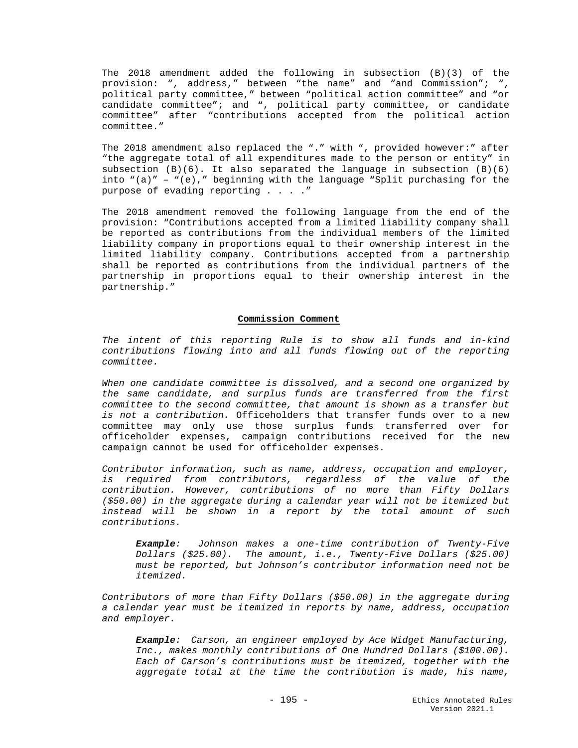The 2018 amendment added the following in subsection (B)(3) of the provision: ", address," between "the name" and "and Commission"; ", political party committee," between "political action committee" and "or candidate committee"; and ", political party committee, or candidate committee" after "contributions accepted from the political action committee."

The 2018 amendment also replaced the "." with ", provided however:" after "the aggregate total of all expenditures made to the person or entity" in subsection  $(B)(6)$ . It also separated the language in subsection  $(B)(6)$ into  $"(a)" - ("e)"$  beginning with the language "Split purchasing for the purpose of evading reporting . . . ."

The 2018 amendment removed the following language from the end of the provision: "Contributions accepted from a limited liability company shall be reported as contributions from the individual members of the limited liability company in proportions equal to their ownership interest in the limited liability company. Contributions accepted from a partnership shall be reported as contributions from the individual partners of the partnership in proportions equal to their ownership interest in the partnership."

### **Commission Comment**

*The intent of this reporting Rule is to show all funds and in-kind contributions flowing into and all funds flowing out of the reporting committee.* 

*When one candidate committee is dissolved, and a second one organized by the same candidate, and surplus funds are transferred from the first committee to the second committee, that amount is shown as a transfer but is not a contribution.* Officeholders that transfer funds over to a new committee may only use those surplus funds transferred over for officeholder expenses, campaign contributions received for the new campaign cannot be used for officeholder expenses.

*Contributor information, such as name, address, occupation and employer, is required from contributors, regardless of the value of the contribution. However, contributions of no more than Fifty Dollars (\$50.00) in the aggregate during a calendar year will not be itemized but instead will be shown in a report by the total amount of such contributions.* 

*Example: Johnson makes a one-time contribution of Twenty-Five Dollars (\$25.00). The amount, i.e., Twenty-Five Dollars (\$25.00) must be reported, but Johnson's contributor information need not be itemized.*

*Contributors of more than Fifty Dollars (\$50.00) in the aggregate during a calendar year must be itemized in reports by name, address, occupation and employer.*

*Example: Carson, an engineer employed by Ace Widget Manufacturing, Inc., makes monthly contributions of One Hundred Dollars (\$100.00). Each of Carson's contributions must be itemized, together with the aggregate total at the time the contribution is made, his name,*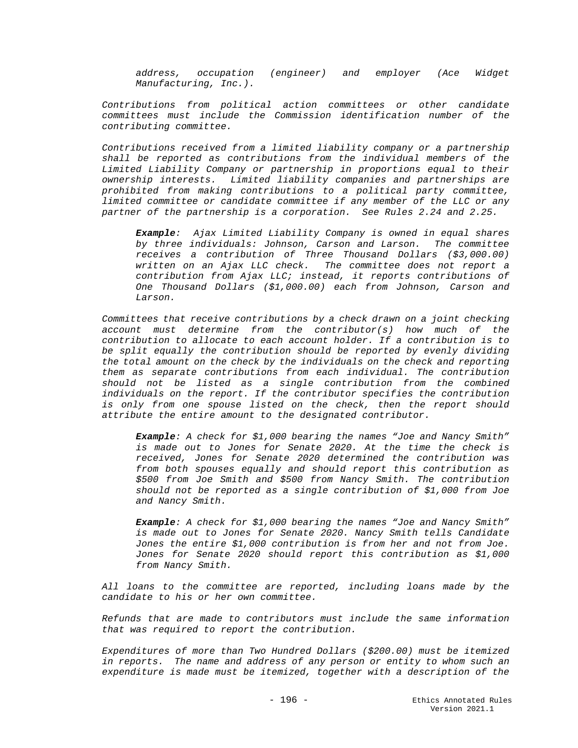*address, occupation (engineer) and employer (Ace Widget Manufacturing, Inc.).*

*Contributions from political action committees or other candidate committees must include the Commission identification number of the contributing committee.*

*Contributions received from a limited liability company or a partnership shall be reported as contributions from the individual members of the Limited Liability Company or partnership in proportions equal to their ownership interests. Limited liability companies and partnerships are prohibited from making contributions to a political party committee, limited committee or candidate committee if any member of the LLC or any partner of the partnership is a corporation. See Rules 2.24 and 2.25.*

*Example: Ajax Limited Liability Company is owned in equal shares by three individuals: Johnson, Carson and Larson. The committee receives a contribution of Three Thousand Dollars (\$3,000.00) written on an Ajax LLC check. The committee does not report a contribution from Ajax LLC; instead, it reports contributions of One Thousand Dollars (\$1,000.00) each from Johnson, Carson and Larson.* 

*Committees that receive contributions by a check drawn on a joint checking account must determine from the contributor(s) how much of the contribution to allocate to each account holder. If a contribution is to be split equally the contribution should be reported by evenly dividing the total amount on the check by the individuals on the check and reporting them as separate contributions from each individual. The contribution should not be listed as a single contribution from the combined individuals on the report. If the contributor specifies the contribution is only from one spouse listed on the check, then the report should attribute the entire amount to the designated contributor.*

*Example: A check for \$1,000 bearing the names "Joe and Nancy Smith" is made out to Jones for Senate 2020. At the time the check is received, Jones for Senate 2020 determined the contribution was from both spouses equally and should report this contribution as \$500 from Joe Smith and \$500 from Nancy Smith. The contribution should not be reported as a single contribution of \$1,000 from Joe and Nancy Smith.*

*Example: A check for \$1,000 bearing the names "Joe and Nancy Smith" is made out to Jones for Senate 2020. Nancy Smith tells Candidate Jones the entire \$1,000 contribution is from her and not from Joe. Jones for Senate 2020 should report this contribution as \$1,000 from Nancy Smith.* 

*All loans to the committee are reported, including loans made by the candidate to his or her own committee.*

*Refunds that are made to contributors must include the same information that was required to report the contribution.*

*Expenditures of more than Two Hundred Dollars (\$200.00) must be itemized in reports. The name and address of any person or entity to whom such an expenditure is made must be itemized, together with a description of the*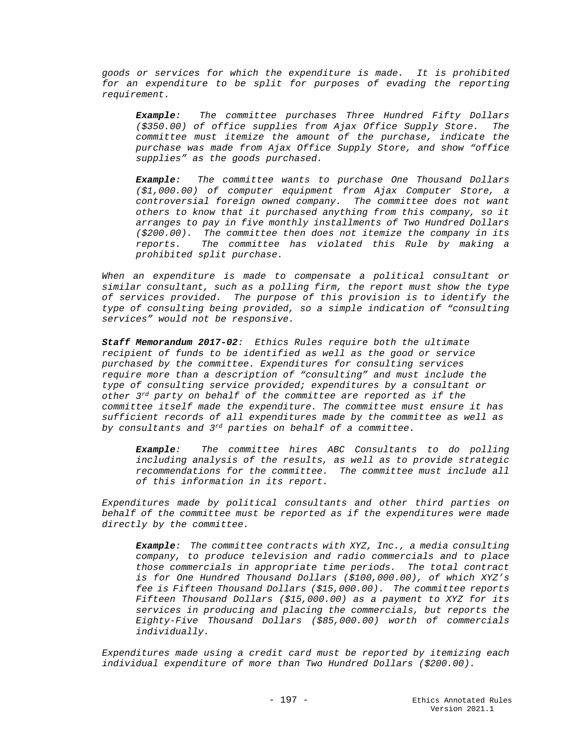*goods or services for which the expenditure is made. It is prohibited for an expenditure to be split for purposes of evading the reporting requirement.* 

*Example: The committee purchases Three Hundred Fifty Dollars (\$350.00) of office supplies from Ajax Office Supply Store. The committee must itemize the amount of the purchase, indicate the purchase was made from Ajax Office Supply Store, and show "office supplies" as the goods purchased.*

*Example: The committee wants to purchase One Thousand Dollars (\$1,000.00) of computer equipment from Ajax Computer Store, a controversial foreign owned company. The committee does not want others to know that it purchased anything from this company, so it arranges to pay in five monthly installments of Two Hundred Dollars (\$200.00). The committee then does not itemize the company in its reports. The committee has violated this Rule by making a prohibited split purchase.*

*When an expenditure is made to compensate a political consultant or similar consultant, such as a polling firm, the report must show the type of services provided. The purpose of this provision is to identify the type of consulting being provided, so a simple indication of "consulting services" would not be responsive.* 

*Staff Memorandum 2017-02: Ethics Rules require both the ultimate recipient of funds to be identified as well as the good or service purchased by the committee. Expenditures for consulting services require more than a description of "consulting" and must include the type of consulting service provided; expenditures by a consultant or other 3rd party on behalf of the committee are reported as if the committee itself made the expenditure. The committee must ensure it has sufficient records of all expenditures made by the committee as well as by consultants and 3rd parties on behalf of a committee.*

*Example: The committee hires ABC Consultants to do polling including analysis of the results, as well as to provide strategic recommendations for the committee. The committee must include all of this information in its report.*

*Expenditures made by political consultants and other third parties on behalf of the committee must be reported as if the expenditures were made directly by the committee.*

*Example: The committee contracts with XYZ, Inc., a media consulting company, to produce television and radio commercials and to place those commercials in appropriate time periods. The total contract is for One Hundred Thousand Dollars (\$100,000.00), of which XYZ's fee is Fifteen Thousand Dollars (\$15,000.00). The committee reports Fifteen Thousand Dollars (\$15,000.00) as a payment to XYZ for its services in producing and placing the commercials, but reports the Eighty-Five Thousand Dollars (\$85,000.00) worth of commercials individually.*

*Expenditures made using a credit card must be reported by itemizing each individual expenditure of more than Two Hundred Dollars (\$200.00).*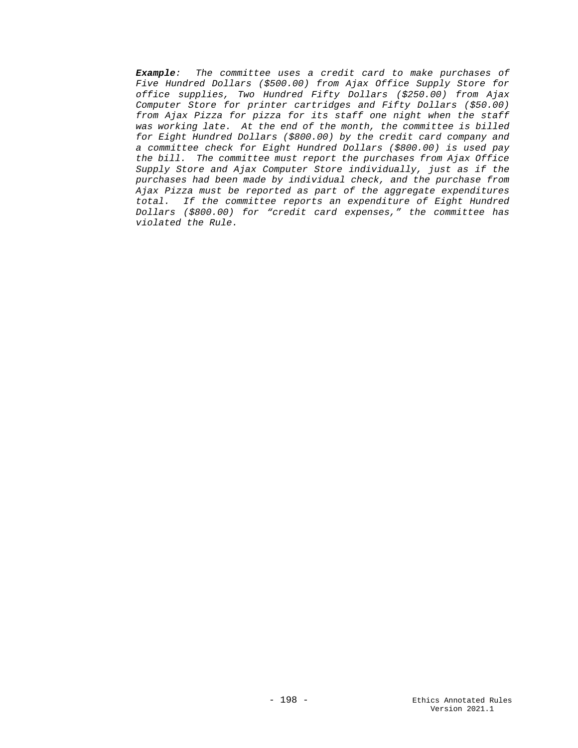*Example: The committee uses a credit card to make purchases of Five Hundred Dollars (\$500.00) from Ajax Office Supply Store for office supplies, Two Hundred Fifty Dollars (\$250.00) from Ajax Computer Store for printer cartridges and Fifty Dollars (\$50.00) from Ajax Pizza for pizza for its staff one night when the staff was working late. At the end of the month, the committee is billed for Eight Hundred Dollars (\$800.00) by the credit card company and a committee check for Eight Hundred Dollars (\$800.00) is used pay the bill. The committee must report the purchases from Ajax Office Supply Store and Ajax Computer Store individually, just as if the purchases had been made by individual check, and the purchase from Ajax Pizza must be reported as part of the aggregate expenditures total. If the committee reports an expenditure of Eight Hundred Dollars (\$800.00) for "credit card expenses," the committee has violated the Rule.*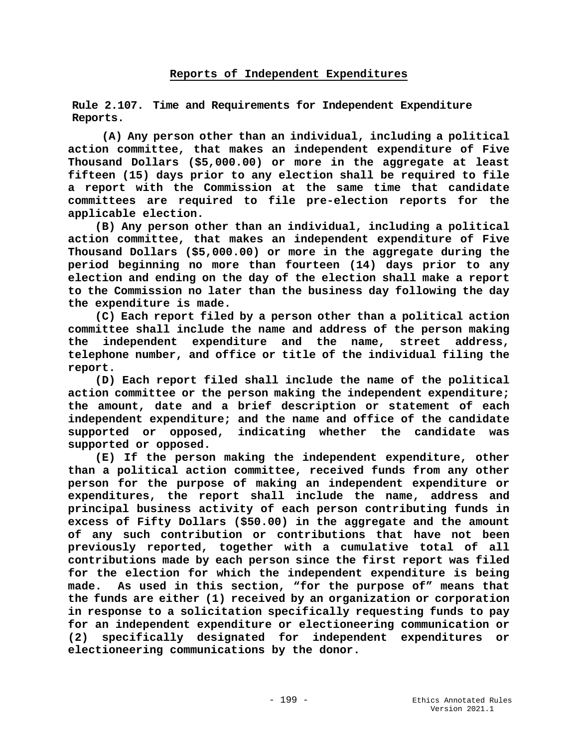# **Reports of Independent Expenditures**

**Rule 2.107. Time and Requirements for Independent Expenditure Reports.**

**(A) Any person other than an individual, including a political action committee, that makes an independent expenditure of Five Thousand Dollars (\$5,000.00) or more in the aggregate at least fifteen (15) days prior to any election shall be required to file a report with the Commission at the same time that candidate committees are required to file pre-election reports for the applicable election.**

 **(B) Any person other than an individual, including a political action committee, that makes an independent expenditure of Five Thousand Dollars (\$5,000.00) or more in the aggregate during the period beginning no more than fourteen (14) days prior to any election and ending on the day of the election shall make a report to the Commission no later than the business day following the day the expenditure is made.**

 **(C) Each report filed by a person other than a political action committee shall include the name and address of the person making the independent expenditure and the name, street address, telephone number, and office or title of the individual filing the report.** 

 **(D) Each report filed shall include the name of the political action committee or the person making the independent expenditure; the amount, date and a brief description or statement of each independent expenditure; and the name and office of the candidate supported or opposed, indicating whether the candidate was supported or opposed.**

 **(E) If the person making the independent expenditure, other than a political action committee, received funds from any other person for the purpose of making an independent expenditure or expenditures, the report shall include the name, address and principal business activity of each person contributing funds in excess of Fifty Dollars (\$50.00) in the aggregate and the amount of any such contribution or contributions that have not been previously reported, together with a cumulative total of all contributions made by each person since the first report was filed for the election for which the independent expenditure is being made. As used in this section, "for the purpose of" means that the funds are either (1) received by an organization or corporation in response to a solicitation specifically requesting funds to pay for an independent expenditure or electioneering communication or (2) specifically designated for independent expenditures or electioneering communications by the donor.**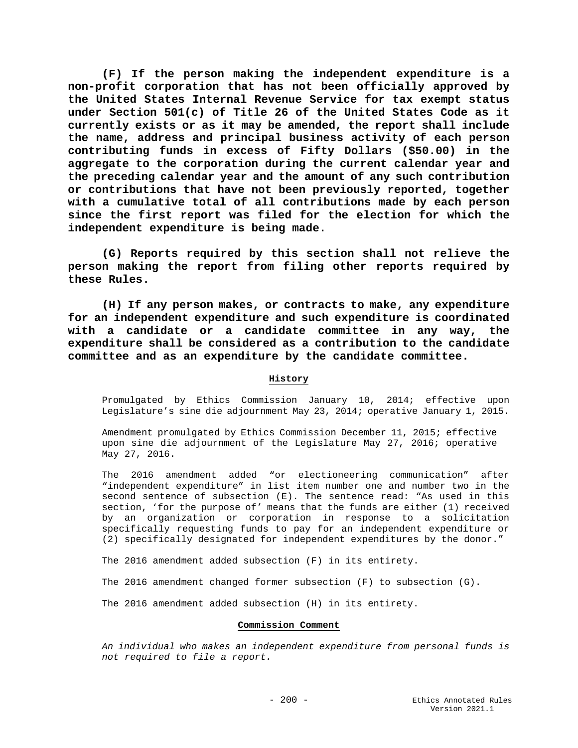**(F) If the person making the independent expenditure is a non-profit corporation that has not been officially approved by the United States Internal Revenue Service for tax exempt status under Section 501(c) of Title 26 of the United States Code as it currently exists or as it may be amended, the report shall include the name, address and principal business activity of each person contributing funds in excess of Fifty Dollars (\$50.00) in the aggregate to the corporation during the current calendar year and the preceding calendar year and the amount of any such contribution or contributions that have not been previously reported, together with a cumulative total of all contributions made by each person since the first report was filed for the election for which the independent expenditure is being made.**

**(G) Reports required by this section shall not relieve the person making the report from filing other reports required by these Rules.**

**(H) If any person makes, or contracts to make, any expenditure for an independent expenditure and such expenditure is coordinated with a candidate or a candidate committee in any way, the expenditure shall be considered as a contribution to the candidate committee and as an expenditure by the candidate committee.**

## **History**

Promulgated by Ethics Commission January 10, 2014; effective upon Legislature's sine die adjournment May 23, 2014; operative January 1, 2015.

Amendment promulgated by Ethics Commission December 11, 2015; effective upon sine die adjournment of the Legislature May 27, 2016; operative May 27, 2016.

The 2016 amendment added "or electioneering communication" after "independent expenditure" in list item number one and number two in the second sentence of subsection (E). The sentence read: "As used in this section, 'for the purpose of' means that the funds are either (1) received by an organization or corporation in response to a solicitation specifically requesting funds to pay for an independent expenditure or (2) specifically designated for independent expenditures by the donor."

The 2016 amendment added subsection (F) in its entirety.

The 2016 amendment changed former subsection (F) to subsection (G).

The 2016 amendment added subsection (H) in its entirety.

#### **Commission Comment**

*An individual who makes an independent expenditure from personal funds is not required to file a report.*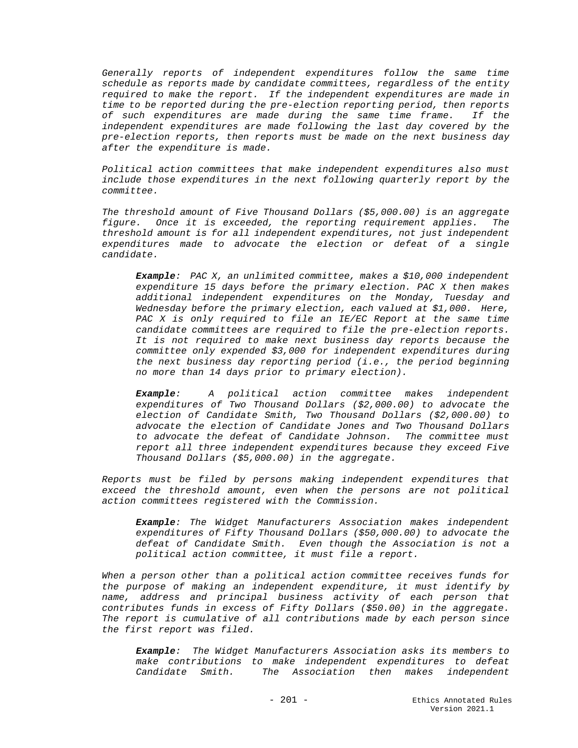*Generally reports of independent expenditures follow the same time schedule as reports made by candidate committees, regardless of the entity required to make the report. If the independent expenditures are made in time to be reported during the pre-election reporting period, then reports of such expenditures are made during the same time frame. If the independent expenditures are made following the last day covered by the pre-election reports, then reports must be made on the next business day after the expenditure is made.*

*Political action committees that make independent expenditures also must include those expenditures in the next following quarterly report by the committee.*

*The threshold amount of Five Thousand Dollars (\$5,000.00) is an aggregate figure. Once it is exceeded, the reporting requirement applies. The threshold amount is for all independent expenditures, not just independent expenditures made to advocate the election or defeat of a single candidate.*

*Example: PAC X, an unlimited committee, makes a \$10,000 independent expenditure 15 days before the primary election. PAC X then makes additional independent expenditures on the Monday, Tuesday and Wednesday before the primary election, each valued at \$1,000. Here, PAC X is only required to file an IE/EC Report at the same time candidate committees are required to file the pre-election reports. It is not required to make next business day reports because the committee only expended \$3,000 for independent expenditures during the next business day reporting period (i.e., the period beginning no more than 14 days prior to primary election).* 

*Example: A political action committee makes independent expenditures of Two Thousand Dollars (\$2,000.00) to advocate the election of Candidate Smith, Two Thousand Dollars (\$2,000.00) to advocate the election of Candidate Jones and Two Thousand Dollars to advocate the defeat of Candidate Johnson. The committee must report all three independent expenditures because they exceed Five Thousand Dollars (\$5,000.00) in the aggregate.*

*Reports must be filed by persons making independent expenditures that exceed the threshold amount, even when the persons are not political action committees registered with the Commission.*

*Example: The Widget Manufacturers Association makes independent expenditures of Fifty Thousand Dollars (\$50,000.00) to advocate the defeat of Candidate Smith. Even though the Association is not a political action committee, it must file a report.*

*When a person other than a political action committee receives funds for the purpose of making an independent expenditure, it must identify by name, address and principal business activity of each person that contributes funds in excess of Fifty Dollars (\$50.00) in the aggregate. The report is cumulative of all contributions made by each person since the first report was filed.* 

*Example: The Widget Manufacturers Association asks its members to make contributions to make independent expenditures to defeat Candidate Smith. The Association then makes independent*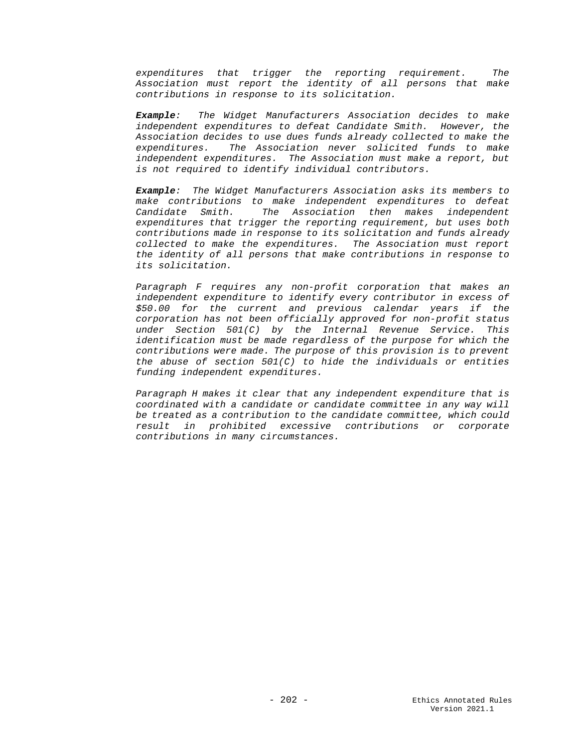*expenditures that trigger the reporting requirement. The Association must report the identity of all persons that make contributions in response to its solicitation.*

*Example: The Widget Manufacturers Association decides to make independent expenditures to defeat Candidate Smith. However, the Association decides to use dues funds already collected to make the expenditures. The Association never solicited funds to make independent expenditures. The Association must make a report, but is not required to identify individual contributors.*

*Example: The Widget Manufacturers Association asks its members to make contributions to make independent expenditures to defeat Candidate Smith. The Association then makes independent expenditures that trigger the reporting requirement, but uses both contributions made in response to its solicitation and funds already collected to make the expenditures. The Association must report the identity of all persons that make contributions in response to its solicitation.*

*Paragraph F requires any non-profit corporation that makes an independent expenditure to identify every contributor in excess of \$50.00 for the current and previous calendar years if the corporation has not been officially approved for non-profit status under Section 501(C) by the Internal Revenue Service. This identification must be made regardless of the purpose for which the contributions were made. The purpose of this provision is to prevent the abuse of section 501(C) to hide the individuals or entities funding independent expenditures.* 

*Paragraph H makes it clear that any independent expenditure that is coordinated with a candidate or candidate committee in any way will be treated as a contribution to the candidate committee, which could result in prohibited excessive contributions or corporate contributions in many circumstances.*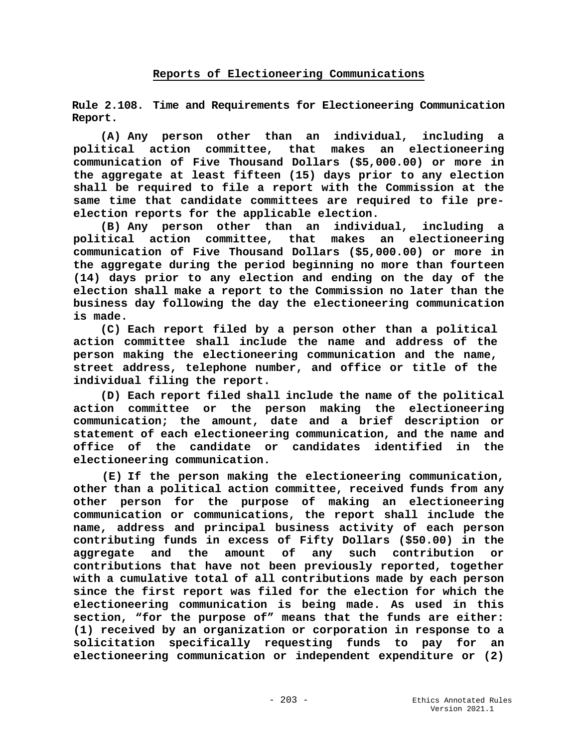**Rule 2.108. Time and Requirements for Electioneering Communication Report.**

**(A) Any person other than an individual, including a political action committee, that makes an electioneering communication of Five Thousand Dollars (\$5,000.00) or more in the aggregate at least fifteen (15) days prior to any election shall be required to file a report with the Commission at the same time that candidate committees are required to file preelection reports for the applicable election.**

**(B) Any person other than an individual, including a political action committee, that makes an electioneering communication of Five Thousand Dollars (\$5,000.00) or more in the aggregate during the period beginning no more than fourteen (14) days prior to any election and ending on the day of the election shall make a report to the Commission no later than the business day following the day the electioneering communication is made.**

**(C) Each report filed by a person other than a political action committee shall include the name and address of the person making the electioneering communication and the name, street address, telephone number, and office or title of the individual filing the report.**

**(D) Each report filed shall include the name of the political action committee or the person making the electioneering communication; the amount, date and a brief description or statement of each electioneering communication, and the name and office of the candidate or candidates identified in the electioneering communication.**

**(E) If the person making the electioneering communication, other than a political action committee, received funds from any other person for the purpose of making an electioneering communication or communications, the report shall include the name, address and principal business activity of each person contributing funds in excess of Fifty Dollars (\$50.00) in the aggregate and the amount of any such contribution or contributions that have not been previously reported, together with a cumulative total of all contributions made by each person since the first report was filed for the election for which the electioneering communication is being made. As used in this section, "for the purpose of" means that the funds are either: (1) received by an organization or corporation in response to a solicitation specifically requesting funds to pay for an electioneering communication or independent expenditure or (2)**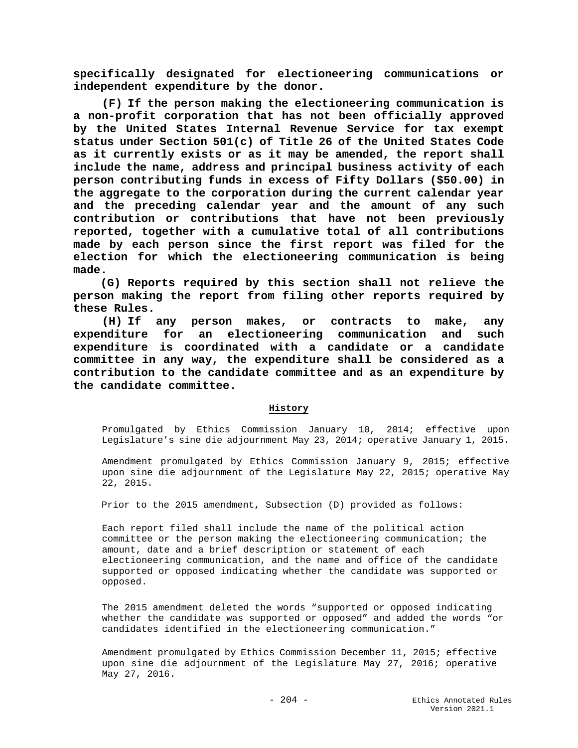**specifically designated for electioneering communications or independent expenditure by the donor.**

**(F) If the person making the electioneering communication is a non-profit corporation that has not been officially approved by the United States Internal Revenue Service for tax exempt status under Section 501(c) of Title 26 of the United States Code as it currently exists or as it may be amended, the report shall include the name, address and principal business activity of each person contributing funds in excess of Fifty Dollars (\$50.00) in the aggregate to the corporation during the current calendar year and the preceding calendar year and the amount of any such contribution or contributions that have not been previously reported, together with a cumulative total of all contributions made by each person since the first report was filed for the election for which the electioneering communication is being made.**

**(G) Reports required by this section shall not relieve the person making the report from filing other reports required by these Rules.**

**(H) If any person makes, or contracts to make, any expenditure for an electioneering communication and such expenditure is coordinated with a candidate or a candidate committee in any way, the expenditure shall be considered as a contribution to the candidate committee and as an expenditure by the candidate committee.**

## **History**

Promulgated by Ethics Commission January 10, 2014; effective upon Legislature's sine die adjournment May 23, 2014; operative January 1, 2015.

Amendment promulgated by Ethics Commission January 9, 2015; effective upon sine die adjournment of the Legislature May 22, 2015; operative May 22, 2015.

Prior to the 2015 amendment, Subsection (D) provided as follows:

Each report filed shall include the name of the political action committee or the person making the electioneering communication; the amount, date and a brief description or statement of each electioneering communication, and the name and office of the candidate supported or opposed indicating whether the candidate was supported or opposed.

The 2015 amendment deleted the words "supported or opposed indicating whether the candidate was supported or opposed" and added the words "or candidates identified in the electioneering communication."

Amendment promulgated by Ethics Commission December 11, 2015; effective upon sine die adjournment of the Legislature May 27, 2016; operative May 27, 2016.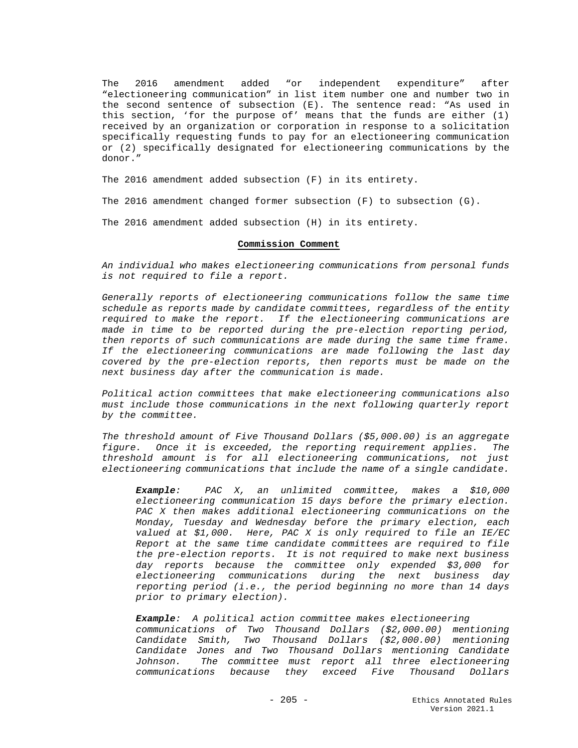The 2016 amendment added "or independent expenditure" after "electioneering communication" in list item number one and number two in the second sentence of subsection (E). The sentence read: "As used in this section, 'for the purpose of' means that the funds are either (1) received by an organization or corporation in response to a solicitation specifically requesting funds to pay for an electioneering communication or (2) specifically designated for electioneering communications by the donor."

The 2016 amendment added subsection (F) in its entirety.

The 2016 amendment changed former subsection (F) to subsection (G).

The 2016 amendment added subsection (H) in its entirety.

## **Commission Comment**

*An individual who makes electioneering communications from personal funds is not required to file a report.*

*Generally reports of electioneering communications follow the same time schedule as reports made by candidate committees, regardless of the entity required to make the report. If the electioneering communications are made in time to be reported during the pre-election reporting period, then reports of such communications are made during the same time frame. If the electioneering communications are made following the last day covered by the pre-election reports, then reports must be made on the next business day after the communication is made.*

*Political action committees that make electioneering communications also must include those communications in the next following quarterly report by the committee.*

*The threshold amount of Five Thousand Dollars (\$5,000.00) is an aggregate figure. Once it is exceeded, the reporting requirement applies. The threshold amount is for all electioneering communications, not just electioneering communications that include the name of a single candidate.*

*Example: PAC X, an unlimited committee, makes a \$10,000 electioneering communication 15 days before the primary election. PAC X then makes additional electioneering communications on the Monday, Tuesday and Wednesday before the primary election, each valued at \$1,000. Here, PAC X is only required to file an IE/EC Report at the same time candidate committees are required to file the pre-election reports. It is not required to make next business day reports because the committee only expended \$3,000 for electioneering communications during the next business day reporting period (i.e., the period beginning no more than 14 days prior to primary election).* 

*Example: A political action committee makes electioneering communications of Two Thousand Dollars (\$2,000.00) mentioning Candidate Smith, Two Thousand Dollars (\$2,000.00) mentioning Candidate Jones and Two Thousand Dollars mentioning Candidate Johnson. The committee must report all three electioneering communications because they exceed Five Thousand Dollars*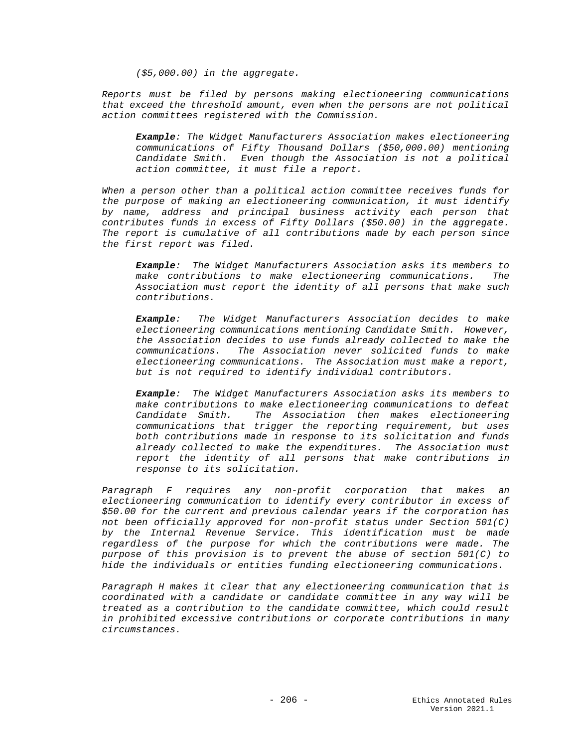*(\$5,000.00) in the aggregate.*

*Reports must be filed by persons making electioneering communications that exceed the threshold amount, even when the persons are not political action committees registered with the Commission.*

*Example: The Widget Manufacturers Association makes electioneering communications of Fifty Thousand Dollars (\$50,000.00) mentioning Candidate Smith. Even though the Association is not a political action committee, it must file a report.*

*When a person other than a political action committee receives funds for the purpose of making an electioneering communication, it must identify by name, address and principal business activity each person that contributes funds in excess of Fifty Dollars (\$50.00) in the aggregate. The report is cumulative of all contributions made by each person since the first report was filed.* 

*Example: The Widget Manufacturers Association asks its members to make contributions to make electioneering communications. The Association must report the identity of all persons that make such contributions.*

*Example: The Widget Manufacturers Association decides to make electioneering communications mentioning Candidate Smith. However, the Association decides to use funds already collected to make the communications. The Association never solicited funds to make electioneering communications. The Association must make a report, but is not required to identify individual contributors.*

*Example: The Widget Manufacturers Association asks its members to make contributions to make electioneering communications to defeat Candidate Smith. The Association then makes electioneering communications that trigger the reporting requirement, but uses both contributions made in response to its solicitation and funds already collected to make the expenditures. The Association must report the identity of all persons that make contributions in response to its solicitation.*

*Paragraph F requires any non-profit corporation that makes an electioneering communication to identify every contributor in excess of \$50.00 for the current and previous calendar years if the corporation has not been officially approved for non-profit status under Section 501(C) by the Internal Revenue Service. This identification must be made regardless of the purpose for which the contributions were made. The purpose of this provision is to prevent the abuse of section 501(C) to hide the individuals or entities funding electioneering communications.* 

*Paragraph H makes it clear that any electioneering communication that is coordinated with a candidate or candidate committee in any way will be treated as a contribution to the candidate committee, which could result in prohibited excessive contributions or corporate contributions in many circumstances.*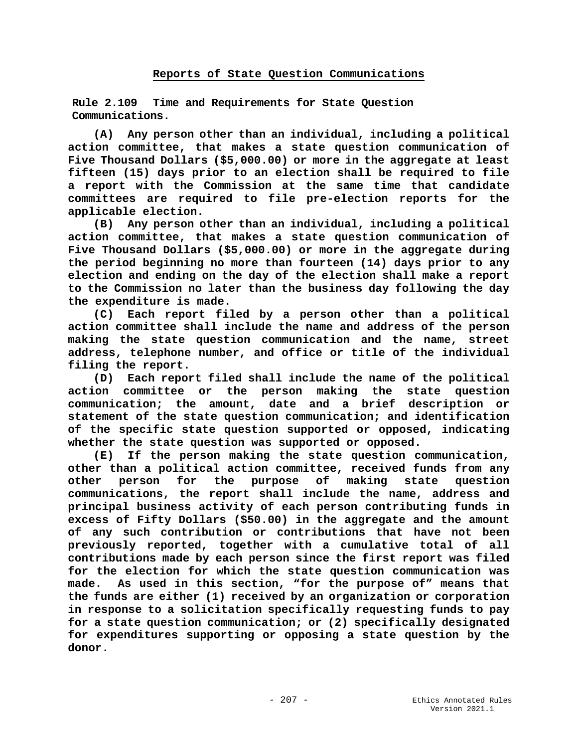# **Reports of State Question Communications**

**Rule 2.109 Time and Requirements for State Question Communications.**

**(A) Any person other than an individual, including a political action committee, that makes a state question communication of Five Thousand Dollars (\$5,000.00) or more in the aggregate at least fifteen (15) days prior to an election shall be required to file a report with the Commission at the same time that candidate committees are required to file pre-election reports for the applicable election.**

**(B) Any person other than an individual, including a political action committee, that makes a state question communication of Five Thousand Dollars (\$5,000.00) or more in the aggregate during the period beginning no more than fourteen (14) days prior to any election and ending on the day of the election shall make a report to the Commission no later than the business day following the day the expenditure is made.** 

**(C) Each report filed by a person other than a political action committee shall include the name and address of the person making the state question communication and the name, street address, telephone number, and office or title of the individual filing the report.** 

**(D) Each report filed shall include the name of the political action committee or the person making the state question communication; the amount, date and a brief description or statement of the state question communication; and identification of the specific state question supported or opposed, indicating whether the state question was supported or opposed.** 

**(E) If the person making the state question communication, other than a political action committee, received funds from any other person for the purpose of making state question communications, the report shall include the name, address and principal business activity of each person contributing funds in excess of Fifty Dollars (\$50.00) in the aggregate and the amount of any such contribution or contributions that have not been previously reported, together with a cumulative total of all contributions made by each person since the first report was filed for the election for which the state question communication was made. As used in this section, "for the purpose of" means that the funds are either (1) received by an organization or corporation in response to a solicitation specifically requesting funds to pay for a state question communication; or (2) specifically designated for expenditures supporting or opposing a state question by the donor.**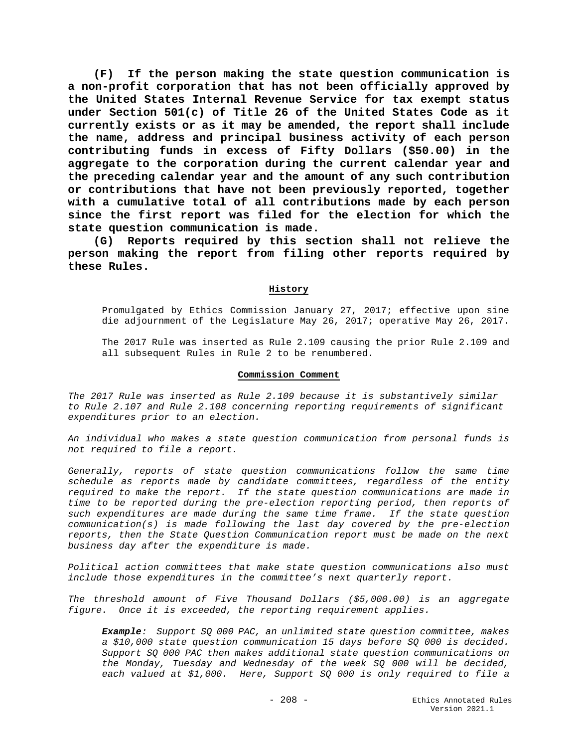**(F) If the person making the state question communication is a non-profit corporation that has not been officially approved by the United States Internal Revenue Service for tax exempt status under Section 501(c) of Title 26 of the United States Code as it currently exists or as it may be amended, the report shall include the name, address and principal business activity of each person contributing funds in excess of Fifty Dollars (\$50.00) in the aggregate to the corporation during the current calendar year and the preceding calendar year and the amount of any such contribution or contributions that have not been previously reported, together with a cumulative total of all contributions made by each person since the first report was filed for the election for which the state question communication is made.** 

**(G) Reports required by this section shall not relieve the person making the report from filing other reports required by these Rules.** 

## **History**

Promulgated by Ethics Commission January 27, 2017; effective upon sine die adjournment of the Legislature May 26, 2017; operative May 26, 2017.

The 2017 Rule was inserted as Rule 2.109 causing the prior Rule 2.109 and all subsequent Rules in Rule 2 to be renumbered.

#### **Commission Comment**

*The 2017 Rule was inserted as Rule 2.109 because it is substantively similar to Rule 2.107 and Rule 2.108 concerning reporting requirements of significant expenditures prior to an election.*

*An individual who makes a state question communication from personal funds is not required to file a report.*

*Generally, reports of state question communications follow the same time schedule as reports made by candidate committees, regardless of the entity required to make the report. If the state question communications are made in time to be reported during the pre-election reporting period, then reports of such expenditures are made during the same time frame. If the state question communication(s) is made following the last day covered by the pre-election reports, then the State Question Communication report must be made on the next business day after the expenditure is made.*

*Political action committees that make state question communications also must include those expenditures in the committee's next quarterly report.*

*The threshold amount of Five Thousand Dollars (\$5,000.00) is an aggregate figure. Once it is exceeded, the reporting requirement applies.*

*Example: Support SQ 000 PAC, an unlimited state question committee, makes a \$10,000 state question communication 15 days before SQ 000 is decided. Support SQ 000 PAC then makes additional state question communications on the Monday, Tuesday and Wednesday of the week SQ 000 will be decided, each valued at \$1,000. Here, Support SQ 000 is only required to file a*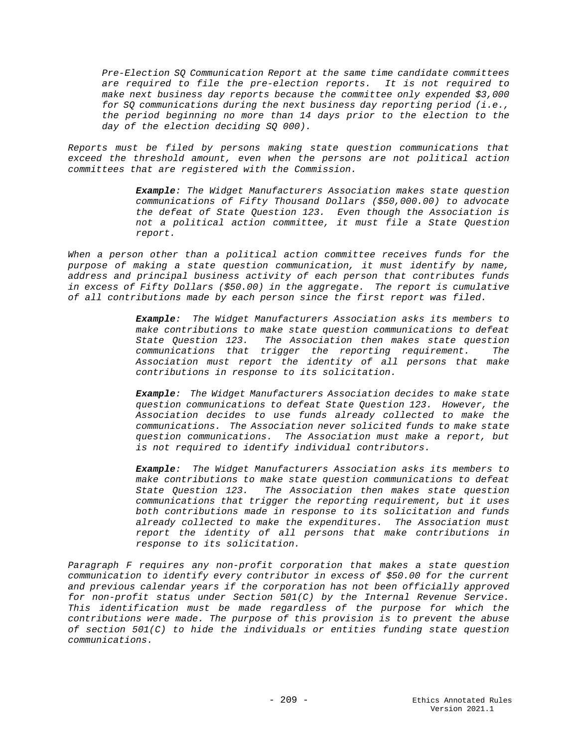*Pre-Election SQ Communication Report at the same time candidate committees are required to file the pre-election reports. It is not required to make next business day reports because the committee only expended \$3,000 for SQ communications during the next business day reporting period (i.e., the period beginning no more than 14 days prior to the election to the day of the election deciding SQ 000).* 

*Reports must be filed by persons making state question communications that exceed the threshold amount, even when the persons are not political action committees that are registered with the Commission.*

> *Example: The Widget Manufacturers Association makes state question communications of Fifty Thousand Dollars (\$50,000.00) to advocate the defeat of State Question 123. Even though the Association is not a political action committee, it must file a State Question report.*

When a person other than a political action committee receives funds for the *purpose of making a state question communication, it must identify by name, address and principal business activity of each person that contributes funds in excess of Fifty Dollars (\$50.00) in the aggregate. The report is cumulative of all contributions made by each person since the first report was filed.* 

> *Example: The Widget Manufacturers Association asks its members to make contributions to make state question communications to defeat State Question 123. The Association then makes state question communications that trigger the reporting requirement. The Association must report the identity of all persons that make contributions in response to its solicitation.*

> *Example: The Widget Manufacturers Association decides to make state question communications to defeat State Question 123. However, the Association decides to use funds already collected to make the communications. The Association never solicited funds to make state question communications. The Association must make a report, but is not required to identify individual contributors.*

> *Example: The Widget Manufacturers Association asks its members to make contributions to make state question communications to defeat State Question 123. The Association then makes state question communications that trigger the reporting requirement, but it uses both contributions made in response to its solicitation and funds already collected to make the expenditures. The Association must report the identity of all persons that make contributions in response to its solicitation.*

*Paragraph F requires any non-profit corporation that makes a state question communication to identify every contributor in excess of \$50.00 for the current and previous calendar years if the corporation has not been officially approved for non-profit status under Section 501(C) by the Internal Revenue Service. This identification must be made regardless of the purpose for which the contributions were made. The purpose of this provision is to prevent the abuse of section 501(C) to hide the individuals or entities funding state question communications.*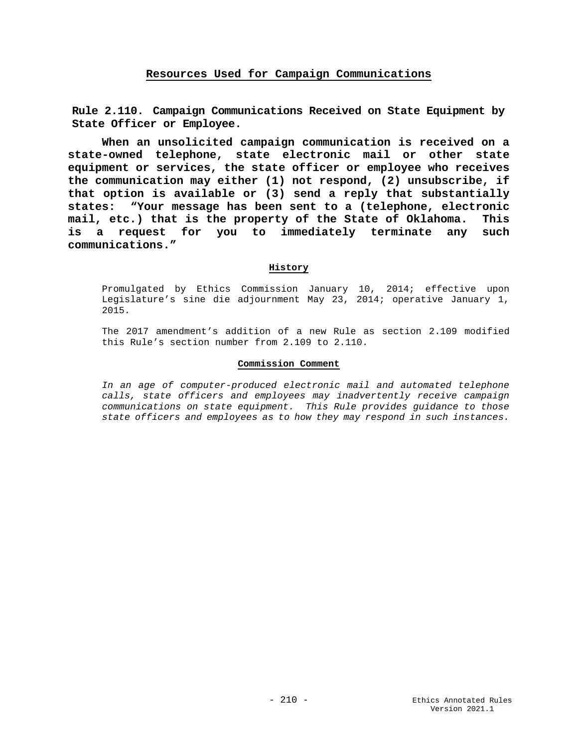# **Resources Used for Campaign Communications**

**Rule 2.110. Campaign Communications Received on State Equipment by State Officer or Employee.**

**When an unsolicited campaign communication is received on a state-owned telephone, state electronic mail or other state equipment or services, the state officer or employee who receives the communication may either (1) not respond, (2) unsubscribe, if that option is available or (3) send a reply that substantially states: "Your message has been sent to a (telephone, electronic mail, etc.) that is the property of the State of Oklahoma. This is a request for you to immediately terminate any such communications."** 

## **History**

Promulgated by Ethics Commission January 10, 2014; effective upon Legislature's sine die adjournment May 23, 2014; operative January 1, 2015.

The 2017 amendment's addition of a new Rule as section 2.109 modified this Rule's section number from 2.109 to 2.110.

## **Commission Comment**

*In an age of computer-produced electronic mail and automated telephone calls, state officers and employees may inadvertently receive campaign communications on state equipment. This Rule provides guidance to those state officers and employees as to how they may respond in such instances.*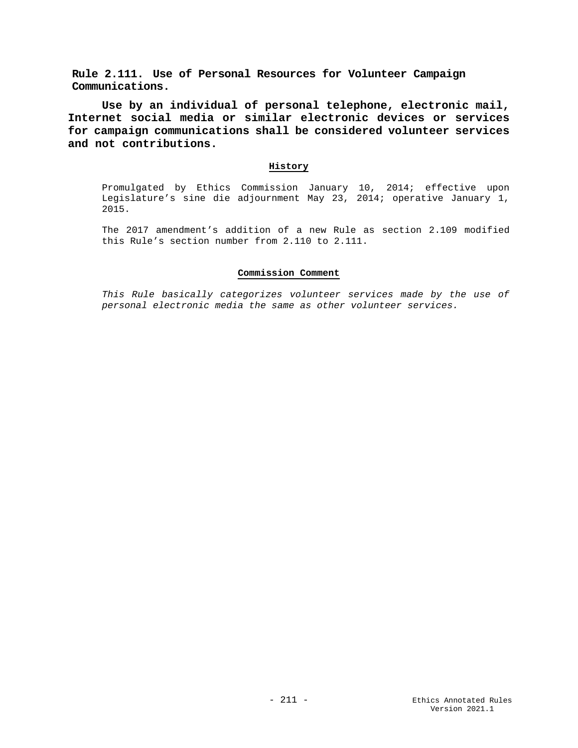**Rule 2.111. Use of Personal Resources for Volunteer Campaign Communications.**

**Use by an individual of personal telephone, electronic mail, Internet social media or similar electronic devices or services for campaign communications shall be considered volunteer services and not contributions.**

## **History**

Promulgated by Ethics Commission January 10, 2014; effective upon Legislature's sine die adjournment May 23, 2014; operative January 1, 2015.

The 2017 amendment's addition of a new Rule as section 2.109 modified this Rule's section number from 2.110 to 2.111.

## **Commission Comment**

*This Rule basically categorizes volunteer services made by the use of personal electronic media the same as other volunteer services.*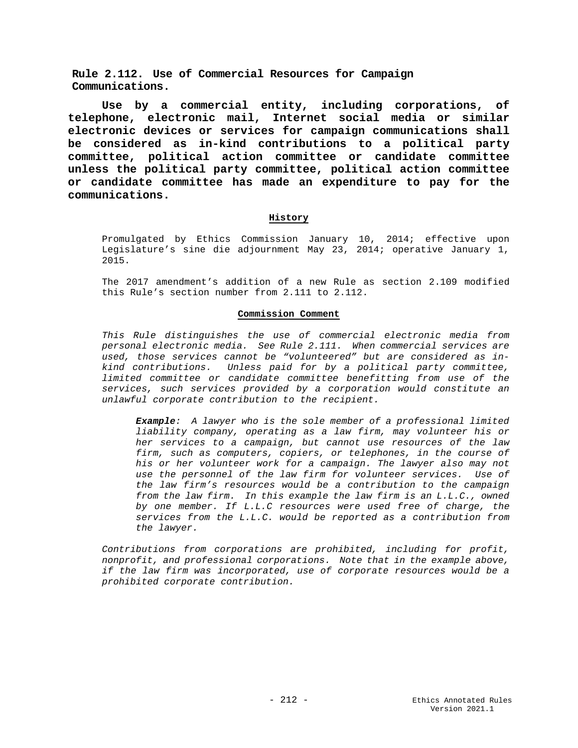**Rule 2.112. Use of Commercial Resources for Campaign Communications.**

**Use by a commercial entity, including corporations, of telephone, electronic mail, Internet social media or similar electronic devices or services for campaign communications shall be considered as in-kind contributions to a political party committee, political action committee or candidate committee unless the political party committee, political action committee or candidate committee has made an expenditure to pay for the communications.**

## **History**

Promulgated by Ethics Commission January 10, 2014; effective upon Legislature's sine die adjournment May 23, 2014; operative January 1, 2015.

The 2017 amendment's addition of a new Rule as section 2.109 modified this Rule's section number from 2.111 to 2.112.

## **Commission Comment**

*This Rule distinguishes the use of commercial electronic media from personal electronic media. See Rule 2.111. When commercial services are used, those services cannot be "volunteered" but are considered as inkind contributions. Unless paid for by a political party committee, limited committee or candidate committee benefitting from use of the services, such services provided by a corporation would constitute an unlawful corporate contribution to the recipient.*

*Example: A lawyer who is the sole member of a professional limited liability company, operating as a law firm, may volunteer his or her services to a campaign, but cannot use resources of the law firm, such as computers, copiers, or telephones, in the course of his or her volunteer work for a campaign. The lawyer also may not use the personnel of the law firm for volunteer services. Use of the law firm's resources would be a contribution to the campaign from the law firm. In this example the law firm is an L.L.C., owned by one member. If L.L.C resources were used free of charge, the services from the L.L.C. would be reported as a contribution from the lawyer.*

*Contributions from corporations are prohibited, including for profit, nonprofit, and professional corporations. Note that in the example above, if the law firm was incorporated, use of corporate resources would be a prohibited corporate contribution.*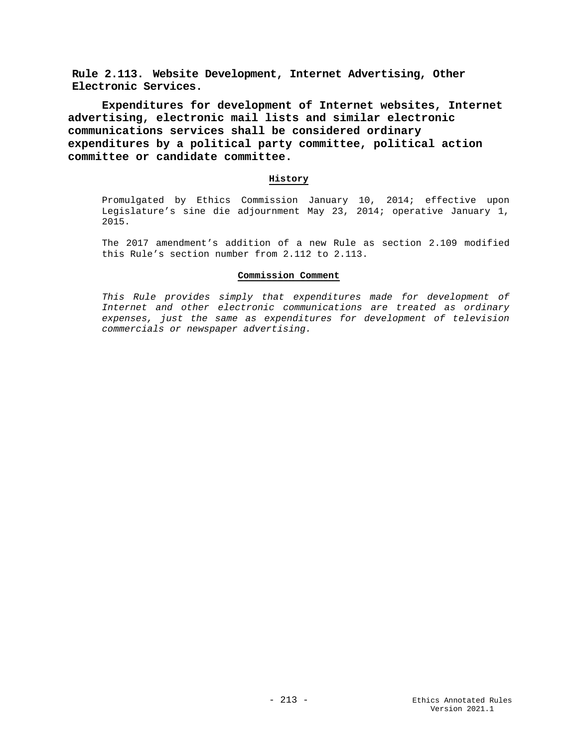**Rule 2.113. Website Development, Internet Advertising, Other Electronic Services.**

**Expenditures for development of Internet websites, Internet advertising, electronic mail lists and similar electronic communications services shall be considered ordinary expenditures by a political party committee, political action committee or candidate committee.**

### **History**

Promulgated by Ethics Commission January 10, 2014; effective upon Legislature's sine die adjournment May 23, 2014; operative January 1, 2015.

The 2017 amendment's addition of a new Rule as section 2.109 modified this Rule's section number from 2.112 to 2.113.

## **Commission Comment**

*This Rule provides simply that expenditures made for development of Internet and other electronic communications are treated as ordinary expenses, just the same as expenditures for development of television commercials or newspaper advertising.*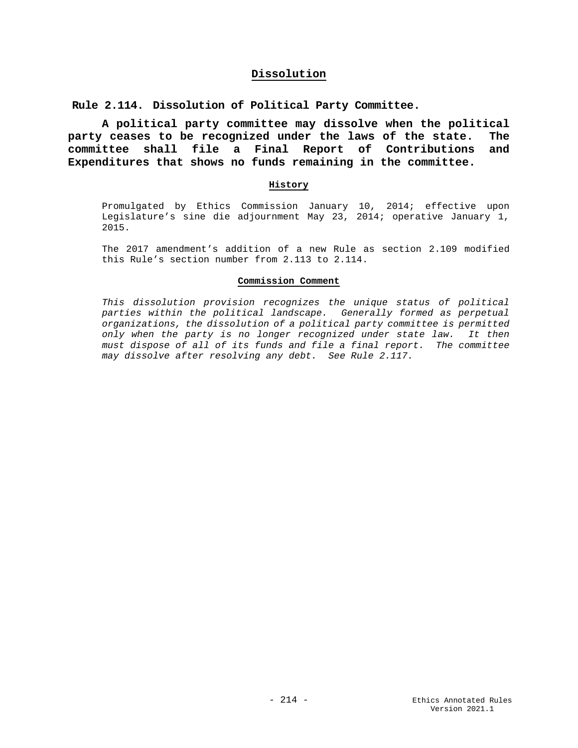## **Dissolution**

**Rule 2.114. Dissolution of Political Party Committee.**

**A political party committee may dissolve when the political party ceases to be recognized under the laws of the state. The committee shall file a Final Report of Contributions and Expenditures that shows no funds remaining in the committee.**

#### **History**

Promulgated by Ethics Commission January 10, 2014; effective upon Legislature's sine die adjournment May 23, 2014; operative January 1, 2015.

The 2017 amendment's addition of a new Rule as section 2.109 modified this Rule's section number from 2.113 to 2.114.

### **Commission Comment**

*This dissolution provision recognizes the unique status of political parties within the political landscape. Generally formed as perpetual organizations, the dissolution of a political party committee is permitted only when the party is no longer recognized under state law. It then must dispose of all of its funds and file a final report. The committee may dissolve after resolving any debt. See Rule 2.117.*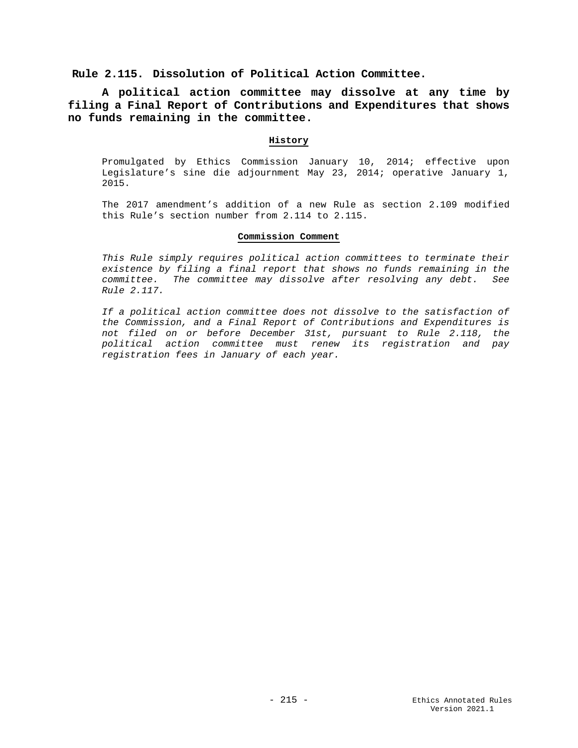**Rule 2.115. Dissolution of Political Action Committee.**

**A political action committee may dissolve at any time by filing a Final Report of Contributions and Expenditures that shows no funds remaining in the committee.**

## **History**

Promulgated by Ethics Commission January 10, 2014; effective upon Legislature's sine die adjournment May 23, 2014; operative January 1, 2015.

The 2017 amendment's addition of a new Rule as section 2.109 modified this Rule's section number from 2.114 to 2.115.

### **Commission Comment**

*This Rule simply requires political action committees to terminate their existence by filing a final report that shows no funds remaining in the committee. The committee may dissolve after resolving any debt. See Rule 2.117.*

*If a political action committee does not dissolve to the satisfaction of the Commission, and a Final Report of Contributions and Expenditures is not filed on or before December 31st, pursuant to Rule 2.118, the political action committee must renew its registration and pay registration fees in January of each year.*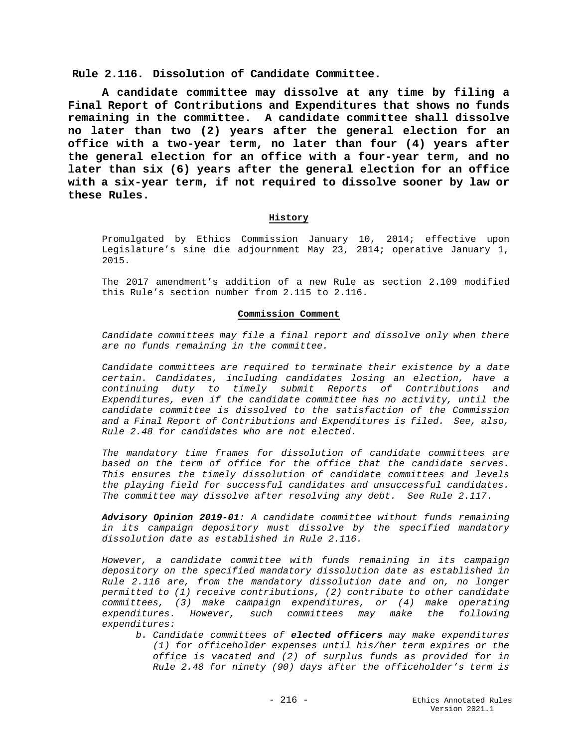**Rule 2.116. Dissolution of Candidate Committee.**

**A candidate committee may dissolve at any time by filing a Final Report of Contributions and Expenditures that shows no funds remaining in the committee. A candidate committee shall dissolve no later than two (2) years after the general election for an office with a two-year term, no later than four (4) years after the general election for an office with a four-year term, and no later than six (6) years after the general election for an office with a six-year term, if not required to dissolve sooner by law or these Rules.**

## **History**

Promulgated by Ethics Commission January 10, 2014; effective upon Legislature's sine die adjournment May 23, 2014; operative January 1, 2015.

The 2017 amendment's addition of a new Rule as section 2.109 modified this Rule's section number from 2.115 to 2.116.

#### **Commission Comment**

*Candidate committees may file a final report and dissolve only when there are no funds remaining in the committee.*

*Candidate committees are required to terminate their existence by a date certain. Candidates, including candidates losing an election, have a continuing duty to timely submit Reports of Contributions and Expenditures, even if the candidate committee has no activity, until the candidate committee is dissolved to the satisfaction of the Commission and a Final Report of Contributions and Expenditures is filed. See, also, Rule 2.48 for candidates who are not elected.* 

*The mandatory time frames for dissolution of candidate committees are based on the term of office for the office that the candidate serves. This ensures the timely dissolution of candidate committees and levels the playing field for successful candidates and unsuccessful candidates. The committee may dissolve after resolving any debt. See Rule 2.117.*

*Advisory Opinion 2019-01: A candidate committee without funds remaining in its campaign depository must dissolve by the specified mandatory dissolution date as established in Rule 2.116.* 

*However, a candidate committee with funds remaining in its campaign depository on the specified mandatory dissolution date as established in Rule 2.116 are, from the mandatory dissolution date and on, no longer permitted to (1) receive contributions, (2) contribute to other candidate committees, (3) make campaign expenditures, or (4) make operating expenditures. However, such committees may make the following expenditures:* 

*b. Candidate committees of elected officers may make expenditures (1) for officeholder expenses until his/her term expires or the office is vacated and (2) of surplus funds as provided for in Rule 2.48 for ninety (90) days after the officeholder's term is*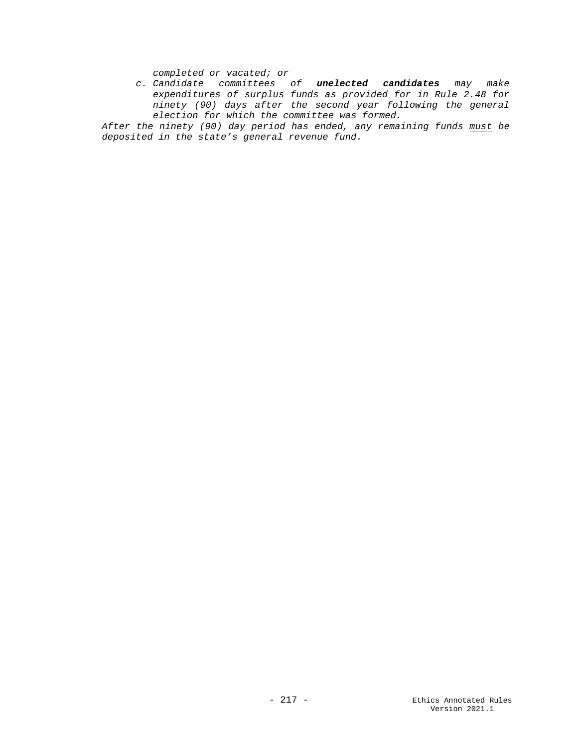*completed or vacated; or* 

*c. Candidate committees of unelected candidates may make expenditures of surplus funds as provided for in Rule 2.48 for ninety (90) days after the second year following the general election for which the committee was formed.*

*After the ninety (90) day period has ended, any remaining funds must be deposited in the state's general revenue fund.*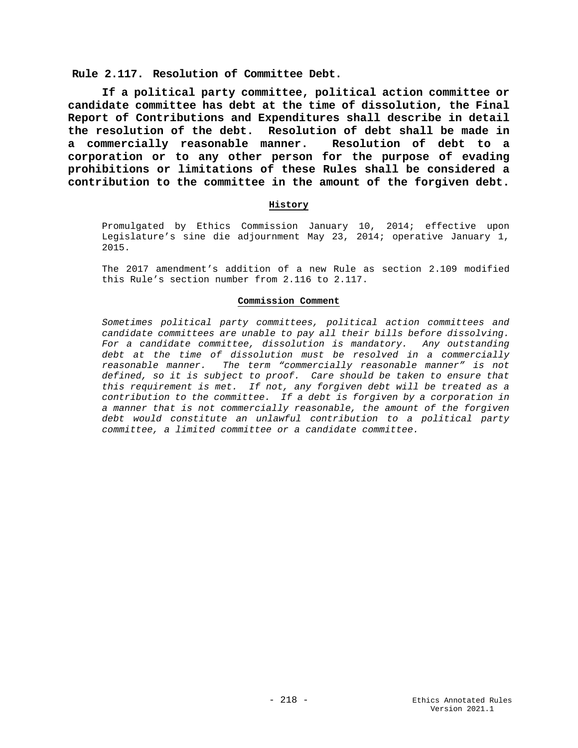**Rule 2.117. Resolution of Committee Debt.**

**If a political party committee, political action committee or candidate committee has debt at the time of dissolution, the Final Report of Contributions and Expenditures shall describe in detail the resolution of the debt. Resolution of debt shall be made in a commercially reasonable manner. Resolution of debt to a corporation or to any other person for the purpose of evading prohibitions or limitations of these Rules shall be considered a contribution to the committee in the amount of the forgiven debt.**

### **History**

Promulgated by Ethics Commission January 10, 2014; effective upon Legislature's sine die adjournment May 23, 2014; operative January 1, 2015.

The 2017 amendment's addition of a new Rule as section 2.109 modified this Rule's section number from 2.116 to 2.117.

### **Commission Comment**

*Sometimes political party committees, political action committees and candidate committees are unable to pay all their bills before dissolving. For a candidate committee, dissolution is mandatory. Any outstanding debt at the time of dissolution must be resolved in a commercially reasonable manner. The term "commercially reasonable manner" is not defined, so it is subject to proof. Care should be taken to ensure that this requirement is met. If not, any forgiven debt will be treated as a contribution to the committee. If a debt is forgiven by a corporation in a manner that is not commercially reasonable, the amount of the forgiven debt would constitute an unlawful contribution to a political party committee, a limited committee or a candidate committee.*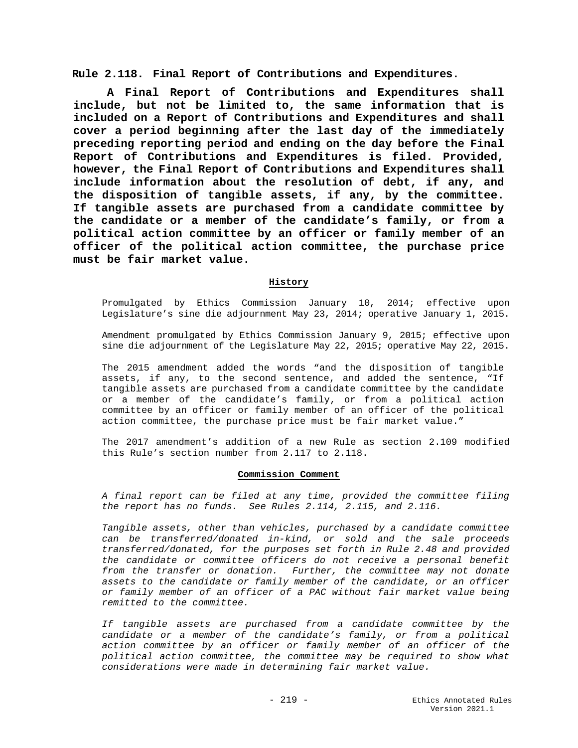**Rule 2.118. Final Report of Contributions and Expenditures.**

**A Final Report of Contributions and Expenditures shall include, but not be limited to, the same information that is included on a Report of Contributions and Expenditures and shall cover a period beginning after the last day of the immediately preceding reporting period and ending on the day before the Final Report of Contributions and Expenditures is filed. Provided, however, the Final Report of Contributions and Expenditures shall include information about the resolution of debt, if any, and the disposition of tangible assets, if any, by the committee. If tangible assets are purchased from a candidate committee by the candidate or a member of the candidate's family, or from a political action committee by an officer or family member of an officer of the political action committee, the purchase price must be fair market value.**

# **History**

Promulgated by Ethics Commission January 10, 2014; effective upon Legislature's sine die adjournment May 23, 2014; operative January 1, 2015.

Amendment promulgated by Ethics Commission January 9, 2015; effective upon sine die adjournment of the Legislature May 22, 2015; operative May 22, 2015.

The 2015 amendment added the words "and the disposition of tangible assets, if any, to the second sentence, and added the sentence, "If tangible assets are purchased from a candidate committee by the candidate or a member of the candidate's family, or from a political action committee by an officer or family member of an officer of the political action committee, the purchase price must be fair market value."

The 2017 amendment's addition of a new Rule as section 2.109 modified this Rule's section number from 2.117 to 2.118.

### **Commission Comment**

*A final report can be filed at any time, provided the committee filing the report has no funds. See Rules 2.114, 2.115, and 2.116.*

*Tangible assets, other than vehicles, purchased by a candidate committee can be transferred/donated in-kind, or sold and the sale proceeds transferred/donated, for the purposes set forth in Rule 2.48 and provided the candidate or committee officers do not receive a personal benefit from the transfer or donation. Further, the committee may not donate assets to the candidate or family member of the candidate, or an officer or family member of an officer of a PAC without fair market value being remitted to the committee.* 

*If tangible assets are purchased from a candidate committee by the candidate or a member of the candidate's family, or from a political action committee by an officer or family member of an officer of the political action committee, the committee may be required to show what considerations were made in determining fair market value.*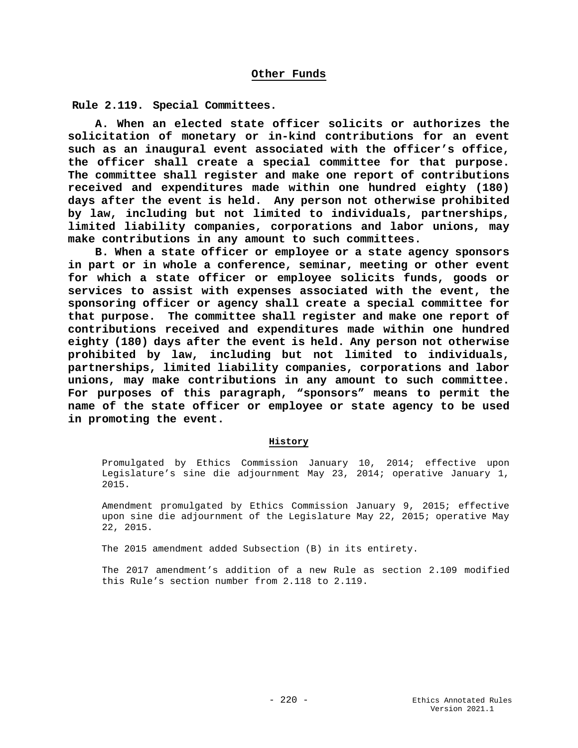**Rule 2.119. Special Committees.**

**A. When an elected state officer solicits or authorizes the solicitation of monetary or in-kind contributions for an event such as an inaugural event associated with the officer's office, the officer shall create a special committee for that purpose. The committee shall register and make one report of contributions received and expenditures made within one hundred eighty (180) days after the event is held. Any person not otherwise prohibited by law, including but not limited to individuals, partnerships, limited liability companies, corporations and labor unions, may make contributions in any amount to such committees.**

**B. When a state officer or employee or a state agency sponsors in part or in whole a conference, seminar, meeting or other event for which a state officer or employee solicits funds, goods or services to assist with expenses associated with the event, the sponsoring officer or agency shall create a special committee for that purpose. The committee shall register and make one report of contributions received and expenditures made within one hundred eighty (180) days after the event is held. Any person not otherwise prohibited by law, including but not limited to individuals, partnerships, limited liability companies, corporations and labor unions, may make contributions in any amount to such committee. For purposes of this paragraph, "sponsors" means to permit the name of the state officer or employee or state agency to be used in promoting the event.**

## **History**

Promulgated by Ethics Commission January 10, 2014; effective upon Legislature's sine die adjournment May 23, 2014; operative January 1, 2015.

Amendment promulgated by Ethics Commission January 9, 2015; effective upon sine die adjournment of the Legislature May 22, 2015; operative May 22, 2015.

The 2015 amendment added Subsection (B) in its entirety.

The 2017 amendment's addition of a new Rule as section 2.109 modified this Rule's section number from 2.118 to 2.119.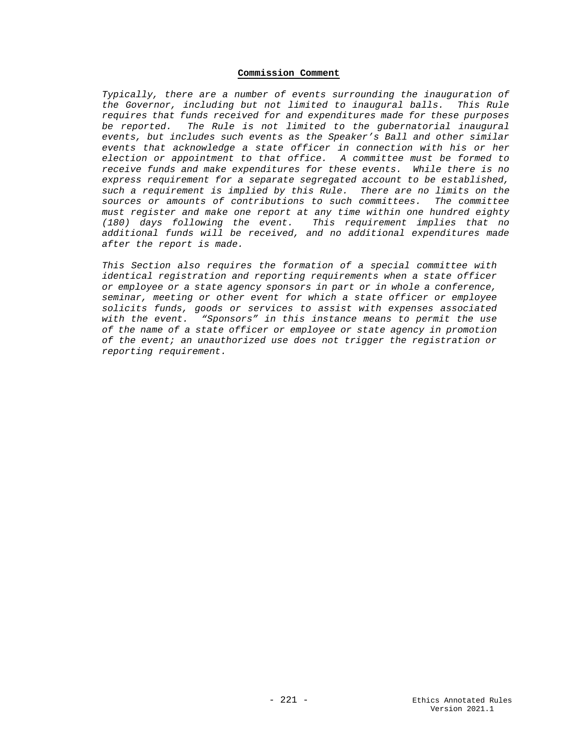### **Commission Comment**

*Typically, there are a number of events surrounding the inauguration of the Governor, including but not limited to inaugural balls. This Rule requires that funds received for and expenditures made for these purposes be reported. The Rule is not limited to the gubernatorial inaugural events, but includes such events as the Speaker's Ball and other similar events that acknowledge a state officer in connection with his or her election or appointment to that office. A committee must be formed to receive funds and make expenditures for these events. While there is no express requirement for a separate segregated account to be established, such a requirement is implied by this Rule. There are no limits on the sources or amounts of contributions to such committees. The committee must register and make one report at any time within one hundred eighty (180) days following the event. This requirement implies that no additional funds will be received, and no additional expenditures made after the report is made.*

*This Section also requires the formation of a special committee with identical registration and reporting requirements when a state officer or employee or a state agency sponsors in part or in whole a conference, seminar, meeting or other event for which a state officer or employee solicits funds, goods or services to assist with expenses associated with the event. "Sponsors" in this instance means to permit the use of the name of a state officer or employee or state agency in promotion of the event; an unauthorized use does not trigger the registration or reporting requirement.*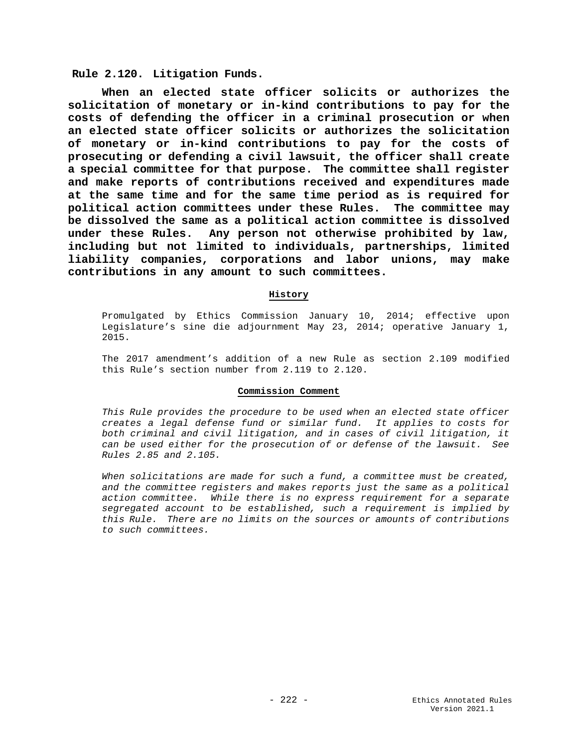**Rule 2.120. Litigation Funds.**

**When an elected state officer solicits or authorizes the solicitation of monetary or in-kind contributions to pay for the costs of defending the officer in a criminal prosecution or when an elected state officer solicits or authorizes the solicitation of monetary or in-kind contributions to pay for the costs of prosecuting or defending a civil lawsuit, the officer shall create a special committee for that purpose. The committee shall register and make reports of contributions received and expenditures made at the same time and for the same time period as is required for political action committees under these Rules. The committee may be dissolved the same as a political action committee is dissolved under these Rules. Any person not otherwise prohibited by law, including but not limited to individuals, partnerships, limited liability companies, corporations and labor unions, may make contributions in any amount to such committees.**

# **History**

Promulgated by Ethics Commission January 10, 2014; effective upon Legislature's sine die adjournment May 23, 2014; operative January 1, 2015.

The 2017 amendment's addition of a new Rule as section 2.109 modified this Rule's section number from 2.119 to 2.120.

#### **Commission Comment**

*This Rule provides the procedure to be used when an elected state officer creates a legal defense fund or similar fund. It applies to costs for both criminal and civil litigation, and in cases of civil litigation, it can be used either for the prosecution of or defense of the lawsuit. See Rules 2.85 and 2.105.*

*When solicitations are made for such a fund, a committee must be created, and the committee registers and makes reports just the same as a political action committee. While there is no express requirement for a separate segregated account to be established, such a requirement is implied by this Rule. There are no limits on the sources or amounts of contributions to such committees.*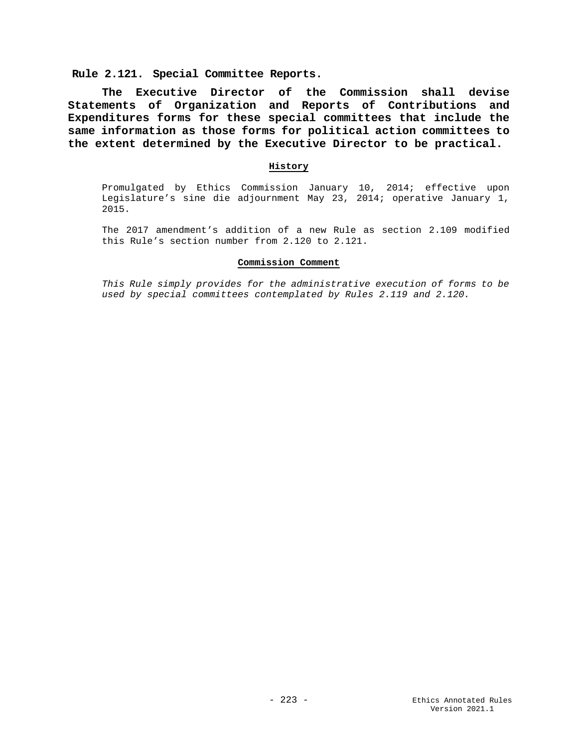**Rule 2.121. Special Committee Reports.**

**The Executive Director of the Commission shall devise Statements of Organization and Reports of Contributions and Expenditures forms for these special committees that include the same information as those forms for political action committees to the extent determined by the Executive Director to be practical.**

### **History**

Promulgated by Ethics Commission January 10, 2014; effective upon Legislature's sine die adjournment May 23, 2014; operative January 1, 2015.

The 2017 amendment's addition of a new Rule as section 2.109 modified this Rule's section number from 2.120 to 2.121.

### **Commission Comment**

*This Rule simply provides for the administrative execution of forms to be used by special committees contemplated by Rules 2.119 and 2.120.*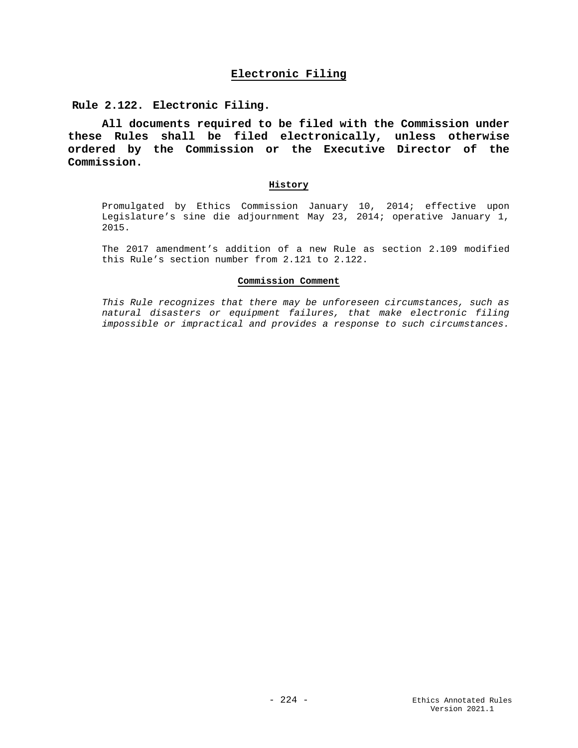# **Electronic Filing**

**Rule 2.122. Electronic Filing.**

**All documents required to be filed with the Commission under these Rules shall be filed electronically, unless otherwise ordered by the Commission or the Executive Director of the Commission.**

### **History**

Promulgated by Ethics Commission January 10, 2014; effective upon Legislature's sine die adjournment May 23, 2014; operative January 1, 2015.

The 2017 amendment's addition of a new Rule as section 2.109 modified this Rule's section number from 2.121 to 2.122.

### **Commission Comment**

*This Rule recognizes that there may be unforeseen circumstances, such as natural disasters or equipment failures, that make electronic filing impossible or impractical and provides a response to such circumstances.*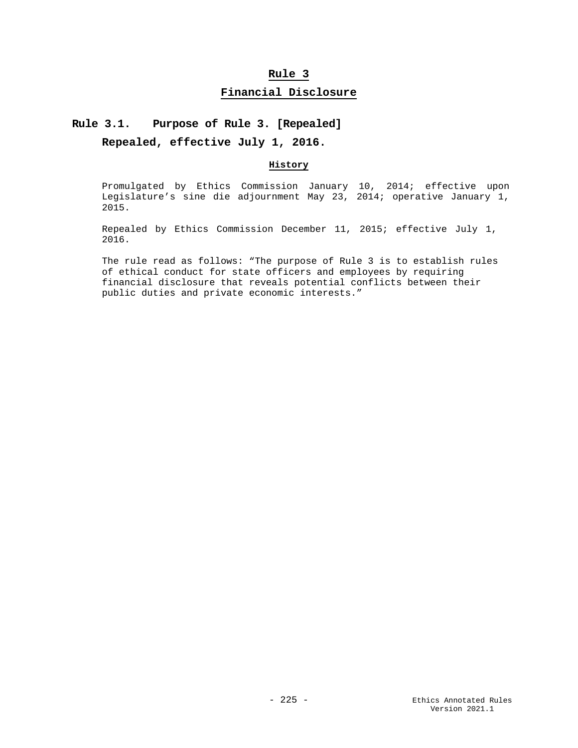# **Rule 3 Financial Disclosure**

# **Rule 3.1. Purpose of Rule 3. [Repealed]**

**Repealed, effective July 1, 2016.**

## **History**

Promulgated by Ethics Commission January 10, 2014; effective upon Legislature's sine die adjournment May 23, 2014; operative January 1, 2015.

Repealed by Ethics Commission December 11, 2015; effective July 1, 2016.

The rule read as follows: "The purpose of Rule 3 is to establish rules of ethical conduct for state officers and employees by requiring financial disclosure that reveals potential conflicts between their public duties and private economic interests."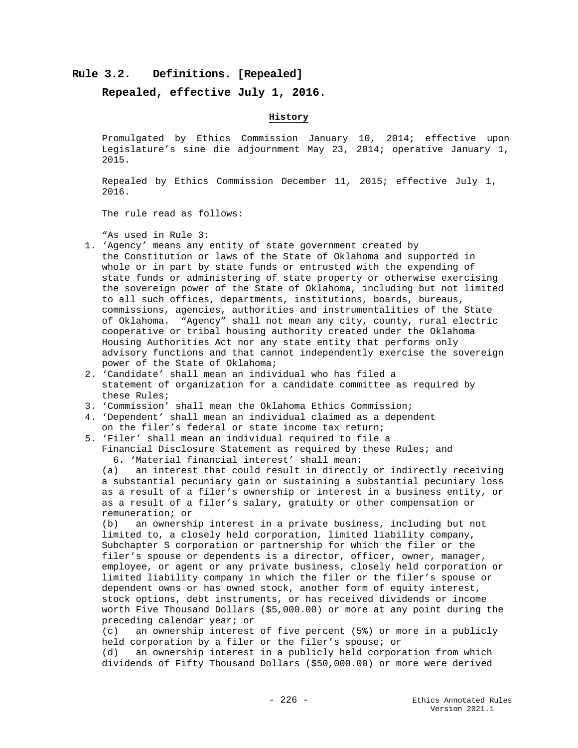## **Rule 3.2. Definitions. [Repealed]**

**Repealed, effective July 1, 2016.**

### **History**

Promulgated by Ethics Commission January 10, 2014; effective upon Legislature's sine die adjournment May 23, 2014; operative January 1, 2015.

Repealed by Ethics Commission December 11, 2015; effective July 1, 2016.

The rule read as follows:

"As used in Rule 3:

- 1. 'Agency' means any entity of state government created by the Constitution or laws of the State of Oklahoma and supported in whole or in part by state funds or entrusted with the expending of state funds or administering of state property or otherwise exercising the sovereign power of the State of Oklahoma, including but not limited to all such offices, departments, institutions, boards, bureaus, commissions, agencies, authorities and instrumentalities of the State of Oklahoma. "Agency" shall not mean any city, county, rural electric cooperative or tribal housing authority created under the Oklahoma Housing Authorities Act nor any state entity that performs only advisory functions and that cannot independently exercise the sovereign power of the State of Oklahoma;
- 2. 'Candidate' shall mean an individual who has filed a statement of organization for a candidate committee as required by these Rules;
- 3. 'Commission' shall mean the Oklahoma Ethics Commission;
- 4. 'Dependent' shall mean an individual claimed as a dependent on the filer's federal or state income tax return;
- 5. 'Filer' shall mean an individual required to file a
	- Financial Disclosure Statement as required by these Rules; and 6. 'Material financial interest' shall mean:

(a) an interest that could result in directly or indirectly receiving a substantial pecuniary gain or sustaining a substantial pecuniary loss as a result of a filer's ownership or interest in a business entity, or as a result of a filer's salary, gratuity or other compensation or remuneration; or<br>(b) an ownersh:

an ownership interest in a private business, including but not limited to, a closely held corporation, limited liability company, Subchapter S corporation or partnership for which the filer or the filer's spouse or dependents is a director, officer, owner, manager, employee, or agent or any private business, closely held corporation or limited liability company in which the filer or the filer's spouse or dependent owns or has owned stock, another form of equity interest, stock options, debt instruments, or has received dividends or income worth Five Thousand Dollars (\$5,000.00) or more at any point during the preceding calendar year; or<br>(c) an ownership interest

an ownership interest of five percent  $(5%)$  or more in a publicly held corporation by a filer or the filer's spouse; or<br>(d) an ownership interest in a publicly held corporal

an ownership interest in a publicly held corporation from which dividends of Fifty Thousand Dollars (\$50,000.00) or more were derived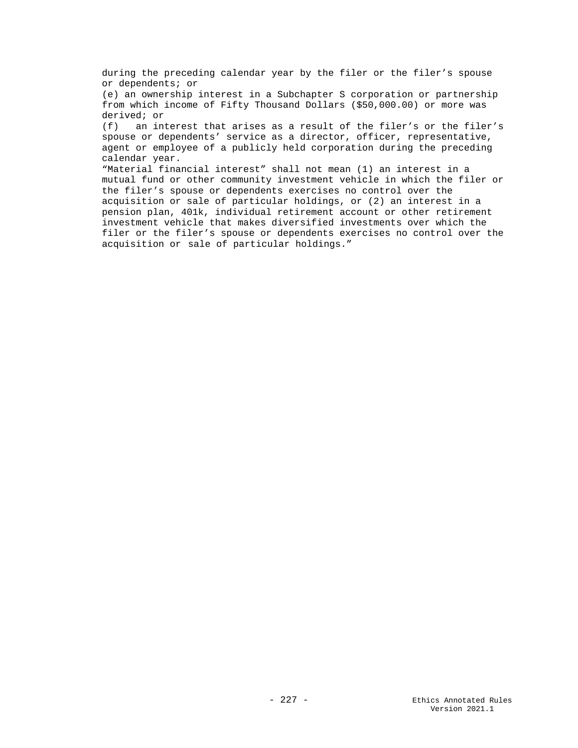during the preceding calendar year by the filer or the filer's spouse or dependents; or

(e) an ownership interest in a Subchapter S corporation or partnership from which income of Fifty Thousand Dollars (\$50,000.00) or more was derived; or

(f) an interest that arises as a result of the filer's or the filer's spouse or dependents' service as a director, officer, representative, agent or employee of a publicly held corporation during the preceding calendar year.

"Material financial interest" shall not mean (1) an interest in a mutual fund or other community investment vehicle in which the filer or the filer's spouse or dependents exercises no control over the acquisition or sale of particular holdings, or (2) an interest in a pension plan, 401k, individual retirement account or other retirement investment vehicle that makes diversified investments over which the filer or the filer's spouse or dependents exercises no control over the acquisition or sale of particular holdings."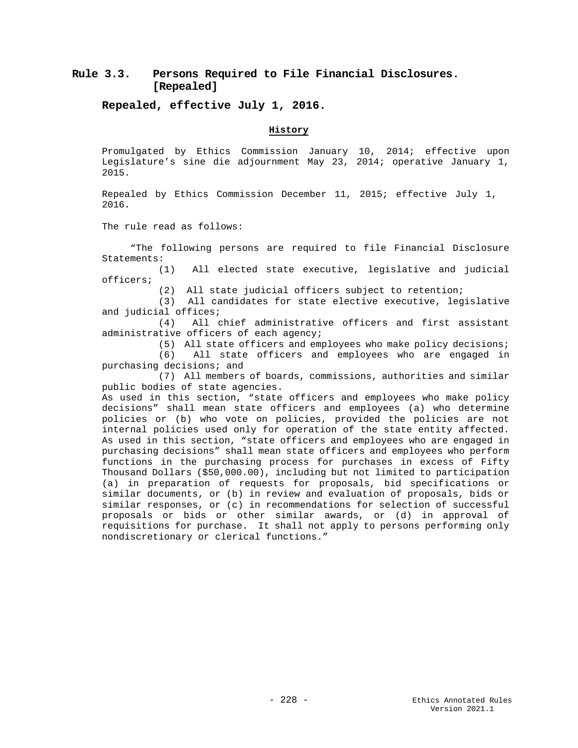# **Rule 3.3. Persons Required to File Financial Disclosures. [Repealed]**

**Repealed, effective July 1, 2016.**

### **History**

Promulgated by Ethics Commission January 10, 2014; effective upon Legislature's sine die adjournment May 23, 2014; operative January 1, 2015.

Repealed by Ethics Commission December 11, 2015; effective July 1, 2016.

The rule read as follows:

 "The following persons are required to file Financial Disclosure Statements:<br>(1)

All elected state executive, legislative and judicial officers;

(2) All state judicial officers subject to retention;

 (3) All candidates for state elective executive, legislative and judicial offices;<br>(4) All o

All chief administrative officers and first assistant administrative officers of each agency;

(5) All state officers and employees who make policy decisions;<br>(6) All state officers and employees who are engaged in

All state officers and employees who are engaged in purchasing decisions; and

 (7) All members of boards, commissions, authorities and similar public bodies of state agencies.

As used in this section, "state officers and employees who make policy decisions" shall mean state officers and employees (a) who determine policies or (b) who vote on policies, provided the policies are not internal policies used only for operation of the state entity affected. As used in this section, "state officers and employees who are engaged in purchasing decisions" shall mean state officers and employees who perform functions in the purchasing process for purchases in excess of Fifty Thousand Dollars (\$50,000.00), including but not limited to participation (a) in preparation of requests for proposals, bid specifications or similar documents, or (b) in review and evaluation of proposals, bids or similar responses, or (c) in recommendations for selection of successful proposals or bids or other similar awards, or (d) in approval of requisitions for purchase. It shall not apply to persons performing only nondiscretionary or clerical functions."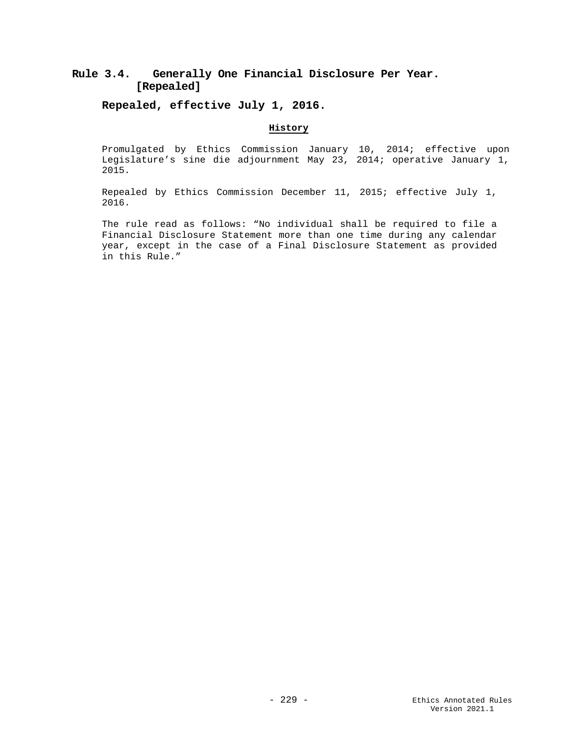# **Rule 3.4. Generally One Financial Disclosure Per Year. [Repealed]**

**Repealed, effective July 1, 2016.** 

## **History**

Promulgated by Ethics Commission January 10, 2014; effective upon Legislature's sine die adjournment May 23, 2014; operative January 1, 2015.

Repealed by Ethics Commission December 11, 2015; effective July 1, 2016.

The rule read as follows: "No individual shall be required to file a Financial Disclosure Statement more than one time during any calendar year, except in the case of a Final Disclosure Statement as provided in this Rule."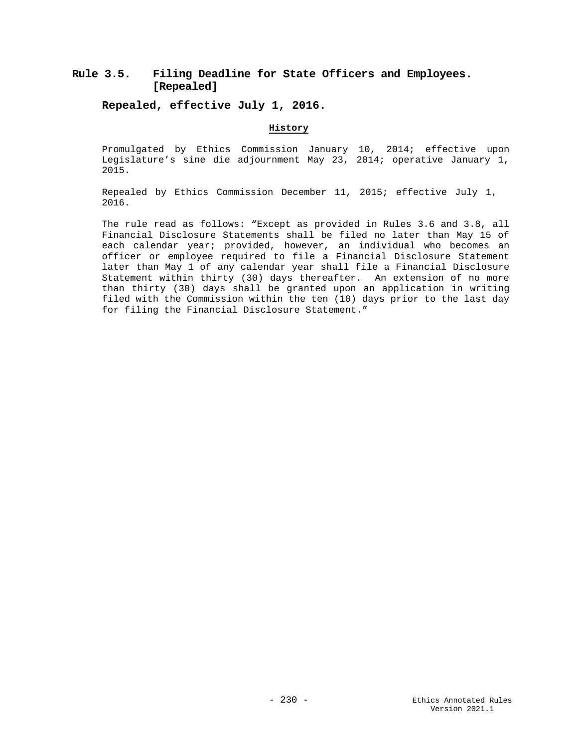# **Rule 3.5. Filing Deadline for State Officers and Employees. [Repealed]**

**Repealed, effective July 1, 2016.**

# **History**

Promulgated by Ethics Commission January 10, 2014; effective upon Legislature's sine die adjournment May 23, 2014; operative January 1, 2015.

Repealed by Ethics Commission December 11, 2015; effective July 1, 2016.

The rule read as follows: "Except as provided in Rules 3.6 and 3.8, all Financial Disclosure Statements shall be filed no later than May 15 of each calendar year; provided, however, an individual who becomes an officer or employee required to file a Financial Disclosure Statement later than May 1 of any calendar year shall file a Financial Disclosure Statement within thirty (30) days thereafter. An extension of no more than thirty (30) days shall be granted upon an application in writing filed with the Commission within the ten (10) days prior to the last day for filing the Financial Disclosure Statement."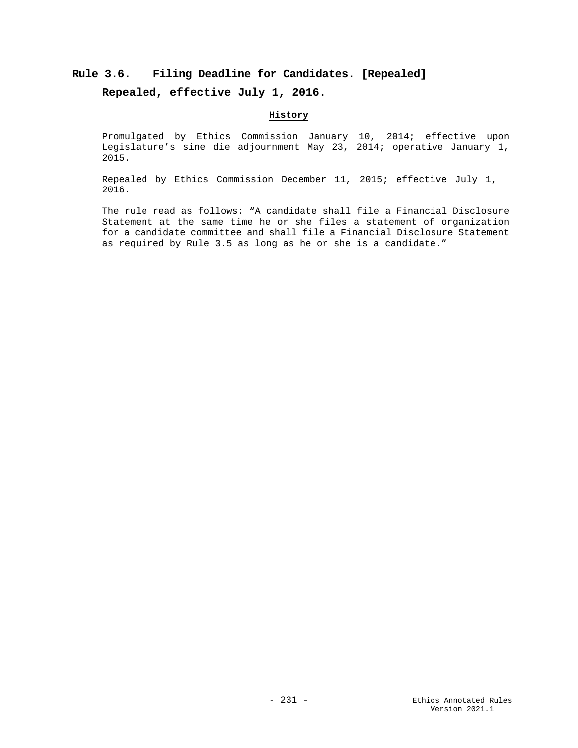# **Rule 3.6. Filing Deadline for Candidates. [Repealed]**

# **Repealed, effective July 1, 2016.**

# **History**

Promulgated by Ethics Commission January 10, 2014; effective upon Legislature's sine die adjournment May 23, 2014; operative January 1, 2015.

Repealed by Ethics Commission December 11, 2015; effective July 1, 2016.

The rule read as follows: "A candidate shall file a Financial Disclosure Statement at the same time he or she files a statement of organization for a candidate committee and shall file a Financial Disclosure Statement as required by Rule 3.5 as long as he or she is a candidate."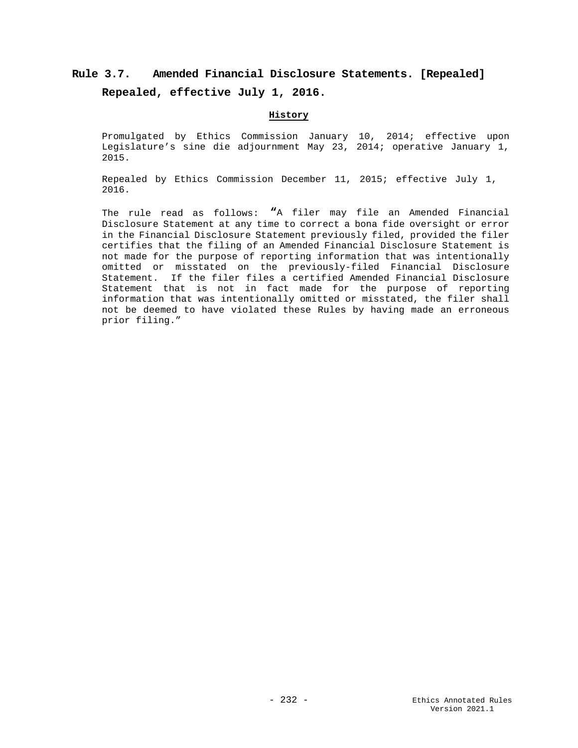# **Rule 3.7. Amended Financial Disclosure Statements. [Repealed] Repealed, effective July 1, 2016.**

# **History**

Promulgated by Ethics Commission January 10, 2014; effective upon Legislature's sine die adjournment May 23, 2014; operative January 1, 2015.

Repealed by Ethics Commission December 11, 2015; effective July 1, 2016.

The rule read as follows: **"**A filer may file an Amended Financial Disclosure Statement at any time to correct a bona fide oversight or error in the Financial Disclosure Statement previously filed, provided the filer certifies that the filing of an Amended Financial Disclosure Statement is not made for the purpose of reporting information that was intentionally omitted or misstated on the previously-filed Financial Disclosure Statement. If the filer files a certified Amended Financial Disclosure Statement that is not in fact made for the purpose of reporting information that was intentionally omitted or misstated, the filer shall not be deemed to have violated these Rules by having made an erroneous prior filing."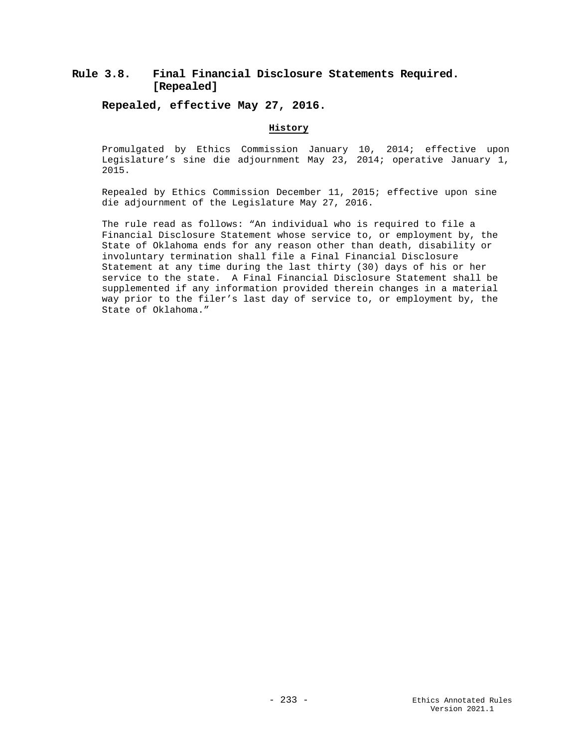# **Rule 3.8. Final Financial Disclosure Statements Required. [Repealed]**

**Repealed, effective May 27, 2016.**

# **History**

Promulgated by Ethics Commission January 10, 2014; effective upon Legislature's sine die adjournment May 23, 2014; operative January 1, 2015.

Repealed by Ethics Commission December 11, 2015; effective upon sine die adjournment of the Legislature May 27, 2016.

The rule read as follows: "An individual who is required to file a Financial Disclosure Statement whose service to, or employment by, the State of Oklahoma ends for any reason other than death, disability or involuntary termination shall file a Final Financial Disclosure Statement at any time during the last thirty (30) days of his or her service to the state. A Final Financial Disclosure Statement shall be supplemented if any information provided therein changes in a material way prior to the filer's last day of service to, or employment by, the State of Oklahoma."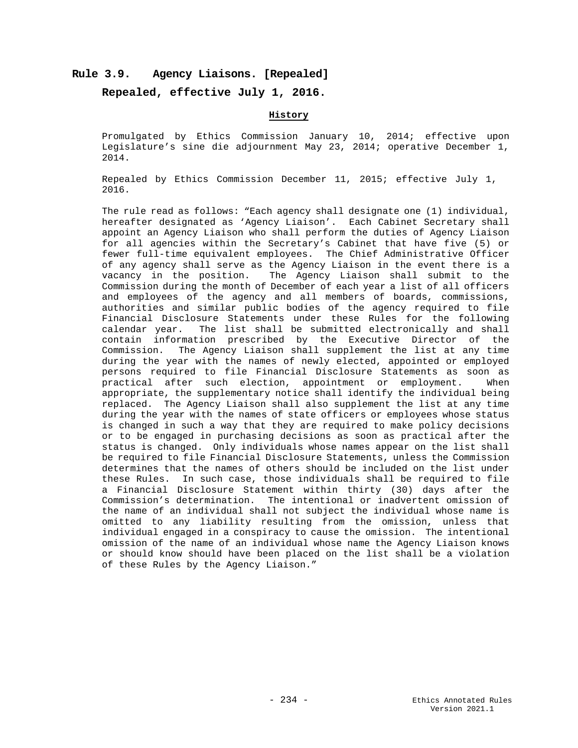## **Rule 3.9. Agency Liaisons. [Repealed]**

## **Repealed, effective July 1, 2016.**

## **History**

Promulgated by Ethics Commission January 10, 2014; effective upon Legislature's sine die adjournment May 23, 2014; operative December 1, 2014.

Repealed by Ethics Commission December 11, 2015; effective July 1, 2016.

The rule read as follows: "Each agency shall designate one (1) individual, hereafter designated as 'Agency Liaison'. Each Cabinet Secretary shall appoint an Agency Liaison who shall perform the duties of Agency Liaison for all agencies within the Secretary's Cabinet that have five (5) or fewer full-time equivalent employees. The Chief Administrative Officer of any agency shall serve as the Agency Liaison in the event there is a vacancy in the position. The Agency Liaison shall submit to the Commission during the month of December of each year a list of all officers and employees of the agency and all members of boards, commissions, authorities and similar public bodies of the agency required to file Financial Disclosure Statements under these Rules for the following calendar year. The list shall be submitted electronically and shall contain information prescribed by the Executive Director of the Commission. The Agency Liaison shall supplement the list at any time during the year with the names of newly elected, appointed or employed persons required to file Financial Disclosure Statements as soon as<br>practical after such election, appointment or employment. When practical after such election, appointment or employment. appropriate, the supplementary notice shall identify the individual being replaced. The Agency Liaison shall also supplement the list at any time during the year with the names of state officers or employees whose status is changed in such a way that they are required to make policy decisions or to be engaged in purchasing decisions as soon as practical after the status is changed. Only individuals whose names appear on the list shall be required to file Financial Disclosure Statements, unless the Commission determines that the names of others should be included on the list under these Rules. In such case, those individuals shall be required to file a Financial Disclosure Statement within thirty (30) days after the Commission's determination. The intentional or inadvertent omission of the name of an individual shall not subject the individual whose name is omitted to any liability resulting from the omission, unless that individual engaged in a conspiracy to cause the omission. The intentional omission of the name of an individual whose name the Agency Liaison knows or should know should have been placed on the list shall be a violation of these Rules by the Agency Liaison."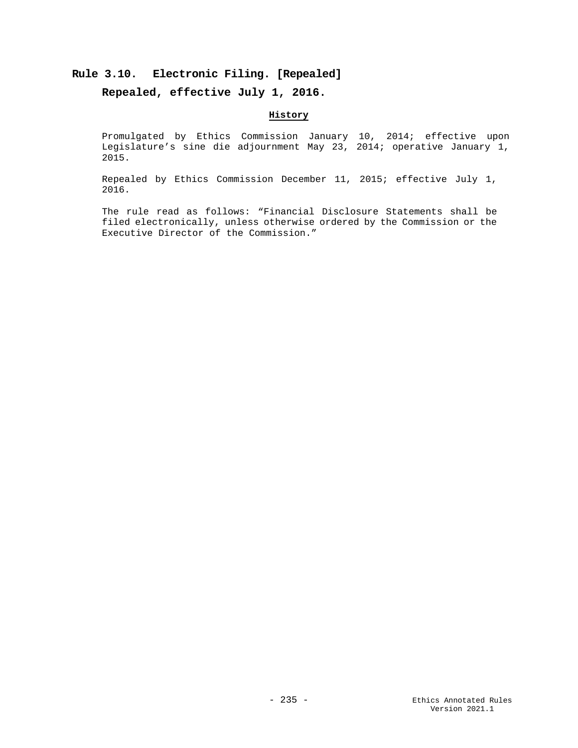# **Rule 3.10. Electronic Filing. [Repealed]**

## **Repealed, effective July 1, 2016.**

## **History**

Promulgated by Ethics Commission January 10, 2014; effective upon Legislature's sine die adjournment May 23, 2014; operative January 1, 2015.

Repealed by Ethics Commission December 11, 2015; effective July 1, 2016.

The rule read as follows: "Financial Disclosure Statements shall be filed electronically, unless otherwise ordered by the Commission or the Executive Director of the Commission."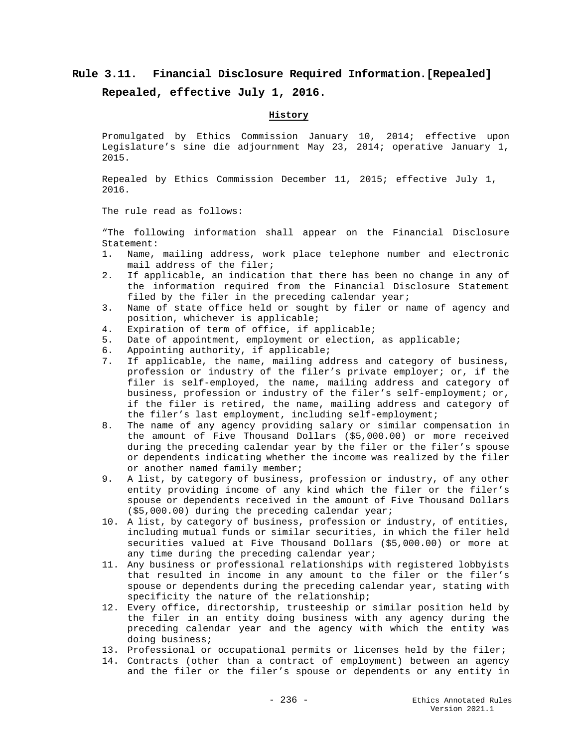# **Rule 3.11. Financial Disclosure Required Information.[Repealed]**

**Repealed, effective July 1, 2016.**

## **History**

Promulgated by Ethics Commission January 10, 2014; effective upon Legislature's sine die adjournment May 23, 2014; operative January 1, 2015.

Repealed by Ethics Commission December 11, 2015; effective July 1, 2016.

The rule read as follows:

"The following information shall appear on the Financial Disclosure Statement:<br>1. Name,

- Name, mailing address, work place telephone number and electronic mail address of the filer;
- 2. If applicable, an indication that there has been no change in any of the information required from the Financial Disclosure Statement filed by the filer in the preceding calendar year;
- 3. Name of state office held or sought by filer or name of agency and position, whichever is applicable;
- 4. Expiration of term of office, if applicable;<br>5. Date of appointment, employment or election,
- Date of appointment, employment or election, as applicable;
- 6. Appointing authority, if applicable;<br>7. If applicable, the name, mailing add
- If applicable, the name, mailing address and category of business, profession or industry of the filer's private employer; or, if the filer is self-employed, the name, mailing address and category of business, profession or industry of the filer's self-employment; or, if the filer is retired, the name, mailing address and category of the filer's last employment, including self-employment;
- 8. The name of any agency providing salary or similar compensation in the amount of Five Thousand Dollars (\$5,000.00) or more received during the preceding calendar year by the filer or the filer's spouse or dependents indicating whether the income was realized by the filer or another named family member;
- 9. A list, by category of business, profession or industry, of any other entity providing income of any kind which the filer or the filer's spouse or dependents received in the amount of Five Thousand Dollars (\$5,000.00) during the preceding calendar year;
- 10. A list, by category of business, profession or industry, of entities, including mutual funds or similar securities, in which the filer held securities valued at Five Thousand Dollars (\$5,000.00) or more at any time during the preceding calendar year;
- 11. Any business or professional relationships with registered lobbyists that resulted in income in any amount to the filer or the filer's spouse or dependents during the preceding calendar year, stating with specificity the nature of the relationship;
- 12. Every office, directorship, trusteeship or similar position held by the filer in an entity doing business with any agency during the preceding calendar year and the agency with which the entity was doing business;
- 13. Professional or occupational permits or licenses held by the filer;
- 14. Contracts (other than a contract of employment) between an agency and the filer or the filer's spouse or dependents or any entity in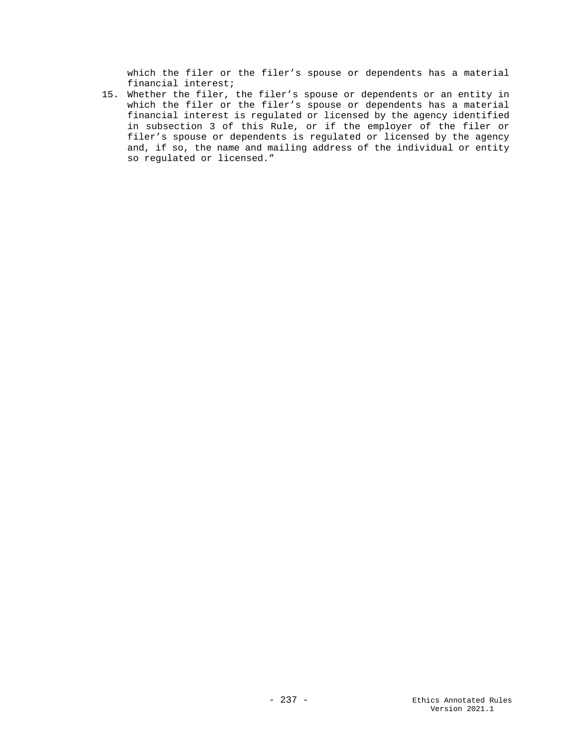which the filer or the filer's spouse or dependents has a material financial interest;

15. Whether the filer, the filer's spouse or dependents or an entity in which the filer or the filer's spouse or dependents has a material financial interest is regulated or licensed by the agency identified in subsection 3 of this Rule, or if the employer of the filer or filer's spouse or dependents is regulated or licensed by the agency and, if so, the name and mailing address of the individual or entity so regulated or licensed."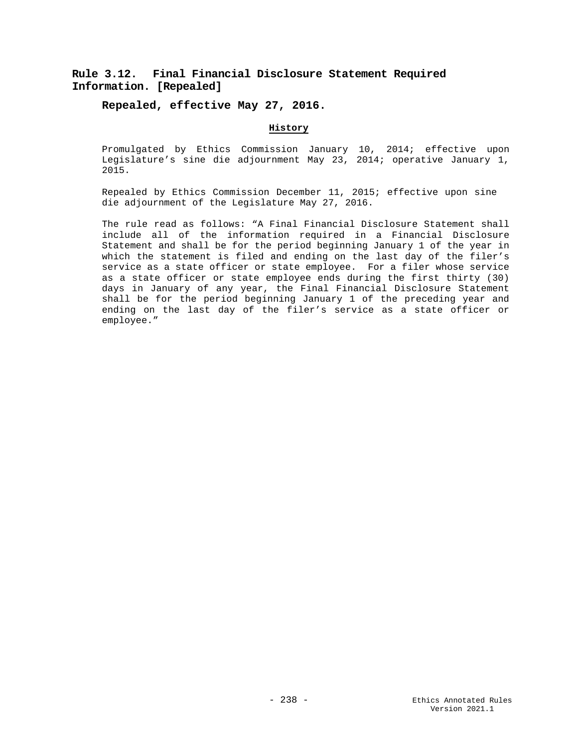# **Rule 3.12. Final Financial Disclosure Statement Required Information. [Repealed]**

## **Repealed, effective May 27, 2016.**

## **History**

Promulgated by Ethics Commission January 10, 2014; effective upon Legislature's sine die adjournment May 23, 2014; operative January 1, 2015.

Repealed by Ethics Commission December 11, 2015; effective upon sine die adjournment of the Legislature May 27, 2016.

The rule read as follows: "A Final Financial Disclosure Statement shall include all of the information required in a Financial Disclosure Statement and shall be for the period beginning January 1 of the year in which the statement is filed and ending on the last day of the filer's service as a state officer or state employee. For a filer whose service as a state officer or state employee ends during the first thirty (30) days in January of any year, the Final Financial Disclosure Statement shall be for the period beginning January 1 of the preceding year and ending on the last day of the filer's service as a state officer or employee."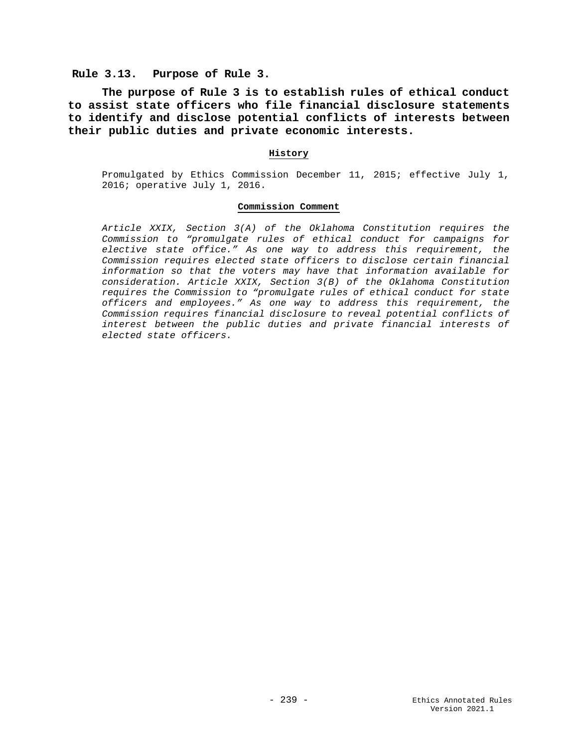## **Rule 3.13. Purpose of Rule 3.**

**The purpose of Rule 3 is to establish rules of ethical conduct to assist state officers who file financial disclosure statements to identify and disclose potential conflicts of interests between their public duties and private economic interests.**

### **History**

Promulgated by Ethics Commission December 11, 2015; effective July 1, 2016; operative July 1, 2016.

### **Commission Comment**

*Article XXIX, Section 3(A) of the Oklahoma Constitution requires the Commission to "promulgate rules of ethical conduct for campaigns for elective state office." As one way to address this requirement, the Commission requires elected state officers to disclose certain financial information so that the voters may have that information available for consideration. Article XXIX, Section 3(B) of the Oklahoma Constitution requires the Commission to "promulgate rules of ethical conduct for state officers and employees." As one way to address this requirement, the Commission requires financial disclosure to reveal potential conflicts of interest between the public duties and private financial interests of elected state officers.*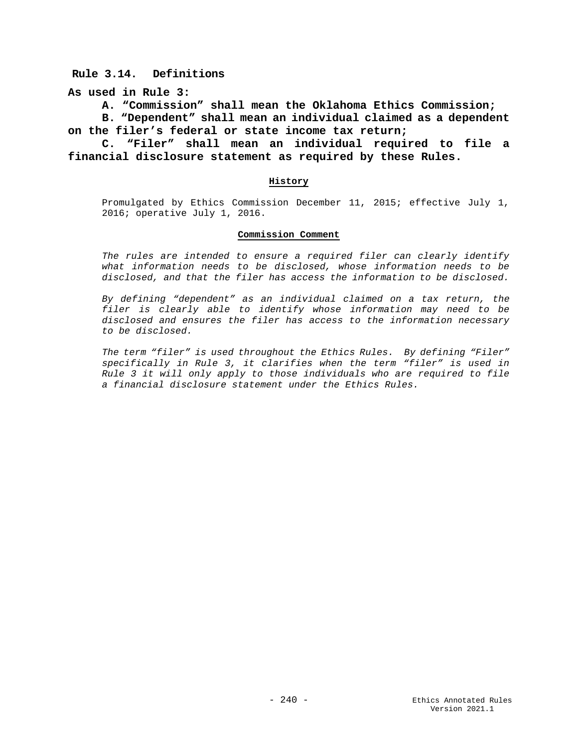**Rule 3.14. Definitions**

**As used in Rule 3:**

**A. "Commission" shall mean the Oklahoma Ethics Commission;**

**B. "Dependent" shall mean an individual claimed as a dependent on the filer's federal or state income tax return;** 

**C. "Filer" shall mean an individual required to file a financial disclosure statement as required by these Rules.**

### **History**

Promulgated by Ethics Commission December 11, 2015; effective July 1, 2016; operative July 1, 2016.

### **Commission Comment**

*The rules are intended to ensure a required filer can clearly identify what information needs to be disclosed, whose information needs to be disclosed, and that the filer has access the information to be disclosed.*

*By defining "dependent" as an individual claimed on a tax return, the filer is clearly able to identify whose information may need to be disclosed and ensures the filer has access to the information necessary to be disclosed.*

*The term "filer" is used throughout the Ethics Rules. By defining "Filer" specifically in Rule 3, it clarifies when the term "filer" is used in Rule 3 it will only apply to those individuals who are required to file a financial disclosure statement under the Ethics Rules.*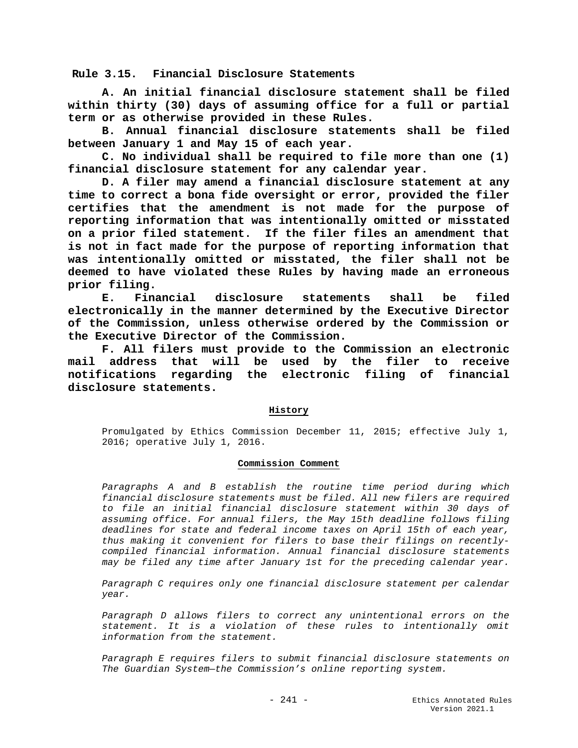**Rule 3.15. Financial Disclosure Statements**

**A. An initial financial disclosure statement shall be filed within thirty (30) days of assuming office for a full or partial term or as otherwise provided in these Rules.**

**B. Annual financial disclosure statements shall be filed between January 1 and May 15 of each year.**

**C. No individual shall be required to file more than one (1) financial disclosure statement for any calendar year.**

**D. A filer may amend a financial disclosure statement at any time to correct a bona fide oversight or error, provided the filer certifies that the amendment is not made for the purpose of reporting information that was intentionally omitted or misstated on a prior filed statement. If the filer files an amendment that is not in fact made for the purpose of reporting information that was intentionally omitted or misstated, the filer shall not be deemed to have violated these Rules by having made an erroneous prior filing.**

**E. Financial disclosure statements shall be filed electronically in the manner determined by the Executive Director of the Commission, unless otherwise ordered by the Commission or the Executive Director of the Commission.** 

**F. All filers must provide to the Commission an electronic mail address that will be used by the filer to receive notifications regarding the electronic filing of financial disclosure statements.**

### **History**

Promulgated by Ethics Commission December 11, 2015; effective July 1, 2016; operative July 1, 2016.

### **Commission Comment**

*Paragraphs A and B establish the routine time period during which financial disclosure statements must be filed. All new filers are required to file an initial financial disclosure statement within 30 days of assuming office. For annual filers, the May 15th deadline follows filing deadlines for state and federal income taxes on April 15th of each year, thus making it convenient for filers to base their filings on recentlycompiled financial information. Annual financial disclosure statements may be filed any time after January 1st for the preceding calendar year.* 

*Paragraph C requires only one financial disclosure statement per calendar year.* 

*Paragraph D allows filers to correct any unintentional errors on the statement. It is a violation of these rules to intentionally omit information from the statement.* 

*Paragraph E requires filers to submit financial disclosure statements on The Guardian System—the Commission's online reporting system.*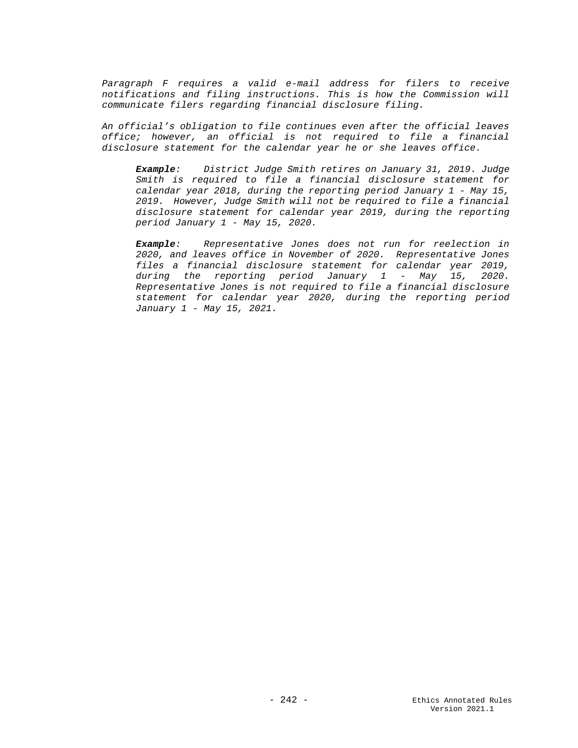Paragraph F requires a valid e-mail address for filers to receive *notifications and filing instructions. This is how the Commission will communicate filers regarding financial disclosure filing.* 

*An official's obligation to file continues even after the official leaves office; however, an official is not required to file a financial disclosure statement for the calendar year he or she leaves office.*

*Example: District Judge Smith retires on January 31, 2019. Judge Smith is required to file a financial disclosure statement for calendar year 2018, during the reporting period January 1 - May 15, 2019. However, Judge Smith will not be required to file a financial disclosure statement for calendar year 2019, during the reporting period January 1 - May 15, 2020.*

*Example: Representative Jones does not run for reelection in 2020, and leaves office in November of 2020. Representative Jones files a financial disclosure statement for calendar year 2019, during the reporting period January 1 - May 15, 2020. Representative Jones is not required to file a financial disclosure statement for calendar year 2020, during the reporting period January 1 - May 15, 2021.*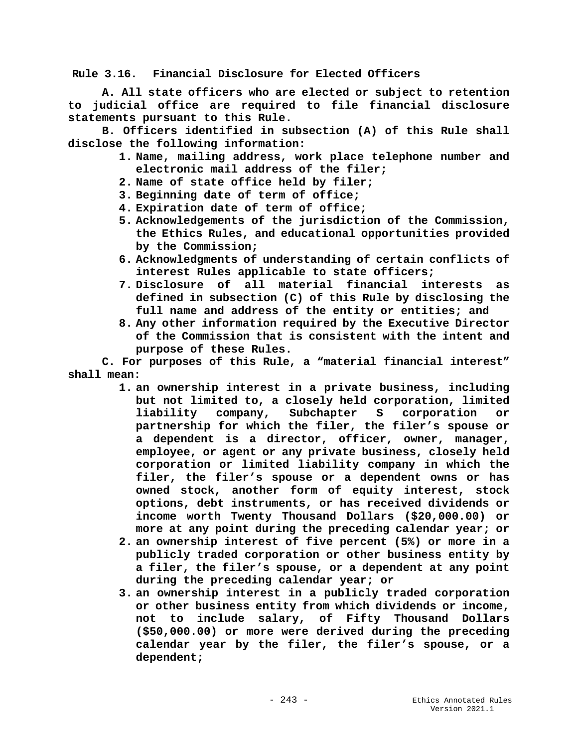**Rule 3.16. Financial Disclosure for Elected Officers**

**A. All state officers who are elected or subject to retention to judicial office are required to file financial disclosure statements pursuant to this Rule.**

**B. Officers identified in subsection (A) of this Rule shall disclose the following information:**

- **1. Name, mailing address, work place telephone number and electronic mail address of the filer;**
- **2. Name of state office held by filer;**
- **3. Beginning date of term of office;**
- **4. Expiration date of term of office;**
- **5. Acknowledgements of the jurisdiction of the Commission, the Ethics Rules, and educational opportunities provided by the Commission;**
- **6. Acknowledgments of understanding of certain conflicts of interest Rules applicable to state officers;**
- **7. Disclosure of all material financial interests as defined in subsection (C) of this Rule by disclosing the full name and address of the entity or entities; and**
- **8. Any other information required by the Executive Director of the Commission that is consistent with the intent and purpose of these Rules.**

**C. For purposes of this Rule, a "material financial interest" shall mean:**

- **1. an ownership interest in a private business, including but not limited to, a closely held corporation, limited liability company, Subchapter S corporation or partnership for which the filer, the filer's spouse or a dependent is a director, officer, owner, manager, employee, or agent or any private business, closely held corporation or limited liability company in which the filer, the filer's spouse or a dependent owns or has owned stock, another form of equity interest, stock options, debt instruments, or has received dividends or income worth Twenty Thousand Dollars (\$20,000.00) or more at any point during the preceding calendar year; or**
- **2. an ownership interest of five percent (5%) or more in a publicly traded corporation or other business entity by a filer, the filer's spouse, or a dependent at any point during the preceding calendar year; or**
- **3. an ownership interest in a publicly traded corporation or other business entity from which dividends or income, not to include salary, of Fifty Thousand Dollars (\$50,000.00) or more were derived during the preceding calendar year by the filer, the filer's spouse, or a dependent;**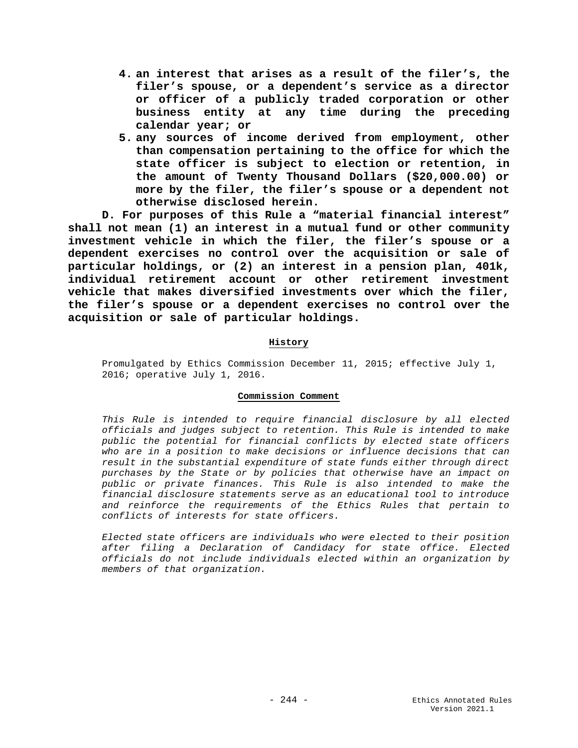- **4. an interest that arises as a result of the filer's, the filer's spouse, or a dependent's service as a director or officer of a publicly traded corporation or other business entity at any time during the preceding calendar year; or**
- **5. any sources of income derived from employment, other than compensation pertaining to the office for which the state officer is subject to election or retention, in the amount of Twenty Thousand Dollars (\$20,000.00) or more by the filer, the filer's spouse or a dependent not otherwise disclosed herein.**

**D. For purposes of this Rule a "material financial interest" shall not mean (1) an interest in a mutual fund or other community investment vehicle in which the filer, the filer's spouse or a dependent exercises no control over the acquisition or sale of particular holdings, or (2) an interest in a pension plan, 401k, individual retirement account or other retirement investment vehicle that makes diversified investments over which the filer, the filer's spouse or a dependent exercises no control over the acquisition or sale of particular holdings.**

## **History**

Promulgated by Ethics Commission December 11, 2015; effective July 1, 2016; operative July 1, 2016.

### **Commission Comment**

*This Rule is intended to require financial disclosure by all elected officials and judges subject to retention. This Rule is intended to make public the potential for financial conflicts by elected state officers who are in a position to make decisions or influence decisions that can result in the substantial expenditure of state funds either through direct purchases by the State or by policies that otherwise have an impact on public or private finances. This Rule is also intended to make the financial disclosure statements serve as an educational tool to introduce and reinforce the requirements of the Ethics Rules that pertain to conflicts of interests for state officers.* 

*Elected state officers are individuals who were elected to their position after filing a Declaration of Candidacy for state office. Elected officials do not include individuals elected within an organization by members of that organization.*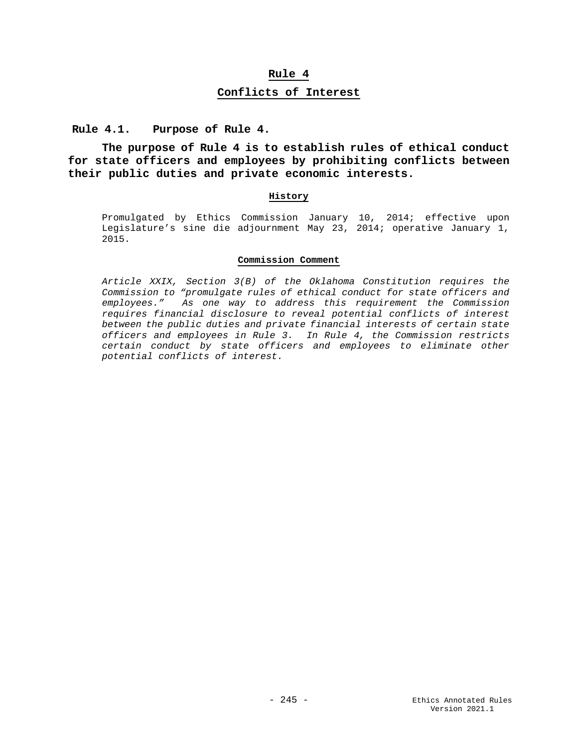# **Rule 4**

# **Conflicts of Interest**

**Rule 4.1. Purpose of Rule 4.**

**The purpose of Rule 4 is to establish rules of ethical conduct for state officers and employees by prohibiting conflicts between their public duties and private economic interests.** 

## **History**

Promulgated by Ethics Commission January 10, 2014; effective upon Legislature's sine die adjournment May 23, 2014; operative January 1, 2015.

### **Commission Comment**

*Article XXIX, Section 3(B) of the Oklahoma Constitution requires the Commission to "promulgate rules of ethical conduct for state officers and employees." As one way to address this requirement the Commission requires financial disclosure to reveal potential conflicts of interest between the public duties and private financial interests of certain state officers and employees in Rule 3. In Rule 4, the Commission restricts certain conduct by state officers and employees to eliminate other potential conflicts of interest.*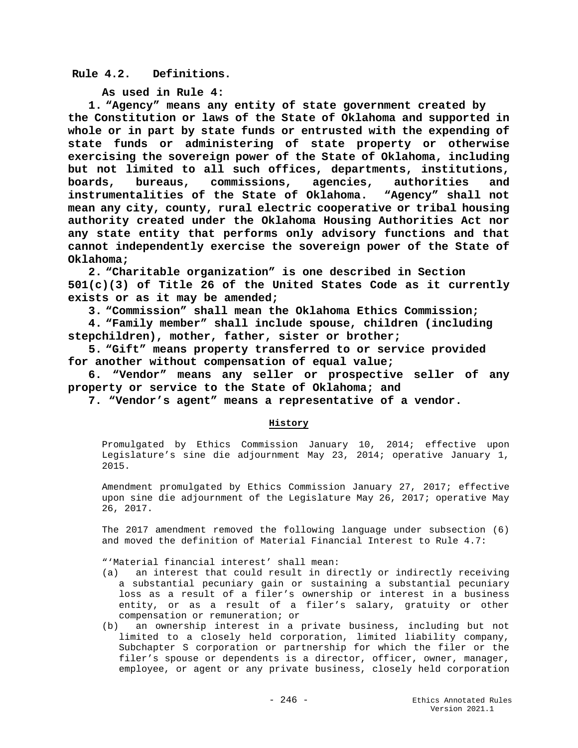# **Rule 4.2. Definitions.**

**As used in Rule 4:**

**1. "Agency" means any entity of state government created by the Constitution or laws of the State of Oklahoma and supported in whole or in part by state funds or entrusted with the expending of state funds or administering of state property or otherwise exercising the sovereign power of the State of Oklahoma, including but not limited to all such offices, departments, institutions, boards, bureaus, commissions, agencies, authorities and instrumentalities of the State of Oklahoma. "Agency" shall not mean any city, county, rural electric cooperative or tribal housing authority created under the Oklahoma Housing Authorities Act nor any state entity that performs only advisory functions and that cannot independently exercise the sovereign power of the State of Oklahoma;** 

**2. "Charitable organization" is one described in Section 501(c)(3) of Title 26 of the United States Code as it currently exists or as it may be amended;**

**3. "Commission" shall mean the Oklahoma Ethics Commission;**

**4. "Family member" shall include spouse, children (including stepchildren), mother, father, sister or brother;**

**5. "Gift" means property transferred to or service provided for another without compensation of equal value;**

 **6. "Vendor" means any seller or prospective seller of any property or service to the State of Oklahoma; and**

 **7. "Vendor's agent" means a representative of a vendor.**

# **History**

Promulgated by Ethics Commission January 10, 2014; effective upon Legislature's sine die adjournment May 23, 2014; operative January 1, 2015.

Amendment promulgated by Ethics Commission January 27, 2017; effective upon sine die adjournment of the Legislature May 26, 2017; operative May 26, 2017.

The 2017 amendment removed the following language under subsection (6) and moved the definition of Material Financial Interest to Rule 4.7:

"'Material financial interest' shall mean:

- (a) an interest that could result in directly or indirectly receiving a substantial pecuniary gain or sustaining a substantial pecuniary loss as a result of a filer's ownership or interest in a business entity, or as a result of a filer's salary, gratuity or other compensation or remuneration; or
- (b) an ownership interest in a private business, including but not limited to a closely held corporation, limited liability company, Subchapter S corporation or partnership for which the filer or the filer's spouse or dependents is a director, officer, owner, manager, employee, or agent or any private business, closely held corporation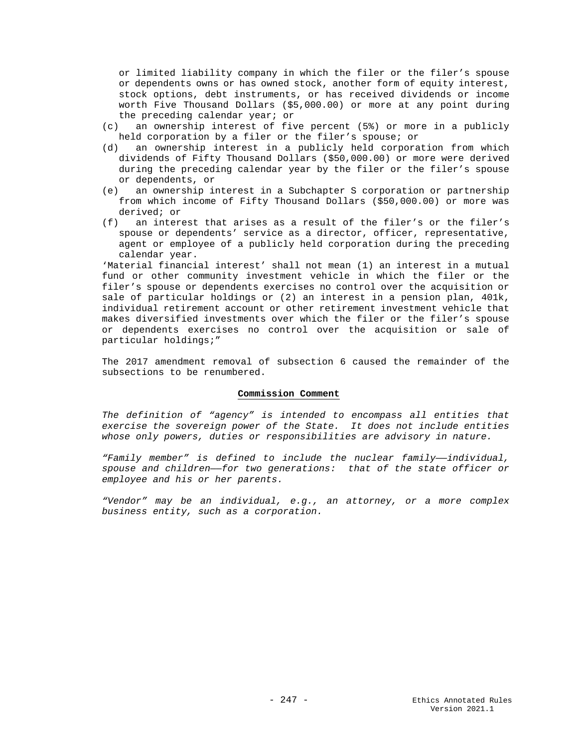or limited liability company in which the filer or the filer's spouse or dependents owns or has owned stock, another form of equity interest, stock options, debt instruments, or has received dividends or income worth Five Thousand Dollars (\$5,000.00) or more at any point during the preceding calendar year; or

- an ownership interest of five percent (5%) or more in a publicly held corporation by a filer or the filer's spouse; or<br>(d) an ownership interest in a publicly held corpora
- an ownership interest in a publicly held corporation from which dividends of Fifty Thousand Dollars (\$50,000.00) or more were derived during the preceding calendar year by the filer or the filer's spouse or dependents, or<br>(e) an ownership in
- an ownership interest in a Subchapter S corporation or partnership from which income of Fifty Thousand Dollars (\$50,000.00) or more was derived; or<br>  $(f)$  an inter
- an interest that arises as a result of the filer's or the filer's spouse or dependents' service as a director, officer, representative, agent or employee of a publicly held corporation during the preceding calendar year.

'Material financial interest' shall not mean (1) an interest in a mutual fund or other community investment vehicle in which the filer or the filer's spouse or dependents exercises no control over the acquisition or sale of particular holdings or (2) an interest in a pension plan, 401k, individual retirement account or other retirement investment vehicle that makes diversified investments over which the filer or the filer's spouse or dependents exercises no control over the acquisition or sale of particular holdings;"

The 2017 amendment removal of subsection 6 caused the remainder of the subsections to be renumbered.

### **Commission Comment**

*The definition of "agency" is intended to encompass all entities that exercise the sovereign power of the State. It does not include entities whose only powers, duties or responsibilities are advisory in nature.*

*"Family member" is defined to include the nuclear family——individual, spouse and children——for two generations: that of the state officer or employee and his or her parents.*

*"Vendor" may be an individual, e.g., an attorney, or a more complex business entity, such as a corporation.*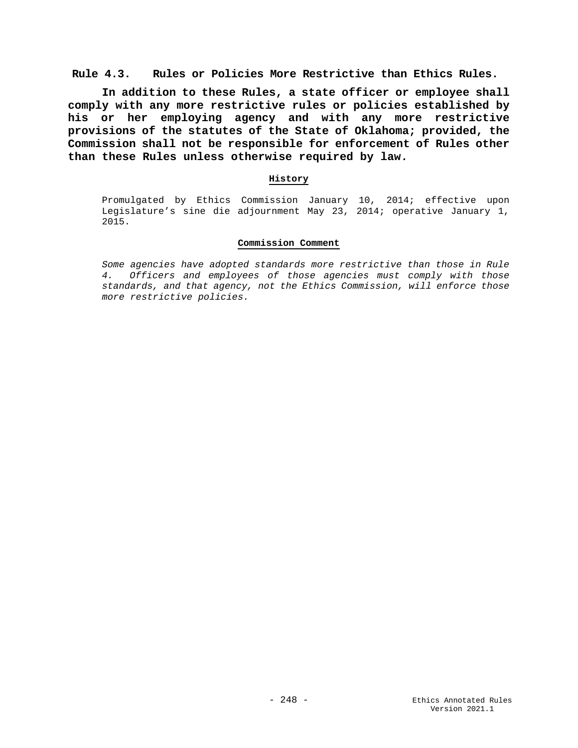**Rule 4.3. Rules or Policies More Restrictive than Ethics Rules.**

**In addition to these Rules, a state officer or employee shall comply with any more restrictive rules or policies established by his or her employing agency and with any more restrictive provisions of the statutes of the State of Oklahoma; provided, the Commission shall not be responsible for enforcement of Rules other than these Rules unless otherwise required by law.**

## **History**

Promulgated by Ethics Commission January 10, 2014; effective upon Legislature's sine die adjournment May 23, 2014; operative January 1, 2015.

### **Commission Comment**

*Some agencies have adopted standards more restrictive than those in Rule 4. Officers and employees of those agencies must comply with those standards, and that agency, not the Ethics Commission, will enforce those more restrictive policies.*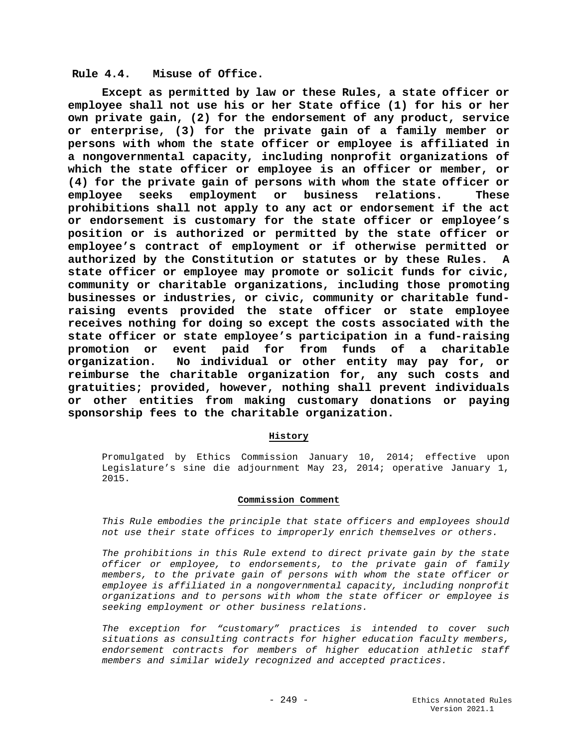## **Rule 4.4. Misuse of Office.**

**Except as permitted by law or these Rules, a state officer or employee shall not use his or her State office (1) for his or her own private gain, (2) for the endorsement of any product, service or enterprise, (3) for the private gain of a family member or persons with whom the state officer or employee is affiliated in a nongovernmental capacity, including nonprofit organizations of which the state officer or employee is an officer or member, or (4) for the private gain of persons with whom the state officer or**  employee seeks employment or business relations. **prohibitions shall not apply to any act or endorsement if the act or endorsement is customary for the state officer or employee's position or is authorized or permitted by the state officer or employee's contract of employment or if otherwise permitted or authorized by the Constitution or statutes or by these Rules. A state officer or employee may promote or solicit funds for civic, community or charitable organizations, including those promoting businesses or industries, or civic, community or charitable fundraising events provided the state officer or state employee receives nothing for doing so except the costs associated with the state officer or state employee's participation in a fund-raising promotion or event paid for from funds of a charitable organization. No individual or other entity may pay for, or reimburse the charitable organization for, any such costs and gratuities; provided, however, nothing shall prevent individuals or other entities from making customary donations or paying sponsorship fees to the charitable organization.** 

## **History**

Promulgated by Ethics Commission January 10, 2014; effective upon Legislature's sine die adjournment May 23, 2014; operative January 1, 2015.

#### **Commission Comment**

*This Rule embodies the principle that state officers and employees should not use their state offices to improperly enrich themselves or others.* 

*The prohibitions in this Rule extend to direct private gain by the state officer or employee, to endorsements, to the private gain of family members, to the private gain of persons with whom the state officer or employee is affiliated in a nongovernmental capacity, including nonprofit organizations and to persons with whom the state officer or employee is seeking employment or other business relations.*

*The exception for "customary" practices is intended to cover such situations as consulting contracts for higher education faculty members, endorsement contracts for members of higher education athletic staff members and similar widely recognized and accepted practices.*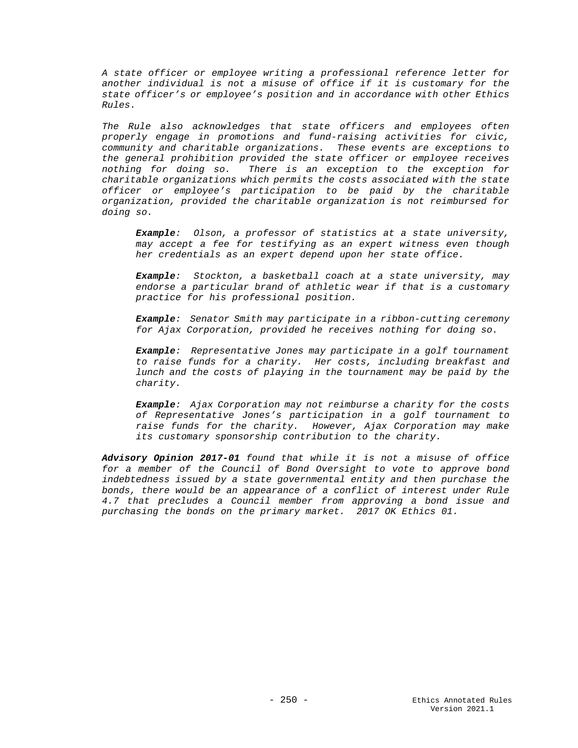*A state officer or employee writing a professional reference letter for another individual is not a misuse of office if it is customary for the state officer's or employee's position and in accordance with other Ethics Rules.*

*The Rule also acknowledges that state officers and employees often properly engage in promotions and fund-raising activities for civic, community and charitable organizations. These events are exceptions to the general prohibition provided the state officer or employee receives nothing for doing so. There is an exception to the exception for charitable organizations which permits the costs associated with the state officer or employee's participation to be paid by the charitable organization, provided the charitable organization is not reimbursed for doing so.*

*Example: Olson, a professor of statistics at a state university, may accept a fee for testifying as an expert witness even though her credentials as an expert depend upon her state office.*

*Example: Stockton, a basketball coach at a state university, may endorse a particular brand of athletic wear if that is a customary practice for his professional position.*

*Example: Senator Smith may participate in a ribbon-cutting ceremony for Ajax Corporation, provided he receives nothing for doing so.*

*Example: Representative Jones may participate in a golf tournament to raise funds for a charity. Her costs, including breakfast and lunch and the costs of playing in the tournament may be paid by the charity.*

*Example: Ajax Corporation may not reimburse a charity for the costs of Representative Jones's participation in a golf tournament to raise funds for the charity. However, Ajax Corporation may make its customary sponsorship contribution to the charity.* 

*Advisory Opinion 2017-01 found that while it is not a misuse of office for a member of the Council of Bond Oversight to vote to approve bond indebtedness issued by a state governmental entity and then purchase the bonds, there would be an appearance of a conflict of interest under Rule 4.7 that precludes a Council member from approving a bond issue and purchasing the bonds on the primary market. 2017 OK Ethics 01.*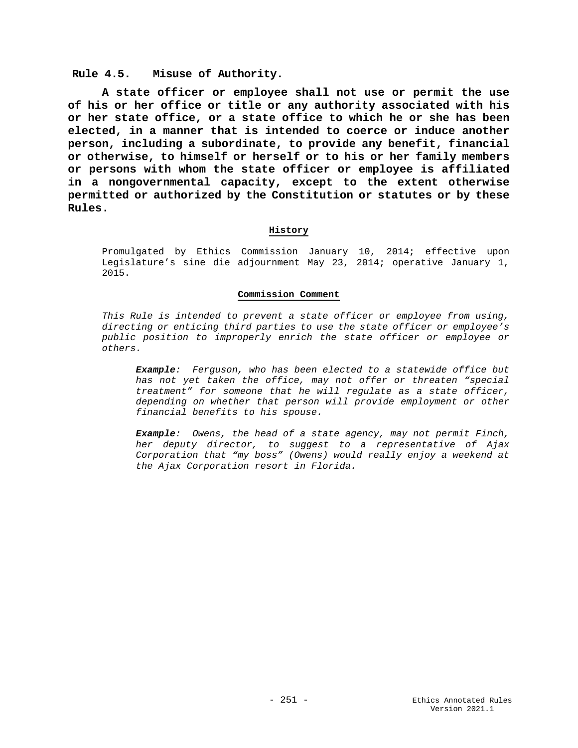## **Rule 4.5. Misuse of Authority.**

**A state officer or employee shall not use or permit the use of his or her office or title or any authority associated with his or her state office, or a state office to which he or she has been elected, in a manner that is intended to coerce or induce another person, including a subordinate, to provide any benefit, financial or otherwise, to himself or herself or to his or her family members or persons with whom the state officer or employee is affiliated in a nongovernmental capacity, except to the extent otherwise permitted or authorized by the Constitution or statutes or by these Rules.**

## **History**

Promulgated by Ethics Commission January 10, 2014; effective upon Legislature's sine die adjournment May 23, 2014; operative January 1, 2015.

## **Commission Comment**

*This Rule is intended to prevent a state officer or employee from using, directing or enticing third parties to use the state officer or employee's public position to improperly enrich the state officer or employee or others.*

*Example: Ferguson, who has been elected to a statewide office but has not yet taken the office, may not offer or threaten "special treatment" for someone that he will regulate as a state officer, depending on whether that person will provide employment or other financial benefits to his spouse.*

*Example: Owens, the head of a state agency, may not permit Finch, her deputy director, to suggest to a representative of Ajax Corporation that "my boss" (Owens) would really enjoy a weekend at the Ajax Corporation resort in Florida.*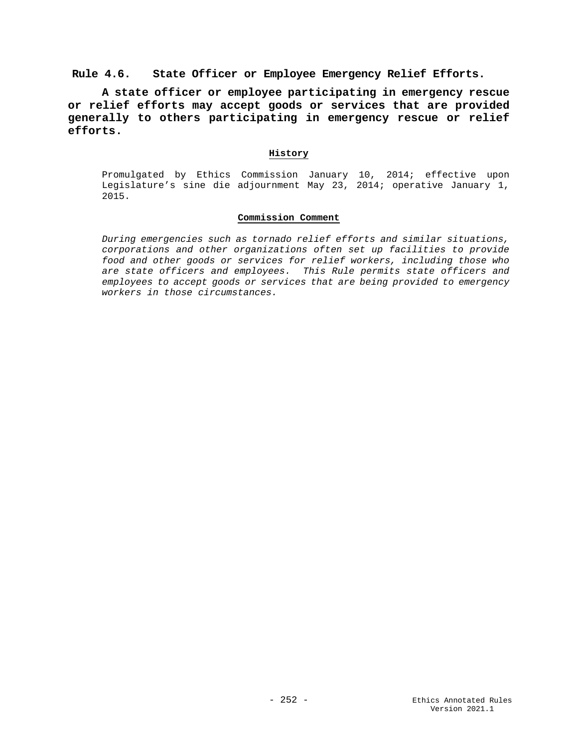**Rule 4.6. State Officer or Employee Emergency Relief Efforts.**

**A state officer or employee participating in emergency rescue or relief efforts may accept goods or services that are provided generally to others participating in emergency rescue or relief efforts.**

## **History**

Promulgated by Ethics Commission January 10, 2014; effective upon Legislature's sine die adjournment May 23, 2014; operative January 1, 2015.

## **Commission Comment**

*During emergencies such as tornado relief efforts and similar situations, corporations and other organizations often set up facilities to provide food and other goods or services for relief workers, including those who are state officers and employees. This Rule permits state officers and employees to accept goods or services that are being provided to emergency workers in those circumstances.*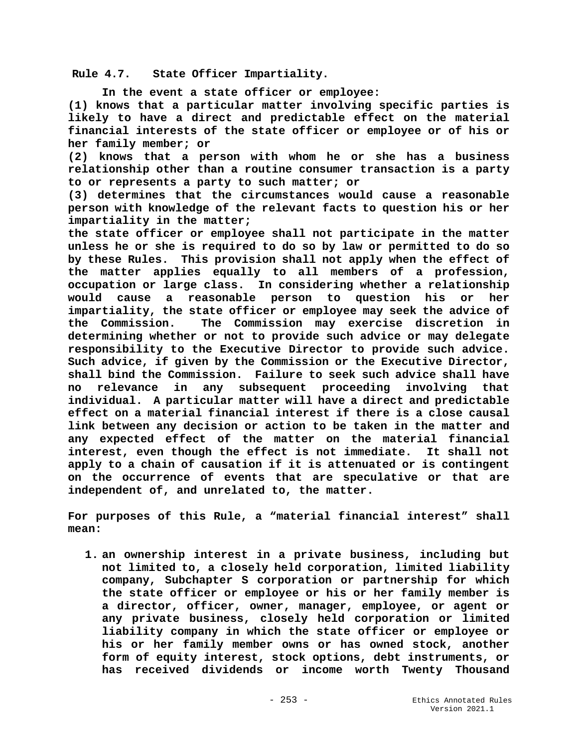**Rule 4.7. State Officer Impartiality.**

**In the event a state officer or employee:**

**(1) knows that a particular matter involving specific parties is likely to have a direct and predictable effect on the material financial interests of the state officer or employee or of his or her family member; or** 

**(2) knows that a person with whom he or she has a business relationship other than a routine consumer transaction is a party to or represents a party to such matter; or**

**(3) determines that the circumstances would cause a reasonable person with knowledge of the relevant facts to question his or her impartiality in the matter;**

**the state officer or employee shall not participate in the matter unless he or she is required to do so by law or permitted to do so by these Rules. This provision shall not apply when the effect of the matter applies equally to all members of a profession, occupation or large class. In considering whether a relationship would cause a reasonable person to question his or her impartiality, the state officer or employee may seek the advice of the Commission. The Commission may exercise discretion in determining whether or not to provide such advice or may delegate responsibility to the Executive Director to provide such advice. Such advice, if given by the Commission or the Executive Director, shall bind the Commission. Failure to seek such advice shall have no relevance in any subsequent proceeding involving that individual. A particular matter will have a direct and predictable effect on a material financial interest if there is a close causal link between any decision or action to be taken in the matter and any expected effect of the matter on the material financial interest, even though the effect is not immediate. It shall not apply to a chain of causation if it is attenuated or is contingent on the occurrence of events that are speculative or that are independent of, and unrelated to, the matter.**

**For purposes of this Rule, a "material financial interest" shall mean:**

**1. an ownership interest in a private business, including but not limited to, a closely held corporation, limited liability company, Subchapter S corporation or partnership for which the state officer or employee or his or her family member is a director, officer, owner, manager, employee, or agent or any private business, closely held corporation or limited liability company in which the state officer or employee or his or her family member owns or has owned stock, another form of equity interest, stock options, debt instruments, or has received dividends or income worth Twenty Thousand**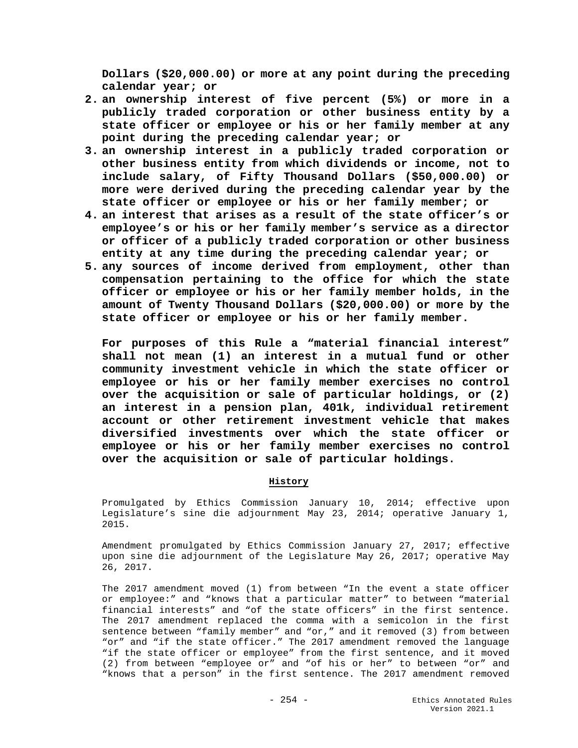**Dollars (\$20,000.00) or more at any point during the preceding calendar year; or** 

- **2. an ownership interest of five percent (5%) or more in a publicly traded corporation or other business entity by a state officer or employee or his or her family member at any point during the preceding calendar year; or**
- **3. an ownership interest in a publicly traded corporation or other business entity from which dividends or income, not to include salary, of Fifty Thousand Dollars (\$50,000.00) or more were derived during the preceding calendar year by the state officer or employee or his or her family member; or**
- **4. an interest that arises as a result of the state officer's or employee's or his or her family member's service as a director or officer of a publicly traded corporation or other business entity at any time during the preceding calendar year; or**
- **5. any sources of income derived from employment, other than compensation pertaining to the office for which the state officer or employee or his or her family member holds, in the amount of Twenty Thousand Dollars (\$20,000.00) or more by the state officer or employee or his or her family member.**

**For purposes of this Rule a "material financial interest" shall not mean (1) an interest in a mutual fund or other community investment vehicle in which the state officer or employee or his or her family member exercises no control over the acquisition or sale of particular holdings, or (2) an interest in a pension plan, 401k, individual retirement account or other retirement investment vehicle that makes diversified investments over which the state officer or employee or his or her family member exercises no control over the acquisition or sale of particular holdings.**

## **History**

Promulgated by Ethics Commission January 10, 2014; effective upon Legislature's sine die adjournment May 23, 2014; operative January 1, 2015.

Amendment promulgated by Ethics Commission January 27, 2017; effective upon sine die adjournment of the Legislature May 26, 2017; operative May 26, 2017.

The 2017 amendment moved (1) from between "In the event a state officer or employee:" and "knows that a particular matter" to between "material financial interests" and "of the state officers" in the first sentence. The 2017 amendment replaced the comma with a semicolon in the first sentence between "family member" and "or," and it removed (3) from between "or" and "if the state officer." The 2017 amendment removed the language "if the state officer or employee" from the first sentence, and it moved (2) from between "employee or" and "of his or her" to between "or" and "knows that a person" in the first sentence. The 2017 amendment removed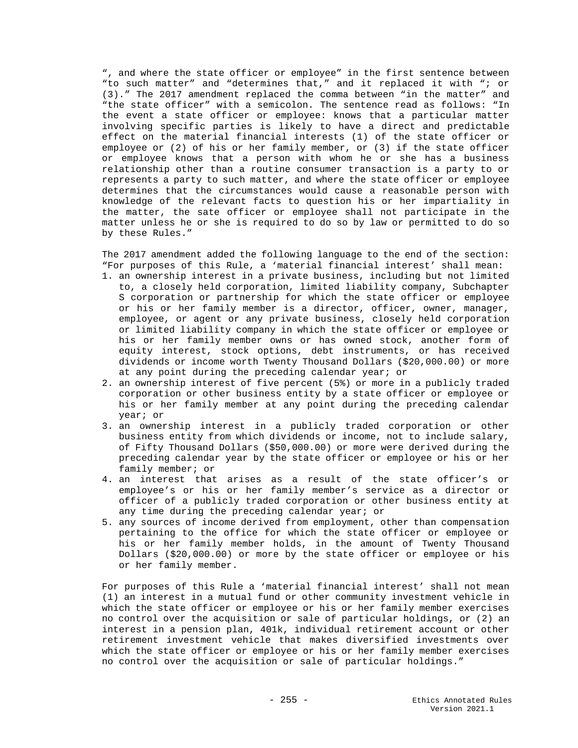", and where the state officer or employee" in the first sentence between "to such matter" and "determines that," and it replaced it with "; or (3)." The 2017 amendment replaced the comma between "in the matter" and "the state officer" with a semicolon. The sentence read as follows: "In the event a state officer or employee: knows that a particular matter involving specific parties is likely to have a direct and predictable effect on the material financial interests (1) of the state officer or employee or (2) of his or her family member, or (3) if the state officer or employee knows that a person with whom he or she has a business relationship other than a routine consumer transaction is a party to or represents a party to such matter, and where the state officer or employee determines that the circumstances would cause a reasonable person with knowledge of the relevant facts to question his or her impartiality in the matter, the sate officer or employee shall not participate in the matter unless he or she is required to do so by law or permitted to do so by these Rules."

The 2017 amendment added the following language to the end of the section: "For purposes of this Rule, a 'material financial interest' shall mean:

- 1. an ownership interest in a private business, including but not limited to, a closely held corporation, limited liability company, Subchapter S corporation or partnership for which the state officer or employee or his or her family member is a director, officer, owner, manager, employee, or agent or any private business, closely held corporation or limited liability company in which the state officer or employee or his or her family member owns or has owned stock, another form of equity interest, stock options, debt instruments, or has received dividends or income worth Twenty Thousand Dollars (\$20,000.00) or more at any point during the preceding calendar year; or
- 2. an ownership interest of five percent (5%) or more in a publicly traded corporation or other business entity by a state officer or employee or his or her family member at any point during the preceding calendar year; or
- 3. an ownership interest in a publicly traded corporation or other business entity from which dividends or income, not to include salary, of Fifty Thousand Dollars (\$50,000.00) or more were derived during the preceding calendar year by the state officer or employee or his or her family member; or
- 4. an interest that arises as a result of the state officer's or employee's or his or her family member's service as a director or officer of a publicly traded corporation or other business entity at any time during the preceding calendar year; or
- 5. any sources of income derived from employment, other than compensation pertaining to the office for which the state officer or employee or his or her family member holds, in the amount of Twenty Thousand Dollars (\$20,000.00) or more by the state officer or employee or his or her family member.

For purposes of this Rule a 'material financial interest' shall not mean (1) an interest in a mutual fund or other community investment vehicle in which the state officer or employee or his or her family member exercises no control over the acquisition or sale of particular holdings, or (2) an interest in a pension plan, 401k, individual retirement account or other retirement investment vehicle that makes diversified investments over which the state officer or employee or his or her family member exercises no control over the acquisition or sale of particular holdings."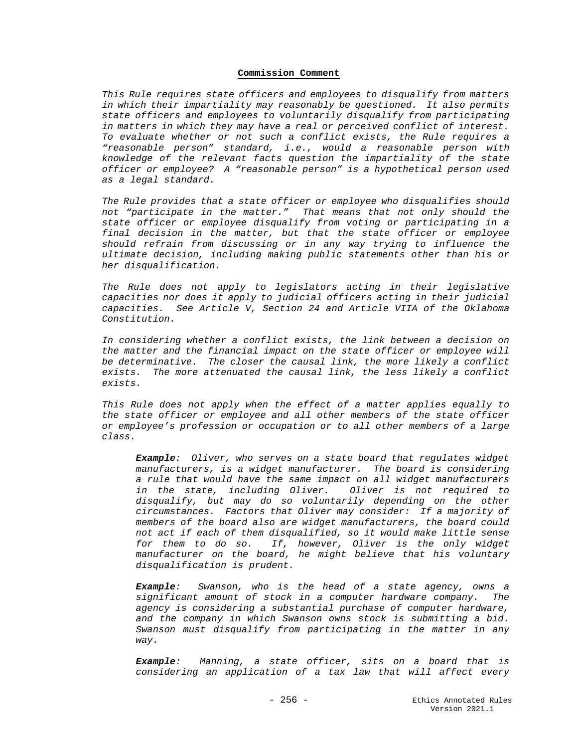### **Commission Comment**

*This Rule requires state officers and employees to disqualify from matters in which their impartiality may reasonably be questioned. It also permits state officers and employees to voluntarily disqualify from participating in matters in which they may have a real or perceived conflict of interest. To evaluate whether or not such a conflict exists, the Rule requires a "reasonable person" standard, i.e., would a reasonable person with knowledge of the relevant facts question the impartiality of the state officer or employee? A "reasonable person" is a hypothetical person used as a legal standard.*

*The Rule provides that a state officer or employee who disqualifies should not "participate in the matter." That means that not only should the state officer or employee disqualify from voting or participating in a final decision in the matter, but that the state officer or employee should refrain from discussing or in any way trying to influence the ultimate decision, including making public statements other than his or her disqualification.*

*The Rule does not apply to legislators acting in their legislative capacities nor does it apply to judicial officers acting in their judicial capacities. See Article V, Section 24 and Article VIIA of the Oklahoma Constitution.*

*In considering whether a conflict exists, the link between a decision on the matter and the financial impact on the state officer or employee will be determinative. The closer the causal link, the more likely a conflict exists. The more attenuated the causal link, the less likely a conflict exists.*

*This Rule does not apply when the effect of a matter applies equally to the state officer or employee and all other members of the state officer or employee's profession or occupation or to all other members of a large class.* 

*Example: Oliver, who serves on a state board that regulates widget manufacturers, is a widget manufacturer. The board is considering a rule that would have the same impact on all widget manufacturers in the state, including Oliver. Oliver is not required to disqualify, but may do so voluntarily depending on the other circumstances. Factors that Oliver may consider: If a majority of members of the board also are widget manufacturers, the board could not act if each of them disqualified, so it would make little sense for them to do so. If, however, Oliver is the only widget manufacturer on the board, he might believe that his voluntary disqualification is prudent.* 

*Example: Swanson, who is the head of a state agency, owns a significant amount of stock in a computer hardware company. The agency is considering a substantial purchase of computer hardware, and the company in which Swanson owns stock is submitting a bid. Swanson must disqualify from participating in the matter in any way.*

*Example: Manning, a state officer, sits on a board that is considering an application of a tax law that will affect every*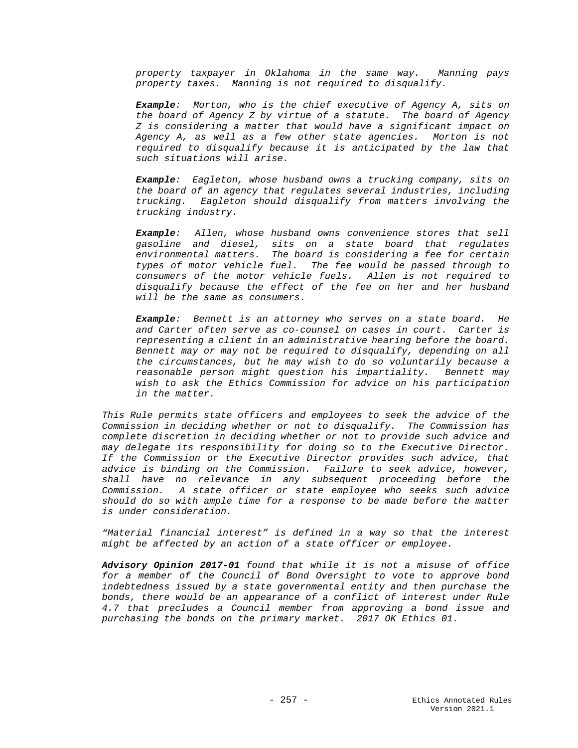*property taxpayer in Oklahoma in the same way. Manning pays property taxes. Manning is not required to disqualify.*

*Example: Morton, who is the chief executive of Agency A, sits on the board of Agency Z by virtue of a statute. The board of Agency Z is considering a matter that would have a significant impact on Agency A, as well as a few other state agencies. Morton is not required to disqualify because it is anticipated by the law that such situations will arise.*

*Example: Eagleton, whose husband owns a trucking company, sits on the board of an agency that regulates several industries, including trucking. Eagleton should disqualify from matters involving the trucking industry.*

*Example: Allen, whose husband owns convenience stores that sell gasoline and diesel, sits on a state board that regulates environmental matters. The board is considering a fee for certain types of motor vehicle fuel. The fee would be passed through to consumers of the motor vehicle fuels. Allen is not required to disqualify because the effect of the fee on her and her husband will be the same as consumers.*

*Example: Bennett is an attorney who serves on a state board. He and Carter often serve as co-counsel on cases in court. Carter is representing a client in an administrative hearing before the board. Bennett may or may not be required to disqualify, depending on all the circumstances, but he may wish to do so voluntarily because a reasonable person might question his impartiality. Bennett may wish to ask the Ethics Commission for advice on his participation in the matter.*

*This Rule permits state officers and employees to seek the advice of the Commission in deciding whether or not to disqualify. The Commission has complete discretion in deciding whether or not to provide such advice and may delegate its responsibility for doing so to the Executive Director. If the Commission or the Executive Director provides such advice, that advice is binding on the Commission. Failure to seek advice, however, shall have no relevance in any subsequent proceeding before the Commission. A state officer or state employee who seeks such advice should do so with ample time for a response to be made before the matter is under consideration.* 

*"Material financial interest" is defined in a way so that the interest might be affected by an action of a state officer or employee.*

*Advisory Opinion 2017-01 found that while it is not a misuse of office for a member of the Council of Bond Oversight to vote to approve bond indebtedness issued by a state governmental entity and then purchase the bonds, there would be an appearance of a conflict of interest under Rule 4.7 that precludes a Council member from approving a bond issue and purchasing the bonds on the primary market. 2017 OK Ethics 01.*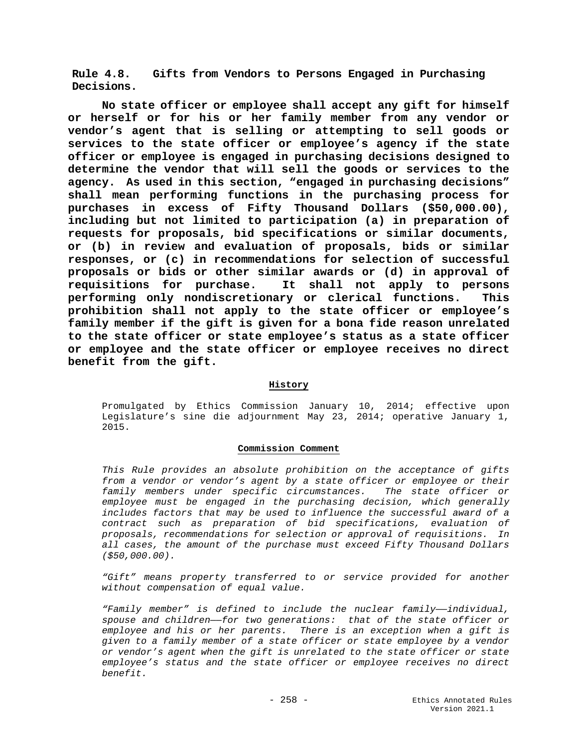**Rule 4.8. Gifts from Vendors to Persons Engaged in Purchasing Decisions.**

**No state officer or employee shall accept any gift for himself or herself or for his or her family member from any vendor or vendor's agent that is selling or attempting to sell goods or services to the state officer or employee's agency if the state officer or employee is engaged in purchasing decisions designed to determine the vendor that will sell the goods or services to the agency. As used in this section, "engaged in purchasing decisions" shall mean performing functions in the purchasing process for purchases in excess of Fifty Thousand Dollars (\$50,000.00), including but not limited to participation (a) in preparation of requests for proposals, bid specifications or similar documents, or (b) in review and evaluation of proposals, bids or similar responses, or (c) in recommendations for selection of successful proposals or bids or other similar awards or (d) in approval of**  It shall not apply to persons **performing only nondiscretionary or clerical functions. This prohibition shall not apply to the state officer or employee's family member if the gift is given for a bona fide reason unrelated to the state officer or state employee's status as a state officer or employee and the state officer or employee receives no direct benefit from the gift.**

## **History**

Promulgated by Ethics Commission January 10, 2014; effective upon Legislature's sine die adjournment May 23, 2014; operative January 1, 2015.

#### **Commission Comment**

*This Rule provides an absolute prohibition on the acceptance of gifts from a vendor or vendor's agent by a state officer or employee or their family members under specific circumstances. The state officer or employee must be engaged in the purchasing decision, which generally includes factors that may be used to influence the successful award of a contract such as preparation of bid specifications, evaluation of proposals, recommendations for selection or approval of requisitions. In all cases, the amount of the purchase must exceed Fifty Thousand Dollars (\$50,000.00).* 

*"Gift" means property transferred to or service provided for another without compensation of equal value.*

*"Family member" is defined to include the nuclear family——individual, spouse and children——for two generations: that of the state officer or employee and his or her parents. There is an exception when a gift is given to a family member of a state officer or state employee by a vendor or vendor's agent when the gift is unrelated to the state officer or state employee's status and the state officer or employee receives no direct benefit.*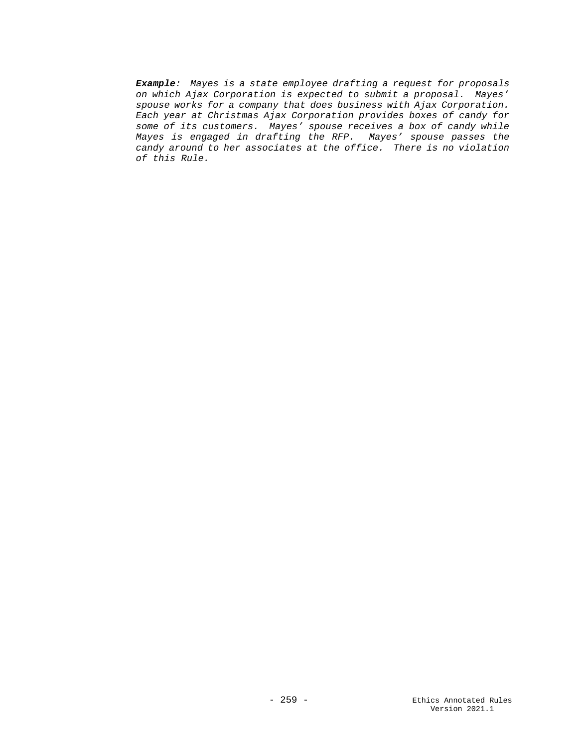*Example: Mayes is a state employee drafting a request for proposals on which Ajax Corporation is expected to submit a proposal. Mayes' spouse works for a company that does business with Ajax Corporation. Each year at Christmas Ajax Corporation provides boxes of candy for some of its customers. Mayes' spouse receives a box of candy while Mayes is engaged in drafting the RFP. Mayes' spouse passes the candy around to her associates at the office. There is no violation of this Rule.*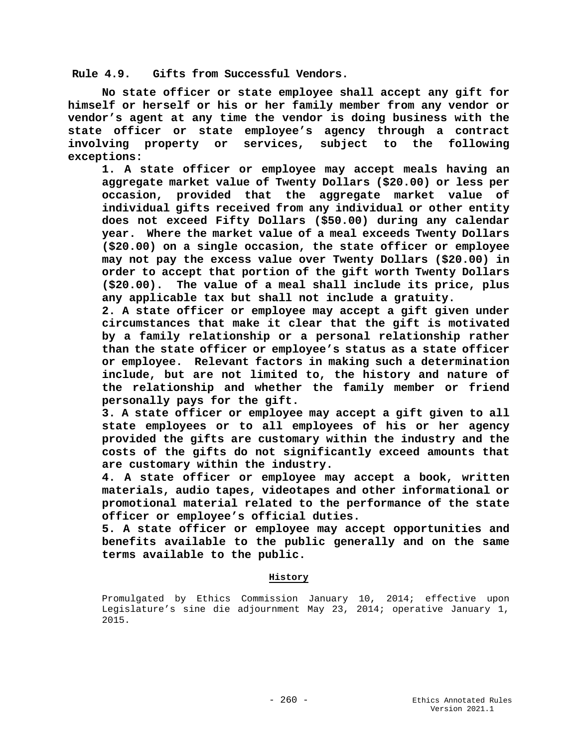**Rule 4.9. Gifts from Successful Vendors.**

**No state officer or state employee shall accept any gift for himself or herself or his or her family member from any vendor or vendor's agent at any time the vendor is doing business with the state officer or state employee's agency through a contract involving property or services, subject to the following exceptions:**

**1. A state officer or employee may accept meals having an aggregate market value of Twenty Dollars (\$20.00) or less per occasion, provided that the aggregate market value of individual gifts received from any individual or other entity does not exceed Fifty Dollars (\$50.00) during any calendar year. Where the market value of a meal exceeds Twenty Dollars (\$20.00) on a single occasion, the state officer or employee may not pay the excess value over Twenty Dollars (\$20.00) in order to accept that portion of the gift worth Twenty Dollars (\$20.00). The value of a meal shall include its price, plus any applicable tax but shall not include a gratuity.**

**2. A state officer or employee may accept a gift given under circumstances that make it clear that the gift is motivated by a family relationship or a personal relationship rather than the state officer or employee's status as a state officer or employee. Relevant factors in making such a determination include, but are not limited to, the history and nature of the relationship and whether the family member or friend personally pays for the gift.**

**3. A state officer or employee may accept a gift given to all state employees or to all employees of his or her agency provided the gifts are customary within the industry and the costs of the gifts do not significantly exceed amounts that are customary within the industry.** 

**4. A state officer or employee may accept a book, written materials, audio tapes, videotapes and other informational or promotional material related to the performance of the state officer or employee's official duties.**

**5. A state officer or employee may accept opportunities and benefits available to the public generally and on the same terms available to the public.**

### **History**

Promulgated by Ethics Commission January 10, 2014; effective upon Legislature's sine die adjournment May 23, 2014; operative January 1, 2015.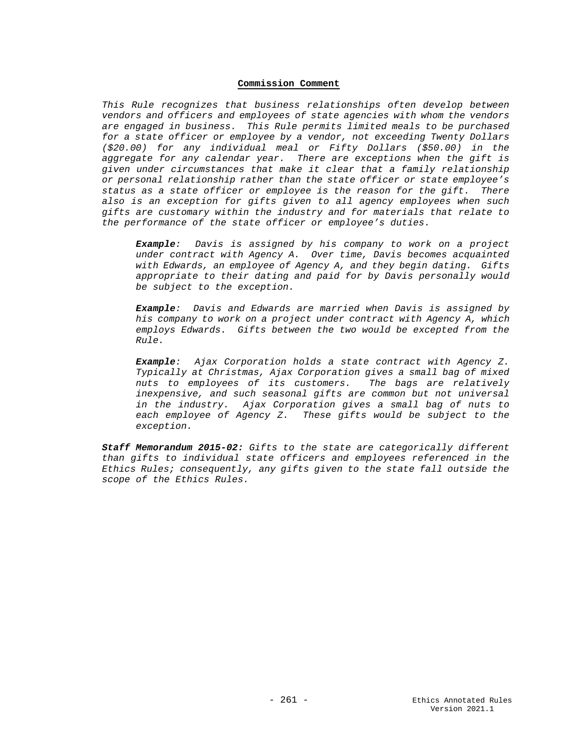### **Commission Comment**

*This Rule recognizes that business relationships often develop between vendors and officers and employees of state agencies with whom the vendors are engaged in business. This Rule permits limited meals to be purchased for a state officer or employee by a vendor, not exceeding Twenty Dollars (\$20.00) for any individual meal or Fifty Dollars (\$50.00) in the aggregate for any calendar year. There are exceptions when the gift is given under circumstances that make it clear that a family relationship or personal relationship rather than the state officer or state employee's status as a state officer or employee is the reason for the gift. There also is an exception for gifts given to all agency employees when such gifts are customary within the industry and for materials that relate to the performance of the state officer or employee's duties.* 

*Example: Davis is assigned by his company to work on a project under contract with Agency A. Over time, Davis becomes acquainted with Edwards, an employee of Agency A, and they begin dating. Gifts appropriate to their dating and paid for by Davis personally would be subject to the exception.*

*Example: Davis and Edwards are married when Davis is assigned by his company to work on a project under contract with Agency A, which employs Edwards. Gifts between the two would be excepted from the Rule.*

*Example: Ajax Corporation holds a state contract with Agency Z. Typically at Christmas, Ajax Corporation gives a small bag of mixed nuts to employees of its customers. The bags are relatively inexpensive, and such seasonal gifts are common but not universal in the industry. Ajax Corporation gives a small bag of nuts to each employee of Agency Z. These gifts would be subject to the exception.*

*Staff Memorandum 2015-02: Gifts to the state are categorically different than gifts to individual state officers and employees referenced in the Ethics Rules; consequently, any gifts given to the state fall outside the scope of the Ethics Rules.*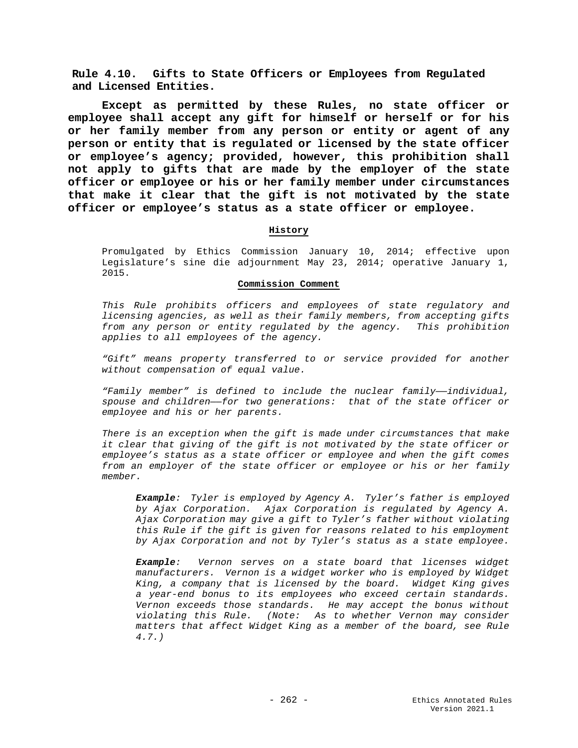**Rule 4.10. Gifts to State Officers or Employees from Regulated and Licensed Entities.**

**Except as permitted by these Rules, no state officer or employee shall accept any gift for himself or herself or for his or her family member from any person or entity or agent of any person or entity that is regulated or licensed by the state officer or employee's agency; provided, however, this prohibition shall not apply to gifts that are made by the employer of the state officer or employee or his or her family member under circumstances that make it clear that the gift is not motivated by the state officer or employee's status as a state officer or employee.** 

### **History**

Promulgated by Ethics Commission January 10, 2014; effective upon Legislature's sine die adjournment May 23, 2014; operative January 1, 2015.

#### **Commission Comment**

*This Rule prohibits officers and employees of state regulatory and licensing agencies, as well as their family members, from accepting gifts from any person or entity regulated by the agency. This prohibition applies to all employees of the agency.* 

*"Gift" means property transferred to or service provided for another without compensation of equal value.*

*"Family member" is defined to include the nuclear family——individual, spouse and children——for two generations: that of the state officer or employee and his or her parents.* 

*There is an exception when the gift is made under circumstances that make it clear that giving of the gift is not motivated by the state officer or employee's status as a state officer or employee and when the gift comes from an employer of the state officer or employee or his or her family member.*

*Example: Tyler is employed by Agency A. Tyler's father is employed by Ajax Corporation. Ajax Corporation is regulated by Agency A. Ajax Corporation may give a gift to Tyler's father without violating this Rule if the gift is given for reasons related to his employment by Ajax Corporation and not by Tyler's status as a state employee.*

*Example: Vernon serves on a state board that licenses widget manufacturers. Vernon is a widget worker who is employed by Widget King, a company that is licensed by the board. Widget King gives a year-end bonus to its employees who exceed certain standards. Vernon exceeds those standards. He may accept the bonus without violating this Rule. (Note: As to whether Vernon may consider matters that affect Widget King as a member of the board, see Rule 4.7.)*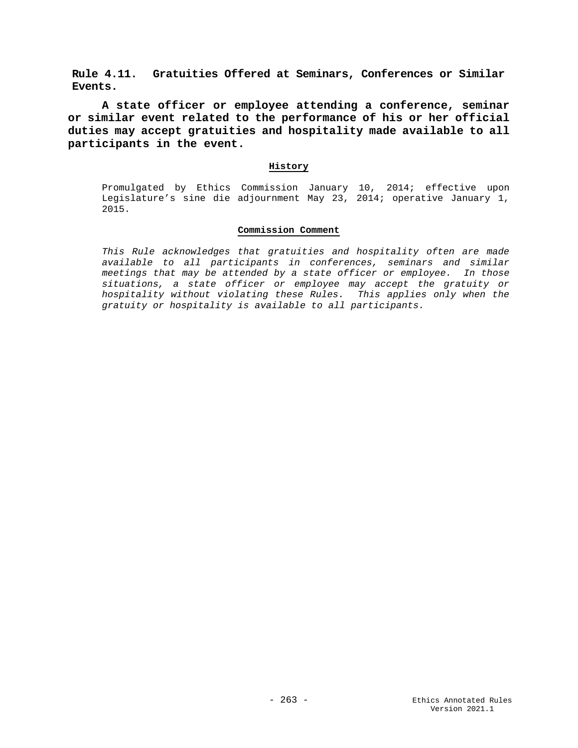**Rule 4.11. Gratuities Offered at Seminars, Conferences or Similar Events.**

**A state officer or employee attending a conference, seminar or similar event related to the performance of his or her official duties may accept gratuities and hospitality made available to all participants in the event.**

## **History**

Promulgated by Ethics Commission January 10, 2014; effective upon Legislature's sine die adjournment May 23, 2014; operative January 1, 2015.

## **Commission Comment**

*This Rule acknowledges that gratuities and hospitality often are made available to all participants in conferences, seminars and similar meetings that may be attended by a state officer or employee. In those situations, a state officer or employee may accept the gratuity or hospitality without violating these Rules. This applies only when the gratuity or hospitality is available to all participants.*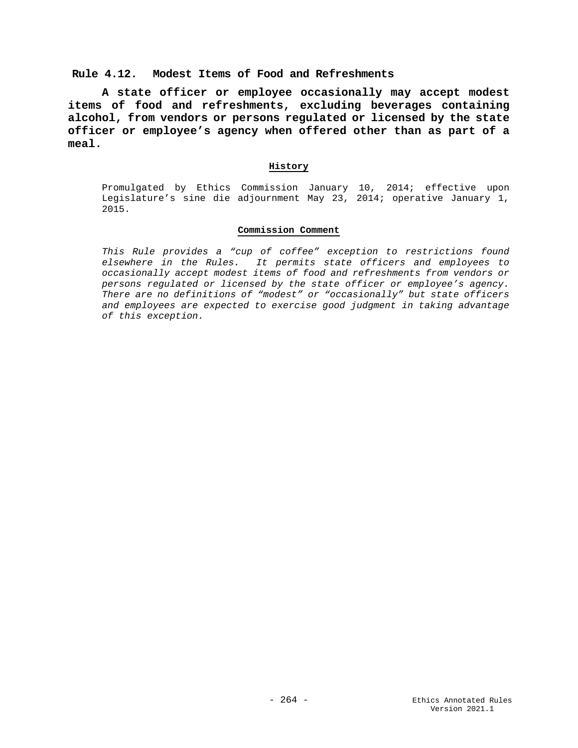# **Rule 4.12. Modest Items of Food and Refreshments**

**A state officer or employee occasionally may accept modest items of food and refreshments, excluding beverages containing alcohol, from vendors or persons regulated or licensed by the state officer or employee's agency when offered other than as part of a meal.**

## **History**

Promulgated by Ethics Commission January 10, 2014; effective upon Legislature's sine die adjournment May 23, 2014; operative January 1, 2015.

## **Commission Comment**

*This Rule provides a "cup of coffee" exception to restrictions found elsewhere in the Rules. It permits state officers and employees to occasionally accept modest items of food and refreshments from vendors or persons regulated or licensed by the state officer or employee's agency. There are no definitions of "modest" or "occasionally" but state officers and employees are expected to exercise good judgment in taking advantage of this exception.*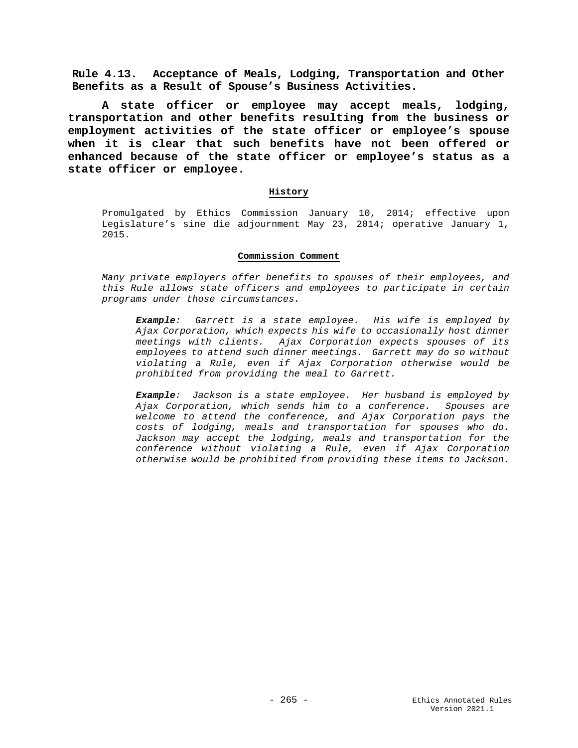**Rule 4.13. Acceptance of Meals, Lodging, Transportation and Other Benefits as a Result of Spouse's Business Activities.**

**A state officer or employee may accept meals, lodging, transportation and other benefits resulting from the business or employment activities of the state officer or employee's spouse when it is clear that such benefits have not been offered or enhanced because of the state officer or employee's status as a state officer or employee.**

## **History**

Promulgated by Ethics Commission January 10, 2014; effective upon Legislature's sine die adjournment May 23, 2014; operative January 1, 2015.

### **Commission Comment**

*Many private employers offer benefits to spouses of their employees, and this Rule allows state officers and employees to participate in certain programs under those circumstances.* 

*Example: Garrett is a state employee. His wife is employed by Ajax Corporation, which expects his wife to occasionally host dinner meetings with clients. Ajax Corporation expects spouses of its employees to attend such dinner meetings. Garrett may do so without violating a Rule, even if Ajax Corporation otherwise would be prohibited from providing the meal to Garrett.*

*Example: Jackson is a state employee. Her husband is employed by Ajax Corporation, which sends him to a conference. Spouses are welcome to attend the conference, and Ajax Corporation pays the costs of lodging, meals and transportation for spouses who do. Jackson may accept the lodging, meals and transportation for the conference without violating a Rule, even if Ajax Corporation otherwise would be prohibited from providing these items to Jackson.*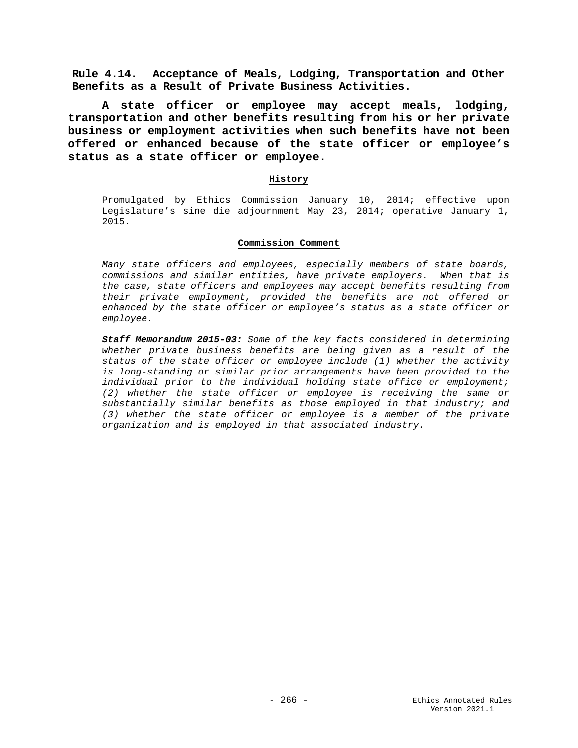**Rule 4.14. Acceptance of Meals, Lodging, Transportation and Other Benefits as a Result of Private Business Activities.**

**A state officer or employee may accept meals, lodging, transportation and other benefits resulting from his or her private business or employment activities when such benefits have not been offered or enhanced because of the state officer or employee's status as a state officer or employee.**

### **History**

Promulgated by Ethics Commission January 10, 2014; effective upon Legislature's sine die adjournment May 23, 2014; operative January 1, 2015.

### **Commission Comment**

*Many state officers and employees, especially members of state boards, commissions and similar entities, have private employers. When that is the case, state officers and employees may accept benefits resulting from their private employment, provided the benefits are not offered or enhanced by the state officer or employee's status as a state officer or employee.*

*Staff Memorandum 2015-03: Some of the key facts considered in determining whether private business benefits are being given as a result of the status of the state officer or employee include (1) whether the activity is long-standing or similar prior arrangements have been provided to the individual prior to the individual holding state office or employment; (2) whether the state officer or employee is receiving the same or substantially similar benefits as those employed in that industry; and (3) whether the state officer or employee is a member of the private organization and is employed in that associated industry.*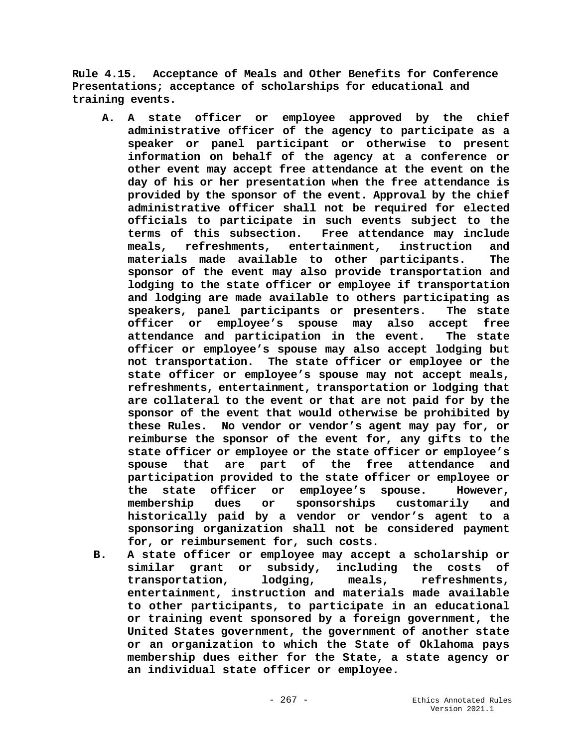**Rule 4.15. Acceptance of Meals and Other Benefits for Conference Presentations; acceptance of scholarships for educational and training events.**

- **A. A state officer or employee approved by the chief administrative officer of the agency to participate as a speaker or panel participant or otherwise to present information on behalf of the agency at a conference or other event may accept free attendance at the event on the day of his or her presentation when the free attendance is provided by the sponsor of the event. Approval by the chief administrative officer shall not be required for elected officials to participate in such events subject to the**  Free attendance may include **meals, refreshments, entertainment, instruction and materials made available to other participants. The sponsor of the event may also provide transportation and lodging to the state officer or employee if transportation and lodging are made available to others participating as speakers, panel participants or presenters. The state officer or employee's spouse may also accept free attendance and participation in the event. The state officer or employee's spouse may also accept lodging but not transportation. The state officer or employee or the state officer or employee's spouse may not accept meals, refreshments, entertainment, transportation or lodging that are collateral to the event or that are not paid for by the sponsor of the event that would otherwise be prohibited by these Rules. No vendor or vendor's agent may pay for, or reimburse the sponsor of the event for, any gifts to the state officer or employee or the state officer or employee's spouse that are part of the free attendance and participation provided to the state officer or employee or the state officer or employee's spouse. However,**  or sponsorships customarily and **historically paid by a vendor or vendor's agent to a sponsoring organization shall not be considered payment for, or reimbursement for, such costs.**
- **B. A state officer or employee may accept a scholarship or similar grant or subsidy, including the costs of transportation, lodging, meals, refreshments, entertainment, instruction and materials made available to other participants, to participate in an educational or training event sponsored by a foreign government, the United States government, the government of another state or an organization to which the State of Oklahoma pays membership dues either for the State, a state agency or an individual state officer or employee.**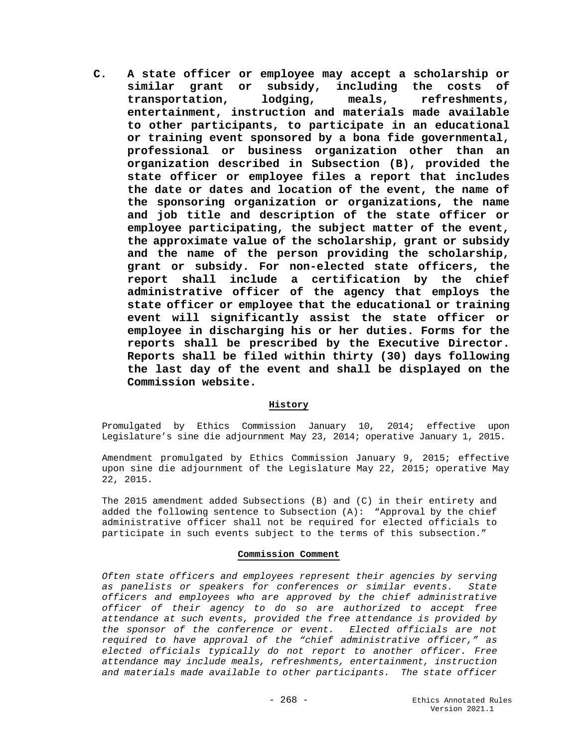**C. A state officer or employee may accept a scholarship or**  similar grant or subsidy, including the **transportation, lodging, meals, refreshments, entertainment, instruction and materials made available to other participants, to participate in an educational or training event sponsored by a bona fide governmental, professional or business organization other than an organization described in Subsection (B), provided the state officer or employee files a report that includes the date or dates and location of the event, the name of the sponsoring organization or organizations, the name and job title and description of the state officer or employee participating, the subject matter of the event, the approximate value of the scholarship, grant or subsidy and the name of the person providing the scholarship, grant or subsidy. For non-elected state officers, the report shall include a certification by the chief administrative officer of the agency that employs the state officer or employee that the educational or training event will significantly assist the state officer or employee in discharging his or her duties. Forms for the reports shall be prescribed by the Executive Director. Reports shall be filed within thirty (30) days following the last day of the event and shall be displayed on the Commission website.**

# **History**

Promulgated by Ethics Commission January 10, 2014; effective upon Legislature's sine die adjournment May 23, 2014; operative January 1, 2015.

Amendment promulgated by Ethics Commission January 9, 2015; effective upon sine die adjournment of the Legislature May 22, 2015; operative May 22, 2015.

The 2015 amendment added Subsections (B) and (C) in their entirety and added the following sentence to Subsection (A): "Approval by the chief administrative officer shall not be required for elected officials to participate in such events subject to the terms of this subsection."

### **Commission Comment**

*Often state officers and employees represent their agencies by serving as panelists or speakers for conferences or similar events. State officers and employees who are approved by the chief administrative officer of their agency to do so are authorized to accept free attendance at such events, provided the free attendance is provided by the sponsor of the conference or event. Elected officials are not required to have approval of the "chief administrative officer," as elected officials typically do not report to another officer. Free attendance may include meals, refreshments, entertainment, instruction and materials made available to other participants. The state officer*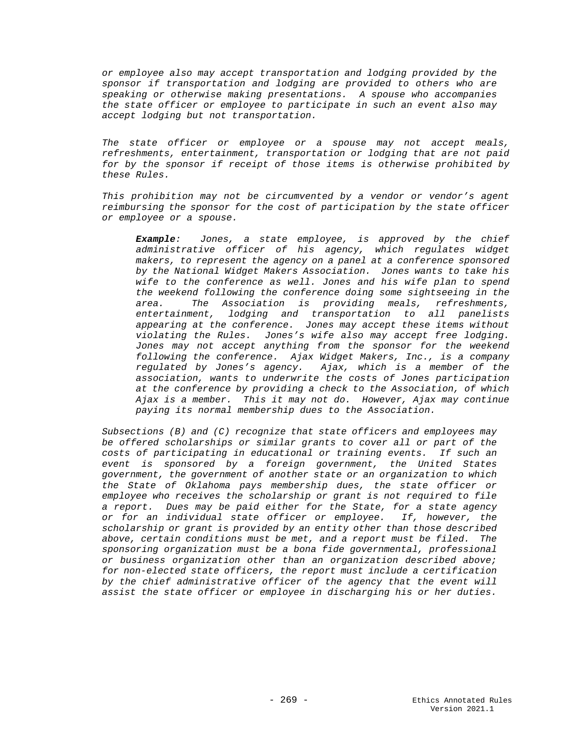*or employee also may accept transportation and lodging provided by the sponsor if transportation and lodging are provided to others who are speaking or otherwise making presentations. A spouse who accompanies the state officer or employee to participate in such an event also may accept lodging but not transportation.* 

*The state officer or employee or a spouse may not accept meals, refreshments, entertainment, transportation or lodging that are not paid for by the sponsor if receipt of those items is otherwise prohibited by these Rules.* 

*This prohibition may not be circumvented by a vendor or vendor's agent reimbursing the sponsor for the cost of participation by the state officer or employee or a spouse.* 

*Example: Jones, a state employee, is approved by the chief administrative officer of his agency, which regulates widget makers, to represent the agency on a panel at a conference sponsored by the National Widget Makers Association. Jones wants to take his wife to the conference as well. Jones and his wife plan to spend the weekend following the conference doing some sightseeing in the area. The Association is providing meals, refreshments, entertainment, lodging and transportation to all panelists appearing at the conference. Jones may accept these items without violating the Rules. Jones's wife also may accept free lodging. Jones may not accept anything from the sponsor for the weekend following the conference. Ajax Widget Makers, Inc., is a company regulated by Jones's agency. Ajax, which is a member of the association, wants to underwrite the costs of Jones participation at the conference by providing a check to the Association, of which Ajax is a member. This it may not do. However, Ajax may continue paying its normal membership dues to the Association.*

*Subsections (B) and (C) recognize that state officers and employees may be offered scholarships or similar grants to cover all or part of the costs of participating in educational or training events. If such an event is sponsored by a foreign government, the United States government, the government of another state or an organization to which the State of Oklahoma pays membership dues, the state officer or employee who receives the scholarship or grant is not required to file a report. Dues may be paid either for the State, for a state agency or for an individual state officer or employee. If, however, the scholarship or grant is provided by an entity other than those described above, certain conditions must be met, and a report must be filed. The sponsoring organization must be a bona fide governmental, professional or business organization other than an organization described above; for non-elected state officers, the report must include a certification by the chief administrative officer of the agency that the event will assist the state officer or employee in discharging his or her duties.*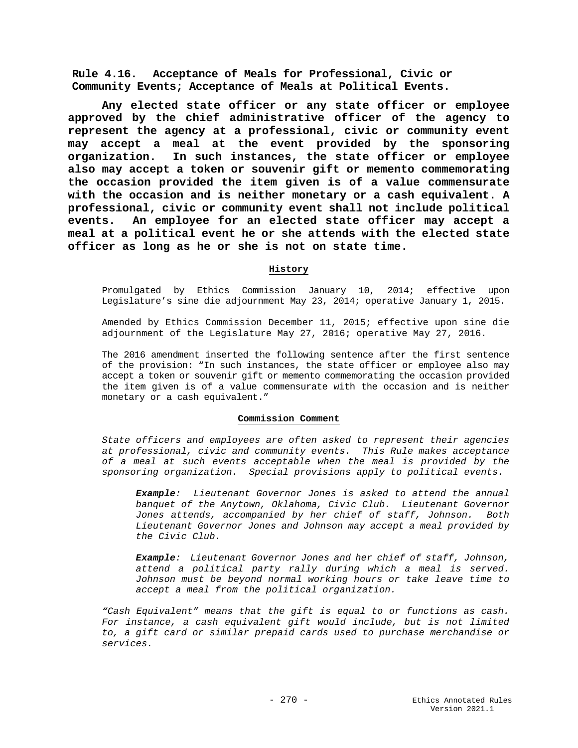**Rule 4.16. Acceptance of Meals for Professional, Civic or Community Events; Acceptance of Meals at Political Events.**

**Any elected state officer or any state officer or employee approved by the chief administrative officer of the agency to represent the agency at a professional, civic or community event may accept a meal at the event provided by the sponsoring organization. In such instances, the state officer or employee also may accept a token or souvenir gift or memento commemorating the occasion provided the item given is of a value commensurate with the occasion and is neither monetary or a cash equivalent. A professional, civic or community event shall not include political events. An employee for an elected state officer may accept a meal at a political event he or she attends with the elected state officer as long as he or she is not on state time.**

### **History**

Promulgated by Ethics Commission January 10, 2014; effective upon Legislature's sine die adjournment May 23, 2014; operative January 1, 2015.

Amended by Ethics Commission December 11, 2015; effective upon sine die adjournment of the Legislature May 27, 2016; operative May 27, 2016.

The 2016 amendment inserted the following sentence after the first sentence of the provision: "In such instances, the state officer or employee also may accept a token or souvenir gift or memento commemorating the occasion provided the item given is of a value commensurate with the occasion and is neither monetary or a cash equivalent."

#### **Commission Comment**

*State officers and employees are often asked to represent their agencies at professional, civic and community events. This Rule makes acceptance of a meal at such events acceptable when the meal is provided by the sponsoring organization. Special provisions apply to political events.*

*Example: Lieutenant Governor Jones is asked to attend the annual banquet of the Anytown, Oklahoma, Civic Club. Lieutenant Governor Jones attends, accompanied by her chief of staff, Johnson. Both Lieutenant Governor Jones and Johnson may accept a meal provided by the Civic Club.*

*Example: Lieutenant Governor Jones and her chief of staff, Johnson, attend a political party rally during which a meal is served. Johnson must be beyond normal working hours or take leave time to accept a meal from the political organization.*

*"Cash Equivalent" means that the gift is equal to or functions as cash. For instance, a cash equivalent gift would include, but is not limited to, a gift card or similar prepaid cards used to purchase merchandise or services.*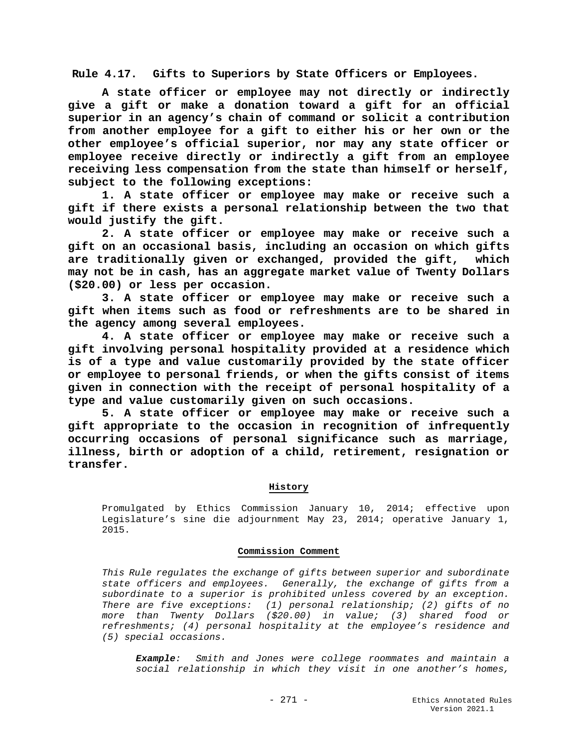**Rule 4.17. Gifts to Superiors by State Officers or Employees.**

**A state officer or employee may not directly or indirectly give a gift or make a donation toward a gift for an official superior in an agency's chain of command or solicit a contribution from another employee for a gift to either his or her own or the other employee's official superior, nor may any state officer or employee receive directly or indirectly a gift from an employee receiving less compensation from the state than himself or herself, subject to the following exceptions:**

 **1. A state officer or employee may make or receive such a gift if there exists a personal relationship between the two that would justify the gift.**

 **2. A state officer or employee may make or receive such a gift on an occasional basis, including an occasion on which gifts are traditionally given or exchanged, provided the gift, which may not be in cash, has an aggregate market value of Twenty Dollars (\$20.00) or less per occasion.**

 **3. A state officer or employee may make or receive such a gift when items such as food or refreshments are to be shared in the agency among several employees.**

 **4. A state officer or employee may make or receive such a gift involving personal hospitality provided at a residence which is of a type and value customarily provided by the state officer or employee to personal friends, or when the gifts consist of items given in connection with the receipt of personal hospitality of a type and value customarily given on such occasions.**

 **5. A state officer or employee may make or receive such a gift appropriate to the occasion in recognition of infrequently occurring occasions of personal significance such as marriage, illness, birth or adoption of a child, retirement, resignation or transfer.** 

### **History**

Promulgated by Ethics Commission January 10, 2014; effective upon Legislature's sine die adjournment May 23, 2014; operative January 1, 2015.

### **Commission Comment**

*This Rule regulates the exchange of gifts between superior and subordinate state officers and employees. Generally, the exchange of gifts from a subordinate to a superior is prohibited unless covered by an exception. There are five exceptions: (1) personal relationship; (2) gifts of no more than Twenty Dollars (\$20.00) in value; (3) shared food or refreshments; (4) personal hospitality at the employee's residence and (5) special occasions.*

*Example: Smith and Jones were college roommates and maintain a social relationship in which they visit in one another's homes,*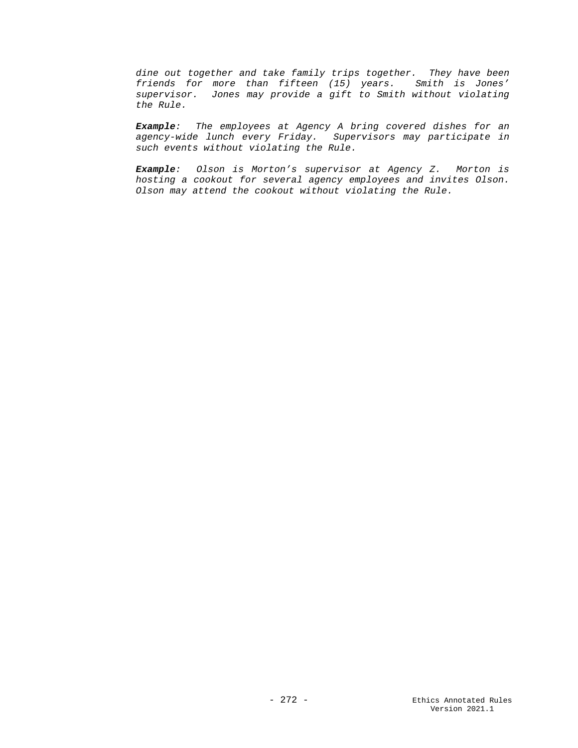*dine out together and take family trips together. They have been friends for more than fifteen (15) years. Smith is Jones' supervisor. Jones may provide a gift to Smith without violating the Rule.*

*Example: The employees at Agency A bring covered dishes for an agency-wide lunch every Friday. Supervisors may participate in such events without violating the Rule.*

*Example: Olson is Morton's supervisor at Agency Z. Morton is hosting a cookout for several agency employees and invites Olson. Olson may attend the cookout without violating the Rule.*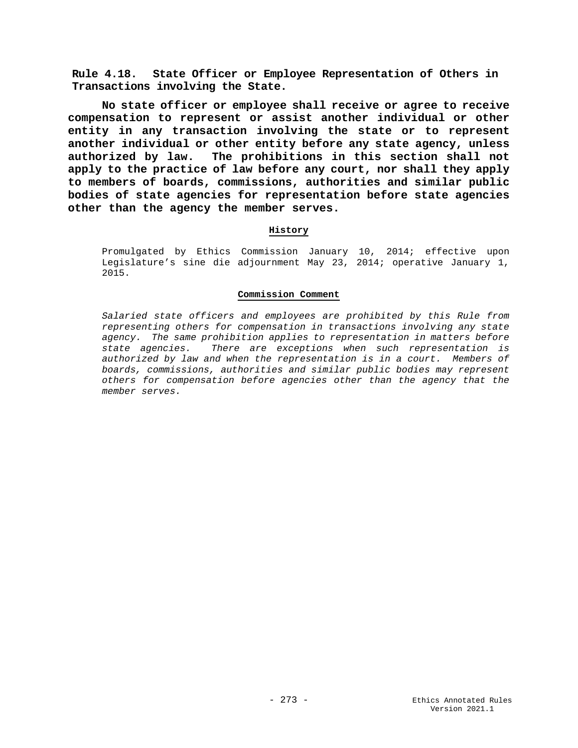**Rule 4.18. State Officer or Employee Representation of Others in Transactions involving the State.**

**No state officer or employee shall receive or agree to receive compensation to represent or assist another individual or other entity in any transaction involving the state or to represent another individual or other entity before any state agency, unless authorized by law. The prohibitions in this section shall not apply to the practice of law before any court, nor shall they apply to members of boards, commissions, authorities and similar public bodies of state agencies for representation before state agencies other than the agency the member serves.**

## **History**

Promulgated by Ethics Commission January 10, 2014; effective upon Legislature's sine die adjournment May 23, 2014; operative January 1, 2015.

### **Commission Comment**

*Salaried state officers and employees are prohibited by this Rule from representing others for compensation in transactions involving any state agency. The same prohibition applies to representation in matters before state agencies. There are exceptions when such representation is authorized by law and when the representation is in a court. Members of boards, commissions, authorities and similar public bodies may represent others for compensation before agencies other than the agency that the member serves.*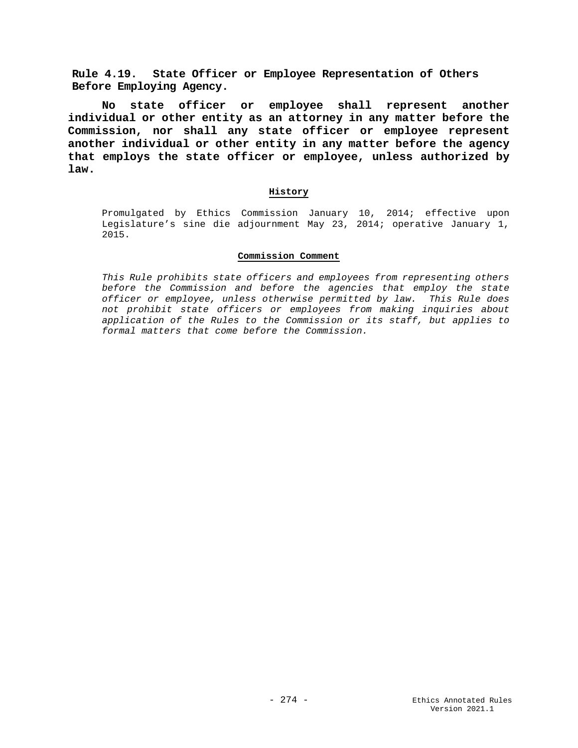**Rule 4.19. State Officer or Employee Representation of Others Before Employing Agency.**

**No state officer or employee shall represent another individual or other entity as an attorney in any matter before the Commission, nor shall any state officer or employee represent another individual or other entity in any matter before the agency that employs the state officer or employee, unless authorized by law.**

## **History**

Promulgated by Ethics Commission January 10, 2014; effective upon Legislature's sine die adjournment May 23, 2014; operative January 1, 2015.

### **Commission Comment**

*This Rule prohibits state officers and employees from representing others before the Commission and before the agencies that employ the state officer or employee, unless otherwise permitted by law. This Rule does not prohibit state officers or employees from making inquiries about application of the Rules to the Commission or its staff, but applies to formal matters that come before the Commission.*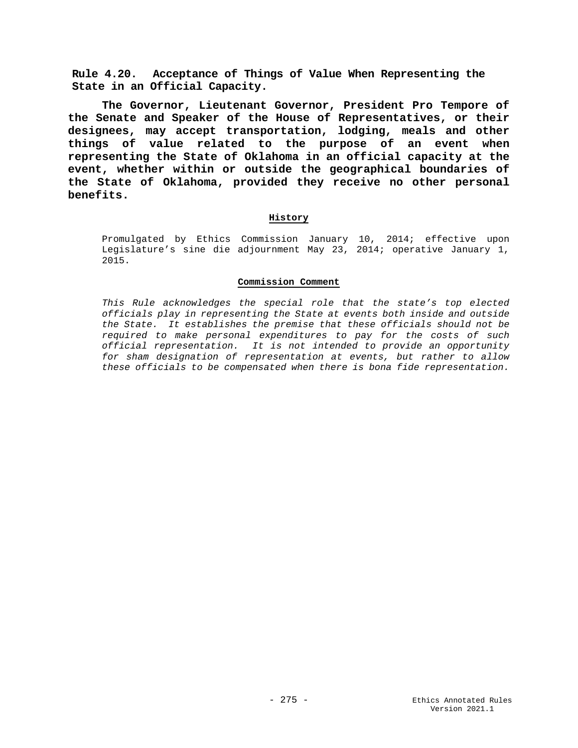**Rule 4.20. Acceptance of Things of Value When Representing the State in an Official Capacity.**

**The Governor, Lieutenant Governor, President Pro Tempore of the Senate and Speaker of the House of Representatives, or their designees, may accept transportation, lodging, meals and other things of value related to the purpose of an event when representing the State of Oklahoma in an official capacity at the event, whether within or outside the geographical boundaries of the State of Oklahoma, provided they receive no other personal benefits.** 

## **History**

Promulgated by Ethics Commission January 10, 2014; effective upon Legislature's sine die adjournment May 23, 2014; operative January 1, 2015.

### **Commission Comment**

*This Rule acknowledges the special role that the state's top elected officials play in representing the State at events both inside and outside the State. It establishes the premise that these officials should not be required to make personal expenditures to pay for the costs of such official representation. It is not intended to provide an opportunity for sham designation of representation at events, but rather to allow these officials to be compensated when there is bona fide representation.*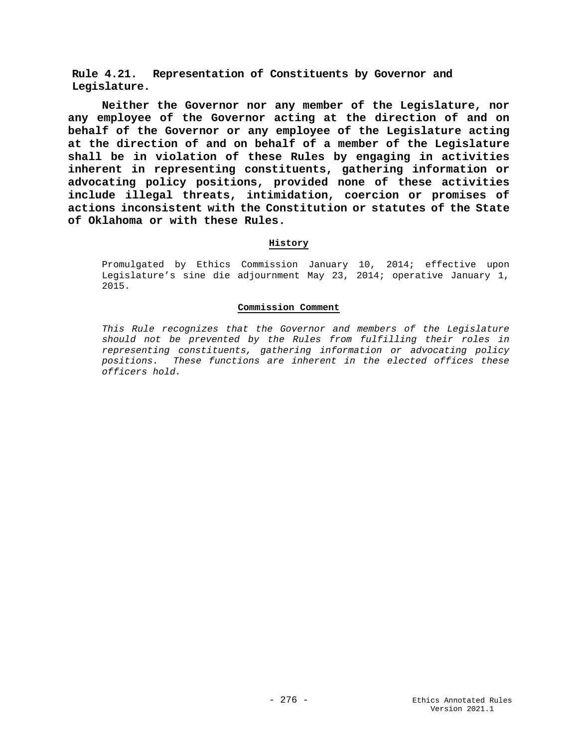**Rule 4.21. Representation of Constituents by Governor and Legislature.** 

**Neither the Governor nor any member of the Legislature, nor any employee of the Governor acting at the direction of and on behalf of the Governor or any employee of the Legislature acting at the direction of and on behalf of a member of the Legislature shall be in violation of these Rules by engaging in activities inherent in representing constituents, gathering information or advocating policy positions, provided none of these activities include illegal threats, intimidation, coercion or promises of actions inconsistent with the Constitution or statutes of the State of Oklahoma or with these Rules.**

### **History**

Promulgated by Ethics Commission January 10, 2014; effective upon Legislature's sine die adjournment May 23, 2014; operative January 1, 2015.

## **Commission Comment**

*This Rule recognizes that the Governor and members of the Legislature should not be prevented by the Rules from fulfilling their roles in representing constituents, gathering information or advocating policy positions. These functions are inherent in the elected offices these officers hold.*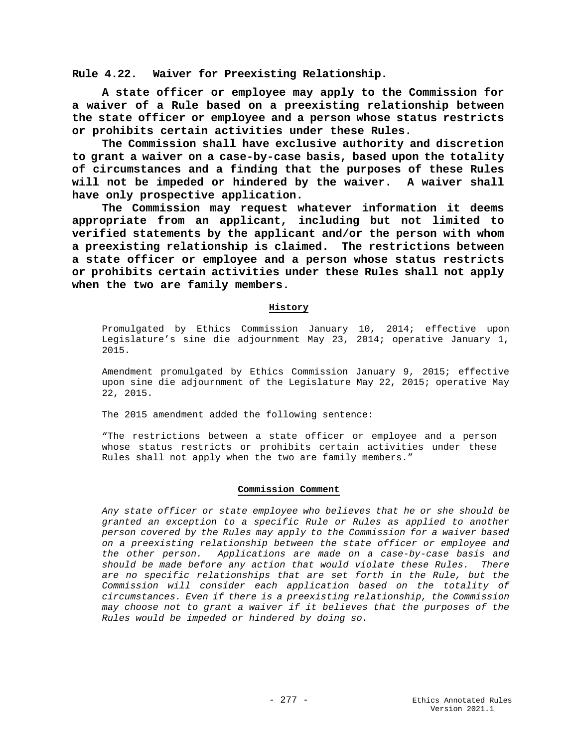**Rule 4.22. Waiver for Preexisting Relationship.**

**A state officer or employee may apply to the Commission for a waiver of a Rule based on a preexisting relationship between the state officer or employee and a person whose status restricts or prohibits certain activities under these Rules.**

**The Commission shall have exclusive authority and discretion to grant a waiver on a case-by-case basis, based upon the totality of circumstances and a finding that the purposes of these Rules will not be impeded or hindered by the waiver. A waiver shall have only prospective application.**

**The Commission may request whatever information it deems appropriate from an applicant, including but not limited to verified statements by the applicant and/or the person with whom a preexisting relationship is claimed. The restrictions between a state officer or employee and a person whose status restricts or prohibits certain activities under these Rules shall not apply when the two are family members.**

### **History**

Promulgated by Ethics Commission January 10, 2014; effective upon Legislature's sine die adjournment May 23, 2014; operative January 1, 2015.

Amendment promulgated by Ethics Commission January 9, 2015; effective upon sine die adjournment of the Legislature May 22, 2015; operative May 22, 2015.

The 2015 amendment added the following sentence:

"The restrictions between a state officer or employee and a person whose status restricts or prohibits certain activities under these Rules shall not apply when the two are family members."

#### **Commission Comment**

*Any state officer or state employee who believes that he or she should be granted an exception to a specific Rule or Rules as applied to another person covered by the Rules may apply to the Commission for a waiver based on a preexisting relationship between the state officer or employee and the other person. Applications are made on a case-by-case basis and should be made before any action that would violate these Rules. There are no specific relationships that are set forth in the Rule, but the Commission will consider each application based on the totality of circumstances. Even if there is a preexisting relationship, the Commission may choose not to grant a waiver if it believes that the purposes of the Rules would be impeded or hindered by doing so.*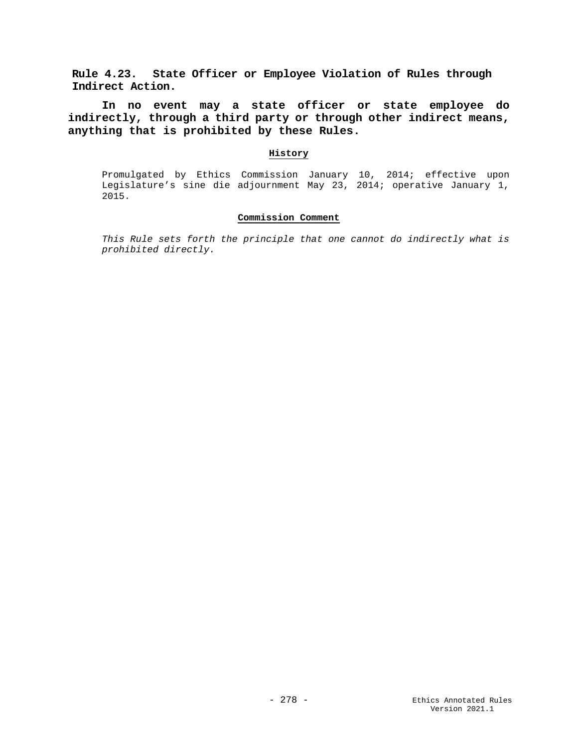**Rule 4.23. State Officer or Employee Violation of Rules through Indirect Action.**

**In no event may a state officer or state employee do indirectly, through a third party or through other indirect means, anything that is prohibited by these Rules.**

### **History**

Promulgated by Ethics Commission January 10, 2014; effective upon Legislature's sine die adjournment May 23, 2014; operative January 1, 2015.

## **Commission Comment**

*This Rule sets forth the principle that one cannot do indirectly what is prohibited directly.*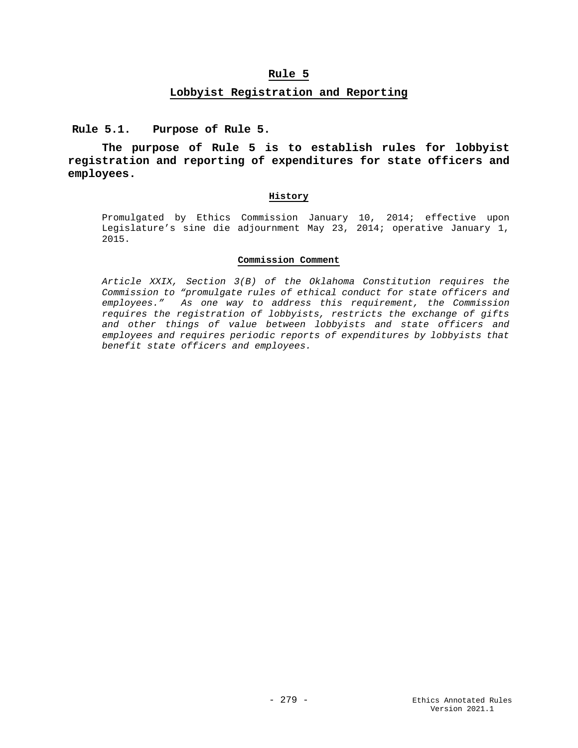## **Rule 5**

# **Lobbyist Registration and Reporting**

**Rule 5.1. Purpose of Rule 5.**

**The purpose of Rule 5 is to establish rules for lobbyist registration and reporting of expenditures for state officers and employees.**

### **History**

Promulgated by Ethics Commission January 10, 2014; effective upon Legislature's sine die adjournment May 23, 2014; operative January 1, 2015.

### **Commission Comment**

*Article XXIX, Section 3(B) of the Oklahoma Constitution requires the Commission to "promulgate rules of ethical conduct for state officers and employees." As one way to address this requirement, the Commission requires the registration of lobbyists, restricts the exchange of gifts and other things of value between lobbyists and state officers and employees and requires periodic reports of expenditures by lobbyists that benefit state officers and employees.*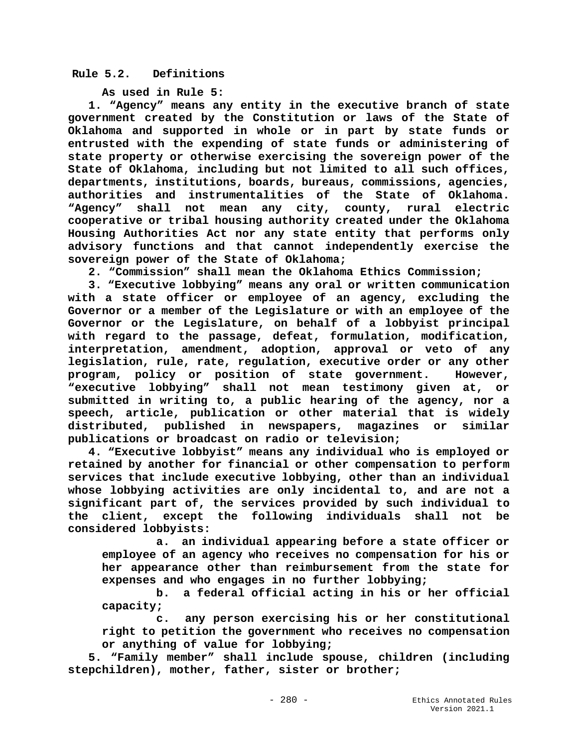# **Rule 5.2. Definitions**

**As used in Rule 5:**

 **1. "Agency" means any entity in the executive branch of state government created by the Constitution or laws of the State of Oklahoma and supported in whole or in part by state funds or entrusted with the expending of state funds or administering of state property or otherwise exercising the sovereign power of the State of Oklahoma, including but not limited to all such offices, departments, institutions, boards, bureaus, commissions, agencies, authorities and instrumentalities of the State of Oklahoma. "Agency" shall not mean any city, county, rural electric cooperative or tribal housing authority created under the Oklahoma Housing Authorities Act nor any state entity that performs only advisory functions and that cannot independently exercise the sovereign power of the State of Oklahoma;**

 **2. "Commission" shall mean the Oklahoma Ethics Commission;**

 **3. "Executive lobbying" means any oral or written communication with a state officer or employee of an agency, excluding the Governor or a member of the Legislature or with an employee of the Governor or the Legislature, on behalf of a lobbyist principal with regard to the passage, defeat, formulation, modification, interpretation, amendment, adoption, approval or veto of any legislation, rule, rate, regulation, executive order or any other program, policy or position of state government. However, "executive lobbying" shall not mean testimony given at, or submitted in writing to, a public hearing of the agency, nor a speech, article, publication or other material that is widely distributed, published in newspapers, magazines or similar publications or broadcast on radio or television;**

 **4. "Executive lobbyist" means any individual who is employed or retained by another for financial or other compensation to perform services that include executive lobbying, other than an individual whose lobbying activities are only incidental to, and are not a significant part of, the services provided by such individual to the client, except the following individuals shall not be considered lobbyists:**

 **a. an individual appearing before a state officer or employee of an agency who receives no compensation for his or her appearance other than reimbursement from the state for expenses and who engages in no further lobbying;**

 **b. a federal official acting in his or her official capacity;**

 **c. any person exercising his or her constitutional right to petition the government who receives no compensation or anything of value for lobbying;**

 **5. "Family member" shall include spouse, children (including stepchildren), mother, father, sister or brother;**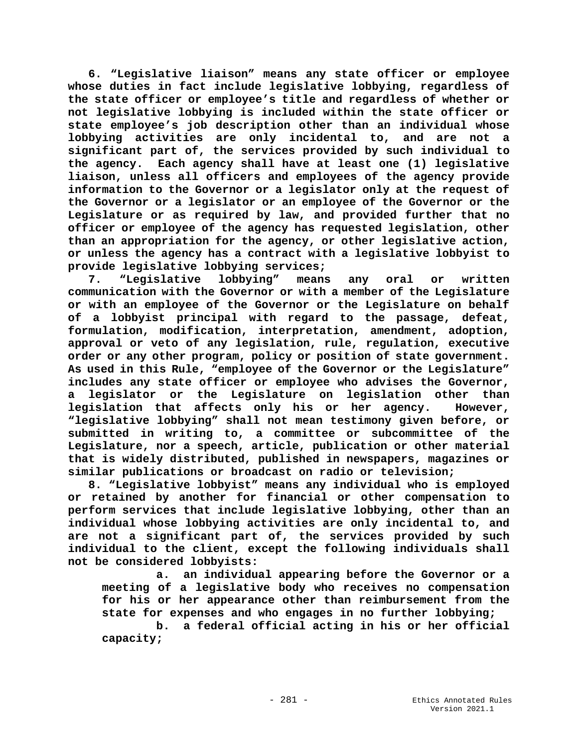**6. "Legislative liaison" means any state officer or employee whose duties in fact include legislative lobbying, regardless of the state officer or employee's title and regardless of whether or not legislative lobbying is included within the state officer or state employee's job description other than an individual whose lobbying activities are only incidental to, and are not a significant part of, the services provided by such individual to the agency. Each agency shall have at least one (1) legislative liaison, unless all officers and employees of the agency provide information to the Governor or a legislator only at the request of the Governor or a legislator or an employee of the Governor or the Legislature or as required by law, and provided further that no officer or employee of the agency has requested legislation, other than an appropriation for the agency, or other legislative action, or unless the agency has a contract with a legislative lobbyist to provide legislative lobbying services;** 

 **7. "Legislative lobbying" means any oral or written communication with the Governor or with a member of the Legislature or with an employee of the Governor or the Legislature on behalf of a lobbyist principal with regard to the passage, defeat, formulation, modification, interpretation, amendment, adoption, approval or veto of any legislation, rule, regulation, executive order or any other program, policy or position of state government. As used in this Rule, "employee of the Governor or the Legislature" includes any state officer or employee who advises the Governor, a legislator or the Legislature on legislation other than legislation that affects only his or her agency. However, "legislative lobbying" shall not mean testimony given before, or submitted in writing to, a committee or subcommittee of the Legislature, nor a speech, article, publication or other material that is widely distributed, published in newspapers, magazines or similar publications or broadcast on radio or television;**

 **8. "Legislative lobbyist" means any individual who is employed or retained by another for financial or other compensation to perform services that include legislative lobbying, other than an individual whose lobbying activities are only incidental to, and are not a significant part of, the services provided by such individual to the client, except the following individuals shall not be considered lobbyists:**

 **a. an individual appearing before the Governor or a meeting of a legislative body who receives no compensation for his or her appearance other than reimbursement from the state for expenses and who engages in no further lobbying;**

 **b. a federal official acting in his or her official capacity;**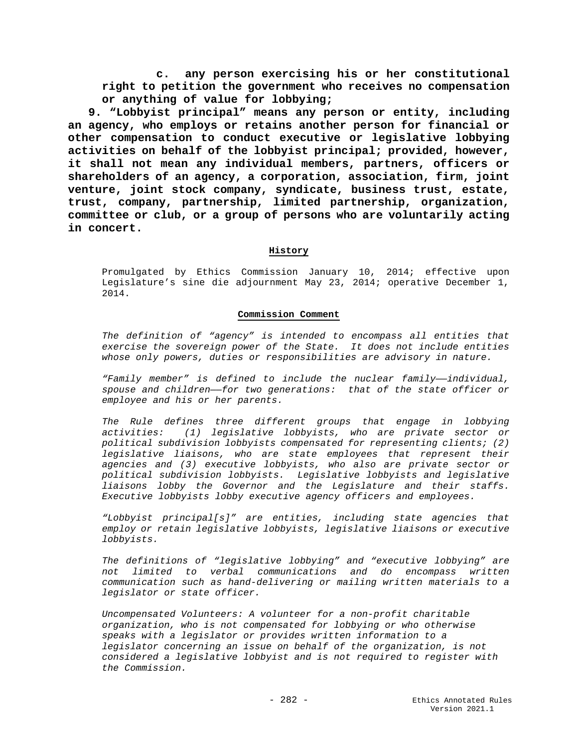**c. any person exercising his or her constitutional right to petition the government who receives no compensation or anything of value for lobbying;**

 **9. "Lobbyist principal" means any person or entity, including an agency, who employs or retains another person for financial or other compensation to conduct executive or legislative lobbying activities on behalf of the lobbyist principal; provided, however, it shall not mean any individual members, partners, officers or shareholders of an agency, a corporation, association, firm, joint venture, joint stock company, syndicate, business trust, estate, trust, company, partnership, limited partnership, organization, committee or club, or a group of persons who are voluntarily acting in concert.**

## **History**

Promulgated by Ethics Commission January 10, 2014; effective upon Legislature's sine die adjournment May 23, 2014; operative December 1, 2014.

### **Commission Comment**

*The definition of "agency" is intended to encompass all entities that exercise the sovereign power of the State. It does not include entities whose only powers, duties or responsibilities are advisory in nature.*

*"Family member" is defined to include the nuclear family——individual, spouse and children——for two generations: that of the state officer or employee and his or her parents.*

*The Rule defines three different groups that engage in lobbying activities: (1) legislative lobbyists, who are private sector or political subdivision lobbyists compensated for representing clients; (2) legislative liaisons, who are state employees that represent their agencies and (3) executive lobbyists, who also are private sector or political subdivision lobbyists. Legislative lobbyists and legislative liaisons lobby the Governor and the Legislature and their staffs. Executive lobbyists lobby executive agency officers and employees.*

*"Lobbyist principal[s]" are entities, including state agencies that employ or retain legislative lobbyists, legislative liaisons or executive lobbyists.*

*The definitions of "legislative lobbying" and "executive lobbying" are not limited to verbal communications and do encompass written communication such as hand-delivering or mailing written materials to a legislator or state officer.*

*Uncompensated Volunteers: A volunteer for a non-profit charitable organization, who is not compensated for lobbying or who otherwise speaks with a legislator or provides written information to a legislator concerning an issue on behalf of the organization, is not considered a legislative lobbyist and is not required to register with the Commission.*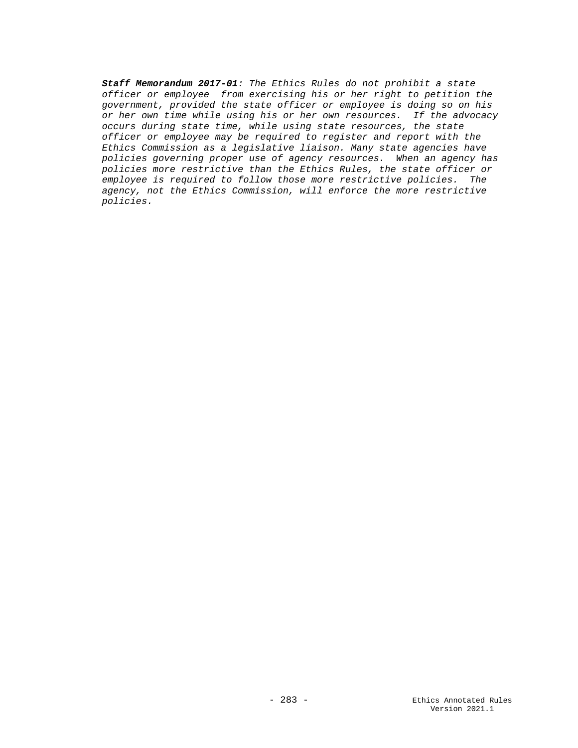*Staff Memorandum 2017-01: The Ethics Rules do not prohibit a state officer or employee from exercising his or her right to petition the government, provided the state officer or employee is doing so on his or her own time while using his or her own resources. If the advocacy occurs during state time, while using state resources, the state officer or employee may be required to register and report with the Ethics Commission as a legislative liaison. Many state agencies have policies governing proper use of agency resources. When an agency has policies more restrictive than the Ethics Rules, the state officer or employee is required to follow those more restrictive policies. The agency, not the Ethics Commission, will enforce the more restrictive policies.*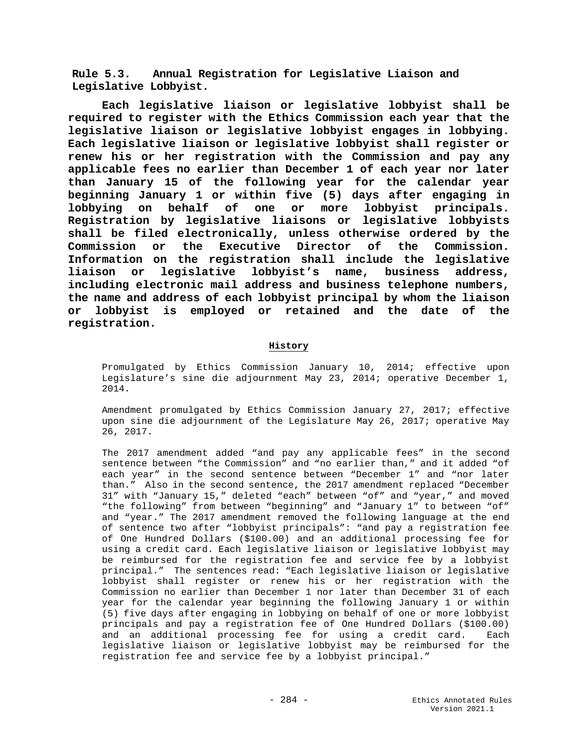**Rule 5.3. Annual Registration for Legislative Liaison and Legislative Lobbyist.**

**Each legislative liaison or legislative lobbyist shall be required to register with the Ethics Commission each year that the legislative liaison or legislative lobbyist engages in lobbying. Each legislative liaison or legislative lobbyist shall register or renew his or her registration with the Commission and pay any applicable fees no earlier than December 1 of each year nor later than January 15 of the following year for the calendar year beginning January 1 or within five (5) days after engaging in lobbying on behalf of one or more lobbyist principals. Registration by legislative liaisons or legislative lobbyists shall be filed electronically, unless otherwise ordered by the Commission or the Executive Director of the Commission. Information on the registration shall include the legislative liaison or legislative lobbyist's name, business address, including electronic mail address and business telephone numbers, the name and address of each lobbyist principal by whom the liaison or lobbyist is employed or retained and the date of the registration.**

### **History**

Promulgated by Ethics Commission January 10, 2014; effective upon Legislature's sine die adjournment May 23, 2014; operative December 1, 2014.

Amendment promulgated by Ethics Commission January 27, 2017; effective upon sine die adjournment of the Legislature May 26, 2017; operative May 26, 2017.

The 2017 amendment added "and pay any applicable fees" in the second sentence between "the Commission" and "no earlier than," and it added "of each year" in the second sentence between "December 1" and "nor later than." Also in the second sentence, the 2017 amendment replaced "December 31" with "January 15," deleted "each" between "of" and "year," and moved "the following" from between "beginning" and "January 1" to between "of" and "year." The 2017 amendment removed the following language at the end of sentence two after "lobbyist principals": "and pay a registration fee of One Hundred Dollars (\$100.00) and an additional processing fee for using a credit card. Each legislative liaison or legislative lobbyist may be reimbursed for the registration fee and service fee by a lobbyist principal." The sentences read: "Each legislative liaison or legislative lobbyist shall register or renew his or her registration with the Commission no earlier than December 1 nor later than December 31 of each year for the calendar year beginning the following January 1 or within (5) five days after engaging in lobbying on behalf of one or more lobbyist principals and pay a registration fee of One Hundred Dollars (\$100.00) and an additional processing fee for using a credit card. Each legislative liaison or legislative lobbyist may be reimbursed for the registration fee and service fee by a lobbyist principal."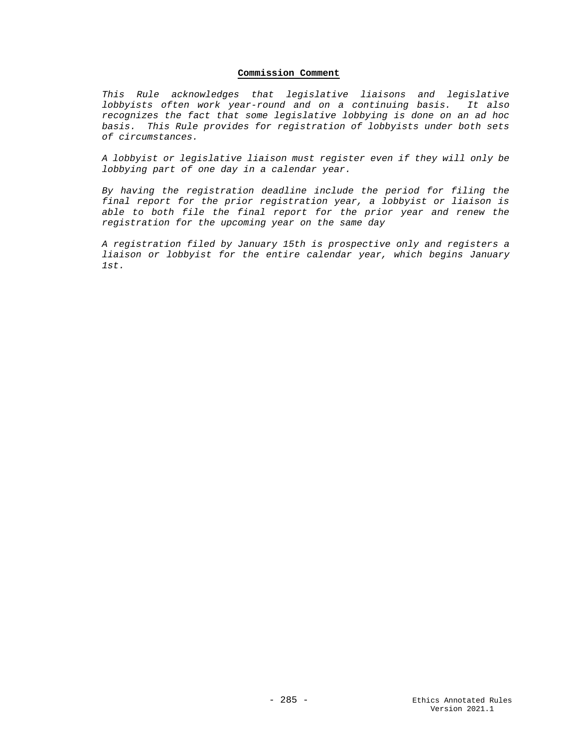## **Commission Comment**

*This Rule acknowledges that legislative liaisons and legislative lobbyists often work year-round and on a continuing basis. It also recognizes the fact that some legislative lobbying is done on an ad hoc basis. This Rule provides for registration of lobbyists under both sets of circumstances.*

*A lobbyist or legislative liaison must register even if they will only be lobbying part of one day in a calendar year.*

*By having the registration deadline include the period for filing the final report for the prior registration year, a lobbyist or liaison is able to both file the final report for the prior year and renew the registration for the upcoming year on the same day*

*A registration filed by January 15th is prospective only and registers a liaison or lobbyist for the entire calendar year, which begins January 1st.*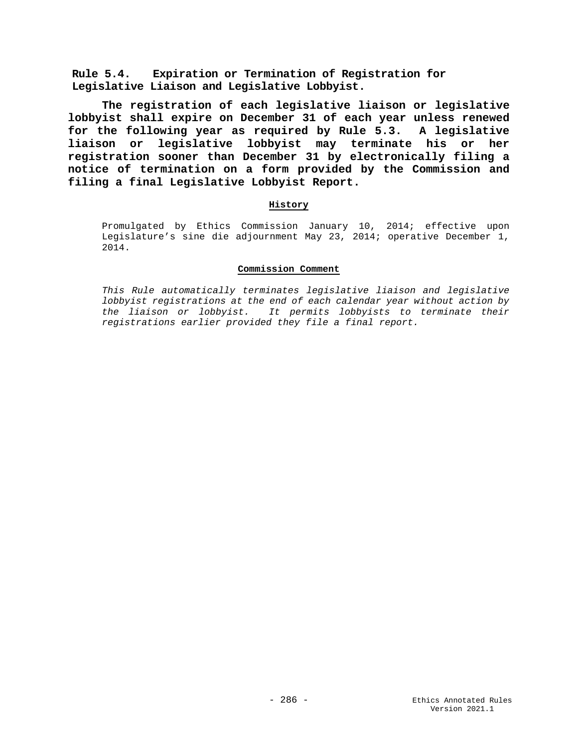**Rule 5.4. Expiration or Termination of Registration for Legislative Liaison and Legislative Lobbyist.**

**The registration of each legislative liaison or legislative lobbyist shall expire on December 31 of each year unless renewed for the following year as required by Rule 5.3. A legislative liaison or legislative lobbyist may terminate his or her registration sooner than December 31 by electronically filing a notice of termination on a form provided by the Commission and filing a final Legislative Lobbyist Report.**

## **History**

Promulgated by Ethics Commission January 10, 2014; effective upon Legislature's sine die adjournment May 23, 2014; operative December 1, 2014.

## **Commission Comment**

*This Rule automatically terminates legislative liaison and legislative lobbyist registrations at the end of each calendar year without action by the liaison or lobbyist. It permits lobbyists to terminate their registrations earlier provided they file a final report.*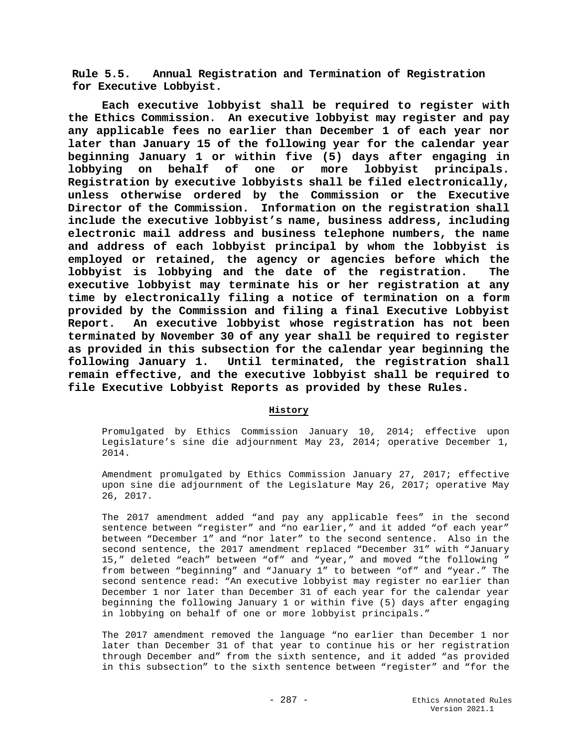**Rule 5.5. Annual Registration and Termination of Registration for Executive Lobbyist.**

**Each executive lobbyist shall be required to register with the Ethics Commission. An executive lobbyist may register and pay any applicable fees no earlier than December 1 of each year nor later than January 15 of the following year for the calendar year beginning January 1 or within five (5) days after engaging in lobbying on behalf of one or more lobbyist principals. Registration by executive lobbyists shall be filed electronically, unless otherwise ordered by the Commission or the Executive Director of the Commission. Information on the registration shall include the executive lobbyist's name, business address, including electronic mail address and business telephone numbers, the name and address of each lobbyist principal by whom the lobbyist is employed or retained, the agency or agencies before which the lobbyist is lobbying and the date of the registration. The executive lobbyist may terminate his or her registration at any time by electronically filing a notice of termination on a form provided by the Commission and filing a final Executive Lobbyist Report. An executive lobbyist whose registration has not been terminated by November 30 of any year shall be required to register as provided in this subsection for the calendar year beginning the following January 1. Until terminated, the registration shall remain effective, and the executive lobbyist shall be required to file Executive Lobbyist Reports as provided by these Rules.**

# **History**

Promulgated by Ethics Commission January 10, 2014; effective upon Legislature's sine die adjournment May 23, 2014; operative December 1, 2014.

Amendment promulgated by Ethics Commission January 27, 2017; effective upon sine die adjournment of the Legislature May 26, 2017; operative May 26, 2017.

The 2017 amendment added "and pay any applicable fees" in the second sentence between "register" and "no earlier," and it added "of each year" between "December 1" and "nor later" to the second sentence. Also in the second sentence, the 2017 amendment replaced "December 31" with "January 15," deleted "each" between "of" and "year," and moved "the following " from between "beginning" and "January 1" to between "of" and "year." The second sentence read: "An executive lobbyist may register no earlier than December 1 nor later than December 31 of each year for the calendar year beginning the following January 1 or within five (5) days after engaging in lobbying on behalf of one or more lobbyist principals."

The 2017 amendment removed the language "no earlier than December 1 nor later than December 31 of that year to continue his or her registration through December and" from the sixth sentence, and it added "as provided in this subsection" to the sixth sentence between "register" and "for the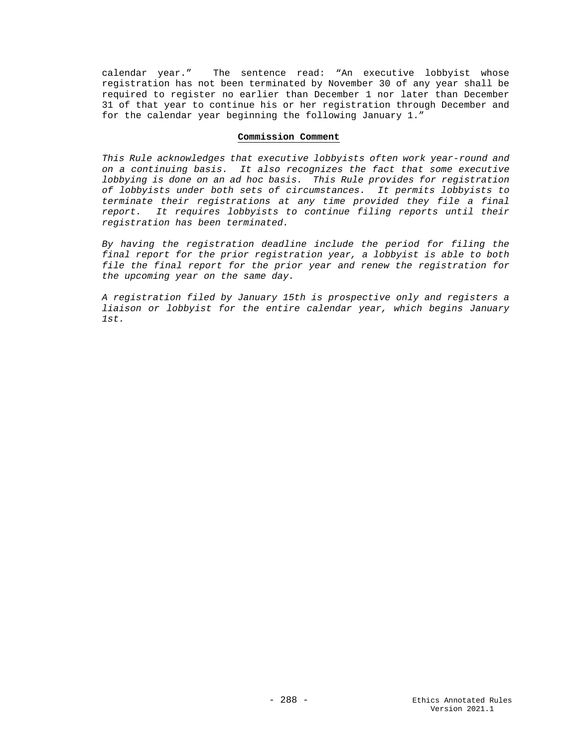calendar year." The sentence read: "An executive lobbyist whose registration has not been terminated by November 30 of any year shall be required to register no earlier than December 1 nor later than December 31 of that year to continue his or her registration through December and for the calendar year beginning the following January 1."

#### **Commission Comment**

*This Rule acknowledges that executive lobbyists often work year-round and on a continuing basis. It also recognizes the fact that some executive lobbying is done on an ad hoc basis. This Rule provides for registration of lobbyists under both sets of circumstances. It permits lobbyists to terminate their registrations at any time provided they file a final report. It requires lobbyists to continue filing reports until their registration has been terminated.*

*By having the registration deadline include the period for filing the final report for the prior registration year, a lobbyist is able to both file the final report for the prior year and renew the registration for the upcoming year on the same day.* 

*A registration filed by January 15th is prospective only and registers a liaison or lobbyist for the entire calendar year, which begins January 1st.*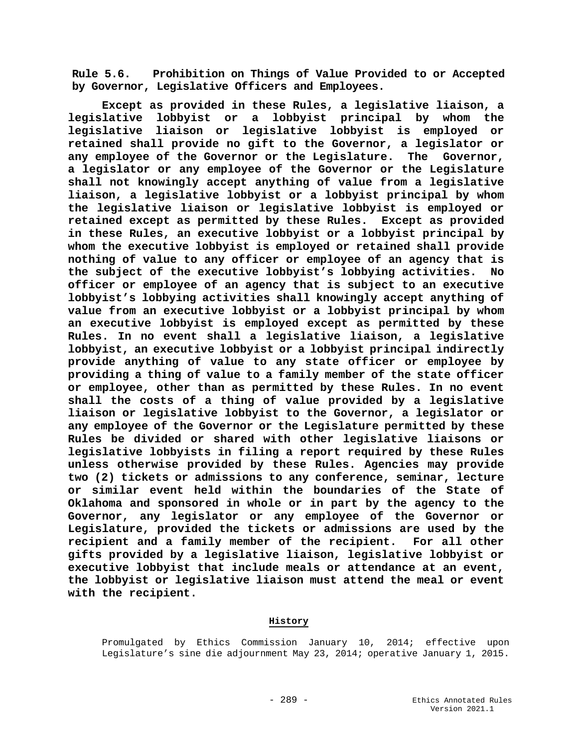**Rule 5.6. Prohibition on Things of Value Provided to or Accepted by Governor, Legislative Officers and Employees.**

**Except as provided in these Rules, a legislative liaison, a legislative lobbyist or a lobbyist principal by whom the legislative liaison or legislative lobbyist is employed or retained shall provide no gift to the Governor, a legislator or any employee of the Governor or the Legislature. The Governor, a legislator or any employee of the Governor or the Legislature shall not knowingly accept anything of value from a legislative liaison, a legislative lobbyist or a lobbyist principal by whom the legislative liaison or legislative lobbyist is employed or retained except as permitted by these Rules. Except as provided in these Rules, an executive lobbyist or a lobbyist principal by whom the executive lobbyist is employed or retained shall provide nothing of value to any officer or employee of an agency that is the subject of the executive lobbyist's lobbying activities. No officer or employee of an agency that is subject to an executive lobbyist's lobbying activities shall knowingly accept anything of value from an executive lobbyist or a lobbyist principal by whom an executive lobbyist is employed except as permitted by these Rules. In no event shall a legislative liaison, a legislative lobbyist, an executive lobbyist or a lobbyist principal indirectly provide anything of value to any state officer or employee by providing a thing of value to a family member of the state officer or employee, other than as permitted by these Rules. In no event shall the costs of a thing of value provided by a legislative liaison or legislative lobbyist to the Governor, a legislator or any employee of the Governor or the Legislature permitted by these Rules be divided or shared with other legislative liaisons or legislative lobbyists in filing a report required by these Rules unless otherwise provided by these Rules. Agencies may provide two (2) tickets or admissions to any conference, seminar, lecture or similar event held within the boundaries of the State of Oklahoma and sponsored in whole or in part by the agency to the Governor, any legislator or any employee of the Governor or Legislature, provided the tickets or admissions are used by the recipient and a family member of the recipient. For all other gifts provided by a legislative liaison, legislative lobbyist or executive lobbyist that include meals or attendance at an event, the lobbyist or legislative liaison must attend the meal or event with the recipient.**

## **History**

Promulgated by Ethics Commission January 10, 2014; effective upon Legislature's sine die adjournment May 23, 2014; operative January 1, 2015.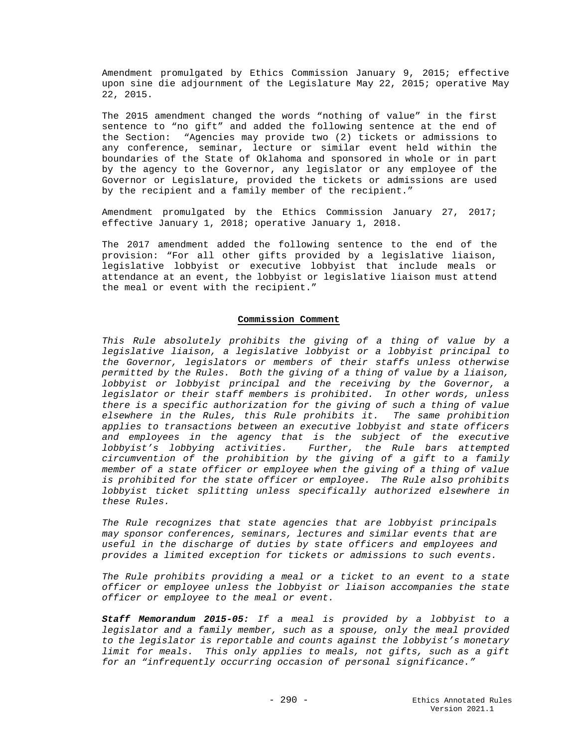Amendment promulgated by Ethics Commission January 9, 2015; effective upon sine die adjournment of the Legislature May 22, 2015; operative May 22, 2015.

The 2015 amendment changed the words "nothing of value" in the first sentence to "no gift" and added the following sentence at the end of the Section: "Agencies may provide two (2) tickets or admissions to any conference, seminar, lecture or similar event held within the boundaries of the State of Oklahoma and sponsored in whole or in part by the agency to the Governor, any legislator or any employee of the Governor or Legislature, provided the tickets or admissions are used by the recipient and a family member of the recipient."

Amendment promulgated by the Ethics Commission January 27, 2017; effective January 1, 2018; operative January 1, 2018.

The 2017 amendment added the following sentence to the end of the provision: "For all other gifts provided by a legislative liaison, legislative lobbyist or executive lobbyist that include meals or attendance at an event, the lobbyist or legislative liaison must attend the meal or event with the recipient."

#### **Commission Comment**

*This Rule absolutely prohibits the giving of a thing of value by a legislative liaison, a legislative lobbyist or a lobbyist principal to the Governor, legislators or members of their staffs unless otherwise permitted by the Rules. Both the giving of a thing of value by a liaison, lobbyist or lobbyist principal and the receiving by the Governor, a legislator or their staff members is prohibited. In other words, unless there is a specific authorization for the giving of such a thing of value elsewhere in the Rules, this Rule prohibits it. The same prohibition applies to transactions between an executive lobbyist and state officers and employees in the agency that is the subject of the executive lobbyist's lobbying activities. Further, the Rule bars attempted circumvention of the prohibition by the giving of a gift to a family member of a state officer or employee when the giving of a thing of value is prohibited for the state officer or employee. The Rule also prohibits lobbyist ticket splitting unless specifically authorized elsewhere in these Rules.*

*The Rule recognizes that state agencies that are lobbyist principals may sponsor conferences, seminars, lectures and similar events that are useful in the discharge of duties by state officers and employees and provides a limited exception for tickets or admissions to such events.*

*The Rule prohibits providing a meal or a ticket to an event to a state officer or employee unless the lobbyist or liaison accompanies the state officer or employee to the meal or event.* 

*Staff Memorandum 2015-05: If a meal is provided by a lobbyist to a legislator and a family member, such as a spouse, only the meal provided to the legislator is reportable and counts against the lobbyist's monetary limit for meals. This only applies to meals, not gifts, such as a gift for an "infrequently occurring occasion of personal significance."*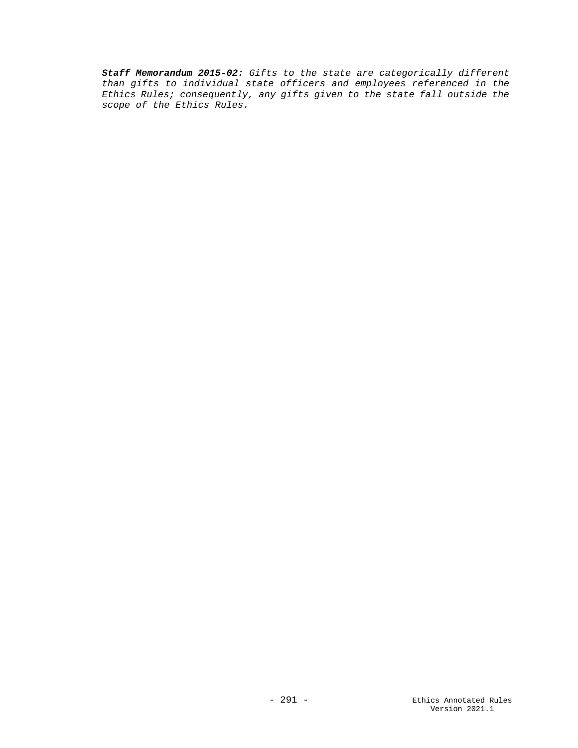*Staff Memorandum 2015-02: Gifts to the state are categorically different than gifts to individual state officers and employees referenced in the Ethics Rules; consequently, any gifts given to the state fall outside the scope of the Ethics Rules.*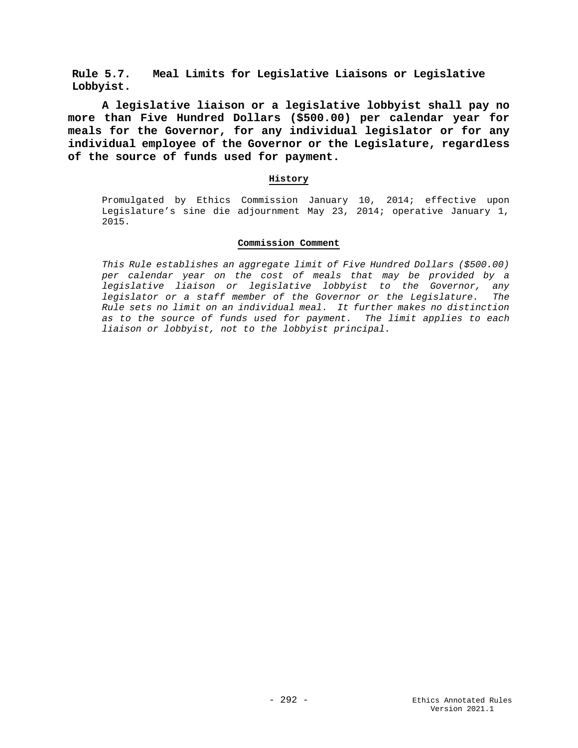**Rule 5.7. Meal Limits for Legislative Liaisons or Legislative Lobbyist.**

**A legislative liaison or a legislative lobbyist shall pay no more than Five Hundred Dollars (\$500.00) per calendar year for meals for the Governor, for any individual legislator or for any individual employee of the Governor or the Legislature, regardless of the source of funds used for payment.**

## **History**

Promulgated by Ethics Commission January 10, 2014; effective upon Legislature's sine die adjournment May 23, 2014; operative January 1, 2015.

## **Commission Comment**

*This Rule establishes an aggregate limit of Five Hundred Dollars (\$500.00) per calendar year on the cost of meals that may be provided by a legislative liaison or legislative lobbyist to the Governor, any legislator or a staff member of the Governor or the Legislature. The Rule sets no limit on an individual meal. It further makes no distinction as to the source of funds used for payment. The limit applies to each liaison or lobbyist, not to the lobbyist principal.*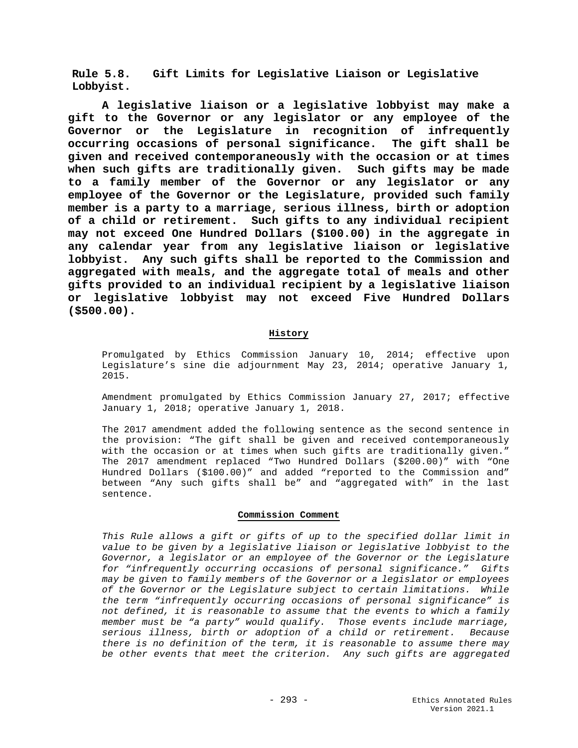**Rule 5.8. Gift Limits for Legislative Liaison or Legislative Lobbyist.**

**A legislative liaison or a legislative lobbyist may make a gift to the Governor or any legislator or any employee of the Governor or the Legislature in recognition of infrequently occurring occasions of personal significance. The gift shall be given and received contemporaneously with the occasion or at times when such gifts are traditionally given. Such gifts may be made to a family member of the Governor or any legislator or any employee of the Governor or the Legislature, provided such family member is a party to a marriage, serious illness, birth or adoption of a child or retirement. Such gifts to any individual recipient may not exceed One Hundred Dollars (\$100.00) in the aggregate in any calendar year from any legislative liaison or legislative lobbyist. Any such gifts shall be reported to the Commission and aggregated with meals, and the aggregate total of meals and other gifts provided to an individual recipient by a legislative liaison or legislative lobbyist may not exceed Five Hundred Dollars (\$500.00).**

## **History**

Promulgated by Ethics Commission January 10, 2014; effective upon Legislature's sine die adjournment May 23, 2014; operative January 1, 2015.

Amendment promulgated by Ethics Commission January 27, 2017; effective January 1, 2018; operative January 1, 2018.

The 2017 amendment added the following sentence as the second sentence in the provision: "The gift shall be given and received contemporaneously with the occasion or at times when such gifts are traditionally given." The 2017 amendment replaced "Two Hundred Dollars (\$200.00)" with "One Hundred Dollars (\$100.00)" and added "reported to the Commission and" between "Any such gifts shall be" and "aggregated with" in the last sentence.

#### **Commission Comment**

*This Rule allows a gift or gifts of up to the specified dollar limit in value to be given by a legislative liaison or legislative lobbyist to the Governor, a legislator or an employee of the Governor or the Legislature for "infrequently occurring occasions of personal significance." Gifts may be given to family members of the Governor or a legislator or employees of the Governor or the Legislature subject to certain limitations. While the term "infrequently occurring occasions of personal significance" is not defined, it is reasonable to assume that the events to which a family member must be "a party" would qualify. Those events include marriage, serious illness, birth or adoption of a child or retirement. Because there is no definition of the term, it is reasonable to assume there may be other events that meet the criterion. Any such gifts are aggregated*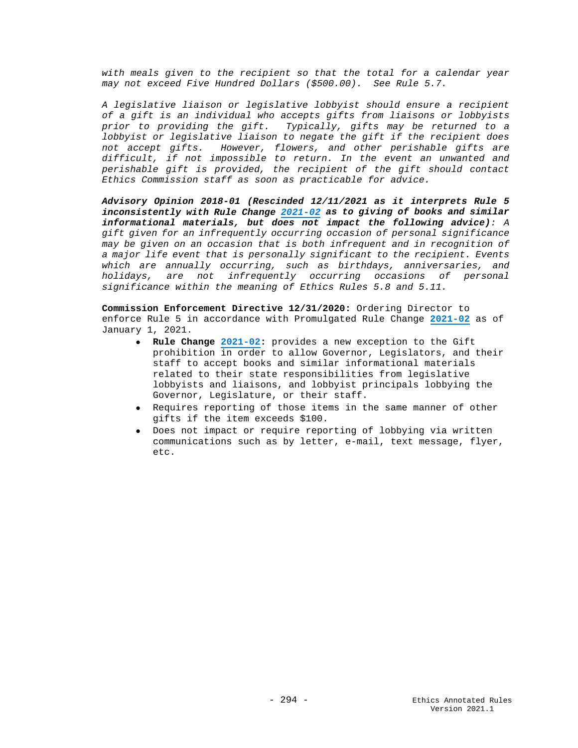*with meals given to the recipient so that the total for a calendar year may not exceed Five Hundred Dollars (\$500.00). See Rule 5.7.*

*A legislative liaison or legislative lobbyist should ensure a recipient of a gift is an individual who accepts gifts from liaisons or lobbyists prior to providing the gift. Typically, gifts may be returned to a lobbyist or legislative liaison to negate the gift if the recipient does not accept gifts. However, flowers, and other perishable gifts are difficult, if not impossible to return. In the event an unwanted and perishable gift is provided, the recipient of the gift should contact Ethics Commission staff as soon as practicable for advice.*

*Advisory Opinion 2018-01 (Rescinded 12/11/2021 as it interprets Rule 5 inconsistently with Rule Change [2021-02](https://www.ok.gov/ethics/documents/2021-02%20Amend%203%20Lobbyist%20gift%20SIGNED.pdf) as to giving of books and similar informational materials, but does not impact the following advice): A gift given for an infrequently occurring occasion of personal significance may be given on an occasion that is both infrequent and in recognition of a major life event that is personally significant to the recipient. Events which are annually occurring, such as birthdays, anniversaries, and holidays, are not infrequently occurring occasions of personal significance within the meaning of Ethics Rules 5.8 and 5.11.*

**Commission Enforcement Directive 12/31/2020:** Ordering Director to enforce Rule 5 in accordance with Promulgated Rule Change **[2021-02](https://www.ok.gov/ethics/documents/2021-02%20Amend%203%20Lobbyist%20gift%20SIGNED.pdf)** as of January 1, 2021.

- **Rule Change [2021-02:](https://www.ok.gov/ethics/documents/2021-02%20Amend%203%20Lobbyist%20gift%20SIGNED.pdf)** provides a new exception to the Gift prohibition in order to allow Governor, Legislators, and their staff to accept books and similar informational materials related to their state responsibilities from legislative lobbyists and liaisons, and lobbyist principals lobbying the Governor, Legislature, or their staff.
- Requires reporting of those items in the same manner of other gifts if the item exceeds \$100.
- Does not impact or require reporting of lobbying via written communications such as by letter, e-mail, text message, flyer, etc.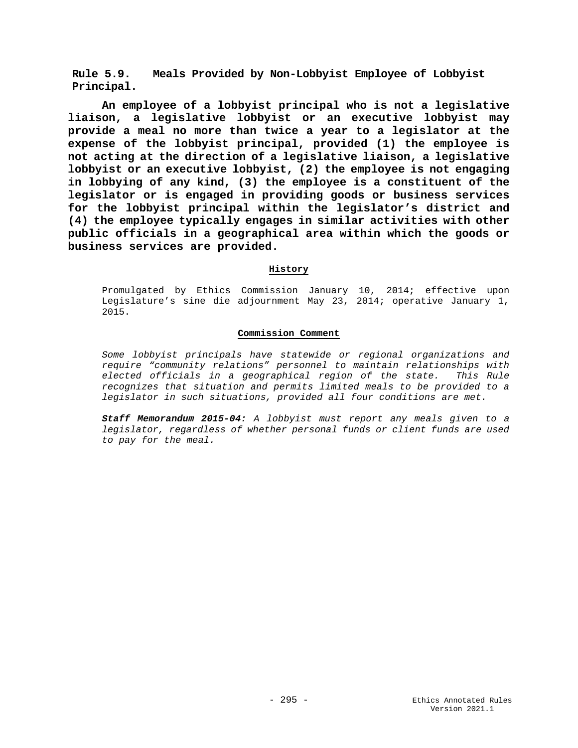**Rule 5.9. Meals Provided by Non-Lobbyist Employee of Lobbyist Principal.**

**An employee of a lobbyist principal who is not a legislative liaison, a legislative lobbyist or an executive lobbyist may provide a meal no more than twice a year to a legislator at the expense of the lobbyist principal, provided (1) the employee is not acting at the direction of a legislative liaison, a legislative lobbyist or an executive lobbyist, (2) the employee is not engaging in lobbying of any kind, (3) the employee is a constituent of the legislator or is engaged in providing goods or business services for the lobbyist principal within the legislator's district and (4) the employee typically engages in similar activities with other public officials in a geographical area within which the goods or business services are provided.**

## **History**

Promulgated by Ethics Commission January 10, 2014; effective upon Legislature's sine die adjournment May 23, 2014; operative January 1, 2015.

## **Commission Comment**

*Some lobbyist principals have statewide or regional organizations and require "community relations" personnel to maintain relationships with elected officials in a geographical region of the state. This Rule recognizes that situation and permits limited meals to be provided to a legislator in such situations, provided all four conditions are met.*

*Staff Memorandum 2015-04: A lobbyist must report any meals given to a legislator, regardless of whether personal funds or client funds are used to pay for the meal.*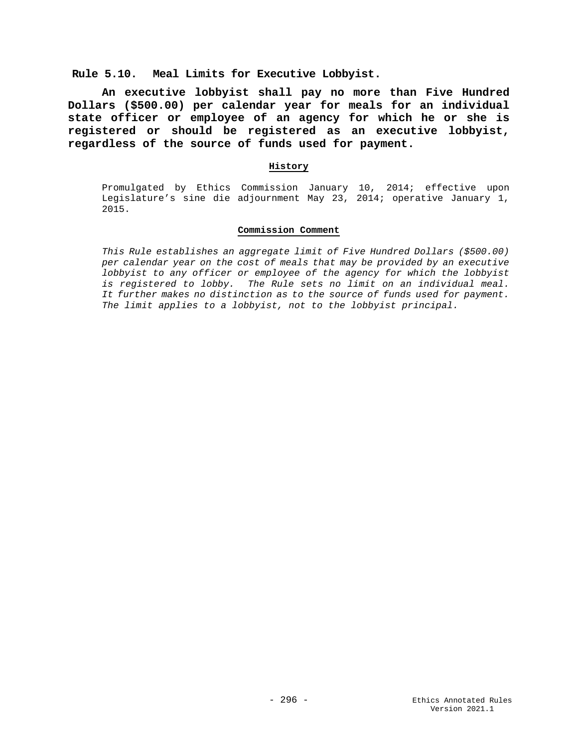# **Rule 5.10. Meal Limits for Executive Lobbyist.**

**An executive lobbyist shall pay no more than Five Hundred Dollars (\$500.00) per calendar year for meals for an individual state officer or employee of an agency for which he or she is registered or should be registered as an executive lobbyist, regardless of the source of funds used for payment.**

#### **History**

Promulgated by Ethics Commission January 10, 2014; effective upon Legislature's sine die adjournment May 23, 2014; operative January 1, 2015.

#### **Commission Comment**

*This Rule establishes an aggregate limit of Five Hundred Dollars (\$500.00) per calendar year on the cost of meals that may be provided by an executive lobbyist to any officer or employee of the agency for which the lobbyist is registered to lobby. The Rule sets no limit on an individual meal. It further makes no distinction as to the source of funds used for payment. The limit applies to a lobbyist, not to the lobbyist principal.*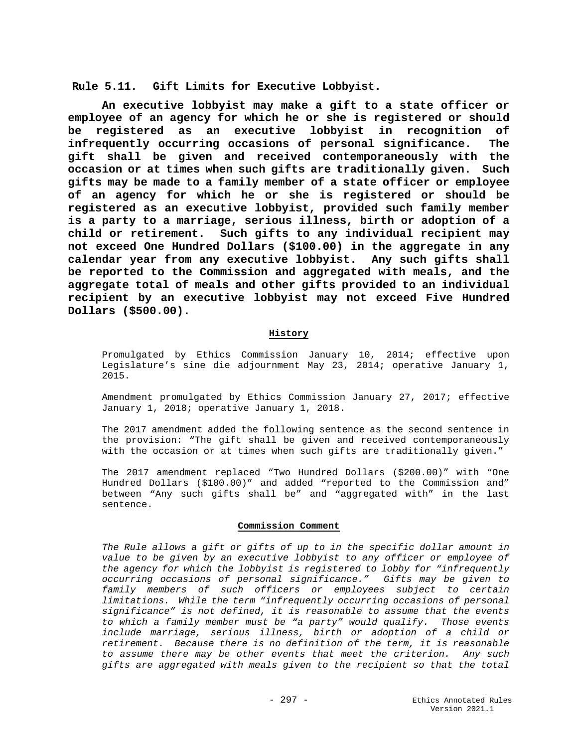**Rule 5.11. Gift Limits for Executive Lobbyist.**

**An executive lobbyist may make a gift to a state officer or employee of an agency for which he or she is registered or should be registered as an executive lobbyist in recognition of infrequently occurring occasions of personal significance. The gift shall be given and received contemporaneously with the occasion or at times when such gifts are traditionally given. Such gifts may be made to a family member of a state officer or employee of an agency for which he or she is registered or should be registered as an executive lobbyist, provided such family member is a party to a marriage, serious illness, birth or adoption of a child or retirement. Such gifts to any individual recipient may not exceed One Hundred Dollars (\$100.00) in the aggregate in any calendar year from any executive lobbyist. Any such gifts shall be reported to the Commission and aggregated with meals, and the aggregate total of meals and other gifts provided to an individual recipient by an executive lobbyist may not exceed Five Hundred Dollars (\$500.00).**

#### **History**

Promulgated by Ethics Commission January 10, 2014; effective upon Legislature's sine die adjournment May 23, 2014; operative January 1, 2015.

Amendment promulgated by Ethics Commission January 27, 2017; effective January 1, 2018; operative January 1, 2018.

The 2017 amendment added the following sentence as the second sentence in the provision: "The gift shall be given and received contemporaneously with the occasion or at times when such gifts are traditionally given."

The 2017 amendment replaced "Two Hundred Dollars (\$200.00)" with "One Hundred Dollars (\$100.00)" and added "reported to the Commission and" between "Any such gifts shall be" and "aggregated with" in the last sentence.

#### **Commission Comment**

*The Rule allows a gift or gifts of up to in the specific dollar amount in value to be given by an executive lobbyist to any officer or employee of the agency for which the lobbyist is registered to lobby for "infrequently occurring occasions of personal significance." Gifts may be given to family members of such officers or employees subject to certain limitations. While the term "infrequently occurring occasions of personal significance" is not defined, it is reasonable to assume that the events to which a family member must be "a party" would qualify. Those events include marriage, serious illness, birth or adoption of a child or retirement. Because there is no definition of the term, it is reasonable to assume there may be other events that meet the criterion. Any such gifts are aggregated with meals given to the recipient so that the total*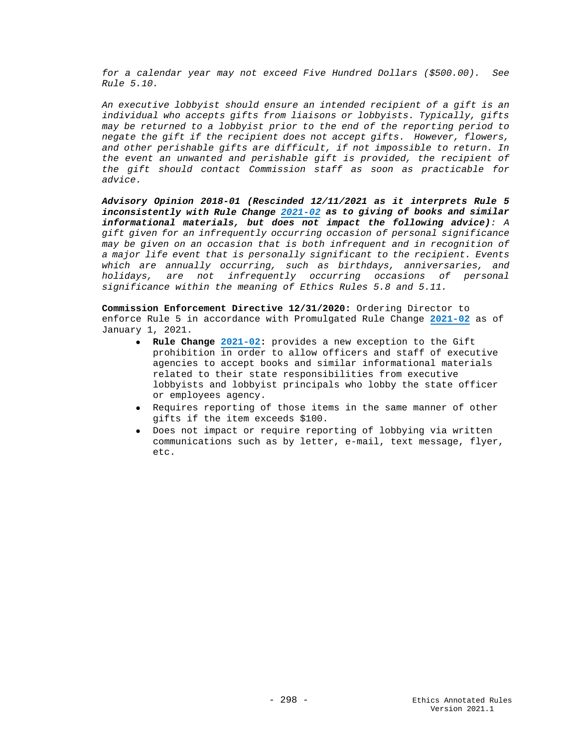*for a calendar year may not exceed Five Hundred Dollars (\$500.00). See Rule 5.10.*

*An executive lobbyist should ensure an intended recipient of a gift is an individual who accepts gifts from liaisons or lobbyists. Typically, gifts may be returned to a lobbyist prior to the end of the reporting period to negate the gift if the recipient does not accept gifts. However, flowers, and other perishable gifts are difficult, if not impossible to return. In the event an unwanted and perishable gift is provided, the recipient of the gift should contact Commission staff as soon as practicable for advice.*

*Advisory Opinion 2018-01 (Rescinded 12/11/2021 as it interprets Rule 5 inconsistently with Rule Change [2021-02](https://www.ok.gov/ethics/documents/2021-02%20Amend%203%20Lobbyist%20gift%20SIGNED.pdf) as to giving of books and similar informational materials, but does not impact the following advice): A gift given for an infrequently occurring occasion of personal significance may be given on an occasion that is both infrequent and in recognition of a major life event that is personally significant to the recipient. Events which are annually occurring, such as birthdays, anniversaries, and holidays, are not infrequently occurring occasions of personal significance within the meaning of Ethics Rules 5.8 and 5.11.*

**Commission Enforcement Directive 12/31/2020:** Ordering Director to enforce Rule 5 in accordance with Promulgated Rule Change **[2021-02](https://www.ok.gov/ethics/documents/2021-02%20Amend%203%20Lobbyist%20gift%20SIGNED.pdf)** as of January 1, 2021.

- **Rule Change [2021-02:](https://www.ok.gov/ethics/documents/2021-02%20Amend%203%20Lobbyist%20gift%20SIGNED.pdf)** provides a new exception to the Gift prohibition in order to allow officers and staff of executive agencies to accept books and similar informational materials related to their state responsibilities from executive lobbyists and lobbyist principals who lobby the state officer or employees agency.
- Requires reporting of those items in the same manner of other gifts if the item exceeds \$100.
- Does not impact or require reporting of lobbying via written communications such as by letter, e-mail, text message, flyer, etc.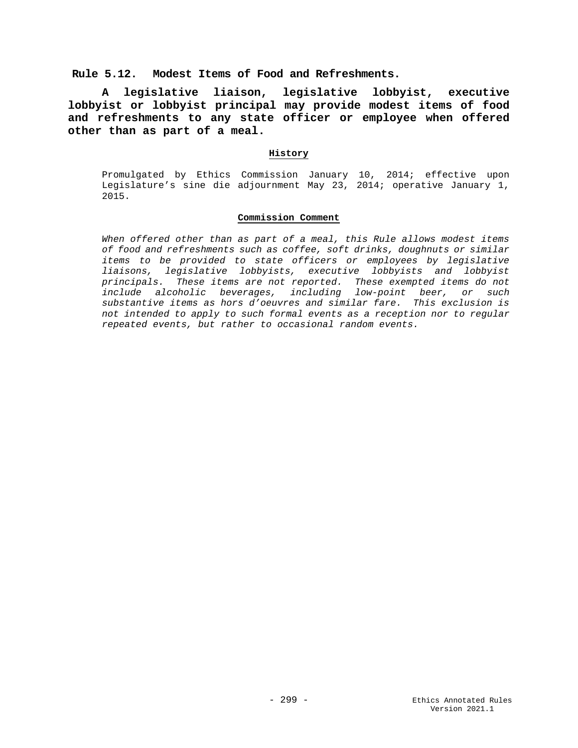# **Rule 5.12. Modest Items of Food and Refreshments.**

**A legislative liaison, legislative lobbyist, executive lobbyist or lobbyist principal may provide modest items of food and refreshments to any state officer or employee when offered other than as part of a meal.**

#### **History**

Promulgated by Ethics Commission January 10, 2014; effective upon Legislature's sine die adjournment May 23, 2014; operative January 1, 2015.

## **Commission Comment**

*When offered other than as part of a meal, this Rule allows modest items of food and refreshments such as coffee, soft drinks, doughnuts or similar items to be provided to state officers or employees by legislative liaisons, legislative lobbyists, executive lobbyists and lobbyist principals. These items are not reported. These exempted items do not include alcoholic beverages, including low-point beer, or such substantive items as hors d'oeuvres and similar fare. This exclusion is not intended to apply to such formal events as a reception nor to regular repeated events, but rather to occasional random events.*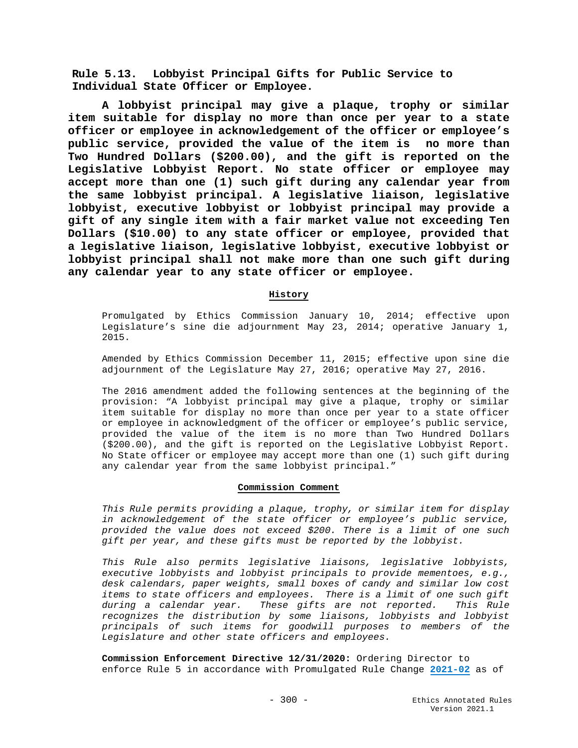**Rule 5.13. Lobbyist Principal Gifts for Public Service to Individual State Officer or Employee.**

**A lobbyist principal may give a plaque, trophy or similar item suitable for display no more than once per year to a state officer or employee in acknowledgement of the officer or employee's public service, provided the value of the item is no more than Two Hundred Dollars (\$200.00), and the gift is reported on the Legislative Lobbyist Report. No state officer or employee may accept more than one (1) such gift during any calendar year from the same lobbyist principal. A legislative liaison, legislative lobbyist, executive lobbyist or lobbyist principal may provide a gift of any single item with a fair market value not exceeding Ten Dollars (\$10.00) to any state officer or employee, provided that a legislative liaison, legislative lobbyist, executive lobbyist or lobbyist principal shall not make more than one such gift during any calendar year to any state officer or employee.**

# **History**

Promulgated by Ethics Commission January 10, 2014; effective upon Legislature's sine die adjournment May 23, 2014; operative January 1, 2015.

Amended by Ethics Commission December 11, 2015; effective upon sine die adjournment of the Legislature May 27, 2016; operative May 27, 2016.

The 2016 amendment added the following sentences at the beginning of the provision: "A lobbyist principal may give a plaque, trophy or similar item suitable for display no more than once per year to a state officer or employee in acknowledgment of the officer or employee's public service, provided the value of the item is no more than Two Hundred Dollars (\$200.00), and the gift is reported on the Legislative Lobbyist Report. No State officer or employee may accept more than one (1) such gift during any calendar year from the same lobbyist principal."

## **Commission Comment**

*This Rule permits providing a plaque, trophy, or similar item for display in acknowledgement of the state officer or employee's public service, provided the value does not exceed \$200. There is a limit of one such gift per year, and these gifts must be reported by the lobbyist.* 

*This Rule also permits legislative liaisons, legislative lobbyists, executive lobbyists and lobbyist principals to provide mementoes, e.g., desk calendars, paper weights, small boxes of candy and similar low cost items to state officers and employees. There is a limit of one such gift during a calendar year. These gifts are not reported. This Rule recognizes the distribution by some liaisons, lobbyists and lobbyist principals of such items for goodwill purposes to members of the Legislature and other state officers and employees.*

**Commission Enforcement Directive 12/31/2020:** Ordering Director to enforce Rule 5 in accordance with Promulgated Rule Change **[2021-02](https://www.ok.gov/ethics/documents/2021-02%20Amend%203%20Lobbyist%20gift%20SIGNED.pdf)** as of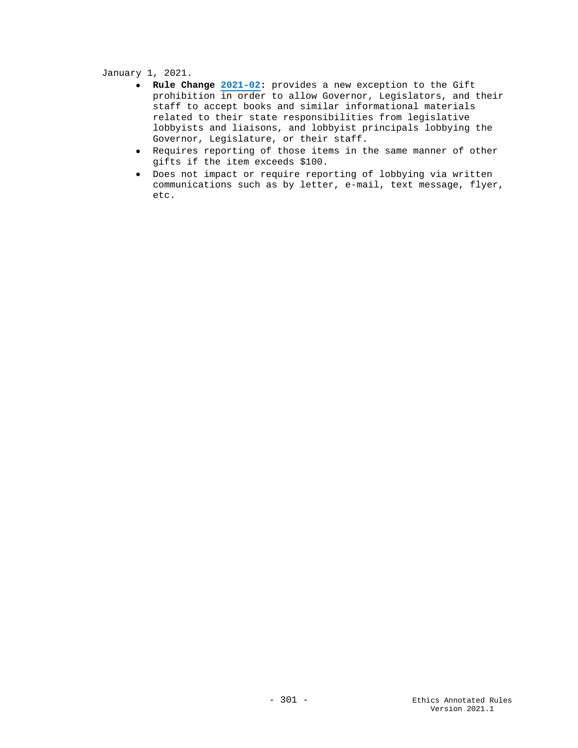January 1, 2021.

- **Rule Change [2021-02:](https://www.ok.gov/ethics/documents/2021-02%20Amend%203%20Lobbyist%20gift%20SIGNED.pdf)** provides a new exception to the Gift prohibition in order to allow Governor, Legislators, and their staff to accept books and similar informational materials related to their state responsibilities from legislative lobbyists and liaisons, and lobbyist principals lobbying the Governor, Legislature, or their staff.
- Requires reporting of those items in the same manner of other gifts if the item exceeds \$100.
- Does not impact or require reporting of lobbying via written communications such as by letter, e-mail, text message, flyer, etc.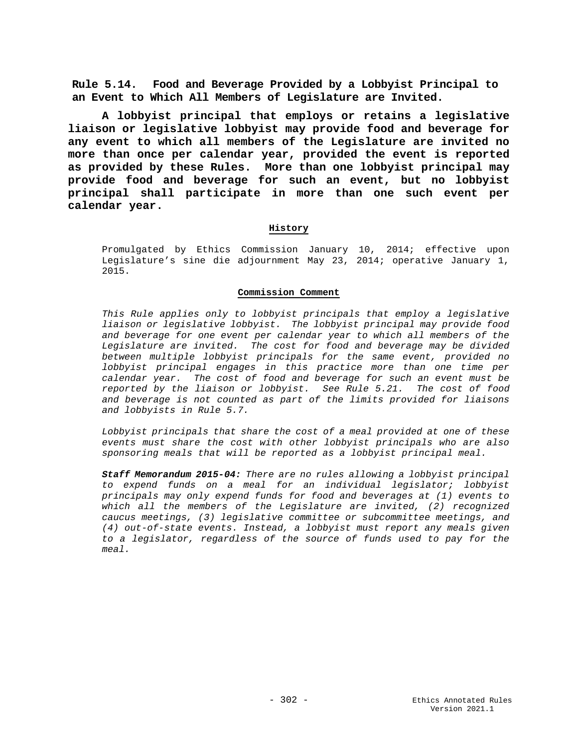**Rule 5.14. Food and Beverage Provided by a Lobbyist Principal to an Event to Which All Members of Legislature are Invited.**

**A lobbyist principal that employs or retains a legislative liaison or legislative lobbyist may provide food and beverage for any event to which all members of the Legislature are invited no more than once per calendar year, provided the event is reported as provided by these Rules. More than one lobbyist principal may provide food and beverage for such an event, but no lobbyist principal shall participate in more than one such event per calendar year.**

## **History**

Promulgated by Ethics Commission January 10, 2014; effective upon Legislature's sine die adjournment May 23, 2014; operative January 1, 2015.

#### **Commission Comment**

*This Rule applies only to lobbyist principals that employ a legislative liaison or legislative lobbyist. The lobbyist principal may provide food and beverage for one event per calendar year to which all members of the Legislature are invited. The cost for food and beverage may be divided between multiple lobbyist principals for the same event, provided no lobbyist principal engages in this practice more than one time per calendar year. The cost of food and beverage for such an event must be reported by the liaison or lobbyist. See Rule 5.21. The cost of food and beverage is not counted as part of the limits provided for liaisons and lobbyists in Rule 5.7.*

*Lobbyist principals that share the cost of a meal provided at one of these events must share the cost with other lobbyist principals who are also sponsoring meals that will be reported as a lobbyist principal meal.*

*Staff Memorandum 2015-04: There are no rules allowing a lobbyist principal to expend funds on a meal for an individual legislator; lobbyist principals may only expend funds for food and beverages at (1) events to which all the members of the Legislature are invited, (2) recognized caucus meetings, (3) legislative committee or subcommittee meetings, and (4) out-of-state events. Instead, a lobbyist must report any meals given to a legislator, regardless of the source of funds used to pay for the meal.*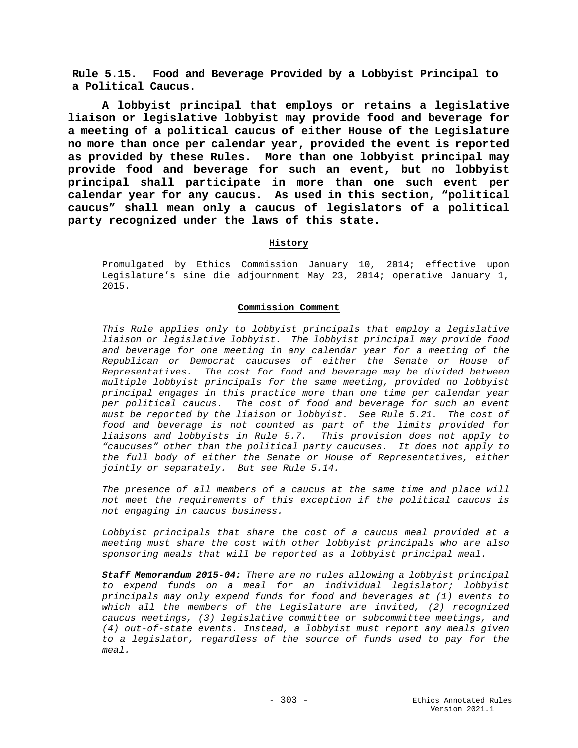**Rule 5.15. Food and Beverage Provided by a Lobbyist Principal to a Political Caucus.**

**A lobbyist principal that employs or retains a legislative liaison or legislative lobbyist may provide food and beverage for a meeting of a political caucus of either House of the Legislature no more than once per calendar year, provided the event is reported as provided by these Rules. More than one lobbyist principal may provide food and beverage for such an event, but no lobbyist principal shall participate in more than one such event per calendar year for any caucus. As used in this section, "political caucus" shall mean only a caucus of legislators of a political party recognized under the laws of this state.**

## **History**

Promulgated by Ethics Commission January 10, 2014; effective upon Legislature's sine die adjournment May 23, 2014; operative January 1, 2015.

#### **Commission Comment**

*This Rule applies only to lobbyist principals that employ a legislative liaison or legislative lobbyist. The lobbyist principal may provide food and beverage for one meeting in any calendar year for a meeting of the Republican or Democrat caucuses of either the Senate or House of Representatives. The cost for food and beverage may be divided between multiple lobbyist principals for the same meeting, provided no lobbyist principal engages in this practice more than one time per calendar year per political caucus. The cost of food and beverage for such an event must be reported by the liaison or lobbyist. See Rule 5.21. The cost of food and beverage is not counted as part of the limits provided for liaisons and lobbyists in Rule 5.7. This provision does not apply to "caucuses" other than the political party caucuses. It does not apply to the full body of either the Senate or House of Representatives, either jointly or separately. But see Rule 5.14.* 

*The presence of all members of a caucus at the same time and place will not meet the requirements of this exception if the political caucus is not engaging in caucus business.* 

*Lobbyist principals that share the cost of a caucus meal provided at a meeting must share the cost with other lobbyist principals who are also sponsoring meals that will be reported as a lobbyist principal meal.*

*Staff Memorandum 2015-04: There are no rules allowing a lobbyist principal to expend funds on a meal for an individual legislator; lobbyist principals may only expend funds for food and beverages at (1) events to which all the members of the Legislature are invited, (2) recognized caucus meetings, (3) legislative committee or subcommittee meetings, and (4) out-of-state events. Instead, a lobbyist must report any meals given to a legislator, regardless of the source of funds used to pay for the meal.*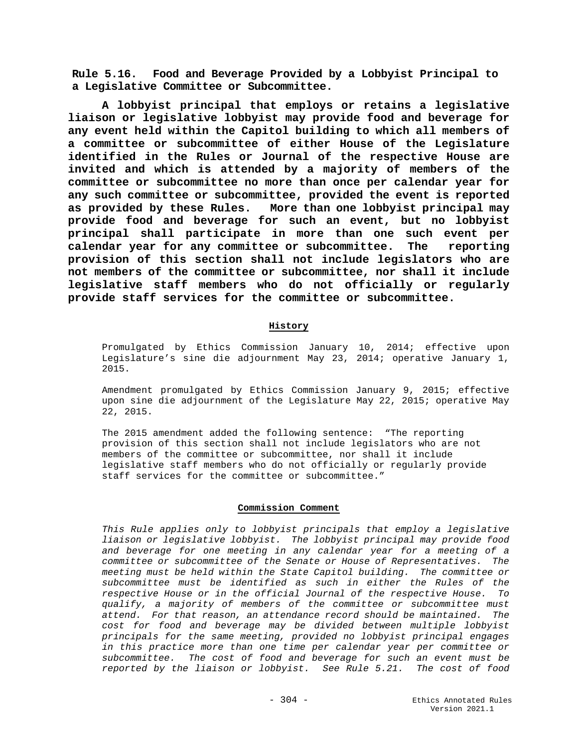**Rule 5.16. Food and Beverage Provided by a Lobbyist Principal to a Legislative Committee or Subcommittee.**

**A lobbyist principal that employs or retains a legislative liaison or legislative lobbyist may provide food and beverage for any event held within the Capitol building to which all members of a committee or subcommittee of either House of the Legislature identified in the Rules or Journal of the respective House are invited and which is attended by a majority of members of the committee or subcommittee no more than once per calendar year for any such committee or subcommittee, provided the event is reported as provided by these Rules. More than one lobbyist principal may provide food and beverage for such an event, but no lobbyist principal shall participate in more than one such event per calendar year for any committee or subcommittee. The reporting provision of this section shall not include legislators who are not members of the committee or subcommittee, nor shall it include legislative staff members who do not officially or regularly provide staff services for the committee or subcommittee.**

## **History**

Promulgated by Ethics Commission January 10, 2014; effective upon Legislature's sine die adjournment May 23, 2014; operative January 1, 2015.

Amendment promulgated by Ethics Commission January 9, 2015; effective upon sine die adjournment of the Legislature May 22, 2015; operative May 22, 2015.

The 2015 amendment added the following sentence: "The reporting provision of this section shall not include legislators who are not members of the committee or subcommittee, nor shall it include legislative staff members who do not officially or regularly provide staff services for the committee or subcommittee."

#### **Commission Comment**

*This Rule applies only to lobbyist principals that employ a legislative liaison or legislative lobbyist. The lobbyist principal may provide food and beverage for one meeting in any calendar year for a meeting of a committee or subcommittee of the Senate or House of Representatives. The meeting must be held within the State Capitol building. The committee or subcommittee must be identified as such in either the Rules of the respective House or in the official Journal of the respective House. To qualify, a majority of members of the committee or subcommittee must attend. For that reason, an attendance record should be maintained. The cost for food and beverage may be divided between multiple lobbyist principals for the same meeting, provided no lobbyist principal engages in this practice more than one time per calendar year per committee or subcommittee. The cost of food and beverage for such an event must be reported by the liaison or lobbyist. See Rule 5.21. The cost of food*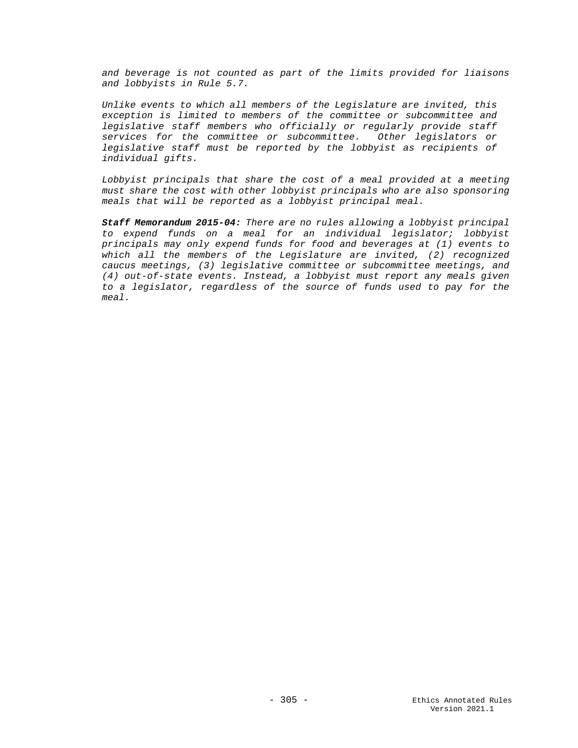*and beverage is not counted as part of the limits provided for liaisons and lobbyists in Rule 5.7.* 

*Unlike events to which all members of the Legislature are invited, this exception is limited to members of the committee or subcommittee and legislative staff members who officially or regularly provide staff services for the committee or subcommittee. Other legislators or legislative staff must be reported by the lobbyist as recipients of individual gifts.*

*Lobbyist principals that share the cost of a meal provided at a meeting must share the cost with other lobbyist principals who are also sponsoring meals that will be reported as a lobbyist principal meal.*

*Staff Memorandum 2015-04: There are no rules allowing a lobbyist principal to expend funds on a meal for an individual legislator; lobbyist principals may only expend funds for food and beverages at (1) events to which all the members of the Legislature are invited, (2) recognized caucus meetings, (3) legislative committee or subcommittee meetings, and (4) out-of-state events. Instead, a lobbyist must report any meals given to a legislator, regardless of the source of funds used to pay for the meal.*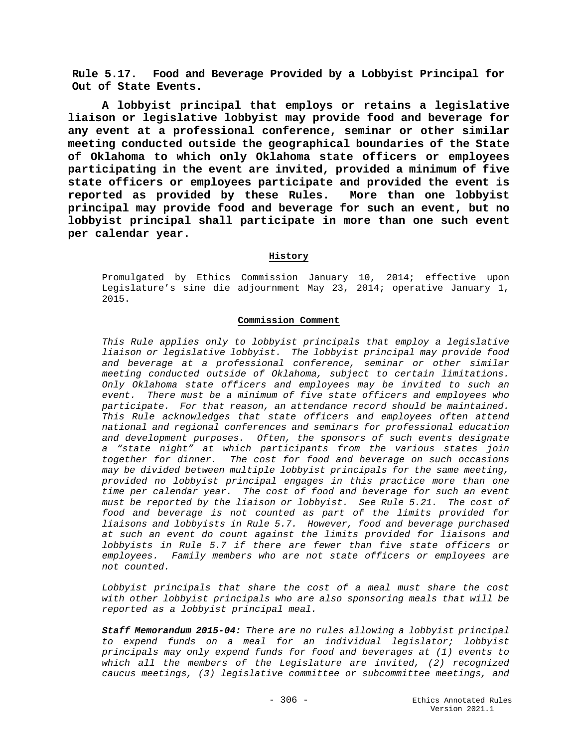**Rule 5.17. Food and Beverage Provided by a Lobbyist Principal for Out of State Events.**

**A lobbyist principal that employs or retains a legislative liaison or legislative lobbyist may provide food and beverage for any event at a professional conference, seminar or other similar meeting conducted outside the geographical boundaries of the State of Oklahoma to which only Oklahoma state officers or employees participating in the event are invited, provided a minimum of five state officers or employees participate and provided the event is reported as provided by these Rules. More than one lobbyist principal may provide food and beverage for such an event, but no lobbyist principal shall participate in more than one such event per calendar year.**

## **History**

Promulgated by Ethics Commission January 10, 2014; effective upon Legislature's sine die adjournment May 23, 2014; operative January 1, 2015.

## **Commission Comment**

*This Rule applies only to lobbyist principals that employ a legislative liaison or legislative lobbyist. The lobbyist principal may provide food and beverage at a professional conference, seminar or other similar meeting conducted outside of Oklahoma, subject to certain limitations. Only Oklahoma state officers and employees may be invited to such an event. There must be a minimum of five state officers and employees who participate. For that reason, an attendance record should be maintained. This Rule acknowledges that state officers and employees often attend national and regional conferences and seminars for professional education and development purposes. Often, the sponsors of such events designate a "state night" at which participants from the various states join together for dinner. The cost for food and beverage on such occasions may be divided between multiple lobbyist principals for the same meeting, provided no lobbyist principal engages in this practice more than one time per calendar year. The cost of food and beverage for such an event must be reported by the liaison or lobbyist. See Rule 5.21. The cost of food and beverage is not counted as part of the limits provided for liaisons and lobbyists in Rule 5.7. However, food and beverage purchased at such an event do count against the limits provided for liaisons and lobbyists in Rule 5.7 if there are fewer than five state officers or employees. Family members who are not state officers or employees are not counted.*

*Lobbyist principals that share the cost of a meal must share the cost with other lobbyist principals who are also sponsoring meals that will be reported as a lobbyist principal meal.*

*Staff Memorandum 2015-04: There are no rules allowing a lobbyist principal to expend funds on a meal for an individual legislator; lobbyist principals may only expend funds for food and beverages at (1) events to which all the members of the Legislature are invited, (2) recognized caucus meetings, (3) legislative committee or subcommittee meetings, and*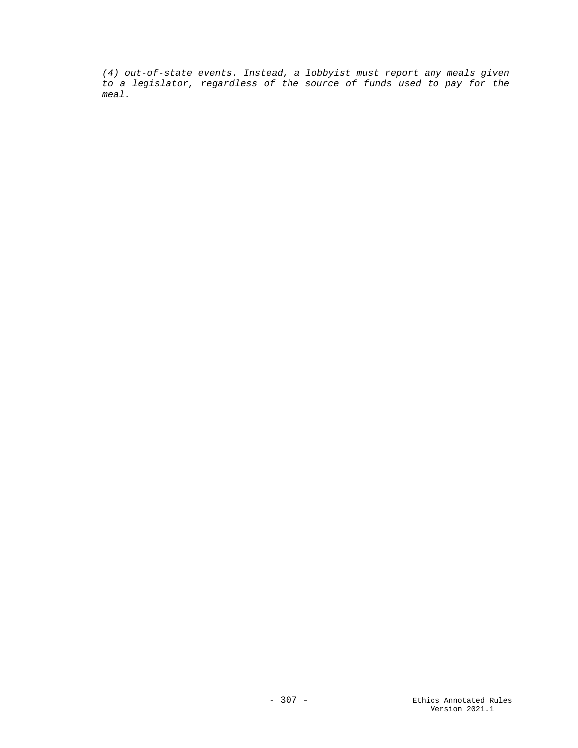*(4) out-of-state events. Instead, a lobbyist must report any meals given to a legislator, regardless of the source of funds used to pay for the meal.*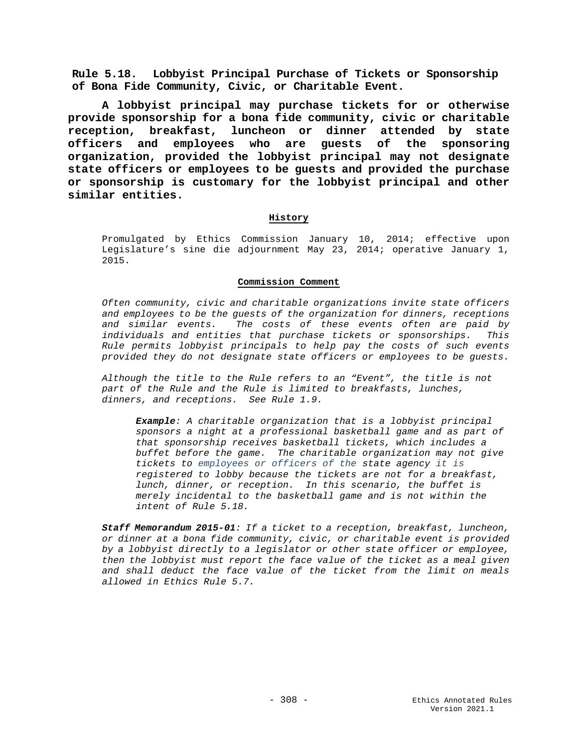**Rule 5.18. Lobbyist Principal Purchase of Tickets or Sponsorship of Bona Fide Community, Civic, or Charitable Event.**

**A lobbyist principal may purchase tickets for or otherwise provide sponsorship for a bona fide community, civic or charitable reception, breakfast, luncheon or dinner attended by state officers and employees who are guests of the sponsoring organization, provided the lobbyist principal may not designate state officers or employees to be guests and provided the purchase or sponsorship is customary for the lobbyist principal and other similar entities.**

## **History**

Promulgated by Ethics Commission January 10, 2014; effective upon Legislature's sine die adjournment May 23, 2014; operative January 1, 2015.

#### **Commission Comment**

*Often community, civic and charitable organizations invite state officers and employees to be the guests of the organization for dinners, receptions and similar events. The costs of these events often are paid by individuals and entities that purchase tickets or sponsorships. This Rule permits lobbyist principals to help pay the costs of such events provided they do not designate state officers or employees to be guests.*

*Although the title to the Rule refers to an "Event", the title is not part of the Rule and the Rule is limited to breakfasts, lunches, dinners, and receptions. See Rule 1.9.*

*Example: A charitable organization that is a lobbyist principal sponsors a night at a professional basketball game and as part of that sponsorship receives basketball tickets, which includes a buffet before the game. The charitable organization may not give tickets to employees or officers of the state agency it is registered to lobby because the tickets are not for a breakfast, lunch, dinner, or reception. In this scenario, the buffet is merely incidental to the basketball game and is not within the intent of Rule 5.18.*

*Staff Memorandum 2015-01: If a ticket to a reception, breakfast, luncheon, or dinner at a bona fide community, civic, or charitable event is provided by a lobbyist directly to a legislator or other state officer or employee, then the lobbyist must report the face value of the ticket as a meal given and shall deduct the face value of the ticket from the limit on meals allowed in Ethics Rule 5.7.*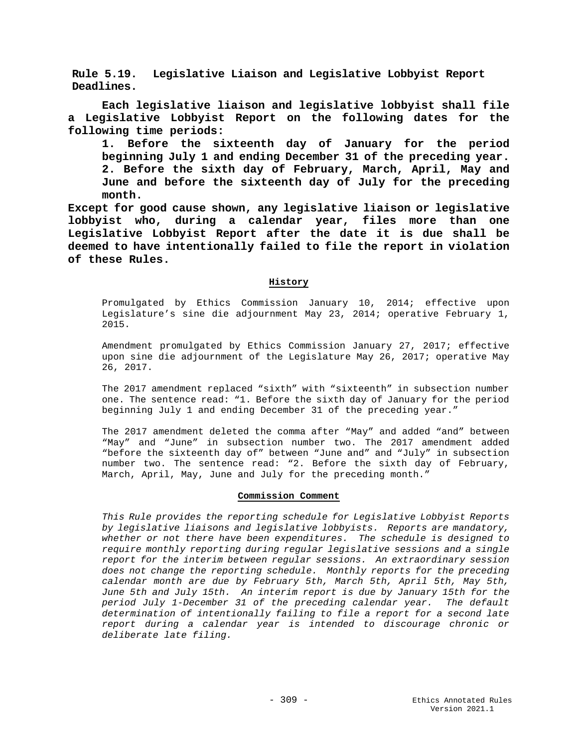**Rule 5.19. Legislative Liaison and Legislative Lobbyist Report Deadlines.**

**Each legislative liaison and legislative lobbyist shall file a Legislative Lobbyist Report on the following dates for the following time periods:**

**1. Before the sixteenth day of January for the period beginning July 1 and ending December 31 of the preceding year. 2. Before the sixth day of February, March, April, May and June and before the sixteenth day of July for the preceding month.**

**Except for good cause shown, any legislative liaison or legislative lobbyist who, during a calendar year, files more than one Legislative Lobbyist Report after the date it is due shall be deemed to have intentionally failed to file the report in violation of these Rules.**

# **History**

Promulgated by Ethics Commission January 10, 2014; effective upon Legislature's sine die adjournment May 23, 2014; operative February 1, 2015.

Amendment promulgated by Ethics Commission January 27, 2017; effective upon sine die adjournment of the Legislature May 26, 2017; operative May 26, 2017.

The 2017 amendment replaced "sixth" with "sixteenth" in subsection number one. The sentence read: "1. Before the sixth day of January for the period beginning July 1 and ending December 31 of the preceding year."

The 2017 amendment deleted the comma after "May" and added "and" between "May" and "June" in subsection number two. The 2017 amendment added "before the sixteenth day of" between "June and" and "July" in subsection number two. The sentence read: "2. Before the sixth day of February, March, April, May, June and July for the preceding month."

## **Commission Comment**

*This Rule provides the reporting schedule for Legislative Lobbyist Reports by legislative liaisons and legislative lobbyists. Reports are mandatory, whether or not there have been expenditures. The schedule is designed to require monthly reporting during regular legislative sessions and a single report for the interim between regular sessions. An extraordinary session does not change the reporting schedule. Monthly reports for the preceding calendar month are due by February 5th, March 5th, April 5th, May 5th, June 5th and July 15th. An interim report is due by January 15th for the period July 1-December 31 of the preceding calendar year. The default determination of intentionally failing to file a report for a second late report during a calendar year is intended to discourage chronic or deliberate late filing.*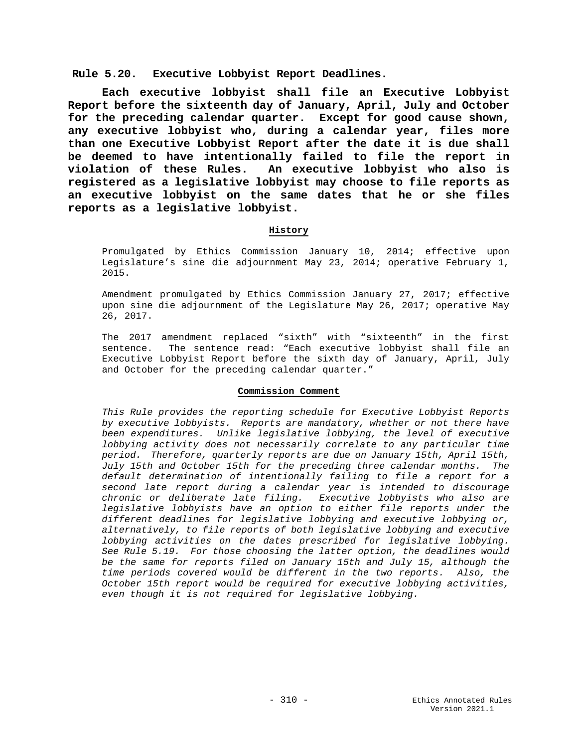**Rule 5.20. Executive Lobbyist Report Deadlines.**

**Each executive lobbyist shall file an Executive Lobbyist Report before the sixteenth day of January, April, July and October for the preceding calendar quarter. Except for good cause shown, any executive lobbyist who, during a calendar year, files more than one Executive Lobbyist Report after the date it is due shall be deemed to have intentionally failed to file the report in**  An executive lobbyist who also is **registered as a legislative lobbyist may choose to file reports as an executive lobbyist on the same dates that he or she files reports as a legislative lobbyist.** 

## **History**

Promulgated by Ethics Commission January 10, 2014; effective upon Legislature's sine die adjournment May 23, 2014; operative February 1, 2015.

Amendment promulgated by Ethics Commission January 27, 2017; effective upon sine die adjournment of the Legislature May 26, 2017; operative May 26, 2017.

The 2017 amendment replaced "sixth" with "sixteenth" in the first<br>sentence. The sentence read: "Each executive lobbyist shall file an The sentence read: "Each executive lobbyist shall file an Executive Lobbyist Report before the sixth day of January, April, July and October for the preceding calendar quarter."

## **Commission Comment**

*This Rule provides the reporting schedule for Executive Lobbyist Reports by executive lobbyists. Reports are mandatory, whether or not there have been expenditures. Unlike legislative lobbying, the level of executive lobbying activity does not necessarily correlate to any particular time period. Therefore, quarterly reports are due on January 15th, April 15th, July 15th and October 15th for the preceding three calendar months. The default determination of intentionally failing to file a report for a second late report during a calendar year is intended to discourage chronic or deliberate late filing. Executive lobbyists who also are legislative lobbyists have an option to either file reports under the different deadlines for legislative lobbying and executive lobbying or, alternatively, to file reports of both legislative lobbying and executive lobbying activities on the dates prescribed for legislative lobbying. See Rule 5.19. For those choosing the latter option, the deadlines would be the same for reports filed on January 15th and July 15, although the time periods covered would be different in the two reports. Also, the October 15th report would be required for executive lobbying activities, even though it is not required for legislative lobbying.*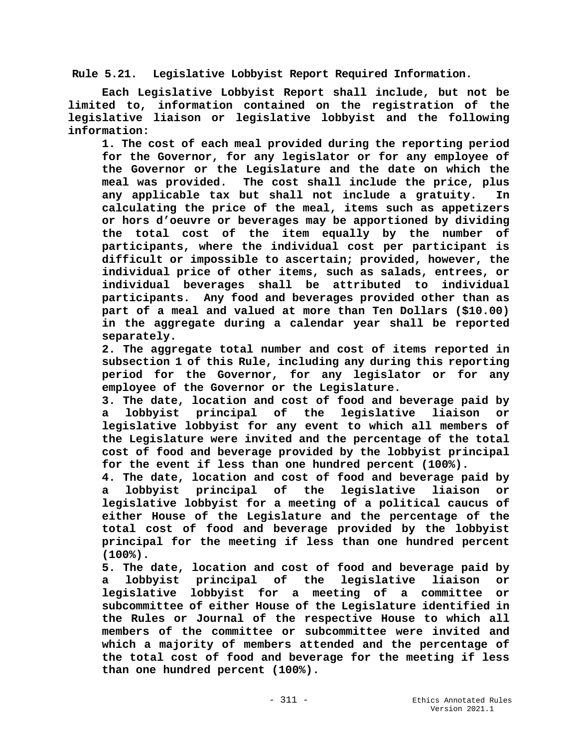**Rule 5.21. Legislative Lobbyist Report Required Information.**

**Each Legislative Lobbyist Report shall include, but not be limited to, information contained on the registration of the legislative liaison or legislative lobbyist and the following information:**

**1. The cost of each meal provided during the reporting period for the Governor, for any legislator or for any employee of the Governor or the Legislature and the date on which the meal was provided. The cost shall include the price, plus any applicable tax but shall not include a gratuity. In calculating the price of the meal, items such as appetizers or hors d'oeuvre or beverages may be apportioned by dividing the total cost of the item equally by the number of participants, where the individual cost per participant is difficult or impossible to ascertain; provided, however, the individual price of other items, such as salads, entrees, or individual beverages shall be attributed to individual participants. Any food and beverages provided other than as part of a meal and valued at more than Ten Dollars (\$10.00) in the aggregate during a calendar year shall be reported separately.** 

**2. The aggregate total number and cost of items reported in subsection 1 of this Rule, including any during this reporting period for the Governor, for any legislator or for any employee of the Governor or the Legislature.**

**3. The date, location and cost of food and beverage paid by a lobbyist principal of the legislative liaison or legislative lobbyist for any event to which all members of the Legislature were invited and the percentage of the total cost of food and beverage provided by the lobbyist principal for the event if less than one hundred percent (100%).**

**4. The date, location and cost of food and beverage paid by a lobbyist principal of the legislative liaison or legislative lobbyist for a meeting of a political caucus of either House of the Legislature and the percentage of the total cost of food and beverage provided by the lobbyist principal for the meeting if less than one hundred percent (100%).**

**5. The date, location and cost of food and beverage paid by a lobbyist principal of the legislative liaison or legislative lobbyist for a meeting of a committee or subcommittee of either House of the Legislature identified in the Rules or Journal of the respective House to which all members of the committee or subcommittee were invited and which a majority of members attended and the percentage of the total cost of food and beverage for the meeting if less than one hundred percent (100%).**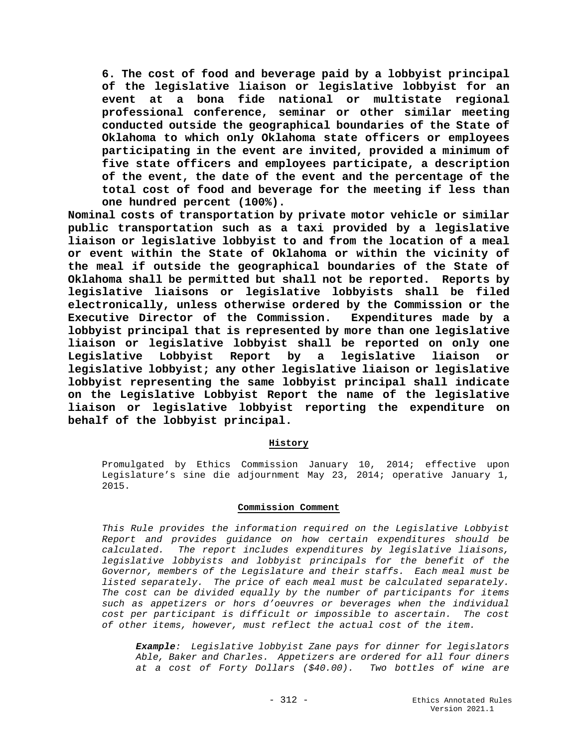**6. The cost of food and beverage paid by a lobbyist principal of the legislative liaison or legislative lobbyist for an event at a bona fide national or multistate regional professional conference, seminar or other similar meeting conducted outside the geographical boundaries of the State of Oklahoma to which only Oklahoma state officers or employees participating in the event are invited, provided a minimum of five state officers and employees participate, a description of the event, the date of the event and the percentage of the total cost of food and beverage for the meeting if less than one hundred percent (100%).**

**Nominal costs of transportation by private motor vehicle or similar public transportation such as a taxi provided by a legislative liaison or legislative lobbyist to and from the location of a meal or event within the State of Oklahoma or within the vicinity of the meal if outside the geographical boundaries of the State of Oklahoma shall be permitted but shall not be reported. Reports by legislative liaisons or legislative lobbyists shall be filed electronically, unless otherwise ordered by the Commission or the Executive Director of the Commission. Expenditures made by a lobbyist principal that is represented by more than one legislative liaison or legislative lobbyist shall be reported on only one Legislative Lobbyist Report by a legislative liaison or legislative lobbyist; any other legislative liaison or legislative lobbyist representing the same lobbyist principal shall indicate on the Legislative Lobbyist Report the name of the legislative liaison or legislative lobbyist reporting the expenditure on behalf of the lobbyist principal.** 

## **History**

Promulgated by Ethics Commission January 10, 2014; effective upon Legislature's sine die adjournment May 23, 2014; operative January 1, 2015.

## **Commission Comment**

*This Rule provides the information required on the Legislative Lobbyist Report and provides guidance on how certain expenditures should be calculated. The report includes expenditures by legislative liaisons, legislative lobbyists and lobbyist principals for the benefit of the Governor, members of the Legislature and their staffs. Each meal must be listed separately. The price of each meal must be calculated separately. The cost can be divided equally by the number of participants for items such as appetizers or hors d'oeuvres or beverages when the individual cost per participant is difficult or impossible to ascertain. The cost of other items, however, must reflect the actual cost of the item.* 

*Example: Legislative lobbyist Zane pays for dinner for legislators Able, Baker and Charles. Appetizers are ordered for all four diners at a cost of Forty Dollars (\$40.00). Two bottles of wine are*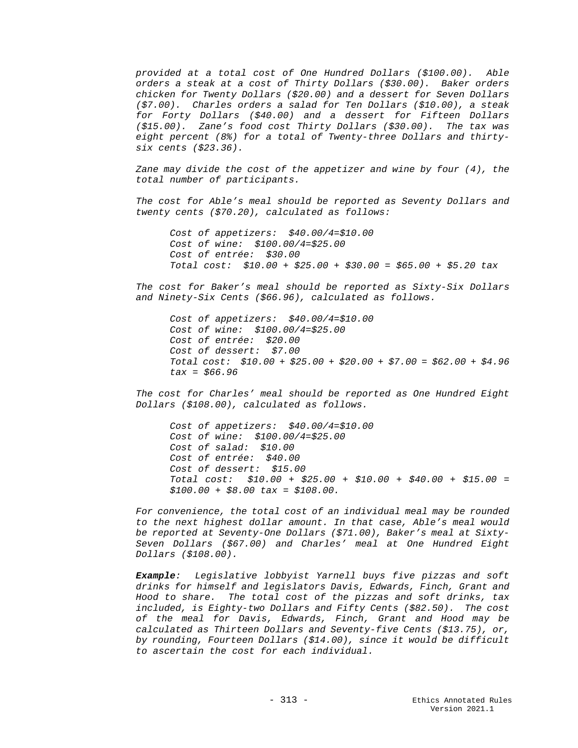*provided at a total cost of One Hundred Dollars (\$100.00). Able orders a steak at a cost of Thirty Dollars (\$30.00). Baker orders chicken for Twenty Dollars (\$20.00) and a dessert for Seven Dollars (\$7.00). Charles orders a salad for Ten Dollars (\$10.00), a steak for Forty Dollars (\$40.00) and a dessert for Fifteen Dollars (\$15.00). Zane's food cost Thirty Dollars (\$30.00). The tax was eight percent (8%) for a total of Twenty-three Dollars and thirtysix cents (\$23.36).* 

*Zane may divide the cost of the appetizer and wine by four (4), the total number of participants.* 

*The cost for Able's meal should be reported as Seventy Dollars and twenty cents (\$70.20), calculated as follows:*

*Cost of appetizers: \$40.00/4=\$10.00 Cost of wine: \$100.00/4=\$25.00 Cost of entrée: \$30.00 Total cost: \$10.00 + \$25.00 + \$30.00 = \$65.00 + \$5.20 tax* 

*The cost for Baker's meal should be reported as Sixty-Six Dollars and Ninety-Six Cents (\$66.96), calculated as follows.*

*Cost of appetizers: \$40.00/4=\$10.00 Cost of wine: \$100.00/4=\$25.00 Cost of entrée: \$20.00 Cost of dessert: \$7.00 Total cost: \$10.00 + \$25.00 + \$20.00 + \$7.00 = \$62.00 + \$4.96 tax = \$66.96*

*The cost for Charles' meal should be reported as One Hundred Eight Dollars (\$108.00), calculated as follows.* 

*Cost of appetizers: \$40.00/4=\$10.00 Cost of wine: \$100.00/4=\$25.00 Cost of salad: \$10.00 Cost of entrée: \$40.00 Cost of dessert: \$15.00 Total cost: \$10.00 + \$25.00 + \$10.00 + \$40.00 + \$15.00 = \$100.00 + \$8.00 tax = \$108.00.* 

*For convenience, the total cost of an individual meal may be rounded to the next highest dollar amount. In that case, Able's meal would be reported at Seventy-One Dollars (\$71.00), Baker's meal at Sixty-Seven Dollars (\$67.00) and Charles' meal at One Hundred Eight Dollars (\$108.00).*

*Example: Legislative lobbyist Yarnell buys five pizzas and soft drinks for himself and legislators Davis, Edwards, Finch, Grant and Hood to share. The total cost of the pizzas and soft drinks, tax included, is Eighty-two Dollars and Fifty Cents (\$82.50). The cost of the meal for Davis, Edwards, Finch, Grant and Hood may be calculated as Thirteen Dollars and Seventy-five Cents (\$13.75), or, by rounding, Fourteen Dollars (\$14.00), since it would be difficult to ascertain the cost for each individual.*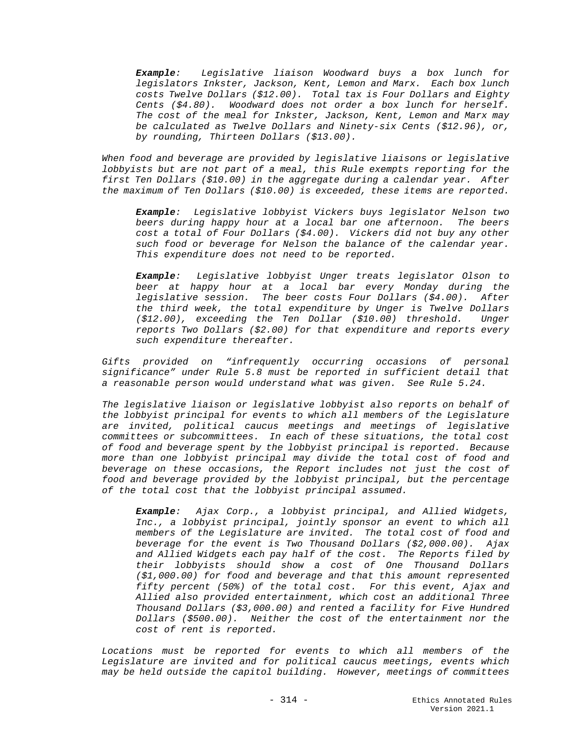*Example: Legislative liaison Woodward buys a box lunch for legislators Inkster, Jackson, Kent, Lemon and Marx. Each box lunch costs Twelve Dollars (\$12.00). Total tax is Four Dollars and Eighty Cents (\$4.80). Woodward does not order a box lunch for herself. The cost of the meal for Inkster, Jackson, Kent, Lemon and Marx may be calculated as Twelve Dollars and Ninety-six Cents (\$12.96), or, by rounding, Thirteen Dollars (\$13.00).*

*When food and beverage are provided by legislative liaisons or legislative lobbyists but are not part of a meal, this Rule exempts reporting for the first Ten Dollars (\$10.00) in the aggregate during a calendar year. After the maximum of Ten Dollars (\$10.00) is exceeded, these items are reported.*

*Example: Legislative lobbyist Vickers buys legislator Nelson two beers during happy hour at a local bar one afternoon. The beers cost a total of Four Dollars (\$4.00). Vickers did not buy any other such food or beverage for Nelson the balance of the calendar year. This expenditure does not need to be reported.*

*Example: Legislative lobbyist Unger treats legislator Olson to beer at happy hour at a local bar every Monday during the legislative session. The beer costs Four Dollars (\$4.00). After the third week, the total expenditure by Unger is Twelve Dollars (\$12.00), exceeding the Ten Dollar (\$10.00) threshold. Unger reports Two Dollars (\$2.00) for that expenditure and reports every such expenditure thereafter.*

*Gifts provided on "infrequently occurring occasions of personal significance" under Rule 5.8 must be reported in sufficient detail that a reasonable person would understand what was given. See Rule 5.24.*

*The legislative liaison or legislative lobbyist also reports on behalf of the lobbyist principal for events to which all members of the Legislature are invited, political caucus meetings and meetings of legislative committees or subcommittees. In each of these situations, the total cost of food and beverage spent by the lobbyist principal is reported. Because more than one lobbyist principal may divide the total cost of food and beverage on these occasions, the Report includes not just the cost of food and beverage provided by the lobbyist principal, but the percentage of the total cost that the lobbyist principal assumed.*

*Example: Ajax Corp., a lobbyist principal, and Allied Widgets, Inc., a lobbyist principal, jointly sponsor an event to which all members of the Legislature are invited. The total cost of food and beverage for the event is Two Thousand Dollars (\$2,000.00). Ajax and Allied Widgets each pay half of the cost. The Reports filed by their lobbyists should show a cost of One Thousand Dollars (\$1,000.00) for food and beverage and that this amount represented fifty percent (50%) of the total cost. For this event, Ajax and Allied also provided entertainment, which cost an additional Three Thousand Dollars (\$3,000.00) and rented a facility for Five Hundred Dollars (\$500.00). Neither the cost of the entertainment nor the cost of rent is reported.*

Locations must be reported for events to which all members of the *Legislature are invited and for political caucus meetings, events which may be held outside the capitol building. However, meetings of committees*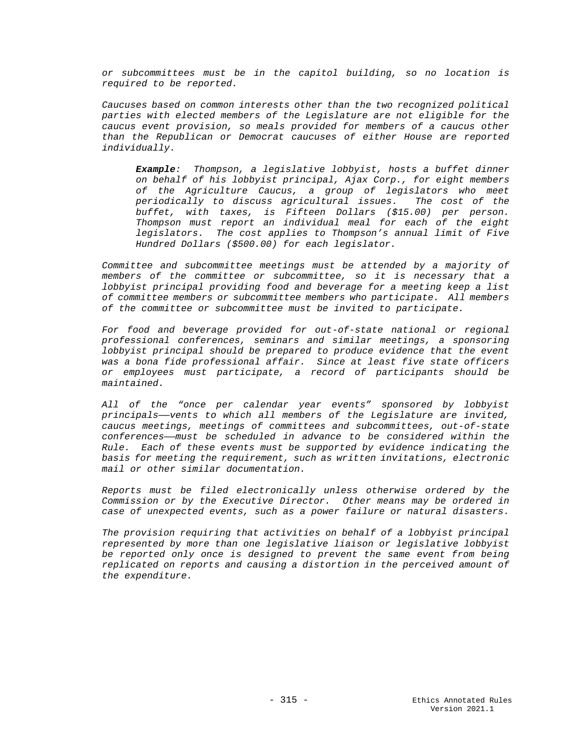*or subcommittees must be in the capitol building, so no location is required to be reported.* 

*Caucuses based on common interests other than the two recognized political parties with elected members of the Legislature are not eligible for the caucus event provision, so meals provided for members of a caucus other than the Republican or Democrat caucuses of either House are reported individually.*

*Example: Thompson, a legislative lobbyist, hosts a buffet dinner on behalf of his lobbyist principal, Ajax Corp., for eight members of the Agriculture Caucus, a group of legislators who meet periodically to discuss agricultural issues. The cost of the buffet, with taxes, is Fifteen Dollars (\$15.00) per person. Thompson must report an individual meal for each of the eight legislators. The cost applies to Thompson's annual limit of Five Hundred Dollars (\$500.00) for each legislator.*

*Committee and subcommittee meetings must be attended by a majority of members of the committee or subcommittee, so it is necessary that a lobbyist principal providing food and beverage for a meeting keep a list of committee members or subcommittee members who participate. All members of the committee or subcommittee must be invited to participate.*

*For food and beverage provided for out-of-state national or regional professional conferences, seminars and similar meetings, a sponsoring lobbyist principal should be prepared to produce evidence that the event was a bona fide professional affair. Since at least five state officers or employees must participate, a record of participants should be maintained.* 

*All of the "once per calendar year events" sponsored by lobbyist principals——vents to which all members of the Legislature are invited, caucus meetings, meetings of committees and subcommittees, out-of-state conferences——must be scheduled in advance to be considered within the Rule. Each of these events must be supported by evidence indicating the basis for meeting the requirement, such as written invitations, electronic mail or other similar documentation.*

*Reports must be filed electronically unless otherwise ordered by the Commission or by the Executive Director. Other means may be ordered in case of unexpected events, such as a power failure or natural disasters.*

*The provision requiring that activities on behalf of a lobbyist principal represented by more than one legislative liaison or legislative lobbyist be reported only once is designed to prevent the same event from being replicated on reports and causing a distortion in the perceived amount of the expenditure.*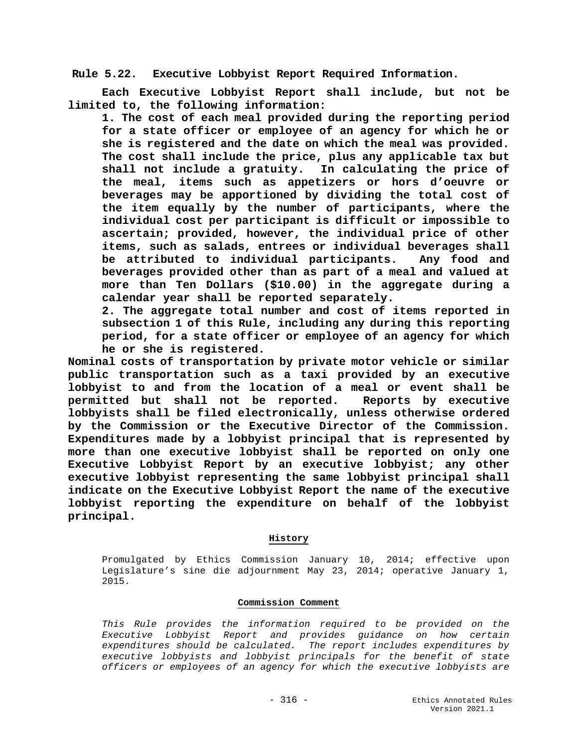**Rule 5.22. Executive Lobbyist Report Required Information.**

**Each Executive Lobbyist Report shall include, but not be limited to, the following information:**

**1. The cost of each meal provided during the reporting period for a state officer or employee of an agency for which he or she is registered and the date on which the meal was provided. The cost shall include the price, plus any applicable tax but shall not include a gratuity. In calculating the price of the meal, items such as appetizers or hors d'oeuvre or beverages may be apportioned by dividing the total cost of the item equally by the number of participants, where the individual cost per participant is difficult or impossible to ascertain; provided, however, the individual price of other items, such as salads, entrees or individual beverages shall be attributed to individual participants. Any food and beverages provided other than as part of a meal and valued at more than Ten Dollars (\$10.00) in the aggregate during a calendar year shall be reported separately.** 

**2. The aggregate total number and cost of items reported in subsection 1 of this Rule, including any during this reporting period, for a state officer or employee of an agency for which he or she is registered.**

**Nominal costs of transportation by private motor vehicle or similar public transportation such as a taxi provided by an executive lobbyist to and from the location of a meal or event shall be**  permitted but shall not be reported. **lobbyists shall be filed electronically, unless otherwise ordered by the Commission or the Executive Director of the Commission. Expenditures made by a lobbyist principal that is represented by more than one executive lobbyist shall be reported on only one Executive Lobbyist Report by an executive lobbyist; any other executive lobbyist representing the same lobbyist principal shall indicate on the Executive Lobbyist Report the name of the executive lobbyist reporting the expenditure on behalf of the lobbyist principal.** 

# **History**

Promulgated by Ethics Commission January 10, 2014; effective upon Legislature's sine die adjournment May 23, 2014; operative January 1, 2015.

## **Commission Comment**

*This Rule provides the information required to be provided on the Executive Lobbyist Report and provides guidance on how certain expenditures should be calculated. The report includes expenditures by executive lobbyists and lobbyist principals for the benefit of state officers or employees of an agency for which the executive lobbyists are*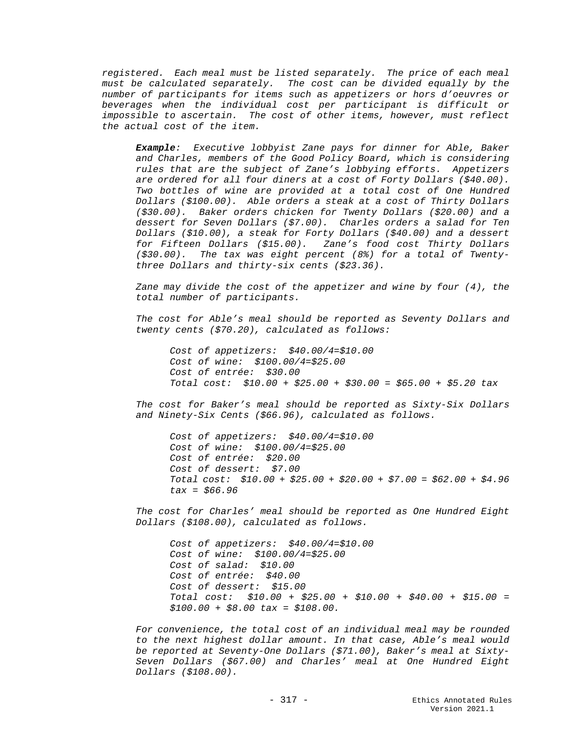*registered. Each meal must be listed separately. The price of each meal must be calculated separately. The cost can be divided equally by the number of participants for items such as appetizers or hors d'oeuvres or beverages when the individual cost per participant is difficult or impossible to ascertain. The cost of other items, however, must reflect the actual cost of the item.* 

*Example: Executive lobbyist Zane pays for dinner for Able, Baker and Charles, members of the Good Policy Board, which is considering rules that are the subject of Zane's lobbying efforts. Appetizers are ordered for all four diners at a cost of Forty Dollars (\$40.00). Two bottles of wine are provided at a total cost of One Hundred Dollars (\$100.00). Able orders a steak at a cost of Thirty Dollars (\$30.00). Baker orders chicken for Twenty Dollars (\$20.00) and a dessert for Seven Dollars (\$7.00). Charles orders a salad for Ten Dollars (\$10.00), a steak for Forty Dollars (\$40.00) and a dessert for Fifteen Dollars (\$15.00). Zane's food cost Thirty Dollars (\$30.00). The tax was eight percent (8%) for a total of Twentythree Dollars and thirty-six cents (\$23.36).* 

*Zane may divide the cost of the appetizer and wine by four (4), the total number of participants.* 

*The cost for Able's meal should be reported as Seventy Dollars and twenty cents (\$70.20), calculated as follows:*

*Cost of appetizers: \$40.00/4=\$10.00 Cost of wine: \$100.00/4=\$25.00 Cost of entrée: \$30.00 Total cost: \$10.00 + \$25.00 + \$30.00 = \$65.00 + \$5.20 tax* 

*The cost for Baker's meal should be reported as Sixty-Six Dollars and Ninety-Six Cents (\$66.96), calculated as follows.* 

*Cost of appetizers: \$40.00/4=\$10.00 Cost of wine: \$100.00/4=\$25.00 Cost of entrée: \$20.00 Cost of dessert: \$7.00 Total cost: \$10.00 + \$25.00 + \$20.00 + \$7.00 = \$62.00 + \$4.96 tax = \$66.96* 

*The cost for Charles' meal should be reported as One Hundred Eight Dollars (\$108.00), calculated as follows.* 

*Cost of appetizers: \$40.00/4=\$10.00 Cost of wine: \$100.00/4=\$25.00 Cost of salad: \$10.00 Cost of entrée: \$40.00 Cost of dessert: \$15.00 Total cost: \$10.00 + \$25.00 + \$10.00 + \$40.00 + \$15.00 = \$100.00 + \$8.00 tax = \$108.00.* 

*For convenience, the total cost of an individual meal may be rounded to the next highest dollar amount. In that case, Able's meal would be reported at Seventy-One Dollars (\$71.00), Baker's meal at Sixty-Seven Dollars (\$67.00) and Charles' meal at One Hundred Eight Dollars (\$108.00).*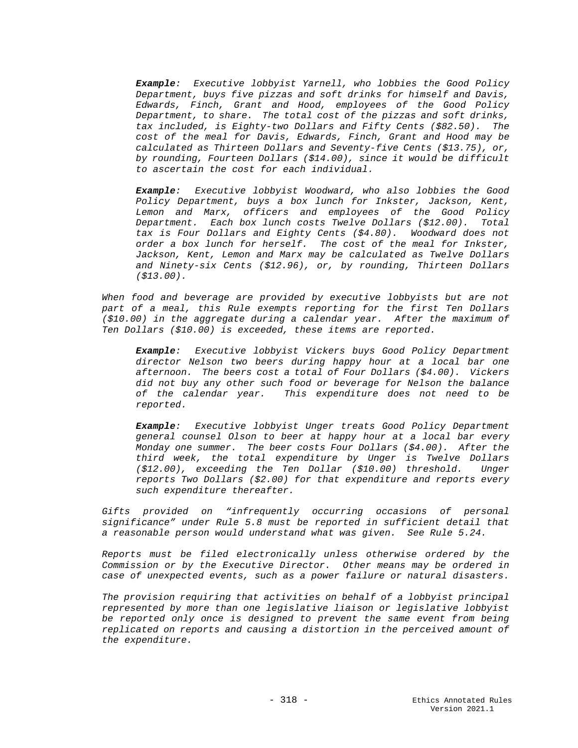*Example: Executive lobbyist Yarnell, who lobbies the Good Policy Department, buys five pizzas and soft drinks for himself and Davis, Edwards, Finch, Grant and Hood, employees of the Good Policy Department, to share. The total cost of the pizzas and soft drinks, tax included, is Eighty-two Dollars and Fifty Cents (\$82.50). The cost of the meal for Davis, Edwards, Finch, Grant and Hood may be calculated as Thirteen Dollars and Seventy-five Cents (\$13.75), or, by rounding, Fourteen Dollars (\$14.00), since it would be difficult to ascertain the cost for each individual.*

*Example: Executive lobbyist Woodward, who also lobbies the Good Policy Department, buys a box lunch for Inkster, Jackson, Kent, Lemon and Marx, officers and employees of the Good Policy Department. Each box lunch costs Twelve Dollars (\$12.00). Total tax is Four Dollars and Eighty Cents (\$4.80). Woodward does not order a box lunch for herself. The cost of the meal for Inkster, Jackson, Kent, Lemon and Marx may be calculated as Twelve Dollars and Ninety-six Cents (\$12.96), or, by rounding, Thirteen Dollars (\$13.00).*

*When food and beverage are provided by executive lobbyists but are not part of a meal, this Rule exempts reporting for the first Ten Dollars (\$10.00) in the aggregate during a calendar year. After the maximum of Ten Dollars (\$10.00) is exceeded, these items are reported.*

*Example: Executive lobbyist Vickers buys Good Policy Department director Nelson two beers during happy hour at a local bar one afternoon. The beers cost a total of Four Dollars (\$4.00). Vickers did not buy any other such food or beverage for Nelson the balance of the calendar year. This expenditure does not need to be reported.*

*Example: Executive lobbyist Unger treats Good Policy Department general counsel Olson to beer at happy hour at a local bar every Monday one summer. The beer costs Four Dollars (\$4.00). After the third week, the total expenditure by Unger is Twelve Dollars (\$12.00), exceeding the Ten Dollar (\$10.00) threshold. Unger reports Two Dollars (\$2.00) for that expenditure and reports every such expenditure thereafter.*

*Gifts provided on "infrequently occurring occasions of personal significance" under Rule 5.8 must be reported in sufficient detail that a reasonable person would understand what was given. See Rule 5.24.*

*Reports must be filed electronically unless otherwise ordered by the Commission or by the Executive Director. Other means may be ordered in case of unexpected events, such as a power failure or natural disasters.*

*The provision requiring that activities on behalf of a lobbyist principal represented by more than one legislative liaison or legislative lobbyist be reported only once is designed to prevent the same event from being replicated on reports and causing a distortion in the perceived amount of the expenditure.*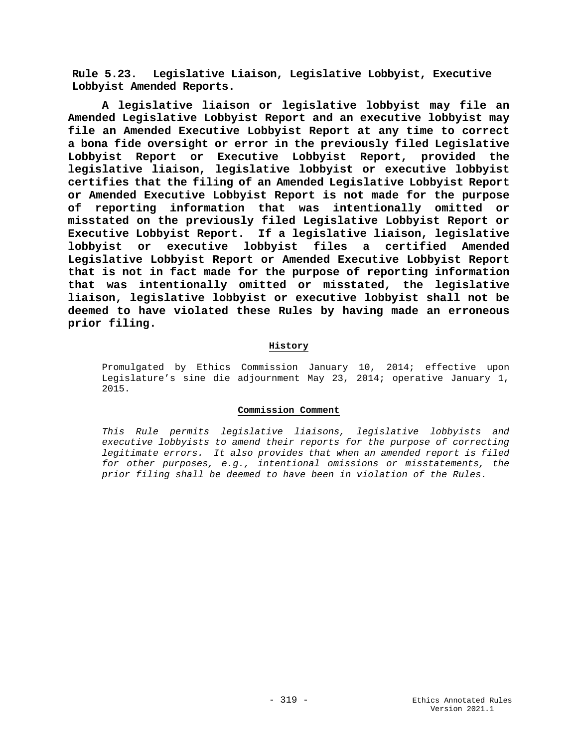**Rule 5.23. Legislative Liaison, Legislative Lobbyist, Executive Lobbyist Amended Reports.**

**A legislative liaison or legislative lobbyist may file an Amended Legislative Lobbyist Report and an executive lobbyist may file an Amended Executive Lobbyist Report at any time to correct a bona fide oversight or error in the previously filed Legislative Lobbyist Report or Executive Lobbyist Report, provided the legislative liaison, legislative lobbyist or executive lobbyist certifies that the filing of an Amended Legislative Lobbyist Report or Amended Executive Lobbyist Report is not made for the purpose of reporting information that was intentionally omitted or misstated on the previously filed Legislative Lobbyist Report or Executive Lobbyist Report. If a legislative liaison, legislative lobbyist or executive lobbyist files a certified Amended Legislative Lobbyist Report or Amended Executive Lobbyist Report that is not in fact made for the purpose of reporting information that was intentionally omitted or misstated, the legislative liaison, legislative lobbyist or executive lobbyist shall not be deemed to have violated these Rules by having made an erroneous prior filing.**

## **History**

Promulgated by Ethics Commission January 10, 2014; effective upon Legislature's sine die adjournment May 23, 2014; operative January 1, 2015.

## **Commission Comment**

*This Rule permits legislative liaisons, legislative lobbyists and executive lobbyists to amend their reports for the purpose of correcting legitimate errors. It also provides that when an amended report is filed for other purposes, e.g., intentional omissions or misstatements, the prior filing shall be deemed to have been in violation of the Rules.*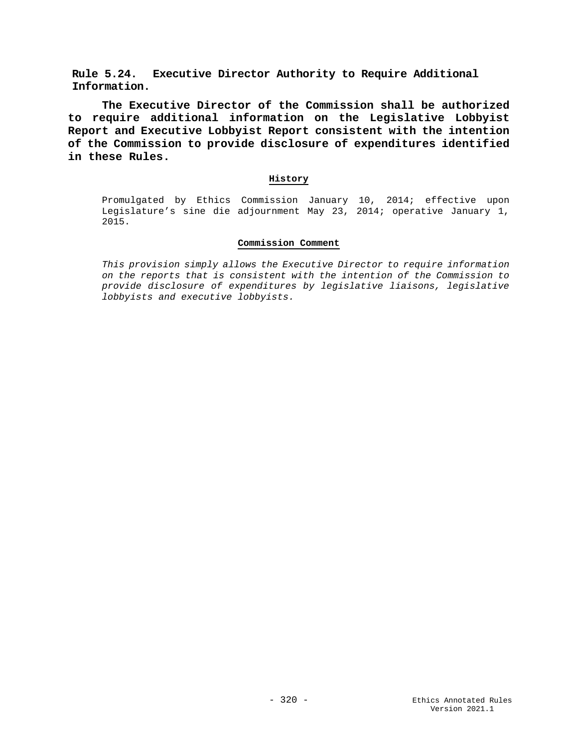**Rule 5.24. Executive Director Authority to Require Additional Information.**

**The Executive Director of the Commission shall be authorized to require additional information on the Legislative Lobbyist Report and Executive Lobbyist Report consistent with the intention of the Commission to provide disclosure of expenditures identified in these Rules.**

## **History**

Promulgated by Ethics Commission January 10, 2014; effective upon Legislature's sine die adjournment May 23, 2014; operative January 1, 2015.

## **Commission Comment**

*This provision simply allows the Executive Director to require information on the reports that is consistent with the intention of the Commission to provide disclosure of expenditures by legislative liaisons, legislative lobbyists and executive lobbyists.*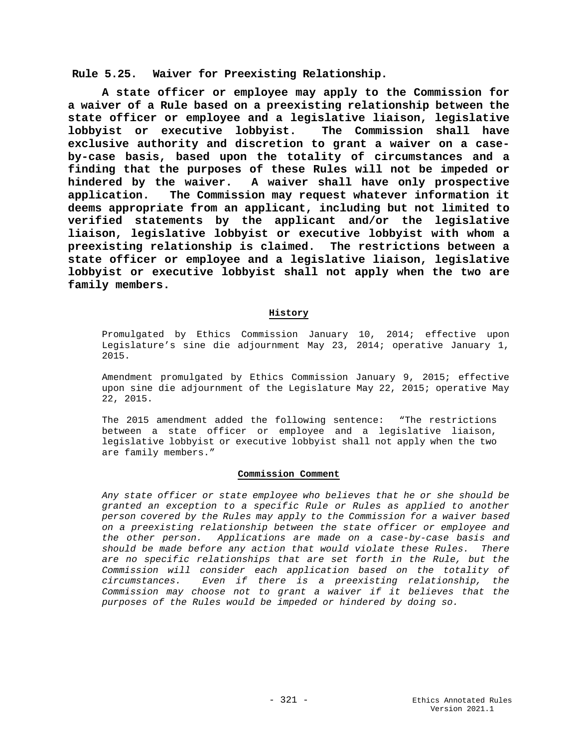**Rule 5.25. Waiver for Preexisting Relationship.**

**A state officer or employee may apply to the Commission for a waiver of a Rule based on a preexisting relationship between the state officer or employee and a legislative liaison, legislative lobbyist or executive lobbyist. The Commission shall have exclusive authority and discretion to grant a waiver on a caseby-case basis, based upon the totality of circumstances and a finding that the purposes of these Rules will not be impeded or hindered by the waiver. A waiver shall have only prospective application. The Commission may request whatever information it deems appropriate from an applicant, including but not limited to verified statements by the applicant and/or the legislative liaison, legislative lobbyist or executive lobbyist with whom a preexisting relationship is claimed. The restrictions between a state officer or employee and a legislative liaison, legislative lobbyist or executive lobbyist shall not apply when the two are family members.**

## **History**

Promulgated by Ethics Commission January 10, 2014; effective upon Legislature's sine die adjournment May 23, 2014; operative January 1, 2015.

Amendment promulgated by Ethics Commission January 9, 2015; effective upon sine die adjournment of the Legislature May 22, 2015; operative May 22, 2015.

The 2015 amendment added the following sentence: "The restrictions between a state officer or employee and a legislative liaison, legislative lobbyist or executive lobbyist shall not apply when the two are family members."

#### **Commission Comment**

*Any state officer or state employee who believes that he or she should be granted an exception to a specific Rule or Rules as applied to another person covered by the Rules may apply to the Commission for a waiver based on a preexisting relationship between the state officer or employee and the other person. Applications are made on a case-by-case basis and should be made before any action that would violate these Rules. There are no specific relationships that are set forth in the Rule, but the Commission will consider each application based on the totality of circumstances. Even if there is a preexisting relationship, the Commission may choose not to grant a waiver if it believes that the purposes of the Rules would be impeded or hindered by doing so.*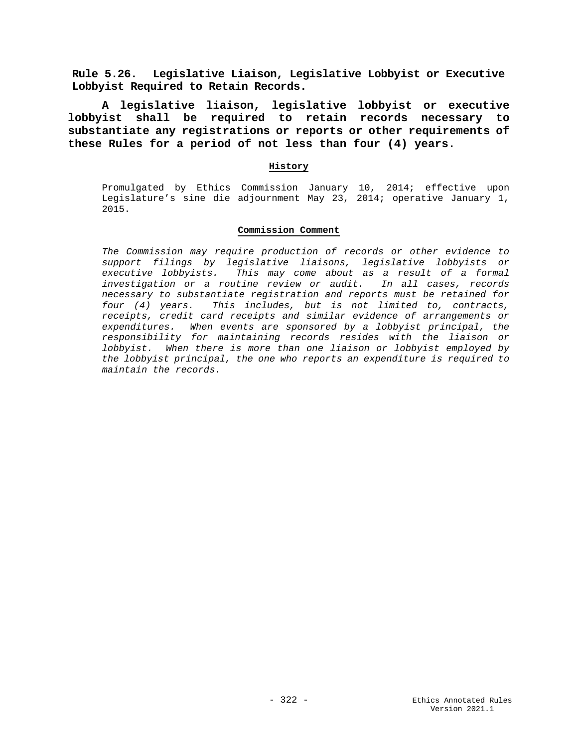**Rule 5.26. Legislative Liaison, Legislative Lobbyist or Executive Lobbyist Required to Retain Records.**

**A legislative liaison, legislative lobbyist or executive lobbyist shall be required to retain records necessary to substantiate any registrations or reports or other requirements of these Rules for a period of not less than four (4) years.**

## **History**

Promulgated by Ethics Commission January 10, 2014; effective upon Legislature's sine die adjournment May 23, 2014; operative January 1, 2015.

## **Commission Comment**

*The Commission may require production of records or other evidence to support filings by legislative liaisons, legislative lobbyists or executive lobbyists. This may come about as a result of a formal investigation or a routine review or audit. In all cases, records necessary to substantiate registration and reports must be retained for four (4) years. This includes, but is not limited to, contracts, receipts, credit card receipts and similar evidence of arrangements or expenditures. When events are sponsored by a lobbyist principal, the responsibility for maintaining records resides with the liaison or lobbyist. When there is more than one liaison or lobbyist employed by the lobbyist principal, the one who reports an expenditure is required to maintain the records.*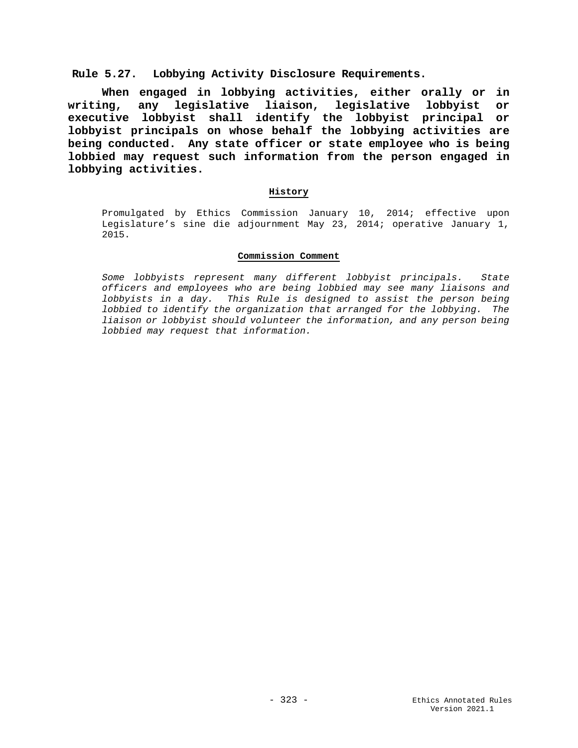**Rule 5.27. Lobbying Activity Disclosure Requirements.**

**When engaged in lobbying activities, either orally or in writing, any legislative liaison, legislative lobbyist or executive lobbyist shall identify the lobbyist principal or lobbyist principals on whose behalf the lobbying activities are being conducted. Any state officer or state employee who is being lobbied may request such information from the person engaged in lobbying activities.** 

## **History**

Promulgated by Ethics Commission January 10, 2014; effective upon Legislature's sine die adjournment May 23, 2014; operative January 1, 2015.

## **Commission Comment**

*Some lobbyists represent many different lobbyist principals. State officers and employees who are being lobbied may see many liaisons and lobbyists in a day. This Rule is designed to assist the person being lobbied to identify the organization that arranged for the lobbying. The liaison or lobbyist should volunteer the information, and any person being lobbied may request that information.*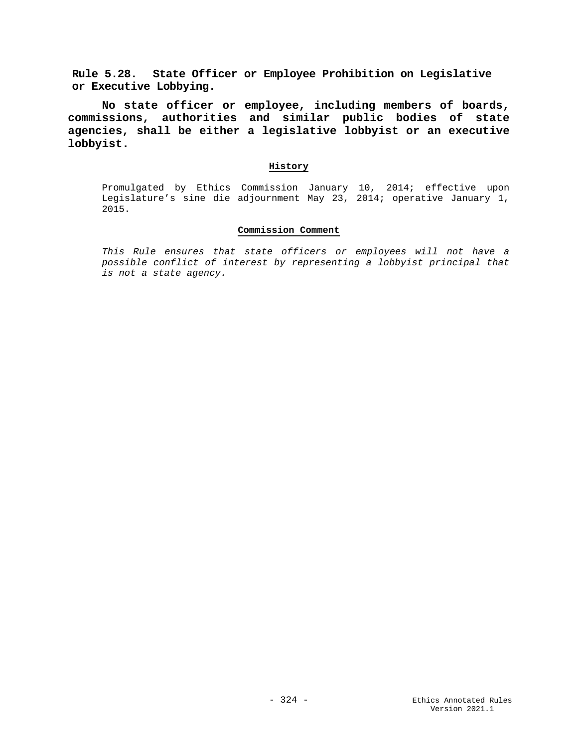**Rule 5.28. State Officer or Employee Prohibition on Legislative or Executive Lobbying.**

**No state officer or employee, including members of boards, commissions, authorities and similar public bodies of state agencies, shall be either a legislative lobbyist or an executive lobbyist.**

## **History**

Promulgated by Ethics Commission January 10, 2014; effective upon Legislature's sine die adjournment May 23, 2014; operative January 1, 2015.

## **Commission Comment**

*This Rule ensures that state officers or employees will not have a possible conflict of interest by representing a lobbyist principal that is not a state agency.*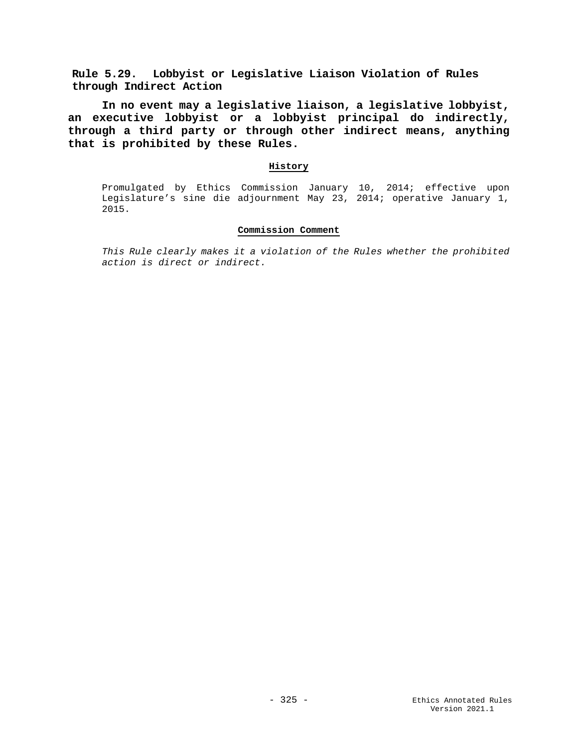**Rule 5.29. Lobbyist or Legislative Liaison Violation of Rules through Indirect Action**

**In no event may a legislative liaison, a legislative lobbyist, an executive lobbyist or a lobbyist principal do indirectly, through a third party or through other indirect means, anything that is prohibited by these Rules.** 

## **History**

Promulgated by Ethics Commission January 10, 2014; effective upon Legislature's sine die adjournment May 23, 2014; operative January 1, 2015.

## **Commission Comment**

*This Rule clearly makes it a violation of the Rules whether the prohibited action is direct or indirect.*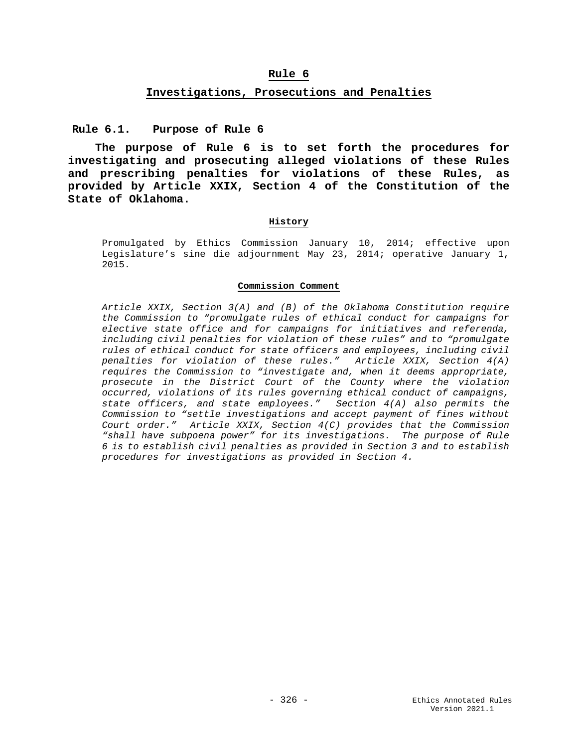# **Rule 6**

### **Investigations, Prosecutions and Penalties**

**Rule 6.1. Purpose of Rule 6**

**The purpose of Rule 6 is to set forth the procedures for investigating and prosecuting alleged violations of these Rules and prescribing penalties for violations of these Rules, as provided by Article XXIX, Section 4 of the Constitution of the State of Oklahoma.**

#### **History**

Promulgated by Ethics Commission January 10, 2014; effective upon Legislature's sine die adjournment May 23, 2014; operative January 1, 2015.

#### **Commission Comment**

*Article XXIX, Section 3(A) and (B) of the Oklahoma Constitution require the Commission to "promulgate rules of ethical conduct for campaigns for elective state office and for campaigns for initiatives and referenda, including civil penalties for violation of these rules" and to "promulgate rules of ethical conduct for state officers and employees, including civil penalties for violation of these rules." Article XXIX, Section 4(A) requires the Commission to "investigate and, when it deems appropriate, prosecute in the District Court of the County where the violation occurred, violations of its rules governing ethical conduct of campaigns, state officers, and state employees." Section 4(A) also permits the Commission to "settle investigations and accept payment of fines without Court order." Article XXIX, Section 4(C) provides that the Commission "shall have subpoena power" for its investigations. The purpose of Rule 6 is to establish civil penalties as provided in Section 3 and to establish procedures for investigations as provided in Section 4.*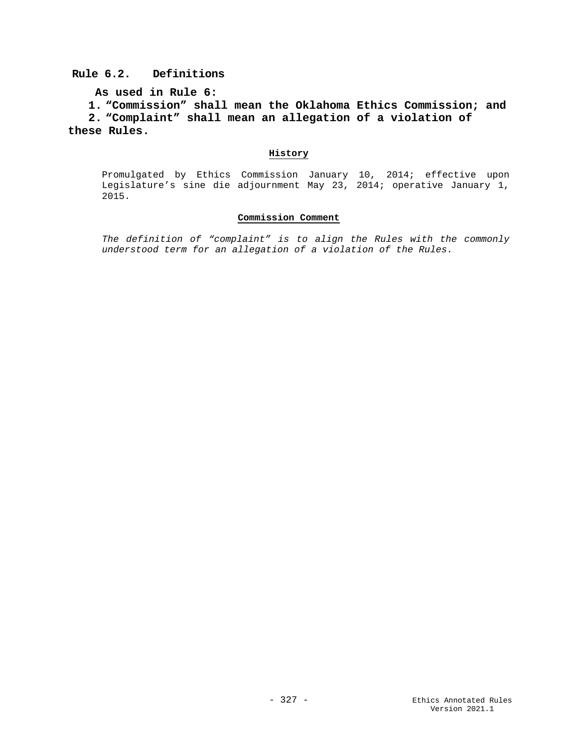# **Rule 6.2. Definitions**

```
As used in Rule 6:
```
**1. "Commission" shall mean the Oklahoma Ethics Commission; and 2. "Complaint" shall mean an allegation of a violation of these Rules.**

## **History**

Promulgated by Ethics Commission January 10, 2014; effective upon Legislature's sine die adjournment May 23, 2014; operative January 1, 2015.

# **Commission Comment**

*The definition of "complaint" is to align the Rules with the commonly understood term for an allegation of a violation of the Rules.*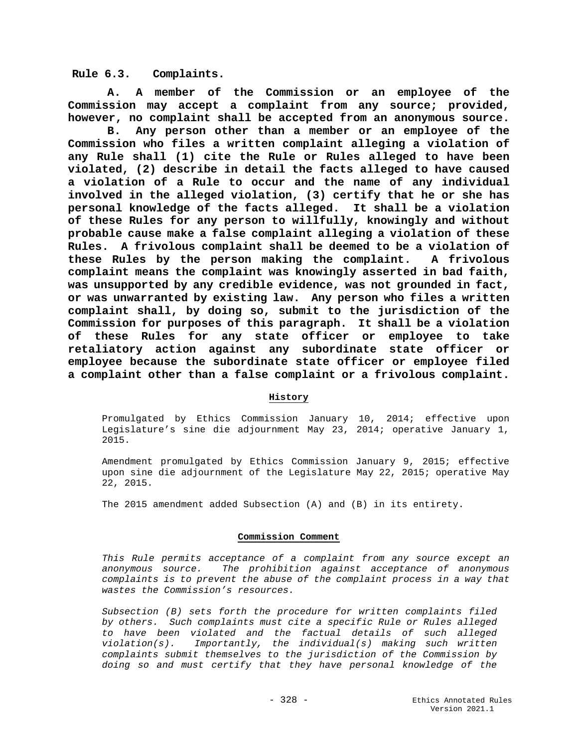**Rule 6.3. Complaints.**

**A. A member of the Commission or an employee of the Commission may accept a complaint from any source; provided, however, no complaint shall be accepted from an anonymous source.**

**B. Any person other than a member or an employee of the Commission who files a written complaint alleging a violation of any Rule shall (1) cite the Rule or Rules alleged to have been violated, (2) describe in detail the facts alleged to have caused a violation of a Rule to occur and the name of any individual involved in the alleged violation, (3) certify that he or she has personal knowledge of the facts alleged. It shall be a violation of these Rules for any person to willfully, knowingly and without probable cause make a false complaint alleging a violation of these Rules. A frivolous complaint shall be deemed to be a violation of these Rules by the person making the complaint. A frivolous complaint means the complaint was knowingly asserted in bad faith, was unsupported by any credible evidence, was not grounded in fact, or was unwarranted by existing law. Any person who files a written complaint shall, by doing so, submit to the jurisdiction of the Commission for purposes of this paragraph. It shall be a violation of these Rules for any state officer or employee to take retaliatory action against any subordinate state officer or employee because the subordinate state officer or employee filed a complaint other than a false complaint or a frivolous complaint.**

### **History**

Promulgated by Ethics Commission January 10, 2014; effective upon Legislature's sine die adjournment May 23, 2014; operative January 1, 2015.

Amendment promulgated by Ethics Commission January 9, 2015; effective upon sine die adjournment of the Legislature May 22, 2015; operative May 22, 2015.

The 2015 amendment added Subsection (A) and (B) in its entirety.

#### **Commission Comment**

*This Rule permits acceptance of a complaint from any source except an anonymous source. The prohibition against acceptance of anonymous complaints is to prevent the abuse of the complaint process in a way that wastes the Commission's resources.*

*Subsection (B) sets forth the procedure for written complaints filed by others. Such complaints must cite a specific Rule or Rules alleged to have been violated and the factual details of such alleged violation(s). Importantly, the individual(s) making such written complaints submit themselves to the jurisdiction of the Commission by doing so and must certify that they have personal knowledge of the*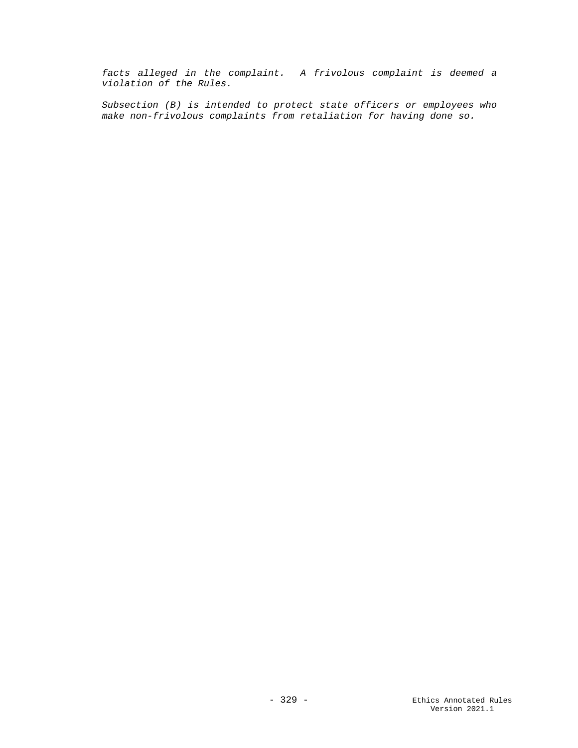*facts alleged in the complaint. A frivolous complaint is deemed a violation of the Rules.*

*Subsection (B) is intended to protect state officers or employees who make non-frivolous complaints from retaliation for having done so.*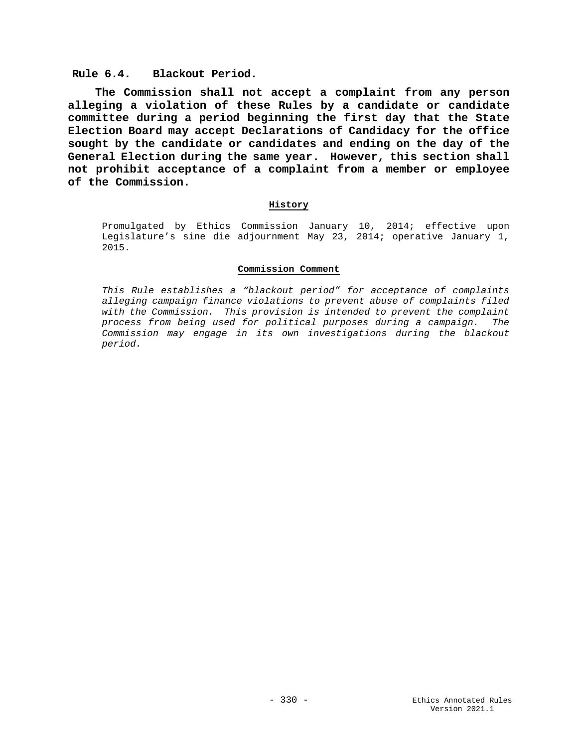# **Rule 6.4. Blackout Period.**

**The Commission shall not accept a complaint from any person alleging a violation of these Rules by a candidate or candidate committee during a period beginning the first day that the State Election Board may accept Declarations of Candidacy for the office sought by the candidate or candidates and ending on the day of the General Election during the same year. However, this section shall not prohibit acceptance of a complaint from a member or employee of the Commission.**

### **History**

Promulgated by Ethics Commission January 10, 2014; effective upon Legislature's sine die adjournment May 23, 2014; operative January 1, 2015.

#### **Commission Comment**

*This Rule establishes a "blackout period" for acceptance of complaints alleging campaign finance violations to prevent abuse of complaints filed with the Commission. This provision is intended to prevent the complaint process from being used for political purposes during a campaign. The Commission may engage in its own investigations during the blackout period.*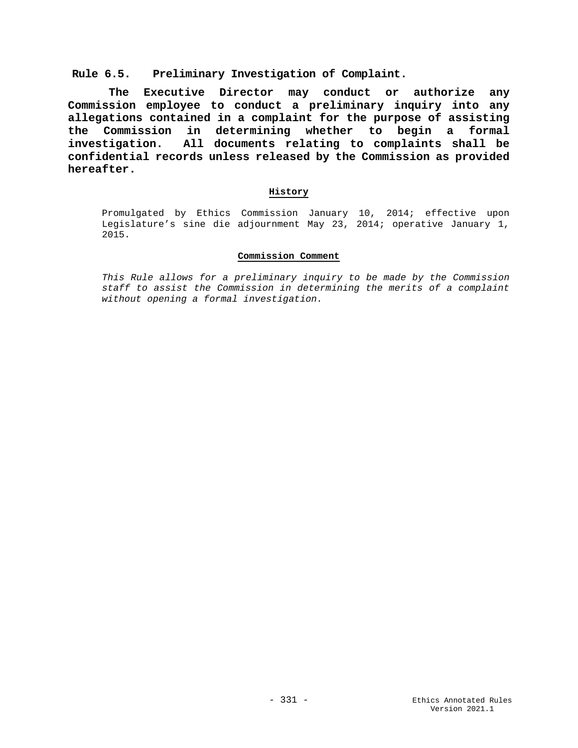## **Rule 6.5. Preliminary Investigation of Complaint.**

 **The Executive Director may conduct or authorize any Commission employee to conduct a preliminary inquiry into any allegations contained in a complaint for the purpose of assisting the Commission in determining whether to begin a formal investigation. All documents relating to complaints shall be confidential records unless released by the Commission as provided hereafter.**

## **History**

Promulgated by Ethics Commission January 10, 2014; effective upon Legislature's sine die adjournment May 23, 2014; operative January 1, 2015.

### **Commission Comment**

*This Rule allows for a preliminary inquiry to be made by the Commission staff to assist the Commission in determining the merits of a complaint without opening a formal investigation.*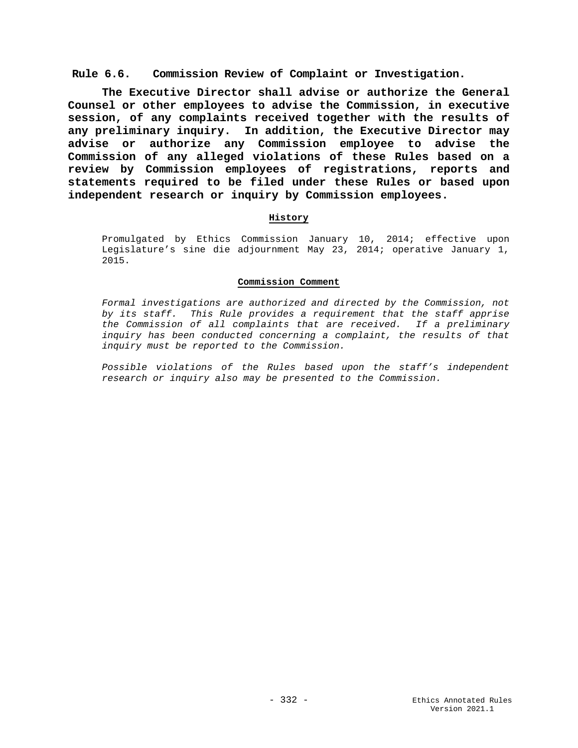**Rule 6.6. Commission Review of Complaint or Investigation.**

**The Executive Director shall advise or authorize the General Counsel or other employees to advise the Commission, in executive session, of any complaints received together with the results of any preliminary inquiry. In addition, the Executive Director may advise or authorize any Commission employee to advise the Commission of any alleged violations of these Rules based on a review by Commission employees of registrations, reports and statements required to be filed under these Rules or based upon independent research or inquiry by Commission employees.**

## **History**

Promulgated by Ethics Commission January 10, 2014; effective upon Legislature's sine die adjournment May 23, 2014; operative January 1, 2015.

### **Commission Comment**

*Formal investigations are authorized and directed by the Commission, not by its staff. This Rule provides a requirement that the staff apprise the Commission of all complaints that are received. If a preliminary inquiry has been conducted concerning a complaint, the results of that inquiry must be reported to the Commission.*

*Possible violations of the Rules based upon the staff's independent research or inquiry also may be presented to the Commission.*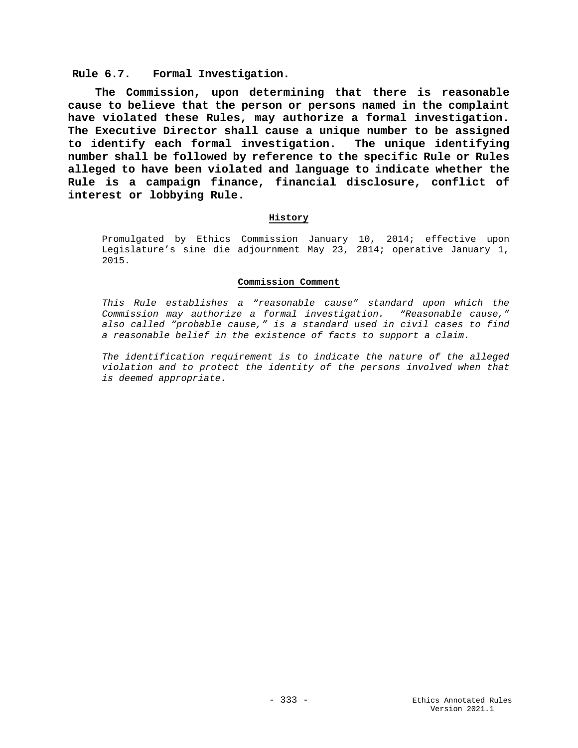**Rule 6.7. Formal Investigation.**

**The Commission, upon determining that there is reasonable cause to believe that the person or persons named in the complaint have violated these Rules, may authorize a formal investigation. The Executive Director shall cause a unique number to be assigned to identify each formal investigation. The unique identifying number shall be followed by reference to the specific Rule or Rules alleged to have been violated and language to indicate whether the Rule is a campaign finance, financial disclosure, conflict of interest or lobbying Rule.**

## **History**

Promulgated by Ethics Commission January 10, 2014; effective upon Legislature's sine die adjournment May 23, 2014; operative January 1, 2015.

#### **Commission Comment**

*This Rule establishes a "reasonable cause" standard upon which the Commission may authorize a formal investigation. "Reasonable cause," also called "probable cause," is a standard used in civil cases to find a reasonable belief in the existence of facts to support a claim.* 

*The identification requirement is to indicate the nature of the alleged violation and to protect the identity of the persons involved when that is deemed appropriate.*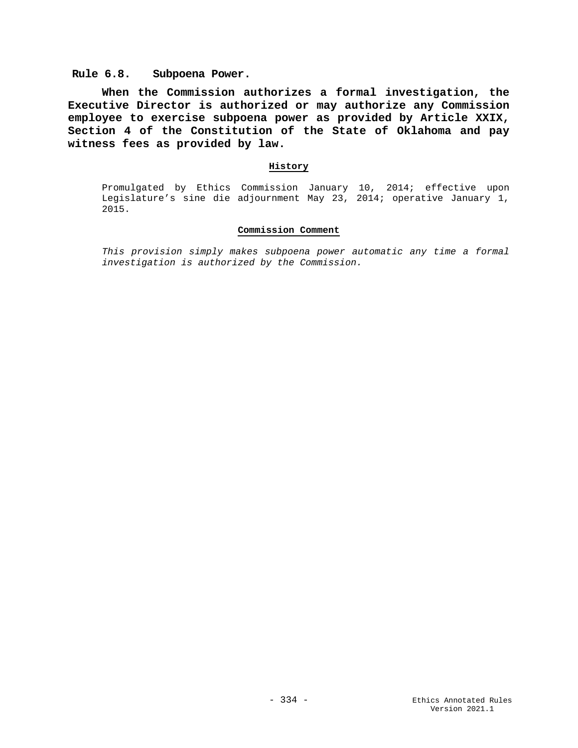**Rule 6.8. Subpoena Power.**

**When the Commission authorizes a formal investigation, the Executive Director is authorized or may authorize any Commission employee to exercise subpoena power as provided by Article XXIX, Section 4 of the Constitution of the State of Oklahoma and pay witness fees as provided by law.**

## **History**

Promulgated by Ethics Commission January 10, 2014; effective upon Legislature's sine die adjournment May 23, 2014; operative January 1, 2015.

## **Commission Comment**

*This provision simply makes subpoena power automatic any time a formal investigation is authorized by the Commission.*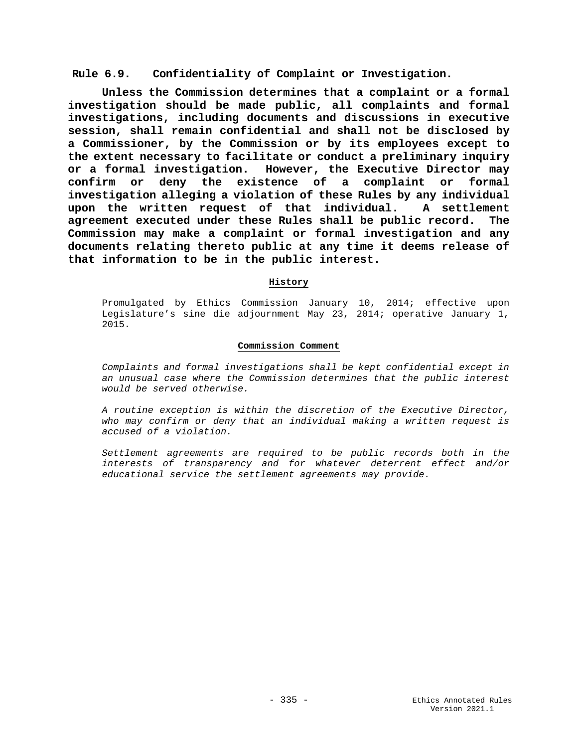**Rule 6.9. Confidentiality of Complaint or Investigation.**

**Unless the Commission determines that a complaint or a formal investigation should be made public, all complaints and formal investigations, including documents and discussions in executive session, shall remain confidential and shall not be disclosed by a Commissioner, by the Commission or by its employees except to the extent necessary to facilitate or conduct a preliminary inquiry or a formal investigation. However, the Executive Director may confirm or deny the existence of a complaint or formal investigation alleging a violation of these Rules by any individual upon the written request of that individual. A settlement agreement executed under these Rules shall be public record. The Commission may make a complaint or formal investigation and any documents relating thereto public at any time it deems release of that information to be in the public interest.**

## **History**

Promulgated by Ethics Commission January 10, 2014; effective upon Legislature's sine die adjournment May 23, 2014; operative January 1, 2015.

### **Commission Comment**

*Complaints and formal investigations shall be kept confidential except in an unusual case where the Commission determines that the public interest would be served otherwise.* 

*A routine exception is within the discretion of the Executive Director, who may confirm or deny that an individual making a written request is accused of a violation.* 

*Settlement agreements are required to be public records both in the interests of transparency and for whatever deterrent effect and/or educational service the settlement agreements may provide.*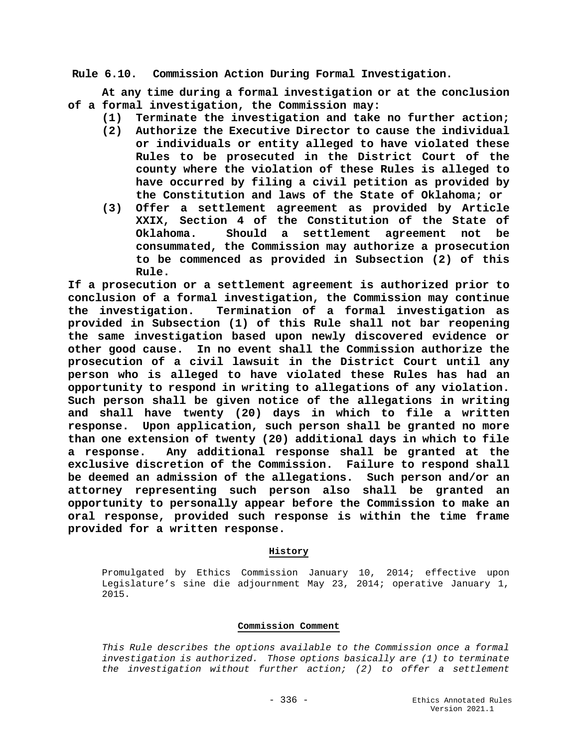**Rule 6.10. Commission Action During Formal Investigation.**

**At any time during a formal investigation or at the conclusion of a formal investigation, the Commission may:**

- **(1) Terminate the investigation and take no further action;**
	- **(2) Authorize the Executive Director to cause the individual or individuals or entity alleged to have violated these Rules to be prosecuted in the District Court of the county where the violation of these Rules is alleged to have occurred by filing a civil petition as provided by the Constitution and laws of the State of Oklahoma; or**
	- **(3) Offer a settlement agreement as provided by Article XXIX, Section 4 of the Constitution of the State of Oklahoma. Should a settlement agreement not be consummated, the Commission may authorize a prosecution to be commenced as provided in Subsection (2) of this Rule.**

**If a prosecution or a settlement agreement is authorized prior to conclusion of a formal investigation, the Commission may continue the investigation. Termination of a formal investigation as provided in Subsection (1) of this Rule shall not bar reopening the same investigation based upon newly discovered evidence or other good cause. In no event shall the Commission authorize the prosecution of a civil lawsuit in the District Court until any person who is alleged to have violated these Rules has had an opportunity to respond in writing to allegations of any violation. Such person shall be given notice of the allegations in writing and shall have twenty (20) days in which to file a written response. Upon application, such person shall be granted no more than one extension of twenty (20) additional days in which to file a response. Any additional response shall be granted at the exclusive discretion of the Commission. Failure to respond shall be deemed an admission of the allegations. Such person and/or an attorney representing such person also shall be granted an opportunity to personally appear before the Commission to make an oral response, provided such response is within the time frame provided for a written response.**

### **History**

Promulgated by Ethics Commission January 10, 2014; effective upon Legislature's sine die adjournment May 23, 2014; operative January 1, 2015.

### **Commission Comment**

*This Rule describes the options available to the Commission once a formal investigation is authorized. Those options basically are (1) to terminate the investigation without further action; (2) to offer a settlement*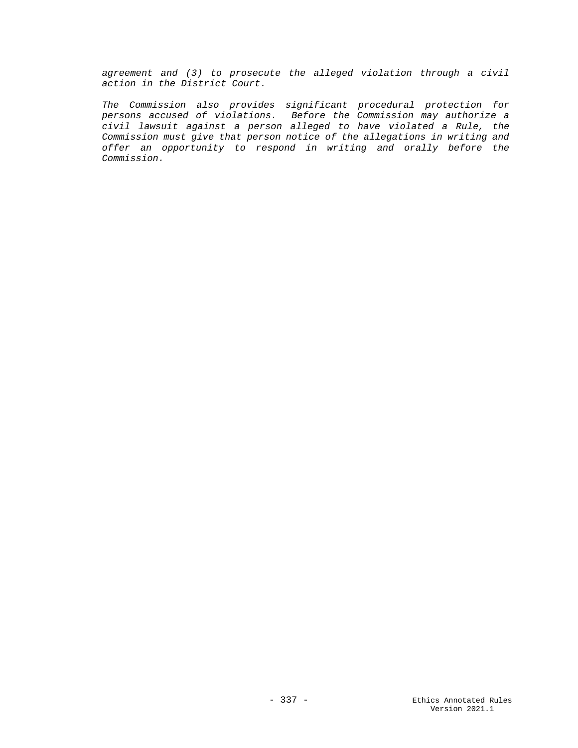*agreement and (3) to prosecute the alleged violation through a civil action in the District Court.*

*The Commission also provides significant procedural protection for persons accused of violations. Before the Commission may authorize a civil lawsuit against a person alleged to have violated a Rule, the Commission must give that person notice of the allegations in writing and offer an opportunity to respond in writing and orally before the Commission.*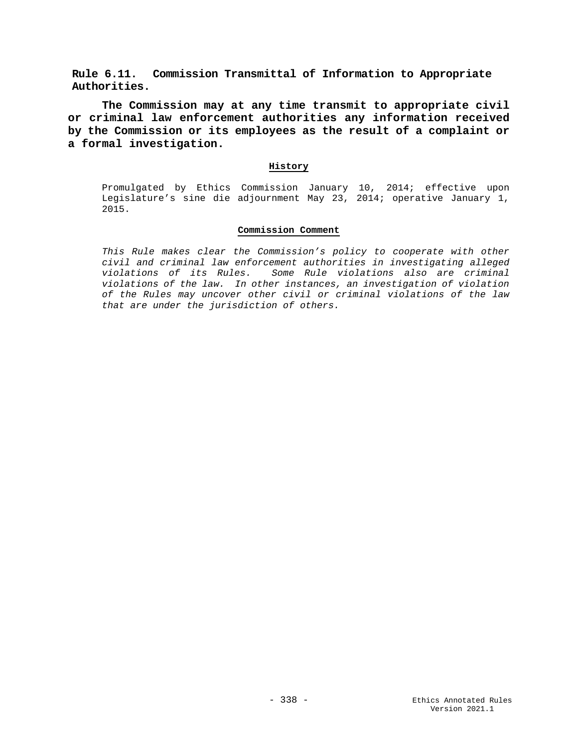**Rule 6.11. Commission Transmittal of Information to Appropriate Authorities.**

**The Commission may at any time transmit to appropriate civil or criminal law enforcement authorities any information received by the Commission or its employees as the result of a complaint or a formal investigation.**

# **History**

Promulgated by Ethics Commission January 10, 2014; effective upon Legislature's sine die adjournment May 23, 2014; operative January 1, 2015.

## **Commission Comment**

*This Rule makes clear the Commission's policy to cooperate with other civil and criminal law enforcement authorities in investigating alleged violations of its Rules. Some Rule violations also are criminal violations of the law. In other instances, an investigation of violation of the Rules may uncover other civil or criminal violations of the law that are under the jurisdiction of others.*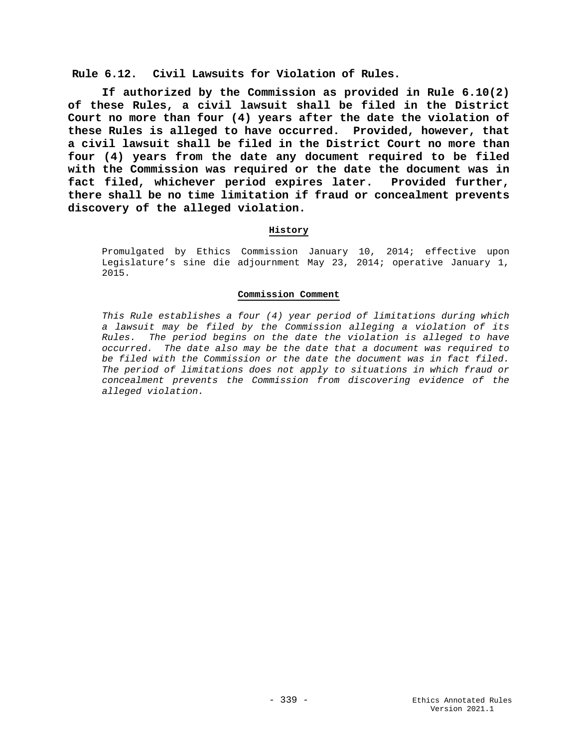**Rule 6.12. Civil Lawsuits for Violation of Rules.**

**If authorized by the Commission as provided in Rule 6.10(2) of these Rules, a civil lawsuit shall be filed in the District Court no more than four (4) years after the date the violation of these Rules is alleged to have occurred. Provided, however, that a civil lawsuit shall be filed in the District Court no more than four (4) years from the date any document required to be filed with the Commission was required or the date the document was in fact filed, whichever period expires later. Provided further, there shall be no time limitation if fraud or concealment prevents discovery of the alleged violation.**

### **History**

Promulgated by Ethics Commission January 10, 2014; effective upon Legislature's sine die adjournment May 23, 2014; operative January 1, 2015.

### **Commission Comment**

*This Rule establishes a four (4) year period of limitations during which a lawsuit may be filed by the Commission alleging a violation of its Rules. The period begins on the date the violation is alleged to have occurred. The date also may be the date that a document was required to be filed with the Commission or the date the document was in fact filed. The period of limitations does not apply to situations in which fraud or concealment prevents the Commission from discovering evidence of the alleged violation.*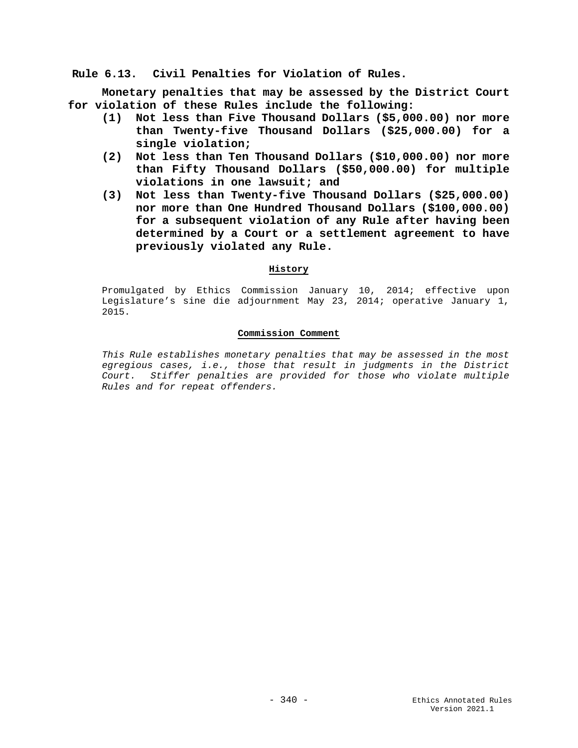**Rule 6.13. Civil Penalties for Violation of Rules.**

**Monetary penalties that may be assessed by the District Court for violation of these Rules include the following:**

- **(1) Not less than Five Thousand Dollars (\$5,000.00) nor more than Twenty-five Thousand Dollars (\$25,000.00) for a single violation;**
- **(2) Not less than Ten Thousand Dollars (\$10,000.00) nor more than Fifty Thousand Dollars (\$50,000.00) for multiple violations in one lawsuit; and**
- **(3) Not less than Twenty-five Thousand Dollars (\$25,000.00) nor more than One Hundred Thousand Dollars (\$100,000.00) for a subsequent violation of any Rule after having been determined by a Court or a settlement agreement to have previously violated any Rule.**

# **History**

Promulgated by Ethics Commission January 10, 2014; effective upon Legislature's sine die adjournment May 23, 2014; operative January 1, 2015.

### **Commission Comment**

*This Rule establishes monetary penalties that may be assessed in the most egregious cases, i.e., those that result in judgments in the District Court. Stiffer penalties are provided for those who violate multiple Rules and for repeat offenders.*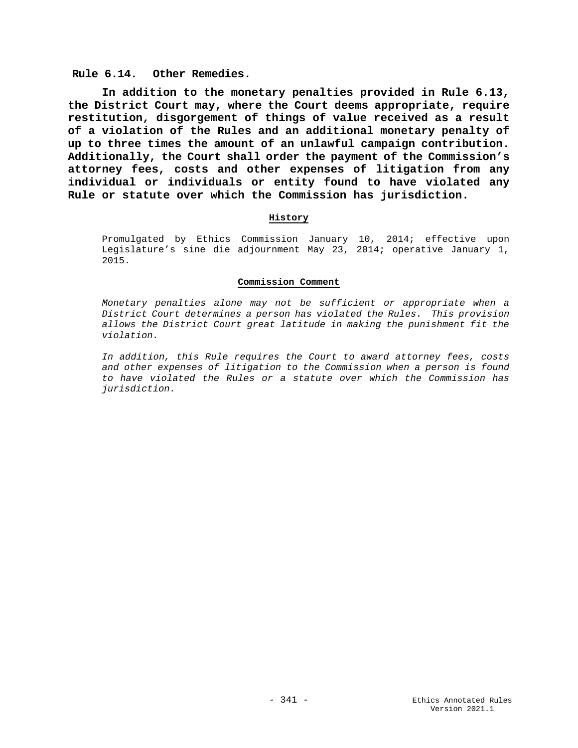## **Rule 6.14. Other Remedies.**

**In addition to the monetary penalties provided in Rule 6.13, the District Court may, where the Court deems appropriate, require restitution, disgorgement of things of value received as a result of a violation of the Rules and an additional monetary penalty of up to three times the amount of an unlawful campaign contribution. Additionally, the Court shall order the payment of the Commission's attorney fees, costs and other expenses of litigation from any individual or individuals or entity found to have violated any Rule or statute over which the Commission has jurisdiction.**

## **History**

Promulgated by Ethics Commission January 10, 2014; effective upon Legislature's sine die adjournment May 23, 2014; operative January 1, 2015.

#### **Commission Comment**

*Monetary penalties alone may not be sufficient or appropriate when a District Court determines a person has violated the Rules. This provision allows the District Court great latitude in making the punishment fit the violation.*

*In addition, this Rule requires the Court to award attorney fees, costs and other expenses of litigation to the Commission when a person is found to have violated the Rules or a statute over which the Commission has jurisdiction.*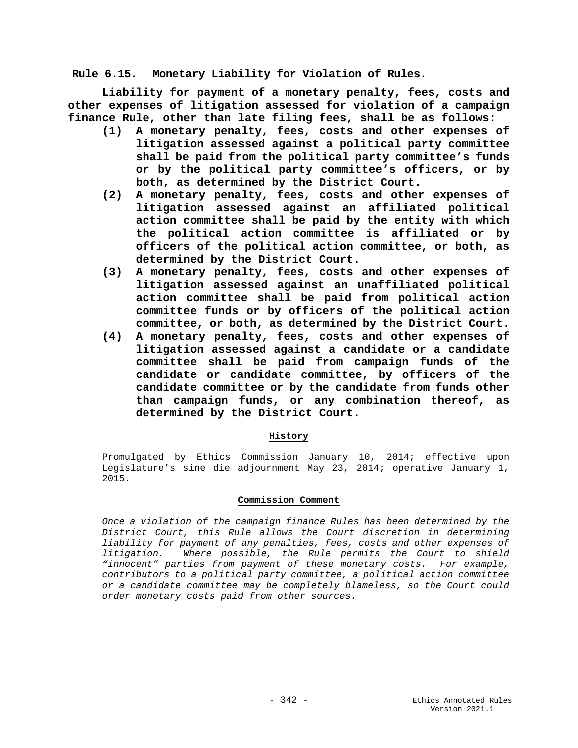**Rule 6.15. Monetary Liability for Violation of Rules.**

**Liability for payment of a monetary penalty, fees, costs and other expenses of litigation assessed for violation of a campaign finance Rule, other than late filing fees, shall be as follows:**

- **(1) A monetary penalty, fees, costs and other expenses of litigation assessed against a political party committee shall be paid from the political party committee's funds or by the political party committee's officers, or by both, as determined by the District Court.**
- **(2) A monetary penalty, fees, costs and other expenses of litigation assessed against an affiliated political action committee shall be paid by the entity with which the political action committee is affiliated or by officers of the political action committee, or both, as determined by the District Court.**
- **(3) A monetary penalty, fees, costs and other expenses of litigation assessed against an unaffiliated political action committee shall be paid from political action committee funds or by officers of the political action committee, or both, as determined by the District Court.**
- **(4) A monetary penalty, fees, costs and other expenses of litigation assessed against a candidate or a candidate committee shall be paid from campaign funds of the candidate or candidate committee, by officers of the candidate committee or by the candidate from funds other than campaign funds, or any combination thereof, as determined by the District Court.**

# **History**

Promulgated by Ethics Commission January 10, 2014; effective upon Legislature's sine die adjournment May 23, 2014; operative January 1, 2015.

### **Commission Comment**

*Once a violation of the campaign finance Rules has been determined by the District Court, this Rule allows the Court discretion in determining liability for payment of any penalties, fees, costs and other expenses of litigation. Where possible, the Rule permits the Court to shield "innocent" parties from payment of these monetary costs. For example, contributors to a political party committee, a political action committee or a candidate committee may be completely blameless, so the Court could order monetary costs paid from other sources.*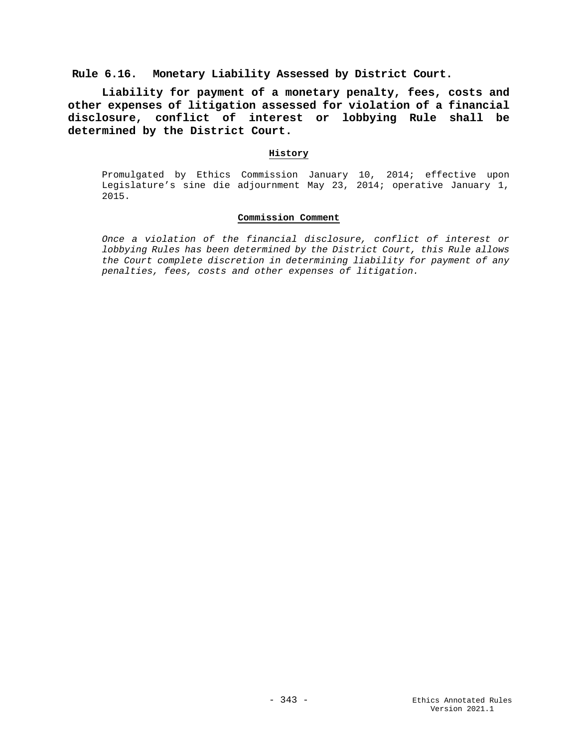**Rule 6.16. Monetary Liability Assessed by District Court.**

**Liability for payment of a monetary penalty, fees, costs and other expenses of litigation assessed for violation of a financial disclosure, conflict of interest or lobbying Rule shall be determined by the District Court.**

## **History**

Promulgated by Ethics Commission January 10, 2014; effective upon Legislature's sine die adjournment May 23, 2014; operative January 1, 2015.

# **Commission Comment**

*Once a violation of the financial disclosure, conflict of interest or lobbying Rules has been determined by the District Court, this Rule allows the Court complete discretion in determining liability for payment of any penalties, fees, costs and other expenses of litigation.*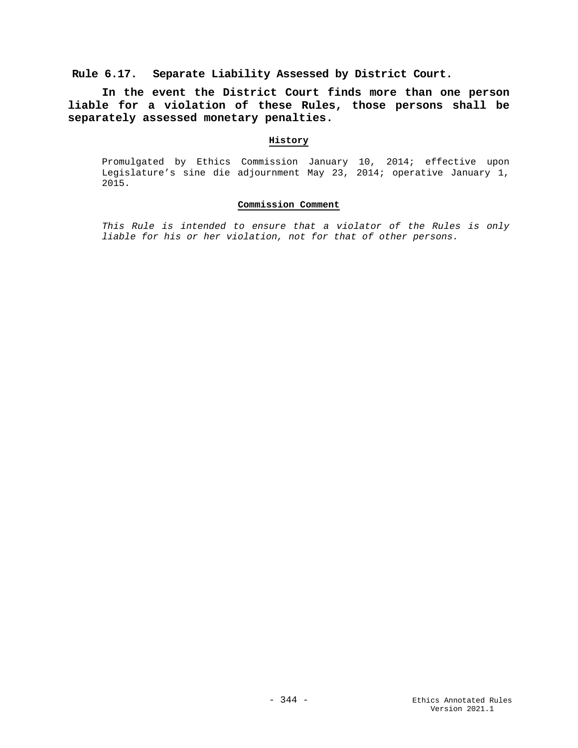**Rule 6.17. Separate Liability Assessed by District Court.**

**In the event the District Court finds more than one person liable for a violation of these Rules, those persons shall be separately assessed monetary penalties.** 

# **History**

Promulgated by Ethics Commission January 10, 2014; effective upon Legislature's sine die adjournment May 23, 2014; operative January 1, 2015.

### **Commission Comment**

*This Rule is intended to ensure that a violator of the Rules is only liable for his or her violation, not for that of other persons.*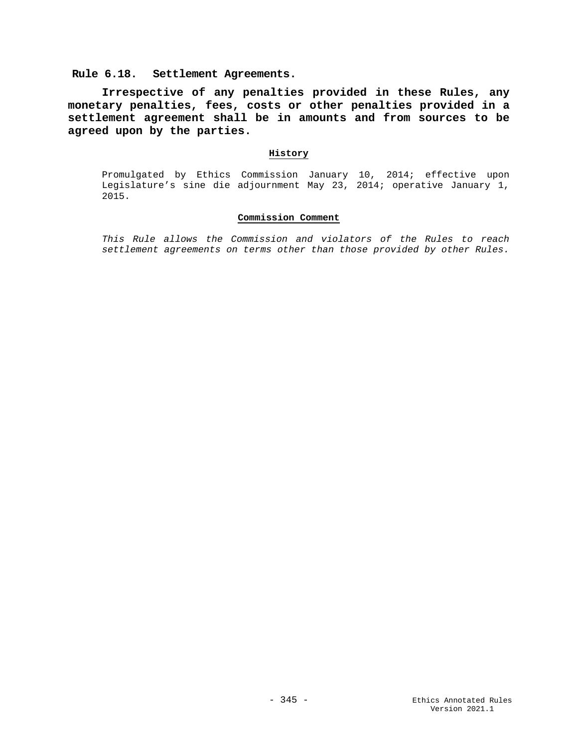**Rule 6.18. Settlement Agreements.**

**Irrespective of any penalties provided in these Rules, any monetary penalties, fees, costs or other penalties provided in a settlement agreement shall be in amounts and from sources to be agreed upon by the parties.**

#### **History**

Promulgated by Ethics Commission January 10, 2014; effective upon Legislature's sine die adjournment May 23, 2014; operative January 1, 2015.

## **Commission Comment**

*This Rule allows the Commission and violators of the Rules to reach settlement agreements on terms other than those provided by other Rules.*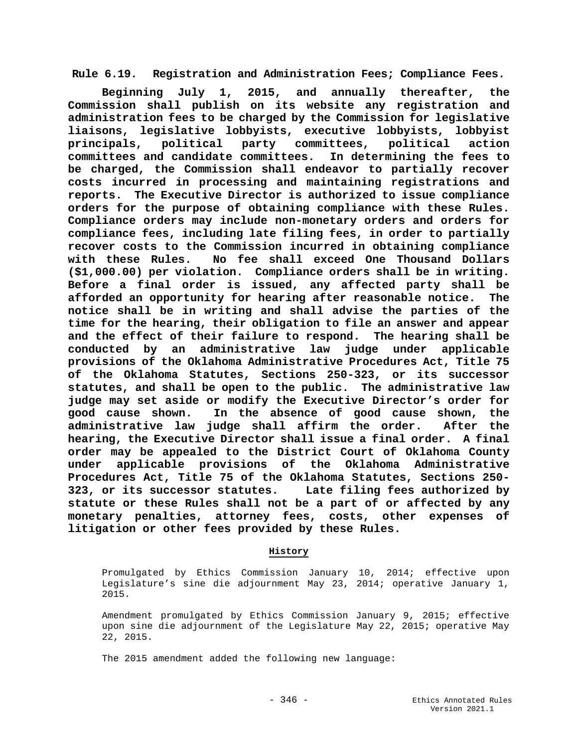**Rule 6.19. Registration and Administration Fees; Compliance Fees.**

**Beginning July 1, 2015, and annually thereafter, the Commission shall publish on its website any registration and administration fees to be charged by the Commission for legislative liaisons, legislative lobbyists, executive lobbyists, lobbyist principals, political party committees, political action committees and candidate committees. In determining the fees to be charged, the Commission shall endeavor to partially recover costs incurred in processing and maintaining registrations and reports. The Executive Director is authorized to issue compliance orders for the purpose of obtaining compliance with these Rules. Compliance orders may include non-monetary orders and orders for compliance fees, including late filing fees, in order to partially recover costs to the Commission incurred in obtaining compliance with these Rules. No fee shall exceed One Thousand Dollars (\$1,000.00) per violation. Compliance orders shall be in writing. Before a final order is issued, any affected party shall be afforded an opportunity for hearing after reasonable notice. The notice shall be in writing and shall advise the parties of the time for the hearing, their obligation to file an answer and appear and the effect of their failure to respond. The hearing shall be conducted by an administrative law judge under applicable provisions of the Oklahoma Administrative Procedures Act, Title 75 of the Oklahoma Statutes, Sections 250-323, or its successor statutes, and shall be open to the public. The administrative law judge may set aside or modify the Executive Director's order for good cause shown. In the absence of good cause shown, the administrative law judge shall affirm the order. After the hearing, the Executive Director shall issue a final order. A final order may be appealed to the District Court of Oklahoma County under applicable provisions of the Oklahoma Administrative Procedures Act, Title 75 of the Oklahoma Statutes, Sections 250- 323, or its successor statutes. statute or these Rules shall not be a part of or affected by any monetary penalties, attorney fees, costs, other expenses of litigation or other fees provided by these Rules.**

# **History**

Promulgated by Ethics Commission January 10, 2014; effective upon Legislature's sine die adjournment May 23, 2014; operative January 1, 2015.

Amendment promulgated by Ethics Commission January 9, 2015; effective upon sine die adjournment of the Legislature May 22, 2015; operative May 22, 2015.

The 2015 amendment added the following new language: